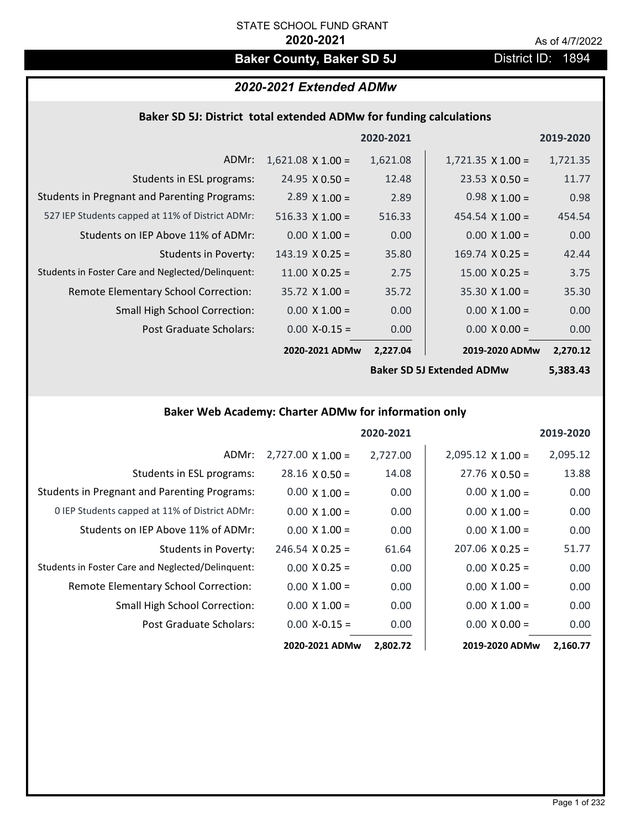# **Baker County, Baker SD 5J** District ID: 1894

# *2020-2021 Extended ADMw*

## **Baker SD 5J: District total extended ADMw for funding calculations**

|                                                     |                        | 2020-2021 |                          | 2019-2020 |
|-----------------------------------------------------|------------------------|-----------|--------------------------|-----------|
| ADMr:                                               | $1,621.08$ X 1.00 =    | 1,621.08  | $1,721.35 \times 1.00 =$ | 1,721.35  |
| Students in ESL programs:                           | $24.95 \times 0.50 =$  | 12.48     | $23.53 \times 0.50 =$    | 11.77     |
| <b>Students in Pregnant and Parenting Programs:</b> | 2.89 $\times$ 1.00 =   | 2.89      | $0.98 \times 1.00 =$     | 0.98      |
| 527 IEP Students capped at 11% of District ADMr:    | 516.33 $X$ 1.00 =      | 516.33    | $454.54 \times 1.00 =$   | 454.54    |
| Students on IEP Above 11% of ADMr:                  | $0.00 \times 1.00 =$   | 0.00      | $0.00$ X $1.00 =$        | 0.00      |
| <b>Students in Poverty:</b>                         | $143.19 \times 0.25 =$ | 35.80     | $169.74 \times 0.25 =$   | 42.44     |
| Students in Foster Care and Neglected/Delinquent:   | $11.00 \times 0.25 =$  | 2.75      | $15.00 \times 0.25 =$    | 3.75      |
| Remote Elementary School Correction:                | $35.72$ X 1.00 =       | 35.72     | $35.30 \times 1.00 =$    | 35.30     |
| <b>Small High School Correction:</b>                | $0.00 \times 1.00 =$   | 0.00      | $0.00 \times 1.00 =$     | 0.00      |
| Post Graduate Scholars:                             | $0.00$ X-0.15 =        | 0.00      | $0.00 \times 0.00 =$     | 0.00      |
|                                                     | 2020-2021 ADMw         | 2,227.04  | 2019-2020 ADMw           | 2,270.12  |
|                                                     |                        |           |                          |           |

**Baker SD 5J Extended ADMw**

**5,383.43**

# **Baker Web Academy: Charter ADMw for information only**

|                                                     |                          | 2020-2021 |                          | 2019-2020 |
|-----------------------------------------------------|--------------------------|-----------|--------------------------|-----------|
| ADMr:                                               | $2,727.00 \times 1.00 =$ | 2,727.00  | $2,095.12 \times 1.00 =$ | 2,095.12  |
| Students in ESL programs:                           | $28.16 \times 0.50 =$    | 14.08     | $27.76 \times 0.50 =$    | 13.88     |
| <b>Students in Pregnant and Parenting Programs:</b> | $0.00 \times 1.00 =$     | 0.00      | $0.00 \times 1.00 =$     | 0.00      |
| 0 IEP Students capped at 11% of District ADMr:      | $0.00 \times 1.00 =$     | 0.00      | $0.00 \times 1.00 =$     | 0.00      |
| Students on IEP Above 11% of ADMr:                  | $0.00 \times 1.00 =$     | 0.00      | $0.00 \times 1.00 =$     | 0.00      |
| Students in Poverty:                                | $246.54 \times 0.25 =$   | 61.64     | $207.06 \times 0.25 =$   | 51.77     |
| Students in Foster Care and Neglected/Delinquent:   | $0.00 \times 0.25 =$     | 0.00      | $0.00 \times 0.25 =$     | 0.00      |
| Remote Elementary School Correction:                | $0.00 \times 1.00 =$     | 0.00      | $0.00 \times 1.00 =$     | 0.00      |
| <b>Small High School Correction:</b>                | $0.00 \times 1.00 =$     | 0.00      | $0.00 \times 1.00 =$     | 0.00      |
| Post Graduate Scholars:                             | $0.00$ X-0.15 =          | 0.00      | $0.00 \times 0.00 =$     | 0.00      |
|                                                     | 2020-2021 ADMw           | 2,802.72  | 2019-2020 ADMw           | 2,160.77  |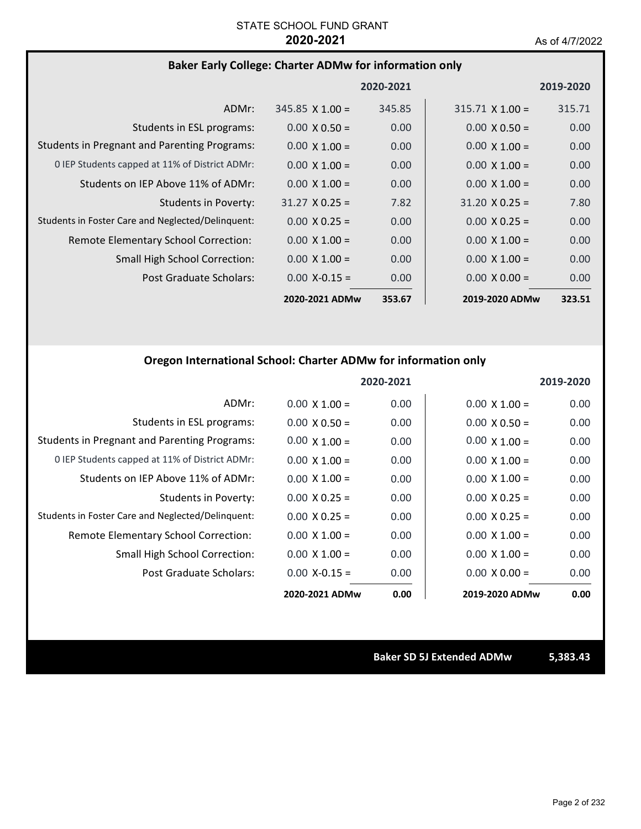# **Baker Early College: Charter ADMw for information only**

|                                                     |                        | 2020-2021 |                        | 2019-2020 |
|-----------------------------------------------------|------------------------|-----------|------------------------|-----------|
| ADMr:                                               | $345.85 \times 1.00 =$ | 345.85    | $315.71 \times 1.00 =$ | 315.71    |
| Students in ESL programs:                           | $0.00 \times 0.50 =$   | 0.00      | $0.00 \times 0.50 =$   | 0.00      |
| <b>Students in Pregnant and Parenting Programs:</b> | $0.00 \times 1.00 =$   | 0.00      | $0.00 \times 1.00 =$   | 0.00      |
| 0 IEP Students capped at 11% of District ADMr:      | $0.00 \times 1.00 =$   | 0.00      | $0.00 \times 1.00 =$   | 0.00      |
| Students on IEP Above 11% of ADMr:                  | $0.00 \times 1.00 =$   | 0.00      | $0.00 \times 1.00 =$   | 0.00      |
| <b>Students in Poverty:</b>                         | $31.27 \times 0.25 =$  | 7.82      | $31.20 \times 0.25 =$  | 7.80      |
| Students in Foster Care and Neglected/Delinguent:   | $0.00 \times 0.25 =$   | 0.00      | $0.00 \times 0.25 =$   | 0.00      |
| Remote Elementary School Correction:                | $0.00 \times 1.00 =$   | 0.00      | $0.00 \times 1.00 =$   | 0.00      |
| <b>Small High School Correction:</b>                | $0.00 \times 1.00 =$   | 0.00      | $0.00 \times 1.00 =$   | 0.00      |
| Post Graduate Scholars:                             | $0.00 X - 0.15 =$      | 0.00      | $0.00 \times 0.00 =$   | 0.00      |
|                                                     | 2020-2021 ADMw         | 353.67    | 2019-2020 ADMw         | 323.51    |

# **Oregon International School: Charter ADMw for information only**

|                                                     |                      | 2020-2021 |                      | 2019-2020 |
|-----------------------------------------------------|----------------------|-----------|----------------------|-----------|
| ADMr:                                               | $0.00 \times 1.00 =$ | 0.00      | $0.00 \times 1.00 =$ | 0.00      |
| Students in ESL programs:                           | $0.00 \times 0.50 =$ | 0.00      | $0.00 \times 0.50 =$ | 0.00      |
| <b>Students in Pregnant and Parenting Programs:</b> | $0.00 \times 1.00 =$ | 0.00      | $0.00 \times 1.00 =$ | 0.00      |
| 0 IEP Students capped at 11% of District ADMr:      | $0.00 \times 1.00 =$ | 0.00      | $0.00 \times 1.00 =$ | 0.00      |
| Students on IEP Above 11% of ADMr:                  | $0.00 \times 1.00 =$ | 0.00      | $0.00 \times 1.00 =$ | 0.00      |
| Students in Poverty:                                | $0.00 \times 0.25 =$ | 0.00      | $0.00 \times 0.25 =$ | 0.00      |
| Students in Foster Care and Neglected/Delinquent:   | $0.00 \times 0.25 =$ | 0.00      | $0.00 \times 0.25 =$ | 0.00      |
| Remote Elementary School Correction:                | $0.00 X 1.00 =$      | 0.00      | $0.00 \times 1.00 =$ | 0.00      |
| Small High School Correction:                       | $0.00 \times 1.00 =$ | 0.00      | $0.00 \times 1.00 =$ | 0.00      |
| Post Graduate Scholars:                             | $0.00$ X-0.15 =      | 0.00      | $0.00 \times 0.00 =$ | 0.00      |
|                                                     | 2020-2021 ADMw       | 0.00      | 2019-2020 ADMw       | 0.00      |

**Baker SD 5J Extended ADMw 5,383.43**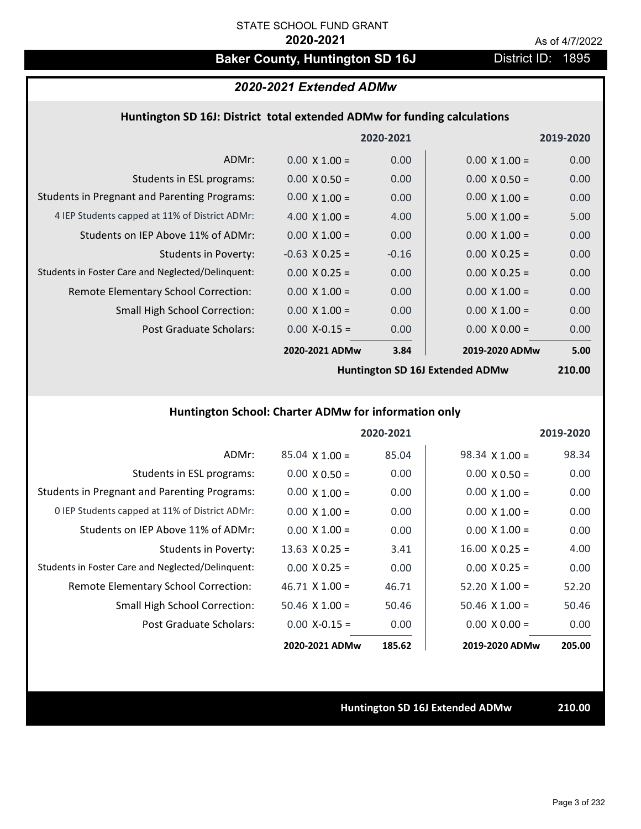# Baker County, Huntington SD 16J **District ID: 1895**

# *2020-2021 Extended ADMw*

### **Huntington SD 16J: District total extended ADMw for funding calculations**

|                                                     |                      | 2020-2021 |                      | 2019-2020 |
|-----------------------------------------------------|----------------------|-----------|----------------------|-----------|
| ADMr:                                               | $0.00 \times 1.00 =$ | 0.00      | $0.00 \times 1.00 =$ | 0.00      |
| Students in ESL programs:                           | $0.00 \times 0.50 =$ | 0.00      | $0.00 \times 0.50 =$ | 0.00      |
| <b>Students in Pregnant and Parenting Programs:</b> | $0.00 \times 1.00 =$ | 0.00      | $0.00 \times 1.00 =$ | 0.00      |
| 4 IEP Students capped at 11% of District ADMr:      | 4.00 $\times$ 1.00 = | 4.00      | $5.00 \times 1.00 =$ | 5.00      |
| Students on IEP Above 11% of ADMr:                  | $0.00 \times 1.00 =$ | 0.00      | $0.00 \times 1.00 =$ | 0.00      |
| Students in Poverty:                                | $-0.63$ X 0.25 =     | $-0.16$   | $0.00 \times 0.25 =$ | 0.00      |
| Students in Foster Care and Neglected/Delinquent:   | $0.00 \times 0.25 =$ | 0.00      | $0.00 \times 0.25 =$ | 0.00      |
| Remote Elementary School Correction:                | $0.00 \times 1.00 =$ | 0.00      | $0.00 \times 1.00 =$ | 0.00      |
| <b>Small High School Correction:</b>                | $0.00 \times 1.00 =$ | 0.00      | $0.00 \times 1.00 =$ | 0.00      |
| Post Graduate Scholars:                             | $0.00$ X-0.15 =      | 0.00      | $0.00 \times 0.00 =$ | 0.00      |
|                                                     | 2020-2021 ADMw       | 3.84      | 2019-2020 ADMw       | 5.00      |
|                                                     |                      |           |                      |           |

**Huntington SD 16J Extended ADMw**

**210.00**

# **Huntington School: Charter ADMw for information only**

|                                                     |                       | 2020-2021 |                       | 2019-2020 |
|-----------------------------------------------------|-----------------------|-----------|-----------------------|-----------|
| ADMr:                                               | $85.04$ X 1.00 =      | 85.04     | $98.34 \times 1.00 =$ | 98.34     |
| Students in ESL programs:                           | $0.00 \times 0.50 =$  | 0.00      | $0.00 \times 0.50 =$  | 0.00      |
| <b>Students in Pregnant and Parenting Programs:</b> | $0.00 \times 1.00 =$  | 0.00      | $0.00 \times 1.00 =$  | 0.00      |
| 0 IEP Students capped at 11% of District ADMr:      | $0.00 \times 1.00 =$  | 0.00      | $0.00 \times 1.00 =$  | 0.00      |
| Students on IEP Above 11% of ADMr:                  | $0.00 \times 1.00 =$  | 0.00      | $0.00 \times 1.00 =$  | 0.00      |
| Students in Poverty:                                | $13.63$ X 0.25 =      | 3.41      | $16.00 \times 0.25 =$ | 4.00      |
| Students in Foster Care and Neglected/Delinquent:   | $0.00 \times 0.25 =$  | 0.00      | $0.00 \times 0.25 =$  | 0.00      |
| Remote Elementary School Correction:                | $46.71 \times 1.00 =$ | 46.71     | $52.20 \times 1.00 =$ | 52.20     |
| <b>Small High School Correction:</b>                | $50.46$ X 1.00 =      | 50.46     | $50.46 \times 1.00 =$ | 50.46     |
| Post Graduate Scholars:                             | $0.00$ X-0.15 =       | 0.00      | $0.00 \times 0.00 =$  | 0.00      |
|                                                     | 2020-2021 ADMw        | 185.62    | 2019-2020 ADMw        | 205.00    |

**Huntington SD 16J Extended ADMw 210.00**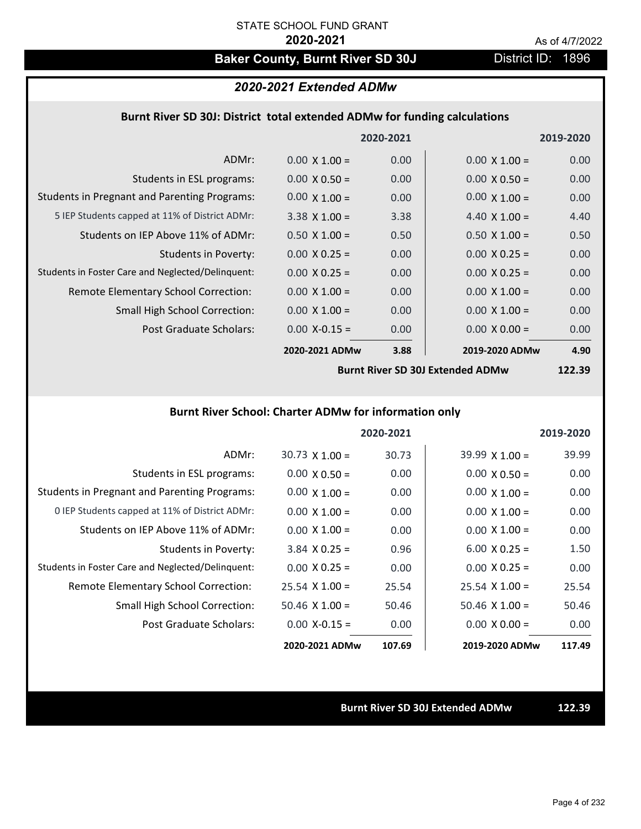# Baker County, Burnt River SD 30J District ID: 1896

## *2020-2021 Extended ADMw*

### **Burnt River SD 30J: District total extended ADMw for funding calculations**

|                                                     |                      | 2020-2021 |                      | 2019-2020 |
|-----------------------------------------------------|----------------------|-----------|----------------------|-----------|
| ADMr:                                               | $0.00 \times 1.00 =$ | 0.00      | $0.00 \times 1.00 =$ | 0.00      |
| Students in ESL programs:                           | $0.00 \times 0.50 =$ | 0.00      | $0.00 \times 0.50 =$ | 0.00      |
| <b>Students in Pregnant and Parenting Programs:</b> | $0.00 \times 1.00 =$ | 0.00      | $0.00 \times 1.00 =$ | 0.00      |
| 5 IEP Students capped at 11% of District ADMr:      | $3.38 \times 1.00 =$ | 3.38      | 4.40 $\times$ 1.00 = | 4.40      |
| Students on IEP Above 11% of ADMr:                  | $0.50 \times 1.00 =$ | 0.50      | $0.50 \times 1.00 =$ | 0.50      |
| Students in Poverty:                                | $0.00 \times 0.25 =$ | 0.00      | $0.00 \times 0.25 =$ | 0.00      |
| Students in Foster Care and Neglected/Delinquent:   | $0.00 \times 0.25 =$ | 0.00      | $0.00 \times 0.25 =$ | 0.00      |
| Remote Elementary School Correction:                | $0.00 \times 1.00 =$ | 0.00      | $0.00 \times 1.00 =$ | 0.00      |
| <b>Small High School Correction:</b>                | $0.00 \times 1.00 =$ | 0.00      | $0.00 \times 1.00 =$ | 0.00      |
| Post Graduate Scholars:                             | $0.00$ X-0.15 =      | 0.00      | $0.00 \times 0.00 =$ | 0.00      |
|                                                     | 2020-2021 ADMw       | 3.88      | 2019-2020 ADMw       | 4.90      |

**Burnt River SD 30J Extended ADMw**

**122.39**

## **Burnt River School: Charter ADMw for information only**

|                                                     |                       | 2020-2021 |                       | 2019-2020 |
|-----------------------------------------------------|-----------------------|-----------|-----------------------|-----------|
| ADMr:                                               | $30.73 \times 1.00 =$ | 30.73     | $39.99 \times 1.00 =$ | 39.99     |
| Students in ESL programs:                           | $0.00 \times 0.50 =$  | 0.00      | $0.00 \times 0.50 =$  | 0.00      |
| <b>Students in Pregnant and Parenting Programs:</b> | $0.00 \times 1.00 =$  | 0.00      | $0.00 \times 1.00 =$  | 0.00      |
| 0 IEP Students capped at 11% of District ADMr:      | $0.00 \times 1.00 =$  | 0.00      | $0.00 \times 1.00 =$  | 0.00      |
| Students on IEP Above 11% of ADMr:                  | $0.00 \times 1.00 =$  | 0.00      | $0.00 \times 1.00 =$  | 0.00      |
| Students in Poverty:                                | $3.84$ X 0.25 =       | 0.96      | $6.00 \times 0.25 =$  | 1.50      |
| Students in Foster Care and Neglected/Delinquent:   | $0.00 \times 0.25 =$  | 0.00      | $0.00 \times 0.25 =$  | 0.00      |
| Remote Elementary School Correction:                | $25.54 \times 1.00 =$ | 25.54     | $25.54 \times 1.00 =$ | 25.54     |
| <b>Small High School Correction:</b>                | $50.46$ X 1.00 =      | 50.46     | $50.46 \times 1.00 =$ | 50.46     |
| Post Graduate Scholars:                             | $0.00 X - 0.15 =$     | 0.00      | $0.00 \times 0.00 =$  | 0.00      |
|                                                     | 2020-2021 ADMw        | 107.69    | 2019-2020 ADMw        | 117.49    |

#### **Burnt River SD 30J Extended ADMw 122.39**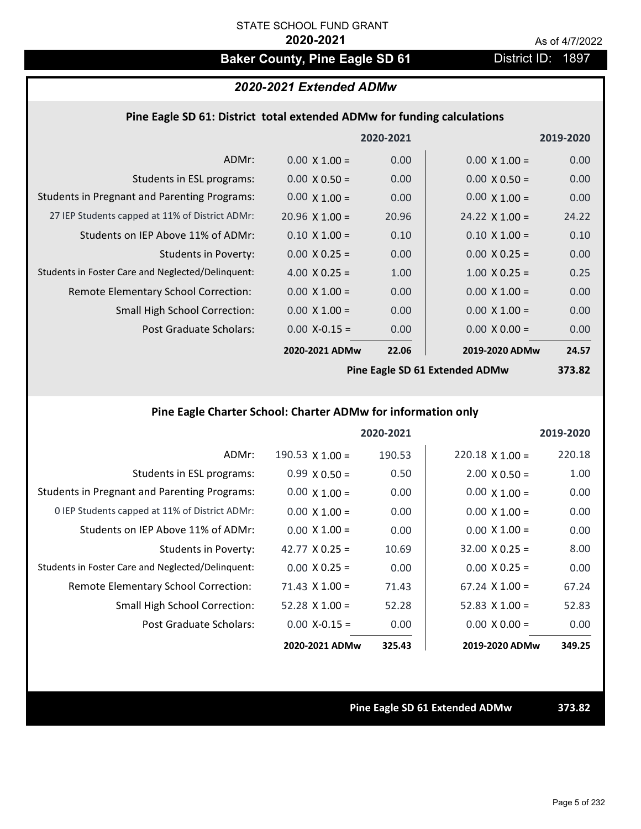# **Baker County, Pine Eagle SD 61** District ID: 1897

# *2020-2021 Extended ADMw*

### **Pine Eagle SD 61: District total extended ADMw for funding calculations**

|                                                     |                       | 2020-2021 |                       | 2019-2020 |
|-----------------------------------------------------|-----------------------|-----------|-----------------------|-----------|
| ADMr:                                               | $0.00 \times 1.00 =$  | 0.00      | $0.00 \times 1.00 =$  | 0.00      |
| Students in ESL programs:                           | $0.00 \times 0.50 =$  | 0.00      | $0.00 \times 0.50 =$  | 0.00      |
| <b>Students in Pregnant and Parenting Programs:</b> | $0.00 \times 1.00 =$  | 0.00      | $0.00 \times 1.00 =$  | 0.00      |
| 27 IEP Students capped at 11% of District ADMr:     | $20.96 \times 1.00 =$ | 20.96     | $24.22 \times 1.00 =$ | 24.22     |
| Students on IEP Above 11% of ADMr:                  | $0.10 \times 1.00 =$  | 0.10      | $0.10 \times 1.00 =$  | 0.10      |
| <b>Students in Poverty:</b>                         | $0.00 \times 0.25 =$  | 0.00      | $0.00 \times 0.25 =$  | 0.00      |
| Students in Foster Care and Neglected/Delinquent:   | 4.00 $X$ 0.25 =       | 1.00      | $1.00 \times 0.25 =$  | 0.25      |
| Remote Elementary School Correction:                | $0.00 \times 1.00 =$  | 0.00      | $0.00 \times 1.00 =$  | 0.00      |
| <b>Small High School Correction:</b>                | $0.00 \times 1.00 =$  | 0.00      | $0.00 \times 1.00 =$  | 0.00      |
| Post Graduate Scholars:                             | $0.00$ X-0.15 =       | 0.00      | $0.00 \times 0.00 =$  | 0.00      |
|                                                     | 2020-2021 ADMw        | 22.06     | 2019-2020 ADMw        | 24.57     |
|                                                     |                       |           |                       |           |

**Pine Eagle SD 61 Extended ADMw**

**373.82**

# **Pine Eagle Charter School: Charter ADMw for information only**

|                                                     |                       | 2020-2021 |                       | 2019-2020 |
|-----------------------------------------------------|-----------------------|-----------|-----------------------|-----------|
| ADMr:                                               | 190.53 $X$ 1.00 =     | 190.53    | $220.18$ X 1.00 =     | 220.18    |
| Students in ESL programs:                           | $0.99 \times 0.50 =$  | 0.50      | $2.00 \times 0.50 =$  | 1.00      |
| <b>Students in Pregnant and Parenting Programs:</b> | $0.00 \times 1.00 =$  | 0.00      | $0.00 \times 1.00 =$  | 0.00      |
| 0 IEP Students capped at 11% of District ADMr:      | $0.00 \times 1.00 =$  | 0.00      | $0.00 \times 1.00 =$  | 0.00      |
| Students on IEP Above 11% of ADMr:                  | $0.00 \times 1.00 =$  | 0.00      | $0.00 \times 1.00 =$  | 0.00      |
| Students in Poverty:                                | 42.77 $X$ 0.25 =      | 10.69     | $32.00 \times 0.25 =$ | 8.00      |
| Students in Foster Care and Neglected/Delinquent:   | $0.00 \times 0.25 =$  | 0.00      | $0.00 \times 0.25 =$  | 0.00      |
| Remote Elementary School Correction:                | $71.43 \times 1.00 =$ | 71.43     | $67.24 \times 1.00 =$ | 67.24     |
| <b>Small High School Correction:</b>                | $52.28$ X 1.00 =      | 52.28     | 52.83 $\times$ 1.00 = | 52.83     |
| Post Graduate Scholars:                             | $0.00 X - 0.15 =$     | 0.00      | $0.00 \times 0.00 =$  | 0.00      |
|                                                     | 2020-2021 ADMw        | 325.43    | 2019-2020 ADMw        | 349.25    |

**Pine Eagle SD 61 Extended ADMw 373.82**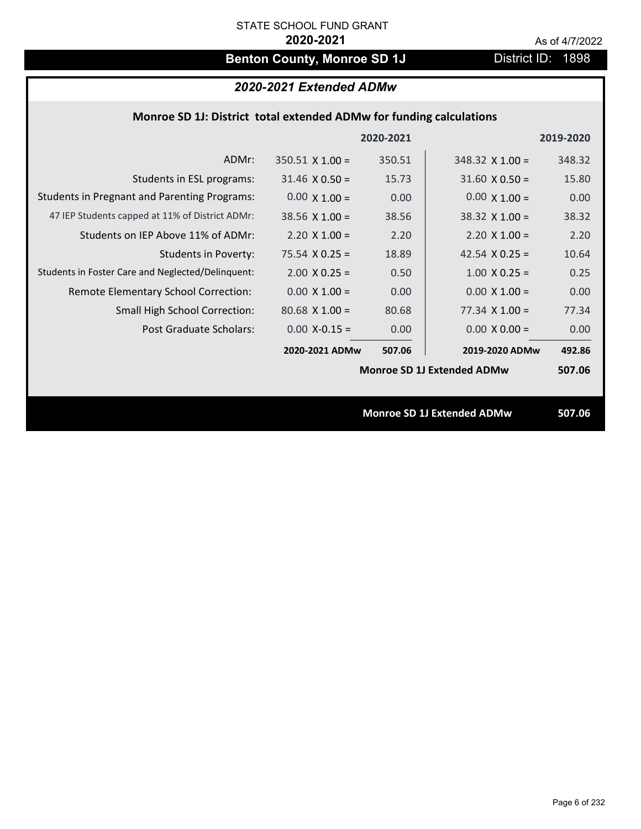# **Benton County, Monroe SD 1J** District ID: 1898

# *2020-2021 Extended ADMw*

## **Monroe SD 1J: District total extended ADMw for funding calculations**

|                                                     |                        | 2020-2021 |                                   | 2019-2020 |
|-----------------------------------------------------|------------------------|-----------|-----------------------------------|-----------|
| ADMr:                                               | $350.51 \times 1.00 =$ | 350.51    | $348.32 \times 1.00 =$            | 348.32    |
| Students in ESL programs:                           | $31.46 \times 0.50 =$  | 15.73     | $31.60 \times 0.50 =$             | 15.80     |
| <b>Students in Pregnant and Parenting Programs:</b> | $0.00 \times 1.00 =$   | 0.00      | $0.00 \times 1.00 =$              | 0.00      |
| 47 IEP Students capped at 11% of District ADMr:     | $38.56 \times 1.00 =$  | 38.56     | $38.32 \times 1.00 =$             | 38.32     |
| Students on IEP Above 11% of ADMr:                  | $2.20 \times 1.00 =$   | 2.20      | $2.20 \times 1.00 =$              | 2.20      |
| <b>Students in Poverty:</b>                         | $75.54 \times 0.25 =$  | 18.89     | 42.54 $X$ 0.25 =                  | 10.64     |
| Students in Foster Care and Neglected/Delinquent:   | $2.00 \times 0.25 =$   | 0.50      | $1.00 \times 0.25 =$              | 0.25      |
| Remote Elementary School Correction:                | $0.00 \times 1.00 =$   | 0.00      | $0.00 \times 1.00 =$              | 0.00      |
| <b>Small High School Correction:</b>                | $80.68$ X 1.00 =       | 80.68     | $77.34 \times 1.00 =$             | 77.34     |
| Post Graduate Scholars:                             | $0.00$ X-0.15 =        | 0.00      | $0.00 \times 0.00 =$              | 0.00      |
|                                                     | 2020-2021 ADMw         | 507.06    | 2019-2020 ADMw                    | 492.86    |
|                                                     |                        |           | <b>Monroe SD 1J Extended ADMw</b> | 507.06    |
|                                                     |                        |           |                                   |           |
|                                                     |                        |           | <b>Monroe SD 1J Extended ADMw</b> | 507.06    |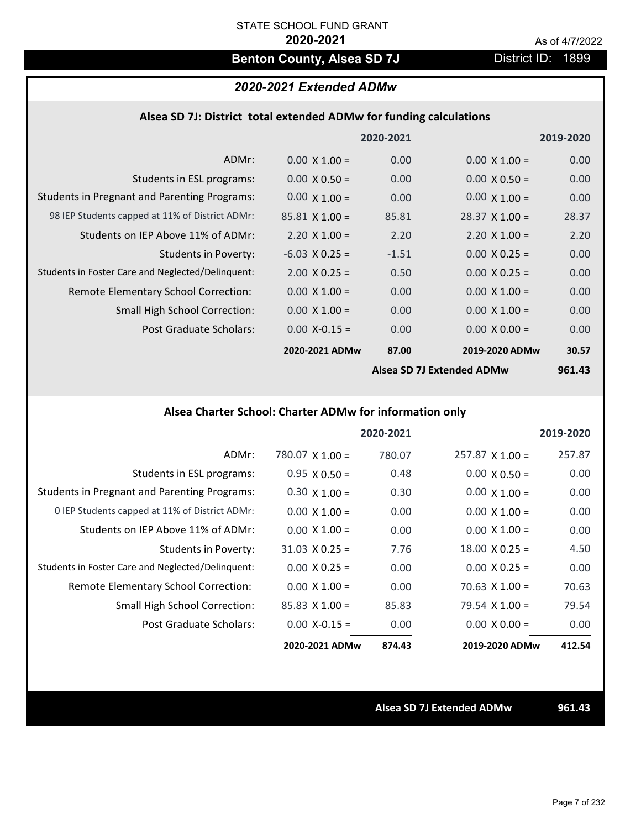# **Benton County, Alsea SD 7J** District ID: 1899

## *2020-2021 Extended ADMw*

|  |  |  | Alsea SD 7J: District total extended ADMw for funding calculations |
|--|--|--|--------------------------------------------------------------------|
|--|--|--|--------------------------------------------------------------------|

|                                                     |                       | 2020-2021 |                           | 2019-2020 |
|-----------------------------------------------------|-----------------------|-----------|---------------------------|-----------|
| ADMr:                                               | $0.00 \times 1.00 =$  | 0.00      | $0.00 \times 1.00 =$      | 0.00      |
| Students in ESL programs:                           | $0.00 \times 0.50 =$  | 0.00      | $0.00 \times 0.50 =$      | 0.00      |
| <b>Students in Pregnant and Parenting Programs:</b> | $0.00 \times 1.00 =$  | 0.00      | $0.00 \times 1.00 =$      | 0.00      |
| 98 IEP Students capped at 11% of District ADMr:     | $85.81 \times 1.00 =$ | 85.81     | $28.37 \times 1.00 =$     | 28.37     |
| Students on IEP Above 11% of ADMr:                  | $2.20 \times 1.00 =$  | 2.20      | $2.20 \times 1.00 =$      | 2.20      |
| <b>Students in Poverty:</b>                         | $-6.03$ X 0.25 =      | $-1.51$   | $0.00 \times 0.25 =$      | 0.00      |
| Students in Foster Care and Neglected/Delinquent:   | $2.00 \times 0.25 =$  | 0.50      | $0.00 \times 0.25 =$      | 0.00      |
| Remote Elementary School Correction:                | $0.00 \times 1.00 =$  | 0.00      | $0.00 \times 1.00 =$      | 0.00      |
| <b>Small High School Correction:</b>                | $0.00 \times 1.00 =$  | 0.00      | $0.00 \times 1.00 =$      | 0.00      |
| <b>Post Graduate Scholars:</b>                      | $0.00$ X-0.15 =       | 0.00      | $0.00 \times 0.00 =$      | 0.00      |
|                                                     | 2020-2021 ADMw        | 87.00     | 2019-2020 ADMw            | 30.57     |
|                                                     |                       |           | Alcos SD 71 Extanded ADMW | QG1 12    |

**Alsea SD 7J Extended ADMw**

**961.43**

# **Alsea Charter School: Charter ADMw for information only**

|                                                     |                       | 2020-2021 |                        | 2019-2020 |
|-----------------------------------------------------|-----------------------|-----------|------------------------|-----------|
| ADMr:                                               | 780.07 $X$ 1.00 =     | 780.07    | $257.87 \times 1.00 =$ | 257.87    |
| Students in ESL programs:                           | $0.95 \times 0.50 =$  | 0.48      | $0.00 \times 0.50 =$   | 0.00      |
| <b>Students in Pregnant and Parenting Programs:</b> | $0.30 \times 1.00 =$  | 0.30      | $0.00 \times 1.00 =$   | 0.00      |
| 0 IEP Students capped at 11% of District ADMr:      | $0.00 \times 1.00 =$  | 0.00      | $0.00 \times 1.00 =$   | 0.00      |
| Students on IEP Above 11% of ADMr:                  | $0.00 \times 1.00 =$  | 0.00      | $0.00 \times 1.00 =$   | 0.00      |
| Students in Poverty:                                | $31.03 \times 0.25 =$ | 7.76      | $18.00 \times 0.25 =$  | 4.50      |
| Students in Foster Care and Neglected/Delinquent:   | $0.00 \times 0.25 =$  | 0.00      | $0.00 \times 0.25 =$   | 0.00      |
| Remote Elementary School Correction:                | $0.00 \times 1.00 =$  | 0.00      | $70.63 \times 1.00 =$  | 70.63     |
| <b>Small High School Correction:</b>                | $85.83$ X 1.00 =      | 85.83     | $79.54 \times 1.00 =$  | 79.54     |
| Post Graduate Scholars:                             | $0.00 X - 0.15 =$     | 0.00      | $0.00 \times 0.00 =$   | 0.00      |
|                                                     | 2020-2021 ADMw        | 874.43    | 2019-2020 ADMw         | 412.54    |

**Alsea SD 7J Extended ADMw 961.43**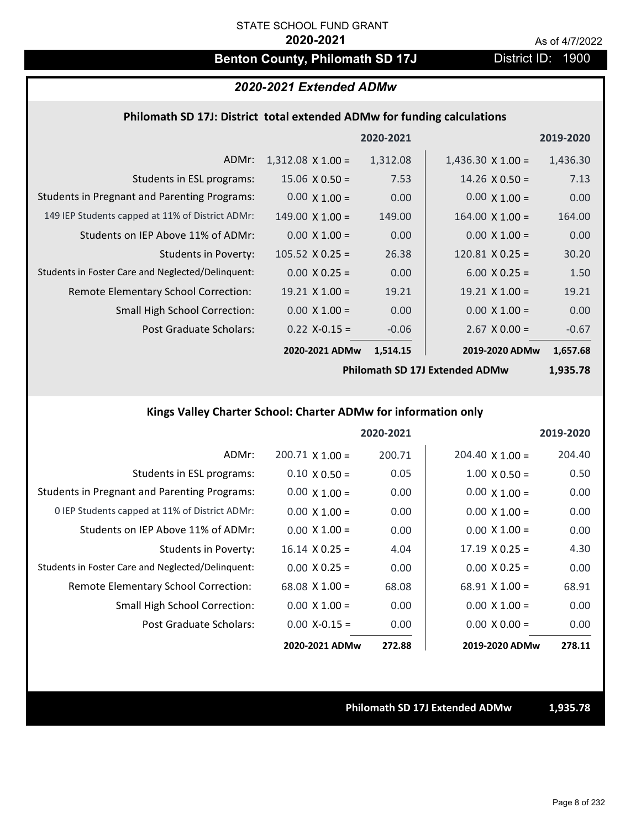# **Benton County, Philomath SD 17J** District ID: 1900

# *2020-2021 Extended ADMw*

### **Philomath SD 17J: District total extended ADMw for funding calculations**

|                                                     |                          | 2020-2021 |                          | 2019-2020 |
|-----------------------------------------------------|--------------------------|-----------|--------------------------|-----------|
| ADMr:                                               | $1,312.08 \times 1.00 =$ | 1,312.08  | $1,436.30 \times 1.00 =$ | 1,436.30  |
| Students in ESL programs:                           | $15.06 \times 0.50 =$    | 7.53      | $14.26 \times 0.50 =$    | 7.13      |
| <b>Students in Pregnant and Parenting Programs:</b> | $0.00 \times 1.00 =$     | 0.00      | $0.00 \times 1.00 =$     | 0.00      |
| 149 IEP Students capped at 11% of District ADMr:    | $149.00 \times 1.00 =$   | 149.00    | $164.00 \times 1.00 =$   | 164.00    |
| Students on IEP Above 11% of ADMr:                  | $0.00 \times 1.00 =$     | 0.00      | $0.00 \times 1.00 =$     | 0.00      |
| <b>Students in Poverty:</b>                         | $105.52 \times 0.25 =$   | 26.38     | $120.81$ X 0.25 =        | 30.20     |
| Students in Foster Care and Neglected/Delinguent:   | $0.00 \times 0.25 =$     | 0.00      | $6.00 \times 0.25 =$     | 1.50      |
| Remote Elementary School Correction:                | $19.21 \times 1.00 =$    | 19.21     | $19.21 \times 1.00 =$    | 19.21     |
| <b>Small High School Correction:</b>                | $0.00 \times 1.00 =$     | 0.00      | $0.00 \times 1.00 =$     | 0.00      |
| Post Graduate Scholars:                             | $0.22$ X-0.15 =          | $-0.06$   | $2.67$ X 0.00 =          | $-0.67$   |
|                                                     | 2020-2021 ADMw           | 1,514.15  | 2019-2020 ADMw           | 1,657.68  |

**Philomath SD 17J Extended ADMw**

**1,935.78**

# **Kings Valley Charter School: Charter ADMw for information only**

|                                                     |                        | 2020-2021 |                        | 2019-2020 |
|-----------------------------------------------------|------------------------|-----------|------------------------|-----------|
| ADMr:                                               | $200.71 \times 1.00 =$ | 200.71    | $204.40 \times 1.00 =$ | 204.40    |
| Students in ESL programs:                           | $0.10 \times 0.50 =$   | 0.05      | $1.00 \times 0.50 =$   | 0.50      |
| <b>Students in Pregnant and Parenting Programs:</b> | $0.00 \times 1.00 =$   | 0.00      | $0.00 \times 1.00 =$   | 0.00      |
| 0 IEP Students capped at 11% of District ADMr:      | $0.00 \times 1.00 =$   | 0.00      | $0.00 \times 1.00 =$   | 0.00      |
| Students on IEP Above 11% of ADMr:                  | $0.00 \times 1.00 =$   | 0.00      | $0.00 \times 1.00 =$   | 0.00      |
| Students in Poverty:                                | $16.14 \times 0.25 =$  | 4.04      | $17.19 \times 0.25 =$  | 4.30      |
| Students in Foster Care and Neglected/Delinquent:   | $0.00 \times 0.25 =$   | 0.00      | $0.00 \times 0.25 =$   | 0.00      |
| Remote Elementary School Correction:                | $68.08 \times 1.00 =$  | 68.08     | $68.91 \times 1.00 =$  | 68.91     |
| <b>Small High School Correction:</b>                | $0.00 \times 1.00 =$   | 0.00      | $0.00 \times 1.00 =$   | 0.00      |
| Post Graduate Scholars:                             | $0.00$ X-0.15 =        | 0.00      | $0.00 \times 0.00 =$   | 0.00      |
|                                                     | 2020-2021 ADMw         | 272.88    | 2019-2020 ADMw         | 278.11    |

**Philomath SD 17J Extended ADMw 1,935.78**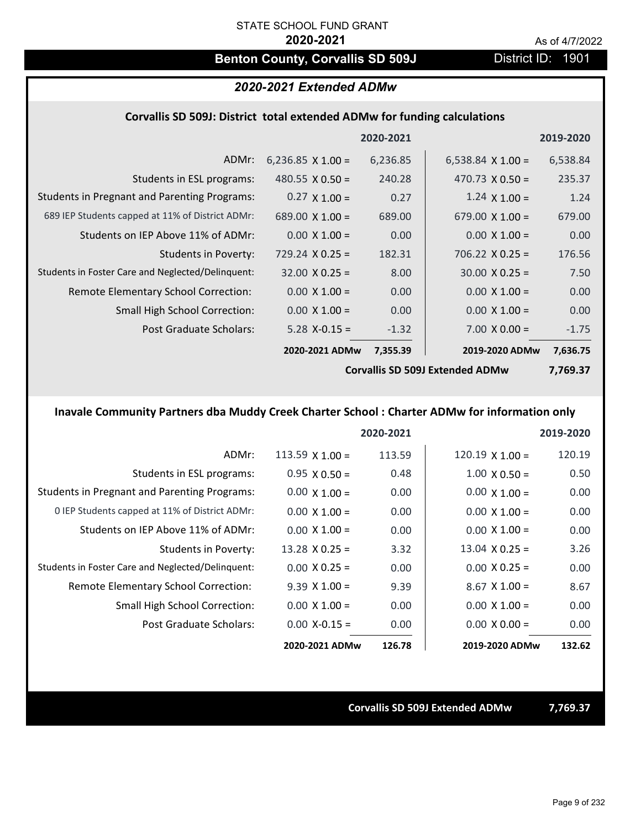# **Benton County, Corvallis SD 509J** District ID: 1901

# *2020-2021 Extended ADMw*

### **Corvallis SD 509J: District total extended ADMw for funding calculations**

|                                                     |                                        | 2020-2021 |                          | 2019-2020 |
|-----------------------------------------------------|----------------------------------------|-----------|--------------------------|-----------|
| ADMr:                                               | 6,236.85 $\times$ 1.00 =               | 6,236.85  | 6,538.84 $\times$ 1.00 = | 6,538.84  |
| Students in ESL programs:                           | 480.55 $X$ 0.50 =                      | 240.28    | 470.73 $\times$ 0.50 =   | 235.37    |
| <b>Students in Pregnant and Parenting Programs:</b> | $0.27 \times 1.00 =$                   | 0.27      | $1.24 \times 1.00 =$     | 1.24      |
| 689 IEP Students capped at 11% of District ADMr:    | 689.00 $\times$ 1.00 =                 | 689.00    | 679.00 $\times$ 1.00 =   | 679.00    |
| Students on IEP Above 11% of ADMr:                  | $0.00 \times 1.00 =$                   | 0.00      | $0.00 \times 1.00 =$     | 0.00      |
| Students in Poverty:                                | $729.24 \times 0.25 =$                 | 182.31    | $706.22 \times 0.25 =$   | 176.56    |
| Students in Foster Care and Neglected/Delinquent:   | $32.00 \times 0.25 =$                  | 8.00      | $30.00 \times 0.25 =$    | 7.50      |
| Remote Elementary School Correction:                | $0.00 \times 1.00 =$                   | 0.00      | $0.00 \times 1.00 =$     | 0.00      |
| <b>Small High School Correction:</b>                | $0.00 \times 1.00 =$                   | 0.00      | $0.00 \times 1.00 =$     | 0.00      |
| Post Graduate Scholars:                             | $5.28$ X-0.15 =                        | $-1.32$   | $7.00 \times 0.00 =$     | $-1.75$   |
|                                                     | 2020-2021 ADMw                         | 7,355.39  | 2019-2020 ADMw           | 7,636.75  |
|                                                     | <b>Corvallis SD 509J Extended ADMw</b> |           |                          | 7,769.37  |

# **Inavale Community Partners dba Muddy Creek Charter School : Charter ADMw for information only**

|                                                     |                       | 2020-2021 |                        | 2019-2020 |
|-----------------------------------------------------|-----------------------|-----------|------------------------|-----------|
| ADMr:                                               | 113.59 $X$ 1.00 =     | 113.59    | $120.19 \times 1.00 =$ | 120.19    |
| Students in ESL programs:                           | $0.95 \times 0.50 =$  | 0.48      | $1.00 \times 0.50 =$   | 0.50      |
| <b>Students in Pregnant and Parenting Programs:</b> | $0.00 \times 1.00 =$  | 0.00      | $0.00 \times 1.00 =$   | 0.00      |
| 0 IEP Students capped at 11% of District ADMr:      | $0.00 \times 1.00 =$  | 0.00      | $0.00 \times 1.00 =$   | 0.00      |
| Students on IEP Above 11% of ADMr:                  | $0.00 \times 1.00 =$  | 0.00      | $0.00 \times 1.00 =$   | 0.00      |
| Students in Poverty:                                | $13.28 \times 0.25 =$ | 3.32      | $13.04 \times 0.25 =$  | 3.26      |
| Students in Foster Care and Neglected/Delinquent:   | $0.00 \times 0.25 =$  | 0.00      | $0.00 \times 0.25 =$   | 0.00      |
| Remote Elementary School Correction:                | $9.39 \times 1.00 =$  | 9.39      | $8.67$ X $1.00 =$      | 8.67      |
| <b>Small High School Correction:</b>                | $0.00 \times 1.00 =$  | 0.00      | $0.00 \times 1.00 =$   | 0.00      |
| Post Graduate Scholars:                             | $0.00 X - 0.15 =$     | 0.00      | $0.00 \times 0.00 =$   | 0.00      |
|                                                     | 2020-2021 ADMw        | 126.78    | 2019-2020 ADMw         | 132.62    |

**Corvallis SD 509J Extended ADMw 7,769.37**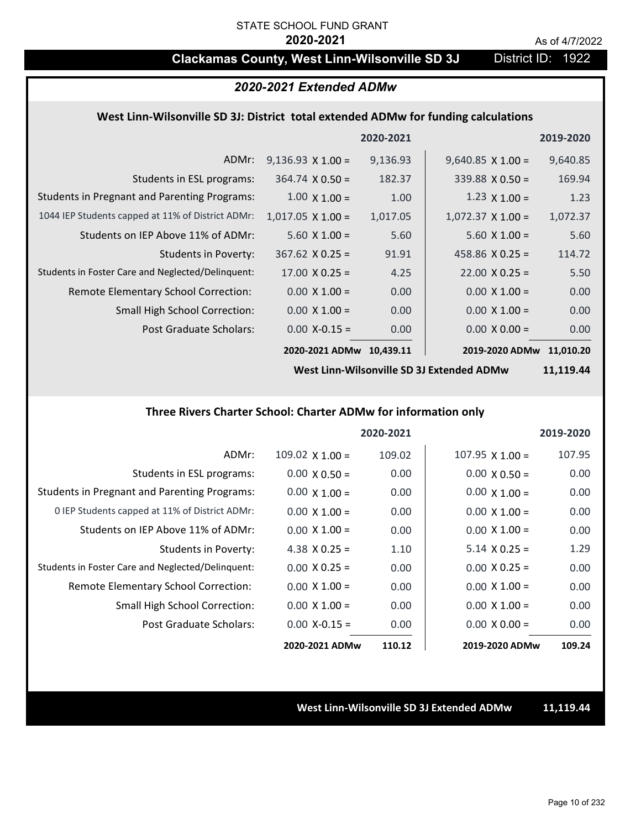# **Clackamas County, West Linn-Wilsonville SD 3J** District ID: 1922

### *2020-2021 Extended ADMw*

### **West Linn‐Wilsonville SD 3J: District total extended ADMw for funding calculations**

|                                                     |                          | 2020-2021 |                          | 2019-2020 |
|-----------------------------------------------------|--------------------------|-----------|--------------------------|-----------|
| ADMr:                                               | $9,136.93 \times 1.00 =$ | 9,136.93  | $9,640.85 \times 1.00 =$ | 9,640.85  |
| Students in ESL programs:                           | $364.74 \times 0.50 =$   | 182.37    | $339.88 \times 0.50 =$   | 169.94    |
| <b>Students in Pregnant and Parenting Programs:</b> | $1.00 \times 1.00 =$     | 1.00      | $1.23 \times 1.00 =$     | 1.23      |
| 1044 IEP Students capped at 11% of District ADMr:   | $1,017.05 \times 1.00 =$ | 1,017.05  | $1,072.37 \times 1.00 =$ | 1,072.37  |
| Students on IEP Above 11% of ADMr:                  | $5.60 \times 1.00 =$     | 5.60      | $5.60 \times 1.00 =$     | 5.60      |
| Students in Poverty:                                | $367.62$ X 0.25 =        | 91.91     | 458.86 $X$ 0.25 =        | 114.72    |
| Students in Foster Care and Neglected/Delinquent:   | $17.00 \times 0.25 =$    | 4.25      | $22.00 \times 0.25 =$    | 5.50      |
| Remote Elementary School Correction:                | $0.00 \times 1.00 =$     | 0.00      | $0.00 \times 1.00 =$     | 0.00      |
| <b>Small High School Correction:</b>                | $0.00 \times 1.00 =$     | 0.00      | $0.00 \times 1.00 =$     | 0.00      |
| Post Graduate Scholars:                             | $0.00$ X-0.15 =          | 0.00      | $0.00 \times 0.00 =$     | 0.00      |
|                                                     | 2020-2021 ADMw           | 10,439.11 | 2019-2020 ADMw           | 11,010.20 |

**West Linn‐Wilsonville SD 3J Extended ADMw**

**11,119.44**

### **Three Rivers Charter School: Charter ADMw for information only**

|                                                     |                      | 2020-2021 |                        | 2019-2020 |
|-----------------------------------------------------|----------------------|-----------|------------------------|-----------|
| ADMr:                                               | 109.02 $X$ 1.00 =    | 109.02    | $107.95 \times 1.00 =$ | 107.95    |
| Students in ESL programs:                           | $0.00 \times 0.50 =$ | 0.00      | $0.00 \times 0.50 =$   | 0.00      |
| <b>Students in Pregnant and Parenting Programs:</b> | $0.00 \times 1.00 =$ | 0.00      | $0.00 \times 1.00 =$   | 0.00      |
| 0 IEP Students capped at 11% of District ADMr:      | $0.00 \times 1.00 =$ | 0.00      | $0.00 \times 1.00 =$   | 0.00      |
| Students on IEP Above 11% of ADMr:                  | $0.00 \times 1.00 =$ | 0.00      | $0.00 \times 1.00 =$   | 0.00      |
| Students in Poverty:                                | 4.38 $X$ 0.25 =      | 1.10      | $5.14 \times 0.25 =$   | 1.29      |
| Students in Foster Care and Neglected/Delinquent:   | $0.00 \times 0.25 =$ | 0.00      | $0.00 \times 0.25 =$   | 0.00      |
| Remote Elementary School Correction:                | $0.00 \times 1.00 =$ | 0.00      | $0.00 \times 1.00 =$   | 0.00      |
| <b>Small High School Correction:</b>                | $0.00 \times 1.00 =$ | 0.00      | $0.00 \times 1.00 =$   | 0.00      |
| Post Graduate Scholars:                             | $0.00 X - 0.15 =$    | 0.00      | $0.00 \times 0.00 =$   | 0.00      |
|                                                     | 2020-2021 ADMw       | 110.12    | 2019-2020 ADMw         | 109.24    |

**West Linn‐Wilsonville SD 3J Extended ADMw 11,119.44**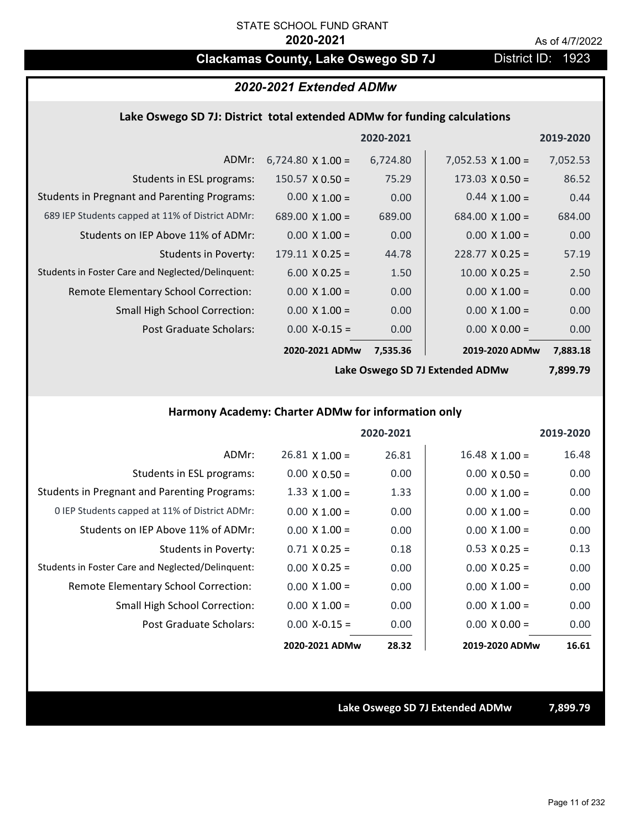# **Clackamas County, Lake Oswego SD 7J District ID: 1923**

## *2020-2021 Extended ADMw*

### **Lake Oswego SD 7J: District total extended ADMw for funding calculations**

|                                                     |                          | 2020-2021 |                          | 2019-2020 |
|-----------------------------------------------------|--------------------------|-----------|--------------------------|-----------|
| ADMr:                                               | $6,724.80 \times 1.00 =$ | 6,724.80  | $7,052.53 \times 1.00 =$ | 7,052.53  |
| Students in ESL programs:                           | $150.57 \times 0.50 =$   | 75.29     | $173.03 \times 0.50 =$   | 86.52     |
| <b>Students in Pregnant and Parenting Programs:</b> | $0.00 \times 1.00 =$     | 0.00      | $0.44 \times 1.00 =$     | 0.44      |
| 689 IEP Students capped at 11% of District ADMr:    | 689.00 $\times$ 1.00 =   | 689.00    | $684.00 \times 1.00 =$   | 684.00    |
| Students on IEP Above 11% of ADMr:                  | $0.00 \times 1.00 =$     | 0.00      | $0.00 \times 1.00 =$     | 0.00      |
| Students in Poverty:                                | $179.11 \times 0.25 =$   | 44.78     | $228.77 \times 0.25 =$   | 57.19     |
| Students in Foster Care and Neglected/Delinquent:   | $6.00 \times 0.25 =$     | 1.50      | $10.00 \times 0.25 =$    | 2.50      |
| Remote Elementary School Correction:                | $0.00 \times 1.00 =$     | 0.00      | $0.00 \times 1.00 =$     | 0.00      |
| <b>Small High School Correction:</b>                | $0.00 \times 1.00 =$     | 0.00      | $0.00 \times 1.00 =$     | 0.00      |
| Post Graduate Scholars:                             | $0.00$ X-0.15 =          | 0.00      | $0.00 \times 0.00 =$     | 0.00      |
|                                                     | 2020-2021 ADMw           | 7,535.36  | 2019-2020 ADMw           | 7,883.18  |

**Lake Oswego SD 7J Extended ADMw**

**7,899.79**

## **Harmony Academy: Charter ADMw for information only**

|                                                     |                       | 2020-2021 |                       | 2019-2020 |
|-----------------------------------------------------|-----------------------|-----------|-----------------------|-----------|
| ADMr:                                               | $26.81 \times 1.00 =$ | 26.81     | $16.48 \times 1.00 =$ | 16.48     |
| Students in ESL programs:                           | $0.00 \times 0.50 =$  | 0.00      | $0.00 \times 0.50 =$  | 0.00      |
| <b>Students in Pregnant and Parenting Programs:</b> | $1.33 \times 1.00 =$  | 1.33      | $0.00 \times 1.00 =$  | 0.00      |
| 0 IEP Students capped at 11% of District ADMr:      | $0.00 \times 1.00 =$  | 0.00      | $0.00 \times 1.00 =$  | 0.00      |
| Students on IEP Above 11% of ADMr:                  | $0.00 \times 1.00 =$  | 0.00      | $0.00 \times 1.00 =$  | 0.00      |
| Students in Poverty:                                | $0.71 \times 0.25 =$  | 0.18      | $0.53 \times 0.25 =$  | 0.13      |
| Students in Foster Care and Neglected/Delinquent:   | $0.00 \times 0.25 =$  | 0.00      | $0.00 \times 0.25 =$  | 0.00      |
| Remote Elementary School Correction:                | $0.00 \times 1.00 =$  | 0.00      | $0.00 \times 1.00 =$  | 0.00      |
| <b>Small High School Correction:</b>                | $0.00 \times 1.00 =$  | 0.00      | $0.00 \times 1.00 =$  | 0.00      |
| Post Graduate Scholars:                             | $0.00 X - 0.15 =$     | 0.00      | $0.00 \times 0.00 =$  | 0.00      |
|                                                     | 2020-2021 ADMw        | 28.32     | 2019-2020 ADMw        | 16.61     |

**Lake Oswego SD 7J Extended ADMw 7,899.79**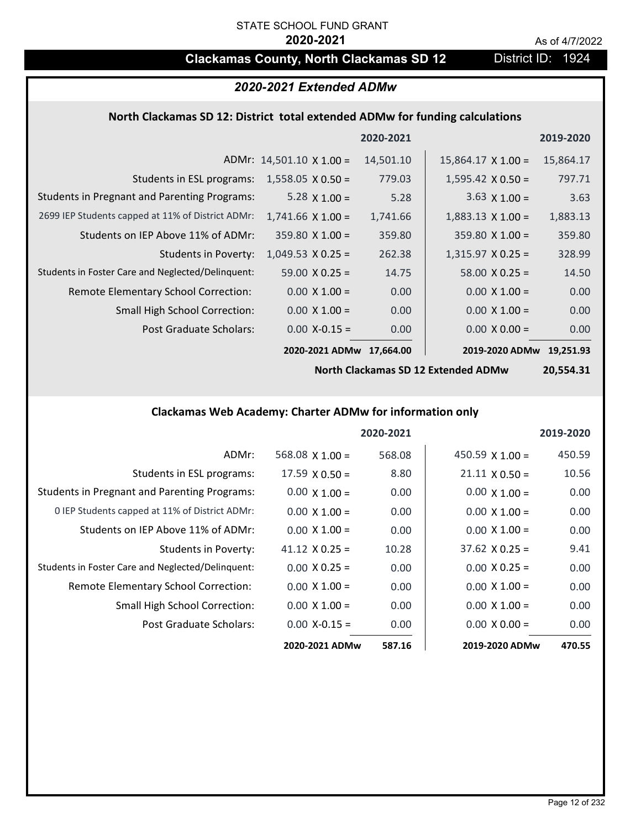# **Clackamas County, North Clackamas SD 12** District ID: 1924

# *2020-2021 Extended ADMw*

### **North Clackamas SD 12: District total extended ADMw for funding calculations**

|                                                     |                                 | 2020-2021 |                           | 2019-2020 |
|-----------------------------------------------------|---------------------------------|-----------|---------------------------|-----------|
|                                                     | ADMr: $14,501.10 \times 1.00 =$ | 14,501.10 | $15,864.17 \times 1.00 =$ | 15,864.17 |
| Students in ESL programs:                           | $1,558.05 \times 0.50 =$        | 779.03    | $1,595.42 \times 0.50 =$  | 797.71    |
| <b>Students in Pregnant and Parenting Programs:</b> | 5.28 $\times$ 1.00 =            | 5.28      | $3.63 \times 1.00 =$      | 3.63      |
| 2699 IEP Students capped at 11% of District ADMr:   | $1,741.66 \times 1.00 =$        | 1,741.66  | $1,883.13 \times 1.00 =$  | 1,883.13  |
| Students on IEP Above 11% of ADMr:                  | $359.80$ X 1.00 =               | 359.80    | $359.80 \times 1.00 =$    | 359.80    |
| <b>Students in Poverty:</b>                         | $1,049.53 \times 0.25 =$        | 262.38    | $1,315.97$ X 0.25 =       | 328.99    |
| Students in Foster Care and Neglected/Delinquent:   | $59.00 \times 0.25 =$           | 14.75     | $58.00 \times 0.25 =$     | 14.50     |
| Remote Elementary School Correction:                | $0.00 \times 1.00 =$            | 0.00      | $0.00 \times 1.00 =$      | 0.00      |
| <b>Small High School Correction:</b>                | $0.00 \times 1.00 =$            | 0.00      | $0.00 \times 1.00 =$      | 0.00      |
| Post Graduate Scholars:                             | $0.00$ X-0.15 =                 | 0.00      | $0.00 \times 0.00 =$      | 0.00      |
|                                                     | 2020-2021 ADMw                  | 17.664.00 | 2019-2020 ADMw            | 19.251.93 |

**North Clackamas SD 12 Extended ADMw**

**20,554.31**

# **Clackamas Web Academy: Charter ADMw for information only**

|                                                     |                        | 2020-2021 |                        | 2019-2020 |
|-----------------------------------------------------|------------------------|-----------|------------------------|-----------|
| ADMr:                                               | $568.08 \times 1.00 =$ | 568.08    | 450.59 $\times$ 1.00 = | 450.59    |
| Students in ESL programs:                           | $17.59 \times 0.50 =$  | 8.80      | $21.11 \times 0.50 =$  | 10.56     |
| <b>Students in Pregnant and Parenting Programs:</b> | $0.00 \times 1.00 =$   | 0.00      | $0.00 \times 1.00 =$   | 0.00      |
| 0 IEP Students capped at 11% of District ADMr:      | $0.00 \times 1.00 =$   | 0.00      | $0.00 \times 1.00 =$   | 0.00      |
| Students on IEP Above 11% of ADMr:                  | $0.00 \times 1.00 =$   | 0.00      | $0.00 \times 1.00 =$   | 0.00      |
| Students in Poverty:                                | $41.12 \times 0.25 =$  | 10.28     | $37.62 \times 0.25 =$  | 9.41      |
| Students in Foster Care and Neglected/Delinquent:   | $0.00 \times 0.25 =$   | 0.00      | $0.00 \times 0.25 =$   | 0.00      |
| Remote Elementary School Correction:                | $0.00 \times 1.00 =$   | 0.00      | $0.00 \times 1.00 =$   | 0.00      |
| <b>Small High School Correction:</b>                | $0.00 \times 1.00 =$   | 0.00      | $0.00 \times 1.00 =$   | 0.00      |
| Post Graduate Scholars:                             | $0.00 X - 0.15 =$      | 0.00      | $0.00 \times 0.00 =$   | 0.00      |
|                                                     | 2020-2021 ADMw         | 587.16    | 2019-2020 ADMw         | 470.55    |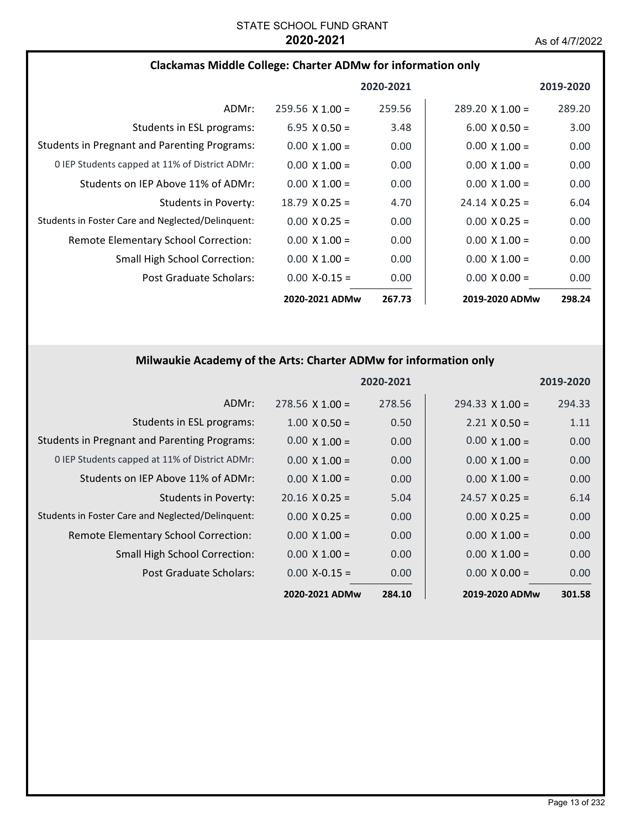## **Clackamas Middle College: Charter ADMw for information only**

|                                                     |                        | 2020-2021 |                        | 2019-2020 |
|-----------------------------------------------------|------------------------|-----------|------------------------|-----------|
| ADMr:                                               | $259.56 \times 1.00 =$ | 259.56    | $289.20 \times 1.00 =$ | 289.20    |
| Students in ESL programs:                           | $6.95 \times 0.50 =$   | 3.48      | $6.00 \times 0.50 =$   | 3.00      |
| <b>Students in Pregnant and Parenting Programs:</b> | $0.00 \times 1.00 =$   | 0.00      | $0.00 \times 1.00 =$   | 0.00      |
| 0 IEP Students capped at 11% of District ADMr:      | $0.00 \times 1.00 =$   | 0.00      | $0.00 \times 1.00 =$   | 0.00      |
| Students on IEP Above 11% of ADMr:                  | $0.00 \times 1.00 =$   | 0.00      | $0.00 \times 1.00 =$   | 0.00      |
| Students in Poverty:                                | $18.79 \times 0.25 =$  | 4.70      | $24.14 \times 0.25 =$  | 6.04      |
| Students in Foster Care and Neglected/Delinquent:   | $0.00 \times 0.25 =$   | 0.00      | $0.00 \times 0.25 =$   | 0.00      |
| Remote Elementary School Correction:                | $0.00 \times 1.00 =$   | 0.00      | $0.00 \times 1.00 =$   | 0.00      |
| Small High School Correction:                       | $0.00 \times 1.00 =$   | 0.00      | $0.00 \times 1.00 =$   | 0.00      |
| Post Graduate Scholars:                             | $0.00 X - 0.15 =$      | 0.00      | $0.00 \times 0.00 =$   | 0.00      |
|                                                     | 2020-2021 ADMw         | 267.73    | 2019-2020 ADMw         | 298.24    |

# **Milwaukie Academy of the Arts: Charter ADMw for information only**

|                                                     |                        | 2020-2021 |                        | 2019-2020 |
|-----------------------------------------------------|------------------------|-----------|------------------------|-----------|
| ADMr:                                               | $278.56 \times 1.00 =$ | 278.56    | $294.33 \times 1.00 =$ | 294.33    |
| Students in ESL programs:                           | $1.00 \times 0.50 =$   | 0.50      | $2.21 \times 0.50 =$   | 1.11      |
| <b>Students in Pregnant and Parenting Programs:</b> | $0.00 \times 1.00 =$   | 0.00      | $0.00 \times 1.00 =$   | 0.00      |
| 0 IEP Students capped at 11% of District ADMr:      | $0.00 \times 1.00 =$   | 0.00      | $0.00 \times 1.00 =$   | 0.00      |
| Students on IEP Above 11% of ADMr:                  | $0.00 \times 1.00 =$   | 0.00      | $0.00 \times 1.00 =$   | 0.00      |
| <b>Students in Poverty:</b>                         | $20.16 \times 0.25 =$  | 5.04      | $24.57 \times 0.25 =$  | 6.14      |
| Students in Foster Care and Neglected/Delinquent:   | $0.00 \times 0.25 =$   | 0.00      | $0.00 \times 0.25 =$   | 0.00      |
| Remote Elementary School Correction:                | $0.00 \times 1.00 =$   | 0.00      | $0.00 \times 1.00 =$   | 0.00      |
| <b>Small High School Correction:</b>                | $0.00 \times 1.00 =$   | 0.00      | $0.00 \times 1.00 =$   | 0.00      |
| Post Graduate Scholars:                             | $0.00$ X-0.15 =        | 0.00      | $0.00 \times 0.00 =$   | 0.00      |
|                                                     | 2020-2021 ADMw         | 284.10    | 2019-2020 ADMw         | 301.58    |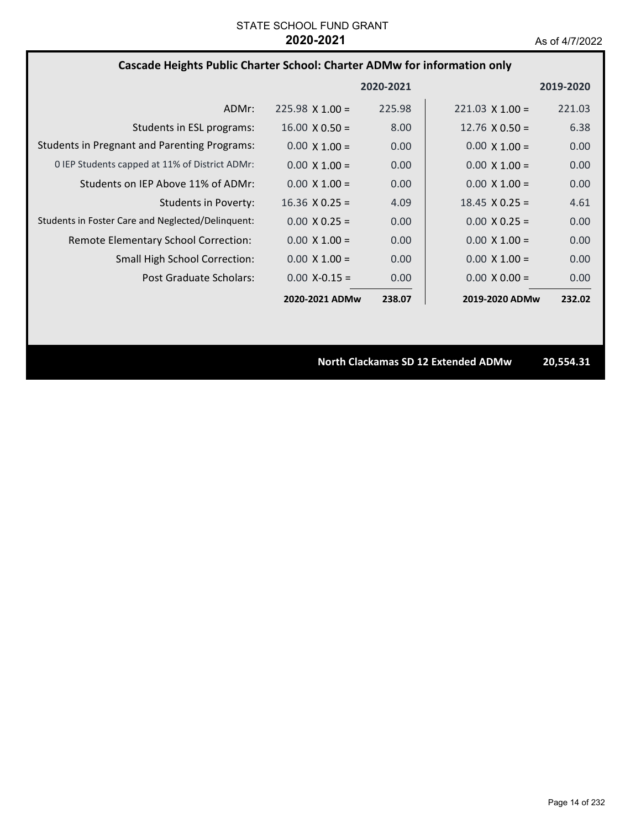## **Cascade Heights Public Charter School: Charter ADMw for information only**

|                                                     |                        | 2020-2021 |                        | 2019-2020 |
|-----------------------------------------------------|------------------------|-----------|------------------------|-----------|
| ADMr:                                               | $225.98 \times 1.00 =$ | 225.98    | $221.03 \times 1.00 =$ | 221.03    |
| Students in ESL programs:                           | $16.00 \times 0.50 =$  | 8.00      | 12.76 $\times$ 0.50 =  | 6.38      |
| <b>Students in Pregnant and Parenting Programs:</b> | $0.00 \times 1.00 =$   | 0.00      | $0.00 \times 1.00 =$   | 0.00      |
| 0 IEP Students capped at 11% of District ADMr:      | $0.00 \times 1.00 =$   | 0.00      | $0.00 \times 1.00 =$   | 0.00      |
| Students on IEP Above 11% of ADMr:                  | $0.00 \times 1.00 =$   | 0.00      | $0.00 \times 1.00 =$   | 0.00      |
| Students in Poverty:                                | $16.36 \times 0.25 =$  | 4.09      | $18.45 \times 0.25 =$  | 4.61      |
| Students in Foster Care and Neglected/Delinguent:   | $0.00 \times 0.25 =$   | 0.00      | $0.00 \times 0.25 =$   | 0.00      |
| Remote Elementary School Correction:                | $0.00 \times 1.00 =$   | 0.00      | $0.00 \times 1.00 =$   | 0.00      |
| <b>Small High School Correction:</b>                | $0.00 \times 1.00 =$   | 0.00      | $0.00 \times 1.00 =$   | 0.00      |
| Post Graduate Scholars:                             | $0.00 X - 0.15 =$      | 0.00      | $0.00 \times 0.00 =$   | 0.00      |
|                                                     | 2020-2021 ADMw         | 238.07    | 2019-2020 ADMw         | 232.02    |

**North Clackamas SD 12 Extended ADMw 20,554.31**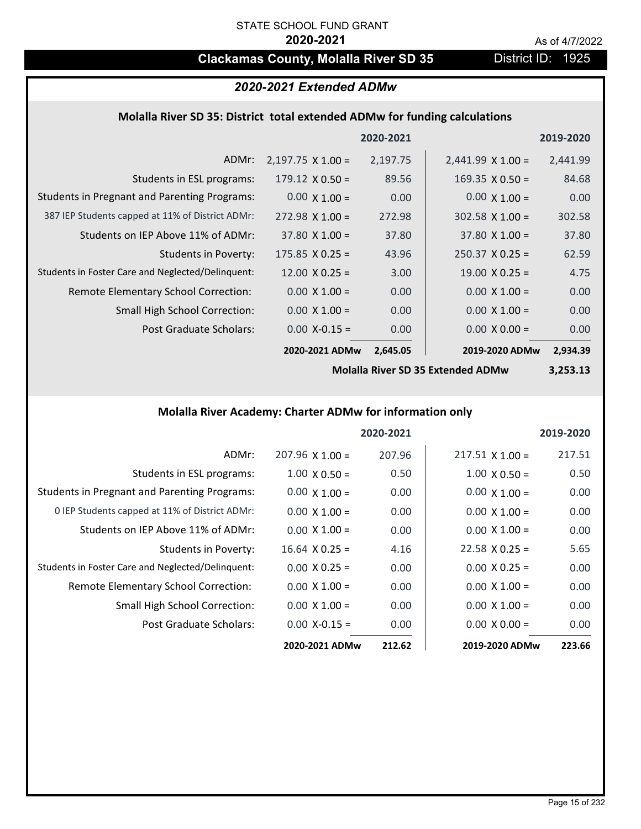# **Clackamas County, Molalla River SD 35** District ID: 1925

# *2020-2021 Extended ADMw*

### **Molalla River SD 35: District total extended ADMw for funding calculations**

|                                                     |                          | 2020-2021 |                          | 2019-2020 |
|-----------------------------------------------------|--------------------------|-----------|--------------------------|-----------|
| ADMr:                                               | $2,197.75 \times 1.00 =$ | 2,197.75  | $2,441.99 \times 1.00 =$ | 2,441.99  |
| Students in ESL programs:                           | $179.12 \times 0.50 =$   | 89.56     | $169.35 \times 0.50 =$   | 84.68     |
| <b>Students in Pregnant and Parenting Programs:</b> | $0.00 \times 1.00 =$     | 0.00      | $0.00 \times 1.00 =$     | 0.00      |
| 387 IEP Students capped at 11% of District ADMr:    | $272.98 \times 1.00 =$   | 272.98    | $302.58 \times 1.00 =$   | 302.58    |
| Students on IEP Above 11% of ADMr:                  | $37.80 \times 1.00 =$    | 37.80     | $37.80 \times 1.00 =$    | 37.80     |
| <b>Students in Poverty:</b>                         | $175.85 \times 0.25 =$   | 43.96     | $250.37 \times 0.25 =$   | 62.59     |
| Students in Foster Care and Neglected/Delinquent:   | $12.00 \times 0.25 =$    | 3.00      | $19.00 \times 0.25 =$    | 4.75      |
| Remote Elementary School Correction:                | $0.00 \times 1.00 =$     | 0.00      | $0.00 \times 1.00 =$     | 0.00      |
| <b>Small High School Correction:</b>                | $0.00 \times 1.00 =$     | 0.00      | $0.00 \times 1.00 =$     | 0.00      |
| Post Graduate Scholars:                             | $0.00$ X-0.15 =          | 0.00      | $0.00 \times 0.00 =$     | 0.00      |
|                                                     | 2020-2021 ADMw           | 2,645.05  | 2019-2020 ADMw           | 2,934.39  |

**Molalla River SD 35 Extended ADMw**

**3,253.13**

# **Molalla River Academy: Charter ADMw for information only**

|                                                     |                        | 2020-2021 |                        | 2019-2020 |
|-----------------------------------------------------|------------------------|-----------|------------------------|-----------|
| ADMr:                                               | $207.96 \times 1.00 =$ | 207.96    | $217.51 \times 1.00 =$ | 217.51    |
| Students in ESL programs:                           | $1.00 \times 0.50 =$   | 0.50      | $1.00 \times 0.50 =$   | 0.50      |
| <b>Students in Pregnant and Parenting Programs:</b> | $0.00 \times 1.00 =$   | 0.00      | $0.00 \times 1.00 =$   | 0.00      |
| 0 IEP Students capped at 11% of District ADMr:      | $0.00 \times 1.00 =$   | 0.00      | $0.00 \times 1.00 =$   | 0.00      |
| Students on IEP Above 11% of ADMr:                  | $0.00 \times 1.00 =$   | 0.00      | $0.00 \times 1.00 =$   | 0.00      |
| Students in Poverty:                                | $16.64$ X 0.25 =       | 4.16      | $22.58 \times 0.25 =$  | 5.65      |
| Students in Foster Care and Neglected/Delinquent:   | $0.00 \times 0.25 =$   | 0.00      | $0.00 \times 0.25 =$   | 0.00      |
| Remote Elementary School Correction:                | $0.00 \times 1.00 =$   | 0.00      | $0.00 \times 1.00 =$   | 0.00      |
| <b>Small High School Correction:</b>                | $0.00 \times 1.00 =$   | 0.00      | $0.00 \times 1.00 =$   | 0.00      |
| Post Graduate Scholars:                             | $0.00$ X-0.15 =        | 0.00      | $0.00 \times 0.00 =$   | 0.00      |
|                                                     | 2020-2021 ADMw         | 212.62    | 2019-2020 ADMw         | 223.66    |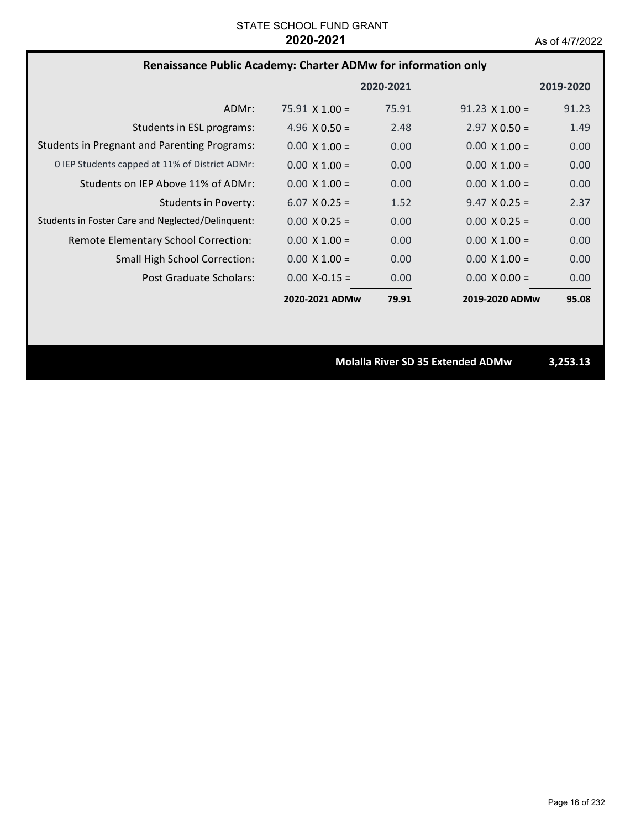# **Renaissance Public Academy: Charter ADMw for information only**

|                                                     |                       | 2020-2021 |                       | 2019-2020 |
|-----------------------------------------------------|-----------------------|-----------|-----------------------|-----------|
| ADMr:                                               | $75.91 \times 1.00 =$ | 75.91     | $91.23 \times 1.00 =$ | 91.23     |
| Students in ESL programs:                           | 4.96 $\times$ 0.50 =  | 2.48      | $2.97 \times 0.50 =$  | 1.49      |
| <b>Students in Pregnant and Parenting Programs:</b> | $0.00 \times 1.00 =$  | 0.00      | $0.00 \times 1.00 =$  | 0.00      |
| 0 IEP Students capped at 11% of District ADMr:      | $0.00 \times 1.00 =$  | 0.00      | $0.00 \times 1.00 =$  | 0.00      |
| Students on IEP Above 11% of ADMr:                  | $0.00 \times 1.00 =$  | 0.00      | $0.00 \times 1.00 =$  | 0.00      |
| Students in Poverty:                                | $6.07 \times 0.25 =$  | 1.52      | $9.47 \times 0.25 =$  | 2.37      |
| Students in Foster Care and Neglected/Delinquent:   | $0.00 \times 0.25 =$  | 0.00      | $0.00 \times 0.25 =$  | 0.00      |
| Remote Elementary School Correction:                | $0.00 \times 1.00 =$  | 0.00      | $0.00 \times 1.00 =$  | 0.00      |
| <b>Small High School Correction:</b>                | $0.00 \times 1.00 =$  | 0.00      | $0.00 \times 1.00 =$  | 0.00      |
| Post Graduate Scholars:                             | $0.00 X - 0.15 =$     | 0.00      | $0.00 \times 0.00 =$  | 0.00      |
|                                                     | 2020-2021 ADMw        | 79.91     | 2019-2020 ADMw        | 95.08     |

**Molalla River SD 35 Extended ADMw 3,253.13**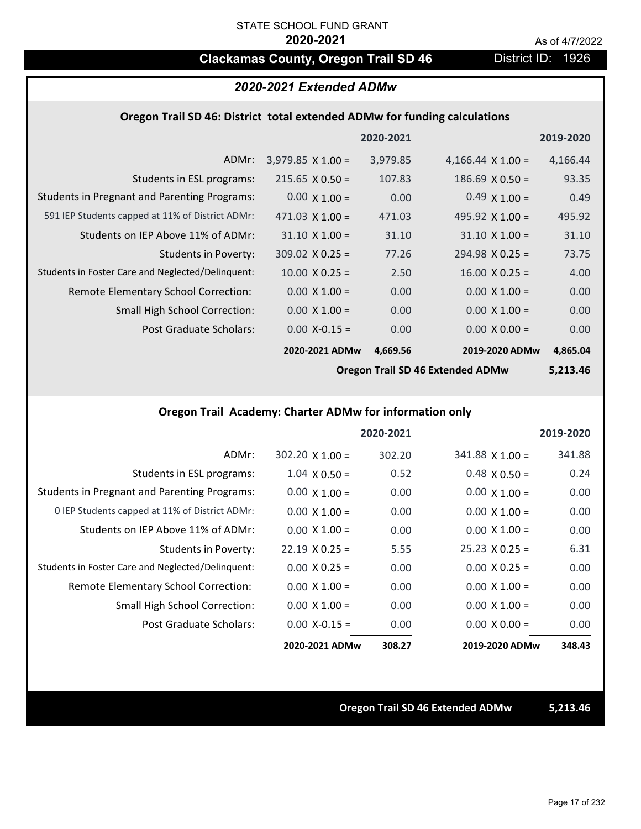# **Clackamas County, Oregon Trail SD 46** District ID: 1926

### *2020-2021 Extended ADMw*

### **Oregon Trail SD 46: District total extended ADMw for funding calculations**

|                                                     |                          | 2020-2021 |                          | 2019-2020 |
|-----------------------------------------------------|--------------------------|-----------|--------------------------|-----------|
| ADMr:                                               | $3,979.85 \times 1.00 =$ | 3,979.85  | 4,166.44 $\times$ 1.00 = | 4,166.44  |
| Students in ESL programs:                           | $215.65 \times 0.50 =$   | 107.83    | $186.69 \times 0.50 =$   | 93.35     |
| <b>Students in Pregnant and Parenting Programs:</b> | $0.00 \times 1.00 =$     | 0.00      | $0.49 \times 1.00 =$     | 0.49      |
| 591 IEP Students capped at 11% of District ADMr:    | $471.03 \times 1.00 =$   | 471.03    | 495.92 $\times$ 1.00 =   | 495.92    |
| Students on IEP Above 11% of ADMr:                  | $31.10 \times 1.00 =$    | 31.10     | $31.10 \times 1.00 =$    | 31.10     |
| Students in Poverty:                                | $309.02 \times 0.25 =$   | 77.26     | $294.98 \times 0.25 =$   | 73.75     |
| Students in Foster Care and Neglected/Delinquent:   | $10.00 \times 0.25 =$    | 2.50      | $16.00 \times 0.25 =$    | 4.00      |
| Remote Elementary School Correction:                | $0.00 \times 1.00 =$     | 0.00      | $0.00 \times 1.00 =$     | 0.00      |
| <b>Small High School Correction:</b>                | $0.00 \times 1.00 =$     | 0.00      | $0.00 \times 1.00 =$     | 0.00      |
| <b>Post Graduate Scholars:</b>                      | $0.00$ X-0.15 =          | 0.00      | $0.00 \times 0.00 =$     | 0.00      |
|                                                     | 2020-2021 ADMw           | 4,669.56  | 2019-2020 ADMw           | 4,865.04  |

**Oregon Trail SD 46 Extended ADMw**

**5,213.46**

## **Oregon Trail Academy: Charter ADMw for information only**

|                                                     |                       | 2020-2021 |                        | 2019-2020 |
|-----------------------------------------------------|-----------------------|-----------|------------------------|-----------|
| ADMr:                                               | $302.20$ X 1.00 =     | 302.20    | $341.88 \times 1.00 =$ | 341.88    |
| Students in ESL programs:                           | $1.04 \times 0.50 =$  | 0.52      | $0.48 \times 0.50 =$   | 0.24      |
| <b>Students in Pregnant and Parenting Programs:</b> | $0.00 \times 1.00 =$  | 0.00      | $0.00 \times 1.00 =$   | 0.00      |
| 0 IEP Students capped at 11% of District ADMr:      | $0.00 \times 1.00 =$  | 0.00      | $0.00 \times 1.00 =$   | 0.00      |
| Students on IEP Above 11% of ADMr:                  | $0.00 \times 1.00 =$  | 0.00      | $0.00 \times 1.00 =$   | 0.00      |
| Students in Poverty:                                | $22.19 \times 0.25 =$ | 5.55      | $25.23 \times 0.25 =$  | 6.31      |
| Students in Foster Care and Neglected/Delinquent:   | $0.00 \times 0.25 =$  | 0.00      | $0.00 \times 0.25 =$   | 0.00      |
| Remote Elementary School Correction:                | $0.00 \times 1.00 =$  | 0.00      | $0.00 \times 1.00 =$   | 0.00      |
| <b>Small High School Correction:</b>                | $0.00 \times 1.00 =$  | 0.00      | $0.00 \times 1.00 =$   | 0.00      |
| Post Graduate Scholars:                             | $0.00 X - 0.15 =$     | 0.00      | $0.00 \times 0.00 =$   | 0.00      |
|                                                     | 2020-2021 ADMw        | 308.27    | 2019-2020 ADMw         | 348.43    |

## **Oregon Trail SD 46 Extended ADMw 5,213.46**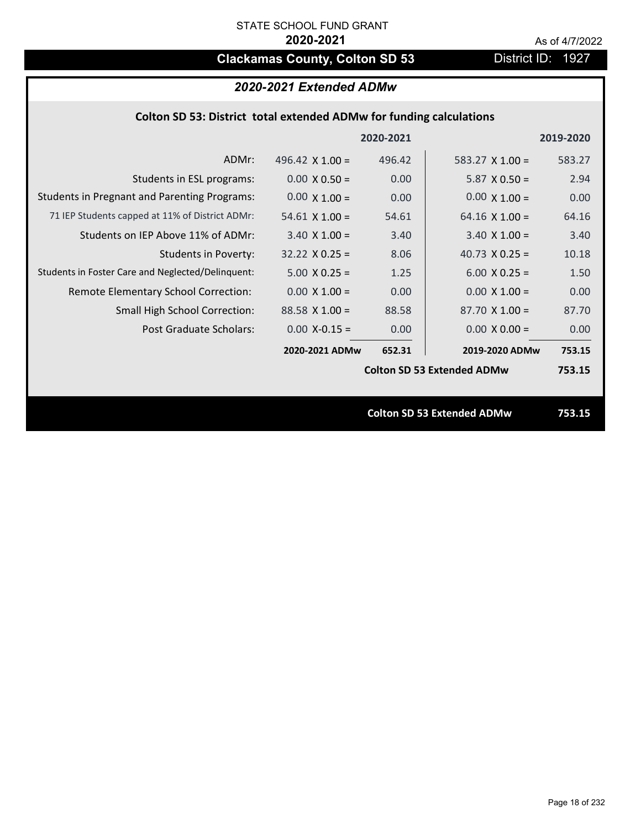# **Clackamas County, Colton SD 53** District ID: 1927

# *2020-2021 Extended ADMw*

## **Colton SD 53: District total extended ADMw for funding calculations**

|                                                     |                        | 2020-2021 |                                   | 2019-2020 |
|-----------------------------------------------------|------------------------|-----------|-----------------------------------|-----------|
| ADMr:                                               | 496.42 $\times$ 1.00 = | 496.42    | $583.27 \times 1.00 =$            | 583.27    |
| Students in ESL programs:                           | $0.00 \times 0.50 =$   | 0.00      | $5.87 \times 0.50 =$              | 2.94      |
| <b>Students in Pregnant and Parenting Programs:</b> | $0.00 \times 1.00 =$   | 0.00      | $0.00 \times 1.00 =$              | 0.00      |
| 71 IEP Students capped at 11% of District ADMr:     | $54.61 \times 1.00 =$  | 54.61     | $64.16 \times 1.00 =$             | 64.16     |
| Students on IEP Above 11% of ADMr:                  | $3.40 \times 1.00 =$   | 3.40      | $3.40 \times 1.00 =$              | 3.40      |
| <b>Students in Poverty:</b>                         | $32.22 \times 0.25 =$  | 8.06      | 40.73 $X$ 0.25 =                  | 10.18     |
| Students in Foster Care and Neglected/Delinquent:   | $5.00 \times 0.25 =$   | 1.25      | $6.00 X 0.25 =$                   | 1.50      |
| Remote Elementary School Correction:                | $0.00 \times 1.00 =$   | 0.00      | $0.00 \times 1.00 =$              | 0.00      |
| <b>Small High School Correction:</b>                | $88.58$ X 1.00 =       | 88.58     | $87.70 \times 1.00 =$             | 87.70     |
| Post Graduate Scholars:                             | $0.00$ X-0.15 =        | 0.00      | $0.00 \times 0.00 =$              | 0.00      |
|                                                     | 2020-2021 ADMw         | 652.31    | 2019-2020 ADMw                    | 753.15    |
|                                                     |                        |           | <b>Colton SD 53 Extended ADMw</b> | 753.15    |
|                                                     |                        |           |                                   |           |
|                                                     |                        |           | <b>Colton SD 53 Extended ADMw</b> | 753.15    |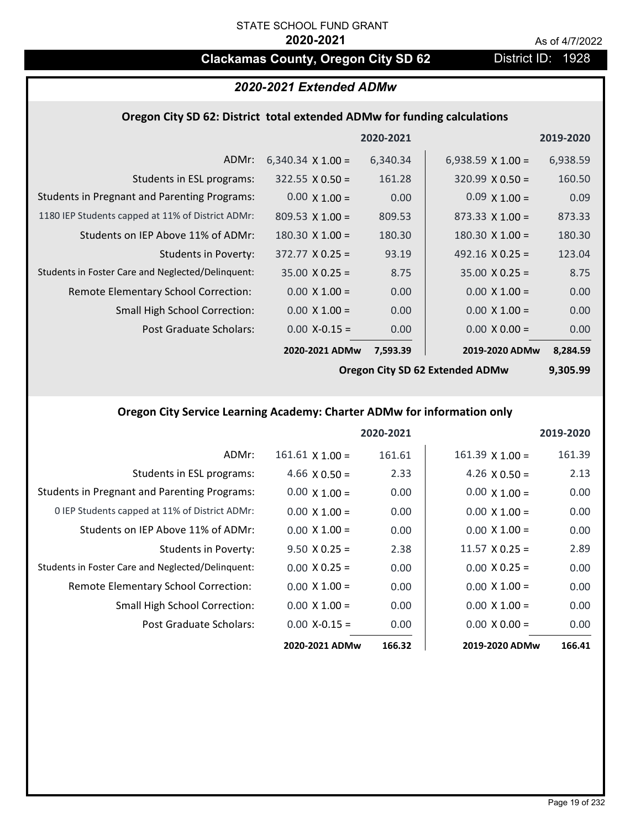# **Clackamas County, Oregon City SD 62** District ID: 1928

# *2020-2021 Extended ADMw*

### **Oregon City SD 62: District total extended ADMw for funding calculations**

|                                                     |                          | 2020-2021 |                          | 2019-2020 |
|-----------------------------------------------------|--------------------------|-----------|--------------------------|-----------|
| ADMr:                                               | $6,340.34 \times 1.00 =$ | 6,340.34  | 6,938.59 $\times$ 1.00 = | 6,938.59  |
| Students in ESL programs:                           | $322.55 \times 0.50 =$   | 161.28    | $320.99 \times 0.50 =$   | 160.50    |
| <b>Students in Pregnant and Parenting Programs:</b> | $0.00 \times 1.00 =$     | 0.00      | $0.09 \times 1.00 =$     | 0.09      |
| 1180 IEP Students capped at 11% of District ADMr:   | $809.53 \times 1.00 =$   | 809.53    | $873.33 \times 1.00 =$   | 873.33    |
| Students on IEP Above 11% of ADMr:                  | $180.30 \times 1.00 =$   | 180.30    | $180.30 \times 1.00 =$   | 180.30    |
| <b>Students in Poverty:</b>                         | $372.77 \times 0.25 =$   | 93.19     | 492.16 $X$ 0.25 =        | 123.04    |
| Students in Foster Care and Neglected/Delinquent:   | $35.00 \times 0.25 =$    | 8.75      | $35.00 \times 0.25 =$    | 8.75      |
| Remote Elementary School Correction:                | $0.00 \times 1.00 =$     | 0.00      | $0.00 \times 1.00 =$     | 0.00      |
| <b>Small High School Correction:</b>                | $0.00 \times 1.00 =$     | 0.00      | $0.00 \times 1.00 =$     | 0.00      |
| Post Graduate Scholars:                             | $0.00 X - 0.15 =$        | 0.00      | $0.00 \times 0.00 =$     | 0.00      |
|                                                     | 2020-2021 ADMw           | 7,593.39  | 2019-2020 ADMw           | 8,284.59  |

**Oregon City SD 62 Extended ADMw**

**9,305.99**

# **Oregon City Service Learning Academy: Charter ADMw for information only**

|                                                     |                        | 2020-2021 |                       | 2019-2020 |
|-----------------------------------------------------|------------------------|-----------|-----------------------|-----------|
| ADMr:                                               | $161.61 \times 1.00 =$ | 161.61    | $161.39$ X $1.00 =$   | 161.39    |
| Students in ESL programs:                           | 4.66 $\times$ 0.50 =   | 2.33      | 4.26 $\times$ 0.50 =  | 2.13      |
| <b>Students in Pregnant and Parenting Programs:</b> | $0.00 \times 1.00 =$   | 0.00      | $0.00 \times 1.00 =$  | 0.00      |
| 0 IEP Students capped at 11% of District ADMr:      | $0.00 \times 1.00 =$   | 0.00      | $0.00 \times 1.00 =$  | 0.00      |
| Students on IEP Above 11% of ADMr:                  | $0.00 \times 1.00 =$   | 0.00      | $0.00 \times 1.00 =$  | 0.00      |
| Students in Poverty:                                | $9.50 \times 0.25 =$   | 2.38      | $11.57 \times 0.25 =$ | 2.89      |
| Students in Foster Care and Neglected/Delinquent:   | $0.00 \times 0.25 =$   | 0.00      | $0.00 \times 0.25 =$  | 0.00      |
| Remote Elementary School Correction:                | $0.00 \times 1.00 =$   | 0.00      | $0.00 \times 1.00 =$  | 0.00      |
| <b>Small High School Correction:</b>                | $0.00 \times 1.00 =$   | 0.00      | $0.00 \times 1.00 =$  | 0.00      |
| Post Graduate Scholars:                             | $0.00 X - 0.15 =$      | 0.00      | $0.00 \times 0.00 =$  | 0.00      |
|                                                     | 2020-2021 ADMw         | 166.32    | 2019-2020 ADMw        | 166.41    |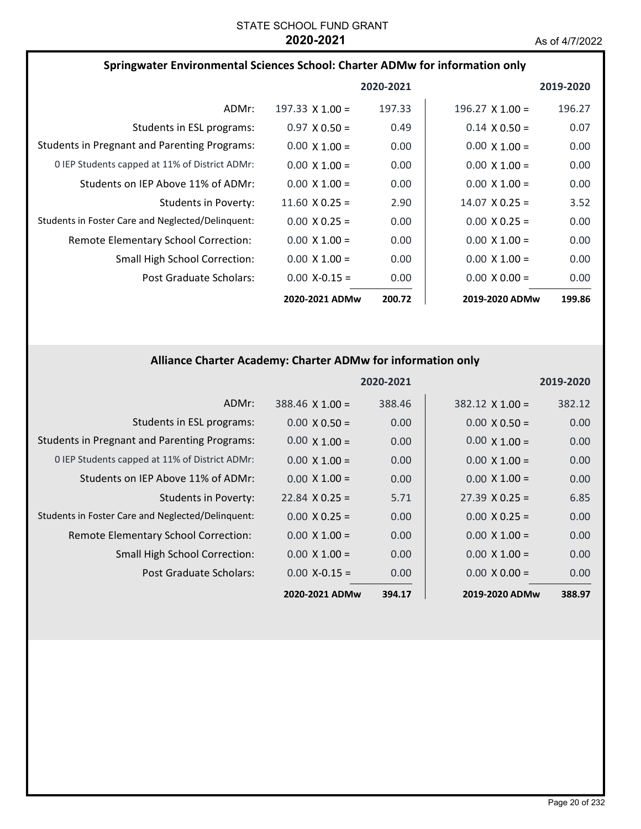| Springwater Environmental Sciences School: Charter ADMw for information only |                       |           |                        |           |
|------------------------------------------------------------------------------|-----------------------|-----------|------------------------|-----------|
|                                                                              |                       | 2020-2021 |                        | 2019-2020 |
| ADMr:                                                                        | 197.33 $X$ 1.00 =     | 197.33    | $196.27 \times 1.00 =$ | 196.27    |
| Students in ESL programs:                                                    | $0.97 \times 0.50 =$  | 0.49      | $0.14 \times 0.50 =$   | 0.07      |
| <b>Students in Pregnant and Parenting Programs:</b>                          | $0.00 \times 1.00 =$  | 0.00      | $0.00 \times 1.00 =$   | 0.00      |
| 0 IEP Students capped at 11% of District ADMr:                               | $0.00 \times 1.00 =$  | 0.00      | $0.00 \times 1.00 =$   | 0.00      |
| Students on IEP Above 11% of ADMr:                                           | $0.00 \times 1.00 =$  | 0.00      | $0.00 \times 1.00 =$   | 0.00      |
| Students in Poverty:                                                         | 11.60 $\times$ 0.25 = | 2.90      | $14.07 \times 0.25 =$  | 3.52      |
| Students in Foster Care and Neglected/Delinquent:                            | $0.00 \times 0.25 =$  | 0.00      | $0.00 \times 0.25 =$   | 0.00      |
| Remote Elementary School Correction:                                         | $0.00 \times 1.00 =$  | 0.00      | $0.00 \times 1.00 =$   | 0.00      |
| <b>Small High School Correction:</b>                                         | $0.00 \times 1.00 =$  | 0.00      | $0.00 \times 1.00 =$   | 0.00      |
| Post Graduate Scholars:                                                      | $0.00$ X-0.15 =       | 0.00      | $0.00 \times 0.00 =$   | 0.00      |
|                                                                              | 2020-2021 ADMw        | 200.72    | 2019-2020 ADMw         | 199.86    |

# **Alliance Charter Academy: Charter ADMw for information only**

|                                                     |                        | 2020-2021 |                       | 2019-2020 |
|-----------------------------------------------------|------------------------|-----------|-----------------------|-----------|
| ADMr:                                               | $388.46 \times 1.00 =$ | 388.46    | $382.12$ X 1.00 =     | 382.12    |
| Students in ESL programs:                           | $0.00 \times 0.50 =$   | 0.00      | $0.00 \times 0.50 =$  | 0.00      |
| <b>Students in Pregnant and Parenting Programs:</b> | $0.00 \times 1.00 =$   | 0.00      | $0.00 \times 1.00 =$  | 0.00      |
| 0 IEP Students capped at 11% of District ADMr:      | $0.00 \times 1.00 =$   | 0.00      | $0.00 \times 1.00 =$  | 0.00      |
| Students on IEP Above 11% of ADMr:                  | $0.00 \times 1.00 =$   | 0.00      | $0.00 \times 1.00 =$  | 0.00      |
| <b>Students in Poverty:</b>                         | $22.84 \times 0.25 =$  | 5.71      | $27.39 \times 0.25 =$ | 6.85      |
| Students in Foster Care and Neglected/Delinquent:   | $0.00 \times 0.25 =$   | 0.00      | $0.00 \times 0.25 =$  | 0.00      |
| Remote Elementary School Correction:                | $0.00 \times 1.00 =$   | 0.00      | $0.00 \times 1.00 =$  | 0.00      |
| <b>Small High School Correction:</b>                | $0.00 \times 1.00 =$   | 0.00      | $0.00 \times 1.00 =$  | 0.00      |
| Post Graduate Scholars:                             | $0.00$ X-0.15 =        | 0.00      | $0.00 \times 0.00 =$  | 0.00      |
|                                                     | 2020-2021 ADMw         | 394.17    | 2019-2020 ADMw        | 388.97    |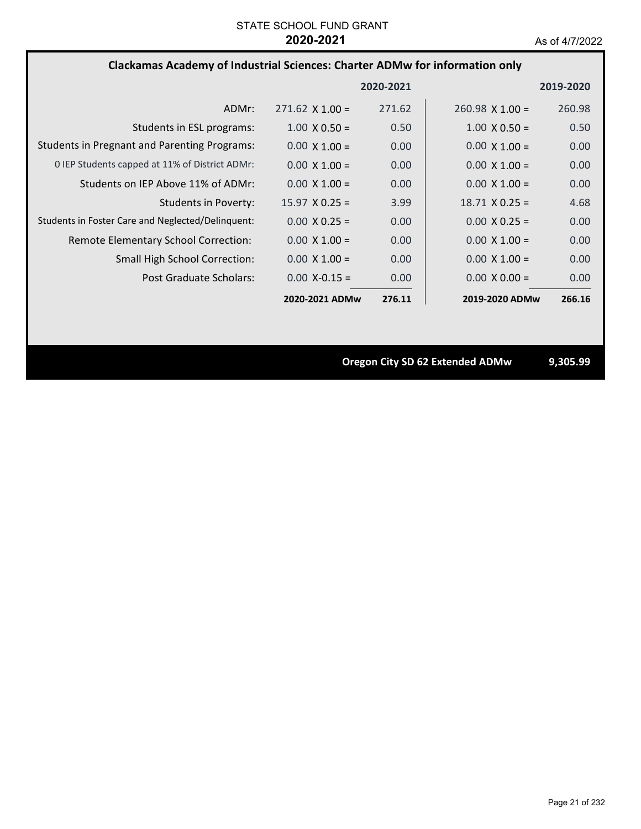# **Clackamas Academy of Industrial Sciences: Charter ADMw for information only**

|                                                     |                        | 2020-2021         |                        | 2019-2020 |
|-----------------------------------------------------|------------------------|-------------------|------------------------|-----------|
| ADMr:                                               | $271.62 \times 1.00 =$ | 271.62            | $260.98 \times 1.00 =$ | 260.98    |
| Students in ESL programs:                           | $1.00 \times 0.50 =$   | 0.50              | $1.00 \times 0.50 =$   | 0.50      |
| <b>Students in Pregnant and Parenting Programs:</b> | $0.00 \times 1.00 =$   | 0.00              | $0.00 \times 1.00 =$   | 0.00      |
| 0 IEP Students capped at 11% of District ADMr:      | $0.00 \times 1.00 =$   | 0.00              | $0.00 \times 1.00 =$   | 0.00      |
| Students on IEP Above 11% of ADMr:                  | $0.00 \times 1.00 =$   | 0.00 <sub>1</sub> | $0.00 \times 1.00 =$   | 0.00      |
| Students in Poverty:                                | $15.97 \times 0.25 =$  | 3.99              | $18.71 \times 0.25 =$  | 4.68      |
| Students in Foster Care and Neglected/Delinquent:   | $0.00 \times 0.25 =$   | 0.00              | $0.00 \times 0.25 =$   | 0.00      |
| Remote Elementary School Correction:                | $0.00 \times 1.00 =$   | 0.00              | $0.00 \times 1.00 =$   | 0.00      |
| <b>Small High School Correction:</b>                | $0.00 \times 1.00 =$   | 0.00              | $0.00 \times 1.00 =$   | 0.00      |
| Post Graduate Scholars:                             | $0.00 X - 0.15 =$      | 0.00              | $0.00 \times 0.00 =$   | 0.00      |
|                                                     | 2020-2021 ADMw         | 276.11            | 2019-2020 ADMw         | 266.16    |

**Oregon City SD 62 Extended ADMw 9,305.99**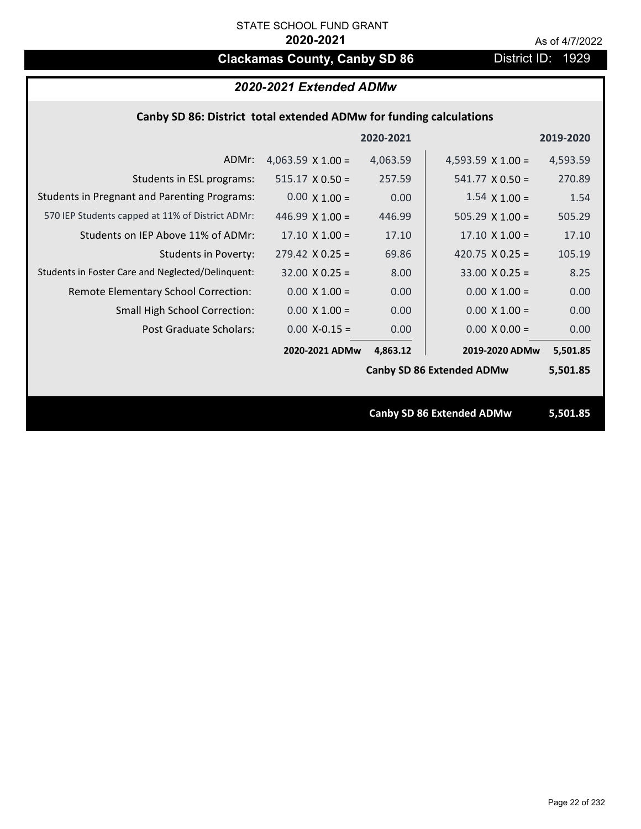# **Clackamas County, Canby SD 86** District ID: 1929

# *2020-2021 Extended ADMw*

## **Canby SD 86: District total extended ADMw for funding calculations**

|                                                     |                          | 2020-2021 |                                  | 2019-2020 |
|-----------------------------------------------------|--------------------------|-----------|----------------------------------|-----------|
| ADMr:                                               | 4,063.59 $\times$ 1.00 = | 4,063.59  | 4,593.59 $\times$ 1.00 =         | 4,593.59  |
| Students in ESL programs:                           | $515.17 \times 0.50 =$   | 257.59    | $541.77 \times 0.50 =$           | 270.89    |
| <b>Students in Pregnant and Parenting Programs:</b> | $0.00 \times 1.00 =$     | 0.00      | $1.54 \times 1.00 =$             | 1.54      |
| 570 IEP Students capped at 11% of District ADMr:    | 446.99 $\times$ 1.00 =   | 446.99    | $505.29 \times 1.00 =$           | 505.29    |
| Students on IEP Above 11% of ADMr:                  | $17.10 \times 1.00 =$    | 17.10     | $17.10 \times 1.00 =$            | 17.10     |
| <b>Students in Poverty:</b>                         | $279.42$ X 0.25 =        | 69.86     | 420.75 $X$ 0.25 =                | 105.19    |
| Students in Foster Care and Neglected/Delinquent:   | $32.00 \times 0.25 =$    | 8.00      | $33.00 \times 0.25 =$            | 8.25      |
| Remote Elementary School Correction:                | $0.00 \times 1.00 =$     | 0.00      | $0.00 \times 1.00 =$             | 0.00      |
| <b>Small High School Correction:</b>                | $0.00 \times 1.00 =$     | 0.00      | $0.00 \times 1.00 =$             | 0.00      |
| Post Graduate Scholars:                             | $0.00$ X-0.15 =          | 0.00      | $0.00 \times 0.00 =$             | 0.00      |
|                                                     | 2020-2021 ADMw           | 4,863.12  | 2019-2020 ADMw                   | 5,501.85  |
|                                                     |                          |           | <b>Canby SD 86 Extended ADMw</b> | 5,501.85  |
|                                                     |                          |           |                                  |           |
|                                                     |                          |           | <b>Canby SD 86 Extended ADMw</b> | 5,501.85  |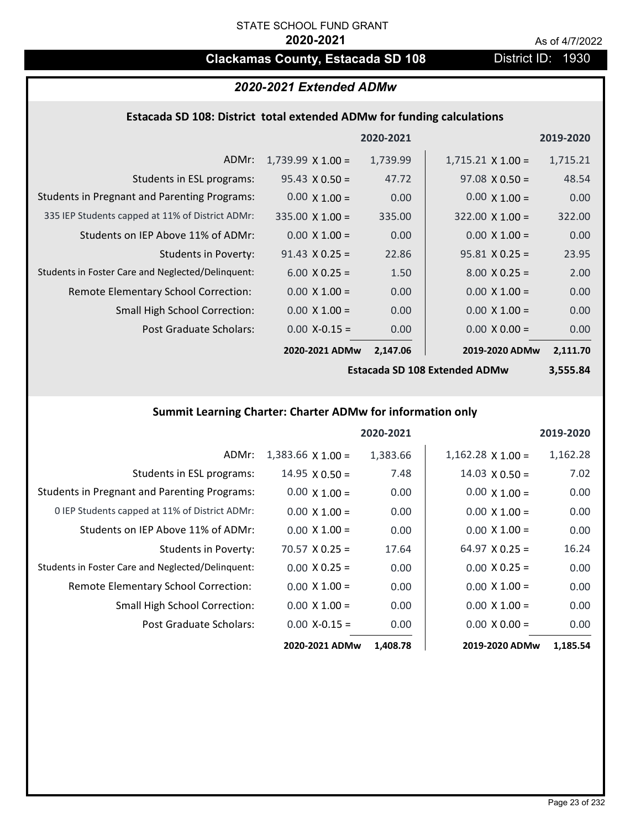# **Clackamas County, Estacada SD 108** District ID: 1930

# *2020-2021 Extended ADMw*

# **Estacada SD 108: District total extended ADMw for funding calculations**

|                                                     |                          | 2020-2021 |                          | 2019-2020 |
|-----------------------------------------------------|--------------------------|-----------|--------------------------|-----------|
| ADMr:                                               | $1,739.99 \times 1.00 =$ | 1,739.99  | $1,715.21 \times 1.00 =$ | 1,715.21  |
| Students in ESL programs:                           | $95.43 \times 0.50 =$    | 47.72     | $97.08 \times 0.50 =$    | 48.54     |
| <b>Students in Pregnant and Parenting Programs:</b> | $0.00 \times 1.00 =$     | 0.00      | $0.00 \times 1.00 =$     | 0.00      |
| 335 IEP Students capped at 11% of District ADMr:    | $335.00 \times 1.00 =$   | 335.00    | $322.00 \times 1.00 =$   | 322.00    |
| Students on IEP Above 11% of ADMr:                  | $0.00 \times 1.00 =$     | 0.00      | $0.00 \times 1.00 =$     | 0.00      |
| Students in Poverty:                                | $91.43 \times 0.25 =$    | 22.86     | $95.81$ X 0.25 =         | 23.95     |
| Students in Foster Care and Neglected/Delinquent:   | $6.00 \times 0.25 =$     | 1.50      | $8.00 \times 0.25 =$     | 2.00      |
| Remote Elementary School Correction:                | $0.00 \times 1.00 =$     | 0.00      | $0.00 \times 1.00 =$     | 0.00      |
| <b>Small High School Correction:</b>                | $0.00 \times 1.00 =$     | 0.00      | $0.00 \times 1.00 =$     | 0.00      |
| Post Graduate Scholars:                             | $0.00$ X-0.15 =          | 0.00      | $0.00 \times 0.00 =$     | 0.00      |
|                                                     | 2020-2021 ADMw           | 2,147.06  | 2019-2020 ADMw           | 2,111.70  |

**Estacada SD 108 Extended ADMw**

**3,555.84**

# **Summit Learning Charter: Charter ADMw for information only**

|                                                     |                       | 2020-2021 |                       | 2019-2020 |
|-----------------------------------------------------|-----------------------|-----------|-----------------------|-----------|
| ADMr:                                               | $1,383.66$ X $1.00 =$ | 1,383.66  | $1,162.28$ X $1.00 =$ | 1,162.28  |
| Students in ESL programs:                           | $14.95 \times 0.50 =$ | 7.48      | $14.03 \times 0.50 =$ | 7.02      |
| <b>Students in Pregnant and Parenting Programs:</b> | $0.00 \times 1.00 =$  | 0.00      | $0.00 \times 1.00 =$  | 0.00      |
| 0 IEP Students capped at 11% of District ADMr:      | $0.00 \times 1.00 =$  | 0.00      | $0.00 \times 1.00 =$  | 0.00      |
| Students on IEP Above 11% of ADMr:                  | $0.00 \times 1.00 =$  | 0.00      | $0.00 \times 1.00 =$  | 0.00      |
| Students in Poverty:                                | $70.57 \times 0.25 =$ | 17.64     | $64.97$ X 0.25 =      | 16.24     |
| Students in Foster Care and Neglected/Delinquent:   | $0.00 \times 0.25 =$  | 0.00      | $0.00 \times 0.25 =$  | 0.00      |
| Remote Elementary School Correction:                | $0.00 \times 1.00 =$  | 0.00      | $0.00 \times 1.00 =$  | 0.00      |
| <b>Small High School Correction:</b>                | $0.00 \times 1.00 =$  | 0.00      | $0.00 \times 1.00 =$  | 0.00      |
| Post Graduate Scholars:                             | $0.00$ X-0.15 =       | 0.00      | $0.00 \times 0.00 =$  | 0.00      |
|                                                     | 2020-2021 ADMw        | 1,408.78  | 2019-2020 ADMw        | 1,185.54  |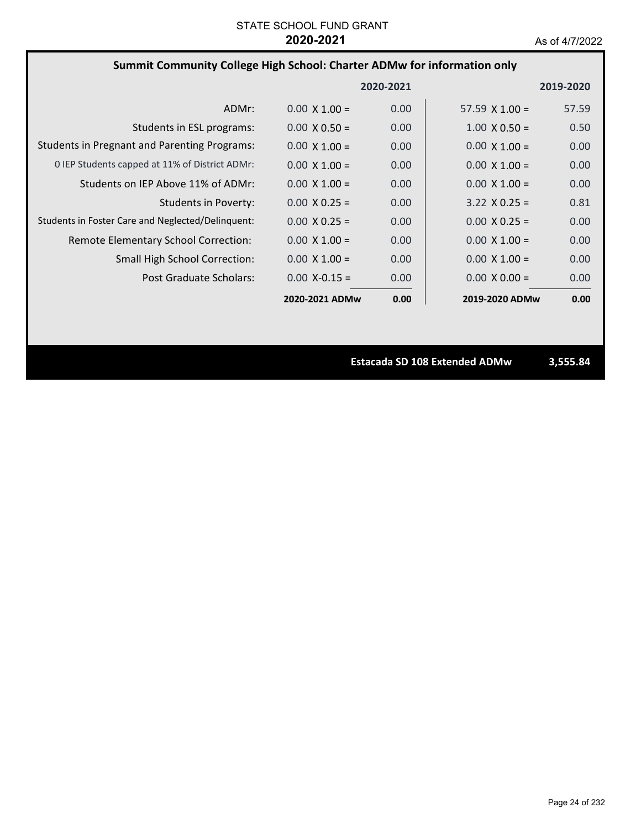# **Summit Community College High School: Charter ADMw for information only**

|                                                     |                      | 2020-2021         |                       | 2019-2020 |
|-----------------------------------------------------|----------------------|-------------------|-----------------------|-----------|
| ADMr:                                               | $0.00 \times 1.00 =$ | 0.00              | $57.59 \times 1.00 =$ | 57.59     |
| Students in ESL programs:                           | $0.00 \times 0.50 =$ | 0.00              | $1.00 \times 0.50 =$  | 0.50      |
| <b>Students in Pregnant and Parenting Programs:</b> | $0.00 \times 1.00 =$ | 0.00              | $0.00 \times 1.00 =$  | 0.00      |
| 0 IEP Students capped at 11% of District ADMr:      | $0.00 \times 1.00 =$ | 0.00              | $0.00 \times 1.00 =$  | 0.00      |
| Students on IEP Above 11% of ADMr:                  | $0.00 \times 1.00 =$ | 0.00              | $0.00 \times 1.00 =$  | 0.00      |
| Students in Poverty:                                | $0.00 \times 0.25 =$ | 0.00              | $3.22 \times 0.25 =$  | 0.81      |
| Students in Foster Care and Neglected/Delinquent:   | $0.00 \times 0.25 =$ | 0.00              | $0.00 \times 0.25 =$  | 0.00      |
| Remote Elementary School Correction:                | $0.00 \times 1.00 =$ | 0.00              | $0.00 \times 1.00 =$  | 0.00      |
| <b>Small High School Correction:</b>                | $0.00 \times 1.00 =$ | 0.00              | $0.00 \times 1.00 =$  | 0.00      |
| Post Graduate Scholars:                             | $0.00$ X-0.15 =      | 0.00 <sub>1</sub> | $0.00 \times 0.00 =$  | 0.00      |
|                                                     | 2020-2021 ADMw       | 0.00              | 2019-2020 ADMw        | 0.00      |

**Estacada SD 108 Extended ADMw 3,555.84**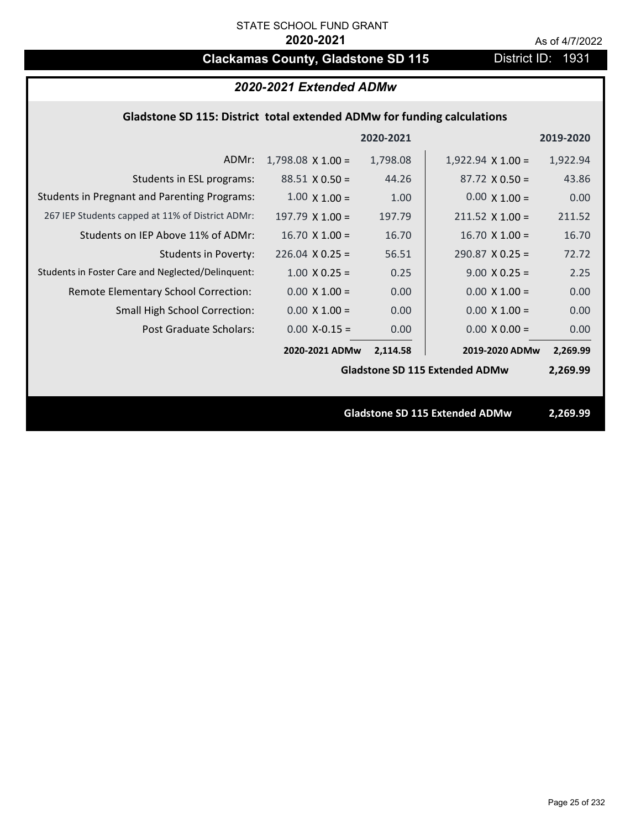# **Clackamas County, Gladstone SD 115** District ID: 1931

| 2020-2021 Extended ADMw                                                 |                          |          |                                       |          |  |
|-------------------------------------------------------------------------|--------------------------|----------|---------------------------------------|----------|--|
| Gladstone SD 115: District total extended ADMw for funding calculations |                          |          |                                       |          |  |
| 2020-2021<br>2019-2020                                                  |                          |          |                                       |          |  |
| ADMr:                                                                   | $1,798.08 \times 1.00 =$ | 1,798.08 | $1,922.94 \times 1.00 =$              | 1,922.94 |  |
| Students in ESL programs:                                               | $88.51 \times 0.50 =$    | 44.26    | $87.72 \times 0.50 =$                 | 43.86    |  |
| <b>Students in Pregnant and Parenting Programs:</b>                     | $1.00 \times 1.00 =$     | 1.00     | $0.00 \times 1.00 =$                  | 0.00     |  |
| 267 IEP Students capped at 11% of District ADMr:                        | $197.79 \times 1.00 =$   | 197.79   | $211.52 \times 1.00 =$                | 211.52   |  |
| Students on IEP Above 11% of ADMr:                                      | $16.70$ X $1.00 =$       | 16.70    | $16.70 X 1.00 =$                      | 16.70    |  |
| <b>Students in Poverty:</b>                                             | $226.04$ X 0.25 =        | 56.51    | $290.87$ X 0.25 =                     | 72.72    |  |
| Students in Foster Care and Neglected/Delinquent:                       | $1.00 \times 0.25 =$     | 0.25     | $9.00 X 0.25 =$                       | 2.25     |  |
| Remote Elementary School Correction:                                    | $0.00 \times 1.00 =$     | 0.00     | $0.00 \times 1.00 =$                  | 0.00     |  |
| <b>Small High School Correction:</b>                                    | $0.00 \times 1.00 =$     | 0.00     | $0.00 \times 1.00 =$                  | 0.00     |  |
| Post Graduate Scholars:                                                 | $0.00$ X-0.15 =          | 0.00     | $0.00 X 0.00 =$                       | 0.00     |  |
|                                                                         | 2020-2021 ADMw           | 2,114.58 | 2019-2020 ADMw                        | 2,269.99 |  |
|                                                                         |                          |          | <b>Gladstone SD 115 Extended ADMw</b> | 2,269.99 |  |
|                                                                         |                          |          |                                       |          |  |
|                                                                         |                          |          | <b>Gladstone SD 115 Extended ADMw</b> | 2,269.99 |  |
|                                                                         |                          |          |                                       |          |  |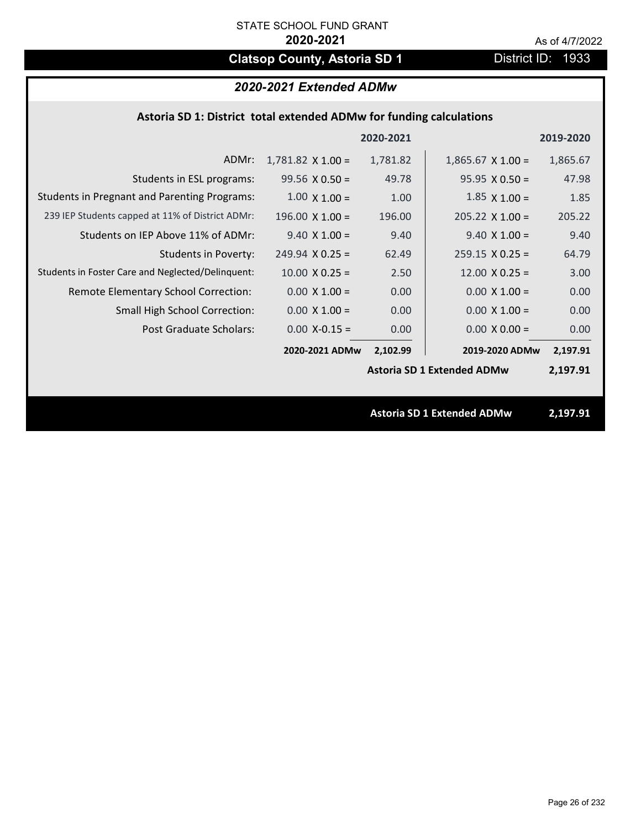# **Clatsop County, Astoria SD 1** District ID: 1933

|                                                     |                          | 2020-2021 |                                   | 2019-2020 |  |
|-----------------------------------------------------|--------------------------|-----------|-----------------------------------|-----------|--|
| ADMr:                                               | $1,781.82 \times 1.00 =$ | 1,781.82  | $1,865.67$ X $1.00 =$             | 1,865.67  |  |
| Students in ESL programs:                           | $99.56 \times 0.50 =$    | 49.78     | $95.95 \times 0.50 =$             | 47.98     |  |
| <b>Students in Pregnant and Parenting Programs:</b> | $1.00 \times 1.00 =$     | 1.00      | $1.85 \times 1.00 =$              | 1.85      |  |
| 239 IEP Students capped at 11% of District ADMr:    | $196.00 \times 1.00 =$   | 196.00    | $205.22 \times 1.00 =$            | 205.22    |  |
| Students on IEP Above 11% of ADMr:                  | $9.40 \times 1.00 =$     | 9.40      | $9.40$ X $1.00 =$                 | 9.40      |  |
| <b>Students in Poverty:</b>                         | $249.94$ X 0.25 =        | 62.49     | $259.15 \times 0.25 =$            | 64.79     |  |
| Students in Foster Care and Neglected/Delinquent:   | $10.00 \times 0.25 =$    | 2.50      | $12.00 \times 0.25 =$             | 3.00      |  |
| Remote Elementary School Correction:                | $0.00 \times 1.00 =$     | 0.00      | $0.00 \times 1.00 =$              | 0.00      |  |
| <b>Small High School Correction:</b>                | $0.00 \times 1.00 =$     | 0.00      | $0.00 \times 1.00 =$              | 0.00      |  |
| Post Graduate Scholars:                             | $0.00$ X-0.15 =          | 0.00      | $0.00 \times 0.00 =$              | 0.00      |  |
|                                                     | 2020-2021 ADMw           | 2,102.99  | 2019-2020 ADMw                    | 2,197.91  |  |
|                                                     |                          |           | <b>Astoria SD 1 Extended ADMw</b> | 2,197.91  |  |
|                                                     |                          |           |                                   |           |  |
|                                                     |                          |           | <b>Astoria SD 1 Extended ADMw</b> | 2,197.91  |  |
|                                                     |                          |           |                                   |           |  |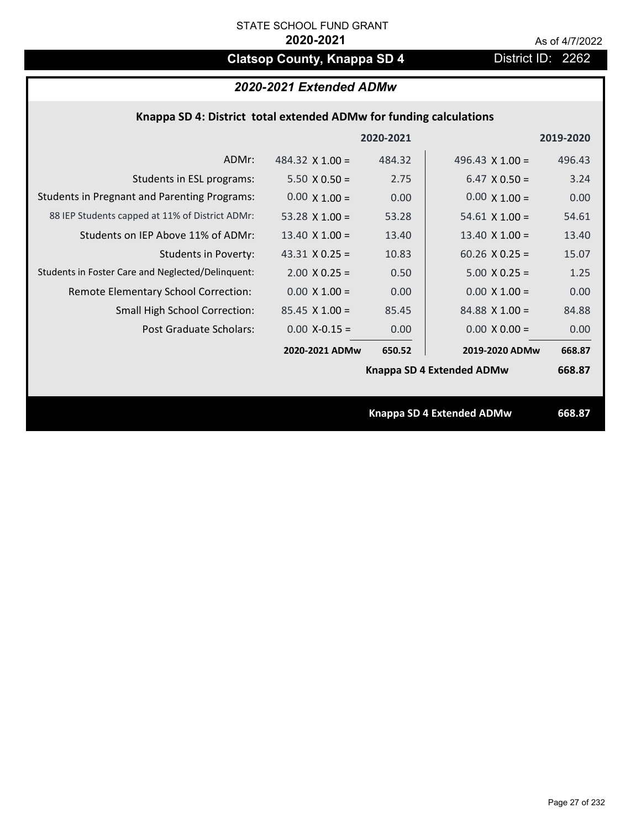# **Clatsop County, Knappa SD 4** District ID: 2262

| 2020-2021 Extended ADMw |  |  |
|-------------------------|--|--|
|-------------------------|--|--|

|                                                     |                        | 2020-2021 |                                  | 2019-2020 |
|-----------------------------------------------------|------------------------|-----------|----------------------------------|-----------|
| ADMr:                                               | 484.32 $\times$ 1.00 = | 484.32    | 496.43 $\times$ 1.00 =           | 496.43    |
| Students in ESL programs:                           | $5.50 \times 0.50 =$   | 2.75      | $6.47 \times 0.50 =$             | 3.24      |
| <b>Students in Pregnant and Parenting Programs:</b> | $0.00 \times 1.00 =$   | 0.00      | $0.00 \times 1.00 =$             | 0.00      |
| 88 IEP Students capped at 11% of District ADMr:     | 53.28 $\times$ 1.00 =  | 53.28     | $54.61 \times 1.00 =$            | 54.61     |
| Students on IEP Above 11% of ADMr:                  | 13.40 $\times$ 1.00 =  | 13.40     | 13.40 $X$ 1.00 =                 | 13.40     |
| <b>Students in Poverty:</b>                         | 43.31 $X$ 0.25 =       | 10.83     | $60.26$ X 0.25 =                 | 15.07     |
| Students in Foster Care and Neglected/Delinquent:   | $2.00 \times 0.25 =$   | 0.50      | $5.00 \times 0.25 =$             | 1.25      |
| Remote Elementary School Correction:                | $0.00 \times 1.00 =$   | 0.00      | $0.00 \times 1.00 =$             | 0.00      |
| <b>Small High School Correction:</b>                | $85.45 \times 1.00 =$  | 85.45     | $84.88 \times 1.00 =$            | 84.88     |
| Post Graduate Scholars:                             | $0.00$ X-0.15 =        | 0.00      | $0.00 \times 0.00 =$             | 0.00      |
|                                                     | 2020-2021 ADMw         | 650.52    | 2019-2020 ADMw                   | 668.87    |
|                                                     |                        |           | Knappa SD 4 Extended ADMw        | 668.87    |
|                                                     |                        |           |                                  |           |
|                                                     |                        |           | <b>Knappa SD 4 Extended ADMw</b> | 668.87    |
|                                                     |                        |           |                                  |           |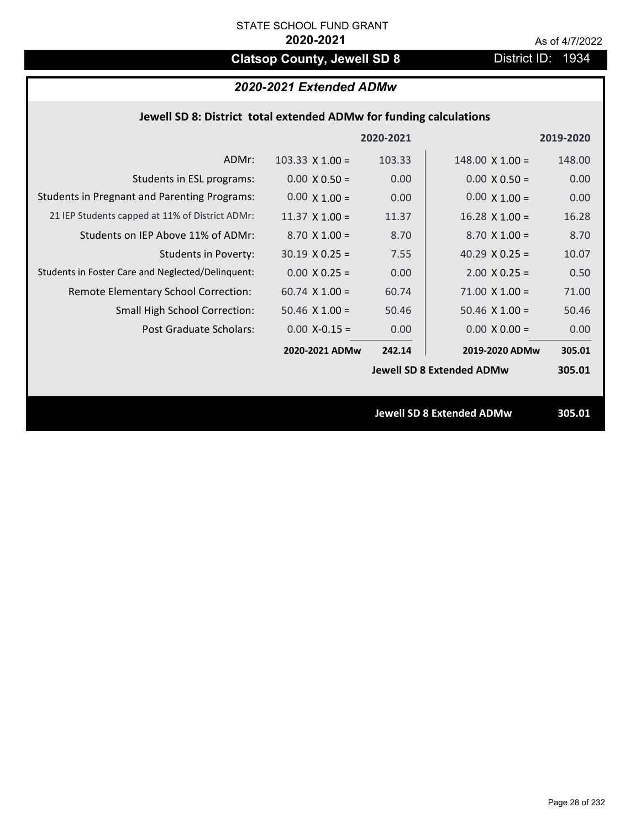# **Clatsop County, Jewell SD 8** District ID: 1934

# *2020-2021 Extended ADMw*

| Jewell SD 8: District total extended ADMw for funding calculations |                                                                                                                                                                                                                                                                                                                                           |                        |                                                                      |  |  |
|--------------------------------------------------------------------|-------------------------------------------------------------------------------------------------------------------------------------------------------------------------------------------------------------------------------------------------------------------------------------------------------------------------------------------|------------------------|----------------------------------------------------------------------|--|--|
|                                                                    |                                                                                                                                                                                                                                                                                                                                           |                        | 2019-2020                                                            |  |  |
| $103.33 \times 1.00 =$                                             | 103.33                                                                                                                                                                                                                                                                                                                                    | $148.00 \times 1.00 =$ | 148.00                                                               |  |  |
| $0.00 \times 0.50 =$                                               | 0.00                                                                                                                                                                                                                                                                                                                                      | $0.00 \times 0.50 =$   | 0.00                                                                 |  |  |
| $0.00 \times 1.00 =$                                               | 0.00                                                                                                                                                                                                                                                                                                                                      | $0.00 \times 1.00 =$   | 0.00                                                                 |  |  |
| $11.37 \times 1.00 =$                                              | 11.37                                                                                                                                                                                                                                                                                                                                     | $16.28$ X $1.00 =$     | 16.28                                                                |  |  |
| $8.70$ X $1.00 =$                                                  | 8.70                                                                                                                                                                                                                                                                                                                                      | $8.70 X 1.00 =$        | 8.70                                                                 |  |  |
| $30.19 \times 0.25 =$                                              | 7.55                                                                                                                                                                                                                                                                                                                                      | 40.29 $X$ 0.25 =       | 10.07                                                                |  |  |
| $0.00 \times 0.25 =$                                               | 0.00                                                                                                                                                                                                                                                                                                                                      | $2.00 X 0.25 =$        | 0.50                                                                 |  |  |
| $60.74$ X $1.00 =$                                                 | 60.74                                                                                                                                                                                                                                                                                                                                     | $71.00 \times 1.00 =$  | 71.00                                                                |  |  |
| $50.46$ X $1.00 =$                                                 | 50.46                                                                                                                                                                                                                                                                                                                                     | $50.46$ X $1.00 =$     | 50.46                                                                |  |  |
| $0.00$ X-0.15 =                                                    | 0.00                                                                                                                                                                                                                                                                                                                                      | $0.00 X 0.00 =$        | 0.00                                                                 |  |  |
| 2020-2021 ADMw                                                     | 242.14                                                                                                                                                                                                                                                                                                                                    | 2019-2020 ADMw         | 305.01                                                               |  |  |
|                                                                    |                                                                                                                                                                                                                                                                                                                                           |                        | 305.01                                                               |  |  |
|                                                                    |                                                                                                                                                                                                                                                                                                                                           |                        | 305.01                                                               |  |  |
|                                                                    | ADMr:<br>Students in ESL programs:<br><b>Students in Pregnant and Parenting Programs:</b><br>21 IEP Students capped at 11% of District ADMr:<br>Students on IEP Above 11% of ADMr:<br><b>Students in Poverty:</b><br>Students in Foster Care and Neglected/Delinquent:<br><b>Small High School Correction:</b><br>Post Graduate Scholars: | 2020-2021              | <b>Jewell SD 8 Extended ADMw</b><br><b>Jewell SD 8 Extended ADMw</b> |  |  |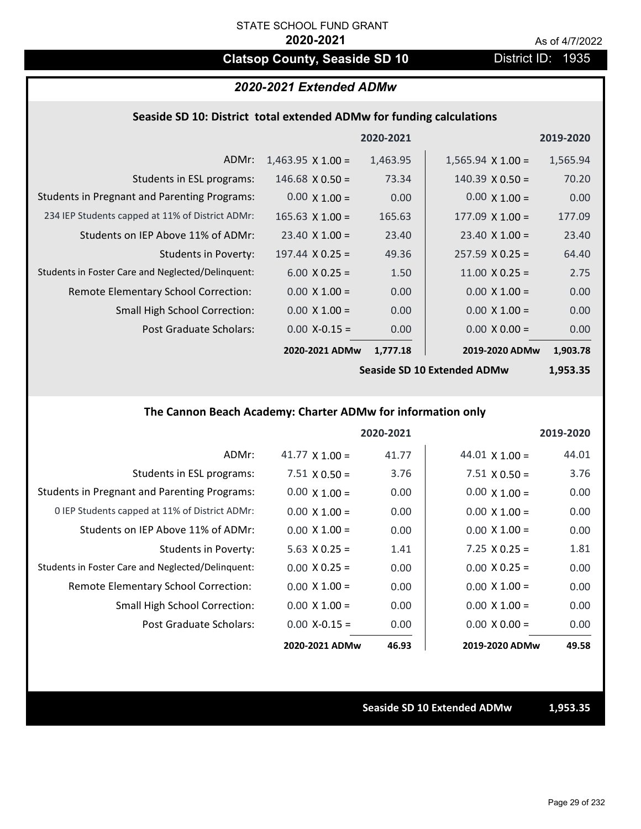# **Clatsop County, Seaside SD 10** District ID: 1935

## *2020-2021 Extended ADMw*

### **Seaside SD 10: District total extended ADMw for funding calculations**

|                                                     |                          | 2020-2021 |                          | 2019-2020 |
|-----------------------------------------------------|--------------------------|-----------|--------------------------|-----------|
| ADMr:                                               | $1,463.95 \times 1.00 =$ | 1,463.95  | $1,565.94 \times 1.00 =$ | 1,565.94  |
| Students in ESL programs:                           | $146.68 \times 0.50 =$   | 73.34     | $140.39 \times 0.50 =$   | 70.20     |
| <b>Students in Pregnant and Parenting Programs:</b> | $0.00 \times 1.00 =$     | 0.00      | $0.00 \times 1.00 =$     | 0.00      |
| 234 IEP Students capped at 11% of District ADMr:    | $165.63 \times 1.00 =$   | 165.63    | $177.09 \times 1.00 =$   | 177.09    |
| Students on IEP Above 11% of ADMr:                  | $23.40 \times 1.00 =$    | 23.40     | $23.40 \times 1.00 =$    | 23.40     |
| Students in Poverty:                                | $197.44 \times 0.25 =$   | 49.36     | $257.59 \times 0.25 =$   | 64.40     |
| Students in Foster Care and Neglected/Delinquent:   | $6.00 \times 0.25 =$     | 1.50      | $11.00 \times 0.25 =$    | 2.75      |
| Remote Elementary School Correction:                | $0.00 \times 1.00 =$     | 0.00      | $0.00 \times 1.00 =$     | 0.00      |
| <b>Small High School Correction:</b>                | $0.00 \times 1.00 =$     | 0.00      | $0.00 \times 1.00 =$     | 0.00      |
| Post Graduate Scholars:                             | $0.00 X - 0.15 =$        | 0.00      | $0.00 \times 0.00 =$     | 0.00      |
|                                                     | 2020-2021 ADMw           | 1,777.18  | 2019-2020 ADMw           | 1,903.78  |
|                                                     |                          |           |                          |           |

**Seaside SD 10 Extended ADMw**

**1,953.35**

## **The Cannon Beach Academy: Charter ADMw for information only**

|                                                     |                       | 2020-2021 |                       | 2019-2020 |
|-----------------------------------------------------|-----------------------|-----------|-----------------------|-----------|
| ADMr:                                               | 41.77 $\times$ 1.00 = | 41.77     | $44.01 \times 1.00 =$ | 44.01     |
| Students in ESL programs:                           | $7.51 \times 0.50 =$  | 3.76      | $7.51 \times 0.50 =$  | 3.76      |
| <b>Students in Pregnant and Parenting Programs:</b> | $0.00 \times 1.00 =$  | 0.00      | $0.00 \times 1.00 =$  | 0.00      |
| 0 IEP Students capped at 11% of District ADMr:      | $0.00 \times 1.00 =$  | 0.00      | $0.00 \times 1.00 =$  | 0.00      |
| Students on IEP Above 11% of ADMr:                  | $0.00 \times 1.00 =$  | 0.00      | $0.00 \times 1.00 =$  | 0.00      |
| Students in Poverty:                                | $5.63 \times 0.25 =$  | 1.41      | $7.25 \times 0.25 =$  | 1.81      |
| Students in Foster Care and Neglected/Delinquent:   | $0.00 \times 0.25 =$  | 0.00      | $0.00 \times 0.25 =$  | 0.00      |
| Remote Elementary School Correction:                | $0.00 \times 1.00 =$  | 0.00      | $0.00 \times 1.00 =$  | 0.00      |
| <b>Small High School Correction:</b>                | $0.00 \times 1.00 =$  | 0.00      | $0.00 \times 1.00 =$  | 0.00      |
| Post Graduate Scholars:                             | $0.00 X - 0.15 =$     | 0.00      | $0.00 \times 0.00 =$  | 0.00      |
|                                                     | 2020-2021 ADMw        | 46.93     | 2019-2020 ADMw        | 49.58     |

**Seaside SD 10 Extended ADMw 1,953.35**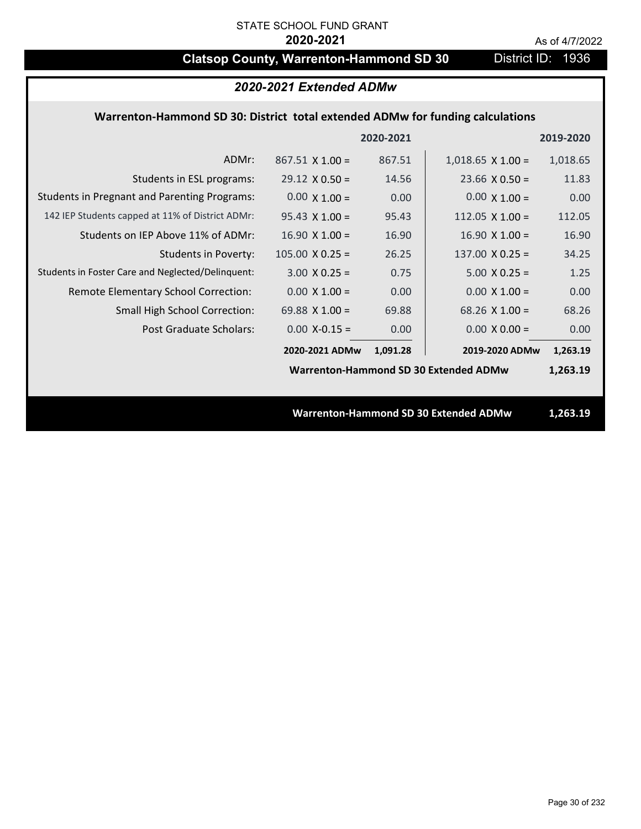# **Clatsop County, Warrenton-Hammond SD 30** District ID: 1936

# *2020-2021 Extended ADMw*

## **Warrenton‐Hammond SD 30: District total extended ADMw for funding calculations**

|                                                     |                        | 2020-2021 |                                              | 2019-2020 |
|-----------------------------------------------------|------------------------|-----------|----------------------------------------------|-----------|
| ADMr:                                               | $867.51 \times 1.00 =$ | 867.51    | $1,018.65$ X $1.00 =$                        | 1,018.65  |
| Students in ESL programs:                           | $29.12 \times 0.50 =$  | 14.56     | $23.66 \times 0.50 =$                        | 11.83     |
| <b>Students in Pregnant and Parenting Programs:</b> | $0.00 \times 1.00 =$   | 0.00      | $0.00 \times 1.00 =$                         | 0.00      |
| 142 IEP Students capped at 11% of District ADMr:    | $95.43 \times 1.00 =$  | 95.43     | 112.05 $\times$ 1.00 =                       | 112.05    |
| Students on IEP Above 11% of ADMr:                  | $16.90 \times 1.00 =$  | 16.90     | $16.90 \times 1.00 =$                        | 16.90     |
| <b>Students in Poverty:</b>                         | $105.00 \times 0.25 =$ | 26.25     | $137.00 \times 0.25 =$                       | 34.25     |
| Students in Foster Care and Neglected/Delinquent:   | $3.00 \times 0.25 =$   | 0.75      | $5.00 \times 0.25 =$                         | 1.25      |
| Remote Elementary School Correction:                | $0.00 \times 1.00 =$   | 0.00      | $0.00 \times 1.00 =$                         | 0.00      |
| <b>Small High School Correction:</b>                | 69.88 $X$ 1.00 =       | 69.88     | $68.26$ X 1.00 =                             | 68.26     |
| Post Graduate Scholars:                             | $0.00$ X-0.15 =        | 0.00      | $0.00 \times 0.00 =$                         | 0.00      |
|                                                     | 2020-2021 ADMw         | 1,091.28  | 2019-2020 ADMw                               | 1,263.19  |
|                                                     |                        |           | Warrenton-Hammond SD 30 Extended ADMw        | 1,263.19  |
|                                                     |                        |           |                                              |           |
|                                                     |                        |           | <b>Warrenton-Hammond SD 30 Extended ADMw</b> | 1,263.19  |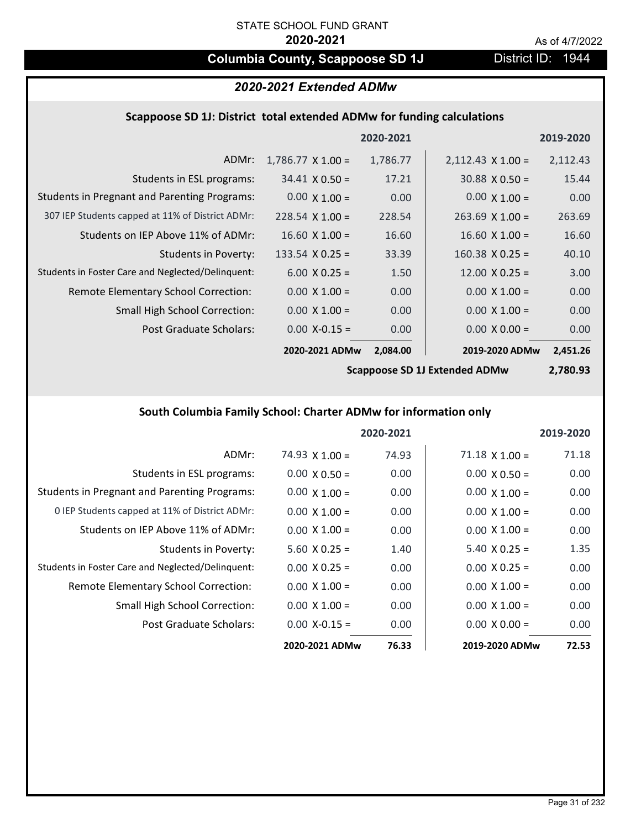# **Columbia County, Scappoose SD 1J** District ID: 1944

# *2020-2021 Extended ADMw*

### **Scappoose SD 1J: District total extended ADMw for funding calculations**

|                                                     |                          | 2020-2021 |                          | 2019-2020 |
|-----------------------------------------------------|--------------------------|-----------|--------------------------|-----------|
| ADMr:                                               | $1,786.77 \times 1.00 =$ | 1,786.77  | $2,112.43 \times 1.00 =$ | 2,112.43  |
| Students in ESL programs:                           | $34.41 \times 0.50 =$    | 17.21     | $30.88 \times 0.50 =$    | 15.44     |
| <b>Students in Pregnant and Parenting Programs:</b> | $0.00 \times 1.00 =$     | 0.00      | $0.00 \times 1.00 =$     | 0.00      |
| 307 IEP Students capped at 11% of District ADMr:    | $228.54 \times 1.00 =$   | 228.54    | $263.69$ X 1.00 =        | 263.69    |
| Students on IEP Above 11% of ADMr:                  | $16.60 \times 1.00 =$    | 16.60     | $16.60 \times 1.00 =$    | 16.60     |
| <b>Students in Poverty:</b>                         | 133.54 $X$ 0.25 =        | 33.39     | $160.38 \times 0.25 =$   | 40.10     |
| Students in Foster Care and Neglected/Delinquent:   | $6.00 \times 0.25 =$     | 1.50      | $12.00 \times 0.25 =$    | 3.00      |
| Remote Elementary School Correction:                | $0.00 \times 1.00 =$     | 0.00      | $0.00 \times 1.00 =$     | 0.00      |
| <b>Small High School Correction:</b>                | $0.00 \times 1.00 =$     | 0.00      | $0.00 \times 1.00 =$     | 0.00      |
| Post Graduate Scholars:                             | $0.00$ X-0.15 =          | 0.00      | $0.00 \times 0.00 =$     | 0.00      |
|                                                     | 2020-2021 ADMw           | 2,084.00  | 2019-2020 ADMw           | 2,451.26  |

**Scappoose SD 1J Extended ADMw**

**2,780.93**

# **South Columbia Family School: Charter ADMw for information only**

|                                                     |                       | 2020-2021 |                       | 2019-2020 |
|-----------------------------------------------------|-----------------------|-----------|-----------------------|-----------|
| ADMr:                                               | $74.93 \times 1.00 =$ | 74.93     | $71.18 \times 1.00 =$ | 71.18     |
| Students in ESL programs:                           | $0.00 \times 0.50 =$  | 0.00      | $0.00 \times 0.50 =$  | 0.00      |
| <b>Students in Pregnant and Parenting Programs:</b> | $0.00 \times 1.00 =$  | 0.00      | $0.00 \times 1.00 =$  | 0.00      |
| 0 IEP Students capped at 11% of District ADMr:      | $0.00 \times 1.00 =$  | 0.00      | $0.00 \times 1.00 =$  | 0.00      |
| Students on IEP Above 11% of ADMr:                  | $0.00 \times 1.00 =$  | 0.00      | $0.00 \times 1.00 =$  | 0.00      |
| Students in Poverty:                                | $5.60 \times 0.25 =$  | 1.40      | $5.40 \times 0.25 =$  | 1.35      |
| Students in Foster Care and Neglected/Delinquent:   | $0.00 \times 0.25 =$  | 0.00      | $0.00 \times 0.25 =$  | 0.00      |
| Remote Elementary School Correction:                | $0.00 \times 1.00 =$  | 0.00      | $0.00 \times 1.00 =$  | 0.00      |
| <b>Small High School Correction:</b>                | $0.00 \times 1.00 =$  | 0.00      | $0.00 \times 1.00 =$  | 0.00      |
| Post Graduate Scholars:                             | $0.00$ X-0.15 =       | 0.00      | $0.00 \times 0.00 =$  | 0.00      |
|                                                     | 2020-2021 ADMw        | 76.33     | 2019-2020 ADMw        | 72.53     |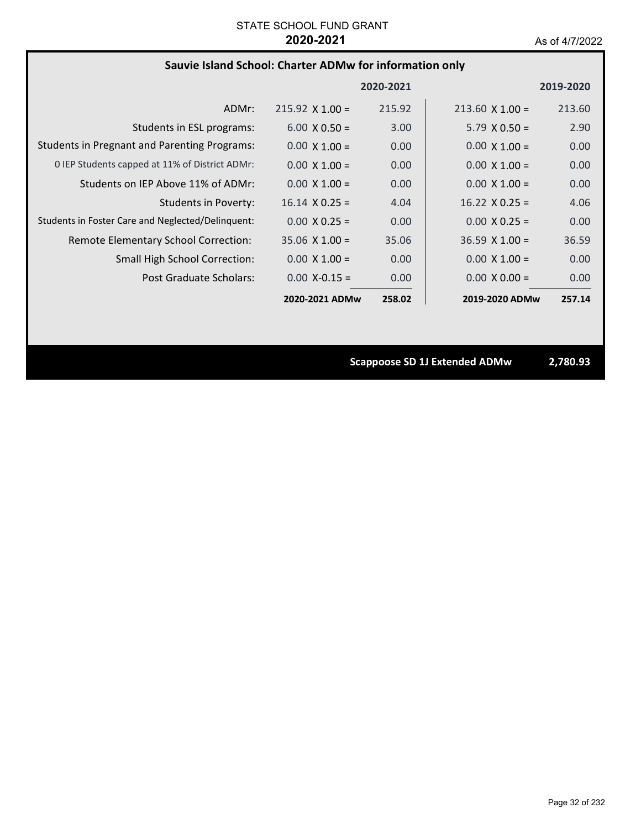# **Sauvie Island School: Charter ADMw for information only**

|                                                     |                        | 2020-2021 |                        | 2019-2020 |
|-----------------------------------------------------|------------------------|-----------|------------------------|-----------|
| ADMr:                                               | $215.92 \times 1.00 =$ | 215.92    | $213.60 \times 1.00 =$ | 213.60    |
| Students in ESL programs:                           | $6.00 \times 0.50 =$   | 3.00      | $5.79 \times 0.50 =$   | 2.90      |
| <b>Students in Pregnant and Parenting Programs:</b> | $0.00 \times 1.00 =$   | 0.00      | $0.00 \times 1.00 =$   | 0.00      |
| 0 IEP Students capped at 11% of District ADMr:      | $0.00 \times 1.00 =$   | 0.00      | $0.00 \times 1.00 =$   | 0.00      |
| Students on IEP Above 11% of ADMr:                  | $0.00 \times 1.00 =$   | 0.00      | $0.00 \times 1.00 =$   | 0.00      |
| <b>Students in Poverty:</b>                         | $16.14 \times 0.25 =$  | 4.04      | $16.22 \times 0.25 =$  | 4.06      |
| Students in Foster Care and Neglected/Delinquent:   | $0.00 \times 0.25 =$   | 0.00      | $0.00 \times 0.25 =$   | 0.00      |
| Remote Elementary School Correction:                | $35.06 \times 1.00 =$  | 35.06     | $36.59 \times 1.00 =$  | 36.59     |
| <b>Small High School Correction:</b>                | $0.00 \times 1.00 =$   | 0.00      | $0.00 \times 1.00 =$   | 0.00      |
| Post Graduate Scholars:                             | $0.00 X - 0.15 =$      | 0.00      | $0.00 \times 0.00 =$   | 0.00      |
|                                                     | 2020-2021 ADMw         | 258.02    | 2019-2020 ADMw         | 257.14    |

**Scappoose SD 1J Extended ADMw 2,780.93**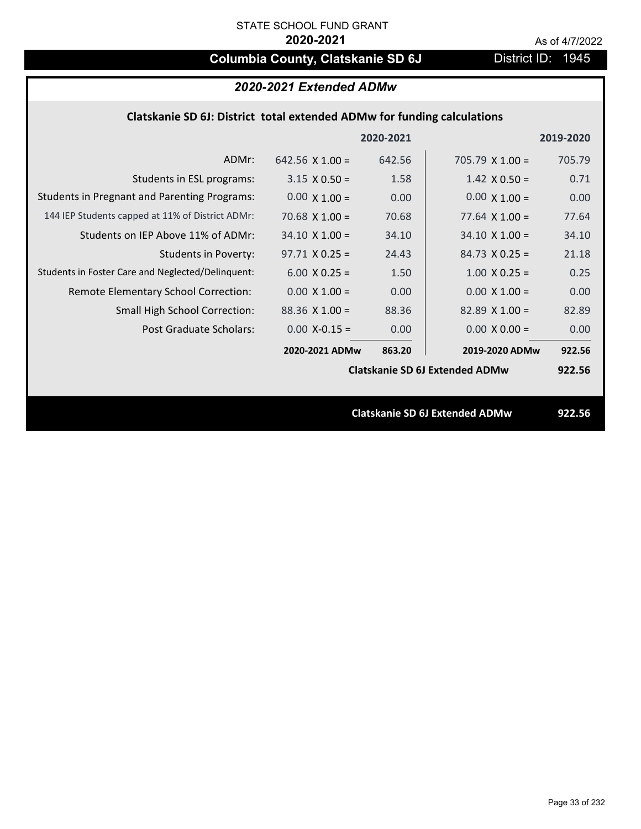# **Columbia County, Clatskanie SD 6J** District ID: 1945

| 2020-2021 Extended ADMw                                                 |                        |           |                        |           |
|-------------------------------------------------------------------------|------------------------|-----------|------------------------|-----------|
| Clatskanie SD 6J: District total extended ADMw for funding calculations |                        |           |                        |           |
|                                                                         |                        | 2020-2021 |                        | 2019-2020 |
| ADMr:                                                                   | 642.56 $\times$ 1.00 = | 642.56    | $705.79 \times 1.00 =$ | 705.79    |
| Students in ESL programs:                                               | $3.15 \times 0.50 =$   | 1.58      | $1.42 \times 0.50 =$   | 0.71      |
| <b>Students in Pregnant and Parenting Programs:</b>                     | $0.00 \times 1.00 =$   | 0.00      | $0.00 \times 1.00 =$   | 0.00      |
| 144 IEP Students capped at 11% of District ADMr:                        | 70.68 $\times$ 1.00 =  | 70.68     | 77.64 $\times$ 1.00 =  | 77.64     |
| Students on IEP Above 11% of ADMr:                                      | $34.10 \times 1.00 =$  | 34.10     | $34.10 \times 1.00 =$  | 34.10     |
| <b>Students in Poverty:</b>                                             | $97.71 \times 0.25 =$  | 24.43     | $84.73 \times 0.25 =$  | 21.18     |
| Students in Foster Care and Neglected/Delinquent:                       | $6.00 \times 0.25 =$   | 1.50      | $1.00 \times 0.25 =$   | 0.25      |
| Remote Elementary School Correction:                                    | $0.00 \times 1.00 =$   | 0.00      | $0.00 \times 1.00 =$   | 0.00      |
| <b>Small High School Correction:</b>                                    | $88.36 \times 1.00 =$  | 88.36     | $82.89 \times 1.00 =$  | 82.89     |
| Post Graduate Scholars:                                                 | $0.00 X - 0.15 =$      | 0.00      | $0.00 \times 0.00 =$   | 0.00      |

**Clatskanie SD 6J Extended ADMw**

**863.20 922.56 2020‐2021 ADMw 2019‐2020 ADMw**

**Clatskanie SD 6J Extended ADMw 922.56**

**922.56**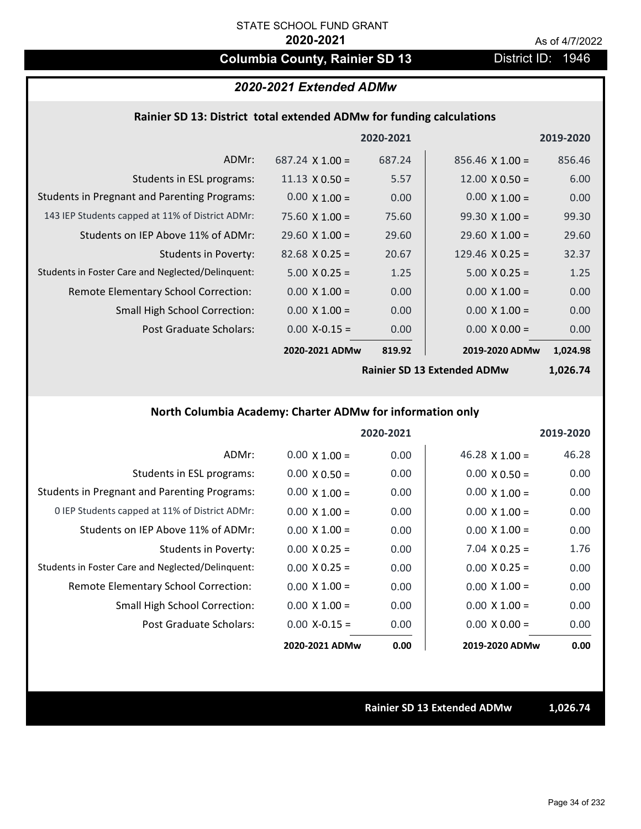# **Columbia County, Rainier SD 13** District ID: 1946

# *2020-2021 Extended ADMw*

### **Rainier SD 13: District total extended ADMw for funding calculations**

|                                                     |                        | 2020-2021 |                        | 2019-2020 |
|-----------------------------------------------------|------------------------|-----------|------------------------|-----------|
| ADMr:                                               | $687.24 \times 1.00 =$ | 687.24    | $856.46 \times 1.00 =$ | 856.46    |
| Students in ESL programs:                           | $11.13 \times 0.50 =$  | 5.57      | $12.00 \times 0.50 =$  | 6.00      |
| <b>Students in Pregnant and Parenting Programs:</b> | $0.00 \times 1.00 =$   | 0.00      | $0.00 \times 1.00 =$   | 0.00      |
| 143 IEP Students capped at 11% of District ADMr:    | $75.60 \times 1.00 =$  | 75.60     | $99.30 \times 1.00 =$  | 99.30     |
| Students on IEP Above 11% of ADMr:                  | $29.60 \times 1.00 =$  | 29.60     | $29.60 \times 1.00 =$  | 29.60     |
| <b>Students in Poverty:</b>                         | $82.68 \times 0.25 =$  | 20.67     | $129.46 \times 0.25 =$ | 32.37     |
| Students in Foster Care and Neglected/Delinquent:   | $5.00 \times 0.25 =$   | 1.25      | $5.00 \times 0.25 =$   | 1.25      |
| Remote Elementary School Correction:                | $0.00 \times 1.00 =$   | 0.00      | $0.00 \times 1.00 =$   | 0.00      |
| <b>Small High School Correction:</b>                | $0.00 \times 1.00 =$   | 0.00      | $0.00 \times 1.00 =$   | 0.00      |
| Post Graduate Scholars:                             | $0.00$ X-0.15 =        | 0.00      | $0.00 \times 0.00 =$   | 0.00      |
|                                                     | 2020-2021 ADMw         | 819.92    | 2019-2020 ADMw         | 1,024.98  |

**Rainier SD 13 Extended ADMw**

**1,026.74**

# **North Columbia Academy: Charter ADMw for information only**

|                                                     |                      | 2020-2021 |                       | 2019-2020 |
|-----------------------------------------------------|----------------------|-----------|-----------------------|-----------|
| ADMr:                                               | $0.00 \times 1.00 =$ | 0.00      | $46.28 \times 1.00 =$ | 46.28     |
| Students in ESL programs:                           | $0.00 \times 0.50 =$ | 0.00      | $0.00 \times 0.50 =$  | 0.00      |
| <b>Students in Pregnant and Parenting Programs:</b> | $0.00 \times 1.00 =$ | 0.00      | $0.00 \times 1.00 =$  | 0.00      |
| 0 IEP Students capped at 11% of District ADMr:      | $0.00 \times 1.00 =$ | 0.00      | $0.00 \times 1.00 =$  | 0.00      |
| Students on IEP Above 11% of ADMr:                  | $0.00 \times 1.00 =$ | 0.00      | $0.00 \times 1.00 =$  | 0.00      |
| Students in Poverty:                                | $0.00 \times 0.25 =$ | 0.00      | $7.04 \times 0.25 =$  | 1.76      |
| Students in Foster Care and Neglected/Delinquent:   | $0.00 \times 0.25 =$ | 0.00      | $0.00 \times 0.25 =$  | 0.00      |
| Remote Elementary School Correction:                | $0.00 \times 1.00 =$ | 0.00      | $0.00 \times 1.00 =$  | 0.00      |
| <b>Small High School Correction:</b>                | $0.00 \times 1.00 =$ | 0.00      | $0.00 \times 1.00 =$  | 0.00      |
| Post Graduate Scholars:                             | $0.00 X - 0.15 =$    | 0.00      | $0.00 \times 0.00 =$  | 0.00      |
|                                                     | 2020-2021 ADMw       | 0.00      | 2019-2020 ADMw        | 0.00      |

**Rainier SD 13 Extended ADMw 1,026.74**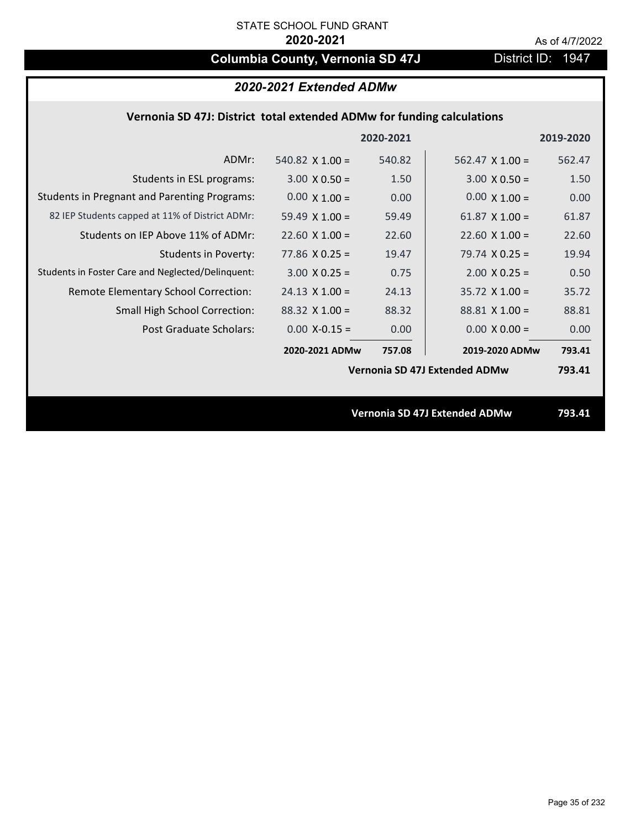# **Columbia County, Vernonia SD 47J** District ID: 1947

## **Vernonia SD 47J: District total extended ADMw for funding calculations**

|                                                     |                               | 2020-2021 |                        | 2019-2020 |  |
|-----------------------------------------------------|-------------------------------|-----------|------------------------|-----------|--|
| ADMr:                                               | 540.82 $\times$ 1.00 =        | 540.82    | $562.47 \times 1.00 =$ | 562.47    |  |
| Students in ESL programs:                           | $3.00 \times 0.50 =$          | 1.50      | $3.00 \times 0.50 =$   | 1.50      |  |
| <b>Students in Pregnant and Parenting Programs:</b> | $0.00 \times 1.00 =$          | 0.00      | $0.00 \times 1.00 =$   | 0.00      |  |
| 82 IEP Students capped at 11% of District ADMr:     | 59.49 $\times$ 1.00 =         | 59.49     | 61.87 $\times$ 1.00 =  | 61.87     |  |
| Students on IEP Above 11% of ADMr:                  | $22.60 \times 1.00 =$         | 22.60     | $22.60$ X $1.00 =$     | 22.60     |  |
| <b>Students in Poverty:</b>                         | $77.86$ X 0.25 =              | 19.47     | 79.74 $X$ 0.25 =       | 19.94     |  |
| Students in Foster Care and Neglected/Delinquent:   | $3.00 \times 0.25 =$          | 0.75      | $2.00 \times 0.25 =$   | 0.50      |  |
| Remote Elementary School Correction:                | $24.13 \times 1.00 =$         | 24.13     | $35.72 \times 1.00 =$  | 35.72     |  |
| <b>Small High School Correction:</b>                | $88.32 \times 1.00 =$         | 88.32     | $88.81 \times 1.00 =$  | 88.81     |  |
| Post Graduate Scholars:                             | $0.00$ X-0.15 =               | 0.00      | $0.00 \times 0.00 =$   | 0.00      |  |
|                                                     | 2020-2021 ADMw                | 757.08    | 2019-2020 ADMw         | 793.41    |  |
|                                                     | Vernonia SD 47J Extended ADMw |           |                        | 793.41    |  |
|                                                     |                               |           |                        |           |  |
|                                                     | Vernonia SD 47J Extended ADMw |           |                        |           |  |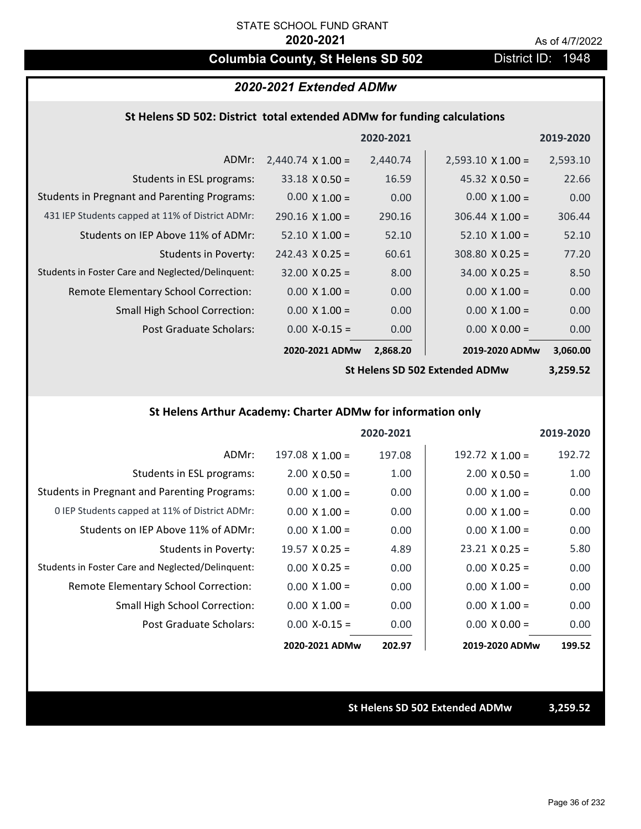# **Columbia County, St Helens SD 502** District ID: 1948

# *2020-2021 Extended ADMw*

### **St Helens SD 502: District total extended ADMw for funding calculations**

|                                                     |                          | 2020-2021 |                          | 2019-2020 |
|-----------------------------------------------------|--------------------------|-----------|--------------------------|-----------|
| ADMr:                                               | $2,440.74 \times 1.00 =$ | 2,440.74  | $2,593.10 \times 1.00 =$ | 2,593.10  |
| Students in ESL programs:                           | $33.18 \times 0.50 =$    | 16.59     | $45.32 \times 0.50 =$    | 22.66     |
| <b>Students in Pregnant and Parenting Programs:</b> | $0.00 \times 1.00 =$     | 0.00      | $0.00 \times 1.00 =$     | 0.00      |
| 431 IEP Students capped at 11% of District ADMr:    | $290.16 \times 1.00 =$   | 290.16    | $306.44 \times 1.00 =$   | 306.44    |
| Students on IEP Above 11% of ADMr:                  | $52.10 \times 1.00 =$    | 52.10     | $52.10 \times 1.00 =$    | 52.10     |
| Students in Poverty:                                | $242.43 \times 0.25 =$   | 60.61     | $308.80 \times 0.25 =$   | 77.20     |
| Students in Foster Care and Neglected/Delinquent:   | $32.00 \times 0.25 =$    | 8.00      | $34.00 \times 0.25 =$    | 8.50      |
| Remote Elementary School Correction:                | $0.00 \times 1.00 =$     | 0.00      | $0.00 \times 1.00 =$     | 0.00      |
| <b>Small High School Correction:</b>                | $0.00 \times 1.00 =$     | 0.00      | $0.00 \times 1.00 =$     | 0.00      |
| <b>Post Graduate Scholars:</b>                      | $0.00$ X-0.15 =          | 0.00      | $0.00 \times 0.00 =$     | 0.00      |
|                                                     | 2020-2021 ADMw           | 2,868.20  | 2019-2020 ADMw           | 3,060.00  |

**St Helens SD 502 Extended ADMw**

**3,259.52**

### **St Helens Arthur Academy: Charter ADMw for information only**

|                                                     |                       | 2020-2021 |                       | 2019-2020 |
|-----------------------------------------------------|-----------------------|-----------|-----------------------|-----------|
| ADMr:                                               | $197.08$ X $1.00 =$   | 197.08    | 192.72 $X$ 1.00 =     | 192.72    |
| Students in ESL programs:                           | $2.00 \times 0.50 =$  | 1.00      | $2.00 \times 0.50 =$  | 1.00      |
| <b>Students in Pregnant and Parenting Programs:</b> | $0.00 \times 1.00 =$  | 0.00      | $0.00 \times 1.00 =$  | 0.00      |
| 0 IEP Students capped at 11% of District ADMr:      | $0.00 \times 1.00 =$  | 0.00      | $0.00 \times 1.00 =$  | 0.00      |
| Students on IEP Above 11% of ADMr:                  | $0.00 \times 1.00 =$  | 0.00      | $0.00 \times 1.00 =$  | 0.00      |
| Students in Poverty:                                | $19.57 \times 0.25 =$ | 4.89      | $23.21 \times 0.25 =$ | 5.80      |
| Students in Foster Care and Neglected/Delinquent:   | $0.00 \times 0.25 =$  | 0.00      | $0.00 \times 0.25 =$  | 0.00      |
| Remote Elementary School Correction:                | $0.00 \times 1.00 =$  | 0.00      | $0.00 \times 1.00 =$  | 0.00      |
| <b>Small High School Correction:</b>                | $0.00 \times 1.00 =$  | 0.00      | $0.00 \times 1.00 =$  | 0.00      |
| Post Graduate Scholars:                             | $0.00 X - 0.15 =$     | 0.00      | $0.00 \times 0.00 =$  | 0.00      |
|                                                     | 2020-2021 ADMw        | 202.97    | 2019-2020 ADMw        | 199.52    |

**St Helens SD 502 Extended ADMw 3,259.52**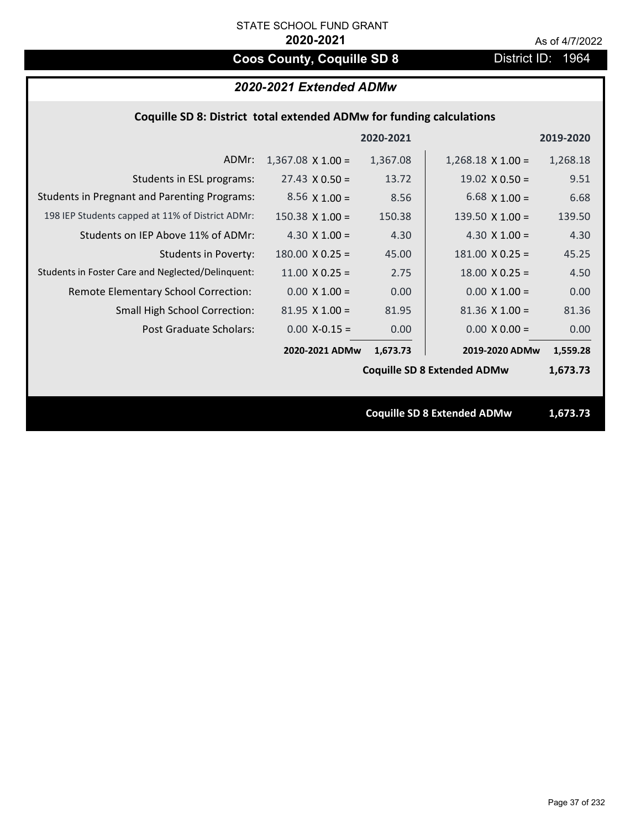# **Coos County, Coquille SD 8** District ID: 1964

## *2020-2021 Extended ADMw*

## **Coquille SD 8: District total extended ADMw for funding calculations**

|                                                     |                          | 2020-2021 |                                    | 2019-2020 |
|-----------------------------------------------------|--------------------------|-----------|------------------------------------|-----------|
| ADMr:                                               | $1,367.08 \times 1.00 =$ | 1,367.08  | $1,268.18 \times 1.00 =$           | 1,268.18  |
| Students in ESL programs:                           | $27.43 \times 0.50 =$    | 13.72     | $19.02 \times 0.50 =$              | 9.51      |
| <b>Students in Pregnant and Parenting Programs:</b> | $8.56 \times 1.00 =$     | 8.56      | 6.68 $\times$ 1.00 =               | 6.68      |
| 198 IEP Students capped at 11% of District ADMr:    | $150.38 \times 1.00 =$   | 150.38    | 139.50 $X$ 1.00 =                  | 139.50    |
| Students on IEP Above 11% of ADMr:                  | 4.30 $X$ 1.00 =          | 4.30      | 4.30 $X$ 1.00 =                    | 4.30      |
| <b>Students in Poverty:</b>                         | $180.00 \times 0.25 =$   | 45.00     | $181.00 \times 0.25 =$             | 45.25     |
| Students in Foster Care and Neglected/Delinquent:   | $11.00 \times 0.25 =$    | 2.75      | $18.00 \times 0.25 =$              | 4.50      |
| Remote Elementary School Correction:                | $0.00 \times 1.00 =$     | 0.00      | $0.00 \times 1.00 =$               | 0.00      |
| <b>Small High School Correction:</b>                | $81.95$ X $1.00 =$       | 81.95     | $81.36$ X $1.00 =$                 | 81.36     |
| Post Graduate Scholars:                             | $0.00$ X-0.15 =          | 0.00      | $0.00 \times 0.00 =$               | 0.00      |
|                                                     | 2020-2021 ADMw           | 1,673.73  | 2019-2020 ADMw                     | 1,559.28  |
|                                                     |                          |           | <b>Coquille SD 8 Extended ADMw</b> | 1,673.73  |
|                                                     |                          |           |                                    |           |
|                                                     |                          |           | <b>Coquille SD 8 Extended ADMw</b> | 1,673.73  |
|                                                     |                          |           |                                    |           |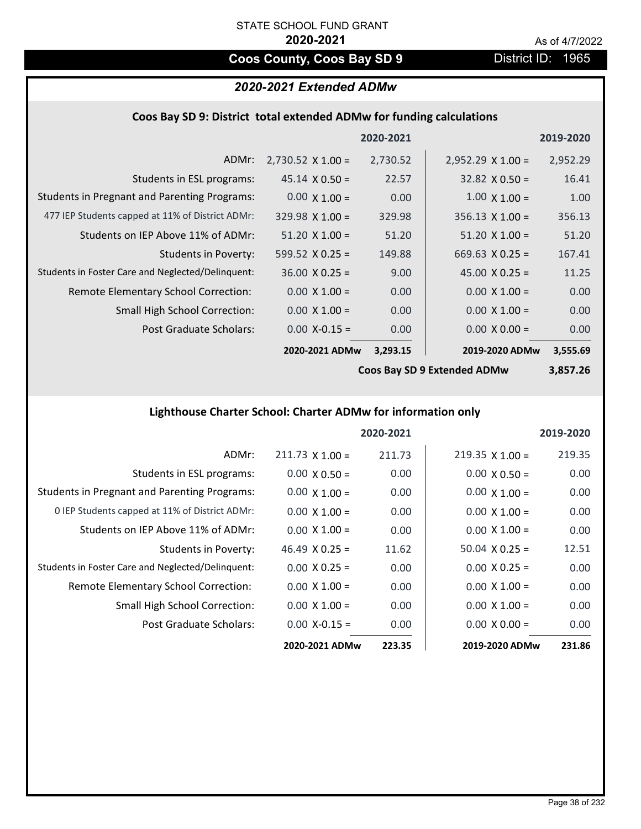# **Coos County, Coos Bay SD 9** District ID: 1965

# *2020-2021 Extended ADMw*

#### **Coos Bay SD 9: District total extended ADMw for funding calculations**

|                                                     |                          | 2020-2021 |                          | 2019-2020 |
|-----------------------------------------------------|--------------------------|-----------|--------------------------|-----------|
| ADMr:                                               | $2,730.52 \times 1.00 =$ | 2,730.52  | $2,952.29 \times 1.00 =$ | 2,952.29  |
| Students in ESL programs:                           | $45.14 \times 0.50 =$    | 22.57     | $32.82 \times 0.50 =$    | 16.41     |
| <b>Students in Pregnant and Parenting Programs:</b> | $0.00 \times 1.00 =$     | 0.00      | $1.00 \times 1.00 =$     | 1.00      |
| 477 IEP Students capped at 11% of District ADMr:    | $329.98 \times 1.00 =$   | 329.98    | $356.13 \times 1.00 =$   | 356.13    |
| Students on IEP Above 11% of ADMr:                  | $51.20 \times 1.00 =$    | 51.20     | $51.20 \times 1.00 =$    | 51.20     |
| <b>Students in Poverty:</b>                         | 599.52 $\times$ 0.25 =   | 149.88    | $669.63 \times 0.25 =$   | 167.41    |
| Students in Foster Care and Neglected/Delinquent:   | $36.00 \times 0.25 =$    | 9.00      | 45.00 $X$ 0.25 =         | 11.25     |
| Remote Elementary School Correction:                | $0.00 \times 1.00 =$     | 0.00      | $0.00 \times 1.00 =$     | 0.00      |
| <b>Small High School Correction:</b>                | $0.00 \times 1.00 =$     | 0.00      | $0.00 \times 1.00 =$     | 0.00      |
| Post Graduate Scholars:                             | $0.00 X - 0.15 =$        | 0.00      | $0.00 \times 0.00 =$     | 0.00      |
|                                                     | 2020-2021 ADMw           | 3,293.15  | 2019-2020 ADMw           | 3,555.69  |

**Coos Bay SD 9 Extended ADMw**

# **3,857.26**

# **Lighthouse Charter School: Charter ADMw for information only**

|                                                     |                       | 2020-2021 |                      | 2019-2020 |
|-----------------------------------------------------|-----------------------|-----------|----------------------|-----------|
| ADMr:                                               | $211.73$ X 1.00 =     | 211.73    | $219.35$ X 1.00 =    | 219.35    |
| Students in ESL programs:                           | $0.00 \times 0.50 =$  | 0.00      | $0.00 \times 0.50 =$ | 0.00      |
| <b>Students in Pregnant and Parenting Programs:</b> | $0.00 \times 1.00 =$  | 0.00      | $0.00 \times 1.00 =$ | 0.00      |
| 0 IEP Students capped at 11% of District ADMr:      | $0.00 \times 1.00 =$  | 0.00      | $0.00 \times 1.00 =$ | 0.00      |
| Students on IEP Above 11% of ADMr:                  | $0.00 \times 1.00 =$  | 0.00      | $0.00 \times 1.00 =$ | 0.00      |
| Students in Poverty:                                | $46.49 \times 0.25 =$ | 11.62     | $50.04$ X 0.25 =     | 12.51     |
| Students in Foster Care and Neglected/Delinquent:   | $0.00 \times 0.25 =$  | 0.00      | $0.00 \times 0.25 =$ | 0.00      |
| Remote Elementary School Correction:                | $0.00 \times 1.00 =$  | 0.00      | $0.00 \times 1.00 =$ | 0.00      |
| <b>Small High School Correction:</b>                | $0.00 \times 1.00 =$  | 0.00      | $0.00 \times 1.00 =$ | 0.00      |
| Post Graduate Scholars:                             | $0.00$ X-0.15 =       | 0.00      | $0.00 \times 0.00 =$ | 0.00      |
|                                                     | 2020-2021 ADMw        | 223.35    | 2019-2020 ADMw       | 231.86    |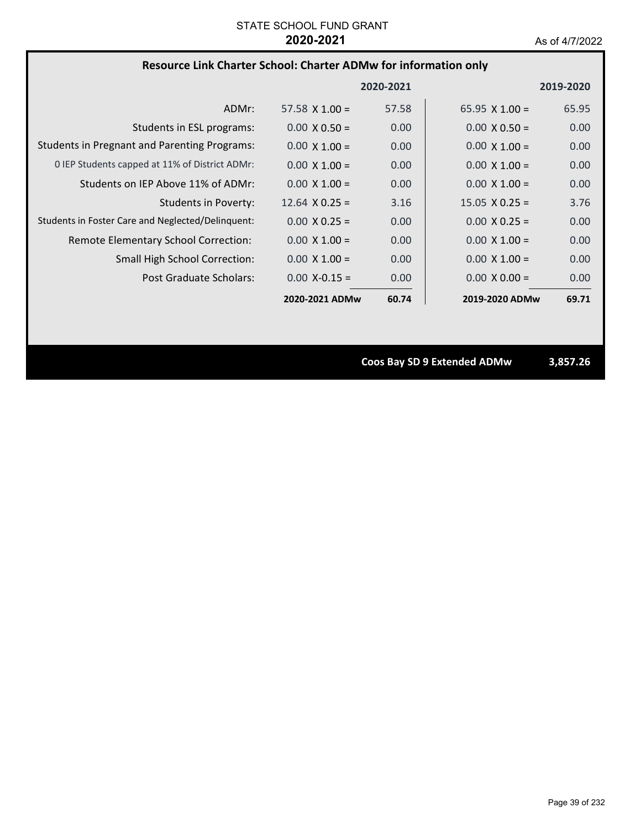### **Resource Link Charter School: Charter ADMw for information only**

|                                                     |                       | 2020-2021 |                       | 2019-2020 |
|-----------------------------------------------------|-----------------------|-----------|-----------------------|-----------|
| ADMr:                                               | $57.58 \times 1.00 =$ | 57.58     | $65.95 \times 1.00 =$ | 65.95     |
| Students in ESL programs:                           | $0.00 \times 0.50 =$  | 0.00      | $0.00 \times 0.50 =$  | 0.00      |
| <b>Students in Pregnant and Parenting Programs:</b> | $0.00 \times 1.00 =$  | 0.00      | $0.00 \times 1.00 =$  | 0.00      |
| 0 IEP Students capped at 11% of District ADMr:      | $0.00 \times 1.00 =$  | 0.00      | $0.00 \times 1.00 =$  | 0.00      |
| Students on IEP Above 11% of ADMr:                  | $0.00 \times 1.00 =$  | 0.00      | $0.00 \times 1.00 =$  | 0.00      |
| Students in Poverty:                                | $12.64 \times 0.25 =$ | 3.16      | $15.05 \times 0.25 =$ | 3.76      |
| Students in Foster Care and Neglected/Delinquent:   | $0.00 \times 0.25 =$  | 0.00      | $0.00 \times 0.25 =$  | 0.00      |
| Remote Elementary School Correction:                | $0.00 \times 1.00 =$  | 0.00      | $0.00 \times 1.00 =$  | 0.00      |
| <b>Small High School Correction:</b>                | $0.00 \times 1.00 =$  | 0.00      | $0.00 \times 1.00 =$  | 0.00      |
| Post Graduate Scholars:                             | $0.00 X - 0.15 =$     | 0.00      | $0.00 \times 0.00 =$  | 0.00      |
|                                                     | 2020-2021 ADMw        | 60.74     | 2019-2020 ADMw        | 69.71     |

**Coos Bay SD 9 Extended ADMw 3,857.26**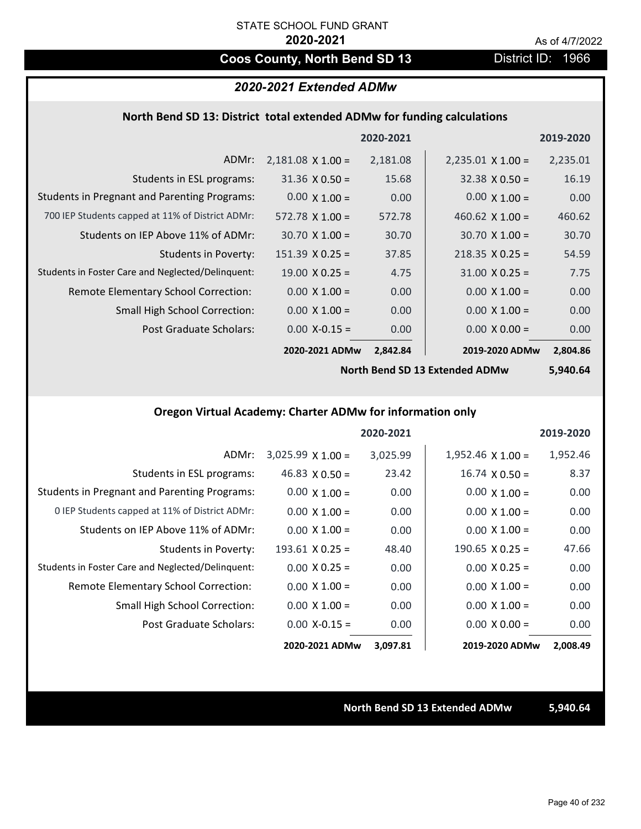# **Coos County, North Bend SD 13** District ID: 1966

### *2020-2021 Extended ADMw*

### **North Bend SD 13: District total extended ADMw for funding calculations**

|                                                     |                          | 2020-2021 |                          | 2019-2020 |
|-----------------------------------------------------|--------------------------|-----------|--------------------------|-----------|
| ADMr:                                               | $2,181.08 \times 1.00 =$ | 2,181.08  | $2,235.01 \times 1.00 =$ | 2,235.01  |
| Students in ESL programs:                           | $31.36 \times 0.50 =$    | 15.68     | $32.38 \times 0.50 =$    | 16.19     |
| <b>Students in Pregnant and Parenting Programs:</b> | $0.00 \times 1.00 =$     | 0.00      | $0.00 \times 1.00 =$     | 0.00      |
| 700 IEP Students capped at 11% of District ADMr:    | $572.78 \times 1.00 =$   | 572.78    | 460.62 $\times$ 1.00 =   | 460.62    |
| Students on IEP Above 11% of ADMr:                  | $30.70 \times 1.00 =$    | 30.70     | $30.70 \times 1.00 =$    | 30.70     |
| Students in Poverty:                                | $151.39 \times 0.25 =$   | 37.85     | $218.35 \times 0.25 =$   | 54.59     |
| Students in Foster Care and Neglected/Delinquent:   | $19.00 \times 0.25 =$    | 4.75      | $31.00 \times 0.25 =$    | 7.75      |
| Remote Elementary School Correction:                | $0.00 \times 1.00 =$     | 0.00      | $0.00 \times 1.00 =$     | 0.00      |
| <b>Small High School Correction:</b>                | $0.00 \times 1.00 =$     | 0.00      | $0.00 \times 1.00 =$     | 0.00      |
| Post Graduate Scholars:                             | $0.00$ X-0.15 =          | 0.00      | $0.00 \times 0.00 =$     | 0.00      |
|                                                     | 2020-2021 ADMw           | 2,842.84  | 2019-2020 ADMw           | 2,804.86  |

**North Bend SD 13 Extended ADMw**

**5,940.64**

# **Oregon Virtual Academy: Charter ADMw for information only**

|                                                     |                          | 2020-2021 |                          | 2019-2020 |
|-----------------------------------------------------|--------------------------|-----------|--------------------------|-----------|
| ADMr:                                               | $3,025.99 \times 1.00 =$ | 3,025.99  | $1,952.46 \times 1.00 =$ | 1,952.46  |
| Students in ESL programs:                           | $46.83 \times 0.50 =$    | 23.42     | $16.74 \times 0.50 =$    | 8.37      |
| <b>Students in Pregnant and Parenting Programs:</b> | $0.00 \times 1.00 =$     | 0.00      | $0.00 \times 1.00 =$     | 0.00      |
| 0 IEP Students capped at 11% of District ADMr:      | $0.00 \times 1.00 =$     | 0.00      | $0.00 \times 1.00 =$     | 0.00      |
| Students on IEP Above 11% of ADMr:                  | $0.00 \times 1.00 =$     | 0.00      | $0.00 \times 1.00 =$     | 0.00      |
| Students in Poverty:                                | $193.61 \times 0.25 =$   | 48.40     | $190.65 \times 0.25 =$   | 47.66     |
| Students in Foster Care and Neglected/Delinquent:   | $0.00 \times 0.25 =$     | 0.00      | $0.00 \times 0.25 =$     | 0.00      |
| Remote Elementary School Correction:                | $0.00 \times 1.00 =$     | 0.00      | $0.00 \times 1.00 =$     | 0.00      |
| <b>Small High School Correction:</b>                | $0.00 \times 1.00 =$     | 0.00      | $0.00 \times 1.00 =$     | 0.00      |
| Post Graduate Scholars:                             | $0.00$ X-0.15 =          | 0.00      | $0.00 \times 0.00 =$     | 0.00      |
|                                                     | 2020-2021 ADMw           | 3,097.81  | 2019-2020 ADMw           | 2,008.49  |

#### **North Bend SD 13 Extended ADMw 5,940.64**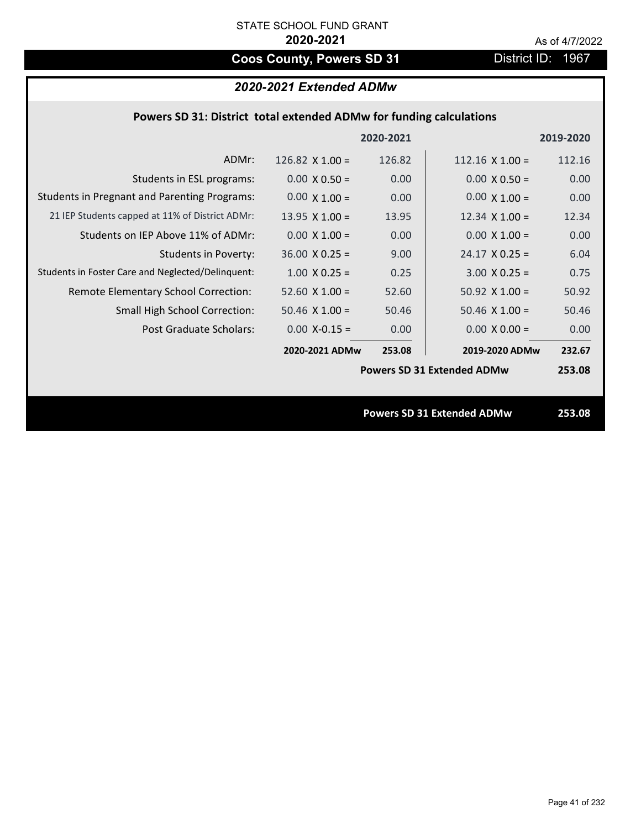# **Coos County, Powers SD 31** District ID: 1967

# *2020-2021 Extended ADMw*

|                                                     |                       | 2020-2021 |                                   | 2019-2020 |
|-----------------------------------------------------|-----------------------|-----------|-----------------------------------|-----------|
| ADMr:                                               | 126.82 $X$ 1.00 =     | 126.82    | $112.16 \times 1.00 =$            | 112.16    |
| Students in ESL programs:                           | $0.00 \times 0.50 =$  | 0.00      | $0.00 \times 0.50 =$              | 0.00      |
| <b>Students in Pregnant and Parenting Programs:</b> | $0.00 \times 1.00 =$  | 0.00      | $0.00 \times 1.00 =$              | 0.00      |
| 21 IEP Students capped at 11% of District ADMr:     | 13.95 $X$ 1.00 =      | 13.95     | 12.34 $\times$ 1.00 =             | 12.34     |
| Students on IEP Above 11% of ADMr:                  | $0.00 \times 1.00 =$  | 0.00      | $0.00 \times 1.00 =$              | 0.00      |
| Students in Poverty:                                | $36.00 \times 0.25 =$ | 9.00      | $24.17 \times 0.25 =$             | 6.04      |
| Students in Foster Care and Neglected/Delinquent:   | $1.00 \times 0.25 =$  | 0.25      | $3.00 \times 0.25 =$              | 0.75      |
| Remote Elementary School Correction:                | $52.60$ X $1.00 =$    | 52.60     | 50.92 $X$ 1.00 =                  | 50.92     |
| <b>Small High School Correction:</b>                | $50.46 \times 1.00 =$ | 50.46     | $50.46 \times 1.00 =$             | 50.46     |
| Post Graduate Scholars:                             | $0.00$ X-0.15 =       | 0.00      | $0.00 \times 0.00 =$              | 0.00      |
|                                                     | 2020-2021 ADMw        | 253.08    | 2019-2020 ADMw                    | 232.67    |
|                                                     |                       |           | <b>Powers SD 31 Extended ADMw</b> | 253.08    |
|                                                     |                       |           |                                   |           |
|                                                     |                       |           | <b>Powers SD 31 Extended ADMw</b> | 253.08    |
|                                                     |                       |           |                                   |           |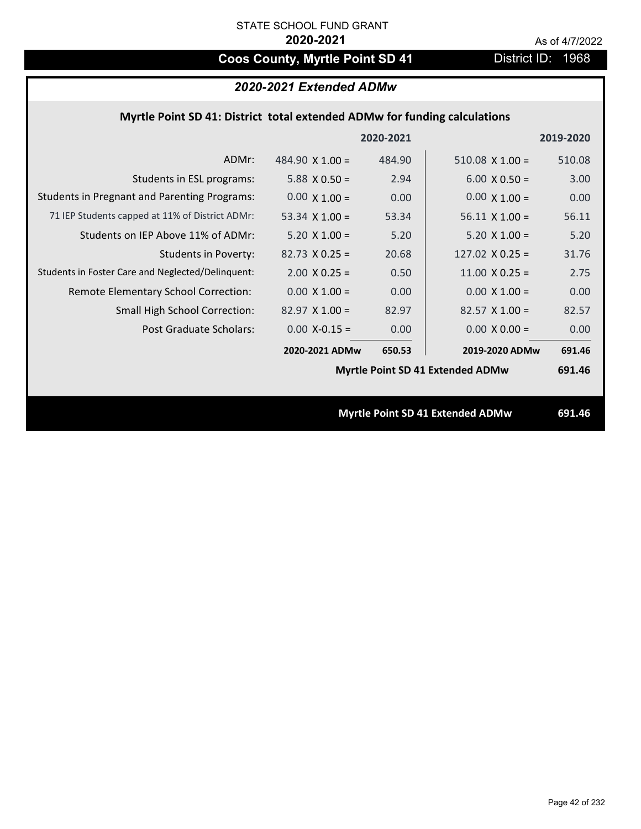# **Coos County, Myrtle Point SD 41** District ID: 1968

# *2020-2021 Extended ADMw*

### **Myrtle Point SD 41: District total extended ADMw for funding calculations**

|                                                     |                        | 2020-2021 |                                         | 2019-2020 |
|-----------------------------------------------------|------------------------|-----------|-----------------------------------------|-----------|
| ADMr:                                               | 484.90 $\times$ 1.00 = | 484.90    | $510.08 \times 1.00 =$                  | 510.08    |
| Students in ESL programs:                           | 5.88 $X$ 0.50 =        | 2.94      | $6.00 \times 0.50 =$                    | 3.00      |
| <b>Students in Pregnant and Parenting Programs:</b> | $0.00 \times 1.00 =$   | 0.00      | $0.00 \times 1.00 =$                    | 0.00      |
| 71 IEP Students capped at 11% of District ADMr:     | 53.34 $\times$ 1.00 =  | 53.34     | $56.11 \times 1.00 =$                   | 56.11     |
| Students on IEP Above 11% of ADMr:                  | $5.20 X 1.00 =$        | 5.20      | $5.20 X 1.00 =$                         | 5.20      |
| <b>Students in Poverty:</b>                         | $82.73 \times 0.25 =$  | 20.68     | 127.02 $X$ 0.25 =                       | 31.76     |
| Students in Foster Care and Neglected/Delinquent:   | $2.00 \times 0.25 =$   | 0.50      | $11.00 \times 0.25 =$                   | 2.75      |
| Remote Elementary School Correction:                | $0.00 \times 1.00 =$   | 0.00      | $0.00 \times 1.00 =$                    | 0.00      |
| <b>Small High School Correction:</b>                | $82.97$ X $1.00 =$     | 82.97     | $82.57$ X 1.00 =                        | 82.57     |
| Post Graduate Scholars:                             | $0.00$ X-0.15 =        | 0.00      | $0.00 \times 0.00 =$                    | 0.00      |
|                                                     | 2020-2021 ADMw         | 650.53    | 2019-2020 ADMw                          | 691.46    |
|                                                     |                        |           | Myrtle Point SD 41 Extended ADMw        | 691.46    |
|                                                     |                        |           |                                         |           |
|                                                     |                        |           | <b>Myrtle Point SD 41 Extended ADMw</b> | 691.46    |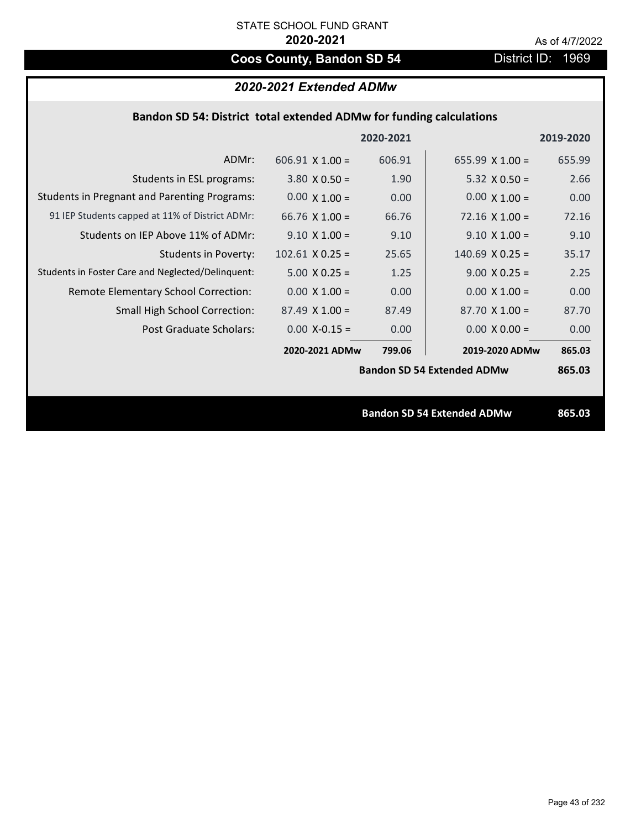# **Coos County, Bandon SD 54** District ID: 1969

# *2020-2021 Extended ADMw*

|  |  | Bandon SD 54: District total extended ADMw for funding calculations |
|--|--|---------------------------------------------------------------------|
|--|--|---------------------------------------------------------------------|

|                                                     |                        | 2020-2021 |                                   | 2019-2020 |
|-----------------------------------------------------|------------------------|-----------|-----------------------------------|-----------|
| ADMr:                                               | $606.91 \times 1.00 =$ | 606.91    | 655.99 $X$ 1.00 =                 | 655.99    |
| Students in ESL programs:                           | $3.80 \times 0.50 =$   | 1.90      | 5.32 $X$ 0.50 =                   | 2.66      |
| <b>Students in Pregnant and Parenting Programs:</b> | $0.00 \times 1.00 =$   | 0.00      | $0.00 \times 1.00 =$              | 0.00      |
| 91 IEP Students capped at 11% of District ADMr:     | 66.76 $X$ 1.00 =       | 66.76     | $72.16 \times 1.00 =$             | 72.16     |
| Students on IEP Above 11% of ADMr:                  | $9.10 \times 1.00 =$   | 9.10      | $9.10 \times 1.00 =$              | 9.10      |
| <b>Students in Poverty:</b>                         | $102.61$ X 0.25 =      | 25.65     | $140.69$ X 0.25 =                 | 35.17     |
| Students in Foster Care and Neglected/Delinquent:   | $5.00 \times 0.25 =$   | 1.25      | $9.00 \times 0.25 =$              | 2.25      |
| Remote Elementary School Correction:                | $0.00 \times 1.00 =$   | 0.00      | $0.00 \times 1.00 =$              | 0.00      |
| <b>Small High School Correction:</b>                | $87.49 \times 1.00 =$  | 87.49     | $87.70 \times 1.00 =$             | 87.70     |
| Post Graduate Scholars:                             | $0.00$ X-0.15 =        | 0.00      | $0.00 X 0.00 =$                   | 0.00      |
|                                                     | 2020-2021 ADMw         | 799.06    | 2019-2020 ADMw                    | 865.03    |
|                                                     |                        |           | <b>Bandon SD 54 Extended ADMw</b> | 865.03    |
|                                                     |                        |           |                                   |           |
|                                                     |                        |           | <b>Bandon SD 54 Extended ADMw</b> | 865.03    |
|                                                     |                        |           |                                   |           |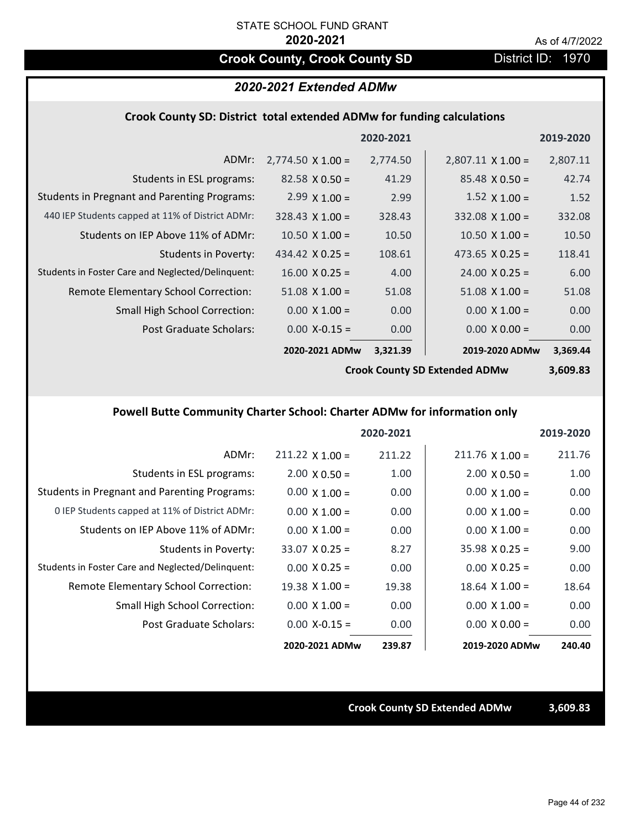# **Crook County, Crook County SD District ID: 1970**

# *2020-2021 Extended ADMw*

#### **Crook County SD: District total extended ADMw for funding calculations**

|                                                     |                          | 2020-2021 |                          | 2019-2020 |
|-----------------------------------------------------|--------------------------|-----------|--------------------------|-----------|
| ADMr:                                               | $2,774.50 \times 1.00 =$ | 2,774.50  | $2,807.11 \times 1.00 =$ | 2,807.11  |
| Students in ESL programs:                           | $82.58 \times 0.50 =$    | 41.29     | $85.48 \times 0.50 =$    | 42.74     |
| <b>Students in Pregnant and Parenting Programs:</b> | $2.99 \times 1.00 =$     | 2.99      | $1.52 \times 1.00 =$     | 1.52      |
| 440 IEP Students capped at 11% of District ADMr:    | $328.43 \times 1.00 =$   | 328.43    | $332.08 \times 1.00 =$   | 332.08    |
| Students on IEP Above 11% of ADMr:                  | $10.50 \times 1.00 =$    | 10.50     | $10.50 \times 1.00 =$    | 10.50     |
| <b>Students in Poverty:</b>                         | 434.42 $X$ 0.25 =        | 108.61    | 473.65 $X$ 0.25 =        | 118.41    |
| Students in Foster Care and Neglected/Delinquent:   | $16.00 \times 0.25 =$    | 4.00      | $24.00 \times 0.25 =$    | 6.00      |
| Remote Elementary School Correction:                | $51.08 \times 1.00 =$    | 51.08     | $51.08 \times 1.00 =$    | 51.08     |
| <b>Small High School Correction:</b>                | $0.00 \times 1.00 =$     | 0.00      | $0.00 \times 1.00 =$     | 0.00      |
| Post Graduate Scholars:                             | $0.00$ X-0.15 =          | 0.00      | $0.00 \times 0.00 =$     | 0.00      |
|                                                     | 2020-2021 ADMw           | 3,321.39  | 2019-2020 ADMw           | 3,369.44  |

**Crook County SD Extended ADMw**

**3,609.83**

# **Powell Butte Community Charter School: Charter ADMw for information only**

|                                                     |                       | 2020-2021 |                        | 2019-2020 |
|-----------------------------------------------------|-----------------------|-----------|------------------------|-----------|
| ADMr:                                               | $211.22$ X 1.00 =     | 211.22    | $211.76 \times 1.00 =$ | 211.76    |
| Students in ESL programs:                           | $2.00 \times 0.50 =$  | 1.00      | $2.00 \times 0.50 =$   | 1.00      |
| <b>Students in Pregnant and Parenting Programs:</b> | $0.00 \times 1.00 =$  | 0.00      | $0.00 \times 1.00 =$   | 0.00      |
| 0 IEP Students capped at 11% of District ADMr:      | $0.00 \times 1.00 =$  | 0.00      | $0.00 \times 1.00 =$   | 0.00      |
| Students on IEP Above 11% of ADMr:                  | $0.00 \times 1.00 =$  | 0.00      | $0.00 \times 1.00 =$   | 0.00      |
| Students in Poverty:                                | $33.07 \times 0.25 =$ | 8.27      | $35.98 \times 0.25 =$  | 9.00      |
| Students in Foster Care and Neglected/Delinquent:   | $0.00 \times 0.25 =$  | 0.00      | $0.00 \times 0.25 =$   | 0.00      |
| Remote Elementary School Correction:                | $19.38 \times 1.00 =$ | 19.38     | $18.64$ X $1.00 =$     | 18.64     |
| <b>Small High School Correction:</b>                | $0.00 \times 1.00 =$  | 0.00      | $0.00 \times 1.00 =$   | 0.00      |
| Post Graduate Scholars:                             | $0.00 X - 0.15 =$     | 0.00      | $0.00 \times 0.00 =$   | 0.00      |
|                                                     | 2020-2021 ADMw        | 239.87    | 2019-2020 ADMw         | 240.40    |

**Crook County SD Extended ADMw 3,609.83**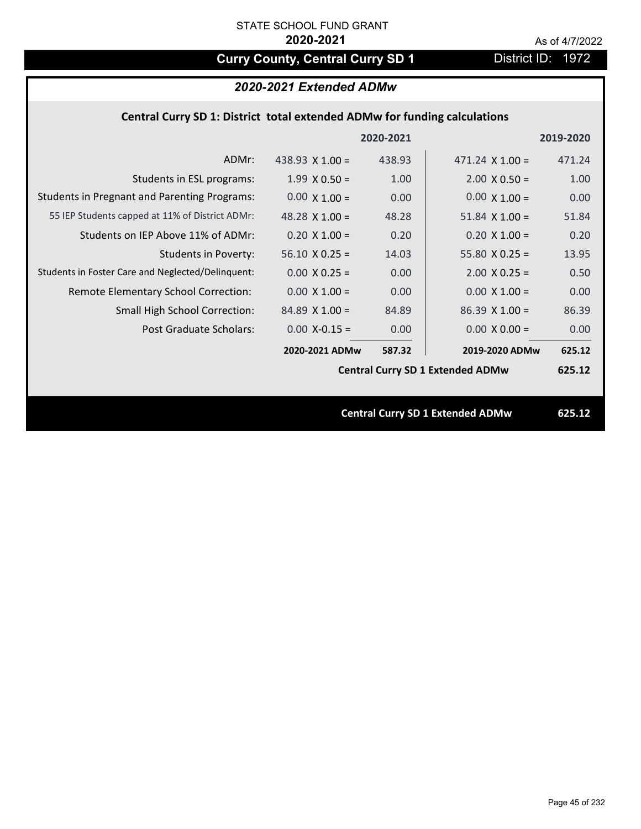# **Curry County, Central Curry SD 1** District ID: 1972

## *2020-2021 Extended ADMw*

## **Central Curry SD 1: District total extended ADMw for funding calculations**

|                                                     |                       | 2020-2021 |                                         | 2019-2020 |
|-----------------------------------------------------|-----------------------|-----------|-----------------------------------------|-----------|
| ADMr:                                               | 438.93 $X$ 1.00 =     | 438.93    | $471.24$ X $1.00 =$                     | 471.24    |
| Students in ESL programs:                           | $1.99 \times 0.50 =$  | 1.00      | $2.00 \times 0.50 =$                    | 1.00      |
| <b>Students in Pregnant and Parenting Programs:</b> | $0.00 \times 1.00 =$  | 0.00      | $0.00 \times 1.00 =$                    | 0.00      |
| 55 IEP Students capped at 11% of District ADMr:     | 48.28 $\times$ 1.00 = | 48.28     | $51.84 \times 1.00 =$                   | 51.84     |
| Students on IEP Above 11% of ADMr:                  | $0.20 \times 1.00 =$  | 0.20      | $0.20 \times 1.00 =$                    | 0.20      |
| <b>Students in Poverty:</b>                         | $56.10 \times 0.25 =$ | 14.03     | $55.80 X 0.25 =$                        | 13.95     |
| Students in Foster Care and Neglected/Delinquent:   | $0.00 \times 0.25 =$  | 0.00      | $2.00$ X 0.25 =                         | 0.50      |
| Remote Elementary School Correction:                | $0.00 \times 1.00 =$  | 0.00      | $0.00 \times 1.00 =$                    | 0.00      |
| <b>Small High School Correction:</b>                | $84.89$ X 1.00 =      | 84.89     | $86.39$ X 1.00 =                        | 86.39     |
| <b>Post Graduate Scholars:</b>                      | $0.00$ X-0.15 =       | 0.00      | $0.00 \times 0.00 =$                    | 0.00      |
|                                                     | 2020-2021 ADMw        | 587.32    | 2019-2020 ADMw                          | 625.12    |
|                                                     |                       |           | <b>Central Curry SD 1 Extended ADMw</b> | 625.12    |
|                                                     |                       |           |                                         |           |
|                                                     |                       |           | <b>Central Curry SD 1 Extended ADMw</b> | 625.12    |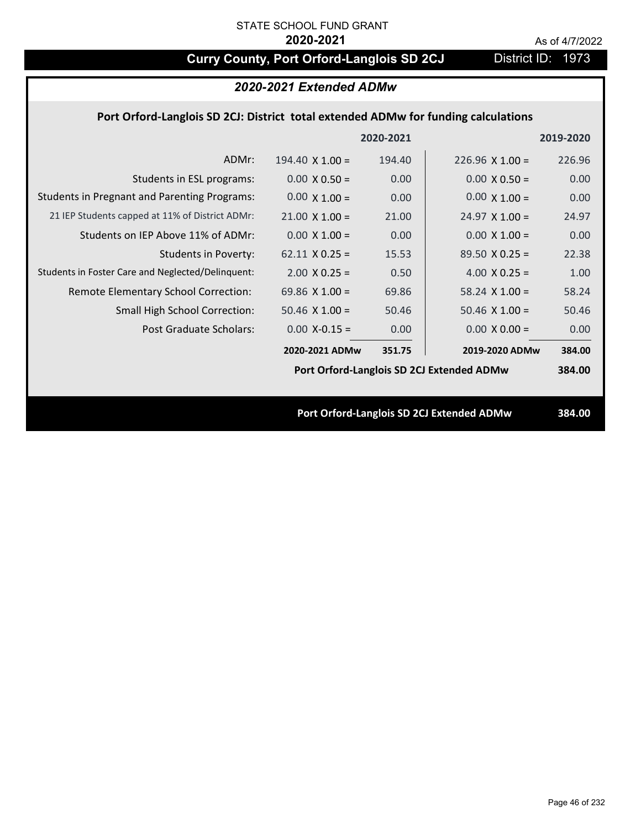# **Curry County, Port Orford-Langlois SD 2CJ** District ID: 1973

| 2020-2021 Extended ADMw |  |
|-------------------------|--|
|-------------------------|--|

## **Port Orford‐Langlois SD 2CJ: District total extended ADMw for funding calculations**

|                                                     |                        | 2020-2021 |                                           | 2019-2020 |
|-----------------------------------------------------|------------------------|-----------|-------------------------------------------|-----------|
| ADMr:                                               | $194.40 \times 1.00 =$ | 194.40    | $226.96 \times 1.00 =$                    | 226.96    |
| Students in ESL programs:                           | $0.00 \times 0.50 =$   | 0.00      | $0.00 \times 0.50 =$                      | 0.00      |
| <b>Students in Pregnant and Parenting Programs:</b> | $0.00 \times 1.00 =$   | 0.00      | $0.00 \times 1.00 =$                      | 0.00      |
| 21 IEP Students capped at 11% of District ADMr:     | $21.00 \times 1.00 =$  | 21.00     | $24.97 \times 1.00 =$                     | 24.97     |
| Students on IEP Above 11% of ADMr:                  | $0.00 \times 1.00 =$   | 0.00      | $0.00$ X $1.00 =$                         | 0.00      |
| <b>Students in Poverty:</b>                         | $62.11 \times 0.25 =$  | 15.53     | $89.50 \times 0.25 =$                     | 22.38     |
| Students in Foster Care and Neglected/Delinquent:   | $2.00 \times 0.25 =$   | 0.50      | 4.00 $X$ 0.25 =                           | 1.00      |
| Remote Elementary School Correction:                | 69.86 $X$ 1.00 =       | 69.86     | $58.24$ X 1.00 =                          | 58.24     |
| <b>Small High School Correction:</b>                | $50.46$ X $1.00 =$     | 50.46     | $50.46$ X $1.00 =$                        | 50.46     |
| Post Graduate Scholars:                             | $0.00$ X-0.15 =        | 0.00      | $0.00 \times 0.00 =$                      | 0.00      |
|                                                     | 2020-2021 ADMw         | 351.75    | 2019-2020 ADMw                            | 384.00    |
|                                                     |                        |           | Port Orford-Langlois SD 2CJ Extended ADMw | 384.00    |
|                                                     |                        |           |                                           |           |
|                                                     |                        |           | Port Orford-Langlois SD 2CJ Extended ADMw | 384.00    |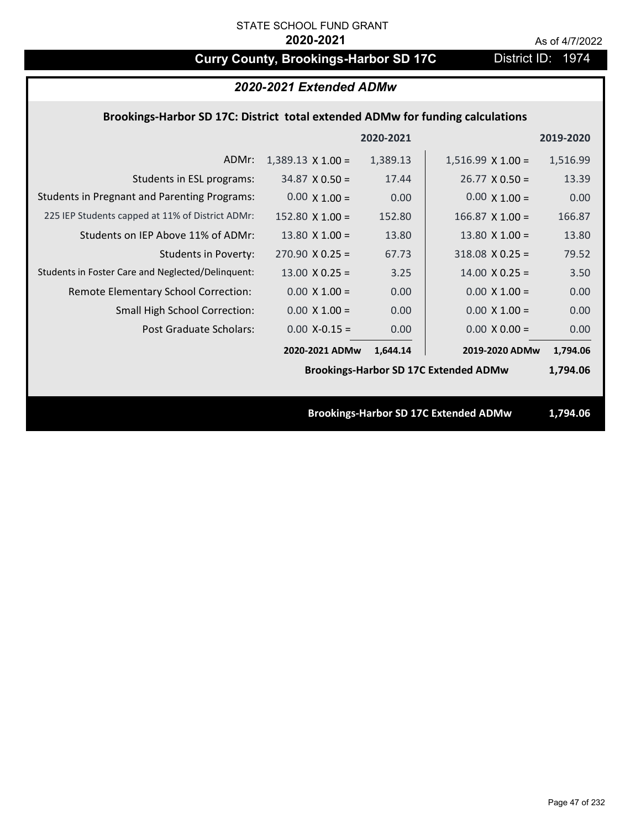# **Curry County, Brookings-Harbor SD 17C** District ID: 1974

| 2020-2021 Extended ADMw                                                        |                          |           |                                              |           |  |
|--------------------------------------------------------------------------------|--------------------------|-----------|----------------------------------------------|-----------|--|
| Brookings-Harbor SD 17C: District total extended ADMw for funding calculations |                          |           |                                              |           |  |
|                                                                                |                          | 2020-2021 |                                              | 2019-2020 |  |
| ADMr:                                                                          | $1,389.13 \times 1.00 =$ | 1,389.13  | $1,516.99 \times 1.00 =$                     | 1,516.99  |  |
| Students in ESL programs:                                                      | $34.87 \times 0.50 =$    | 17.44     | $26.77 \times 0.50 =$                        | 13.39     |  |
| <b>Students in Pregnant and Parenting Programs:</b>                            | $0.00 \times 1.00 =$     | 0.00      | $0.00 \times 1.00 =$                         | 0.00      |  |
| 225 IEP Students capped at 11% of District ADMr:                               | $152.80 \times 1.00 =$   | 152.80    | $166.87$ X 1.00 =                            | 166.87    |  |
| Students on IEP Above 11% of ADMr:                                             | $13.80 \times 1.00 =$    | 13.80     | 13.80 $X$ 1.00 =                             | 13.80     |  |
| <b>Students in Poverty:</b>                                                    | $270.90 \times 0.25 =$   | 67.73     | $318.08$ X 0.25 =                            | 79.52     |  |
| Students in Foster Care and Neglected/Delinquent:                              | $13.00 \times 0.25 =$    | 3.25      | $14.00 \times 0.25 =$                        | 3.50      |  |
| Remote Elementary School Correction:                                           | $0.00 \times 1.00 =$     | 0.00      | $0.00 \times 1.00 =$                         | 0.00      |  |
| <b>Small High School Correction:</b>                                           | $0.00 \times 1.00 =$     | 0.00      | $0.00 \times 1.00 =$                         | 0.00      |  |
| Post Graduate Scholars:                                                        | $0.00$ X-0.15 =          | 0.00      | $0.00 X 0.00 =$                              | 0.00      |  |
|                                                                                | 2020-2021 ADMw           | 1.644.14  | 2019-2020 ADMw                               | 1,794.06  |  |
|                                                                                |                          |           | <b>Brookings-Harbor SD 17C Extended ADMw</b> | 1,794.06  |  |
|                                                                                |                          |           |                                              |           |  |
| <b>Brookings-Harbor SD 17C Extended ADMw</b>                                   |                          |           |                                              | 1,794.06  |  |
|                                                                                |                          |           |                                              |           |  |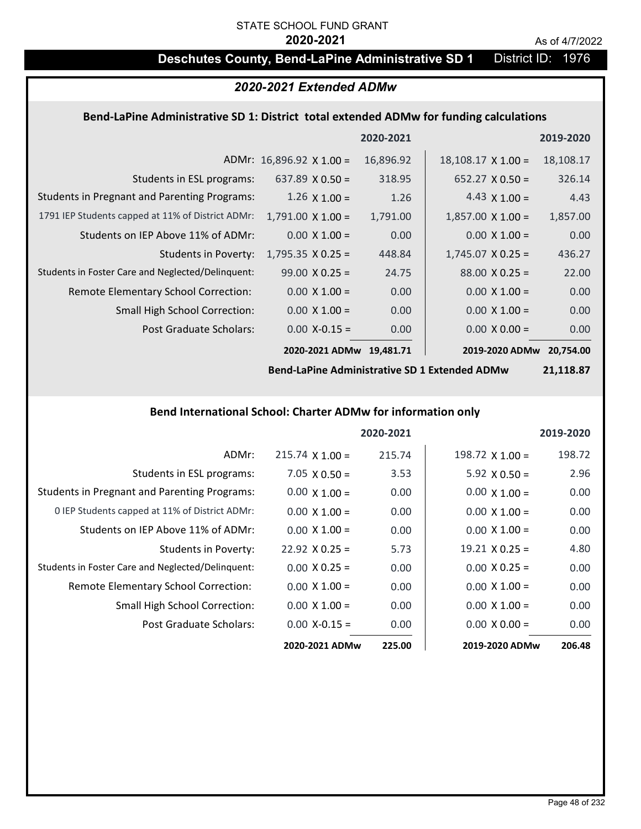# STATE SCHOOL FUND GRANT

#### **2020-2021** As of 4/7/2022

# **Deschutes County, Bend-LaPine Administrative SD 1** District ID: 1976

## *2020-2021 Extended ADMw*

### **Bend‐LaPine Administrative SD 1: District total extended ADMw for funding calculations**

|                                                     |                                 | 2020-2021 |                           | 2019-2020 |
|-----------------------------------------------------|---------------------------------|-----------|---------------------------|-----------|
|                                                     | ADMr: $16,896.92 \times 1.00 =$ | 16,896.92 | $18,108.17 \times 1.00 =$ | 18,108.17 |
| Students in ESL programs:                           | 637.89 $\times$ 0.50 =          | 318.95    | $652.27 \times 0.50 =$    | 326.14    |
| <b>Students in Pregnant and Parenting Programs:</b> | $1.26 \times 1.00 =$            | 1.26      | 4.43 $\times$ 1.00 =      | 4.43      |
| 1791 IEP Students capped at 11% of District ADMr:   | $1,791.00 \times 1.00 =$        | 1,791.00  | $1,857.00 \times 1.00 =$  | 1,857.00  |
| Students on IEP Above 11% of ADMr:                  | $0.00 \times 1.00 =$            | 0.00      | $0.00 \times 1.00 =$      | 0.00      |
| <b>Students in Poverty:</b>                         | $1,795.35 \times 0.25 =$        | 448.84    | $1,745.07 \times 0.25 =$  | 436.27    |
| Students in Foster Care and Neglected/Delinquent:   | $99.00 \times 0.25 =$           | 24.75     | $88.00 \times 0.25 =$     | 22.00     |
| Remote Elementary School Correction:                | $0.00 \times 1.00 =$            | 0.00      | $0.00 \times 1.00 =$      | 0.00      |
| <b>Small High School Correction:</b>                | $0.00 \times 1.00 =$            | 0.00      | $0.00 \times 1.00 =$      | 0.00      |
| Post Graduate Scholars:                             | $0.00 X - 0.15 =$               | 0.00      | $0.00 \times 0.00 =$      | 0.00      |
|                                                     | 2020-2021 ADMw                  | 19.481.71 | 2019-2020 ADMw            | 20.754.00 |

**Bend‐LaPine Administrative SD 1 Extended ADMw**

**21,118.87**

#### **Bend International School: Charter ADMw for information only**

|                                                     |                       | 2020-2021 |                        | 2019-2020 |
|-----------------------------------------------------|-----------------------|-----------|------------------------|-----------|
| ADMr:                                               | $215.74$ X 1.00 =     | 215.74    | $198.72 \times 1.00 =$ | 198.72    |
| Students in ESL programs:                           | $7.05 \times 0.50 =$  | 3.53      | $5.92 \times 0.50 =$   | 2.96      |
| <b>Students in Pregnant and Parenting Programs:</b> | $0.00 \times 1.00 =$  | 0.00      | $0.00 \times 1.00 =$   | 0.00      |
| 0 IEP Students capped at 11% of District ADMr:      | $0.00 \times 1.00 =$  | 0.00      | $0.00 \times 1.00 =$   | 0.00      |
| Students on IEP Above 11% of ADMr:                  | $0.00 \times 1.00 =$  | 0.00      | $0.00 \times 1.00 =$   | 0.00      |
| Students in Poverty:                                | $22.92 \times 0.25 =$ | 5.73      | $19.21 \times 0.25 =$  | 4.80      |
| Students in Foster Care and Neglected/Delinquent:   | $0.00 \times 0.25 =$  | 0.00      | $0.00 \times 0.25 =$   | 0.00      |
| Remote Elementary School Correction:                | $0.00 \times 1.00 =$  | 0.00      | $0.00 \times 1.00 =$   | 0.00      |
| <b>Small High School Correction:</b>                | $0.00 \times 1.00 =$  | 0.00      | $0.00 \times 1.00 =$   | 0.00      |
| Post Graduate Scholars:                             | $0.00 X - 0.15 =$     | 0.00      | $0.00 \times 0.00 =$   | 0.00      |
|                                                     | 2020-2021 ADMw        | 225.00    | 2019-2020 ADMw         | 206.48    |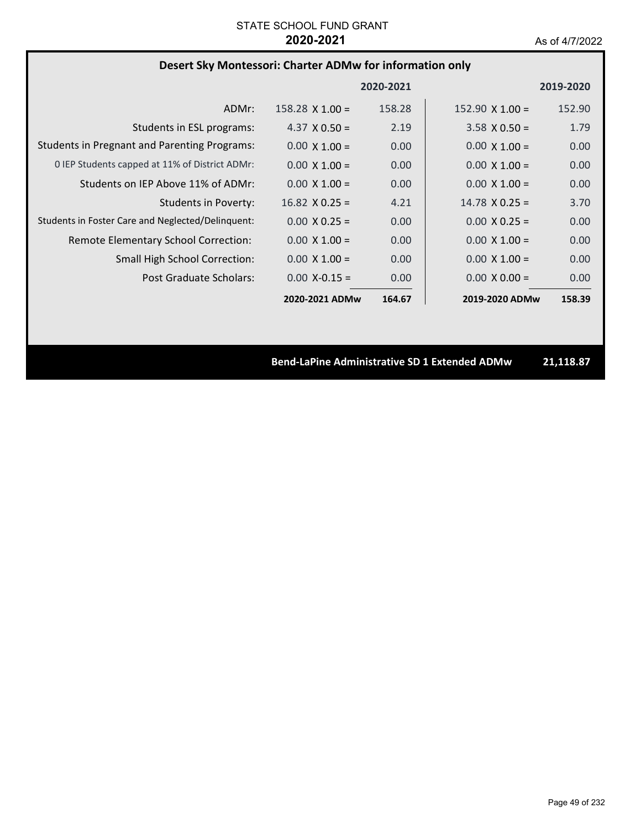# **Desert Sky Montessori: Charter ADMw for information only**

|                                                     |                        | 2020-2021 |                        | 2019-2020 |
|-----------------------------------------------------|------------------------|-----------|------------------------|-----------|
| ADMr:                                               | $158.28 \times 1.00 =$ | 158.28    | 152.90 $\times$ 1.00 = | 152.90    |
| Students in ESL programs:                           | 4.37 $\times$ 0.50 =   | 2.19      | $3.58 \times 0.50 =$   | 1.79      |
| <b>Students in Pregnant and Parenting Programs:</b> | $0.00 \times 1.00 =$   | 0.00      | $0.00 \times 1.00 =$   | 0.00      |
| 0 IEP Students capped at 11% of District ADMr:      | $0.00 \times 1.00 =$   | 0.00      | $0.00 \times 1.00 =$   | 0.00      |
| Students on IEP Above 11% of ADMr:                  | $0.00 \times 1.00 =$   | 0.00      | $0.00 \times 1.00 =$   | 0.00      |
| Students in Poverty:                                | $16.82 \times 0.25 =$  | 4.21      | $14.78 \times 0.25 =$  | 3.70      |
| Students in Foster Care and Neglected/Delinquent:   | $0.00 \times 0.25 =$   | 0.00      | $0.00 \times 0.25 =$   | 0.00      |
| Remote Elementary School Correction:                | $0.00 \times 1.00 =$   | 0.00      | $0.00 \times 1.00 =$   | 0.00      |
| <b>Small High School Correction:</b>                | $0.00 \times 1.00 =$   | 0.00      | $0.00 \times 1.00 =$   | 0.00      |
| Post Graduate Scholars:                             | $0.00 X - 0.15 =$      | 0.00      | $0.00 \times 0.00 =$   | 0.00      |
|                                                     | 2020-2021 ADMw         | 164.67    | 2019-2020 ADMw         | 158.39    |

**Bend‐LaPine Administrative SD 1 Extended ADMw 21,118.87**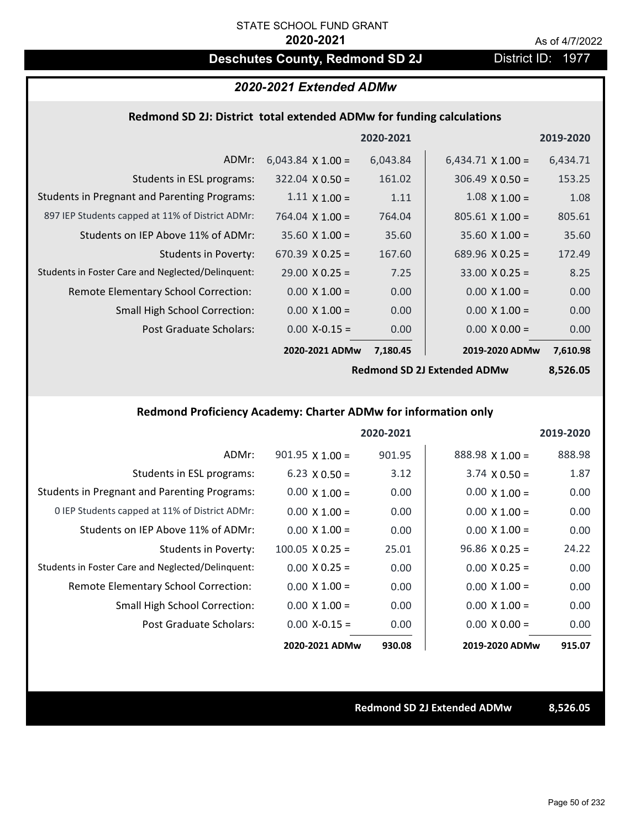# **Deschutes County, Redmond SD 2J District ID: 1977**

# *2020-2021 Extended ADMw*

### **Redmond SD 2J: District total extended ADMw for funding calculations**

|                                                     |                          | 2020-2021 |                          | 2019-2020 |
|-----------------------------------------------------|--------------------------|-----------|--------------------------|-----------|
| ADMr:                                               | $6,043.84 \times 1.00 =$ | 6,043.84  | $6,434.71 \times 1.00 =$ | 6,434.71  |
| Students in ESL programs:                           | $322.04 \times 0.50 =$   | 161.02    | $306.49 \times 0.50 =$   | 153.25    |
| <b>Students in Pregnant and Parenting Programs:</b> | $1.11 \times 1.00 =$     | 1.11      | $1.08 \times 1.00 =$     | 1.08      |
| 897 IEP Students capped at 11% of District ADMr:    | 764.04 $\times$ 1.00 =   | 764.04    | $805.61 \times 1.00 =$   | 805.61    |
| Students on IEP Above 11% of ADMr:                  | $35.60 \times 1.00 =$    | 35.60     | $35.60$ X $1.00 =$       | 35.60     |
| <b>Students in Poverty:</b>                         | 670.39 $X$ 0.25 =        | 167.60    | 689.96 $X$ 0.25 =        | 172.49    |
| Students in Foster Care and Neglected/Delinquent:   | $29.00 \times 0.25 =$    | 7.25      | $33.00 \times 0.25 =$    | 8.25      |
| Remote Elementary School Correction:                | $0.00 \times 1.00 =$     | 0.00      | $0.00 \times 1.00 =$     | 0.00      |
| <b>Small High School Correction:</b>                | $0.00 \times 1.00 =$     | 0.00      | $0.00 \times 1.00 =$     | 0.00      |
| Post Graduate Scholars:                             | $0.00$ X-0.15 =          | 0.00      | $0.00 X 0.00 =$          | 0.00      |
|                                                     | 2020-2021 ADMw           | 7,180.45  | 2019-2020 ADMw           | 7,610.98  |
|                                                     |                          |           |                          |           |

**Redmond SD 2J Extended ADMw**

**8,526.05**

## **Redmond Proficiency Academy: Charter ADMw for information only**

|                                                     |                        | 2020-2021 |                       | 2019-2020 |
|-----------------------------------------------------|------------------------|-----------|-----------------------|-----------|
| ADMr:                                               | $901.95$ X 1.00 =      | 901.95    | 888.98 X 1.00 =       | 888.98    |
| Students in ESL programs:                           | $6.23 \times 0.50 =$   | 3.12      | $3.74 \times 0.50 =$  | 1.87      |
| <b>Students in Pregnant and Parenting Programs:</b> | $0.00 \times 1.00 =$   | 0.00      | $0.00 \times 1.00 =$  | 0.00      |
| 0 IEP Students capped at 11% of District ADMr:      | $0.00 \times 1.00 =$   | 0.00      | $0.00 \times 1.00 =$  | 0.00      |
| Students on IEP Above 11% of ADMr:                  | $0.00 \times 1.00 =$   | 0.00      | $0.00 \times 1.00 =$  | 0.00      |
| Students in Poverty:                                | $100.05 \times 0.25 =$ | 25.01     | $96.86 \times 0.25 =$ | 24.22     |
| Students in Foster Care and Neglected/Delinquent:   | $0.00 \times 0.25 =$   | 0.00      | $0.00 \times 0.25 =$  | 0.00      |
| Remote Elementary School Correction:                | $0.00 \times 1.00 =$   | 0.00      | $0.00 \times 1.00 =$  | 0.00      |
| <b>Small High School Correction:</b>                | $0.00 \times 1.00 =$   | 0.00      | $0.00 \times 1.00 =$  | 0.00      |
| Post Graduate Scholars:                             | $0.00 X - 0.15 =$      | 0.00      | $0.00 \times 0.00 =$  | 0.00      |
|                                                     | 2020-2021 ADMw         | 930.08    | 2019-2020 ADMw        | 915.07    |

**Redmond SD 2J Extended ADMw 8,526.05**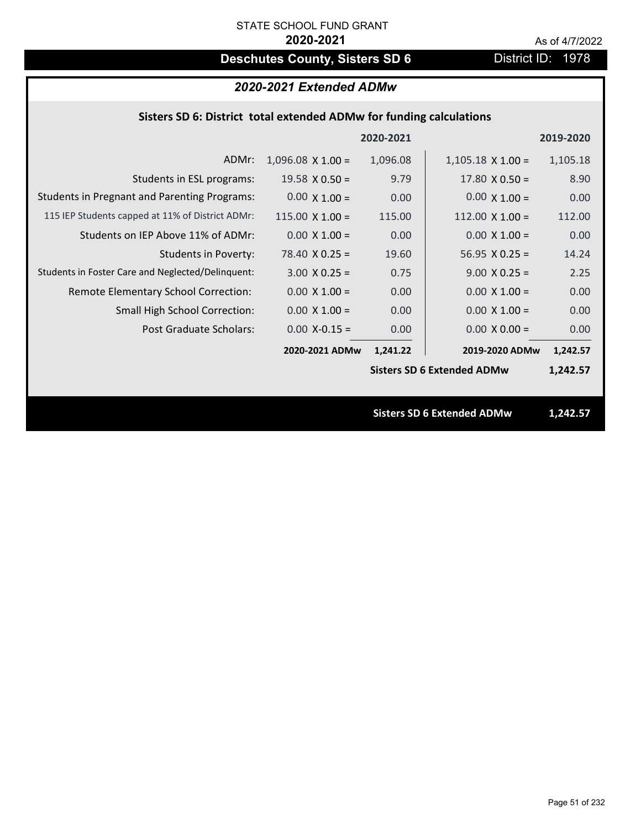# **Deschutes County, Sisters SD 6** District ID: 1978

# *2020-2021 Extended ADMw*

### **Sisters SD 6: District total extended ADMw for funding calculations**

|                                                     |                        | 2020-2021 |                                   | 2019-2020 |
|-----------------------------------------------------|------------------------|-----------|-----------------------------------|-----------|
| ADMr:                                               | $1,096.08$ X 1.00 =    | 1,096.08  | $1,105.18 \times 1.00 =$          | 1,105.18  |
| Students in ESL programs:                           | $19.58 \times 0.50 =$  | 9.79      | $17.80 \times 0.50 =$             | 8.90      |
| <b>Students in Pregnant and Parenting Programs:</b> | $0.00 \times 1.00 =$   | 0.00      | $0.00 \times 1.00 =$              | 0.00      |
| 115 IEP Students capped at 11% of District ADMr:    | $115.00 \times 1.00 =$ | 115.00    | $112.00 \times 1.00 =$            | 112.00    |
| Students on IEP Above 11% of ADMr:                  | $0.00 \times 1.00 =$   | 0.00      | $0.00 \times 1.00 =$              | 0.00      |
| <b>Students in Poverty:</b>                         | $78.40 \times 0.25 =$  | 19.60     | $56.95 \times 0.25 =$             | 14.24     |
| Students in Foster Care and Neglected/Delinquent:   | $3.00 \times 0.25 =$   | 0.75      | $9.00 \times 0.25 =$              | 2.25      |
| Remote Elementary School Correction:                | $0.00 \times 1.00 =$   | 0.00      | $0.00 \times 1.00 =$              | 0.00      |
| <b>Small High School Correction:</b>                | $0.00 \times 1.00 =$   | 0.00      | $0.00 \times 1.00 =$              | 0.00      |
| Post Graduate Scholars:                             | $0.00$ X-0.15 =        | 0.00      | $0.00 \times 0.00 =$              | 0.00      |
|                                                     | 2020-2021 ADMw         | 1,241.22  | 2019-2020 ADMw                    | 1,242.57  |
|                                                     |                        |           | <b>Sisters SD 6 Extended ADMw</b> | 1,242.57  |
|                                                     |                        |           |                                   |           |
|                                                     |                        |           | <b>Sisters SD 6 Extended ADMw</b> | 1,242.57  |
|                                                     |                        |           |                                   |           |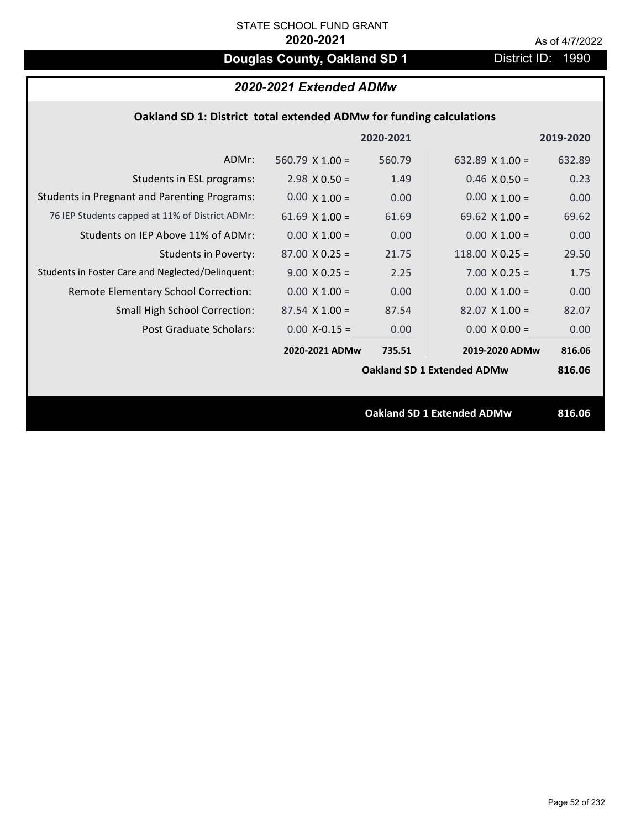# **Douglas County, Oakland SD 1** District ID: 1990

# *2020-2021 Extended ADMw*

### **Oakland SD 1: District total extended ADMw for funding calculations**

|                                                     |                        | 2020-2021 |                                   | 2019-2020 |
|-----------------------------------------------------|------------------------|-----------|-----------------------------------|-----------|
| ADMr:                                               | 560.79 $\times$ 1.00 = | 560.79    | 632.89 $\times$ 1.00 =            | 632.89    |
| Students in ESL programs:                           | $2.98 \times 0.50 =$   | 1.49      | $0.46 \times 0.50 =$              | 0.23      |
| <b>Students in Pregnant and Parenting Programs:</b> | $0.00 \times 1.00 =$   | 0.00      | $0.00 \times 1.00 =$              | 0.00      |
| 76 IEP Students capped at 11% of District ADMr:     | 61.69 $\times$ 1.00 =  | 61.69     | 69.62 $\times$ 1.00 =             | 69.62     |
| Students on IEP Above 11% of ADMr:                  | $0.00 \times 1.00 =$   | 0.00      | $0.00 \times 1.00 =$              | 0.00      |
| Students in Poverty:                                | $87.00 \times 0.25 =$  | 21.75     | 118.00 $X$ 0.25 =                 | 29.50     |
| Students in Foster Care and Neglected/Delinquent:   | $9.00 \times 0.25 =$   | 2.25      | $7.00 \times 0.25 =$              | 1.75      |
| Remote Elementary School Correction:                | $0.00 \times 1.00 =$   | 0.00      | $0.00 \times 1.00 =$              | 0.00      |
| <b>Small High School Correction:</b>                | $87.54 \times 1.00 =$  | 87.54     | $82.07 \times 1.00 =$             | 82.07     |
| Post Graduate Scholars:                             | $0.00$ X-0.15 =        | 0.00      | $0.00 \times 0.00 =$              | 0.00      |
|                                                     | 2020-2021 ADMw         | 735.51    | 2019-2020 ADMw                    | 816.06    |
|                                                     |                        |           | <b>Oakland SD 1 Extended ADMw</b> | 816.06    |
|                                                     |                        |           |                                   |           |
|                                                     |                        |           | <b>Oakland SD 1 Extended ADMw</b> | 816.06    |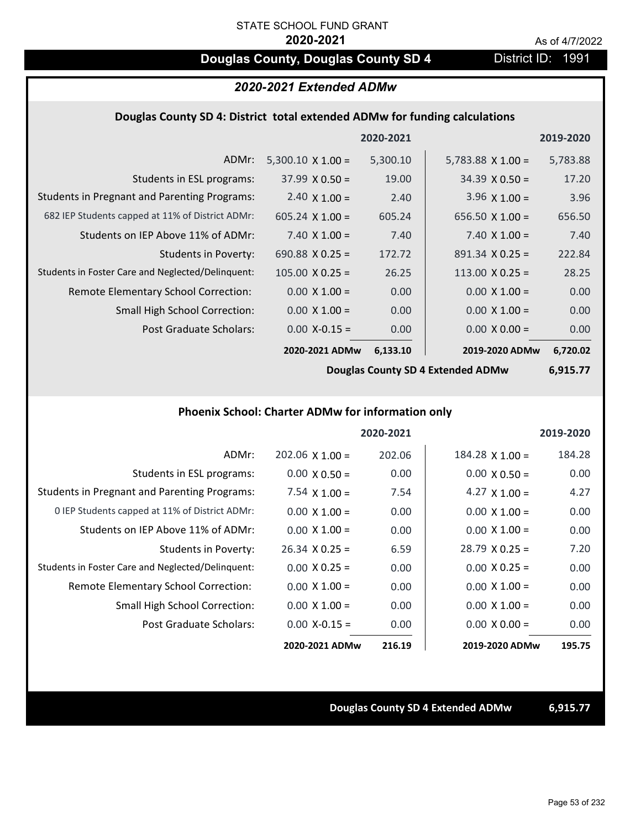# **Douglas County, Douglas County SD 4** District ID: 1991

## *2020-2021 Extended ADMw*

### **Douglas County SD 4: District total extended ADMw for funding calculations**

|                                                     |                          | 2020-2021 |                          | 2019-2020 |
|-----------------------------------------------------|--------------------------|-----------|--------------------------|-----------|
| ADMr:                                               | $5,300.10 \times 1.00 =$ | 5,300.10  | $5,783.88 \times 1.00 =$ | 5,783.88  |
| Students in ESL programs:                           | $37.99 \times 0.50 =$    | 19.00     | $34.39 \times 0.50 =$    | 17.20     |
| <b>Students in Pregnant and Parenting Programs:</b> | 2.40 $\times$ 1.00 =     | 2.40      | 3.96 $\times$ 1.00 =     | 3.96      |
| 682 IEP Students capped at 11% of District ADMr:    | $605.24 \times 1.00 =$   | 605.24    | $656.50 \times 1.00 =$   | 656.50    |
| Students on IEP Above 11% of ADMr:                  | $7.40 \times 1.00 =$     | 7.40      | 7.40 $X$ 1.00 =          | 7.40      |
| <b>Students in Poverty:</b>                         | 690.88 $X$ 0.25 =        | 172.72    | $891.34 \times 0.25 =$   | 222.84    |
| Students in Foster Care and Neglected/Delinquent:   | $105.00 \times 0.25 =$   | 26.25     | $113.00 \times 0.25 =$   | 28.25     |
| Remote Elementary School Correction:                | $0.00 \times 1.00 =$     | 0.00      | $0.00 \times 1.00 =$     | 0.00      |
| <b>Small High School Correction:</b>                | $0.00 \times 1.00 =$     | 0.00      | $0.00 \times 1.00 =$     | 0.00      |
| Post Graduate Scholars:                             | $0.00 X - 0.15 =$        | 0.00      | $0.00 \times 0.00 =$     | 0.00      |
|                                                     | 2020-2021 ADMw           | 6,133.10  | 2019-2020 ADMw           | 6,720.02  |

**Douglas County SD 4 Extended ADMw**

**6,915.77**

#### **Phoenix School: Charter ADMw for information only**

|                                                     |                       | 2020-2021 |                       | 2019-2020 |
|-----------------------------------------------------|-----------------------|-----------|-----------------------|-----------|
| ADMr:                                               | $202.06$ X 1.00 =     | 202.06    | $184.28$ X $1.00 =$   | 184.28    |
| Students in ESL programs:                           | $0.00 \times 0.50 =$  | 0.00      | $0.00 \times 0.50 =$  | 0.00      |
| <b>Students in Pregnant and Parenting Programs:</b> | 7.54 $\times$ 1.00 =  | 7.54      | 4.27 $\times$ 1.00 =  | 4.27      |
| 0 IEP Students capped at 11% of District ADMr:      | $0.00 \times 1.00 =$  | 0.00      | $0.00 \times 1.00 =$  | 0.00      |
| Students on IEP Above 11% of ADMr:                  | $0.00 \times 1.00 =$  | 0.00      | $0.00 \times 1.00 =$  | 0.00      |
| Students in Poverty:                                | $26.34 \times 0.25 =$ | 6.59      | $28.79 \times 0.25 =$ | 7.20      |
| Students in Foster Care and Neglected/Delinquent:   | $0.00 \times 0.25 =$  | 0.00      | $0.00 \times 0.25 =$  | 0.00      |
| Remote Elementary School Correction:                | $0.00 \times 1.00 =$  | 0.00      | $0.00 \times 1.00 =$  | 0.00      |
| <b>Small High School Correction:</b>                | $0.00 \times 1.00 =$  | 0.00      | $0.00 \times 1.00 =$  | 0.00      |
| Post Graduate Scholars:                             | $0.00$ X-0.15 =       | 0.00      | $0.00 \times 0.00 =$  | 0.00      |
|                                                     | 2020-2021 ADMw        | 216.19    | 2019-2020 ADMw        | 195.75    |

### **Douglas County SD 4 Extended ADMw 6,915.77**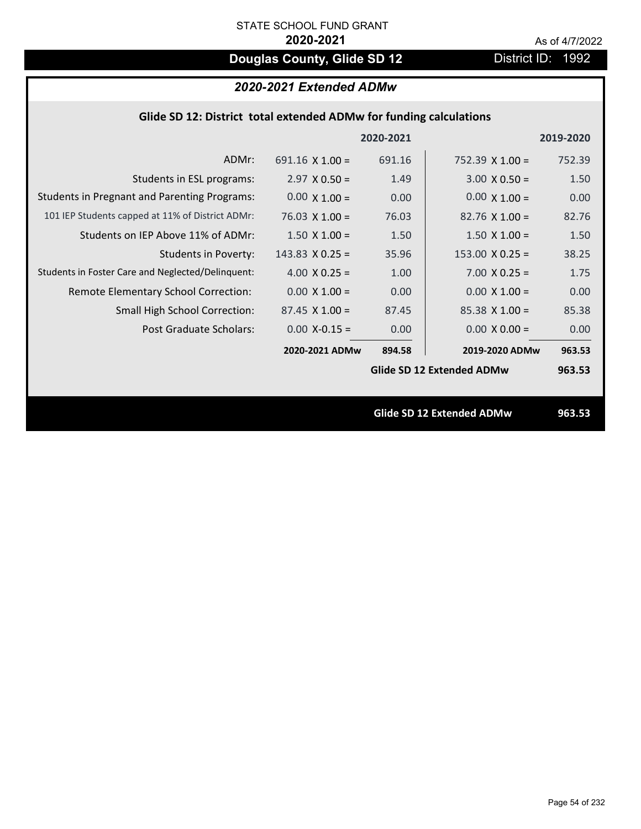# **Douglas County, Glide SD 12** District ID: 1992

# *2020-2021 Extended ADMw*

| Glide SD 12: District total extended ADMw for funding calculations |                        |           |                                  |           |  |
|--------------------------------------------------------------------|------------------------|-----------|----------------------------------|-----------|--|
|                                                                    |                        | 2020-2021 |                                  | 2019-2020 |  |
| ADMr:                                                              | $691.16 \times 1.00 =$ | 691.16    | $752.39 \times 1.00 =$           | 752.39    |  |
| Students in ESL programs:                                          | $2.97 \times 0.50 =$   | 1.49      | $3.00 \times 0.50 =$             | 1.50      |  |
| <b>Students in Pregnant and Parenting Programs:</b>                | $0.00 \times 1.00 =$   | 0.00      | $0.00 \times 1.00 =$             | 0.00      |  |
| 101 IEP Students capped at 11% of District ADMr:                   | $76.03 \times 1.00 =$  | 76.03     | $82.76 \times 1.00 =$            | 82.76     |  |
| Students on IEP Above 11% of ADMr:                                 | $1.50 \times 1.00 =$   | 1.50      | $1.50 \times 1.00 =$             | 1.50      |  |
| <b>Students in Poverty:</b>                                        | $143.83 \times 0.25 =$ | 35.96     | $153.00 \times 0.25 =$           | 38.25     |  |
| Students in Foster Care and Neglected/Delinquent:                  | 4.00 $X$ 0.25 =        | 1.00      | $7.00 \times 0.25 =$             | 1.75      |  |
| Remote Elementary School Correction:                               | $0.00 \times 1.00 =$   | 0.00      | $0.00 \times 1.00 =$             | 0.00      |  |
| Small High School Correction:                                      | $87.45$ X 1.00 =       | 87.45     | $85.38$ X 1.00 =                 | 85.38     |  |
| Post Graduate Scholars:                                            | $0.00$ X-0.15 =        | 0.00      | $0.00 \times 0.00 =$             | 0.00      |  |
|                                                                    | 2020-2021 ADMw         | 894.58    | 2019-2020 ADMw                   | 963.53    |  |
|                                                                    |                        |           | <b>Glide SD 12 Extended ADMw</b> | 963.53    |  |
|                                                                    |                        |           |                                  |           |  |
|                                                                    |                        |           | Glide SD 12 Extended ADMw        | 963.53    |  |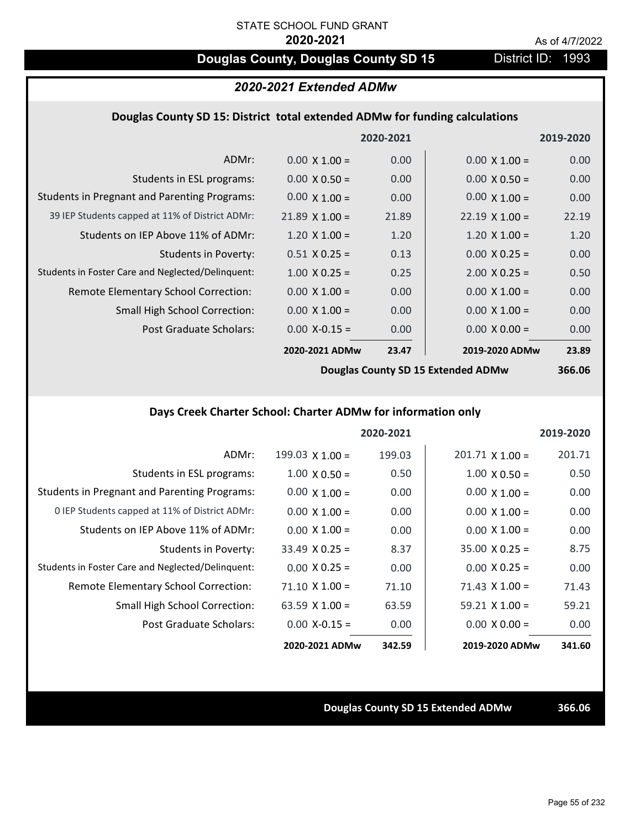# **Douglas County, Douglas County SD 15** District ID: 1993

## *2020-2021 Extended ADMw*

#### **Douglas County SD 15: District total extended ADMw for funding calculations**

|                                                     |                       | 2020-2021 |                       | 2019-2020 |
|-----------------------------------------------------|-----------------------|-----------|-----------------------|-----------|
| ADMr:                                               | $0.00 \times 1.00 =$  | 0.00      | $0.00 \times 1.00 =$  | 0.00      |
| Students in ESL programs:                           | $0.00 \times 0.50 =$  | 0.00      | $0.00 \times 0.50 =$  | 0.00      |
| <b>Students in Pregnant and Parenting Programs:</b> | $0.00 \times 1.00 =$  | 0.00      | $0.00 \times 1.00 =$  | 0.00      |
| 39 IEP Students capped at 11% of District ADMr:     | $21.89 \times 1.00 =$ | 21.89     | $22.19 \times 1.00 =$ | 22.19     |
| Students on IEP Above 11% of ADMr:                  | $1.20 \times 1.00 =$  | 1.20      | $1.20 \times 1.00 =$  | 1.20      |
| <b>Students in Poverty:</b>                         | $0.51 \times 0.25 =$  | 0.13      | $0.00 \times 0.25 =$  | 0.00      |
| Students in Foster Care and Neglected/Delinquent:   | $1.00 \times 0.25 =$  | 0.25      | $2.00 \times 0.25 =$  | 0.50      |
| Remote Elementary School Correction:                | $0.00 \times 1.00 =$  | 0.00      | $0.00 \times 1.00 =$  | 0.00      |
| <b>Small High School Correction:</b>                | $0.00 \times 1.00 =$  | 0.00      | $0.00 \times 1.00 =$  | 0.00      |
| Post Graduate Scholars:                             | $0.00$ X-0.15 =       | 0.00      | $0.00 X 0.00 =$       | 0.00      |
|                                                     | 2020-2021 ADMw        | 23.47     | 2019-2020 ADMw        | 23.89     |
|                                                     |                       |           |                       |           |

**Douglas County SD 15 Extended ADMw**

# **366.06**

# **Days Creek Charter School: Charter ADMw for information only**

|                                                     |                       | 2020-2021 |                        | 2019-2020 |
|-----------------------------------------------------|-----------------------|-----------|------------------------|-----------|
| ADMr:                                               | 199.03 $X$ 1.00 =     | 199.03    | $201.71 \times 1.00 =$ | 201.71    |
| Students in ESL programs:                           | $1.00 \times 0.50 =$  | 0.50      | $1.00 \times 0.50 =$   | 0.50      |
| <b>Students in Pregnant and Parenting Programs:</b> | $0.00 \times 1.00 =$  | 0.00      | $0.00 \times 1.00 =$   | 0.00      |
| 0 IEP Students capped at 11% of District ADMr:      | $0.00 \times 1.00 =$  | 0.00      | $0.00 \times 1.00 =$   | 0.00      |
| Students on IEP Above 11% of ADMr:                  | $0.00 \times 1.00 =$  | 0.00      | $0.00 \times 1.00 =$   | 0.00      |
| Students in Poverty:                                | $33.49 \times 0.25 =$ | 8.37      | $35.00 \times 0.25 =$  | 8.75      |
| Students in Foster Care and Neglected/Delinquent:   | $0.00 \times 0.25 =$  | 0.00      | $0.00 \times 0.25 =$   | 0.00      |
| Remote Elementary School Correction:                | $71.10 \times 1.00 =$ | 71.10     | $71.43 \times 1.00 =$  | 71.43     |
| <b>Small High School Correction:</b>                | 63.59 $X$ 1.00 =      | 63.59     | $59.21 \times 1.00 =$  | 59.21     |
| Post Graduate Scholars:                             | $0.00 X - 0.15 =$     | 0.00      | $0.00 \times 0.00 =$   | 0.00      |
|                                                     | 2020-2021 ADMw        | 342.59    | 2019-2020 ADMw         | 341.60    |

#### **Douglas County SD 15 Extended ADMw 366.06**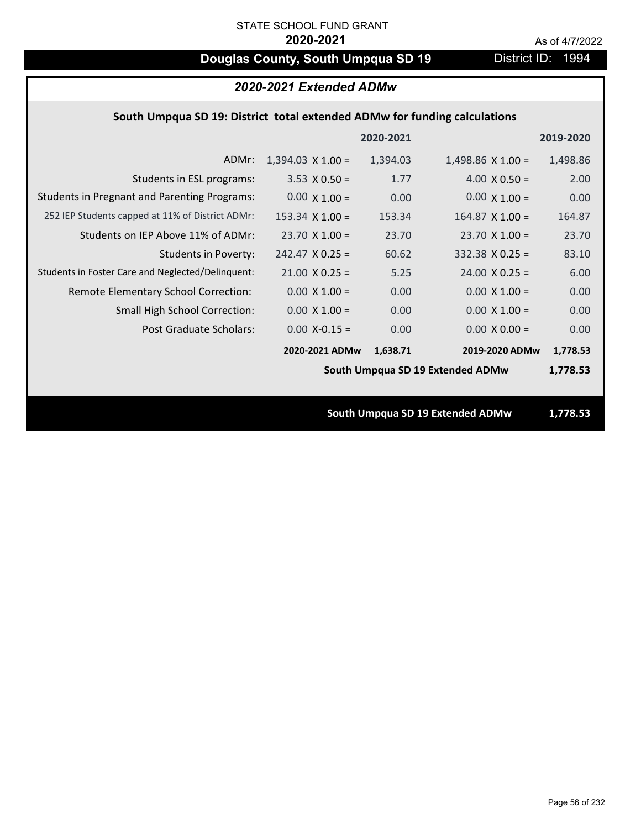# **Douglas County, South Umpqua SD 19** District ID: 1994

| 2020-2021 Extended ADMw                                                   |                          |           |                                  |           |
|---------------------------------------------------------------------------|--------------------------|-----------|----------------------------------|-----------|
| South Umpqua SD 19: District total extended ADMw for funding calculations |                          |           |                                  |           |
|                                                                           |                          | 2020-2021 |                                  | 2019-2020 |
| ADMr:                                                                     | $1,394.03 \times 1.00 =$ | 1,394.03  | $1,498.86 \times 1.00 =$         | 1,498.86  |
| Students in ESL programs:                                                 | $3.53 \times 0.50 =$     | 1.77      | $4.00 \times 0.50 =$             | 2.00      |
| <b>Students in Pregnant and Parenting Programs:</b>                       | $0.00 \times 1.00 =$     | 0.00      | $0.00 \times 1.00 =$             | 0.00      |
| 252 IEP Students capped at 11% of District ADMr:                          | $153.34 \times 1.00 =$   | 153.34    | $164.87$ X 1.00 =                | 164.87    |
| Students on IEP Above 11% of ADMr:                                        | $23.70$ X 1.00 =         | 23.70     | $23.70$ X 1.00 =                 | 23.70     |
| <b>Students in Poverty:</b>                                               | $242.47$ X 0.25 =        | 60.62     | $332.38$ X 0.25 =                | 83.10     |
| Students in Foster Care and Neglected/Delinquent:                         | $21.00 \times 0.25 =$    | 5.25      | $24.00 \times 0.25 =$            | 6.00      |
| Remote Elementary School Correction:                                      | $0.00 \times 1.00 =$     | 0.00      | $0.00 \times 1.00 =$             | 0.00      |
| <b>Small High School Correction:</b>                                      | $0.00 \times 1.00 =$     | 0.00      | $0.00 X 1.00 =$                  | 0.00      |
| <b>Post Graduate Scholars:</b>                                            | $0.00$ X-0.15 =          | 0.00      | $0.00 \times 0.00 =$             | 0.00      |
|                                                                           | 2020-2021 ADMw           | 1,638.71  | 2019-2020 ADMw                   | 1,778.53  |
|                                                                           |                          |           | South Umpqua SD 19 Extended ADMw | 1,778.53  |
|                                                                           |                          |           |                                  |           |
|                                                                           |                          |           | South Umpqua SD 19 Extended ADMw | 1,778.53  |
|                                                                           |                          |           |                                  |           |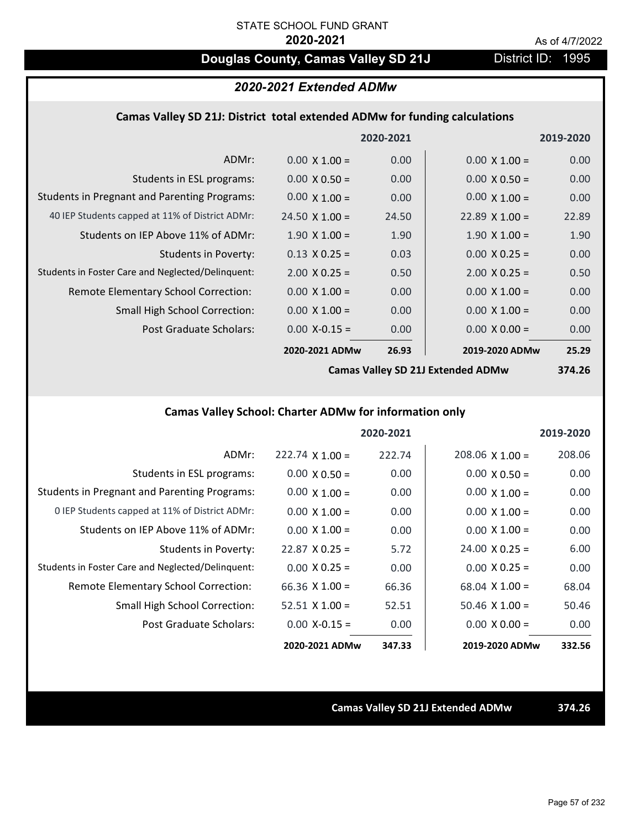# **Douglas County, Camas Valley SD 21J** District ID: 1995

## *2020-2021 Extended ADMw*

#### **Camas Valley SD 21J: District total extended ADMw for funding calculations**

|                                                     |                       | 2020-2021 |                       | 2019-2020 |
|-----------------------------------------------------|-----------------------|-----------|-----------------------|-----------|
| ADMr:                                               | $0.00 \times 1.00 =$  | 0.00      | $0.00 \times 1.00 =$  | 0.00      |
| Students in ESL programs:                           | $0.00 \times 0.50 =$  | 0.00      | $0.00 \times 0.50 =$  | 0.00      |
| <b>Students in Pregnant and Parenting Programs:</b> | $0.00 \times 1.00 =$  | 0.00      | $0.00 \times 1.00 =$  | 0.00      |
| 40 IEP Students capped at 11% of District ADMr:     | $24.50 \times 1.00 =$ | 24.50     | $22.89 \times 1.00 =$ | 22.89     |
| Students on IEP Above 11% of ADMr:                  | $1.90 \times 1.00 =$  | 1.90      | $1.90 \times 1.00 =$  | 1.90      |
| <b>Students in Poverty:</b>                         | $0.13 \times 0.25 =$  | 0.03      | $0.00 \times 0.25 =$  | 0.00      |
| Students in Foster Care and Neglected/Delinquent:   | $2.00 \times 0.25 =$  | 0.50      | $2.00 \times 0.25 =$  | 0.50      |
| Remote Elementary School Correction:                | $0.00 \times 1.00 =$  | 0.00      | $0.00 \times 1.00 =$  | 0.00      |
| <b>Small High School Correction:</b>                | $0.00 \times 1.00 =$  | 0.00      | $0.00 \times 1.00 =$  | 0.00      |
| Post Graduate Scholars:                             | $0.00$ X-0.15 =       | 0.00      | $0.00 \times 0.00 =$  | 0.00      |
|                                                     | 2020-2021 ADMw        | 26.93     | 2019-2020 ADMw        | 25.29     |
|                                                     |                       |           |                       |           |

**Camas Valley SD 21J Extended ADMw**

**374.26**

# **Camas Valley School: Charter ADMw for information only**

|                                                     |                       | 2020-2021 |                        | 2019-2020 |
|-----------------------------------------------------|-----------------------|-----------|------------------------|-----------|
| ADMr:                                               | $222.74$ X 1.00 =     | 222.74    | $208.06 \times 1.00 =$ | 208.06    |
| Students in ESL programs:                           | $0.00 \times 0.50 =$  | 0.00      | $0.00 \times 0.50 =$   | 0.00      |
| <b>Students in Pregnant and Parenting Programs:</b> | $0.00 \times 1.00 =$  | 0.00      | $0.00 \times 1.00 =$   | 0.00      |
| 0 IEP Students capped at 11% of District ADMr:      | $0.00 \times 1.00 =$  | 0.00      | $0.00 \times 1.00 =$   | 0.00      |
| Students on IEP Above 11% of ADMr:                  | $0.00 \times 1.00 =$  | 0.00      | $0.00 \times 1.00 =$   | 0.00      |
| Students in Poverty:                                | $22.87$ X 0.25 =      | 5.72      | $24.00 \times 0.25 =$  | 6.00      |
| Students in Foster Care and Neglected/Delinquent:   | $0.00 \times 0.25 =$  | 0.00      | $0.00 \times 0.25 =$   | 0.00      |
| Remote Elementary School Correction:                | $66.36 \times 1.00 =$ | 66.36     | $68.04 \times 1.00 =$  | 68.04     |
| <b>Small High School Correction:</b>                | $52.51$ X 1.00 =      | 52.51     | $50.46 \times 1.00 =$  | 50.46     |
| Post Graduate Scholars:                             | $0.00$ X-0.15 =       | 0.00      | $0.00 \times 0.00 =$   | 0.00      |
|                                                     | 2020-2021 ADMw        | 347.33    | 2019-2020 ADMw         | 332.56    |

### **Camas Valley SD 21J Extended ADMw 374.26**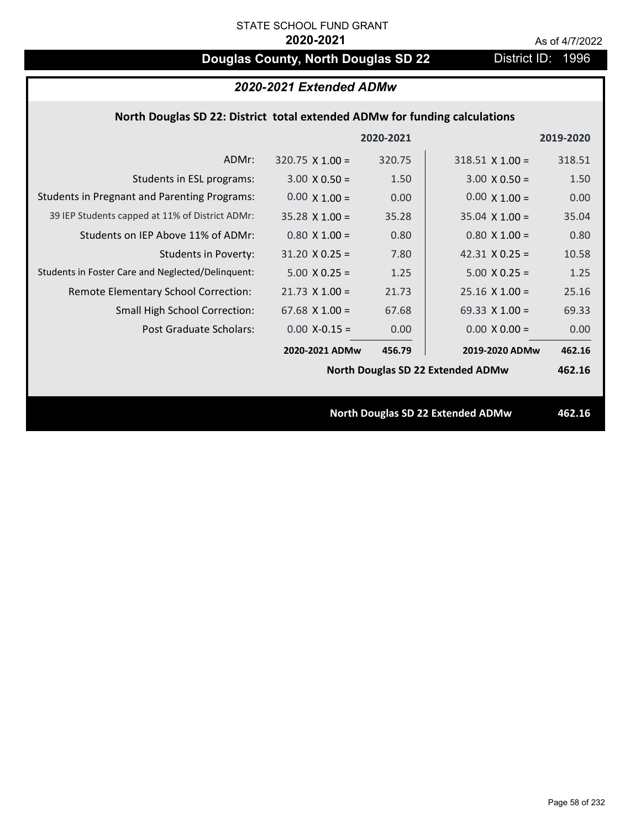# **Douglas County, North Douglas SD 22** District ID: 1996

| 2020-2021 Extended ADMw                                                    |                        |           |                                          |           |  |
|----------------------------------------------------------------------------|------------------------|-----------|------------------------------------------|-----------|--|
| North Douglas SD 22: District total extended ADMw for funding calculations |                        |           |                                          |           |  |
|                                                                            |                        | 2020-2021 |                                          | 2019-2020 |  |
| ADMr:                                                                      | $320.75 \times 1.00 =$ | 320.75    | $318.51$ X 1.00 =                        | 318.51    |  |
| Students in ESL programs:                                                  | $3.00 \times 0.50 =$   | 1.50      | $3.00 \times 0.50 =$                     | 1.50      |  |
| <b>Students in Pregnant and Parenting Programs:</b>                        | $0.00 \times 1.00 =$   | 0.00      | $0.00 \times 1.00 =$                     | 0.00      |  |
| 39 IEP Students capped at 11% of District ADMr:                            | $35.28 \times 1.00 =$  | 35.28     | $35.04 \times 1.00 =$                    | 35.04     |  |
| Students on IEP Above 11% of ADMr:                                         | $0.80$ X 1.00 =        | 0.80      | $0.80$ X 1.00 =                          | 0.80      |  |
| <b>Students in Poverty:</b>                                                | $31.20 \times 0.25 =$  | 7.80      | 42.31 $X$ 0.25 =                         | 10.58     |  |
| Students in Foster Care and Neglected/Delinquent:                          | $5.00 X 0.25 =$        | 1.25      | $5.00 \times 0.25 =$                     | 1.25      |  |
| Remote Elementary School Correction:                                       | $21.73$ X $1.00 =$     | 21.73     | $25.16 \times 1.00 =$                    | 25.16     |  |
| Small High School Correction:                                              | $67.68$ X 1.00 =       | 67.68     | 69.33 $X$ 1.00 =                         | 69.33     |  |
| Post Graduate Scholars:                                                    | $0.00$ X-0.15 =        | 0.00      | $0.00 \times 0.00 =$                     | 0.00      |  |
|                                                                            | 2020-2021 ADMw         | 456.79    | 2019-2020 ADMw                           | 462.16    |  |
|                                                                            |                        |           | <b>North Douglas SD 22 Extended ADMw</b> | 462.16    |  |
|                                                                            |                        |           |                                          |           |  |
|                                                                            |                        |           | <b>North Douglas SD 22 Extended ADMw</b> | 462.16    |  |
|                                                                            |                        |           |                                          |           |  |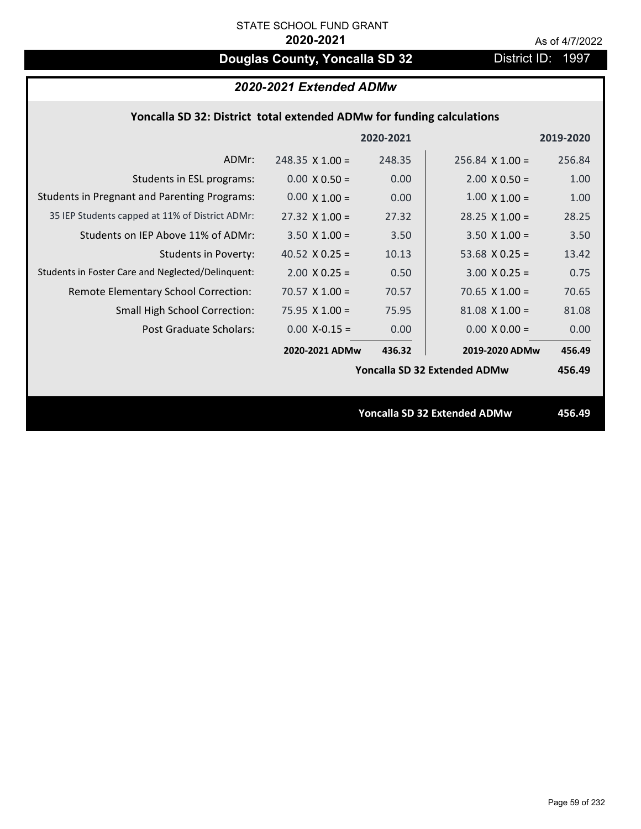# **Douglas County, Yoncalla SD 32** District ID: 1997

| 2020-2021 Extended ADMw |
|-------------------------|
|-------------------------|

|  | Yoncalla SD 32: District total extended ADMw for funding calculations |  |
|--|-----------------------------------------------------------------------|--|
|--|-----------------------------------------------------------------------|--|

|                                                     |                        | 2020-2021 |                                     | 2019-2020 |
|-----------------------------------------------------|------------------------|-----------|-------------------------------------|-----------|
| ADMr:                                               | $248.35 \times 1.00 =$ | 248.35    | $256.84 \times 1.00 =$              | 256.84    |
| Students in ESL programs:                           | $0.00 \times 0.50 =$   | 0.00      | $2.00 \times 0.50 =$                | 1.00      |
| <b>Students in Pregnant and Parenting Programs:</b> | $0.00 \times 1.00 =$   | 0.00      | $1.00 \times 1.00 =$                | 1.00      |
| 35 IEP Students capped at 11% of District ADMr:     | $27.32 \times 1.00 =$  | 27.32     | $28.25 \times 1.00 =$               | 28.25     |
| Students on IEP Above 11% of ADMr:                  | $3.50 \times 1.00 =$   | 3.50      | $3.50 \times 1.00 =$                | 3.50      |
| <b>Students in Poverty:</b>                         | 40.52 $X$ 0.25 =       | 10.13     | 53.68 $X$ 0.25 =                    | 13.42     |
| Students in Foster Care and Neglected/Delinquent:   | $2.00 \times 0.25 =$   | 0.50      | $3.00 \times 0.25 =$                | 0.75      |
| Remote Elementary School Correction:                | $70.57$ X 1.00 =       | 70.57     | 70.65 $X$ 1.00 =                    | 70.65     |
| <b>Small High School Correction:</b>                | $75.95 \times 1.00 =$  | 75.95     | $81.08 \times 1.00 =$               | 81.08     |
| Post Graduate Scholars:                             | $0.00$ X-0.15 =        | 0.00      | $0.00 \times 0.00 =$                | 0.00      |
|                                                     | 2020-2021 ADMw         | 436.32    | 2019-2020 ADMw                      | 456.49    |
|                                                     |                        |           | Yoncalla SD 32 Extended ADMw        | 456.49    |
|                                                     |                        |           |                                     |           |
|                                                     |                        |           | <b>Yoncalla SD 32 Extended ADMw</b> | 456.49    |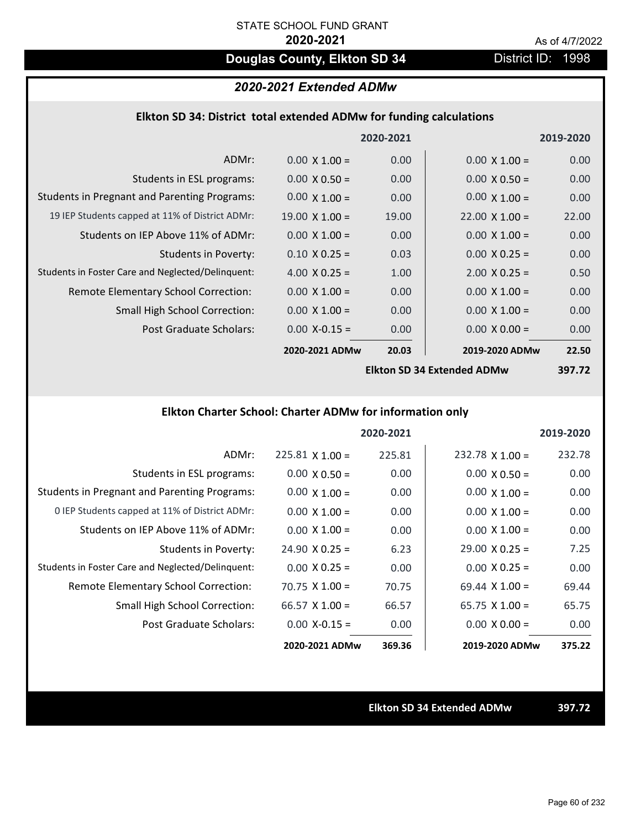# **Douglas County, Elkton SD 34** District ID: 1998

### *2020-2021 Extended ADMw*

### **Elkton SD 34: District total extended ADMw for funding calculations**

|                                                     |                       | 2020-2021 |                            | 2019-2020 |
|-----------------------------------------------------|-----------------------|-----------|----------------------------|-----------|
| ADMr:                                               | $0.00 \times 1.00 =$  | 0.00      | $0.00 \times 1.00 =$       | 0.00      |
| Students in ESL programs:                           | $0.00 \times 0.50 =$  | 0.00      | $0.00 \times 0.50 =$       | 0.00      |
| <b>Students in Pregnant and Parenting Programs:</b> | $0.00 \times 1.00 =$  | 0.00      | $0.00 \times 1.00 =$       | 0.00      |
| 19 IEP Students capped at 11% of District ADMr:     | $19.00 \times 1.00 =$ | 19.00     | $22.00 \times 1.00 =$      | 22.00     |
| Students on IEP Above 11% of ADMr:                  | $0.00 \times 1.00 =$  | 0.00      | $0.00 \times 1.00 =$       | 0.00      |
| <b>Students in Poverty:</b>                         | $0.10 \times 0.25 =$  | 0.03      | $0.00 \times 0.25 =$       | 0.00      |
| Students in Foster Care and Neglected/Delinquent:   | 4.00 $X$ 0.25 =       | 1.00      | $2.00 \times 0.25 =$       | 0.50      |
| Remote Elementary School Correction:                | $0.00 \times 1.00 =$  | 0.00      | $0.00 \times 1.00 =$       | 0.00      |
| <b>Small High School Correction:</b>                | $0.00 \times 1.00 =$  | 0.00      | $0.00 \times 1.00 =$       | 0.00      |
| Post Graduate Scholars:                             | $0.00$ X-0.15 =       | 0.00      | $0.00 \times 0.00 =$       | 0.00      |
|                                                     | 2020-2021 ADMw        | 20.03     | 2019-2020 ADMw             | 22.50     |
|                                                     |                       |           | Ellton CD 24 Extended ADMW | רד דמכ    |

**Elkton SD 34 Extended ADMw**

**397.72**

# **Elkton Charter School: Charter ADMw for information only**

|                                                     |                       | 2020-2021 |                       | 2019-2020 |
|-----------------------------------------------------|-----------------------|-----------|-----------------------|-----------|
| ADMr:                                               | $225.81$ X 1.00 =     | 225.81    | $232.78$ X 1.00 =     | 232.78    |
| Students in ESL programs:                           | $0.00 \times 0.50 =$  | 0.00      | $0.00 \times 0.50 =$  | 0.00      |
| <b>Students in Pregnant and Parenting Programs:</b> | $0.00 \times 1.00 =$  | 0.00      | $0.00 \times 1.00 =$  | 0.00      |
| 0 IEP Students capped at 11% of District ADMr:      | $0.00 \times 1.00 =$  | 0.00      | $0.00 \times 1.00 =$  | 0.00      |
| Students on IEP Above 11% of ADMr:                  | $0.00 \times 1.00 =$  | 0.00      | $0.00 \times 1.00 =$  | 0.00      |
| Students in Poverty:                                | $24.90 \times 0.25 =$ | 6.23      | $29.00 \times 0.25 =$ | 7.25      |
| Students in Foster Care and Neglected/Delinquent:   | $0.00 \times 0.25 =$  | 0.00      | $0.00 \times 0.25 =$  | 0.00      |
| Remote Elementary School Correction:                | $70.75 \times 1.00 =$ | 70.75     | $69.44 \times 1.00 =$ | 69.44     |
| <b>Small High School Correction:</b>                | 66.57 $X$ 1.00 =      | 66.57     | $65.75 \times 1.00 =$ | 65.75     |
| Post Graduate Scholars:                             | $0.00 X - 0.15 =$     | 0.00      | $0.00 \times 0.00 =$  | 0.00      |
|                                                     | 2020-2021 ADMw        | 369.36    | 2019-2020 ADMw        | 375.22    |

**Elkton SD 34 Extended ADMw 397.72**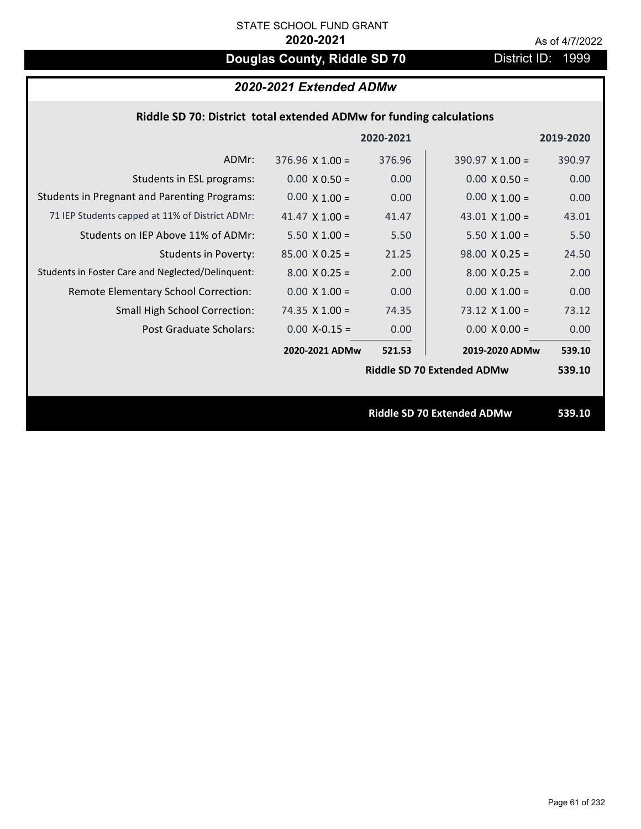# **Douglas County, Riddle SD 70** District ID: 1999

|                                                     |                        | 2020-2021 |                                   | 2019-2020 |
|-----------------------------------------------------|------------------------|-----------|-----------------------------------|-----------|
| ADMr:                                               | $376.96 \times 1.00 =$ | 376.96    | 390.97 $X$ 1.00 =                 | 390.97    |
| Students in ESL programs:                           | $0.00 \times 0.50 =$   | 0.00      | $0.00 \times 0.50 =$              | 0.00      |
| <b>Students in Pregnant and Parenting Programs:</b> | $0.00 \times 1.00 =$   | 0.00      | $0.00 \times 1.00 =$              | 0.00      |
| 71 IEP Students capped at 11% of District ADMr:     | 41.47 $\times$ 1.00 =  | 41.47     | 43.01 $\times$ 1.00 =             | 43.01     |
| Students on IEP Above 11% of ADMr:                  | $5.50 \times 1.00 =$   | 5.50      | $5.50 \times 1.00 =$              | 5.50      |
| <b>Students in Poverty:</b>                         | $85.00 \times 0.25 =$  | 21.25     | $98.00 \times 0.25 =$             | 24.50     |
| Students in Foster Care and Neglected/Delinquent:   | $8.00 \times 0.25 =$   | 2.00      | $8.00 \times 0.25 =$              | 2.00      |
| Remote Elementary School Correction:                | $0.00 X 1.00 =$        | 0.00      | $0.00 \times 1.00 =$              | 0.00      |
| <b>Small High School Correction:</b>                | 74.35 $X$ 1.00 =       | 74.35     | $73.12 \times 1.00 =$             | 73.12     |
| Post Graduate Scholars:                             | $0.00$ X-0.15 =        | 0.00      | $0.00 \times 0.00 =$              | 0.00      |
|                                                     | 2020-2021 ADMw         | 521.53    | 2019-2020 ADMw                    | 539.10    |
|                                                     |                        |           | <b>Riddle SD 70 Extended ADMw</b> | 539.10    |
|                                                     |                        |           |                                   |           |
|                                                     |                        |           | Riddle SD 70 Extended ADMw        | 539.10    |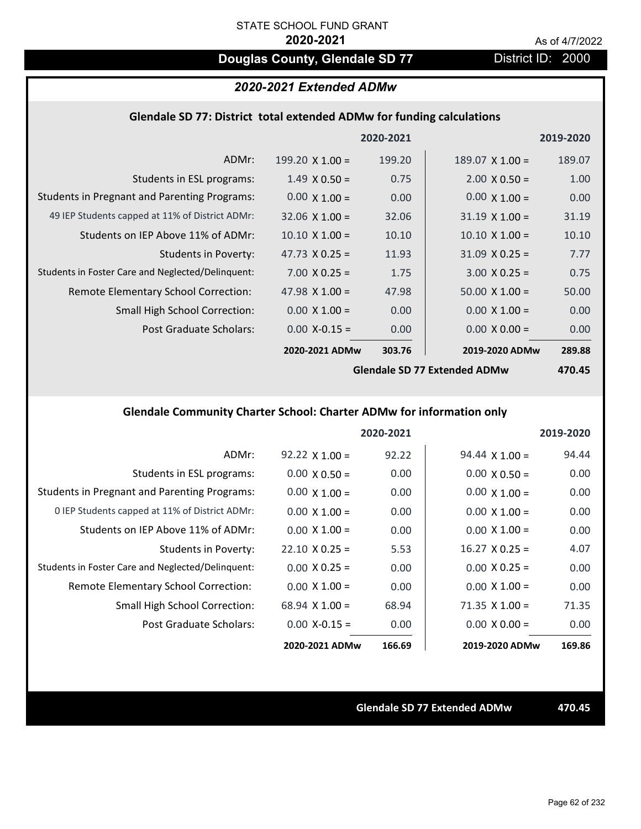# **Douglas County, Glendale SD 77** District ID: 2000

## *2020-2021 Extended ADMw*

#### **Glendale SD 77: District total extended ADMw for funding calculations**

|                                                     |                        | 2020-2021 |                        | 2019-2020 |
|-----------------------------------------------------|------------------------|-----------|------------------------|-----------|
| ADMr:                                               | $199.20 \times 1.00 =$ | 199.20    | $189.07 \times 1.00 =$ | 189.07    |
| Students in ESL programs:                           | $1.49 \times 0.50 =$   | 0.75      | $2.00 \times 0.50 =$   | 1.00      |
| <b>Students in Pregnant and Parenting Programs:</b> | $0.00 \times 1.00 =$   | 0.00      | $0.00 \times 1.00 =$   | 0.00      |
| 49 IEP Students capped at 11% of District ADMr:     | $32.06 \times 1.00 =$  | 32.06     | $31.19 \times 1.00 =$  | 31.19     |
| Students on IEP Above 11% of ADMr:                  | $10.10 \times 1.00 =$  | 10.10     | $10.10 \times 1.00 =$  | 10.10     |
| <b>Students in Poverty:</b>                         | 47.73 $X$ 0.25 =       | 11.93     | $31.09 \times 0.25 =$  | 7.77      |
| Students in Foster Care and Neglected/Delinquent:   | $7.00 \times 0.25 =$   | 1.75      | $3.00 \times 0.25 =$   | 0.75      |
| Remote Elementary School Correction:                | 47.98 $\times$ 1.00 =  | 47.98     | $50.00 \times 1.00 =$  | 50.00     |
| <b>Small High School Correction:</b>                | $0.00 \times 1.00 =$   | 0.00      | $0.00 \times 1.00 =$   | 0.00      |
| Post Graduate Scholars:                             | $0.00$ X-0.15 =        | 0.00      | $0.00 \times 0.00 =$   | 0.00      |
|                                                     | 2020-2021 ADMw         | 303.76    | 2019-2020 ADMw         | 289.88    |
|                                                     |                        | .         |                        |           |

**Glendale SD 77 Extended ADMw**

**470.45**

# **Glendale Community Charter School: Charter ADMw for information only**

|                                                     |                       | 2020-2021 |                       | 2019-2020 |
|-----------------------------------------------------|-----------------------|-----------|-----------------------|-----------|
| ADMr:                                               | $92.22 \times 1.00 =$ | 92.22     | $94.44 \times 1.00 =$ | 94.44     |
| Students in ESL programs:                           | $0.00 \times 0.50 =$  | 0.00      | $0.00 \times 0.50 =$  | 0.00      |
| <b>Students in Pregnant and Parenting Programs:</b> | $0.00 \times 1.00 =$  | 0.00      | $0.00 \times 1.00 =$  | 0.00      |
| 0 IEP Students capped at 11% of District ADMr:      | $0.00 \times 1.00 =$  | 0.00      | $0.00 \times 1.00 =$  | 0.00      |
| Students on IEP Above 11% of ADMr:                  | $0.00 \times 1.00 =$  | 0.00      | $0.00 \times 1.00 =$  | 0.00      |
| Students in Poverty:                                | $22.10 \times 0.25 =$ | 5.53      | $16.27 \times 0.25 =$ | 4.07      |
| Students in Foster Care and Neglected/Delinquent:   | $0.00 \times 0.25 =$  | 0.00      | $0.00 \times 0.25 =$  | 0.00      |
| Remote Elementary School Correction:                | $0.00 \times 1.00 =$  | 0.00      | $0.00 \times 1.00 =$  | 0.00      |
| <b>Small High School Correction:</b>                | $68.94 \times 1.00 =$ | 68.94     | $71.35 \times 1.00 =$ | 71.35     |
| Post Graduate Scholars:                             | $0.00$ X-0.15 =       | 0.00      | $0.00 \times 0.00 =$  | 0.00      |
|                                                     | 2020-2021 ADMw        | 166.69    | 2019-2020 ADMw        | 169.86    |

**Glendale SD 77 Extended ADMw 470.45**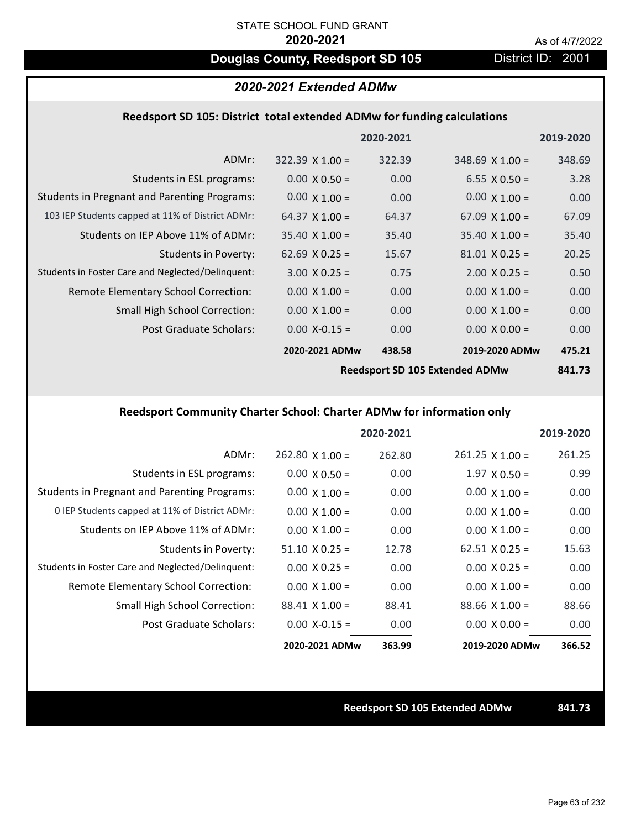# **Douglas County, Reedsport SD 105** District ID: 2001

### *2020-2021 Extended ADMw*

### **Reedsport SD 105: District total extended ADMw for funding calculations**

|                                                     |                        | 2020-2021 |                       | 2019-2020 |
|-----------------------------------------------------|------------------------|-----------|-----------------------|-----------|
| ADMr:                                               | $322.39 \times 1.00 =$ | 322.39    | $348.69$ X 1.00 =     | 348.69    |
| Students in ESL programs:                           | $0.00 \times 0.50 =$   | 0.00      | $6.55 \times 0.50 =$  | 3.28      |
| <b>Students in Pregnant and Parenting Programs:</b> | $0.00 \times 1.00 =$   | 0.00      | $0.00 \times 1.00 =$  | 0.00      |
| 103 IEP Students capped at 11% of District ADMr:    | 64.37 $X$ 1.00 =       | 64.37     | $67.09 \times 1.00 =$ | 67.09     |
| Students on IEP Above 11% of ADMr:                  | $35.40 \times 1.00 =$  | 35.40     | $35.40 \times 1.00 =$ | 35.40     |
| <b>Students in Poverty:</b>                         | $62.69 \times 0.25 =$  | 15.67     | $81.01 \times 0.25 =$ | 20.25     |
| Students in Foster Care and Neglected/Delinquent:   | $3.00 \times 0.25 =$   | 0.75      | $2.00 \times 0.25 =$  | 0.50      |
| Remote Elementary School Correction:                | $0.00 \times 1.00 =$   | 0.00      | $0.00 \times 1.00 =$  | 0.00      |
| <b>Small High School Correction:</b>                | $0.00 \times 1.00 =$   | 0.00      | $0.00 \times 1.00 =$  | 0.00      |
| Post Graduate Scholars:                             | $0.00$ X-0.15 =        | 0.00      | $0.00 \times 0.00 =$  | 0.00      |
|                                                     | 2020-2021 ADMw         | 438.58    | 2019-2020 ADMw        | 475.21    |
|                                                     |                        |           |                       |           |

**Reedsport SD 105 Extended ADMw**

**841.73**

## **Reedsport Community Charter School: Charter ADMw for information only**

|                                                     |                       | 2020-2021 |                        | 2019-2020 |
|-----------------------------------------------------|-----------------------|-----------|------------------------|-----------|
| ADMr:                                               | $262.80$ X 1.00 =     | 262.80    | $261.25 \times 1.00 =$ | 261.25    |
| Students in ESL programs:                           | $0.00 \times 0.50 =$  | 0.00      | $1.97 \times 0.50 =$   | 0.99      |
| <b>Students in Pregnant and Parenting Programs:</b> | $0.00 \times 1.00 =$  | 0.00      | $0.00 \times 1.00 =$   | 0.00      |
| 0 IEP Students capped at 11% of District ADMr:      | $0.00 \times 1.00 =$  | 0.00      | $0.00 \times 1.00 =$   | 0.00      |
| Students on IEP Above 11% of ADMr:                  | $0.00 \times 1.00 =$  | 0.00      | $0.00 \times 1.00 =$   | 0.00      |
| Students in Poverty:                                | $51.10 \times 0.25 =$ | 12.78     | $62.51 \times 0.25 =$  | 15.63     |
| Students in Foster Care and Neglected/Delinquent:   | $0.00 \times 0.25 =$  | 0.00      | $0.00 \times 0.25 =$   | 0.00      |
| Remote Elementary School Correction:                | $0.00 \times 1.00 =$  | 0.00      | $0.00 \times 1.00 =$   | 0.00      |
| <b>Small High School Correction:</b>                | $88.41 \times 1.00 =$ | 88.41     | $88.66 \times 1.00 =$  | 88.66     |
| Post Graduate Scholars:                             | $0.00$ X-0.15 =       | 0.00      | $0.00 \times 0.00 =$   | 0.00      |
|                                                     | 2020-2021 ADMw        | 363.99    | 2019-2020 ADMw         | 366.52    |

#### **Reedsport SD 105 Extended ADMw 841.73**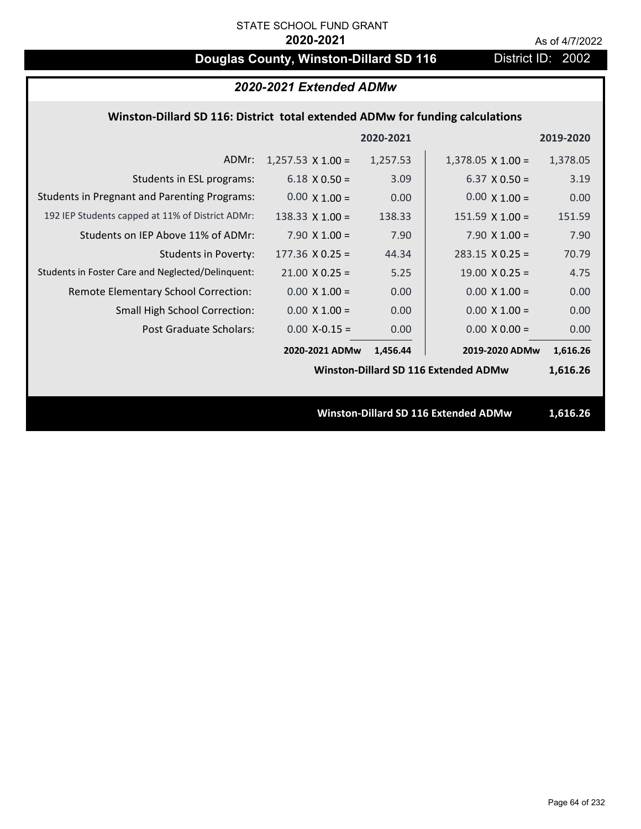# **Douglas County, Winston-Dillard SD 116** District ID: 2002

|                                                                               | 2020-2021 Extended ADMw  |           |                                             |           |
|-------------------------------------------------------------------------------|--------------------------|-----------|---------------------------------------------|-----------|
| Winston-Dillard SD 116: District total extended ADMw for funding calculations |                          |           |                                             |           |
|                                                                               |                          | 2020-2021 |                                             | 2019-2020 |
| ADMr:                                                                         | $1,257.53 \times 1.00 =$ | 1,257.53  | $1,378.05 \times 1.00 =$                    | 1,378.05  |
| Students in ESL programs:                                                     | $6.18 \times 0.50 =$     | 3.09      | $6.37 \times 0.50 =$                        | 3.19      |
| <b>Students in Pregnant and Parenting Programs:</b>                           | $0.00 \times 1.00 =$     | 0.00      | $0.00 \times 1.00 =$                        | 0.00      |
| 192 IEP Students capped at 11% of District ADMr:                              | 138.33 $X$ 1.00 =        | 138.33    | $151.59 \times 1.00 =$                      | 151.59    |
| Students on IEP Above 11% of ADMr:                                            | $7.90 \times 1.00 =$     | 7.90      | 7.90 $X$ 1.00 =                             | 7.90      |
| <b>Students in Poverty:</b>                                                   | $177.36$ X 0.25 =        | 44.34     | $283.15 \times 0.25 =$                      | 70.79     |
| Students in Foster Care and Neglected/Delinquent:                             | $21.00 \times 0.25 =$    | 5.25      | $19.00 \times 0.25 =$                       | 4.75      |
| Remote Elementary School Correction:                                          | $0.00 \times 1.00 =$     | 0.00      | $0.00 \times 1.00 =$                        | 0.00      |
| <b>Small High School Correction:</b>                                          | $0.00 \times 1.00 =$     | 0.00      | $0.00 \times 1.00 =$                        | 0.00      |
| <b>Post Graduate Scholars:</b>                                                | $0.00$ X-0.15 =          | 0.00      | $0.00 \times 0.00 =$                        | 0.00      |
|                                                                               | 2020-2021 ADMw           | 1,456.44  | 2019-2020 ADMw                              | 1,616.26  |
|                                                                               |                          |           | Winston-Dillard SD 116 Extended ADMw        | 1,616.26  |
|                                                                               |                          |           |                                             |           |
|                                                                               |                          |           | <b>Winston-Dillard SD 116 Extended ADMw</b> | 1,616.26  |
|                                                                               |                          |           |                                             |           |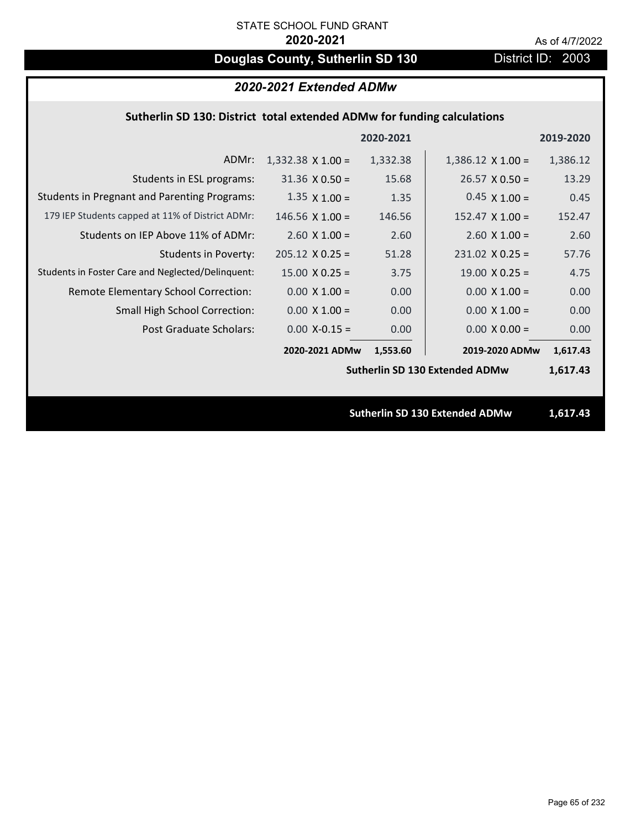# **Douglas County, Sutherlin SD 130** District ID: 2003

# *2020-2021 Extended ADMw*

### **Sutherlin SD 130: District total extended ADMw for funding calculations**

|                                                     |                          | 2020-2021 |                                       | 2019-2020 |
|-----------------------------------------------------|--------------------------|-----------|---------------------------------------|-----------|
| ADMr:                                               | $1,332.38 \times 1.00 =$ | 1,332.38  | $1,386.12 \times 1.00 =$              | 1,386.12  |
| Students in ESL programs:                           | $31.36 \times 0.50 =$    | 15.68     | $26.57 \times 0.50 =$                 | 13.29     |
| <b>Students in Pregnant and Parenting Programs:</b> | $1.35 \times 1.00 =$     | 1.35      | $0.45 \times 1.00 =$                  | 0.45      |
| 179 IEP Students capped at 11% of District ADMr:    | $146.56 \times 1.00 =$   | 146.56    | $152.47 \times 1.00 =$                | 152.47    |
| Students on IEP Above 11% of ADMr:                  | $2.60$ X $1.00 =$        | 2.60      | $2.60$ X $1.00 =$                     | 2.60      |
| <b>Students in Poverty:</b>                         | $205.12 \times 0.25 =$   | 51.28     | $231.02$ X 0.25 =                     | 57.76     |
| Students in Foster Care and Neglected/Delinquent:   | $15.00 \times 0.25 =$    | 3.75      | $19.00 \times 0.25 =$                 | 4.75      |
| Remote Elementary School Correction:                | $0.00 \times 1.00 =$     | 0.00      | $0.00 \times 1.00 =$                  | 0.00      |
| <b>Small High School Correction:</b>                | $0.00 \times 1.00 =$     | 0.00      | $0.00 \times 1.00 =$                  | 0.00      |
| Post Graduate Scholars:                             | $0.00$ X-0.15 =          | 0.00      | $0.00 \times 0.00 =$                  | 0.00      |
|                                                     | 2020-2021 ADMw           | 1,553.60  | 2019-2020 ADMw                        | 1,617.43  |
|                                                     |                          |           | <b>Sutherlin SD 130 Extended ADMw</b> | 1,617.43  |
|                                                     |                          |           |                                       |           |
|                                                     |                          |           | <b>Sutherlin SD 130 Extended ADMw</b> | 1,617.43  |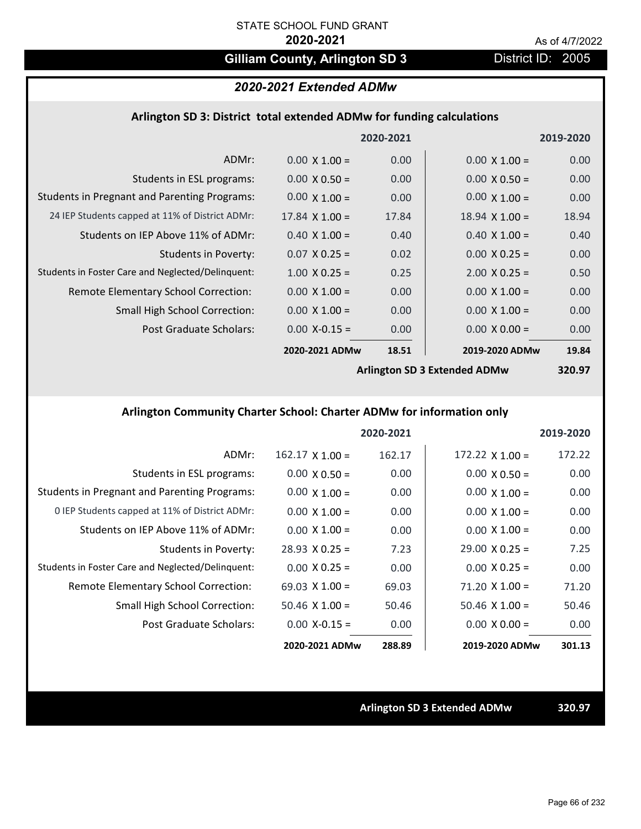# Gilliam County, Arlington SD 3 District ID: 2005

# *2020-2021 Extended ADMw*

### **Arlington SD 3: District total extended ADMw for funding calculations**

|                                                     |                       | 2020-2021 |                              | 2019-2020 |
|-----------------------------------------------------|-----------------------|-----------|------------------------------|-----------|
| ADMr:                                               | $0.00 \times 1.00 =$  | 0.00      | $0.00 \times 1.00 =$         | 0.00      |
| Students in ESL programs:                           | $0.00 \times 0.50 =$  | 0.00      | $0.00 \times 0.50 =$         | 0.00      |
| <b>Students in Pregnant and Parenting Programs:</b> | $0.00 \times 1.00 =$  | 0.00      | $0.00 \times 1.00 =$         | 0.00      |
| 24 IEP Students capped at 11% of District ADMr:     | $17.84 \times 1.00 =$ | 17.84     | $18.94 \times 1.00 =$        | 18.94     |
| Students on IEP Above 11% of ADMr:                  | $0.40 \times 1.00 =$  | 0.40      | $0.40 \times 1.00 =$         | 0.40      |
| <b>Students in Poverty:</b>                         | $0.07 \times 0.25 =$  | 0.02      | $0.00 \times 0.25 =$         | 0.00      |
| Students in Foster Care and Neglected/Delinquent:   | $1.00 \times 0.25 =$  | 0.25      | $2.00 \times 0.25 =$         | 0.50      |
| Remote Elementary School Correction:                | $0.00 \times 1.00 =$  | 0.00      | $0.00 \times 1.00 =$         | 0.00      |
| <b>Small High School Correction:</b>                | $0.00 \times 1.00 =$  | 0.00      | $0.00 \times 1.00 =$         | 0.00      |
| Post Graduate Scholars:                             | $0.00$ X-0.15 =       | 0.00      | $0.00 \times 0.00 =$         | 0.00      |
|                                                     | 2020-2021 ADMw        | 18.51     | 2019-2020 ADMw               | 19.84     |
|                                                     |                       |           | Arlington SD 3 Extended ADMw | 320 Q7    |

**Arlington SD 3 Extended ADMw**

**320.97**

# **Arlington Community Charter School: Charter ADMw for information only**

|                                                     |                        | 2020-2021 |                        | 2019-2020 |
|-----------------------------------------------------|------------------------|-----------|------------------------|-----------|
| ADMr:                                               | $162.17 \times 1.00 =$ | 162.17    | $172.22 \times 1.00 =$ | 172.22    |
| Students in ESL programs:                           | $0.00 \times 0.50 =$   | 0.00      | $0.00 \times 0.50 =$   | 0.00      |
| <b>Students in Pregnant and Parenting Programs:</b> | $0.00 \times 1.00 =$   | 0.00      | $0.00 \times 1.00 =$   | 0.00      |
| 0 IEP Students capped at 11% of District ADMr:      | $0.00 \times 1.00 =$   | 0.00      | $0.00 \times 1.00 =$   | 0.00      |
| Students on IEP Above 11% of ADMr:                  | $0.00 \times 1.00 =$   | 0.00      | $0.00 \times 1.00 =$   | 0.00      |
| Students in Poverty:                                | $28.93 \times 0.25 =$  | 7.23      | $29.00 \times 0.25 =$  | 7.25      |
| Students in Foster Care and Neglected/Delinquent:   | $0.00 \times 0.25 =$   | 0.00      | $0.00 \times 0.25 =$   | 0.00      |
| Remote Elementary School Correction:                | $69.03 \times 1.00 =$  | 69.03     | $71.20 \times 1.00 =$  | 71.20     |
| <b>Small High School Correction:</b>                | $50.46 \times 1.00 =$  | 50.46     | $50.46 \times 1.00 =$  | 50.46     |
| Post Graduate Scholars:                             | $0.00 X - 0.15 =$      | 0.00      | $0.00 \times 0.00 =$   | 0.00      |
|                                                     | 2020-2021 ADMw         | 288.89    | 2019-2020 ADMw         | 301.13    |

**Arlington SD 3 Extended ADMw 320.97**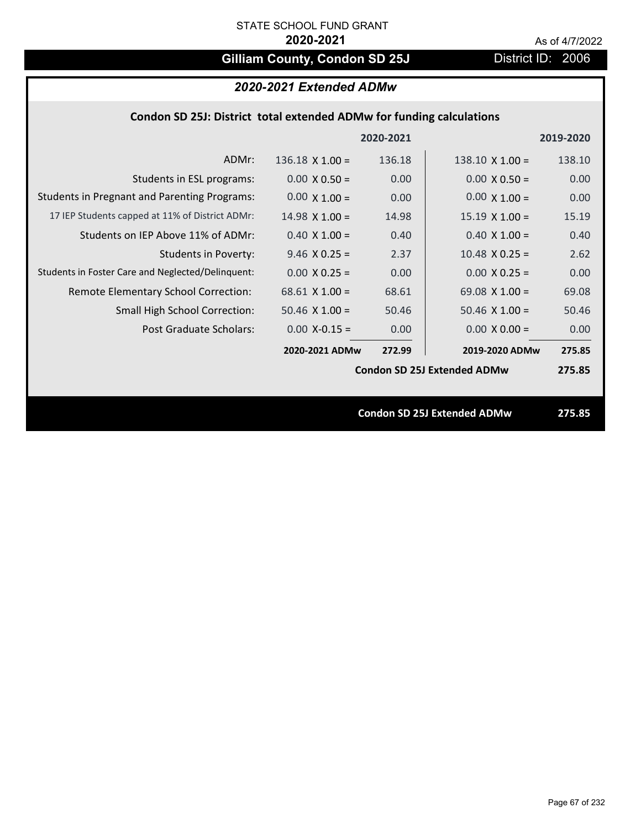# Gilliam County, Condon SD 25J District ID: 2006

| Condon SD 25J: District total extended ADMw for funding calculations |  |  |  |  |
|----------------------------------------------------------------------|--|--|--|--|
|----------------------------------------------------------------------|--|--|--|--|

|                                                     |                       | 2020-2021 |                                    | 2019-2020 |
|-----------------------------------------------------|-----------------------|-----------|------------------------------------|-----------|
| ADMr:                                               | $136.18$ X $1.00 =$   | 136.18    | $138.10 \times 1.00 =$             | 138.10    |
| Students in ESL programs:                           | $0.00 \times 0.50 =$  | 0.00      | $0.00 \times 0.50 =$               | 0.00      |
| <b>Students in Pregnant and Parenting Programs:</b> | $0.00 \times 1.00 =$  | 0.00      | $0.00 \times 1.00 =$               | 0.00      |
| 17 IEP Students capped at 11% of District ADMr:     | $14.98 \times 1.00 =$ | 14.98     | $15.19 \times 1.00 =$              | 15.19     |
| Students on IEP Above 11% of ADMr:                  | $0.40 \times 1.00 =$  | 0.40      | $0.40$ X $1.00 =$                  | 0.40      |
| <b>Students in Poverty:</b>                         | $9.46$ X 0.25 =       | 2.37      | $10.48$ X 0.25 =                   | 2.62      |
| Students in Foster Care and Neglected/Delinquent:   | $0.00 \times 0.25 =$  | 0.00      | $0.00 \times 0.25 =$               | 0.00      |
| Remote Elementary School Correction:                | $68.61$ X 1.00 =      | 68.61     | 69.08 $X$ 1.00 =                   | 69.08     |
| <b>Small High School Correction:</b>                | $50.46$ X $1.00 =$    | 50.46     | $50.46 \times 1.00 =$              | 50.46     |
| Post Graduate Scholars:                             | $0.00$ X-0.15 =       | 0.00      | $0.00 \times 0.00 =$               | 0.00      |
|                                                     | 2020-2021 ADMw        | 272.99    | 2019-2020 ADMw                     | 275.85    |
|                                                     |                       |           | <b>Condon SD 25J Extended ADMw</b> | 275.85    |
|                                                     |                       |           |                                    |           |
|                                                     |                       |           | <b>Condon SD 25J Extended ADMw</b> | 275.85    |
|                                                     |                       |           |                                    |           |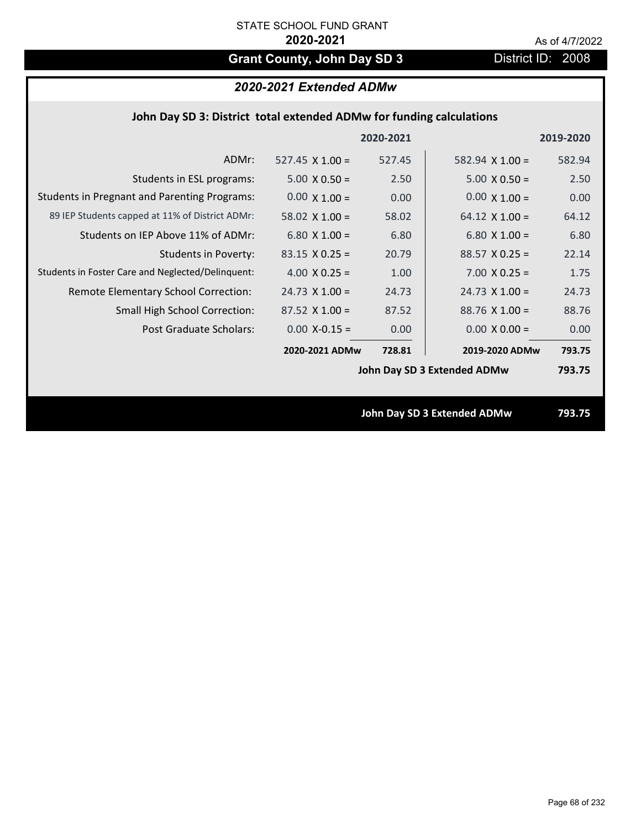# Grant County, John Day SD 3 District ID: 2008

# *2020-2021 Extended ADMw*

| John Day SD 3: District total extended ADMw for funding calculations |  |  |  |
|----------------------------------------------------------------------|--|--|--|
|----------------------------------------------------------------------|--|--|--|

|                                                     |                        | 2020-2021 |                                    | 2019-2020 |
|-----------------------------------------------------|------------------------|-----------|------------------------------------|-----------|
| ADMr:                                               | $527.45 \times 1.00 =$ | 527.45    | 582.94 $X$ 1.00 =                  | 582.94    |
| Students in ESL programs:                           | $5.00 \times 0.50 =$   | 2.50      | $5.00 \times 0.50 =$               | 2.50      |
| <b>Students in Pregnant and Parenting Programs:</b> | $0.00 \times 1.00 =$   | 0.00      | $0.00 \times 1.00 =$               | 0.00      |
| 89 IEP Students capped at 11% of District ADMr:     | 58.02 $\times$ 1.00 =  | 58.02     | 64.12 $\times$ 1.00 =              | 64.12     |
| Students on IEP Above 11% of ADMr:                  | 6.80 $X$ 1.00 =        | 6.80      | 6.80 $X$ 1.00 =                    | 6.80      |
| <b>Students in Poverty:</b>                         | $83.15 \times 0.25 =$  | 20.79     | $88.57$ X 0.25 =                   | 22.14     |
| Students in Foster Care and Neglected/Delinquent:   | 4.00 $X$ 0.25 =        | 1.00      | $7.00 \times 0.25 =$               | 1.75      |
| Remote Elementary School Correction:                | $24.73 \times 1.00 =$  | 24.73     | $24.73 \times 1.00 =$              | 24.73     |
| <b>Small High School Correction:</b>                | $87.52$ X 1.00 =       | 87.52     | $88.76$ X 1.00 =                   | 88.76     |
| Post Graduate Scholars:                             | $0.00$ X-0.15 =        | 0.00      | $0.00 \times 0.00 =$               | 0.00      |
|                                                     | 2020-2021 ADMw         | 728.81    | 2019-2020 ADMw                     | 793.75    |
|                                                     |                        |           | John Day SD 3 Extended ADMw        | 793.75    |
|                                                     |                        |           |                                    |           |
|                                                     |                        |           | <b>John Day SD 3 Extended ADMw</b> | 793.75    |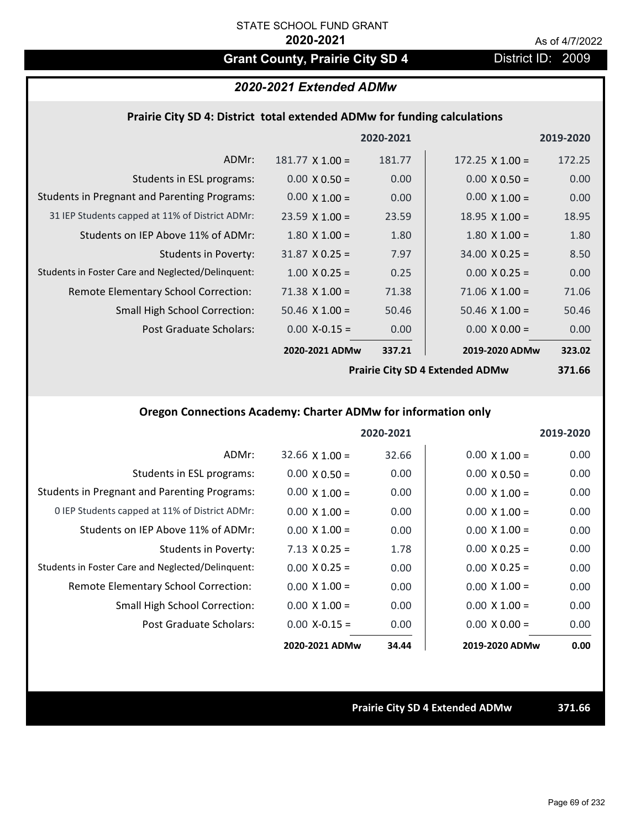# Grant County, Prairie City SD 4 District ID: 2009

# *2020-2021 Extended ADMw*

### **Prairie City SD 4: District total extended ADMw for funding calculations**

|                                                     |                        | 2020-2021 |                        | 2019-2020 |
|-----------------------------------------------------|------------------------|-----------|------------------------|-----------|
| ADMr:                                               | $181.77 \times 1.00 =$ | 181.77    | $172.25 \times 1.00 =$ | 172.25    |
| Students in ESL programs:                           | $0.00 \times 0.50 =$   | 0.00      | $0.00 \times 0.50 =$   | 0.00      |
| <b>Students in Pregnant and Parenting Programs:</b> | $0.00 \times 1.00 =$   | 0.00      | $0.00 \times 1.00 =$   | 0.00      |
| 31 IEP Students capped at 11% of District ADMr:     | $23.59 \times 1.00 =$  | 23.59     | $18.95 \times 1.00 =$  | 18.95     |
| Students on IEP Above 11% of ADMr:                  | $1.80 \times 1.00 =$   | 1.80      | $1.80$ X $1.00 =$      | 1.80      |
| Students in Poverty:                                | $31.87 \times 0.25 =$  | 7.97      | $34.00 \times 0.25 =$  | 8.50      |
| Students in Foster Care and Neglected/Delinquent:   | $1.00 \times 0.25 =$   | 0.25      | $0.00 \times 0.25 =$   | 0.00      |
| Remote Elementary School Correction:                | $71.38 \times 1.00 =$  | 71.38     | $71.06 \times 1.00 =$  | 71.06     |
| <b>Small High School Correction:</b>                | $50.46 \times 1.00 =$  | 50.46     | $50.46 \times 1.00 =$  | 50.46     |
| Post Graduate Scholars:                             | $0.00$ X-0.15 =        | 0.00      | $0.00 \times 0.00 =$   | 0.00      |
|                                                     | 2020-2021 ADMw         | 337.21    | 2019-2020 ADMw         | 323.02    |
|                                                     |                        |           |                        |           |

**Prairie City SD 4 Extended ADMw**

**371.66**

## **Oregon Connections Academy: Charter ADMw for information only**

|                                                     |                      | 2020-2021 |                      | 2019-2020 |
|-----------------------------------------------------|----------------------|-----------|----------------------|-----------|
| ADMr:                                               | $32.66$ X $1.00 =$   | 32.66     | $0.00 \times 1.00 =$ | 0.00      |
| Students in ESL programs:                           | $0.00 \times 0.50 =$ | 0.00      | $0.00 \times 0.50 =$ | 0.00      |
| <b>Students in Pregnant and Parenting Programs:</b> | $0.00 \times 1.00 =$ | 0.00      | $0.00 \times 1.00 =$ | 0.00      |
| 0 IEP Students capped at 11% of District ADMr:      | $0.00 \times 1.00 =$ | 0.00      | $0.00 \times 1.00 =$ | 0.00      |
| Students on IEP Above 11% of ADMr:                  | $0.00 \times 1.00 =$ | 0.00      | $0.00 \times 1.00 =$ | 0.00      |
| Students in Poverty:                                | $7.13 \times 0.25 =$ | 1.78      | $0.00 \times 0.25 =$ | 0.00      |
| Students in Foster Care and Neglected/Delinquent:   | $0.00 \times 0.25 =$ | 0.00      | $0.00 \times 0.25 =$ | 0.00      |
| Remote Elementary School Correction:                | $0.00 \times 1.00 =$ | 0.00      | $0.00 \times 1.00 =$ | 0.00      |
| Small High School Correction:                       | $0.00 \times 1.00 =$ | 0.00      | $0.00 \times 1.00 =$ | 0.00      |
| Post Graduate Scholars:                             | $0.00 X - 0.15 =$    | 0.00      | $0.00 \times 0.00 =$ | 0.00      |
|                                                     | 2020-2021 ADMw       | 34.44     | 2019-2020 ADMw       | 0.00      |

**Prairie City SD 4 Extended ADMw 371.66**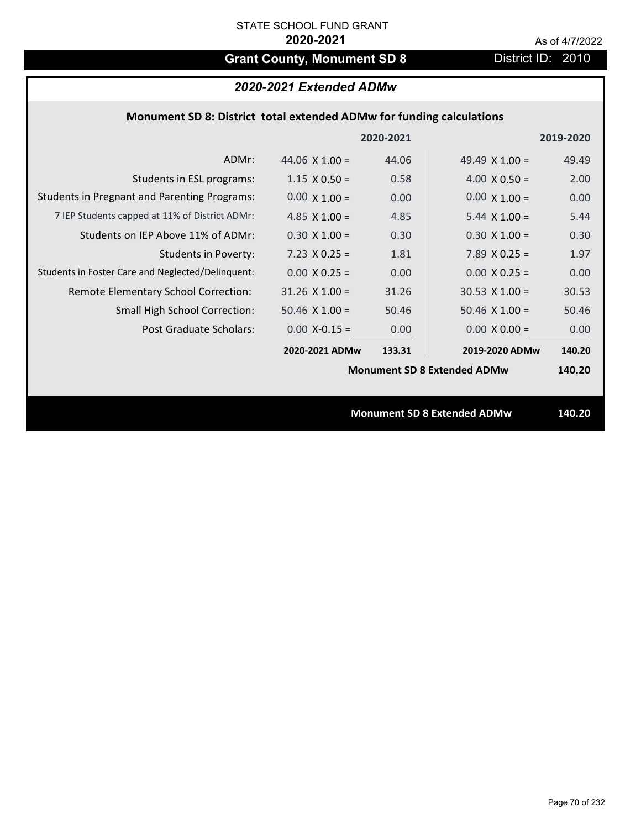# Grant County, Monument SD 8 District ID: 2010

# *2020-2021 Extended ADMw*

## **Monument SD 8: District total extended ADMw for funding calculations**

|                                                     |                       | 2020-2021 |                                    | 2019-2020 |
|-----------------------------------------------------|-----------------------|-----------|------------------------------------|-----------|
| ADMr:                                               | 44.06 $\times$ 1.00 = | 44.06     | 49.49 $\times$ 1.00 =              | 49.49     |
| Students in ESL programs:                           | $1.15 \times 0.50 =$  | 0.58      | $4.00 \times 0.50 =$               | 2.00      |
| <b>Students in Pregnant and Parenting Programs:</b> | $0.00 \times 1.00 =$  | 0.00      | $0.00 \times 1.00 =$               | 0.00      |
| 7 IEP Students capped at 11% of District ADMr:      | 4.85 $\times$ 1.00 =  | 4.85      | $5.44 \times 1.00 =$               | 5.44      |
| Students on IEP Above 11% of ADMr:                  | $0.30 \times 1.00 =$  | 0.30      | $0.30 \times 1.00 =$               | 0.30      |
| <b>Students in Poverty:</b>                         | $7.23 \times 0.25 =$  | 1.81      | 7.89 $X$ 0.25 =                    | 1.97      |
| Students in Foster Care and Neglected/Delinquent:   | $0.00 \times 0.25 =$  | 0.00      | $0.00 X 0.25 =$                    | 0.00      |
| Remote Elementary School Correction:                | $31.26 \times 1.00 =$ | 31.26     | $30.53$ X 1.00 =                   | 30.53     |
| <b>Small High School Correction:</b>                | $50.46 \times 1.00 =$ | 50.46     | $50.46 \times 1.00 =$              | 50.46     |
| Post Graduate Scholars:                             | $0.00$ X-0.15 =       | 0.00      | $0.00 \times 0.00 =$               | 0.00      |
|                                                     | 2020-2021 ADMw        | 133.31    | 2019-2020 ADMw                     | 140.20    |
|                                                     |                       |           | <b>Monument SD 8 Extended ADMw</b> | 140.20    |
|                                                     |                       |           |                                    |           |
|                                                     |                       |           | <b>Monument SD 8 Extended ADMw</b> | 140.20    |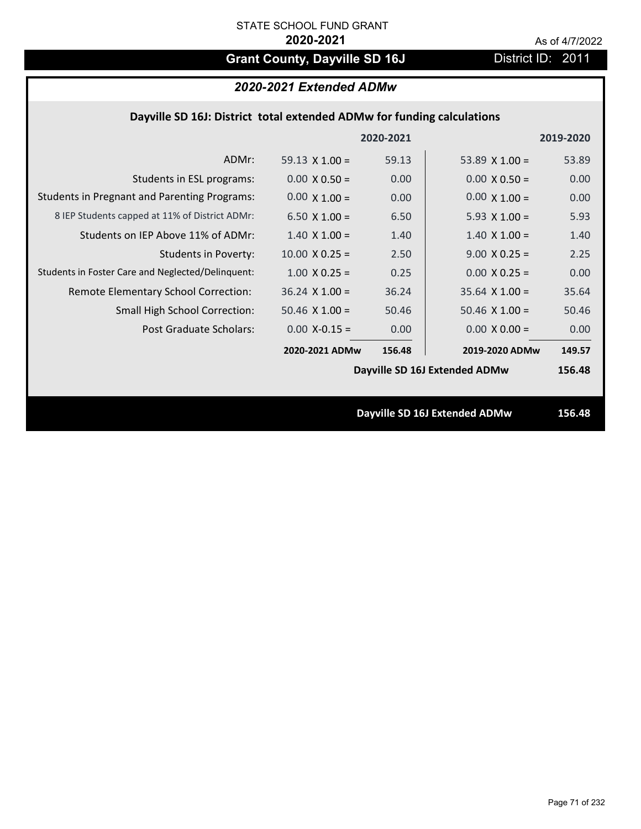# Grant County, Dayville SD 16J **District ID: 2011**

# *2020-2021 Extended ADMw*

## **Dayville SD 16J: District total extended ADMw for funding calculations**

|                                                     |                       | 2020-2021 |                               | 2019-2020 |
|-----------------------------------------------------|-----------------------|-----------|-------------------------------|-----------|
| ADMr:                                               | 59.13 $\times$ 1.00 = | 59.13     | 53.89 $\times$ 1.00 =         | 53.89     |
| Students in ESL programs:                           | $0.00 \times 0.50 =$  | 0.00      | $0.00 \times 0.50 =$          | 0.00      |
| <b>Students in Pregnant and Parenting Programs:</b> | $0.00 \times 1.00 =$  | 0.00      | $0.00 \times 1.00 =$          | 0.00      |
| 8 IEP Students capped at 11% of District ADMr:      | $6.50 \times 1.00 =$  | 6.50      | 5.93 $X$ 1.00 =               | 5.93      |
| Students on IEP Above 11% of ADMr:                  | $1.40 \times 1.00 =$  | 1.40      | $1.40 \times 1.00 =$          | 1.40      |
| <b>Students in Poverty:</b>                         | $10.00 \times 0.25 =$ | 2.50      | $9.00 \times 0.25 =$          | 2.25      |
| Students in Foster Care and Neglected/Delinquent:   | $1.00 \times 0.25 =$  | 0.25      | $0.00 \times 0.25 =$          | 0.00      |
| Remote Elementary School Correction:                | $36.24$ X $1.00 =$    | 36.24     | $35.64$ X $1.00 =$            | 35.64     |
| <b>Small High School Correction:</b>                | $50.46 \times 1.00 =$ | 50.46     | $50.46 \times 1.00 =$         | 50.46     |
| Post Graduate Scholars:                             | $0.00$ X-0.15 =       | 0.00      | $0.00 \times 0.00 =$          | 0.00      |
|                                                     | 2020-2021 ADMw        | 156.48    | 2019-2020 ADMw                | 149.57    |
|                                                     |                       |           | Dayville SD 16J Extended ADMw | 156.48    |
|                                                     |                       |           |                               |           |
|                                                     |                       |           | Dayville SD 16J Extended ADMw | 156.48    |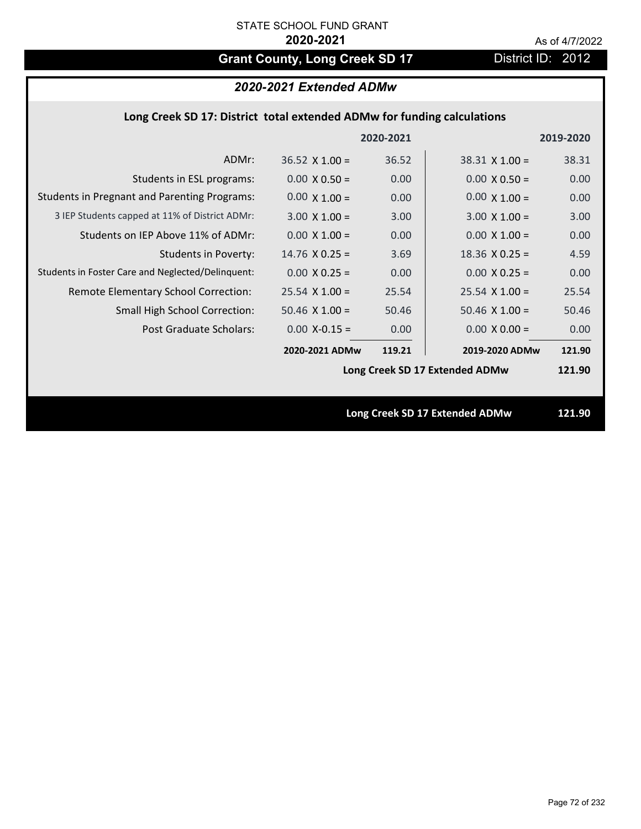# Grant County, Long Creek SD 17 District ID: 2012

# *2020-2021 Extended ADMw*

### **Long Creek SD 17: District total extended ADMw for funding calculations**

|                                                     |                       | 2020-2021 |                                | 2019-2020 |
|-----------------------------------------------------|-----------------------|-----------|--------------------------------|-----------|
| ADMr:                                               | $36.52 \times 1.00 =$ | 36.52     | $38.31$ X 1.00 =               | 38.31     |
| Students in ESL programs:                           | $0.00 \times 0.50 =$  | 0.00      | $0.00 \times 0.50 =$           | 0.00      |
| <b>Students in Pregnant and Parenting Programs:</b> | $0.00 \times 1.00 =$  | 0.00      | $0.00 \times 1.00 =$           | 0.00      |
| 3 IEP Students capped at 11% of District ADMr:      | $3.00 \times 1.00 =$  | 3.00      | $3.00 \times 1.00 =$           | 3.00      |
| Students on IEP Above 11% of ADMr:                  | $0.00 \times 1.00 =$  | 0.00      | $0.00 \times 1.00 =$           | 0.00      |
| <b>Students in Poverty:</b>                         | $14.76$ X 0.25 =      | 3.69      | $18.36$ X 0.25 =               | 4.59      |
| Students in Foster Care and Neglected/Delinquent:   | $0.00 \times 0.25 =$  | 0.00      | $0.00 \times 0.25 =$           | 0.00      |
| Remote Elementary School Correction:                | $25.54$ X 1.00 =      | 25.54     | $25.54 \times 1.00 =$          | 25.54     |
| <b>Small High School Correction:</b>                | $50.46$ X $1.00 =$    | 50.46     | $50.46 \times 1.00 =$          | 50.46     |
| Post Graduate Scholars:                             | $0.00 X - 0.15 =$     | 0.00      | $0.00 \times 0.00 =$           | 0.00      |
|                                                     | 2020-2021 ADMw        | 119.21    | 2019-2020 ADMw                 | 121.90    |
|                                                     |                       |           | Long Creek SD 17 Extended ADMw | 121.90    |
|                                                     |                       |           |                                |           |
|                                                     |                       |           | Long Creek SD 17 Extended ADMw | 121.90    |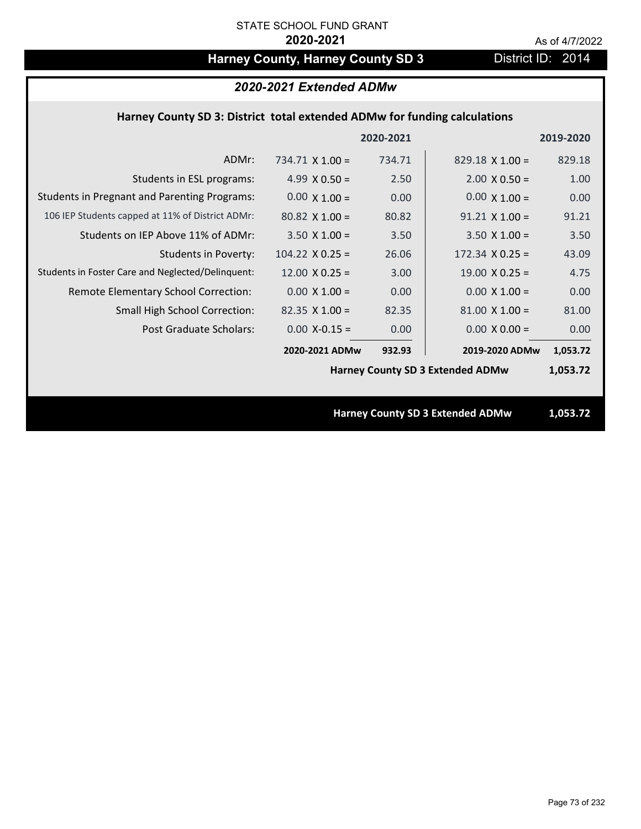# Harney County, Harney County SD 3 District ID: 2014

## *2020-2021 Extended ADMw*

## **Harney County SD 3: District total extended ADMw for funding calculations**

|                                                     |                        | 2020-2021 |                                         | 2019-2020 |
|-----------------------------------------------------|------------------------|-----------|-----------------------------------------|-----------|
| ADMr:                                               | 734.71 $\times$ 1.00 = | 734.71    | $829.18 \times 1.00 =$                  | 829.18    |
| Students in ESL programs:                           | 4.99 $X$ 0.50 =        | 2.50      | $2.00 \times 0.50 =$                    | 1.00      |
| <b>Students in Pregnant and Parenting Programs:</b> | $0.00 \times 1.00 =$   | 0.00      | $0.00 \times 1.00 =$                    | 0.00      |
| 106 IEP Students capped at 11% of District ADMr:    | $80.82$ X 1.00 =       | 80.82     | $91.21$ X $1.00 =$                      | 91.21     |
| Students on IEP Above 11% of ADMr:                  | $3.50 \times 1.00 =$   | 3.50      | $3.50 \times 1.00 =$                    | 3.50      |
| <b>Students in Poverty:</b>                         | $104.22 \times 0.25 =$ | 26.06     | $172.34 \times 0.25 =$                  | 43.09     |
| Students in Foster Care and Neglected/Delinquent:   | $12.00 \times 0.25 =$  | 3.00      | $19.00 \times 0.25 =$                   | 4.75      |
| Remote Elementary School Correction:                | $0.00 \times 1.00 =$   | 0.00      | $0.00 \times 1.00 =$                    | 0.00      |
| <b>Small High School Correction:</b>                | $82.35 \times 1.00 =$  | 82.35     | $81.00 \times 1.00 =$                   | 81.00     |
| Post Graduate Scholars:                             | $0.00$ X-0.15 =        | 0.00      | $0.00 \times 0.00 =$                    | 0.00      |
|                                                     | 2020-2021 ADMw         | 932.93    | 2019-2020 ADMw                          | 1,053.72  |
|                                                     |                        |           | <b>Harney County SD 3 Extended ADMw</b> | 1,053.72  |
|                                                     |                        |           |                                         |           |
|                                                     |                        |           | <b>Harney County SD 3 Extended ADMw</b> | 1,053.72  |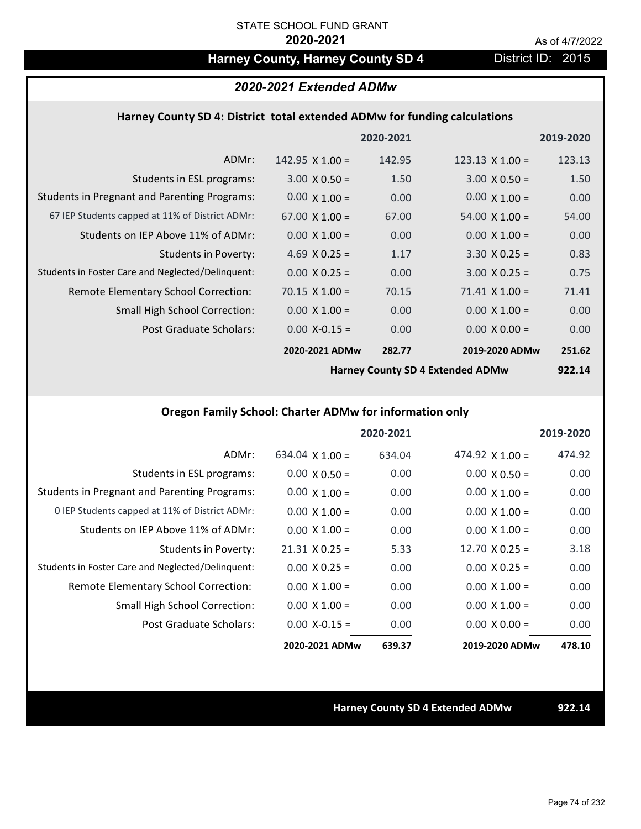## Harney County, Harney County SD 4 District ID: 2015

## *2020-2021 Extended ADMw*

### **Harney County SD 4: District total extended ADMw for funding calculations**

|                                                     |                       | 2020-2021 |                        | 2019-2020 |
|-----------------------------------------------------|-----------------------|-----------|------------------------|-----------|
| ADMr:                                               | 142.95 $X$ 1.00 =     | 142.95    | $123.13 \times 1.00 =$ | 123.13    |
| Students in ESL programs:                           | $3.00 \times 0.50 =$  | 1.50      | $3.00 \times 0.50 =$   | 1.50      |
| <b>Students in Pregnant and Parenting Programs:</b> | $0.00 \times 1.00 =$  | 0.00      | $0.00 \times 1.00 =$   | 0.00      |
| 67 IEP Students capped at 11% of District ADMr:     | $67.00 \times 1.00 =$ | 67.00     | $54.00 \times 1.00 =$  | 54.00     |
| Students on IEP Above 11% of ADMr:                  | $0.00 \times 1.00 =$  | 0.00      | $0.00 \times 1.00 =$   | 0.00      |
| <b>Students in Poverty:</b>                         | 4.69 $X$ 0.25 =       | 1.17      | $3.30 \times 0.25 =$   | 0.83      |
| Students in Foster Care and Neglected/Delinquent:   | $0.00 \times 0.25 =$  | 0.00      | $3.00 \times 0.25 =$   | 0.75      |
| Remote Elementary School Correction:                | $70.15 \times 1.00 =$ | 70.15     | $71.41 \times 1.00 =$  | 71.41     |
| <b>Small High School Correction:</b>                | $0.00 \times 1.00 =$  | 0.00      | $0.00 \times 1.00 =$   | 0.00      |
| Post Graduate Scholars:                             | $0.00$ X-0.15 =       | 0.00      | $0.00 \times 0.00 =$   | 0.00      |
|                                                     | 2020-2021 ADMw        | 282.77    | 2019-2020 ADMw         | 251.62    |

**Harney County SD 4 Extended ADMw**

**922.14**

## **Oregon Family School: Charter ADMw for information only**

|                                                     |                       | 2020-2021 |                       | 2019-2020 |
|-----------------------------------------------------|-----------------------|-----------|-----------------------|-----------|
| ADMr:                                               | 634.04 $X$ 1.00 =     | 634.04    | 474.92 $X$ 1.00 =     | 474.92    |
| Students in ESL programs:                           | $0.00 \times 0.50 =$  | 0.00      | $0.00 \times 0.50 =$  | 0.00      |
| <b>Students in Pregnant and Parenting Programs:</b> | $0.00 \times 1.00 =$  | 0.00      | $0.00 \times 1.00 =$  | 0.00      |
| 0 IEP Students capped at 11% of District ADMr:      | $0.00 \times 1.00 =$  | 0.00      | $0.00 \times 1.00 =$  | 0.00      |
| Students on IEP Above 11% of ADMr:                  | $0.00 \times 1.00 =$  | 0.00      | $0.00 \times 1.00 =$  | 0.00      |
| Students in Poverty:                                | $21.31 \times 0.25 =$ | 5.33      | $12.70 \times 0.25 =$ | 3.18      |
| Students in Foster Care and Neglected/Delinquent:   | $0.00 \times 0.25 =$  | 0.00      | $0.00 \times 0.25 =$  | 0.00      |
| Remote Elementary School Correction:                | $0.00 \times 1.00 =$  | 0.00      | $0.00 \times 1.00 =$  | 0.00      |
| <b>Small High School Correction:</b>                | $0.00 \times 1.00 =$  | 0.00      | $0.00 \times 1.00 =$  | 0.00      |
| Post Graduate Scholars:                             | $0.00 X - 0.15 =$     | 0.00      | $0.00 \times 0.00 =$  | 0.00      |
|                                                     | 2020-2021 ADMw        | 639.37    | 2019-2020 ADMw        | 478.10    |

## **Harney County SD 4 Extended ADMw 922.14**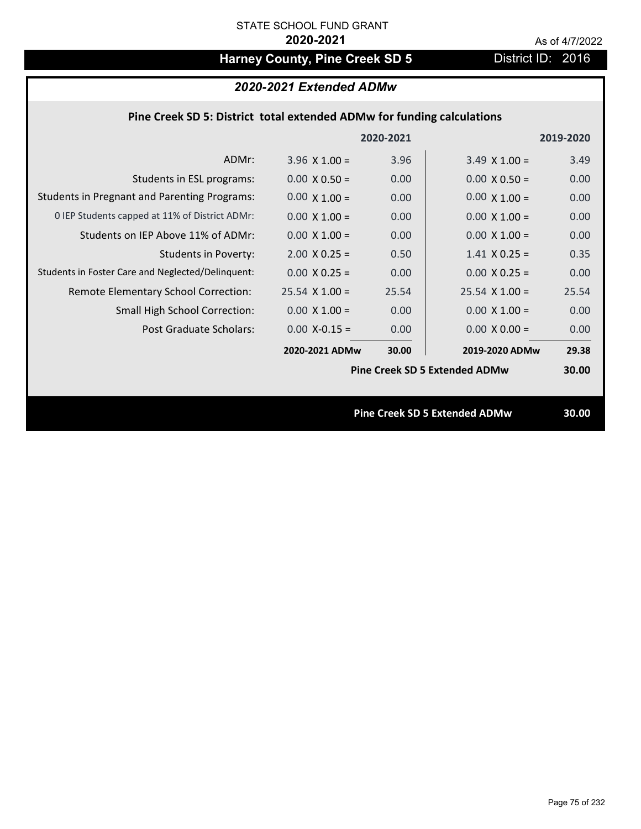# Harney County, Pine Creek SD 5 District ID: 2016

|  | 2020-2021 Extended ADMw |
|--|-------------------------|
|--|-------------------------|

|  | Pine Creek SD 5: District total extended ADMw for funding calculations |
|--|------------------------------------------------------------------------|
|--|------------------------------------------------------------------------|

|                                                     |                       | 2020-2021         |                                      | 2019-2020 |
|-----------------------------------------------------|-----------------------|-------------------|--------------------------------------|-----------|
| ADMr:                                               | $3.96 \times 1.00 =$  | 3.96              | $3.49 \times 1.00 =$                 | 3.49      |
| Students in ESL programs:                           | $0.00 \times 0.50 =$  | 0.00 <sub>1</sub> | $0.00 \times 0.50 =$                 | 0.00      |
| <b>Students in Pregnant and Parenting Programs:</b> | $0.00 \times 1.00 =$  | 0.00 <sub>1</sub> | $0.00 \times 1.00 =$                 | 0.00      |
| 0 IEP Students capped at 11% of District ADMr:      | $0.00 \times 1.00 =$  | 0.00 <sub>1</sub> | $0.00 \times 1.00 =$                 | 0.00      |
| Students on IEP Above 11% of ADMr:                  | $0.00 \times 1.00 =$  | 0.00              | $0.00 \times 1.00 =$                 | 0.00      |
| <b>Students in Poverty:</b>                         | $2.00 \times 0.25 =$  | 0.50              | $1.41 \times 0.25 =$                 | 0.35      |
| Students in Foster Care and Neglected/Delinquent:   | $0.00 \times 0.25 =$  | 0.00 <sub>1</sub> | $0.00 X 0.25 =$                      | 0.00      |
| Remote Elementary School Correction:                | $25.54 \times 1.00 =$ | 25.54             | $25.54 \times 1.00 =$                | 25.54     |
| <b>Small High School Correction:</b>                | $0.00 \times 1.00 =$  | 0.00 <sub>1</sub> | $0.00 \times 1.00 =$                 | 0.00      |
| Post Graduate Scholars:                             | $0.00$ X-0.15 =       | 0.00              | $0.00 \times 0.00 =$                 | 0.00      |
|                                                     | 2020-2021 ADMw        | 30.00             | 2019-2020 ADMw                       | 29.38     |
|                                                     |                       |                   | <b>Pine Creek SD 5 Extended ADMw</b> | 30.00     |
|                                                     |                       |                   |                                      |           |
|                                                     |                       |                   | <b>Pine Creek SD 5 Extended ADMw</b> | 30.00     |
|                                                     |                       |                   |                                      |           |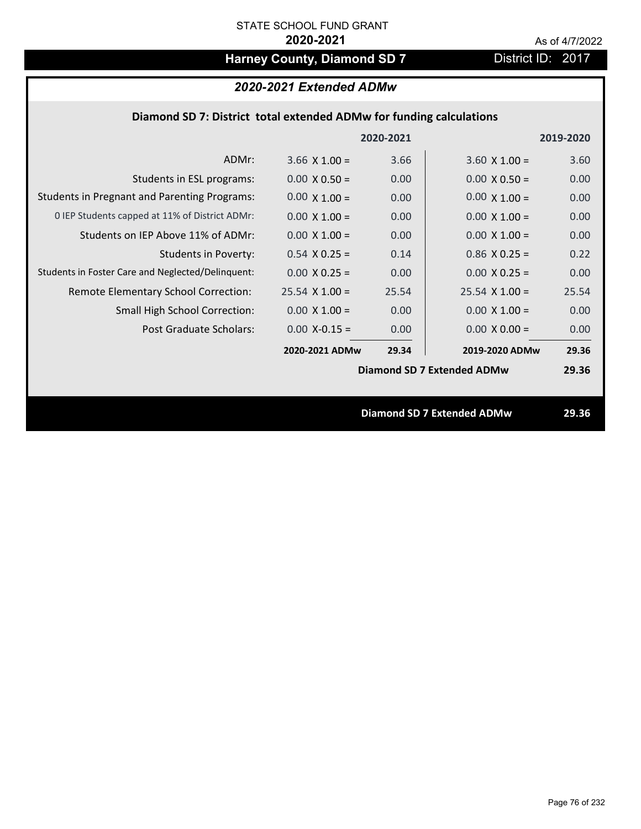# Harney County, Diamond SD 7 District ID: 2017

| 2020-2021 Extended ADMw |  |  |
|-------------------------|--|--|
|-------------------------|--|--|

## **Diamond SD 7: District total extended ADMw for funding calculations**

|                                                     |                      | 2020-2021 |                                   | 2019-2020 |
|-----------------------------------------------------|----------------------|-----------|-----------------------------------|-----------|
| ADMr:                                               | $3.66 \times 1.00 =$ | 3.66      | $3.60 \times 1.00 =$              | 3.60      |
| Students in ESL programs:                           | $0.00 \times 0.50 =$ | 0.00      | $0.00 \times 0.50 =$              | 0.00      |
| <b>Students in Pregnant and Parenting Programs:</b> | $0.00 \times 1.00 =$ | 0.00      | $0.00 \times 1.00 =$              | 0.00      |
| 0 IEP Students capped at 11% of District ADMr:      | $0.00 \times 1.00 =$ | 0.00      | $0.00 \times 1.00 =$              | 0.00      |
| Students on IEP Above 11% of ADMr:                  | $0.00 \times 1.00 =$ | 0.00      | $0.00 \times 1.00 =$              | 0.00      |
| Students in Poverty:                                | $0.54$ X 0.25 =      | 0.14      | $0.86$ X 0.25 =                   | 0.22      |
| Students in Foster Care and Neglected/Delinquent:   | $0.00 \times 0.25 =$ | 0.00      | $0.00 \times 0.25 =$              | 0.00      |
| Remote Elementary School Correction:                | $25.54$ X 1.00 =     | 25.54     | $25.54 \times 1.00 =$             | 25.54     |
| <b>Small High School Correction:</b>                | $0.00 \times 1.00 =$ | 0.00      | $0.00 \times 1.00 =$              | 0.00      |
| Post Graduate Scholars:                             | $0.00$ X-0.15 =      | 0.00      | $0.00 \times 0.00 =$              | 0.00      |
|                                                     | 2020-2021 ADMw       | 29.34     | 2019-2020 ADMw                    | 29.36     |
|                                                     |                      |           | Diamond SD 7 Extended ADMw        | 29.36     |
|                                                     |                      |           |                                   |           |
|                                                     |                      |           | <b>Diamond SD 7 Extended ADMw</b> | 29.36     |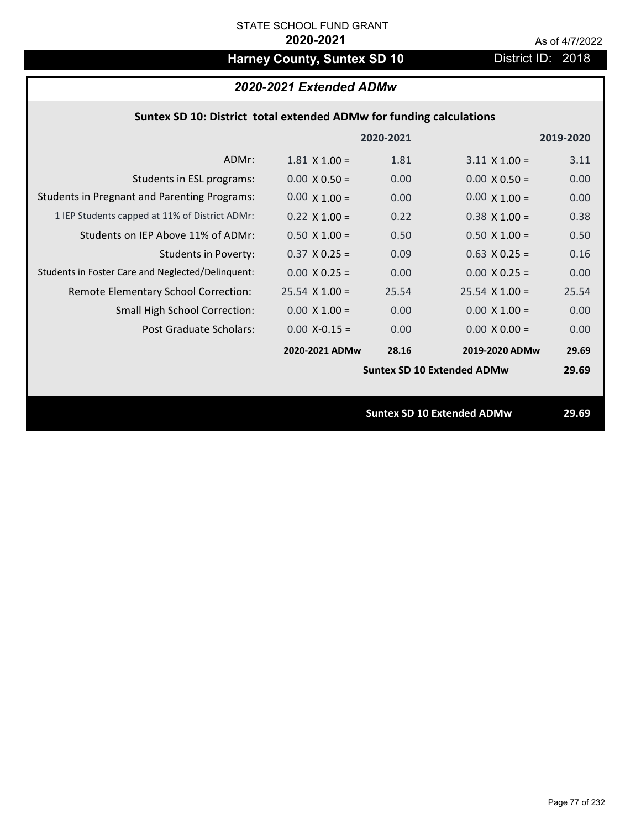# Harney County, Suntex SD 10 District ID: 2018

## *2020-2021 Extended ADMw*

## **Suntex SD 10: District total extended ADMw for funding calculations**

|                                                     |                      | 2020-2021 |                                   | 2019-2020 |
|-----------------------------------------------------|----------------------|-----------|-----------------------------------|-----------|
| ADMr:                                               | $1.81 \times 1.00 =$ | 1.81      | $3.11 \times 1.00 =$              | 3.11      |
| Students in ESL programs:                           | $0.00 \times 0.50 =$ | 0.00      | $0.00 \times 0.50 =$              | 0.00      |
| <b>Students in Pregnant and Parenting Programs:</b> | $0.00 \times 1.00 =$ | 0.00      | $0.00 \times 1.00 =$              | 0.00      |
| 1 IEP Students capped at 11% of District ADMr:      | $0.22 \times 1.00 =$ | 0.22      | $0.38 \times 1.00 =$              | 0.38      |
| Students on IEP Above 11% of ADMr:                  | $0.50 \times 1.00 =$ | 0.50      | $0.50$ X 1.00 =                   | 0.50      |
| <b>Students in Poverty:</b>                         | $0.37$ X 0.25 =      | 0.09      | $0.63$ X 0.25 =                   | 0.16      |
| Students in Foster Care and Neglected/Delinquent:   | $0.00 \times 0.25 =$ | 0.00      | $0.00 \times 0.25 =$              | 0.00      |
| Remote Elementary School Correction:                | $25.54$ X 1.00 =     | 25.54     | $25.54$ X 1.00 =                  | 25.54     |
| <b>Small High School Correction:</b>                | $0.00 \times 1.00 =$ | 0.00      | $0.00 \times 1.00 =$              | 0.00      |
| Post Graduate Scholars:                             | $0.00$ X-0.15 =      | 0.00      | $0.00 \times 0.00 =$              | 0.00      |
|                                                     | 2020-2021 ADMw       | 28.16     | 2019-2020 ADMw                    | 29.69     |
|                                                     |                      |           | <b>Suntex SD 10 Extended ADMw</b> | 29.69     |
|                                                     |                      |           |                                   |           |
|                                                     |                      |           | <b>Suntex SD 10 Extended ADMw</b> | 29.69     |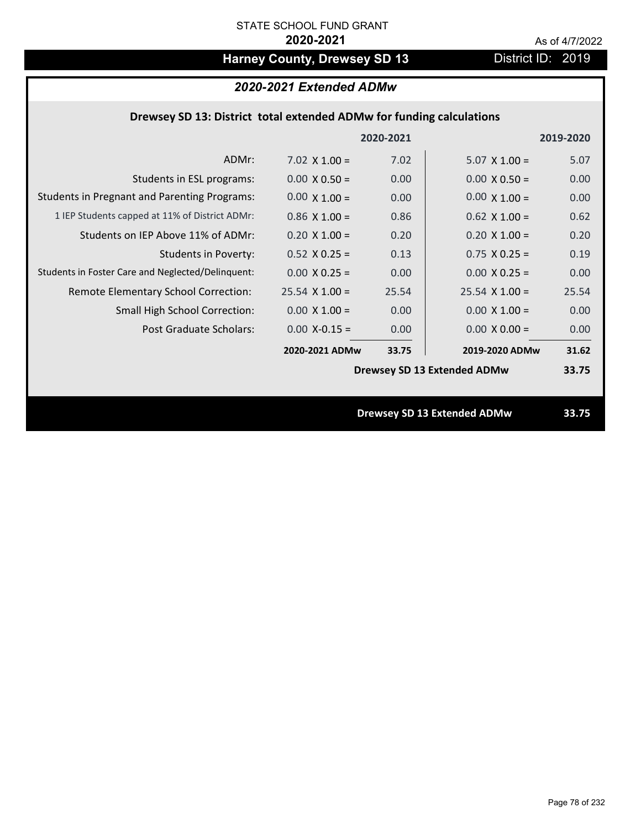# Harney County, Drewsey SD 13 District ID: 2019

### *2020-2021 Extended ADMw*

## **Drewsey SD 13: District total extended ADMw for funding calculations**

|                                                     |                      | 2020-2021 |                                    | 2019-2020 |
|-----------------------------------------------------|----------------------|-----------|------------------------------------|-----------|
| ADMr:                                               | $7.02 \times 1.00 =$ | 7.02      | $5.07 \times 1.00 =$               | 5.07      |
| Students in ESL programs:                           | $0.00 \times 0.50 =$ | 0.00      | $0.00 \times 0.50 =$               | 0.00      |
| <b>Students in Pregnant and Parenting Programs:</b> | $0.00 \times 1.00 =$ | 0.00      | $0.00 \times 1.00 =$               | 0.00      |
| 1 IEP Students capped at 11% of District ADMr:      | $0.86$ X 1.00 =      | 0.86      | $0.62$ X 1.00 =                    | 0.62      |
| Students on IEP Above 11% of ADMr:                  | $0.20 \times 1.00 =$ | 0.20      | $0.20$ X $1.00 =$                  | 0.20      |
| <b>Students in Poverty:</b>                         | $0.52$ X $0.25 =$    | 0.13      | $0.75$ X 0.25 =                    | 0.19      |
| Students in Foster Care and Neglected/Delinquent:   | $0.00 \times 0.25 =$ | 0.00      | $0.00 \times 0.25 =$               | 0.00      |
| Remote Elementary School Correction:                | $25.54$ X 1.00 =     | 25.54     | $25.54 \times 1.00 =$              | 25.54     |
| <b>Small High School Correction:</b>                | $0.00 \times 1.00 =$ | 0.00      | $0.00 \times 1.00 =$               | 0.00      |
| Post Graduate Scholars:                             | $0.00$ X-0.15 =      | 0.00      | $0.00 \times 0.00 =$               | 0.00      |
|                                                     | 2020-2021 ADMw       | 33.75     | 2019-2020 ADMw                     | 31.62     |
|                                                     |                      |           | <b>Drewsey SD 13 Extended ADMw</b> | 33.75     |
|                                                     |                      |           |                                    |           |
|                                                     |                      |           | <b>Drewsey SD 13 Extended ADMw</b> | 33.75     |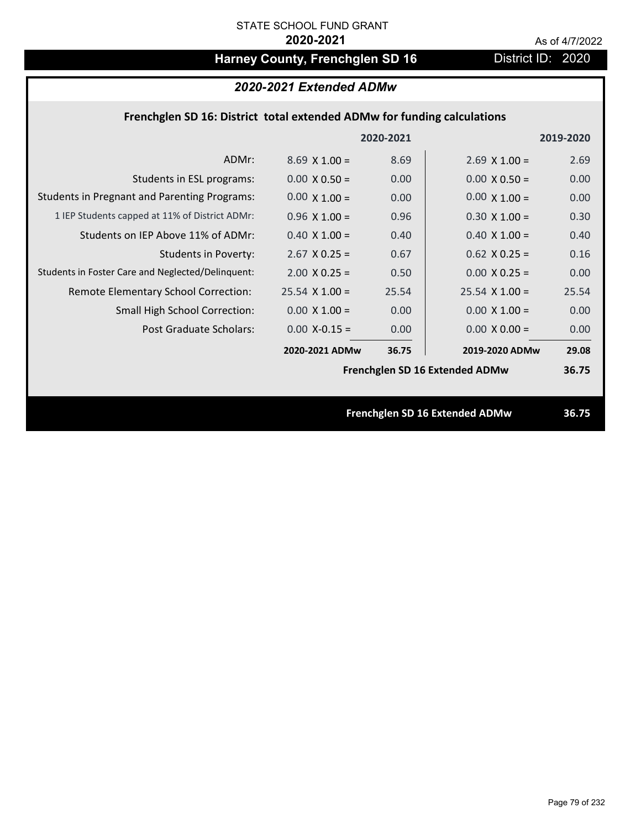# Harney County, Frenchglen SD 16 District ID: 2020

## *2020-2021 Extended ADMw*

## **Frenchglen SD 16: District total extended ADMw for funding calculations**

|                                                     |                      | 2020-2021 |                                | 2019-2020 |
|-----------------------------------------------------|----------------------|-----------|--------------------------------|-----------|
| ADMr:                                               | $8.69 \times 1.00 =$ | 8.69      | $2.69$ X 1.00 =                | 2.69      |
| Students in ESL programs:                           | $0.00 \times 0.50 =$ | 0.00      | $0.00 \times 0.50 =$           | 0.00      |
| <b>Students in Pregnant and Parenting Programs:</b> | $0.00 \times 1.00 =$ | 0.00      | $0.00 \times 1.00 =$           | 0.00      |
| 1 IEP Students capped at 11% of District ADMr:      | $0.96 \times 1.00 =$ | 0.96      | $0.30 \times 1.00 =$           | 0.30      |
| Students on IEP Above 11% of ADMr:                  | $0.40$ X $1.00 =$    | 0.40      | $0.40$ X $1.00 =$              | 0.40      |
| <b>Students in Poverty:</b>                         | $2.67$ X 0.25 =      | 0.67      | $0.62$ X $0.25 =$              | 0.16      |
| Students in Foster Care and Neglected/Delinquent:   | $2.00 \times 0.25 =$ | 0.50      | $0.00 X 0.25 =$                | 0.00      |
| Remote Elementary School Correction:                | $25.54$ X 1.00 =     | 25.54     | $25.54$ X 1.00 =               | 25.54     |
| <b>Small High School Correction:</b>                | $0.00 \times 1.00 =$ | 0.00      | $0.00 \times 1.00 =$           | 0.00      |
| Post Graduate Scholars:                             | $0.00$ X-0.15 =      | 0.00      | $0.00 \times 0.00 =$           | 0.00      |
|                                                     | 2020-2021 ADMw       | 36.75     | 2019-2020 ADMw                 | 29.08     |
|                                                     |                      |           | Frenchglen SD 16 Extended ADMw | 36.75     |
|                                                     |                      |           |                                |           |
|                                                     |                      |           | Frenchglen SD 16 Extended ADMw | 36.75     |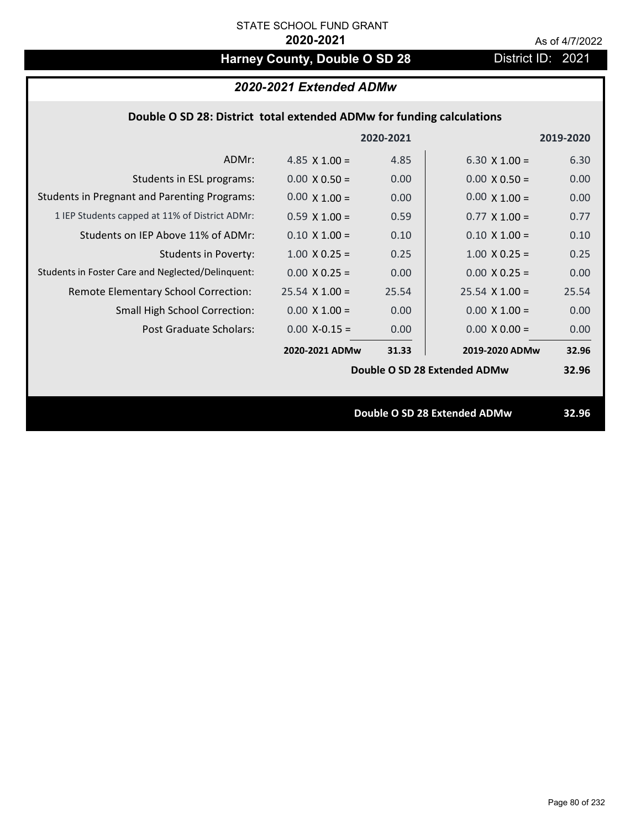# Harney County, Double O SD 28 District ID: 2021

|  | 2020-2021 Extended ADMw |
|--|-------------------------|
|--|-------------------------|

## **Double O SD 28: District total extended ADMw for funding calculations**

|                                                     |                      | 2020-2021 |                              | 2019-2020 |
|-----------------------------------------------------|----------------------|-----------|------------------------------|-----------|
| ADMr:                                               | 4.85 $\times$ 1.00 = | 4.85      | 6.30 $\times$ 1.00 =         | 6.30      |
| Students in ESL programs:                           | $0.00 \times 0.50 =$ | 0.00      | $0.00 \times 0.50 =$         | 0.00      |
| <b>Students in Pregnant and Parenting Programs:</b> | $0.00 \times 1.00 =$ | 0.00      | $0.00 \times 1.00 =$         | 0.00      |
| 1 IEP Students capped at 11% of District ADMr:      | $0.59 \times 1.00 =$ | 0.59      | $0.77 \times 1.00 =$         | 0.77      |
| Students on IEP Above 11% of ADMr:                  | $0.10 \times 1.00 =$ | 0.10      | $0.10 \times 1.00 =$         | 0.10      |
| <b>Students in Poverty:</b>                         | $1.00 \times 0.25 =$ | 0.25      | $1.00 \times 0.25 =$         | 0.25      |
| Students in Foster Care and Neglected/Delinquent:   | $0.00 \times 0.25 =$ | 0.00      | $0.00 \times 0.25 =$         | 0.00      |
| Remote Elementary School Correction:                | $25.54$ X 1.00 =     | 25.54     | $25.54 \times 1.00 =$        | 25.54     |
| <b>Small High School Correction:</b>                | $0.00 \times 1.00 =$ | 0.00      | $0.00 \times 1.00 =$         | 0.00      |
| Post Graduate Scholars:                             | $0.00$ X-0.15 =      | 0.00      | $0.00 \times 0.00 =$         | 0.00      |
|                                                     | 2020-2021 ADMw       | 31.33     | 2019-2020 ADMw               | 32.96     |
|                                                     |                      |           | Double O SD 28 Extended ADMw | 32.96     |
|                                                     |                      |           |                              |           |
|                                                     |                      |           | Double O SD 28 Extended ADMw | 32.96     |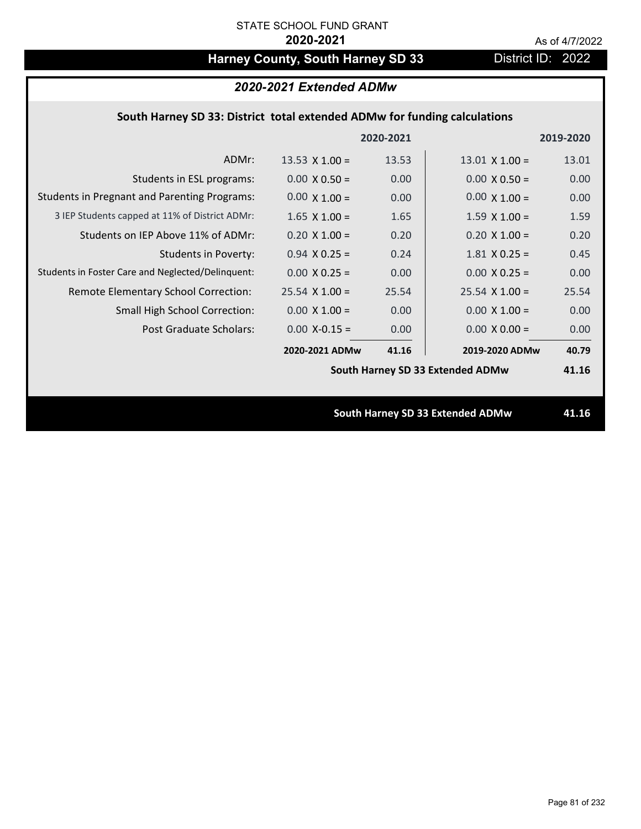# Harney County, South Harney SD 33 District ID: 2022

## **South Harney SD 33: District total extended ADMw for funding calculations**

|                                                     |                       | 2020-2021 |                                  | 2019-2020 |
|-----------------------------------------------------|-----------------------|-----------|----------------------------------|-----------|
| ADMr:                                               | 13.53 $\times$ 1.00 = | 13.53     | $13.01 \times 1.00 =$            | 13.01     |
| Students in ESL programs:                           | $0.00 \times 0.50 =$  | 0.00      | $0.00 \times 0.50 =$             | 0.00      |
| <b>Students in Pregnant and Parenting Programs:</b> | $0.00 \times 1.00 =$  | 0.00      | $0.00 \times 1.00 =$             | 0.00      |
| 3 IEP Students capped at 11% of District ADMr:      | $1.65 \times 1.00 =$  | 1.65      | $1.59 \times 1.00 =$             | 1.59      |
| Students on IEP Above 11% of ADMr:                  | $0.20$ X $1.00 =$     | 0.20      | $0.20$ X $1.00 =$                | 0.20      |
| <b>Students in Poverty:</b>                         | $0.94$ X 0.25 =       | 0.24      | $1.81$ X 0.25 =                  | 0.45      |
| Students in Foster Care and Neglected/Delinquent:   | $0.00 \times 0.25 =$  | 0.00      | $0.00 \times 0.25 =$             | 0.00      |
| Remote Elementary School Correction:                | $25.54$ X 1.00 =      | 25.54     | $25.54 \times 1.00 =$            | 25.54     |
| <b>Small High School Correction:</b>                | $0.00 \times 1.00 =$  | 0.00      | $0.00 \times 1.00 =$             | 0.00      |
| Post Graduate Scholars:                             | $0.00$ X-0.15 =       | 0.00      | $0.00 \times 0.00 =$             | 0.00      |
|                                                     | 2020-2021 ADMw        | 41.16     | 2019-2020 ADMw                   | 40.79     |
|                                                     |                       |           | South Harney SD 33 Extended ADMw | 41.16     |
|                                                     |                       |           |                                  |           |
|                                                     |                       |           | South Harney SD 33 Extended ADMw | 41.16     |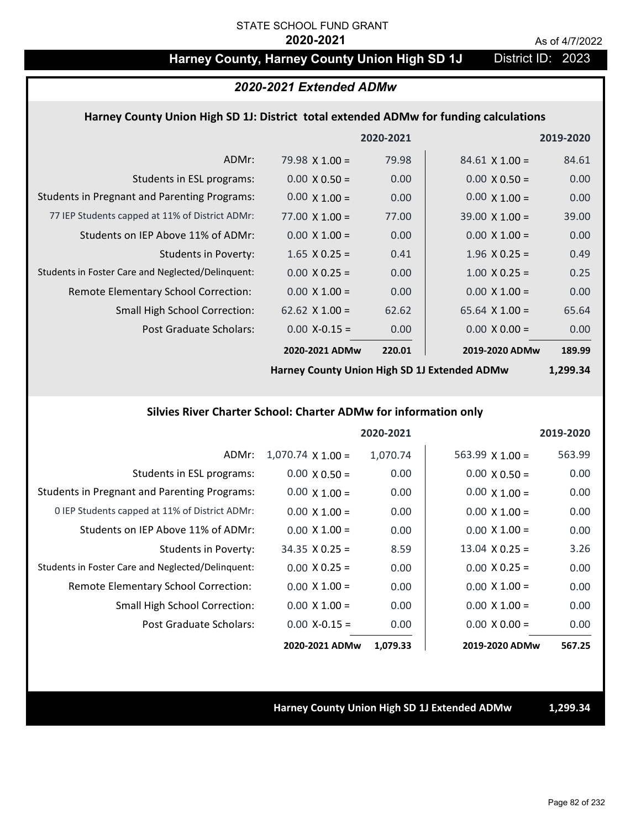## Harney County, Harney County Union High SD 1J District ID: 2023

## *2020-2021 Extended ADMw*

### **Harney County Union High SD 1J: District total extended ADMw for funding calculations**

|                                                     |                       | 2020-2021         |                       | 2019-2020 |
|-----------------------------------------------------|-----------------------|-------------------|-----------------------|-----------|
| ADMr:                                               | $79.98 \times 1.00 =$ | 79.98             | $84.61 \times 1.00 =$ | 84.61     |
| Students in ESL programs:                           | $0.00 \times 0.50 =$  | 0.00              | $0.00 \times 0.50 =$  | 0.00      |
| <b>Students in Pregnant and Parenting Programs:</b> | $0.00 \times 1.00 =$  | 0.00              | $0.00 \times 1.00 =$  | 0.00      |
| 77 IEP Students capped at 11% of District ADMr:     | $77.00 \times 1.00 =$ | 77.00             | $39.00 \times 1.00 =$ | 39.00     |
| Students on IEP Above 11% of ADMr:                  | $0.00 \times 1.00 =$  | 0.00              | $0.00 \times 1.00 =$  | 0.00      |
| Students in Poverty:                                | $1.65 \times 0.25 =$  | 0.41              | $1.96 \times 0.25 =$  | 0.49      |
| Students in Foster Care and Neglected/Delinquent:   | $0.00 \times 0.25 =$  | 0.00              | $1.00 \times 0.25 =$  | 0.25      |
| Remote Elementary School Correction:                | $0.00 \times 1.00 =$  | 0.00              | $0.00 \times 1.00 =$  | 0.00      |
| <b>Small High School Correction:</b>                | 62.62 $\times$ 1.00 = | 62.62             | $65.64 \times 1.00 =$ | 65.64     |
| Post Graduate Scholars:                             | $0.00 X - 0.15 =$     | 0.00 <sub>1</sub> | $0.00 \times 0.00 =$  | 0.00      |
|                                                     | 2020-2021 ADMw        | 220.01            | 2019-2020 ADMw        | 189.99    |

**Harney County Union High SD 1J Extended ADMw**

**1,299.34**

### **Silvies River Charter School: Charter ADMw for information only**

|                                                     |                          | 2020-2021 |                        | 2019-2020 |
|-----------------------------------------------------|--------------------------|-----------|------------------------|-----------|
| ADMr:                                               | $1,070.74 \times 1.00 =$ | 1,070.74  | $563.99 \times 1.00 =$ | 563.99    |
| Students in ESL programs:                           | $0.00 \times 0.50 =$     | 0.00      | $0.00 \times 0.50 =$   | 0.00      |
| <b>Students in Pregnant and Parenting Programs:</b> | $0.00 \times 1.00 =$     | 0.00      | $0.00 \times 1.00 =$   | 0.00      |
| 0 IEP Students capped at 11% of District ADMr:      | $0.00 \times 1.00 =$     | 0.00      | $0.00 \times 1.00 =$   | 0.00      |
| Students on IEP Above 11% of ADMr:                  | $0.00 \times 1.00 =$     | 0.00      | $0.00 \times 1.00 =$   | 0.00      |
| Students in Poverty:                                | $34.35 \times 0.25 =$    | 8.59      | $13.04 \times 0.25 =$  | 3.26      |
| Students in Foster Care and Neglected/Delinquent:   | $0.00 \times 0.25 =$     | 0.00      | $0.00 \times 0.25 =$   | 0.00      |
| Remote Elementary School Correction:                | $0.00 \times 1.00 =$     | 0.00      | $0.00 \times 1.00 =$   | 0.00      |
| <b>Small High School Correction:</b>                | $0.00 \times 1.00 =$     | 0.00      | $0.00 \times 1.00 =$   | 0.00      |
| Post Graduate Scholars:                             | $0.00$ X-0.15 =          | 0.00      | $0.00 \times 0.00 =$   | 0.00      |
|                                                     | 2020-2021 ADMw           | 1,079.33  | 2019-2020 ADMw         | 567.25    |

**Harney County Union High SD 1J Extended ADMw 1,299.34**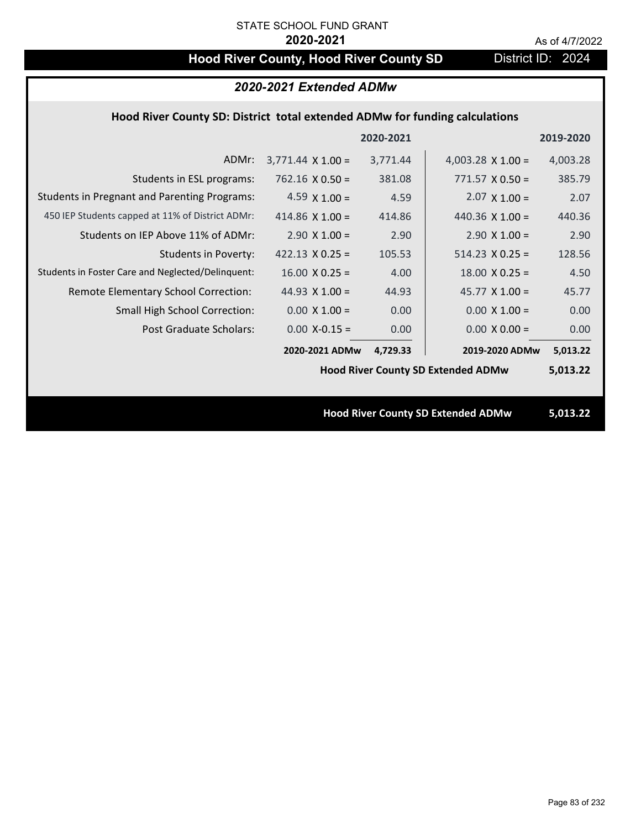# Hood River County, Hood River County SD District ID: 2024

| 2020-2021 Extended ADMw                                                     |                          |           |                                           |           |  |  |
|-----------------------------------------------------------------------------|--------------------------|-----------|-------------------------------------------|-----------|--|--|
| Hood River County SD: District total extended ADMw for funding calculations |                          |           |                                           |           |  |  |
|                                                                             |                          | 2020-2021 |                                           | 2019-2020 |  |  |
| ADMr:                                                                       | $3,771.44 \times 1.00 =$ | 3,771.44  | 4,003.28 $\times$ 1.00 =                  | 4,003.28  |  |  |
| Students in ESL programs:                                                   | $762.16 \times 0.50 =$   | 381.08    | $771.57 \times 0.50 =$                    | 385.79    |  |  |
| <b>Students in Pregnant and Parenting Programs:</b>                         | 4.59 $\times$ 1.00 =     | 4.59      | $2.07 \times 1.00 =$                      | 2.07      |  |  |
| 450 IEP Students capped at 11% of District ADMr:                            | 414.86 $\times$ 1.00 =   | 414.86    | 440.36 $\times$ 1.00 =                    | 440.36    |  |  |
| Students on IEP Above 11% of ADMr:                                          | $2.90 \times 1.00 =$     | 2.90      | $2.90 \times 1.00 =$                      | 2.90      |  |  |
| <b>Students in Poverty:</b>                                                 | 422.13 $X$ 0.25 =        | 105.53    | $514.23 \times 0.25 =$                    | 128.56    |  |  |
| Students in Foster Care and Neglected/Delinquent:                           | $16.00 \times 0.25 =$    | 4.00      | $18.00 \times 0.25 =$                     | 4.50      |  |  |
| Remote Elementary School Correction:                                        | 44.93 $X$ 1.00 =         | 44.93     | $45.77 \times 1.00 =$                     | 45.77     |  |  |
| Small High School Correction:                                               | $0.00 \times 1.00 =$     | 0.00      | $0.00 \times 1.00 =$                      | 0.00      |  |  |
| <b>Post Graduate Scholars:</b>                                              | $0.00$ X-0.15 =          | 0.00      | $0.00 \times 0.00 =$                      | 0.00      |  |  |
|                                                                             | 2020-2021 ADMw           | 4,729.33  | 2019-2020 ADMw                            | 5,013.22  |  |  |
|                                                                             |                          |           | <b>Hood River County SD Extended ADMw</b> | 5,013.22  |  |  |
|                                                                             |                          |           |                                           |           |  |  |
|                                                                             |                          |           | <b>Hood River County SD Extended ADMw</b> | 5,013.22  |  |  |
|                                                                             |                          |           |                                           |           |  |  |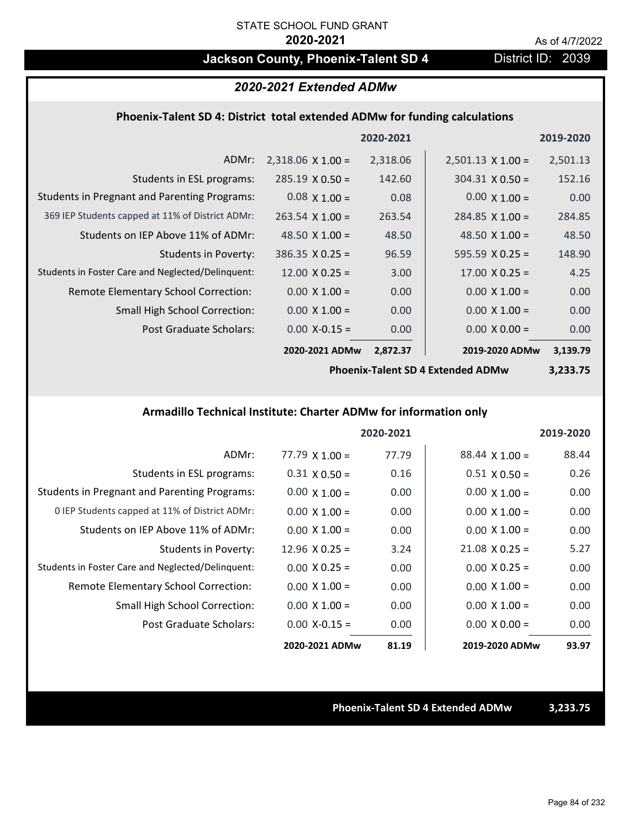## **Jackson County, Phoenix-Talent SD 4** District ID: 2039

## *2020-2021 Extended ADMw*

## **Phoenix‐Talent SD 4: District total extended ADMw for funding calculations**

|                                                     |                          | 2020-2021 |                          | 2019-2020 |
|-----------------------------------------------------|--------------------------|-----------|--------------------------|-----------|
| ADMr:                                               | $2,318.06 \times 1.00 =$ | 2,318.06  | $2,501.13 \times 1.00 =$ | 2,501.13  |
| Students in ESL programs:                           | $285.19 \times 0.50 =$   | 142.60    | $304.31 \times 0.50 =$   | 152.16    |
| <b>Students in Pregnant and Parenting Programs:</b> | $0.08 \times 1.00 =$     | 0.08      | $0.00 \times 1.00 =$     | 0.00      |
| 369 IEP Students capped at 11% of District ADMr:    | $263.54 \times 1.00 =$   | 263.54    | $284.85 \times 1.00 =$   | 284.85    |
| Students on IEP Above 11% of ADMr:                  | 48.50 $\times$ 1.00 =    | 48.50     | 48.50 $\times$ 1.00 =    | 48.50     |
| Students in Poverty:                                | $386.35 \times 0.25 =$   | 96.59     | $595.59 \times 0.25 =$   | 148.90    |
| Students in Foster Care and Neglected/Delinquent:   | $12.00 \times 0.25 =$    | 3.00      | $17.00 \times 0.25 =$    | 4.25      |
| Remote Elementary School Correction:                | $0.00 \times 1.00 =$     | 0.00      | $0.00 \times 1.00 =$     | 0.00      |
| <b>Small High School Correction:</b>                | $0.00 \times 1.00 =$     | 0.00      | $0.00 \times 1.00 =$     | 0.00      |
| <b>Post Graduate Scholars:</b>                      | $0.00$ X-0.15 =          | 0.00      | $0.00 \times 0.00 =$     | 0.00      |
|                                                     | 2020-2021 ADMw           | 2,872.37  | 2019-2020 ADMw           | 3,139.79  |

**Phoenix‐Talent SD 4 Extended ADMw**

**3,233.75**

## **Armadillo Technical Institute: Charter ADMw for information only**

|                                                     |                       | 2020-2021 |                       | 2019-2020 |
|-----------------------------------------------------|-----------------------|-----------|-----------------------|-----------|
| ADMr:                                               | $77.79$ X 1.00 =      | 77.79     | $88.44 \times 1.00 =$ | 88.44     |
| Students in ESL programs:                           | $0.31 \times 0.50 =$  | 0.16      | $0.51 \times 0.50 =$  | 0.26      |
| <b>Students in Pregnant and Parenting Programs:</b> | $0.00 \times 1.00 =$  | 0.00      | $0.00 \times 1.00 =$  | 0.00      |
| 0 IEP Students capped at 11% of District ADMr:      | $0.00 \times 1.00 =$  | 0.00      | $0.00 \times 1.00 =$  | 0.00      |
| Students on IEP Above 11% of ADMr:                  | $0.00 \times 1.00 =$  | 0.00      | $0.00 \times 1.00 =$  | 0.00      |
| Students in Poverty:                                | 12.96 $\times$ 0.25 = | 3.24      | $21.08 \times 0.25 =$ | 5.27      |
| Students in Foster Care and Neglected/Delinquent:   | $0.00 \times 0.25 =$  | 0.00      | $0.00 \times 0.25 =$  | 0.00      |
| Remote Elementary School Correction:                | $0.00 \times 1.00 =$  | 0.00      | $0.00 \times 1.00 =$  | 0.00      |
| Small High School Correction:                       | $0.00 \times 1.00 =$  | 0.00      | $0.00 \times 1.00 =$  | 0.00      |
| Post Graduate Scholars:                             | $0.00 X - 0.15 =$     | 0.00      | $0.00 \times 0.00 =$  | 0.00      |
|                                                     | 2020-2021 ADMw        | 81.19     | 2019-2020 ADMw        | 93.97     |

**Phoenix‐Talent SD 4 Extended ADMw 3,233.75**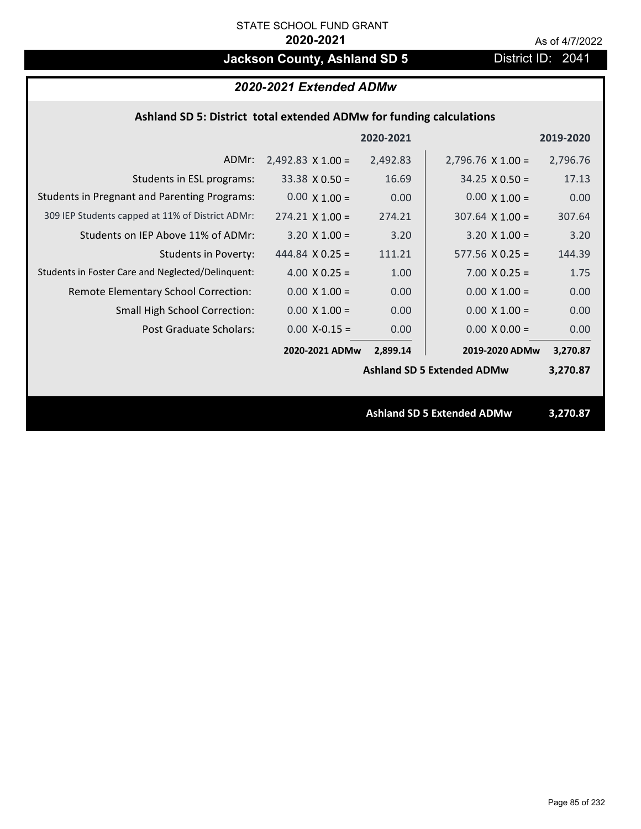# **Jackson County, Ashland SD 5** District ID: 2041

## *2020-2021 Extended ADMw*

## **Ashland SD 5: District total extended ADMw for funding calculations**

|                                                     |                          | 2020-2021 |                                   | 2019-2020 |
|-----------------------------------------------------|--------------------------|-----------|-----------------------------------|-----------|
| ADMr:                                               | $2,492.83 \times 1.00 =$ | 2,492.83  | $2,796.76 \times 1.00 =$          | 2,796.76  |
| Students in ESL programs:                           | $33.38 \times 0.50 =$    | 16.69     | $34.25 \times 0.50 =$             | 17.13     |
| <b>Students in Pregnant and Parenting Programs:</b> | $0.00 \times 1.00 =$     | 0.00      | $0.00 \times 1.00 =$              | 0.00      |
| 309 IEP Students capped at 11% of District ADMr:    | $274.21 \times 1.00 =$   | 274.21    | $307.64 \times 1.00 =$            | 307.64    |
| Students on IEP Above 11% of ADMr:                  | $3.20 \times 1.00 =$     | 3.20      | $3.20 \times 1.00 =$              | 3.20      |
| Students in Poverty:                                | 444.84 $X$ 0.25 =        | 111.21    | $577.56$ X 0.25 =                 | 144.39    |
| Students in Foster Care and Neglected/Delinquent:   | 4.00 $X$ 0.25 =          | 1.00      | $7.00 \times 0.25 =$              | 1.75      |
| Remote Elementary School Correction:                | $0.00 \times 1.00 =$     | 0.00      | $0.00 \times 1.00 =$              | 0.00      |
| <b>Small High School Correction:</b>                | $0.00 \times 1.00 =$     | 0.00      | $0.00 \times 1.00 =$              | 0.00      |
| Post Graduate Scholars:                             | $0.00$ X-0.15 =          | 0.00      | $0.00 \times 0.00 =$              | 0.00      |
|                                                     | 2020-2021 ADMw           | 2,899.14  | 2019-2020 ADMw                    | 3,270.87  |
|                                                     |                          |           | <b>Ashland SD 5 Extended ADMw</b> | 3,270.87  |
|                                                     |                          |           |                                   |           |
|                                                     |                          |           | <b>Ashland SD 5 Extended ADMw</b> | 3,270.87  |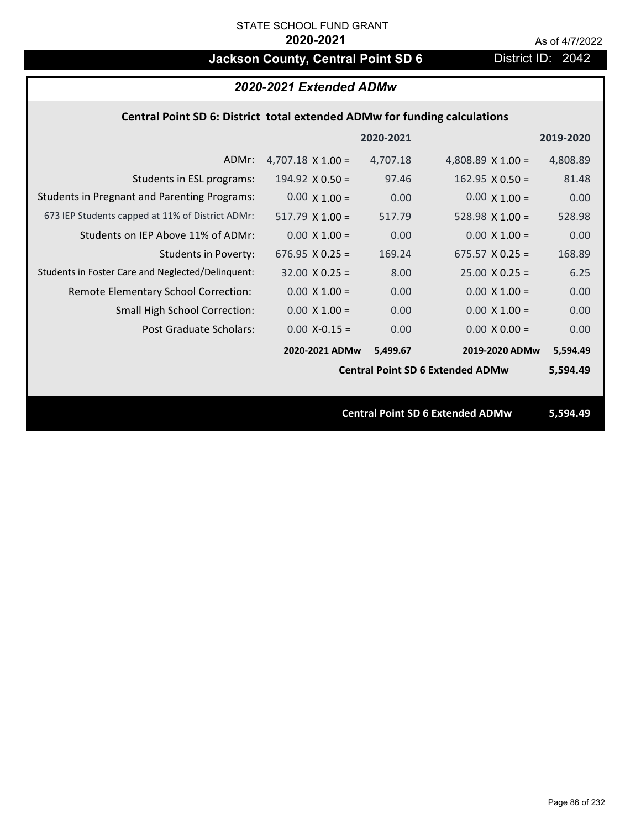# **Jackson County, Central Point SD 6** District ID: 2042

## *2020-2021 Extended ADMw*

## **Central Point SD 6: District total extended ADMw for funding calculations**

| 2020-2021<br>2019-2020                                                                               |                                                     |
|------------------------------------------------------------------------------------------------------|-----------------------------------------------------|
| $4,707.18 \times 1.00 =$<br>4,707.18<br>4,808.89 $\times$ 1.00 =<br>4,808.89<br>ADMr:                |                                                     |
| 97.46<br>81.48<br>Students in ESL programs:<br>$162.95 \times 0.50 =$<br>$194.92 \times 0.50 =$      |                                                     |
| $0.00 \times 1.00 =$<br>$0.00 \times 1.00 =$<br>0.00<br>0.00                                         | <b>Students in Pregnant and Parenting Programs:</b> |
| $517.79 \times 1.00 =$<br>517.79<br>528.98 $X$ 1.00 =<br>528.98                                      | 673 IEP Students capped at 11% of District ADMr:    |
| Students on IEP Above 11% of ADMr:<br>$0.00 \times 1.00 =$<br>$0.00 \times 1.00 =$<br>0.00<br>0.00   |                                                     |
| <b>Students in Poverty:</b><br>$676.95 \times 0.25 =$<br>$675.57$ X 0.25 =<br>169.24<br>168.89       |                                                     |
| $32.00 \times 0.25 =$<br>$25.00 \times 0.25 =$<br>8.00<br>6.25                                       | Students in Foster Care and Neglected/Delinquent:   |
| Remote Elementary School Correction:<br>$0.00 \times 1.00 =$<br>0.00<br>$0.00 \times 1.00 =$<br>0.00 |                                                     |
| <b>Small High School Correction:</b><br>$0.00 \times 1.00 =$<br>0.00<br>$0.00 \times 1.00 =$<br>0.00 |                                                     |
| Post Graduate Scholars:<br>$0.00$ X-0.15 =<br>0.00<br>$0.00 \times 0.00 =$<br>0.00                   |                                                     |
| 2020-2021 ADMw<br>2019-2020 ADMw<br>5,499.67<br>5,594.49                                             |                                                     |
| <b>Central Point SD 6 Extended ADMw</b><br>5,594.49                                                  |                                                     |
|                                                                                                      |                                                     |
| <b>Central Point SD 6 Extended ADMw</b><br>5,594.49                                                  |                                                     |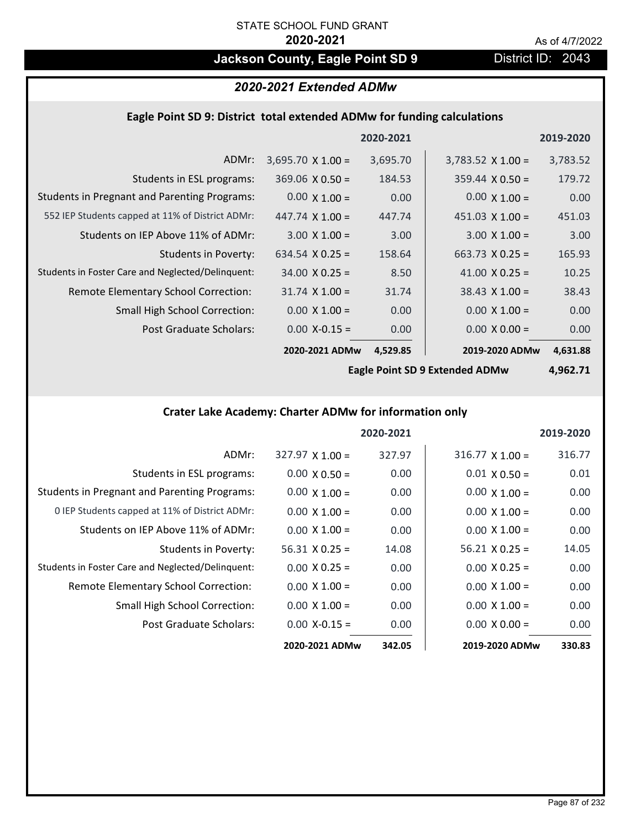## **Jackson County, Eagle Point SD 9 District ID: 2043**

## *2020-2021 Extended ADMw*

## **Eagle Point SD 9: District total extended ADMw for funding calculations**

|                                                     |                          | 2020-2021 |                          | 2019-2020 |
|-----------------------------------------------------|--------------------------|-----------|--------------------------|-----------|
| ADMr:                                               | $3,695.70 \times 1.00 =$ | 3,695.70  | $3,783.52 \times 1.00 =$ | 3,783.52  |
| Students in ESL programs:                           | $369.06 \times 0.50 =$   | 184.53    | $359.44 \times 0.50 =$   | 179.72    |
| <b>Students in Pregnant and Parenting Programs:</b> | $0.00 \times 1.00 =$     | 0.00      | $0.00 \times 1.00 =$     | 0.00      |
| 552 IEP Students capped at 11% of District ADMr:    | 447.74 $\times$ 1.00 =   | 447.74    | $451.03 \times 1.00 =$   | 451.03    |
| Students on IEP Above 11% of ADMr:                  | $3.00 \times 1.00 =$     | 3.00      | $3.00 \times 1.00 =$     | 3.00      |
| <b>Students in Poverty:</b>                         | 634.54 $X$ 0.25 =        | 158.64    | $663.73 \times 0.25 =$   | 165.93    |
| Students in Foster Care and Neglected/Delinquent:   | $34.00 \times 0.25 =$    | 8.50      | 41.00 $X$ 0.25 =         | 10.25     |
| Remote Elementary School Correction:                | $31.74 \times 1.00 =$    | 31.74     | $38.43 \times 1.00 =$    | 38.43     |
| <b>Small High School Correction:</b>                | $0.00 \times 1.00 =$     | 0.00      | $0.00 \times 1.00 =$     | 0.00      |
| Post Graduate Scholars:                             | $0.00$ X-0.15 =          | 0.00      | $0.00 \times 0.00 =$     | 0.00      |
|                                                     | 2020-2021 ADMw           | 4,529.85  | 2019-2020 ADMw           | 4,631.88  |

**Eagle Point SD 9 Extended ADMw**

**4,962.71**

## **Crater Lake Academy: Charter ADMw for information only**

|                                                     |                        | 2020-2021 |                        | 2019-2020 |
|-----------------------------------------------------|------------------------|-----------|------------------------|-----------|
| ADMr:                                               | $327.97 \times 1.00 =$ | 327.97    | $316.77 \times 1.00 =$ | 316.77    |
| Students in ESL programs:                           | $0.00 \times 0.50 =$   | 0.00      | $0.01 \times 0.50 =$   | 0.01      |
| <b>Students in Pregnant and Parenting Programs:</b> | $0.00 \times 1.00 =$   | 0.00      | $0.00 \times 1.00 =$   | 0.00      |
| 0 IEP Students capped at 11% of District ADMr:      | $0.00 \times 1.00 =$   | 0.00      | $0.00 \times 1.00 =$   | 0.00      |
| Students on IEP Above 11% of ADMr:                  | $0.00 \times 1.00 =$   | 0.00      | $0.00 \times 1.00 =$   | 0.00      |
| Students in Poverty:                                | $56.31 \times 0.25 =$  | 14.08     | $56.21 \times 0.25 =$  | 14.05     |
| Students in Foster Care and Neglected/Delinquent:   | $0.00 \times 0.25 =$   | 0.00      | $0.00 \times 0.25 =$   | 0.00      |
| Remote Elementary School Correction:                | $0.00 \times 1.00 =$   | 0.00      | $0.00 \times 1.00 =$   | 0.00      |
| <b>Small High School Correction:</b>                | $0.00 \times 1.00 =$   | 0.00      | $0.00 \times 1.00 =$   | 0.00      |
| Post Graduate Scholars:                             | $0.00 X - 0.15 =$      | 0.00      | $0.00 \times 0.00 =$   | 0.00      |
|                                                     | 2020-2021 ADMw         | 342.05    | 2019-2020 ADMw         | 330.83    |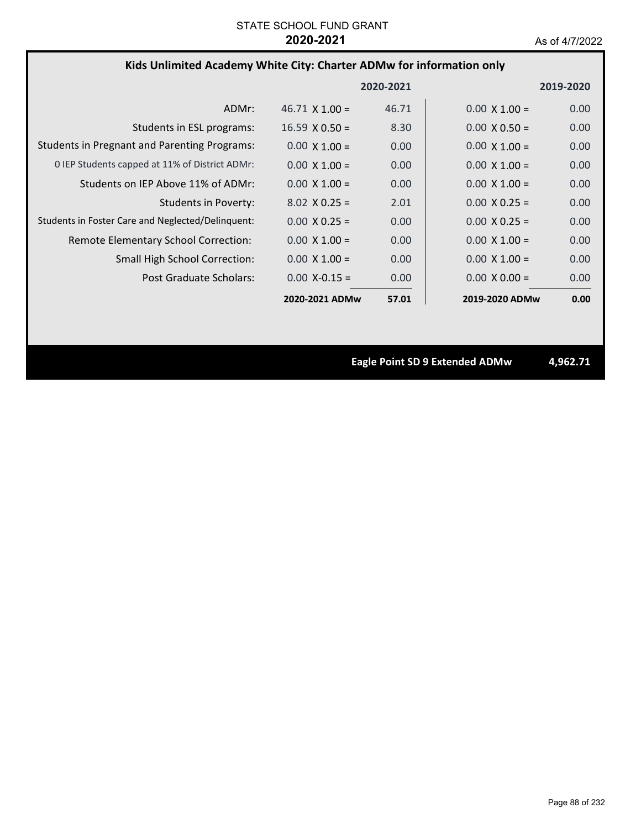## **Kids Unlimited Academy White City: Charter ADMw for information only**

|                                                     |                       | 2020-2021 |                      | 2019-2020 |
|-----------------------------------------------------|-----------------------|-----------|----------------------|-----------|
| ADMr:                                               | $46.71 \times 1.00 =$ | 46.71     | $0.00 \times 1.00 =$ | 0.00      |
| Students in ESL programs:                           | $16.59 \times 0.50 =$ | 8.30      | $0.00 \times 0.50 =$ | 0.00      |
| <b>Students in Pregnant and Parenting Programs:</b> | $0.00 \times 1.00 =$  | 0.00      | $0.00 \times 1.00 =$ | 0.00      |
| 0 IEP Students capped at 11% of District ADMr:      | $0.00 \times 1.00 =$  | 0.00      | $0.00 \times 1.00 =$ | 0.00      |
| Students on IEP Above 11% of ADMr:                  | $0.00 \times 1.00 =$  | 0.00      | $0.00 \times 1.00 =$ | 0.00      |
| Students in Poverty:                                | $8.02 \times 0.25 =$  | 2.01      | $0.00 \times 0.25 =$ | 0.00      |
| Students in Foster Care and Neglected/Delinquent:   | $0.00 \times 0.25 =$  | 0.00      | $0.00 \times 0.25 =$ | 0.00      |
| Remote Elementary School Correction:                | $0.00 \times 1.00 =$  | 0.00      | $0.00 \times 1.00 =$ | 0.00      |
| <b>Small High School Correction:</b>                | $0.00 \times 1.00 =$  | 0.00      | $0.00 \times 1.00 =$ | 0.00      |
| Post Graduate Scholars:                             | $0.00 X - 0.15 =$     | 0.00      | $0.00 \times 0.00 =$ | 0.00      |
|                                                     | 2020-2021 ADMw        | 57.01     | 2019-2020 ADMw       | 0.00      |

**Eagle Point SD 9 Extended ADMw 4,962.71**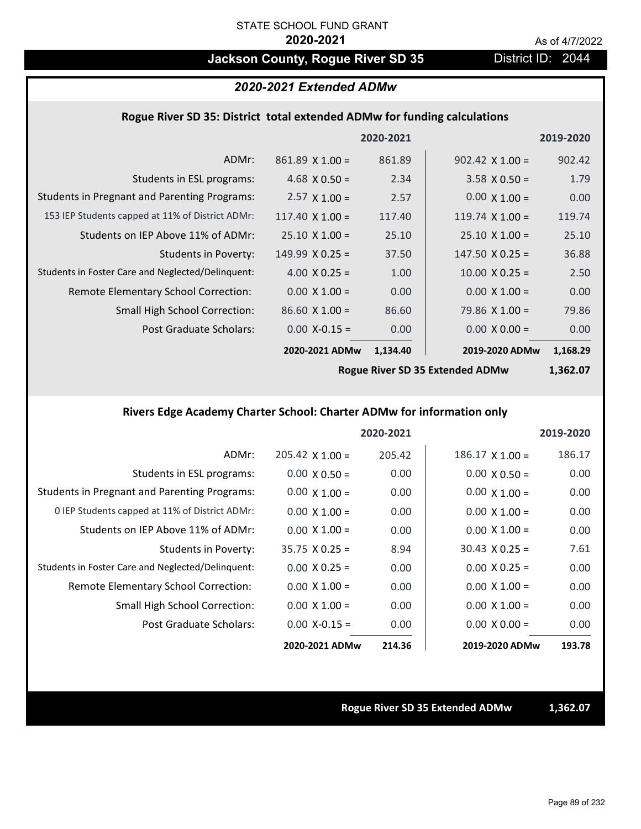## Jackson County, Rogue River SD 35 District ID: 2044

## *2020-2021 Extended ADMw*

## **Rogue River SD 35: District total extended ADMw for funding calculations**

|                                                     |                        | 2020-2021 |                        | 2019-2020 |
|-----------------------------------------------------|------------------------|-----------|------------------------|-----------|
| ADMr:                                               | $861.89$ X 1.00 =      | 861.89    | $902.42 \times 1.00 =$ | 902.42    |
| Students in ESL programs:                           | 4.68 $\times$ 0.50 =   | 2.34      | $3.58 \times 0.50 =$   | 1.79      |
| <b>Students in Pregnant and Parenting Programs:</b> | $2.57 \times 1.00 =$   | 2.57      | $0.00 \times 1.00 =$   | 0.00      |
| 153 IEP Students capped at 11% of District ADMr:    | $117.40 \times 1.00 =$ | 117.40    | 119.74 $\times$ 1.00 = | 119.74    |
| Students on IEP Above 11% of ADMr:                  | $25.10 \times 1.00 =$  | 25.10     | $25.10 \times 1.00 =$  | 25.10     |
| Students in Poverty:                                | $149.99 \times 0.25 =$ | 37.50     | $147.50 \times 0.25 =$ | 36.88     |
| Students in Foster Care and Neglected/Delinquent:   | 4.00 $X$ 0.25 =        | 1.00      | $10.00$ X 0.25 =       | 2.50      |
| Remote Elementary School Correction:                | $0.00 \times 1.00 =$   | 0.00      | $0.00 \times 1.00 =$   | 0.00      |
| <b>Small High School Correction:</b>                | $86.60 \times 1.00 =$  | 86.60     | 79.86 $X$ 1.00 =       | 79.86     |
| Post Graduate Scholars:                             | $0.00$ X-0.15 =        | 0.00      | $0.00 \times 0.00 =$   | 0.00      |
|                                                     | 2020-2021 ADMw         | 1,134.40  | 2019-2020 ADMw         | 1,168.29  |
|                                                     |                        |           |                        |           |

**Rogue River SD 35 Extended ADMw**

**1,362.07**

## **Rivers Edge Academy Charter School: Charter ADMw for information only**

|                                                     |                        | 2020-2021 |                        | 2019-2020 |
|-----------------------------------------------------|------------------------|-----------|------------------------|-----------|
| ADMr:                                               | $205.42 \times 1.00 =$ | 205.42    | $186.17 \times 1.00 =$ | 186.17    |
| Students in ESL programs:                           | $0.00 \times 0.50 =$   | 0.00      | $0.00 \times 0.50 =$   | 0.00      |
| <b>Students in Pregnant and Parenting Programs:</b> | $0.00 \times 1.00 =$   | 0.00      | $0.00 \times 1.00 =$   | 0.00      |
| 0 IEP Students capped at 11% of District ADMr:      | $0.00 \times 1.00 =$   | 0.00      | $0.00 \times 1.00 =$   | 0.00      |
| Students on IEP Above 11% of ADMr:                  | $0.00 \times 1.00 =$   | 0.00      | $0.00 \times 1.00 =$   | 0.00      |
| Students in Poverty:                                | $35.75 \times 0.25 =$  | 8.94      | $30.43 \times 0.25 =$  | 7.61      |
| Students in Foster Care and Neglected/Delinquent:   | $0.00 \times 0.25 =$   | 0.00      | $0.00 \times 0.25 =$   | 0.00      |
| Remote Elementary School Correction:                | $0.00 \times 1.00 =$   | 0.00      | $0.00 \times 1.00 =$   | 0.00      |
| <b>Small High School Correction:</b>                | $0.00 \times 1.00 =$   | 0.00      | $0.00 \times 1.00 =$   | 0.00      |
| Post Graduate Scholars:                             | $0.00 X - 0.15 =$      | 0.00      | $0.00 \times 0.00 =$   | 0.00      |
|                                                     | 2020-2021 ADMw         | 214.36    | 2019-2020 ADMw         | 193.78    |

### **Rogue River SD 35 Extended ADMw 1,362.07**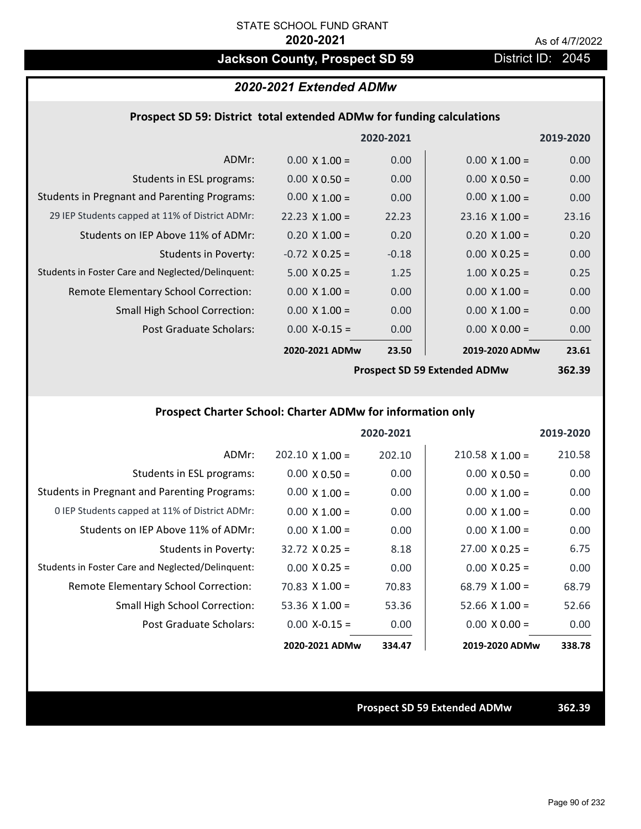## **Jackson County, Prospect SD 59** District ID: 2045

## *2020-2021 Extended ADMw*

## **Prospect SD 59: District total extended ADMw for funding calculations**

|                                                     |                       | 2020-2021 |                                        | 2019-2020 |
|-----------------------------------------------------|-----------------------|-----------|----------------------------------------|-----------|
| ADMr:                                               | $0.00 \times 1.00 =$  | 0.00      | $0.00 \times 1.00 =$                   | 0.00      |
| Students in ESL programs:                           | $0.00 \times 0.50 =$  | 0.00      | $0.00 \times 0.50 =$                   | 0.00      |
| <b>Students in Pregnant and Parenting Programs:</b> | $0.00 \times 1.00 =$  | 0.00      | $0.00 \times 1.00 =$                   | 0.00      |
| 29 IEP Students capped at 11% of District ADMr:     | $22.23 \times 1.00 =$ | 22.23     | $23.16 \times 1.00 =$                  | 23.16     |
| Students on IEP Above 11% of ADMr:                  | $0.20 \times 1.00 =$  | 0.20      | $0.20 \times 1.00 =$                   | 0.20      |
| <b>Students in Poverty:</b>                         | $-0.72$ X 0.25 =      | $-0.18$   | $0.00 \times 0.25 =$                   | 0.00      |
| Students in Foster Care and Neglected/Delinquent:   | $5.00 \times 0.25 =$  | 1.25      | $1.00 \times 0.25 =$                   | 0.25      |
| Remote Elementary School Correction:                | $0.00 \times 1.00 =$  | 0.00      | $0.00 \times 1.00 =$                   | 0.00      |
| <b>Small High School Correction:</b>                | $0.00 \times 1.00 =$  | 0.00      | $0.00 \times 1.00 =$                   | 0.00      |
| Post Graduate Scholars:                             | $0.00$ X-0.15 =       | 0.00      | $0.00 X 0.00 =$                        | 0.00      |
|                                                     | 2020-2021 ADMw        | 23.50     | 2019-2020 ADMw                         | 23.61     |
|                                                     |                       |           | <b>Dreamest CD FO Evisualed ADMust</b> | 252.20    |

**Prospect SD 59 Extended ADMw**

**362.39**

## **Prospect Charter School: Charter ADMw for information only**

|                                                     |                        | 2020-2021 |                       | 2019-2020 |
|-----------------------------------------------------|------------------------|-----------|-----------------------|-----------|
| ADMr:                                               | $202.10 \times 1.00 =$ | 202.10    | $210.58$ X 1.00 =     | 210.58    |
| Students in ESL programs:                           | $0.00 \times 0.50 =$   | 0.00      | $0.00 \times 0.50 =$  | 0.00      |
| <b>Students in Pregnant and Parenting Programs:</b> | $0.00 \times 1.00 =$   | 0.00      | $0.00 \times 1.00 =$  | 0.00      |
| 0 IEP Students capped at 11% of District ADMr:      | $0.00 \times 1.00 =$   | 0.00      | $0.00 \times 1.00 =$  | 0.00      |
| Students on IEP Above 11% of ADMr:                  | $0.00 \times 1.00 =$   | 0.00      | $0.00 \times 1.00 =$  | 0.00      |
| Students in Poverty:                                | $32.72 \times 0.25 =$  | 8.18      | $27.00 \times 0.25 =$ | 6.75      |
| Students in Foster Care and Neglected/Delinquent:   | $0.00 \times 0.25 =$   | 0.00      | $0.00 \times 0.25 =$  | 0.00      |
| <b>Remote Elementary School Correction:</b>         | $70.83 \times 1.00 =$  | 70.83     | $68.79 \times 1.00 =$ | 68.79     |
| <b>Small High School Correction:</b>                | 53.36 $X$ 1.00 =       | 53.36     | $52.66 \times 1.00 =$ | 52.66     |
| Post Graduate Scholars:                             | $0.00 X - 0.15 =$      | 0.00      | $0.00 \times 0.00 =$  | 0.00      |
|                                                     | 2020-2021 ADMw         | 334.47    | 2019-2020 ADMw        | 338.78    |

**Prospect SD 59 Extended ADMw 362.39**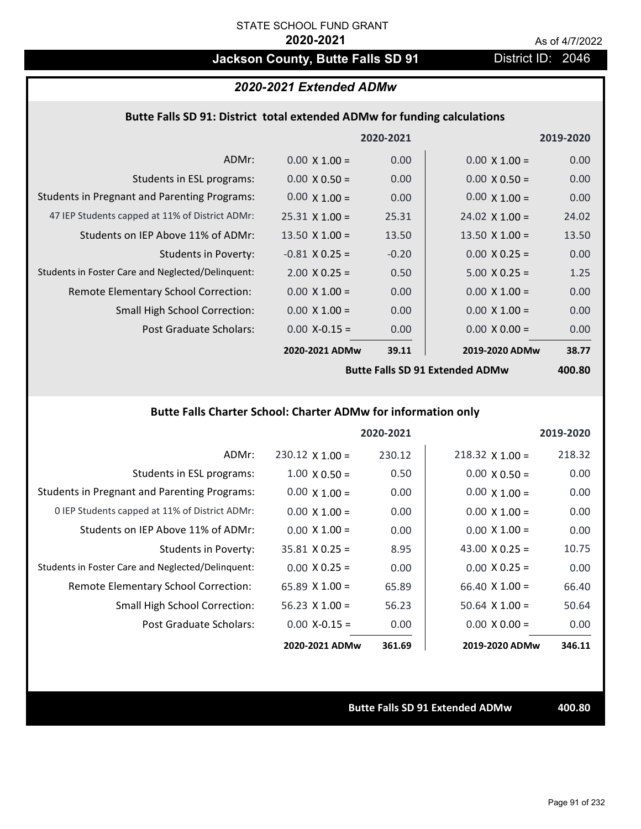# **Jackson County, Butte Falls SD 91** District ID: 2046

## *2020-2021 Extended ADMw*

## **Butte Falls SD 91: District total extended ADMw for funding calculations**

|                                                     |                       | 2020-2021 |                       | 2019-2020 |
|-----------------------------------------------------|-----------------------|-----------|-----------------------|-----------|
| ADMr:                                               | $0.00 \times 1.00 =$  | 0.00      | $0.00 \times 1.00 =$  | 0.00      |
| Students in ESL programs:                           | $0.00 \times 0.50 =$  | 0.00      | $0.00 \times 0.50 =$  | 0.00      |
| <b>Students in Pregnant and Parenting Programs:</b> | $0.00 \times 1.00 =$  | 0.00      | $0.00 \times 1.00 =$  | 0.00      |
| 47 IEP Students capped at 11% of District ADMr:     | $25.31 \times 1.00 =$ | 25.31     | $24.02 \times 1.00 =$ | 24.02     |
| Students on IEP Above 11% of ADMr:                  | 13.50 $\times$ 1.00 = | 13.50     | $13.50$ X $1.00 =$    | 13.50     |
| <b>Students in Poverty:</b>                         | $-0.81$ X 0.25 =      | $-0.20$   | $0.00 \times 0.25 =$  | 0.00      |
| Students in Foster Care and Neglected/Delinquent:   | $2.00 \times 0.25 =$  | 0.50      | $5.00 X 0.25 =$       | 1.25      |
| Remote Elementary School Correction:                | $0.00 \times 1.00 =$  | 0.00      | $0.00 \times 1.00 =$  | 0.00      |
| <b>Small High School Correction:</b>                | $0.00 \times 1.00 =$  | 0.00      | $0.00 \times 1.00 =$  | 0.00      |
| Post Graduate Scholars:                             | $0.00$ X-0.15 =       | 0.00      | $0.00 \times 0.00 =$  | 0.00      |
|                                                     | 2020-2021 ADMw        | 39.11     | 2019-2020 ADMw        | 38.77     |
|                                                     |                       |           |                       |           |

**Butte Falls SD 91 Extended ADMw**

**400.80**

## **Butte Falls Charter School: Charter ADMw for information only**

|                                                     |                        | 2020-2021 |                        | 2019-2020 |
|-----------------------------------------------------|------------------------|-----------|------------------------|-----------|
| ADMr:                                               | $230.12 \times 1.00 =$ | 230.12    | $218.32 \times 1.00 =$ | 218.32    |
| Students in ESL programs:                           | $1.00 \times 0.50 =$   | 0.50      | $0.00 \times 0.50 =$   | 0.00      |
| <b>Students in Pregnant and Parenting Programs:</b> | $0.00 \times 1.00 =$   | 0.00      | $0.00 \times 1.00 =$   | 0.00      |
| 0 IEP Students capped at 11% of District ADMr:      | $0.00 \times 1.00 =$   | 0.00      | $0.00 \times 1.00 =$   | 0.00      |
| Students on IEP Above 11% of ADMr:                  | $0.00 \times 1.00 =$   | 0.00      | $0.00 \times 1.00 =$   | 0.00      |
| Students in Poverty:                                | $35.81 \times 0.25 =$  | 8.95      | 43.00 $\times$ 0.25 =  | 10.75     |
| Students in Foster Care and Neglected/Delinquent:   | $0.00 \times 0.25 =$   | 0.00      | $0.00 \times 0.25 =$   | 0.00      |
| Remote Elementary School Correction:                | 65.89 $X$ 1.00 =       | 65.89     | $66.40 \times 1.00 =$  | 66.40     |
| <b>Small High School Correction:</b>                | 56.23 $X$ 1.00 =       | 56.23     | $50.64 \times 1.00 =$  | 50.64     |
| Post Graduate Scholars:                             | $0.00$ X-0.15 =        | 0.00      | $0.00 \times 0.00 =$   | 0.00      |
|                                                     | 2020-2021 ADMw         | 361.69    | 2019-2020 ADMw         | 346.11    |

**Butte Falls SD 91 Extended ADMw 400.80**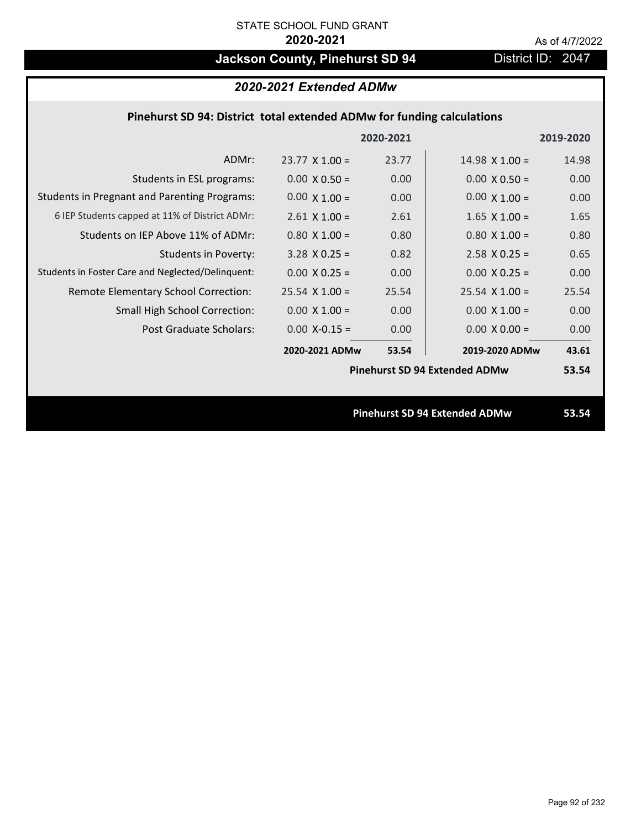# Jackson County, Pinehurst SD 94 District ID: 2047

| 2020-2021 Extended ADMw                                                |                       |           |                                      |           |
|------------------------------------------------------------------------|-----------------------|-----------|--------------------------------------|-----------|
| Pinehurst SD 94: District total extended ADMw for funding calculations |                       |           |                                      |           |
|                                                                        |                       | 2020-2021 |                                      | 2019-2020 |
| ADMr:                                                                  | $23.77 \times 1.00 =$ | 23.77     | $14.98 \times 1.00 =$                | 14.98     |
| Students in ESL programs:                                              | $0.00 \times 0.50 =$  | 0.00      | $0.00 \times 0.50 =$                 | 0.00      |
| <b>Students in Pregnant and Parenting Programs:</b>                    | $0.00 \times 1.00 =$  | 0.00      | $0.00 \times 1.00 =$                 | 0.00      |
| 6 IEP Students capped at 11% of District ADMr:                         | $2.61$ X $1.00 =$     | 2.61      | $1.65$ X $1.00 =$                    | 1.65      |
| Students on IEP Above 11% of ADMr:                                     | $0.80 X 1.00 =$       | 0.80      | $0.80$ X $1.00 =$                    | 0.80      |
| <b>Students in Poverty:</b>                                            | $3.28$ X 0.25 =       | 0.82      | $2.58$ X 0.25 =                      | 0.65      |
| Students in Foster Care and Neglected/Delinquent:                      | $0.00 X 0.25 =$       | 0.00      | $0.00 X 0.25 =$                      | 0.00      |
| Remote Elementary School Correction:                                   | $25.54$ X 1.00 =      | 25.54     | $25.54$ X $1.00 =$                   | 25.54     |
| Small High School Correction:                                          | $0.00 \times 1.00 =$  | 0.00      | $0.00 \times 1.00 =$                 | 0.00      |
| Post Graduate Scholars:                                                | $0.00$ X-0.15 =       | 0.00      | $0.00 \times 0.00 =$                 | 0.00      |
|                                                                        | 2020-2021 ADMw        | 53.54     | 2019-2020 ADMw                       | 43.61     |
|                                                                        |                       |           | <b>Pinehurst SD 94 Extended ADMw</b> | 53.54     |
|                                                                        |                       |           |                                      |           |

**Pinehurst SD 94 Extended ADMw 53.54**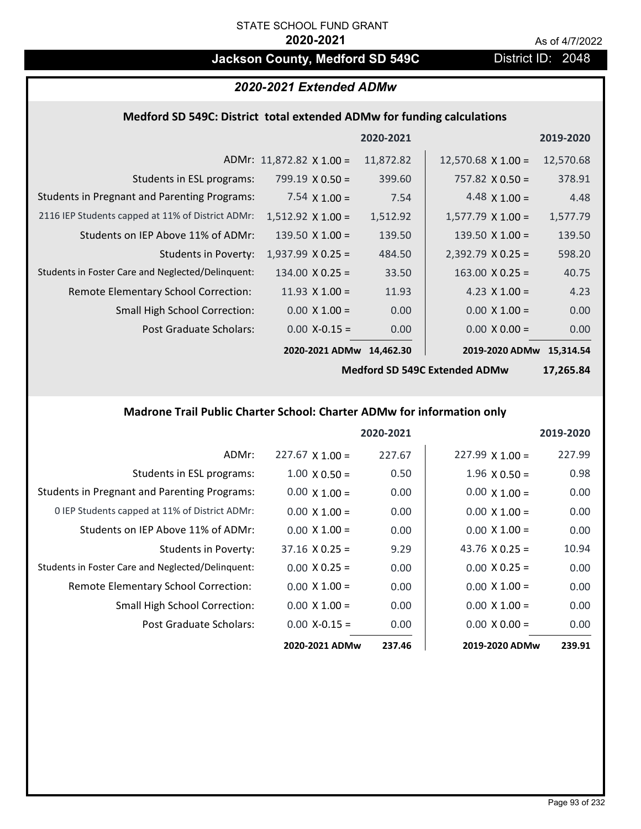## **Jackson County, Medford SD 549C** District ID: 2048

## *2020-2021 Extended ADMw*

## **Medford SD 549C: District total extended ADMw for funding calculations**

|                                                     |                                 | 2020-2021 |                           | 2019-2020 |
|-----------------------------------------------------|---------------------------------|-----------|---------------------------|-----------|
|                                                     | ADMr: $11,872.82 \times 1.00 =$ | 11,872.82 | $12,570.68 \times 1.00 =$ | 12,570.68 |
| Students in ESL programs:                           | $799.19 \times 0.50 =$          | 399.60    | $757.82 \times 0.50 =$    | 378.91    |
| <b>Students in Pregnant and Parenting Programs:</b> | 7.54 $\times$ 1.00 =            | 7.54      | 4.48 $\times$ 1.00 =      | 4.48      |
| 2116 IEP Students capped at 11% of District ADMr:   | $1,512.92 \times 1.00 =$        | 1,512.92  | $1,577.79 \times 1.00 =$  | 1,577.79  |
| Students on IEP Above 11% of ADMr:                  | $139.50 \times 1.00 =$          | 139.50    | 139.50 $X$ 1.00 =         | 139.50    |
| <b>Students in Poverty:</b>                         | $1,937.99 \times 0.25 =$        | 484.50    | $2,392.79$ X 0.25 =       | 598.20    |
| Students in Foster Care and Neglected/Delinquent:   | $134.00 \times 0.25 =$          | 33.50     | $163.00 \times 0.25 =$    | 40.75     |
| Remote Elementary School Correction:                | 11.93 $\times$ 1.00 =           | 11.93     | 4.23 $X$ 1.00 =           | 4.23      |
| <b>Small High School Correction:</b>                | $0.00 \times 1.00 =$            | 0.00      | $0.00 \times 1.00 =$      | 0.00      |
| Post Graduate Scholars:                             | $0.00 X - 0.15 =$               | 0.00      | $0.00 \times 0.00 =$      | 0.00      |
|                                                     | 2020-2021 ADMw                  | 14.462.30 | 2019-2020 ADMw 15,314.54  |           |

**Medford SD 549C Extended ADMw**

**17,265.84**

## **Madrone Trail Public Charter School: Charter ADMw for information only**

|                                                     |                        | 2020-2021 |                        | 2019-2020 |
|-----------------------------------------------------|------------------------|-----------|------------------------|-----------|
| ADMr:                                               | $227.67 \times 1.00 =$ | 227.67    | $227.99 \times 1.00 =$ | 227.99    |
| Students in ESL programs:                           | $1.00 \times 0.50 =$   | 0.50      | $1.96 \times 0.50 =$   | 0.98      |
| <b>Students in Pregnant and Parenting Programs:</b> | $0.00 \times 1.00 =$   | 0.00      | $0.00 \times 1.00 =$   | 0.00      |
| 0 IEP Students capped at 11% of District ADMr:      | $0.00 \times 1.00 =$   | 0.00      | $0.00 \times 1.00 =$   | 0.00      |
| Students on IEP Above 11% of ADMr:                  | $0.00 \times 1.00 =$   | 0.00      | $0.00 \times 1.00 =$   | 0.00      |
| Students in Poverty:                                | $37.16 \times 0.25 =$  | 9.29      | 43.76 $\times$ 0.25 =  | 10.94     |
| Students in Foster Care and Neglected/Delinquent:   | $0.00 \times 0.25 =$   | 0.00      | $0.00 \times 0.25 =$   | 0.00      |
| Remote Elementary School Correction:                | $0.00 \times 1.00 =$   | 0.00      | $0.00 \times 1.00 =$   | 0.00      |
| Small High School Correction:                       | $0.00 \times 1.00 =$   | 0.00      | $0.00 \times 1.00 =$   | 0.00      |
| Post Graduate Scholars:                             | $0.00 X - 0.15 =$      | 0.00      | $0.00 \times 0.00 =$   | 0.00      |
|                                                     | 2020-2021 ADMw         | 237.46    | 2019-2020 ADMw         | 239.91    |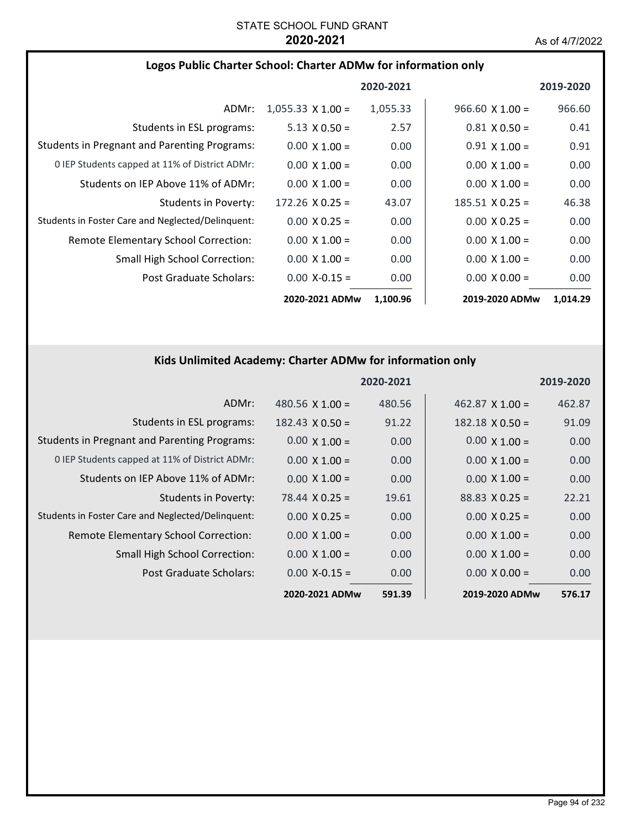|  |  | Logos Public Charter School: Charter ADMw for information only |  |
|--|--|----------------------------------------------------------------|--|
|--|--|----------------------------------------------------------------|--|

|                                                     |                          | 2020-2021 |                        | 2019-2020 |
|-----------------------------------------------------|--------------------------|-----------|------------------------|-----------|
| ADMr:                                               | $1,055.33 \times 1.00 =$ | 1,055.33  | $966.60 \times 1.00 =$ | 966.60    |
| Students in ESL programs:                           | $5.13 \times 0.50 =$     | 2.57      | $0.81 \times 0.50 =$   | 0.41      |
| <b>Students in Pregnant and Parenting Programs:</b> | $0.00 \times 1.00 =$     | 0.00      | $0.91 \times 1.00 =$   | 0.91      |
| 0 IEP Students capped at 11% of District ADMr:      | $0.00 \times 1.00 =$     | 0.00      | $0.00 \times 1.00 =$   | 0.00      |
| Students on IEP Above 11% of ADMr:                  | $0.00 \times 1.00 =$     | 0.00      | $0.00 \times 1.00 =$   | 0.00      |
| Students in Poverty:                                | $172.26 \times 0.25 =$   | 43.07     | $185.51 \times 0.25 =$ | 46.38     |
| Students in Foster Care and Neglected/Delinquent:   | $0.00 \times 0.25 =$     | 0.00      | $0.00 \times 0.25 =$   | 0.00      |
| Remote Elementary School Correction:                | $0.00 \times 1.00 =$     | 0.00      | $0.00 \times 1.00 =$   | 0.00      |
| <b>Small High School Correction:</b>                | $0.00 \times 1.00 =$     | 0.00      | $0.00 \times 1.00 =$   | 0.00      |
| Post Graduate Scholars:                             | $0.00$ X-0.15 =          | 0.00      | $0.00 \times 0.00 =$   | 0.00      |
|                                                     | 2020-2021 ADMw           | 1,100.96  | 2019-2020 ADMw         | 1,014.29  |

## **Kids Unlimited Academy: Charter ADMw for information only**

|                                                     |                        | 2020-2021 |                        | 2019-2020 |
|-----------------------------------------------------|------------------------|-----------|------------------------|-----------|
| ADMr:                                               | 480.56 $X$ 1.00 =      | 480.56    | $462.87$ X 1.00 =      | 462.87    |
| Students in ESL programs:                           | $182.43 \times 0.50 =$ | 91.22     | $182.18 \times 0.50 =$ | 91.09     |
| <b>Students in Pregnant and Parenting Programs:</b> | $0.00 \times 1.00 =$   | 0.00      | $0.00 \times 1.00 =$   | 0.00      |
| 0 IEP Students capped at 11% of District ADMr:      | $0.00 \times 1.00 =$   | 0.00      | $0.00 \times 1.00 =$   | 0.00      |
| Students on IEP Above 11% of ADMr:                  | $0.00 \times 1.00 =$   | 0.00      | $0.00 \times 1.00 =$   | 0.00      |
| <b>Students in Poverty:</b>                         | $78.44 \times 0.25 =$  | 19.61     | $88.83 \times 0.25 =$  | 22.21     |
| Students in Foster Care and Neglected/Delinquent:   | $0.00 \times 0.25 =$   | 0.00      | $0.00 \times 0.25 =$   | 0.00      |
| Remote Elementary School Correction:                | $0.00 \times 1.00 =$   | 0.00      | $0.00 \times 1.00 =$   | 0.00      |
| <b>Small High School Correction:</b>                | $0.00 \times 1.00 =$   | 0.00      | $0.00 \times 1.00 =$   | 0.00      |
| Post Graduate Scholars:                             | $0.00$ X-0.15 =        | 0.00      | $0.00 \times 0.00 =$   | 0.00      |
|                                                     | 2020-2021 ADMw         | 591.39    | 2019-2020 ADMw         | 576.17    |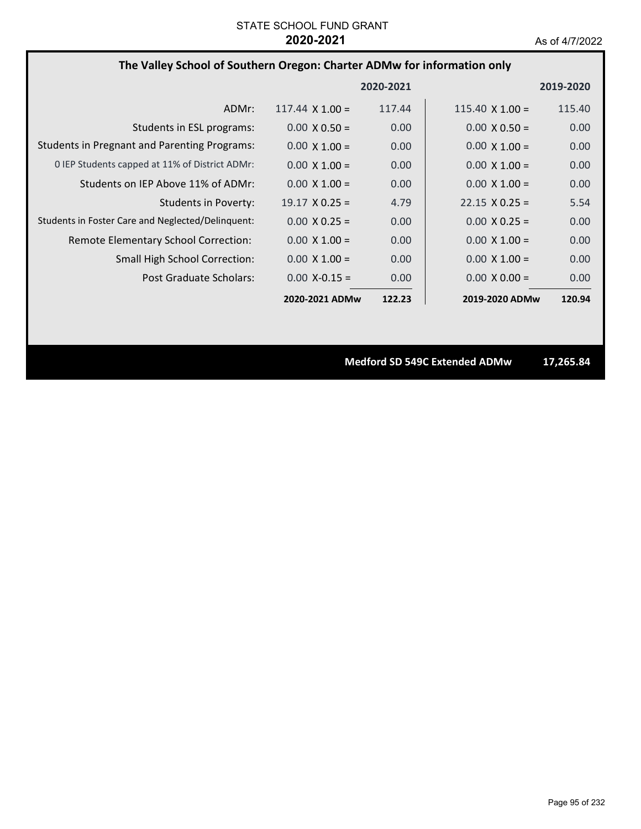## **The Valley School of Southern Oregon: Charter ADMw for information only**

|                                                     |                        | 2020-2021         |                        | 2019-2020 |
|-----------------------------------------------------|------------------------|-------------------|------------------------|-----------|
| ADMr:                                               | $117.44 \times 1.00 =$ | 117.44            | $115.40 \times 1.00 =$ | 115.40    |
| Students in ESL programs:                           | $0.00 \times 0.50 =$   | 0.00              | $0.00 \times 0.50 =$   | 0.00      |
| <b>Students in Pregnant and Parenting Programs:</b> | $0.00 \times 1.00 =$   | 0.00              | $0.00 \times 1.00 =$   | 0.00      |
| 0 IEP Students capped at 11% of District ADMr:      | $0.00 \times 1.00 =$   | 0.00              | $0.00 \times 1.00 =$   | 0.00      |
| Students on IEP Above 11% of ADMr:                  | $0.00 \times 1.00 =$   | 0.00              | $0.00 \times 1.00 =$   | 0.00      |
| Students in Poverty:                                | $19.17 \times 0.25 =$  | 4.79              | $22.15 \times 0.25 =$  | 5.54      |
| Students in Foster Care and Neglected/Delinquent:   | $0.00 \times 0.25 =$   | 0.00              | $0.00 \times 0.25 =$   | 0.00      |
| Remote Elementary School Correction:                | $0.00 \times 1.00 =$   | 0.00 <sub>1</sub> | $0.00 \times 1.00 =$   | 0.00      |
| <b>Small High School Correction:</b>                | $0.00 \times 1.00 =$   | 0.00              | $0.00 \times 1.00 =$   | 0.00      |
| Post Graduate Scholars:                             | $0.00 X - 0.15 =$      | 0.00              | $0.00 \times 0.00 =$   | 0.00      |
|                                                     | 2020-2021 ADMw         | 122.23            | 2019-2020 ADMw         | 120.94    |

**Medford SD 549C Extended ADMw 17,265.84**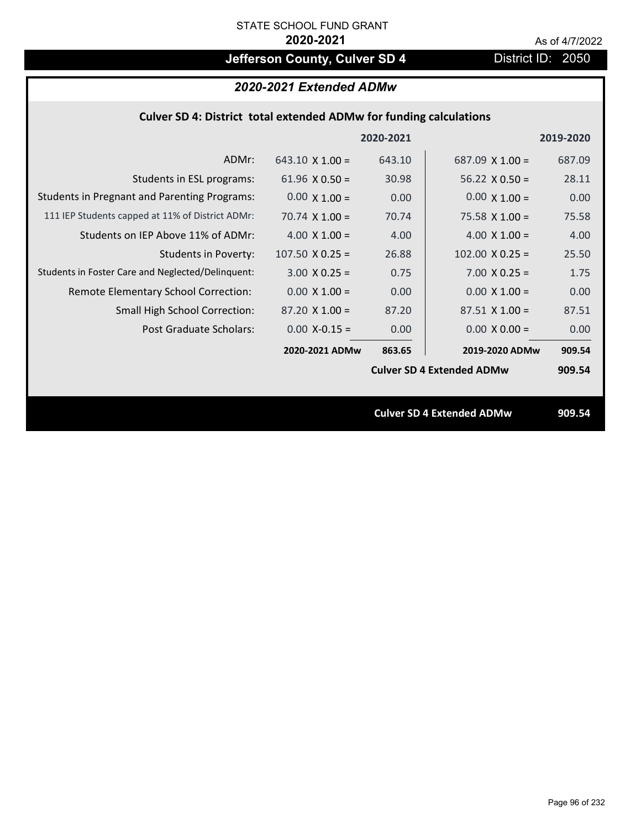# **Jefferson County, Culver SD 4** District ID: 2050

|                                                                           | 2020-2021 Extended ADMw |           |                                  |           |  |
|---------------------------------------------------------------------------|-------------------------|-----------|----------------------------------|-----------|--|
| <b>Culver SD 4: District total extended ADMw for funding calculations</b> |                         |           |                                  |           |  |
|                                                                           |                         | 2020-2021 |                                  | 2019-2020 |  |
| ADMr:                                                                     | $643.10 \times 1.00 =$  | 643.10    | 687.09 $\times$ 1.00 =           | 687.09    |  |
| Students in ESL programs:                                                 | 61.96 $\times$ 0.50 =   | 30.98     | 56.22 $\times$ 0.50 =            | 28.11     |  |
| <b>Students in Pregnant and Parenting Programs:</b>                       | $0.00 \times 1.00 =$    | 0.00      | $0.00 \times 1.00 =$             | 0.00      |  |
| 111 IEP Students capped at 11% of District ADMr:                          | 70.74 $\times$ 1.00 =   | 70.74     | $75.58 \times 1.00 =$            | 75.58     |  |
| Students on IEP Above 11% of ADMr:                                        | $4.00 \times 1.00 =$    | 4.00      | 4.00 $X$ 1.00 =                  | 4.00      |  |
| <b>Students in Poverty:</b>                                               | $107.50$ X 0.25 =       | 26.88     | $102.00 \times 0.25 =$           | 25.50     |  |
| Students in Foster Care and Neglected/Delinquent:                         | $3.00 X 0.25 =$         | 0.75      | $7.00 X 0.25 =$                  | 1.75      |  |
| Remote Elementary School Correction:                                      | $0.00 \times 1.00 =$    | 0.00      | $0.00 \times 1.00 =$             | 0.00      |  |
| <b>Small High School Correction:</b>                                      | $87.20 \times 1.00 =$   | 87.20     | $87.51 \times 1.00 =$            | 87.51     |  |
| <b>Post Graduate Scholars:</b>                                            | $0.00$ X-0.15 =         | 0.00      | $0.00 \times 0.00 =$             | 0.00      |  |
|                                                                           | 2020-2021 ADMw          | 863.65    | 2019-2020 ADMw                   | 909.54    |  |
|                                                                           |                         |           | <b>Culver SD 4 Extended ADMw</b> | 909.54    |  |
|                                                                           |                         |           |                                  |           |  |
|                                                                           |                         |           | <b>Culver SD 4 Extended ADMw</b> | 909.54    |  |
|                                                                           |                         |           |                                  |           |  |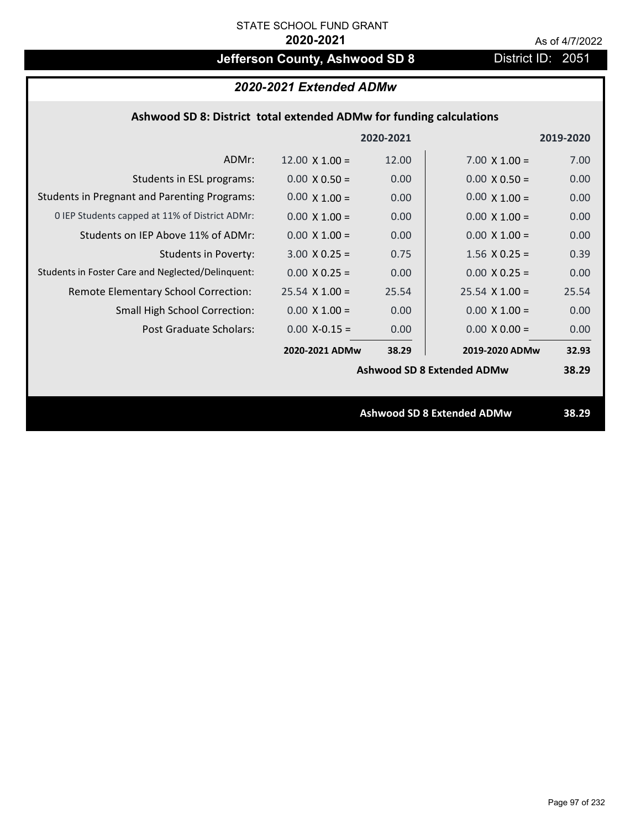# **Jefferson County, Ashwood SD 8** District ID: 2051

| 2020-2021 Extended ADMw |  |
|-------------------------|--|
|-------------------------|--|

## **Ashwood SD 8: District total extended ADMw for funding calculations**

|                                                     |                       | 2020-2021 |                                   | 2019-2020 |
|-----------------------------------------------------|-----------------------|-----------|-----------------------------------|-----------|
| ADMr:                                               | $12.00 \times 1.00 =$ | 12.00     | $7.00 \times 1.00 =$              | 7.00      |
| Students in ESL programs:                           | $0.00 \times 0.50 =$  | 0.00      | $0.00 \times 0.50 =$              | 0.00      |
| <b>Students in Pregnant and Parenting Programs:</b> | $0.00 \times 1.00 =$  | 0.00      | $0.00 \times 1.00 =$              | 0.00      |
| 0 IEP Students capped at 11% of District ADMr:      | $0.00 \times 1.00 =$  | 0.00      | $0.00 \times 1.00 =$              | 0.00      |
| Students on IEP Above 11% of ADMr:                  | $0.00 \times 1.00 =$  | 0.00      | $0.00 \times 1.00 =$              | 0.00      |
| <b>Students in Poverty:</b>                         | $3.00 \times 0.25 =$  | 0.75      | $1.56$ X 0.25 =                   | 0.39      |
| Students in Foster Care and Neglected/Delinquent:   | $0.00 \times 0.25 =$  | 0.00      | $0.00 \times 0.25 =$              | 0.00      |
| Remote Elementary School Correction:                | $25.54$ X 1.00 =      | 25.54     | $25.54$ X 1.00 =                  | 25.54     |
| <b>Small High School Correction:</b>                | $0.00 \times 1.00 =$  | 0.00      | $0.00 \times 1.00 =$              | 0.00      |
| Post Graduate Scholars:                             | $0.00$ X-0.15 =       | 0.00      | $0.00 \times 0.00 =$              | 0.00      |
|                                                     | 2020-2021 ADMw        | 38.29     | 2019-2020 ADMw                    | 32.93     |
|                                                     |                       |           | <b>Ashwood SD 8 Extended ADMw</b> | 38.29     |
|                                                     |                       |           |                                   |           |
|                                                     |                       |           | <b>Ashwood SD 8 Extended ADMw</b> | 38.29     |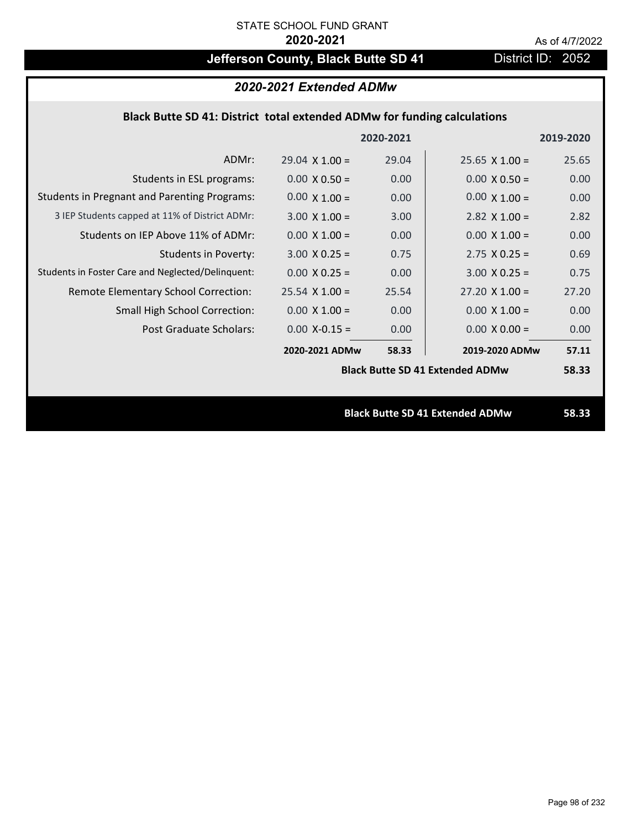# **Jefferson County, Black Butte SD 41** District ID: 2052

| 2020-2021 Extended ADMw                                                  |                       |           |                                        |           |  |  |
|--------------------------------------------------------------------------|-----------------------|-----------|----------------------------------------|-----------|--|--|
| Black Butte SD 41: District total extended ADMw for funding calculations |                       |           |                                        |           |  |  |
|                                                                          |                       | 2020-2021 |                                        | 2019-2020 |  |  |
| ADMr:                                                                    | $29.04 \times 1.00 =$ | 29.04     | $25.65 \times 1.00 =$                  | 25.65     |  |  |
| Students in ESL programs:                                                | $0.00 \times 0.50 =$  | 0.00      | $0.00 \times 0.50 =$                   | 0.00      |  |  |
| <b>Students in Pregnant and Parenting Programs:</b>                      | $0.00 \times 1.00 =$  | 0.00      | $0.00 \times 1.00 =$                   | 0.00      |  |  |
| 3 IEP Students capped at 11% of District ADMr:                           | $3.00 \times 1.00 =$  | 3.00      | 2.82 $\times$ 1.00 =                   | 2.82      |  |  |
| Students on IEP Above 11% of ADMr:                                       | $0.00 \times 1.00 =$  | 0.00      | $0.00 \times 1.00 =$                   | 0.00      |  |  |
| <b>Students in Poverty:</b>                                              | $3.00 \times 0.25 =$  | 0.75      | $2.75 \times 0.25 =$                   | 0.69      |  |  |
| Students in Foster Care and Neglected/Delinquent:                        | $0.00 \times 0.25 =$  | 0.00      | $3.00 \times 0.25 =$                   | 0.75      |  |  |
| Remote Elementary School Correction:                                     | $25.54$ X 1.00 =      | 25.54     | $27.20 \times 1.00 =$                  | 27.20     |  |  |
| Small High School Correction:                                            | $0.00 \times 1.00 =$  | 0.00      | $0.00 \times 1.00 =$                   | 0.00      |  |  |
| Post Graduate Scholars:                                                  | $0.00$ X-0.15 =       | 0.00      | $0.00 \times 0.00 =$                   | 0.00      |  |  |
|                                                                          | 2020-2021 ADMw        | 58.33     | 2019-2020 ADMw                         | 57.11     |  |  |
|                                                                          |                       |           | <b>Black Butte SD 41 Extended ADMw</b> | 58.33     |  |  |
|                                                                          |                       |           |                                        |           |  |  |
|                                                                          |                       |           | <b>Black Butte SD 41 Extended ADMw</b> | 58.33     |  |  |
|                                                                          |                       |           |                                        |           |  |  |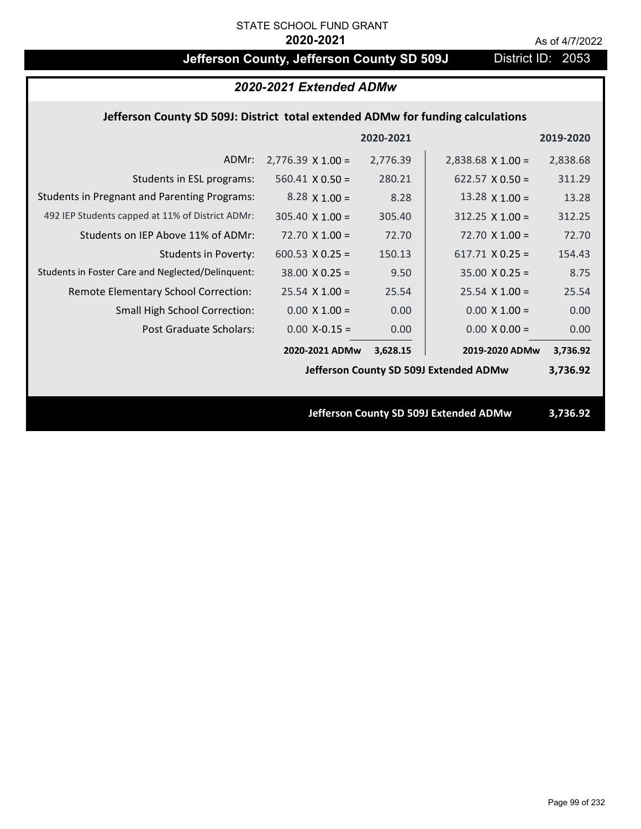# **Jefferson County, Jefferson County SD 509J** District ID: 2053

|                                                                                 | 2020-2021 Extended ADMw  |           |                                        |           |  |
|---------------------------------------------------------------------------------|--------------------------|-----------|----------------------------------------|-----------|--|
| Jefferson County SD 509J: District total extended ADMw for funding calculations |                          |           |                                        |           |  |
|                                                                                 |                          | 2020-2021 |                                        | 2019-2020 |  |
| ADMr:                                                                           | $2,776.39 \times 1.00 =$ | 2,776.39  | $2,838.68$ X 1.00 =                    | 2,838.68  |  |
| Students in ESL programs:                                                       | $560.41 \times 0.50 =$   | 280.21    | 622.57 $\times$ 0.50 =                 | 311.29    |  |
| <b>Students in Pregnant and Parenting Programs:</b>                             | $8.28 \times 1.00 =$     | 8.28      | 13.28 $\times$ 1.00 =                  | 13.28     |  |
| 492 IEP Students capped at 11% of District ADMr:                                | $305.40 \times 1.00 =$   | 305.40    | $312.25 \times 1.00 =$                 | 312.25    |  |
| Students on IEP Above 11% of ADMr:                                              | $72.70$ X $1.00 =$       | 72.70     | $72.70$ X $1.00 =$                     | 72.70     |  |
| <b>Students in Poverty:</b>                                                     | $600.53$ X 0.25 =        | 150.13    | $617.71 \times 0.25 =$                 | 154.43    |  |
| Students in Foster Care and Neglected/Delinquent:                               | $38.00 \times 0.25 =$    | 9.50      | $35.00 \times 0.25 =$                  | 8.75      |  |
| Remote Elementary School Correction:                                            | $25.54$ X 1.00 =         | 25.54     | $25.54$ X 1.00 =                       | 25.54     |  |
| Small High School Correction:                                                   | $0.00 \times 1.00 =$     | 0.00      | $0.00 \times 1.00 =$                   | 0.00      |  |
| <b>Post Graduate Scholars:</b>                                                  | $0.00$ X-0.15 =          | 0.00      | $0.00 \times 0.00 =$                   | 0.00      |  |
|                                                                                 | 2020-2021 ADMw           | 3,628.15  | 2019-2020 ADMw                         | 3,736.92  |  |
|                                                                                 |                          |           | Jefferson County SD 509J Extended ADMw | 3,736.92  |  |
|                                                                                 |                          |           |                                        |           |  |
|                                                                                 |                          |           | Jefferson County SD 509J Extended ADMw | 3,736.92  |  |
|                                                                                 |                          |           |                                        |           |  |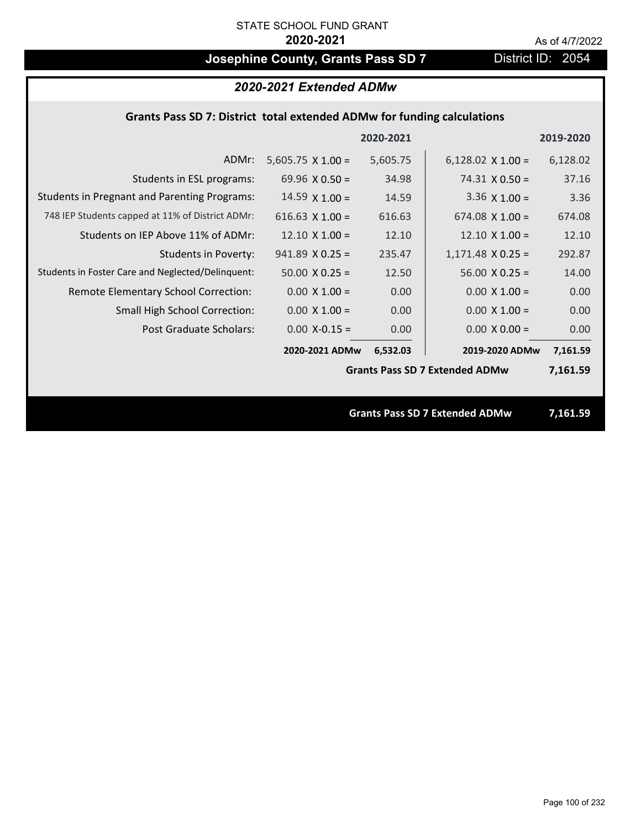# **Josephine County, Grants Pass SD 7** District ID: 2054

## *2020-2021 Extended ADMw*

## **Grants Pass SD 7: District total extended ADMw for funding calculations**

|                                                     |                          | 2020-2021 |                                       | 2019-2020 |
|-----------------------------------------------------|--------------------------|-----------|---------------------------------------|-----------|
| ADMr:                                               | $5,605.75 \times 1.00 =$ | 5,605.75  | $6,128.02 \times 1.00 =$              | 6,128.02  |
| Students in ESL programs:                           | 69.96 $\times$ 0.50 =    | 34.98     | $74.31 \times 0.50 =$                 | 37.16     |
| <b>Students in Pregnant and Parenting Programs:</b> | $14.59 \times 1.00 =$    | 14.59     | $3.36 \times 1.00 =$                  | 3.36      |
| 748 IEP Students capped at 11% of District ADMr:    | 616.63 $X$ 1.00 =        | 616.63    | $674.08 \times 1.00 =$                | 674.08    |
| Students on IEP Above 11% of ADMr:                  | $12.10 \times 1.00 =$    | 12.10     | $12.10 \times 1.00 =$                 | 12.10     |
| <b>Students in Poverty:</b>                         | $941.89$ X 0.25 =        | 235.47    | $1,171.48$ X 0.25 =                   | 292.87    |
| Students in Foster Care and Neglected/Delinquent:   | $50.00 \times 0.25 =$    | 12.50     | $56.00 \times 0.25 =$                 | 14.00     |
| Remote Elementary School Correction:                | $0.00 \times 1.00 =$     | 0.00      | $0.00 \times 1.00 =$                  | 0.00      |
| <b>Small High School Correction:</b>                | $0.00 \times 1.00 =$     | 0.00      | $0.00 \times 1.00 =$                  | 0.00      |
| Post Graduate Scholars:                             | $0.00$ X-0.15 =          | 0.00      | $0.00 \times 0.00 =$                  | 0.00      |
|                                                     | 2020-2021 ADMw           | 6,532.03  | 2019-2020 ADMw                        | 7,161.59  |
|                                                     |                          |           | <b>Grants Pass SD 7 Extended ADMw</b> | 7,161.59  |
|                                                     |                          |           |                                       |           |
|                                                     |                          |           | <b>Grants Pass SD 7 Extended ADMw</b> | 7,161.59  |

Page 100 of 232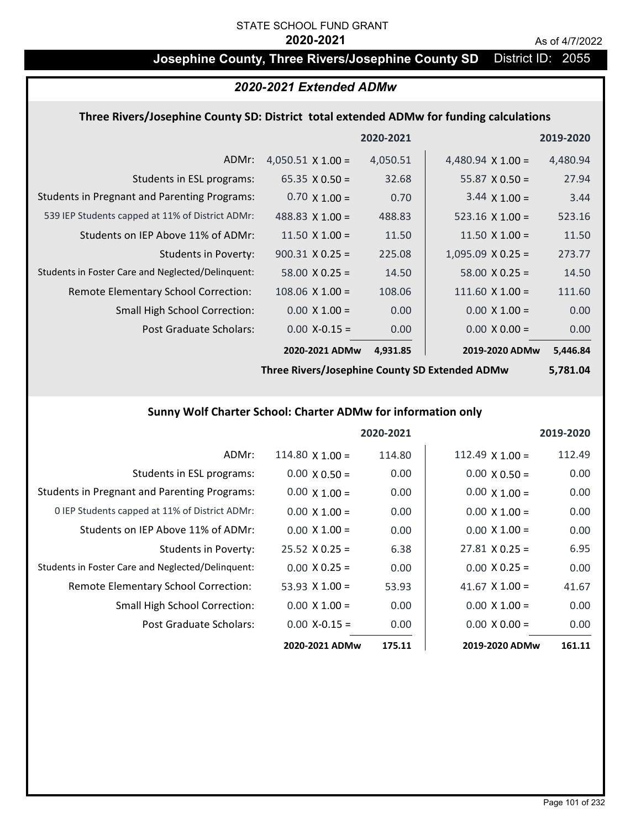## **Josephine County, Three Rivers/Josephine County SD** District ID: 2055

## *2020-2021 Extended ADMw*

## **Three Rivers/Josephine County SD: District total extended ADMw for funding calculations**

|                                                     |                          | 2020-2021 |                          | 2019-2020 |
|-----------------------------------------------------|--------------------------|-----------|--------------------------|-----------|
| ADMr:                                               | $4,050.51 \times 1.00 =$ | 4,050.51  | 4,480.94 $\times$ 1.00 = | 4,480.94  |
| Students in ESL programs:                           | $65.35 \times 0.50 =$    | 32.68     | $55.87 \times 0.50 =$    | 27.94     |
| <b>Students in Pregnant and Parenting Programs:</b> | $0.70 \times 1.00 =$     | 0.70      | $3.44 \times 1.00 =$     | 3.44      |
| 539 IEP Students capped at 11% of District ADMr:    | 488.83 $\times$ 1.00 =   | 488.83    | $523.16 \times 1.00 =$   | 523.16    |
| Students on IEP Above 11% of ADMr:                  | 11.50 $X$ 1.00 =         | 11.50     | 11.50 $X$ 1.00 =         | 11.50     |
| <b>Students in Poverty:</b>                         | $900.31 \times 0.25 =$   | 225.08    | $1,095.09 \times 0.25 =$ | 273.77    |
| Students in Foster Care and Neglected/Delinquent:   | $58.00 \times 0.25 =$    | 14.50     | $58.00 \times 0.25 =$    | 14.50     |
| Remote Elementary School Correction:                | $108.06 \times 1.00 =$   | 108.06    | $111.60 \times 1.00 =$   | 111.60    |
| <b>Small High School Correction:</b>                | $0.00 \times 1.00 =$     | 0.00      | $0.00 \times 1.00 =$     | 0.00      |
| Post Graduate Scholars:                             | $0.00$ X-0.15 =          | 0.00      | $0.00 \times 0.00 =$     | 0.00      |
|                                                     | 2020-2021 ADMw           | 4,931.85  | 2019-2020 ADMw           | 5,446.84  |

**Three Rivers/Josephine County SD Extended ADMw**

**5,781.04**

## **Sunny Wolf Charter School: Charter ADMw for information only**

|                                                     |                       | 2020-2021 |                       | 2019-2020 |
|-----------------------------------------------------|-----------------------|-----------|-----------------------|-----------|
| ADMr:                                               | $114.80$ X $1.00 =$   | 114.80    | 112.49 $X$ 1.00 =     | 112.49    |
| Students in ESL programs:                           | $0.00 \times 0.50 =$  | 0.00      | $0.00 \times 0.50 =$  | 0.00      |
| <b>Students in Pregnant and Parenting Programs:</b> | $0.00 \times 1.00 =$  | 0.00      | $0.00 \times 1.00 =$  | 0.00      |
| 0 IEP Students capped at 11% of District ADMr:      | $0.00 \times 1.00 =$  | 0.00      | $0.00 \times 1.00 =$  | 0.00      |
| Students on IEP Above 11% of ADMr:                  | $0.00 \times 1.00 =$  | 0.00      | $0.00 \times 1.00 =$  | 0.00      |
| Students in Poverty:                                | $25.52 \times 0.25 =$ | 6.38      | $27.81 \times 0.25 =$ | 6.95      |
| Students in Foster Care and Neglected/Delinquent:   | $0.00 \times 0.25 =$  | 0.00      | $0.00 \times 0.25 =$  | 0.00      |
| Remote Elementary School Correction:                | 53.93 $\times$ 1.00 = | 53.93     | 41.67 $\times$ 1.00 = | 41.67     |
| <b>Small High School Correction:</b>                | $0.00 \times 1.00 =$  | 0.00      | $0.00 \times 1.00 =$  | 0.00      |
| Post Graduate Scholars:                             | $0.00 X - 0.15 =$     | 0.00      | $0.00 \times 0.00 =$  | 0.00      |
|                                                     | 2020-2021 ADMw        | 175.11    | 2019-2020 ADMw        | 161.11    |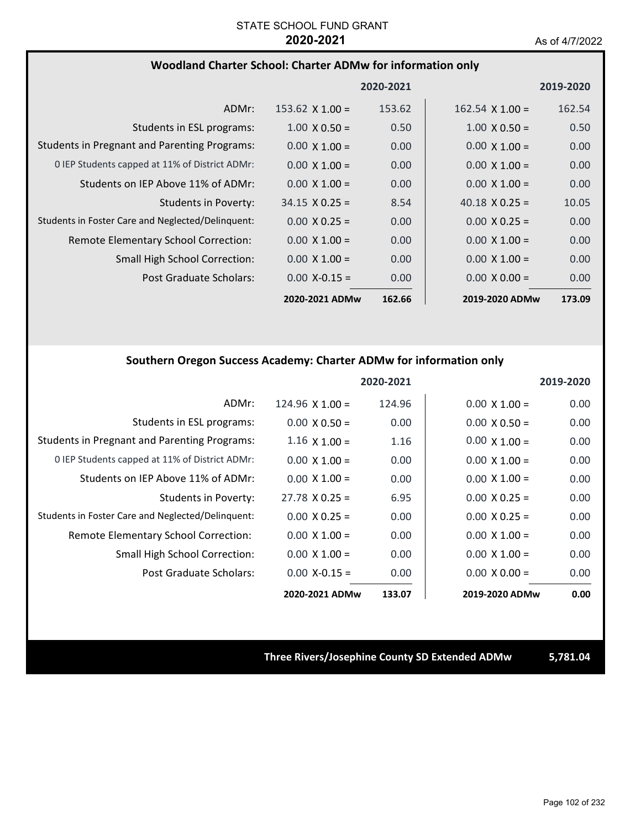|                                                     |                        | 2020-2021 |                        | 2019-2020 |
|-----------------------------------------------------|------------------------|-----------|------------------------|-----------|
| ADMr:                                               | $153.62 \times 1.00 =$ | 153.62    | $162.54 \times 1.00 =$ | 162.54    |
| Students in ESL programs:                           | $1.00 \times 0.50 =$   | 0.50      | $1.00 \times 0.50 =$   | 0.50      |
| <b>Students in Pregnant and Parenting Programs:</b> | $0.00 \times 1.00 =$   | 0.00      | $0.00 \times 1.00 =$   | 0.00      |
| 0 IEP Students capped at 11% of District ADMr:      | $0.00 \times 1.00 =$   | 0.00      | $0.00 \times 1.00 =$   | 0.00      |
| Students on IEP Above 11% of ADMr:                  | $0.00 \times 1.00 =$   | 0.00      | $0.00 \times 1.00 =$   | 0.00      |
| Students in Poverty:                                | $34.15 \times 0.25 =$  | 8.54      | 40.18 $\times$ 0.25 =  | 10.05     |
| Students in Foster Care and Neglected/Delinquent:   | $0.00 \times 0.25 =$   | 0.00      | $0.00 \times 0.25 =$   | 0.00      |
| Remote Elementary School Correction:                | $0.00 \times 1.00 =$   | 0.00      | $0.00 \times 1.00 =$   | 0.00      |
| <b>Small High School Correction:</b>                | $0.00 \times 1.00 =$   | 0.00      | $0.00 \times 1.00 =$   | 0.00      |
| Post Graduate Scholars:                             | $0.00$ X-0.15 =        | 0.00      | $0.00 \times 0.00 =$   | 0.00      |
|                                                     | 2020-2021 ADMw         | 162.66    | 2019-2020 ADMw         | 173.09    |

## **Southern Oregon Success Academy: Charter ADMw for information only**

|                                                     |                        | 2020-2021 |                      | 2019-2020 |
|-----------------------------------------------------|------------------------|-----------|----------------------|-----------|
| ADMr:                                               | $124.96 \times 1.00 =$ | 124.96    | $0.00 \times 1.00 =$ | 0.00      |
| Students in ESL programs:                           | $0.00 \times 0.50 =$   | 0.00      | $0.00 \times 0.50 =$ | 0.00      |
| <b>Students in Pregnant and Parenting Programs:</b> | $1.16 \times 1.00 =$   | 1.16      | $0.00 \times 1.00 =$ | 0.00      |
| 0 IEP Students capped at 11% of District ADMr:      | $0.00 \times 1.00 =$   | 0.00      | $0.00 \times 1.00 =$ | 0.00      |
| Students on IEP Above 11% of ADMr:                  | $0.00 \times 1.00 =$   | 0.00      | $0.00 \times 1.00 =$ | 0.00      |
| Students in Poverty:                                | $27.78 \times 0.25 =$  | 6.95      | $0.00 \times 0.25 =$ | 0.00      |
| Students in Foster Care and Neglected/Delinquent:   | $0.00 \times 0.25 =$   | 0.00      | $0.00 \times 0.25 =$ | 0.00      |
| Remote Elementary School Correction:                | $0.00 \times 1.00 =$   | 0.00      | $0.00 \times 1.00 =$ | 0.00      |
| Small High School Correction:                       | $0.00 \times 1.00 =$   | 0.00      | $0.00 \times 1.00 =$ | 0.00      |
| Post Graduate Scholars:                             | $0.00 X - 0.15 =$      | 0.00      | $0.00 \times 0.00 =$ | 0.00      |
|                                                     | 2020-2021 ADMw         | 133.07    | 2019-2020 ADMw       | 0.00      |

## **Three Rivers/Josephine County SD Extended ADMw 5,781.04**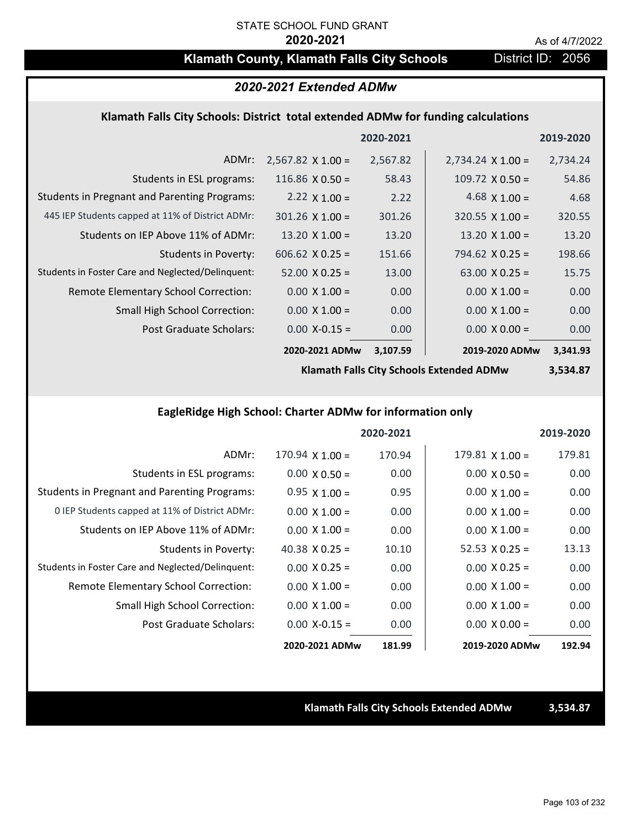## **Klamath County, Klamath Falls City Schools District ID: 2056**

## *2020-2021 Extended ADMw*

## **Klamath Falls City Schools: District total extended ADMw for funding calculations**

|                                                     |                          | 2020-2021 |                          | 2019-2020 |
|-----------------------------------------------------|--------------------------|-----------|--------------------------|-----------|
| ADMr:                                               | $2,567.82 \times 1.00 =$ | 2,567.82  | $2,734.24 \times 1.00 =$ | 2,734.24  |
| Students in ESL programs:                           | 116.86 $X$ 0.50 =        | 58.43     | $109.72 \times 0.50 =$   | 54.86     |
| <b>Students in Pregnant and Parenting Programs:</b> | 2.22 $\times$ 1.00 =     | 2.22      | 4.68 $\times$ 1.00 =     | 4.68      |
| 445 IEP Students capped at 11% of District ADMr:    | $301.26 \times 1.00 =$   | 301.26    | $320.55 \times 1.00 =$   | 320.55    |
| Students on IEP Above 11% of ADMr:                  | $13.20 \times 1.00 =$    | 13.20     | 13.20 $X$ 1.00 =         | 13.20     |
| <b>Students in Poverty:</b>                         | $606.62$ $X$ 0.25 =      | 151.66    | $794.62 \times 0.25 =$   | 198.66    |
| Students in Foster Care and Neglected/Delinquent:   | $52.00 \times 0.25 =$    | 13.00     | $63.00 \times 0.25 =$    | 15.75     |
| Remote Elementary School Correction:                | $0.00 \times 1.00 =$     | 0.00      | $0.00 \times 1.00 =$     | 0.00      |
| <b>Small High School Correction:</b>                | $0.00 \times 1.00 =$     | 0.00      | $0.00 \times 1.00 =$     | 0.00      |
| Post Graduate Scholars:                             | $0.00 X - 0.15 =$        | 0.00      | $0.00 \times 0.00 =$     | 0.00      |
|                                                     | 2020-2021 ADMw           | 3,107.59  | 2019-2020 ADMw           | 3,341.93  |

**Klamath Falls City Schools Extended ADMw**

**3,534.87**

## **EagleRidge High School: Charter ADMw for information only**

|                                                     |                        | 2020-2021 |                        | 2019-2020 |
|-----------------------------------------------------|------------------------|-----------|------------------------|-----------|
| ADMr:                                               | $170.94 \times 1.00 =$ | 170.94    | $179.81 \times 1.00 =$ | 179.81    |
| Students in ESL programs:                           | $0.00 \times 0.50 =$   | 0.00      | $0.00 \times 0.50 =$   | 0.00      |
| <b>Students in Pregnant and Parenting Programs:</b> | $0.95 \times 1.00 =$   | 0.95      | $0.00 \times 1.00 =$   | 0.00      |
| 0 IEP Students capped at 11% of District ADMr:      | $0.00 \times 1.00 =$   | 0.00      | $0.00 \times 1.00 =$   | 0.00      |
| Students on IEP Above 11% of ADMr:                  | $0.00 \times 1.00 =$   | 0.00      | $0.00 \times 1.00 =$   | 0.00      |
| Students in Poverty:                                | 40.38 $\times$ 0.25 =  | 10.10     | $52.53 \times 0.25 =$  | 13.13     |
| Students in Foster Care and Neglected/Delinquent:   | $0.00 \times 0.25 =$   | 0.00      | $0.00 \times 0.25 =$   | 0.00      |
| Remote Elementary School Correction:                | $0.00 \times 1.00 =$   | 0.00      | $0.00 \times 1.00 =$   | 0.00      |
| <b>Small High School Correction:</b>                | $0.00 \times 1.00 =$   | 0.00      | $0.00 \times 1.00 =$   | 0.00      |
| Post Graduate Scholars:                             | $0.00 X - 0.15 =$      | 0.00      | $0.00 \times 0.00 =$   | 0.00      |
|                                                     | 2020-2021 ADMw         | 181.99    | 2019-2020 ADMw         | 192.94    |

**Klamath Falls City Schools Extended ADMw 3,534.87**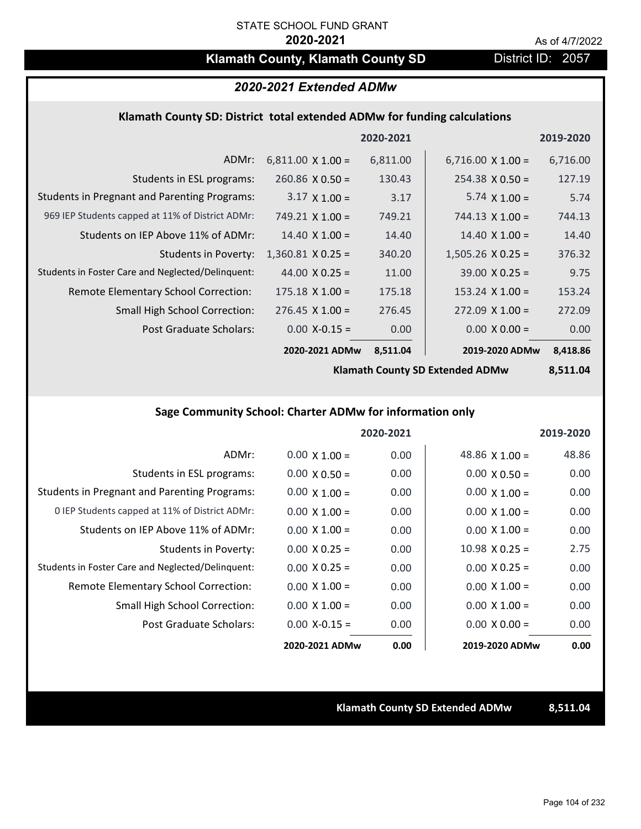## **Klamath County, Klamath County SD** District ID: 2057

## *2020-2021 Extended ADMw*

### **Klamath County SD: District total extended ADMw for funding calculations**

|                                                     |                          | 2020-2021 |                          | 2019-2020 |
|-----------------------------------------------------|--------------------------|-----------|--------------------------|-----------|
| ADMr:                                               | $6,811.00 \times 1.00 =$ | 6,811.00  | $6,716.00 \times 1.00 =$ | 6,716.00  |
| Students in ESL programs:                           | $260.86 \times 0.50 =$   | 130.43    | $254.38 \times 0.50 =$   | 127.19    |
| <b>Students in Pregnant and Parenting Programs:</b> | $3.17 \times 1.00 =$     | 3.17      | $5.74 \times 1.00 =$     | 5.74      |
| 969 IEP Students capped at 11% of District ADMr:    | $749.21$ X 1.00 =        | 749.21    | $744.13 \times 1.00 =$   | 744.13    |
| Students on IEP Above 11% of ADMr:                  | $14.40 \times 1.00 =$    | 14.40     | $14.40 \times 1.00 =$    | 14.40     |
| <b>Students in Poverty:</b>                         | $1,360.81$ X 0.25 =      | 340.20    | $1,505.26$ X 0.25 =      | 376.32    |
| Students in Foster Care and Neglected/Delinquent:   | 44.00 $\times$ 0.25 =    | 11.00     | $39.00 \times 0.25 =$    | 9.75      |
| <b>Remote Elementary School Correction:</b>         | $175.18 \times 1.00 =$   | 175.18    | $153.24 \times 1.00 =$   | 153.24    |
| <b>Small High School Correction:</b>                | $276.45$ X 1.00 =        | 276.45    | $272.09 \times 1.00 =$   | 272.09    |
| Post Graduate Scholars:                             | $0.00$ X-0.15 =          | 0.00      | $0.00 \times 0.00 =$     | 0.00      |
|                                                     | 2020-2021 ADMw           | 8,511.04  | 2019-2020 ADMw           | 8,418.86  |

**Klamath County SD Extended ADMw**

**8,511.04**

## **Sage Community School: Charter ADMw for information only**

|                                                     |                      | 2020-2021 |                       | 2019-2020 |
|-----------------------------------------------------|----------------------|-----------|-----------------------|-----------|
| ADMr:                                               | $0.00 \times 1.00 =$ | 0.00      | 48.86 $\times$ 1.00 = | 48.86     |
| Students in ESL programs:                           | $0.00 \times 0.50 =$ | 0.00      | $0.00 \times 0.50 =$  | 0.00      |
| <b>Students in Pregnant and Parenting Programs:</b> | $0.00 \times 1.00 =$ | 0.00      | $0.00 \times 1.00 =$  | 0.00      |
| 0 IEP Students capped at 11% of District ADMr:      | $0.00 \times 1.00 =$ | 0.00      | $0.00 \times 1.00 =$  | 0.00      |
| Students on IEP Above 11% of ADMr:                  | $0.00 \times 1.00 =$ | 0.00      | $0.00 \times 1.00 =$  | 0.00      |
| Students in Poverty:                                | $0.00 \times 0.25 =$ | 0.00      | $10.98 \times 0.25 =$ | 2.75      |
| Students in Foster Care and Neglected/Delinquent:   | $0.00 \times 0.25 =$ | 0.00      | $0.00 \times 0.25 =$  | 0.00      |
| Remote Elementary School Correction:                | $0.00 \times 1.00 =$ | 0.00      | $0.00 \times 1.00 =$  | 0.00      |
| <b>Small High School Correction:</b>                | $0.00 \times 1.00 =$ | 0.00      | $0.00 \times 1.00 =$  | 0.00      |
| Post Graduate Scholars:                             | $0.00 X - 0.15 =$    | 0.00      | $0.00 \times 0.00 =$  | 0.00      |
|                                                     | 2020-2021 ADMw       | 0.00      | 2019-2020 ADMw        | 0.00      |

**Klamath County SD Extended ADMw 8,511.04**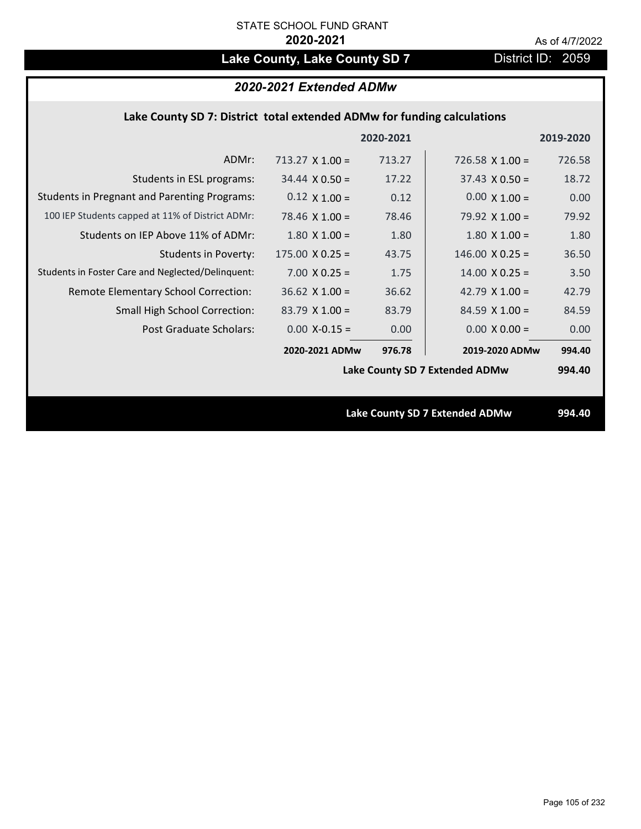# Lake County, Lake County SD 7 **District ID: 2059**

## *2020-2021 Extended ADMw*

## **Lake County SD 7: District total extended ADMw for funding calculations**

|                                                     |                        | 2020-2021 |                                       | 2019-2020 |
|-----------------------------------------------------|------------------------|-----------|---------------------------------------|-----------|
| ADMr:                                               | $713.27 \times 1.00 =$ | 713.27    | $726.58 \times 1.00 =$                | 726.58    |
| Students in ESL programs:                           | $34.44 \times 0.50 =$  | 17.22     | $37.43 \times 0.50 =$                 | 18.72     |
| <b>Students in Pregnant and Parenting Programs:</b> | $0.12 \times 1.00 =$   | 0.12      | $0.00 \times 1.00 =$                  | 0.00      |
| 100 IEP Students capped at 11% of District ADMr:    | 78.46 $\times$ 1.00 =  | 78.46     | 79.92 $\times$ 1.00 =                 | 79.92     |
| Students on IEP Above 11% of ADMr:                  | $1.80$ X $1.00 =$      | 1.80      | $1.80$ X $1.00 =$                     | 1.80      |
| <b>Students in Poverty:</b>                         | $175.00 \times 0.25 =$ | 43.75     | $146.00 \times 0.25 =$                | 36.50     |
| Students in Foster Care and Neglected/Delinquent:   | $7.00 \times 0.25 =$   | 1.75      | $14.00 \times 0.25 =$                 | 3.50      |
| Remote Elementary School Correction:                | $36.62$ X 1.00 =       | 36.62     | 42.79 $\times$ 1.00 =                 | 42.79     |
| <b>Small High School Correction:</b>                | $83.79$ X 1.00 =       | 83.79     | $84.59$ X 1.00 =                      | 84.59     |
| Post Graduate Scholars:                             | $0.00$ X-0.15 =        | 0.00      | $0.00 \times 0.00 =$                  | 0.00      |
|                                                     | 2020-2021 ADMw         | 976.78    | 2019-2020 ADMw                        | 994.40    |
|                                                     |                        |           | Lake County SD 7 Extended ADMw        | 994.40    |
|                                                     |                        |           |                                       |           |
|                                                     |                        |           | <b>Lake County SD 7 Extended ADMw</b> | 994.40    |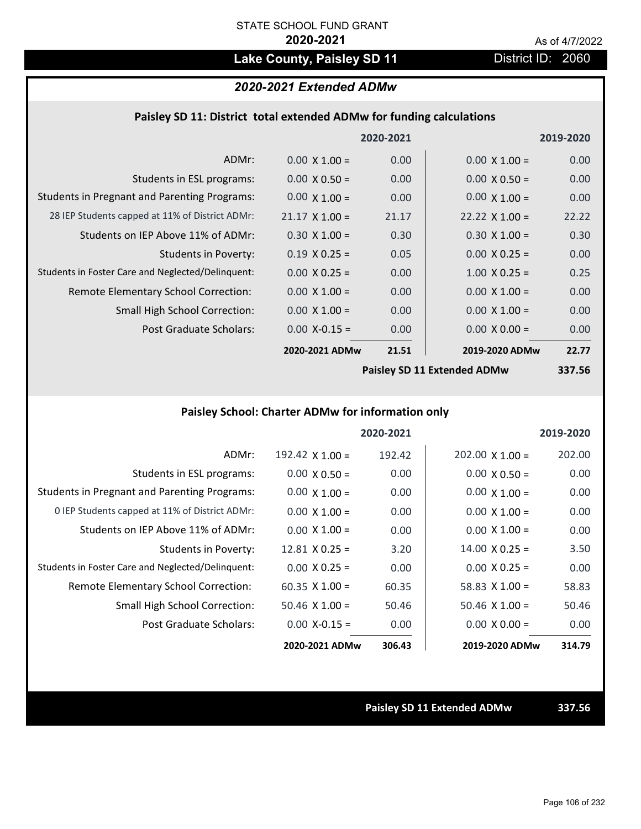# Lake County, Paisley SD 11 District ID: 2060

## *2020-2021 Extended ADMw*

## **Paisley SD 11: District total extended ADMw for funding calculations**

|                                                     |                       | 2020-2021 |                             | 2019-2020 |
|-----------------------------------------------------|-----------------------|-----------|-----------------------------|-----------|
| ADMr:                                               | $0.00 \times 1.00 =$  | 0.00      | $0.00 \times 1.00 =$        | 0.00      |
| Students in ESL programs:                           | $0.00 \times 0.50 =$  | 0.00      | $0.00 \times 0.50 =$        | 0.00      |
| <b>Students in Pregnant and Parenting Programs:</b> | $0.00 \times 1.00 =$  | 0.00      | $0.00 \times 1.00 =$        | 0.00      |
| 28 IEP Students capped at 11% of District ADMr:     | $21.17 \times 1.00 =$ | 21.17     | $22.22 \times 1.00 =$       | 22.22     |
| Students on IEP Above 11% of ADMr:                  | $0.30 \times 1.00 =$  | 0.30      | $0.30 \times 1.00 =$        | 0.30      |
| <b>Students in Poverty:</b>                         | $0.19 \times 0.25 =$  | 0.05      | $0.00 \times 0.25 =$        | 0.00      |
| Students in Foster Care and Neglected/Delinquent:   | $0.00 \times 0.25 =$  | 0.00      | $1.00 \times 0.25 =$        | 0.25      |
| Remote Elementary School Correction:                | $0.00 \times 1.00 =$  | 0.00      | $0.00 \times 1.00 =$        | 0.00      |
| <b>Small High School Correction:</b>                | $0.00 \times 1.00 =$  | 0.00      | $0.00 \times 1.00 =$        | 0.00      |
| Post Graduate Scholars:                             | $0.00$ X-0.15 =       | 0.00      | $0.00 \times 0.00 =$        | 0.00      |
|                                                     | 2020-2021 ADMw        | 21.51     | 2019-2020 ADMw              | 22.77     |
|                                                     |                       |           | Paisley SD 11 Extended ADMw | 337 56    |

**Paisley SD 11 Extended ADMw**

**337.56**

## **Paisley School: Charter ADMw for information only**

|                                                     |                       | 2020-2021 |                        | 2019-2020 |
|-----------------------------------------------------|-----------------------|-----------|------------------------|-----------|
| ADMr:                                               | 192.42 $X$ 1.00 =     | 192.42    | $202.00 \times 1.00 =$ | 202.00    |
| Students in ESL programs:                           | $0.00 \times 0.50 =$  | 0.00      | $0.00 \times 0.50 =$   | 0.00      |
| <b>Students in Pregnant and Parenting Programs:</b> | $0.00 \times 1.00 =$  | 0.00      | $0.00 \times 1.00 =$   | 0.00      |
| 0 IEP Students capped at 11% of District ADMr:      | $0.00 \times 1.00 =$  | 0.00      | $0.00 \times 1.00 =$   | 0.00      |
| Students on IEP Above 11% of ADMr:                  | $0.00 \times 1.00 =$  | 0.00      | $0.00 \times 1.00 =$   | 0.00      |
| Students in Poverty:                                | $12.81 \times 0.25 =$ | 3.20      | $14.00 \times 0.25 =$  | 3.50      |
| Students in Foster Care and Neglected/Delinquent:   | $0.00 \times 0.25 =$  | 0.00      | $0.00 \times 0.25 =$   | 0.00      |
| Remote Elementary School Correction:                | $60.35 \times 1.00 =$ | 60.35     | 58.83 $\times$ 1.00 =  | 58.83     |
| <b>Small High School Correction:</b>                | $50.46$ X 1.00 =      | 50.46     | $50.46 \times 1.00 =$  | 50.46     |
| Post Graduate Scholars:                             | $0.00 X - 0.15 =$     | 0.00      | $0.00 \times 0.00 =$   | 0.00      |
|                                                     | 2020-2021 ADMw        | 306.43    | 2019-2020 ADMw         | 314.79    |

**Paisley SD 11 Extended ADMw 337.56**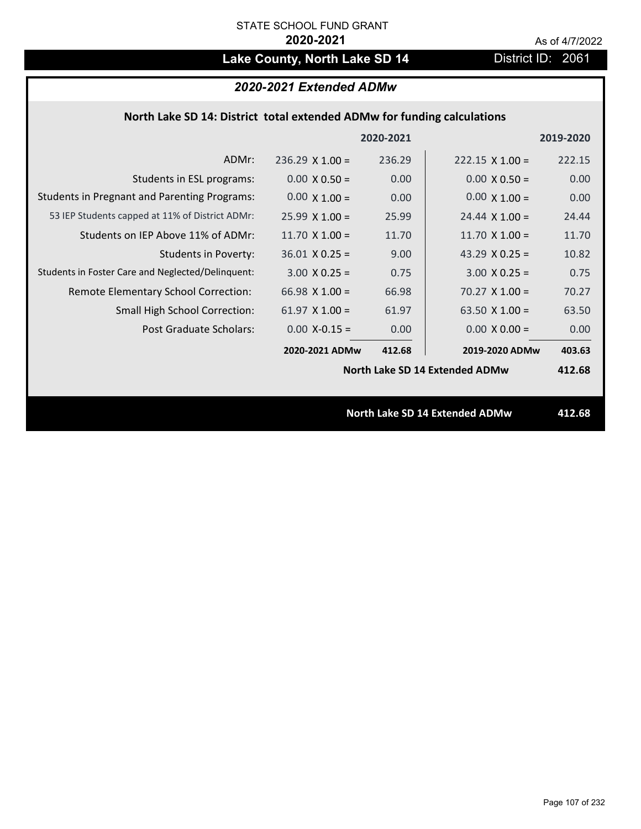# Lake County, North Lake SD 14 District ID: 2061

## *2020-2021 Extended ADMw*

## **North Lake SD 14: District total extended ADMw for funding calculations**

|                                                     |                        | 2020-2021 |                                       | 2019-2020 |
|-----------------------------------------------------|------------------------|-----------|---------------------------------------|-----------|
| ADMr:                                               | $236.29 \times 1.00 =$ | 236.29    | $222.15 \times 1.00 =$                | 222.15    |
| Students in ESL programs:                           | $0.00 \times 0.50 =$   | 0.00      | $0.00 \times 0.50 =$                  | 0.00      |
| <b>Students in Pregnant and Parenting Programs:</b> | $0.00 \times 1.00 =$   | 0.00      | $0.00 \times 1.00 =$                  | 0.00      |
| 53 IEP Students capped at 11% of District ADMr:     | $25.99 \times 1.00 =$  | 25.99     | $24.44 \times 1.00 =$                 | 24.44     |
| Students on IEP Above 11% of ADMr:                  | 11.70 $X$ 1.00 =       | 11.70     | 11.70 $X$ 1.00 =                      | 11.70     |
| Students in Poverty:                                | $36.01$ X 0.25 =       | 9.00      | 43.29 $X$ 0.25 =                      | 10.82     |
| Students in Foster Care and Neglected/Delinquent:   | $3.00 \times 0.25 =$   | 0.75      | $3.00 \times 0.25 =$                  | 0.75      |
| Remote Elementary School Correction:                | 66.98 $X$ 1.00 =       | 66.98     | $70.27 \times 1.00 =$                 | 70.27     |
| <b>Small High School Correction:</b>                | $61.97 \times 1.00 =$  | 61.97     | 63.50 $X$ 1.00 =                      | 63.50     |
| Post Graduate Scholars:                             | $0.00$ X-0.15 =        | 0.00      | $0.00 \times 0.00 =$                  | 0.00      |
|                                                     | 2020-2021 ADMw         | 412.68    | 2019-2020 ADMw                        | 403.63    |
|                                                     |                        |           | North Lake SD 14 Extended ADMw        | 412.68    |
|                                                     |                        |           |                                       |           |
|                                                     |                        |           | <b>North Lake SD 14 Extended ADMw</b> | 412.68    |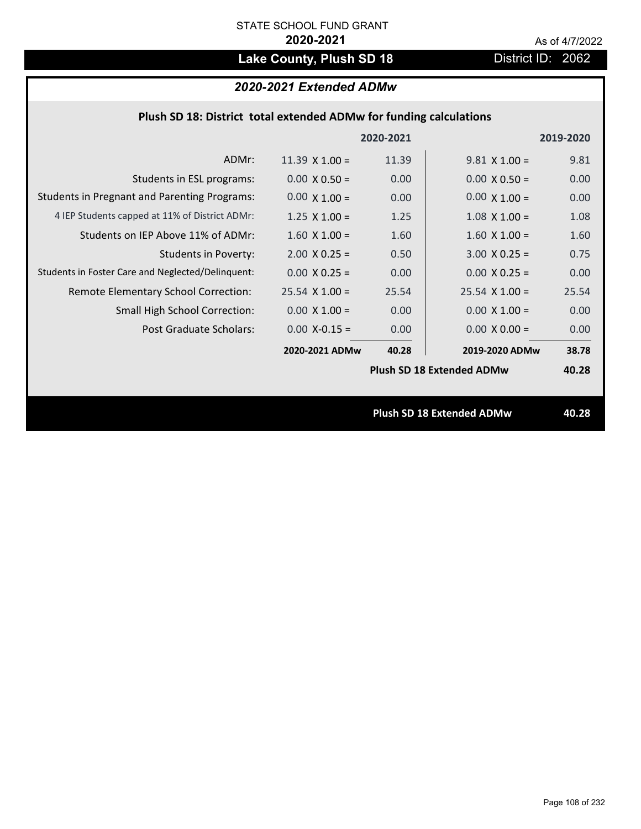# Lake County, Plush SD 18 **District ID: 2062**

1.00  $\cdots$ 

## *2020-2021 Extended ADMw*

| Plush SD 18: District total extended ADMw for funding calculations |                       |           |                      |           |
|--------------------------------------------------------------------|-----------------------|-----------|----------------------|-----------|
|                                                                    |                       | 2020-2021 |                      | 2019-2020 |
| ADMr:                                                              | $11.39 \times 1.00 =$ | 11.39     | $9.81 \times 1.00 =$ | 9.81      |
| Students in ESL programs:                                          | $0.00 \times 0.50 =$  | 0.00      | $0.00 \times 0.50 =$ | 0.00      |
| <b>Students in Pregnant and Parenting Programs:</b>                | $0.00 \times 1.00 =$  | 0.00      | $0.00 \times 1.00 =$ | 0.00      |

|                                                   |                       |       | <b>Plush SD 18 Extended ADMw</b> | 40.28 |
|---------------------------------------------------|-----------------------|-------|----------------------------------|-------|
|                                                   | 2020-2021 ADMw        | 40.28 | 2019-2020 ADMw                   | 38.78 |
| Post Graduate Scholars:                           | $0.00 X - 0.15 =$     | 0.00  | $0.00 \times 0.00 =$             | 0.00  |
| <b>Small High School Correction:</b>              | $0.00 \times 1.00 =$  | 0.00  | $0.00 \times 1.00 =$             | 0.00  |
| Remote Elementary School Correction:              | $25.54 \times 1.00 =$ | 25.54 | $25.54 \times 1.00 =$            | 25.54 |
| Students in Foster Care and Neglected/Delinguent: | $0.00 \times 0.25 =$  | 0.00  | $0.00 \times 0.25 =$             | 0.00  |
| <b>Students in Poverty:</b>                       | $2.00 \times 0.25 =$  | 0.50  | $3.00 \times 0.25 =$             | 0.75  |
| Students on IEP Above 11% of ADMr:                | $1.60 \times 1.00 =$  | 1.60  | $1.60 \times 1.00 =$             | 1.60  |
| 4 IEP Students capped at 11% of District ADMr:    | $1.25 \times 1.00 =$  | 1.25  | $1.08 \times 1.00 =$             | 1.08  |

**Plush SD 18 Extended ADMw 40.28**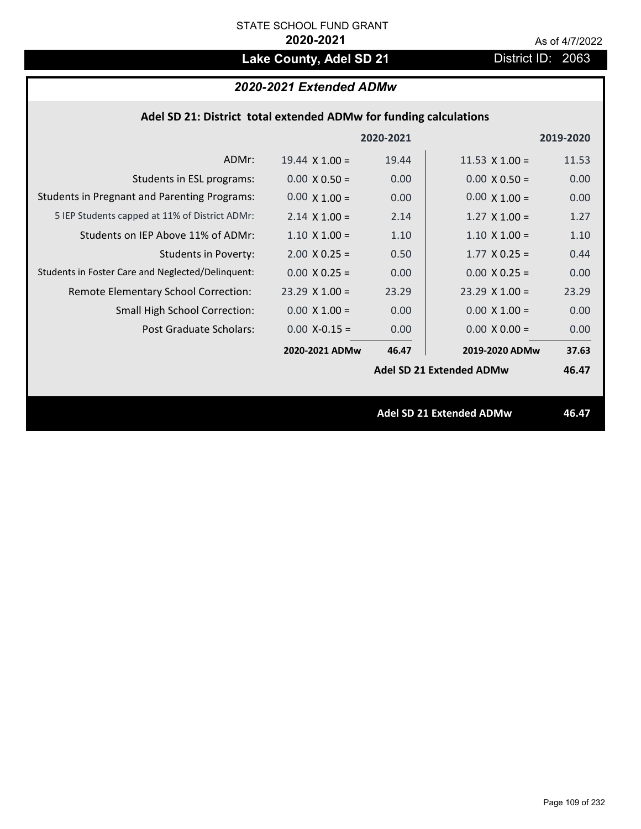# Lake County, Adel SD 21 District ID: 2063

# *2020-2021 Extended ADMw*

|  |  | Adel SD 21: District total extended ADMw for funding calculations |  |
|--|--|-------------------------------------------------------------------|--|
|--|--|-------------------------------------------------------------------|--|

|                                                     |                       | 2020-2021 |                                 | 2019-2020 |
|-----------------------------------------------------|-----------------------|-----------|---------------------------------|-----------|
| ADMr:                                               | $19.44 \times 1.00 =$ | 19.44     | $11.53 \times 1.00 =$           | 11.53     |
| Students in ESL programs:                           | $0.00 \times 0.50 =$  | 0.00      | $0.00 \times 0.50 =$            | 0.00      |
| <b>Students in Pregnant and Parenting Programs:</b> | $0.00 \times 1.00 =$  | 0.00      | $0.00 \times 1.00 =$            | 0.00      |
| 5 IEP Students capped at 11% of District ADMr:      | $2.14 \times 1.00 =$  | 2.14      | $1.27 \times 1.00 =$            | 1.27      |
| Students on IEP Above 11% of ADMr:                  | $1.10 \times 1.00 =$  | 1.10      | $1.10 \times 1.00 =$            | 1.10      |
| Students in Poverty:                                | $2.00 \times 0.25 =$  | 0.50      | $1.77 \times 0.25 =$            | 0.44      |
| Students in Foster Care and Neglected/Delinquent:   | $0.00 \times 0.25 =$  | 0.00      | $0.00 X 0.25 =$                 | 0.00      |
| Remote Elementary School Correction:                | $23.29$ X 1.00 =      | 23.29     | $23.29 \times 1.00 =$           | 23.29     |
| <b>Small High School Correction:</b>                | $0.00 \times 1.00 =$  | 0.00      | $0.00 \times 1.00 =$            | 0.00      |
| Post Graduate Scholars:                             | $0.00$ X-0.15 =       | 0.00      | $0.00 \times 0.00 =$            | 0.00      |
|                                                     | 2020-2021 ADMw        | 46.47     | 2019-2020 ADMw                  | 37.63     |
|                                                     |                       |           | <b>Adel SD 21 Extended ADMw</b> | 46.47     |
|                                                     |                       |           |                                 |           |
|                                                     |                       |           | <b>Adel SD 21 Extended ADMw</b> | 46.47     |
|                                                     |                       |           |                                 |           |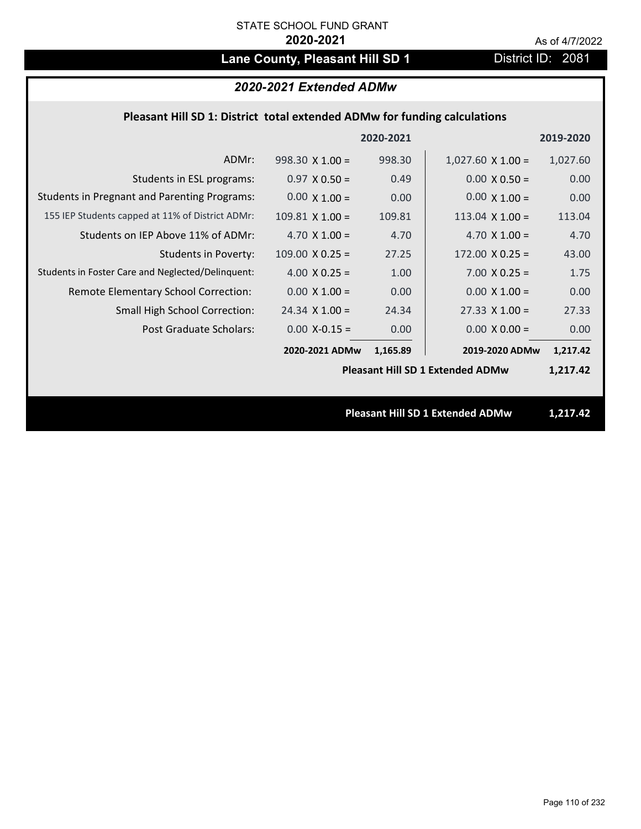# Lane County, Pleasant Hill SD 1 District ID: 2081

# *2020-2021 Extended ADMw*

## **Pleasant Hill SD 1: District total extended ADMw for funding calculations**

|                                                     |                        | 2020-2021 |                                         | 2019-2020 |
|-----------------------------------------------------|------------------------|-----------|-----------------------------------------|-----------|
| ADMr:                                               | $998.30 \times 1.00 =$ | 998.30    | $1,027.60 \times 1.00 =$                | 1,027.60  |
| Students in ESL programs:                           | $0.97 \times 0.50 =$   | 0.49      | $0.00 \times 0.50 =$                    | 0.00      |
| <b>Students in Pregnant and Parenting Programs:</b> | $0.00 \times 1.00 =$   | 0.00      | $0.00 \times 1.00 =$                    | 0.00      |
| 155 IEP Students capped at 11% of District ADMr:    | $109.81$ X $1.00 =$    | 109.81    | 113.04 $X$ 1.00 =                       | 113.04    |
| Students on IEP Above 11% of ADMr:                  | 4.70 $X$ 1.00 =        | 4.70      | 4.70 $X$ 1.00 =                         | 4.70      |
| <b>Students in Poverty:</b>                         | $109.00 \times 0.25 =$ | 27.25     | $172.00 \times 0.25 =$                  | 43.00     |
| Students in Foster Care and Neglected/Delinquent:   | 4.00 $X$ 0.25 =        | 1.00      | $7.00 \times 0.25 =$                    | 1.75      |
| Remote Elementary School Correction:                | $0.00 \times 1.00 =$   | 0.00      | $0.00 \times 1.00 =$                    | 0.00      |
| <b>Small High School Correction:</b>                | $24.34$ X 1.00 =       | 24.34     | $27.33 \times 1.00 =$                   | 27.33     |
| Post Graduate Scholars:                             | $0.00$ X-0.15 =        | 0.00      | $0.00 \times 0.00 =$                    | 0.00      |
|                                                     | 2020-2021 ADMw         | 1,165.89  | 2019-2020 ADMw                          | 1,217.42  |
|                                                     |                        |           | <b>Pleasant Hill SD 1 Extended ADMw</b> | 1,217.42  |
|                                                     |                        |           |                                         |           |
|                                                     |                        |           | <b>Pleasant Hill SD 1 Extended ADMw</b> | 1,217.42  |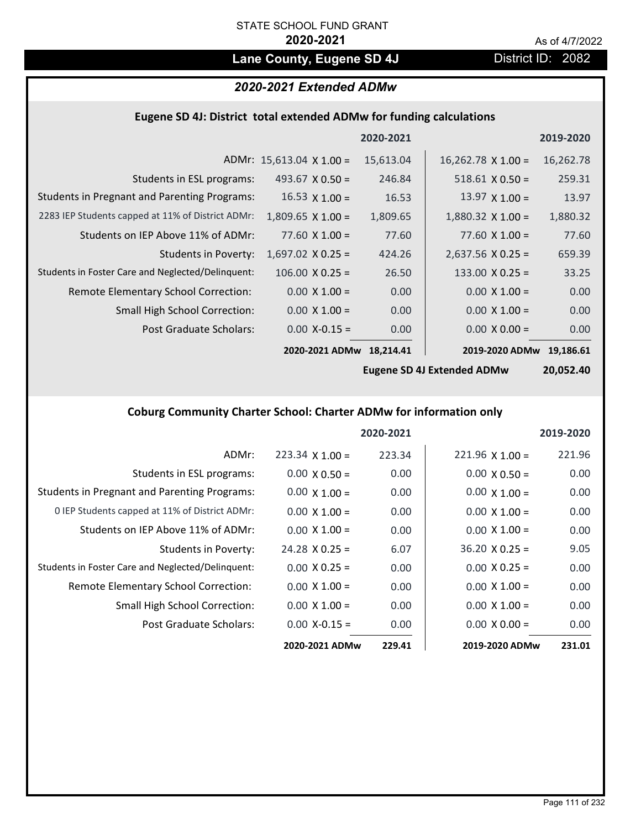# Lane County, Eugene SD 4J **District ID: 2082**

# *2020-2021 Extended ADMw*

# **Eugene SD 4J: District total extended ADMw for funding calculations**

|                                                     |                                 | 2020-2021 |                           | 2019-2020 |
|-----------------------------------------------------|---------------------------------|-----------|---------------------------|-----------|
|                                                     | ADMr: $15,613.04 \times 1.00 =$ | 15,613.04 | $16,262.78 \times 1.00 =$ | 16,262.78 |
| Students in ESL programs:                           | 493.67 $\times$ 0.50 =          | 246.84    | $518.61 \times 0.50 =$    | 259.31    |
| <b>Students in Pregnant and Parenting Programs:</b> | $16.53 \times 1.00 =$           | 16.53     | 13.97 $\times$ 1.00 =     | 13.97     |
| 2283 IEP Students capped at 11% of District ADMr:   | $1,809.65$ X $1.00 =$           | 1,809.65  | $1,880.32 \times 1.00 =$  | 1,880.32  |
| Students on IEP Above 11% of ADMr:                  | $77.60 \times 1.00 =$           | 77.60     | 77.60 $X$ 1.00 =          | 77.60     |
| <b>Students in Poverty:</b>                         | $1,697.02$ X 0.25 =             | 424.26    | $2,637.56$ X 0.25 =       | 659.39    |
| Students in Foster Care and Neglected/Delinquent:   | $106.00 \times 0.25 =$          | 26.50     | $133.00 \times 0.25 =$    | 33.25     |
| Remote Elementary School Correction:                | $0.00 \times 1.00 =$            | 0.00      | $0.00 \times 1.00 =$      | 0.00      |
| <b>Small High School Correction:</b>                | $0.00 \times 1.00 =$            | 0.00      | $0.00 \times 1.00 =$      | 0.00      |
| Post Graduate Scholars:                             | $0.00$ X-0.15 =                 | 0.00      | $0.00 \times 0.00 =$      | 0.00      |
|                                                     | 2020-2021 ADMw                  | 18.214.41 | 2019-2020 ADMw            | 19.186.61 |

**Eugene SD 4J Extended ADMw**

**20,052.40**

# **Coburg Community Charter School: Charter ADMw for information only**

|                                                     |                        | 2020-2021 |                        | 2019-2020 |
|-----------------------------------------------------|------------------------|-----------|------------------------|-----------|
| ADMr:                                               | $223.34 \times 1.00 =$ | 223.34    | $221.96 \times 1.00 =$ | 221.96    |
| Students in ESL programs:                           | $0.00 \times 0.50 =$   | 0.00      | $0.00 \times 0.50 =$   | 0.00      |
| <b>Students in Pregnant and Parenting Programs:</b> | $0.00 \times 1.00 =$   | 0.00      | $0.00 \times 1.00 =$   | 0.00      |
| 0 IEP Students capped at 11% of District ADMr:      | $0.00 \times 1.00 =$   | 0.00      | $0.00 \times 1.00 =$   | 0.00      |
| Students on IEP Above 11% of ADMr:                  | $0.00 \times 1.00 =$   | 0.00      | $0.00 \times 1.00 =$   | 0.00      |
| Students in Poverty:                                | $24.28 \times 0.25 =$  | 6.07      | $36.20 \times 0.25 =$  | 9.05      |
| Students in Foster Care and Neglected/Delinquent:   | $0.00 \times 0.25 =$   | 0.00      | $0.00 \times 0.25 =$   | 0.00      |
| Remote Elementary School Correction:                | $0.00 \times 1.00 =$   | 0.00      | $0.00 \times 1.00 =$   | 0.00      |
| <b>Small High School Correction:</b>                | $0.00 \times 1.00 =$   | 0.00      | $0.00 \times 1.00 =$   | 0.00      |
| Post Graduate Scholars:                             | $0.00$ X-0.15 =        | 0.00      | $0.00 \times 0.00 =$   | 0.00      |
|                                                     | 2020-2021 ADMw         | 229.41    | 2019-2020 ADMw         | 231.01    |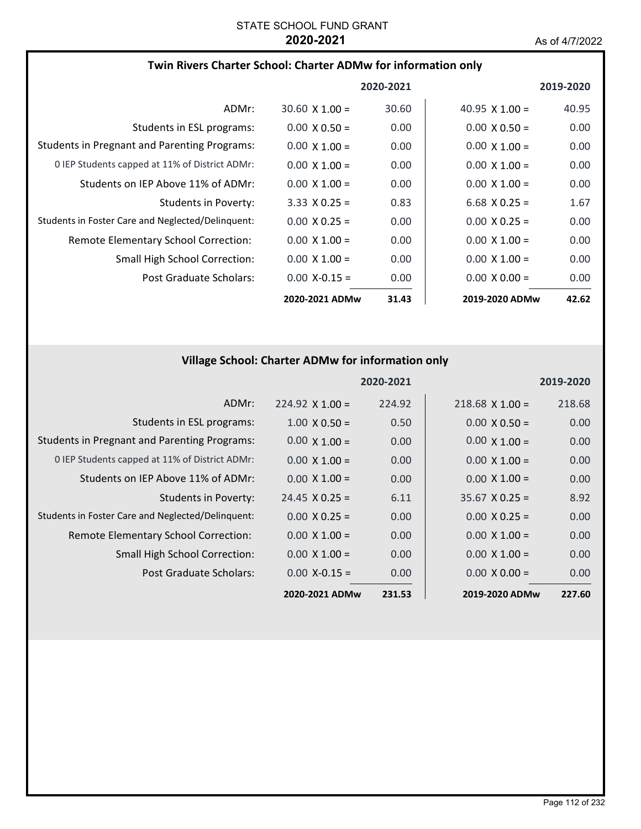## **Twin Rivers Charter School: Charter ADMw for information only**

|                                                     |                       | 2020-2021 |                       | 2019-2020 |
|-----------------------------------------------------|-----------------------|-----------|-----------------------|-----------|
| ADMr:                                               | $30.60 \times 1.00 =$ | 30.60     | $40.95 \times 1.00 =$ | 40.95     |
| Students in ESL programs:                           | $0.00 \times 0.50 =$  | 0.00      | $0.00 \times 0.50 =$  | 0.00      |
| <b>Students in Pregnant and Parenting Programs:</b> | $0.00 \times 1.00 =$  | 0.00      | $0.00 \times 1.00 =$  | 0.00      |
| 0 IEP Students capped at 11% of District ADMr:      | $0.00 \times 1.00 =$  | 0.00      | $0.00 \times 1.00 =$  | 0.00      |
| Students on IEP Above 11% of ADMr:                  | $0.00 \times 1.00 =$  | 0.00      | $0.00 \times 1.00 =$  | 0.00      |
| Students in Poverty:                                | $3.33 \times 0.25 =$  | 0.83      | 6.68 $X$ 0.25 =       | 1.67      |
| Students in Foster Care and Neglected/Delinquent:   | $0.00 \times 0.25 =$  | 0.00      | $0.00 \times 0.25 =$  | 0.00      |
| Remote Elementary School Correction:                | $0.00 \times 1.00 =$  | 0.00      | $0.00 \times 1.00 =$  | 0.00      |
| <b>Small High School Correction:</b>                | $0.00 \times 1.00 =$  | 0.00      | $0.00 \times 1.00 =$  | 0.00      |
| Post Graduate Scholars:                             | $0.00 X - 0.15 =$     | 0.00      | $0.00 \times 0.00 =$  | 0.00      |
|                                                     | 2020-2021 ADMw        | 31.43     | 2019-2020 ADMw        | 42.62     |

# **Village School: Charter ADMw for information only**

|                                                     |                        | 2020-2021 |                       | 2019-2020 |
|-----------------------------------------------------|------------------------|-----------|-----------------------|-----------|
| ADMr:                                               | $224.92 \times 1.00 =$ | 224.92    | $218.68$ X 1.00 =     | 218.68    |
| Students in ESL programs:                           | $1.00 \times 0.50 =$   | 0.50      | $0.00 \times 0.50 =$  | 0.00      |
| <b>Students in Pregnant and Parenting Programs:</b> | $0.00 \times 1.00 =$   | 0.00      | $0.00 \times 1.00 =$  | 0.00      |
| 0 IEP Students capped at 11% of District ADMr:      | $0.00 \times 1.00 =$   | 0.00      | $0.00 \times 1.00 =$  | 0.00      |
| Students on IEP Above 11% of ADMr:                  | $0.00 \times 1.00 =$   | 0.00      | $0.00 \times 1.00 =$  | 0.00      |
| Students in Poverty:                                | $24.45 \times 0.25 =$  | 6.11      | $35.67 \times 0.25 =$ | 8.92      |
| Students in Foster Care and Neglected/Delinquent:   | $0.00 \times 0.25 =$   | 0.00      | $0.00 \times 0.25 =$  | 0.00      |
| Remote Elementary School Correction:                | $0.00 \times 1.00 =$   | 0.00      | $0.00 \times 1.00 =$  | 0.00      |
| <b>Small High School Correction:</b>                | $0.00 \times 1.00 =$   | 0.00      | $0.00 \times 1.00 =$  | 0.00      |
| Post Graduate Scholars:                             | $0.00 X - 0.15 =$      | 0.00      | $0.00 \times 0.00 =$  | 0.00      |
|                                                     | 2020-2021 ADMw         | 231.53    | 2019-2020 ADMw        | 227.60    |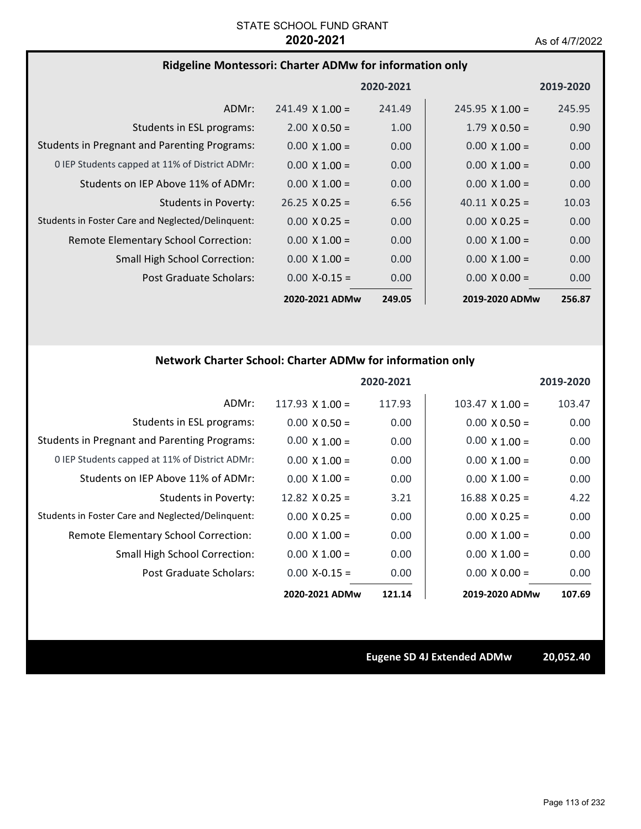### **Ridgeline Montessori: Charter ADMw for information only**

|                                                     |                        | 2020-2021 |                        | 2019-2020 |
|-----------------------------------------------------|------------------------|-----------|------------------------|-----------|
| ADMr:                                               | $241.49 \times 1.00 =$ | 241.49    | $245.95 \times 1.00 =$ | 245.95    |
| Students in ESL programs:                           | $2.00 \times 0.50 =$   | 1.00      | $1.79 \times 0.50 =$   | 0.90      |
| <b>Students in Pregnant and Parenting Programs:</b> | $0.00 \times 1.00 =$   | 0.00      | $0.00 \times 1.00 =$   | 0.00      |
| 0 IEP Students capped at 11% of District ADMr:      | $0.00 \times 1.00 =$   | 0.00      | $0.00 \times 1.00 =$   | 0.00      |
| Students on IEP Above 11% of ADMr:                  | $0.00 \times 1.00 =$   | 0.00      | $0.00 \times 1.00 =$   | 0.00      |
| Students in Poverty:                                | $26.25 \times 0.25 =$  | 6.56      | $40.11 \times 0.25 =$  | 10.03     |
| Students in Foster Care and Neglected/Delinquent:   | $0.00 \times 0.25 =$   | 0.00      | $0.00 \times 0.25 =$   | 0.00      |
| Remote Elementary School Correction:                | $0.00 \times 1.00 =$   | 0.00      | $0.00 \times 1.00 =$   | 0.00      |
| <b>Small High School Correction:</b>                | $0.00 \times 1.00 =$   | 0.00      | $0.00 \times 1.00 =$   | 0.00      |
| Post Graduate Scholars:                             | $0.00 X - 0.15 =$      | 0.00      | $0.00 \times 0.00 =$   | 0.00      |
|                                                     | 2020-2021 ADMw         | 249.05    | 2019-2020 ADMw         | 256.87    |

# **Network Charter School: Charter ADMw for information only**

|                                                     |                       | 2020-2021 |                       | 2019-2020 |
|-----------------------------------------------------|-----------------------|-----------|-----------------------|-----------|
| ADMr:                                               | 117.93 $X$ 1.00 =     | 117.93    | $103.47$ X $1.00 =$   | 103.47    |
| Students in ESL programs:                           | $0.00 \times 0.50 =$  | 0.00      | $0.00 \times 0.50 =$  | 0.00      |
| <b>Students in Pregnant and Parenting Programs:</b> | $0.00 \times 1.00 =$  | 0.00      | $0.00 \times 1.00 =$  | 0.00      |
| 0 IEP Students capped at 11% of District ADMr:      | $0.00 \times 1.00 =$  | 0.00      | $0.00 \times 1.00 =$  | 0.00      |
| Students on IEP Above 11% of ADMr:                  | $0.00 \times 1.00 =$  | 0.00      | $0.00 \times 1.00 =$  | 0.00      |
| <b>Students in Poverty:</b>                         | $12.82 \times 0.25 =$ | 3.21      | $16.88 \times 0.25 =$ | 4.22      |
| Students in Foster Care and Neglected/Delinquent:   | $0.00 \times 0.25 =$  | 0.00      | $0.00 \times 0.25 =$  | 0.00      |
| Remote Elementary School Correction:                | $0.00 \times 1.00 =$  | 0.00      | $0.00 \times 1.00 =$  | 0.00      |
| <b>Small High School Correction:</b>                | $0.00 \times 1.00 =$  | 0.00      | $0.00 \times 1.00 =$  | 0.00      |
| Post Graduate Scholars:                             | $0.00$ X-0.15 =       | 0.00      | $0.00 \times 0.00 =$  | 0.00      |
|                                                     | 2020-2021 ADMw        | 121.14    | 2019-2020 ADMw        | 107.69    |

**Eugene SD 4J Extended ADMw 20,052.40**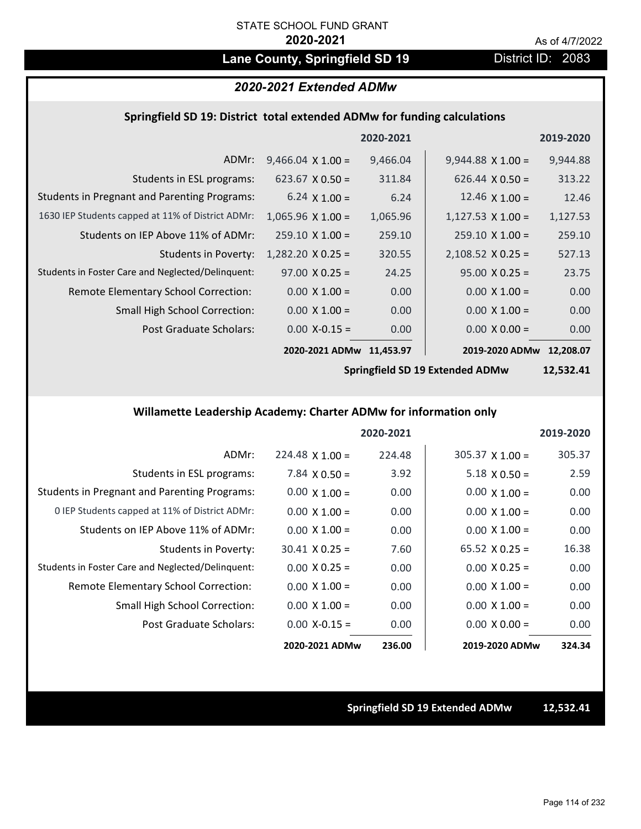# Lane County, Springfield SD 19 **District ID: 2083**

# *2020-2021 Extended ADMw*

### **Springfield SD 19: District total extended ADMw for funding calculations**

|                                                     |                          | 2020-2021 |                          | 2019-2020 |
|-----------------------------------------------------|--------------------------|-----------|--------------------------|-----------|
| ADMr:                                               | $9,466.04 \times 1.00 =$ | 9,466.04  | $9,944.88 \times 1.00 =$ | 9,944.88  |
| Students in ESL programs:                           | $623.67 \times 0.50 =$   | 311.84    | $626.44 \times 0.50 =$   | 313.22    |
| <b>Students in Pregnant and Parenting Programs:</b> | 6.24 $\times$ 1.00 =     | 6.24      | 12.46 $\times$ 1.00 =    | 12.46     |
| 1630 IEP Students capped at 11% of District ADMr:   | $1,065.96 \times 1.00 =$ | 1,065.96  | $1,127.53 \times 1.00 =$ | 1,127.53  |
| Students on IEP Above 11% of ADMr:                  | $259.10 \times 1.00 =$   | 259.10    | $259.10 \times 1.00 =$   | 259.10    |
| <b>Students in Poverty:</b>                         | $1,282.20 \times 0.25 =$ | 320.55    | $2,108.52 \times 0.25 =$ | 527.13    |
| Students in Foster Care and Neglected/Delinquent:   | $97.00 \times 0.25 =$    | 24.25     | $95.00 \times 0.25 =$    | 23.75     |
| Remote Elementary School Correction:                | $0.00 \times 1.00 =$     | 0.00      | $0.00 \times 1.00 =$     | 0.00      |
| Small High School Correction:                       | $0.00 \times 1.00 =$     | 0.00      | $0.00 \times 1.00 =$     | 0.00      |
| Post Graduate Scholars:                             | $0.00$ X-0.15 =          | 0.00      | $0.00 \times 0.00 =$     | 0.00      |
|                                                     | 2020-2021 ADMw           | 11,453.97 | 2019-2020 ADMw           | 12.208.07 |

**Springfield SD 19 Extended ADMw**

**12,532.41**

### **Willamette Leadership Academy: Charter ADMw for information only**

|                                                     |                        | 2020-2021 |                        | 2019-2020 |
|-----------------------------------------------------|------------------------|-----------|------------------------|-----------|
| ADMr:                                               | $224.48 \times 1.00 =$ | 224.48    | $305.37 \times 1.00 =$ | 305.37    |
| Students in ESL programs:                           | $7.84 \times 0.50 =$   | 3.92      | $5.18 \times 0.50 =$   | 2.59      |
| <b>Students in Pregnant and Parenting Programs:</b> | $0.00 \times 1.00 =$   | 0.00      | $0.00 \times 1.00 =$   | 0.00      |
| 0 IEP Students capped at 11% of District ADMr:      | $0.00 \times 1.00 =$   | 0.00      | $0.00 \times 1.00 =$   | 0.00      |
| Students on IEP Above 11% of ADMr:                  | $0.00 \times 1.00 =$   | 0.00      | $0.00 \times 1.00 =$   | 0.00      |
| Students in Poverty:                                | $30.41 \times 0.25 =$  | 7.60      | $65.52 \times 0.25 =$  | 16.38     |
| Students in Foster Care and Neglected/Delinquent:   | $0.00 \times 0.25 =$   | 0.00      | $0.00 \times 0.25 =$   | 0.00      |
| Remote Elementary School Correction:                | $0.00 \times 1.00 =$   | 0.00      | $0.00 \times 1.00 =$   | 0.00      |
| <b>Small High School Correction:</b>                | $0.00 \times 1.00 =$   | 0.00      | $0.00 \times 1.00 =$   | 0.00      |
| Post Graduate Scholars:                             | $0.00$ X-0.15 =        | 0.00      | $0.00 \times 0.00 =$   | 0.00      |
|                                                     | 2020-2021 ADMw         | 236.00    | 2019-2020 ADMw         | 324.34    |

**Springfield SD 19 Extended ADMw 12,532.41**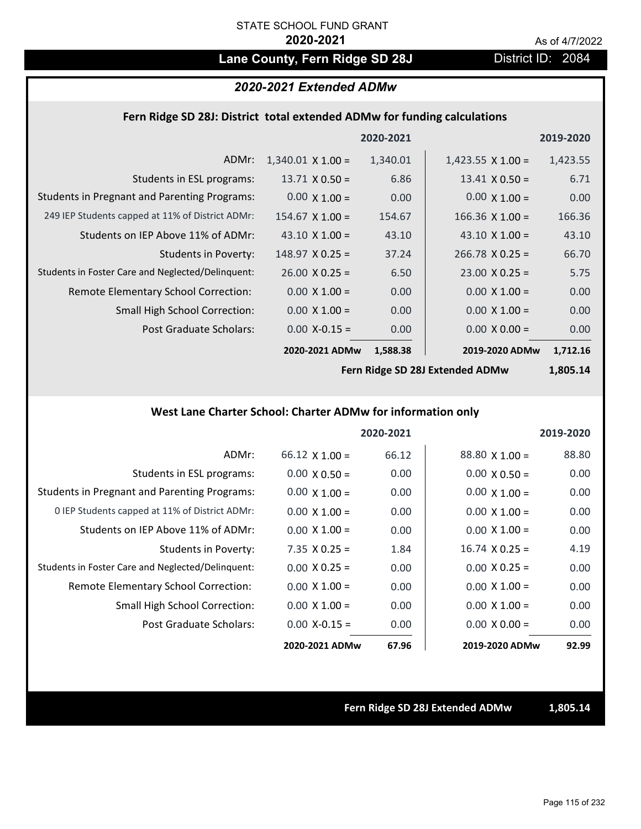# Lane County, Fern Ridge SD 28J District ID: 2084

### *2020-2021 Extended ADMw*

### **Fern Ridge SD 28J: District total extended ADMw for funding calculations**

|                                                     |                          | 2020-2021 |                          | 2019-2020 |
|-----------------------------------------------------|--------------------------|-----------|--------------------------|-----------|
| ADMr:                                               | $1,340.01 \times 1.00 =$ | 1,340.01  | $1,423.55 \times 1.00 =$ | 1,423.55  |
| Students in ESL programs:                           | $13.71 \times 0.50 =$    | 6.86      | $13.41 \times 0.50 =$    | 6.71      |
| <b>Students in Pregnant and Parenting Programs:</b> | $0.00 \times 1.00 =$     | 0.00      | $0.00 \times 1.00 =$     | 0.00      |
| 249 IEP Students capped at 11% of District ADMr:    | $154.67$ X $1.00 =$      | 154.67    | $166.36 \times 1.00 =$   | 166.36    |
| Students on IEP Above 11% of ADMr:                  | 43.10 $\times$ 1.00 =    | 43.10     | 43.10 $\times$ 1.00 =    | 43.10     |
| Students in Poverty:                                | $148.97 \times 0.25 =$   | 37.24     | $266.78 \times 0.25 =$   | 66.70     |
| Students in Foster Care and Neglected/Delinquent:   | $26.00 \times 0.25 =$    | 6.50      | $23.00 \times 0.25 =$    | 5.75      |
| Remote Elementary School Correction:                | $0.00 \times 1.00 =$     | 0.00      | $0.00 \times 1.00 =$     | 0.00      |
| <b>Small High School Correction:</b>                | $0.00 \times 1.00 =$     | 0.00      | $0.00 \times 1.00 =$     | 0.00      |
| Post Graduate Scholars:                             | $0.00$ X-0.15 =          | 0.00      | $0.00 \times 0.00 =$     | 0.00      |
|                                                     | 2020-2021 ADMw           | 1,588.38  | 2019-2020 ADMw           | 1,712.16  |

**Fern Ridge SD 28J Extended ADMw**

**1,805.14**

### **West Lane Charter School: Charter ADMw for information only**

|                                                     |                       | 2020-2021 |                       | 2019-2020 |
|-----------------------------------------------------|-----------------------|-----------|-----------------------|-----------|
| ADMr:                                               | $66.12 \times 1.00 =$ | 66.12     | $88.80 \times 1.00 =$ | 88.80     |
| Students in ESL programs:                           | $0.00 \times 0.50 =$  | 0.00      | $0.00 \times 0.50 =$  | 0.00      |
| <b>Students in Pregnant and Parenting Programs:</b> | $0.00 \times 1.00 =$  | 0.00      | $0.00 \times 1.00 =$  | 0.00      |
| 0 IEP Students capped at 11% of District ADMr:      | $0.00 \times 1.00 =$  | 0.00      | $0.00 \times 1.00 =$  | 0.00      |
| Students on IEP Above 11% of ADMr:                  | $0.00 \times 1.00 =$  | 0.00      | $0.00 \times 1.00 =$  | 0.00      |
| Students in Poverty:                                | $7.35$ X 0.25 =       | 1.84      | $16.74 \times 0.25 =$ | 4.19      |
| Students in Foster Care and Neglected/Delinquent:   | $0.00 \times 0.25 =$  | 0.00      | $0.00 \times 0.25 =$  | 0.00      |
| Remote Elementary School Correction:                | $0.00 \times 1.00 =$  | 0.00      | $0.00 \times 1.00 =$  | 0.00      |
| <b>Small High School Correction:</b>                | $0.00 \times 1.00 =$  | 0.00      | $0.00 \times 1.00 =$  | 0.00      |
| Post Graduate Scholars:                             | $0.00$ X-0.15 =       | 0.00      | $0.00 \times 0.00 =$  | 0.00      |
|                                                     | 2020-2021 ADMw        | 67.96     | 2019-2020 ADMw        | 92.99     |

**Fern Ridge SD 28J Extended ADMw 1,805.14**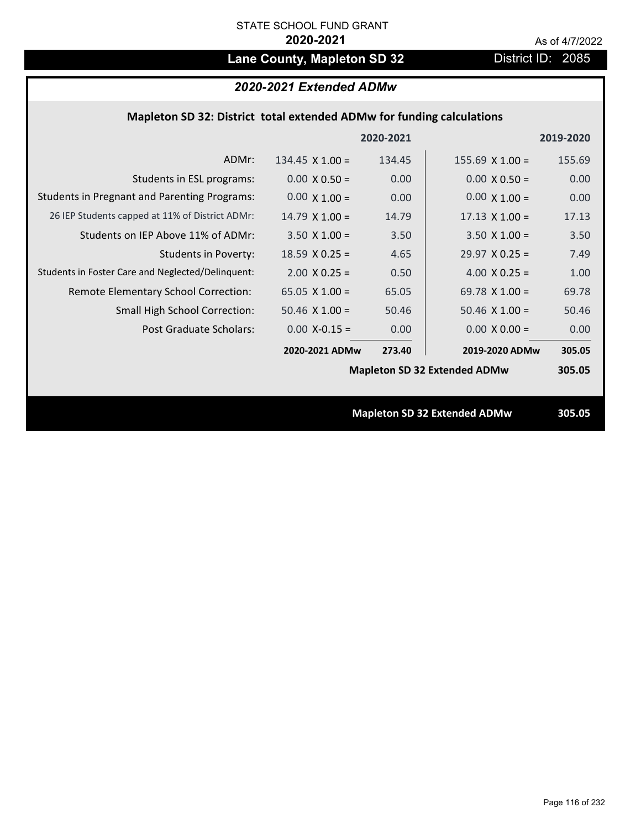# Lane County, Mapleton SD 32 District ID: 2085

# *2020-2021 Extended ADMw*

## **Mapleton SD 32: District total extended ADMw for funding calculations**

|                                                     |                                     | 2020-2021 |                                     | 2019-2020 |
|-----------------------------------------------------|-------------------------------------|-----------|-------------------------------------|-----------|
| ADMr:                                               | $134.45 \times 1.00 =$              | 134.45    | $155.69$ X $1.00 =$                 | 155.69    |
| Students in ESL programs:                           | $0.00 \times 0.50 =$                | 0.00      | $0.00 \times 0.50 =$                | 0.00      |
| <b>Students in Pregnant and Parenting Programs:</b> | $0.00 \times 1.00 =$                | 0.00      | $0.00 \times 1.00 =$                | 0.00      |
| 26 IEP Students capped at 11% of District ADMr:     | $14.79 \times 1.00 =$               | 14.79     | $17.13 \times 1.00 =$               | 17.13     |
| Students on IEP Above 11% of ADMr:                  | $3.50 \times 1.00 =$                | 3.50      | $3.50 \times 1.00 =$                | 3.50      |
| <b>Students in Poverty:</b>                         | 18.59 $X$ 0.25 =                    | 4.65      | $29.97 \times 0.25 =$               | 7.49      |
| Students in Foster Care and Neglected/Delinquent:   | $2.00 \times 0.25 =$                | 0.50      | 4.00 $X$ 0.25 =                     | 1.00      |
| Remote Elementary School Correction:                | 65.05 $X$ 1.00 =                    | 65.05     | 69.78 $X$ 1.00 =                    | 69.78     |
| <b>Small High School Correction:</b>                | $50.46$ X $1.00 =$                  | 50.46     | $50.46$ X $1.00 =$                  | 50.46     |
| Post Graduate Scholars:                             | $0.00$ X-0.15 =                     | 0.00      | $0.00 \times 0.00 =$                | 0.00      |
|                                                     | 2020-2021 ADMw                      | 273.40    | 2019-2020 ADMw                      | 305.05    |
|                                                     | <b>Mapleton SD 32 Extended ADMw</b> |           |                                     | 305.05    |
|                                                     |                                     |           |                                     |           |
|                                                     |                                     |           | <b>Mapleton SD 32 Extended ADMw</b> | 305.05    |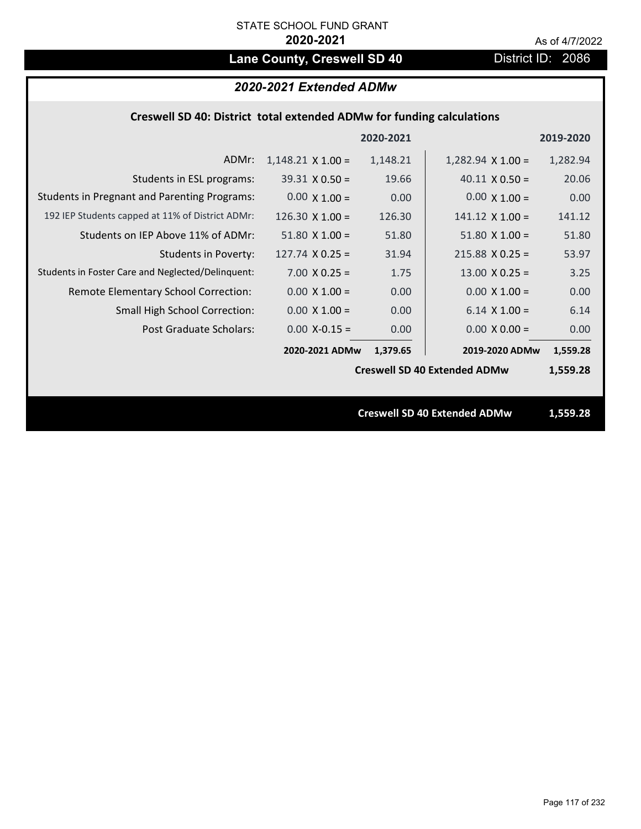# Lane County, Creswell SD 40 District ID: 2086

# *2020-2021 Extended ADMw*

### **Creswell SD 40: District total extended ADMw for funding calculations**

|                                                     |                          | 2020-2021 |                                     | 2019-2020 |
|-----------------------------------------------------|--------------------------|-----------|-------------------------------------|-----------|
| ADMr:                                               | $1,148.21 \times 1.00 =$ | 1,148.21  | $1,282.94 \times 1.00 =$            | 1,282.94  |
| Students in ESL programs:                           | $39.31 \times 0.50 =$    | 19.66     | $40.11 \times 0.50 =$               | 20.06     |
| <b>Students in Pregnant and Parenting Programs:</b> | $0.00 \times 1.00 =$     | 0.00      | $0.00 \times 1.00 =$                | 0.00      |
| 192 IEP Students capped at 11% of District ADMr:    | $126.30 \times 1.00 =$   | 126.30    | $141.12 \times 1.00 =$              | 141.12    |
| Students on IEP Above 11% of ADMr:                  | $51.80 \times 1.00 =$    | 51.80     | $51.80$ X $1.00 =$                  | 51.80     |
| <b>Students in Poverty:</b>                         | $127.74$ X 0.25 =        | 31.94     | $215.88$ X 0.25 =                   | 53.97     |
| Students in Foster Care and Neglected/Delinquent:   | $7.00 \times 0.25 =$     | 1.75      | $13.00 \times 0.25 =$               | 3.25      |
| Remote Elementary School Correction:                | $0.00 \times 1.00 =$     | 0.00      | $0.00 \times 1.00 =$                | 0.00      |
| <b>Small High School Correction:</b>                | $0.00 \times 1.00 =$     | 0.00      | $6.14$ X $1.00 =$                   | 6.14      |
| Post Graduate Scholars:                             | $0.00$ X-0.15 =          | 0.00      | $0.00 \times 0.00 =$                | 0.00      |
|                                                     | 2020-2021 ADMw           | 1,379.65  | 2019-2020 ADMw                      | 1,559.28  |
|                                                     |                          |           | <b>Creswell SD 40 Extended ADMw</b> | 1,559.28  |
|                                                     |                          |           |                                     |           |
|                                                     |                          |           | <b>Creswell SD 40 Extended ADMw</b> | 1,559.28  |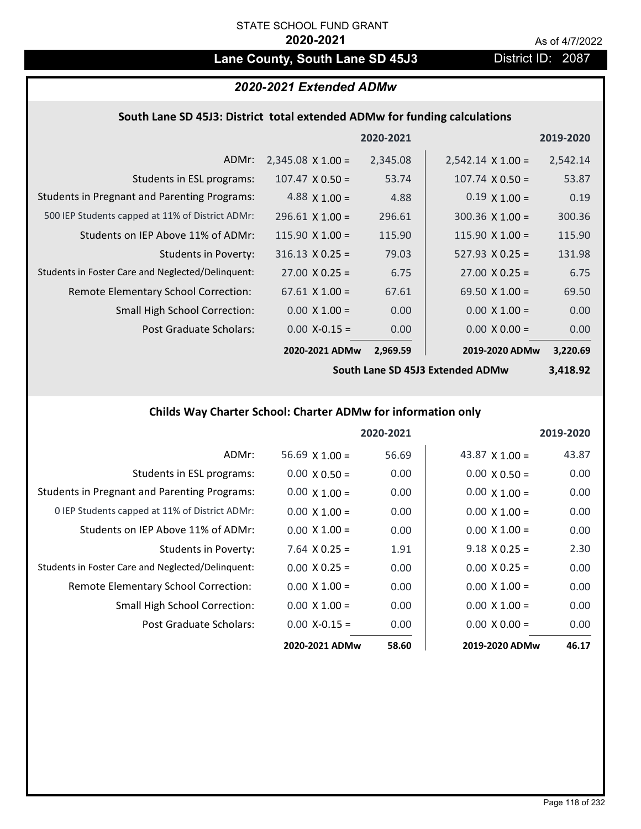# Lane County, South Lane SD 45J3 District ID: 2087

## *2020-2021 Extended ADMw*

## **South Lane SD 45J3: District total extended ADMw for funding calculations**

|                                                     |                          | 2020-2021 |                          | 2019-2020 |
|-----------------------------------------------------|--------------------------|-----------|--------------------------|-----------|
| ADMr:                                               | $2,345.08 \times 1.00 =$ | 2,345.08  | $2,542.14 \times 1.00 =$ | 2,542.14  |
| Students in ESL programs:                           | $107.47 \times 0.50 =$   | 53.74     | $107.74 \times 0.50 =$   | 53.87     |
| <b>Students in Pregnant and Parenting Programs:</b> | 4.88 $\times$ 1.00 =     | 4.88      | $0.19 \times 1.00 =$     | 0.19      |
| 500 IEP Students capped at 11% of District ADMr:    | $296.61 \times 1.00 =$   | 296.61    | $300.36 \times 1.00 =$   | 300.36    |
| Students on IEP Above 11% of ADMr:                  | $115.90 \times 1.00 =$   | 115.90    | $115.90 \times 1.00 =$   | 115.90    |
| Students in Poverty:                                | $316.13 \times 0.25 =$   | 79.03     | $527.93 \times 0.25 =$   | 131.98    |
| Students in Foster Care and Neglected/Delinquent:   | $27.00 \times 0.25 =$    | 6.75      | $27.00 \times 0.25 =$    | 6.75      |
| Remote Elementary School Correction:                | $67.61 \times 1.00 =$    | 67.61     | 69.50 $\times$ 1.00 =    | 69.50     |
| <b>Small High School Correction:</b>                | $0.00 \times 1.00 =$     | 0.00      | $0.00 \times 1.00 =$     | 0.00      |
| Post Graduate Scholars:                             | $0.00$ X-0.15 =          | 0.00      | $0.00 \times 0.00 =$     | 0.00      |
|                                                     | 2020-2021 ADMw           | 2.969.59  | 2019-2020 ADMw           | 3,220.69  |

**South Lane SD 45J3 Extended ADMw**

**3,418.92**

## **Childs Way Charter School: Charter ADMw for information only**

|                                                     |                       | 2020-2021 |                       | 2019-2020 |
|-----------------------------------------------------|-----------------------|-----------|-----------------------|-----------|
| ADMr:                                               | $56.69 \times 1.00 =$ | 56.69     | 43.87 $\times$ 1.00 = | 43.87     |
| Students in ESL programs:                           | $0.00 \times 0.50 =$  | 0.00      | $0.00 \times 0.50 =$  | 0.00      |
| <b>Students in Pregnant and Parenting Programs:</b> | $0.00 \times 1.00 =$  | 0.00      | $0.00 \times 1.00 =$  | 0.00      |
| 0 IEP Students capped at 11% of District ADMr:      | $0.00 \times 1.00 =$  | 0.00      | $0.00 \times 1.00 =$  | 0.00      |
| Students on IEP Above 11% of ADMr:                  | $0.00 \times 1.00 =$  | 0.00      | $0.00 \times 1.00 =$  | 0.00      |
| Students in Poverty:                                | $7.64$ X 0.25 =       | 1.91      | $9.18 \times 0.25 =$  | 2.30      |
| Students in Foster Care and Neglected/Delinquent:   | $0.00 \times 0.25 =$  | 0.00      | $0.00 \times 0.25 =$  | 0.00      |
| Remote Elementary School Correction:                | $0.00 \times 1.00 =$  | 0.00      | $0.00 \times 1.00 =$  | 0.00      |
| <b>Small High School Correction:</b>                | $0.00 \times 1.00 =$  | 0.00      | $0.00 \times 1.00 =$  | 0.00      |
| Post Graduate Scholars:                             | $0.00 X - 0.15 =$     | 0.00      | $0.00 \times 0.00 =$  | 0.00      |
|                                                     | 2020-2021 ADMw        | 58.60     | 2019-2020 ADMw        | 46.17     |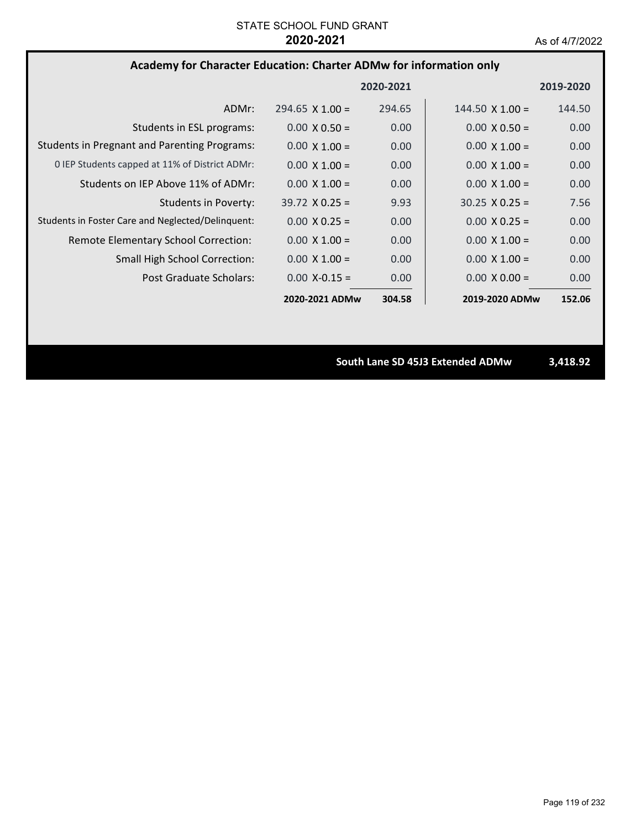# **Academy for Character Education: Charter ADMw for information only**

|                                                     |                        | 2020-2021         |                        | 2019-2020 |
|-----------------------------------------------------|------------------------|-------------------|------------------------|-----------|
| ADMr:                                               | $294.65 \times 1.00 =$ | 294.65            | $144.50 \times 1.00 =$ | 144.50    |
| Students in ESL programs:                           | $0.00 \times 0.50 =$   | 0.00              | $0.00 \times 0.50 =$   | 0.00      |
| <b>Students in Pregnant and Parenting Programs:</b> | $0.00 \times 1.00 =$   | 0.00              | $0.00 \times 1.00 =$   | 0.00      |
| 0 IEP Students capped at 11% of District ADMr:      | $0.00 \times 1.00 =$   | 0.00              | $0.00 \times 1.00 =$   | 0.00      |
| Students on IEP Above 11% of ADMr:                  | $0.00 \times 1.00 =$   | 0.00              | $0.00 \times 1.00 =$   | 0.00      |
| Students in Poverty:                                | $39.72 \times 0.25 =$  | 9.93              | $30.25 \times 0.25 =$  | 7.56      |
| Students in Foster Care and Neglected/Delinguent:   | $0.00 \times 0.25 =$   | 0.00              | $0.00 \times 0.25 =$   | 0.00      |
| Remote Elementary School Correction:                | $0.00 \times 1.00 =$   | 0.00 <sub>1</sub> | $0.00 \times 1.00 =$   | 0.00      |
| <b>Small High School Correction:</b>                | $0.00 \times 1.00 =$   | 0.00              | $0.00 \times 1.00 =$   | 0.00      |
| Post Graduate Scholars:                             | $0.00 X - 0.15 =$      | 0.00              | $0.00 \times 0.00 =$   | 0.00      |
|                                                     | 2020-2021 ADMw         | 304.58            | 2019-2020 ADMw         | 152.06    |

**South Lane SD 45J3 Extended ADMw 3,418.92**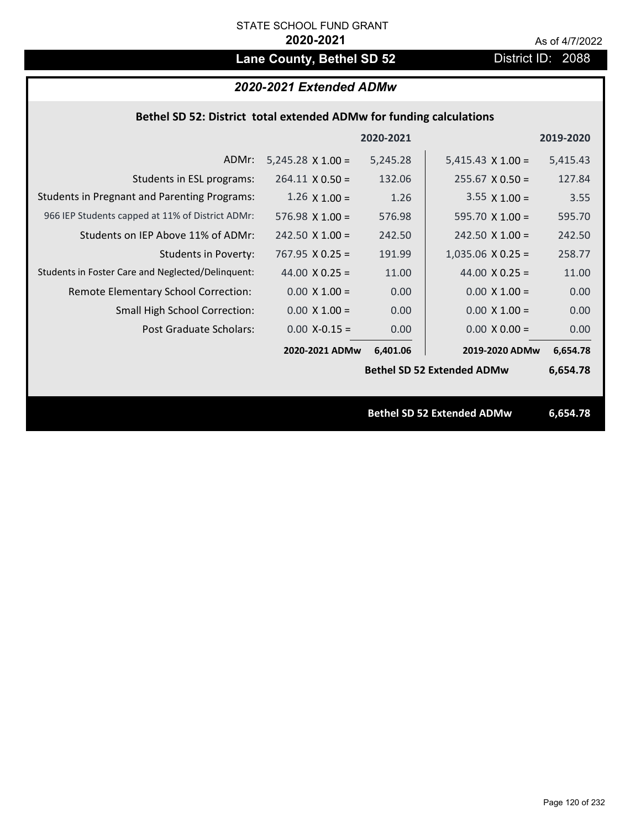# Lane County, Bethel SD 52 **District ID: 2088**

# *2020-2021 Extended ADMw*

| Bethel SD 52: District total extended ADMw for funding calculations |  |  |  |
|---------------------------------------------------------------------|--|--|--|
|---------------------------------------------------------------------|--|--|--|

|                                                     |                          | 2020-2021 |                                   | 2019-2020 |
|-----------------------------------------------------|--------------------------|-----------|-----------------------------------|-----------|
| ADMr:                                               | $5,245.28 \times 1.00 =$ | 5,245.28  | $5,415.43 \times 1.00 =$          | 5,415.43  |
| Students in ESL programs:                           | $264.11 \times 0.50 =$   | 132.06    | $255.67 \times 0.50 =$            | 127.84    |
| <b>Students in Pregnant and Parenting Programs:</b> | $1.26 \times 1.00 =$     | 1.26      | $3.55 \times 1.00 =$              | 3.55      |
| 966 IEP Students capped at 11% of District ADMr:    | 576.98 $X$ 1.00 =        | 576.98    | 595.70 $\times$ 1.00 =            | 595.70    |
| Students on IEP Above 11% of ADMr:                  | $242.50 \times 1.00 =$   | 242.50    | $242.50$ X $1.00 =$               | 242.50    |
| <b>Students in Poverty:</b>                         | $767.95 \times 0.25 =$   | 191.99    | $1,035.06$ X 0.25 =               | 258.77    |
| Students in Foster Care and Neglected/Delinquent:   | 44.00 $X$ 0.25 =         | 11.00     | 44.00 $X$ 0.25 =                  | 11.00     |
| Remote Elementary School Correction:                | $0.00 \times 1.00 =$     | 0.00      | $0.00 \times 1.00 =$              | 0.00      |
| <b>Small High School Correction:</b>                | $0.00 \times 1.00 =$     | 0.00      | $0.00 \times 1.00 =$              | 0.00      |
| Post Graduate Scholars:                             | $0.00$ X-0.15 =          | 0.00      | $0.00 \times 0.00 =$              | 0.00      |
|                                                     | 2020-2021 ADMw           | 6,401.06  | 2019-2020 ADMw                    | 6,654.78  |
|                                                     |                          |           | <b>Bethel SD 52 Extended ADMw</b> | 6,654.78  |
|                                                     |                          |           |                                   |           |
|                                                     |                          |           | <b>Bethel SD 52 Extended ADMw</b> | 6,654.78  |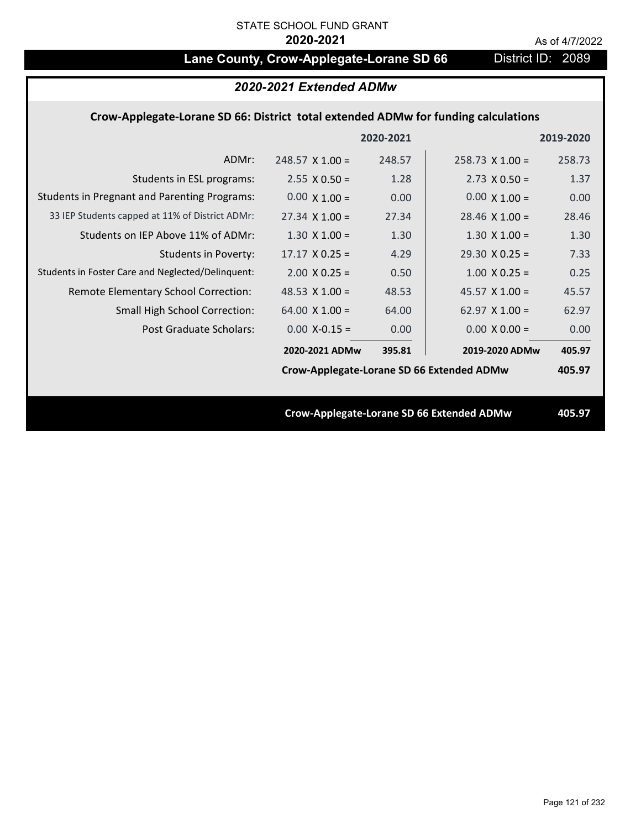# Lane County, Crow-Applegate-Lorane SD 66 District ID: 2089

|                                                                                    | 2020-2021 Extended ADMw                   |           |                                           |           |
|------------------------------------------------------------------------------------|-------------------------------------------|-----------|-------------------------------------------|-----------|
| Crow-Applegate-Lorane SD 66: District total extended ADMw for funding calculations |                                           |           |                                           |           |
|                                                                                    |                                           | 2020-2021 |                                           | 2019-2020 |
| ADMr:                                                                              | $248.57 \times 1.00 =$                    | 248.57    | $258.73 \times 1.00 =$                    | 258.73    |
| Students in ESL programs:                                                          | $2.55 \times 0.50 =$                      | 1.28      | $2.73 \times 0.50 =$                      | 1.37      |
| <b>Students in Pregnant and Parenting Programs:</b>                                | $0.00 \times 1.00 =$                      | 0.00      | $0.00 \times 1.00 =$                      | 0.00      |
| 33 IEP Students capped at 11% of District ADMr:                                    | $27.34 \times 1.00 =$                     | 27.34     | $28.46 \times 1.00 =$                     | 28.46     |
| Students on IEP Above 11% of ADMr:                                                 | $1.30 \times 1.00 =$                      | 1.30      | $1.30$ X $1.00 =$                         | 1.30      |
| <b>Students in Poverty:</b>                                                        | $17.17 \times 0.25 =$                     | 4.29      | $29.30 \times 0.25 =$                     | 7.33      |
| Students in Foster Care and Neglected/Delinquent:                                  | $2.00 \times 0.25 =$                      | 0.50      | $1.00 \times 0.25 =$                      | 0.25      |
| Remote Elementary School Correction:                                               | 48.53 $\times$ 1.00 =                     | 48.53     | 45.57 $X$ 1.00 =                          | 45.57     |
| <b>Small High School Correction:</b>                                               | 64.00 $X$ 1.00 =                          | 64.00     | 62.97 $X$ 1.00 =                          | 62.97     |
| Post Graduate Scholars:                                                            | $0.00$ X-0.15 =                           | 0.00      | $0.00 \times 0.00 =$                      | 0.00      |
|                                                                                    | 2020-2021 ADMw                            | 395.81    | 2019-2020 ADMw                            | 405.97    |
|                                                                                    | Crow-Applegate-Lorane SD 66 Extended ADMw |           |                                           | 405.97    |
|                                                                                    |                                           |           |                                           |           |
|                                                                                    |                                           |           | Crow-Applegate-Lorane SD 66 Extended ADMw | 405.97    |
|                                                                                    |                                           |           |                                           |           |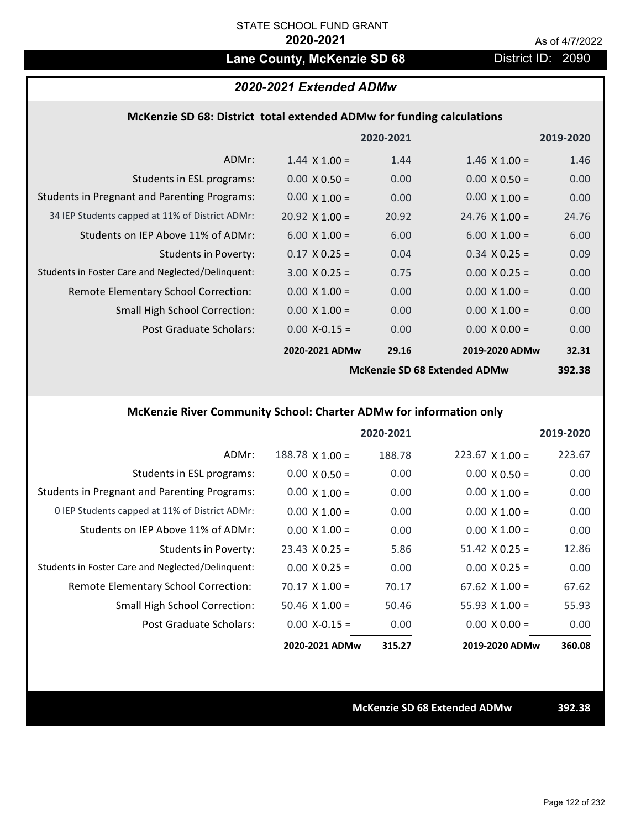# Lane County, McKenzie SD 68 District ID: 2090

## *2020-2021 Extended ADMw*

### **McKenzie SD 68: District total extended ADMw for funding calculations**

|                                                     |                       | 2020-2021 |                              | 2019-2020     |
|-----------------------------------------------------|-----------------------|-----------|------------------------------|---------------|
| ADMr:                                               | $1.44 \times 1.00 =$  | 1.44      | $1.46 \times 1.00 =$         | 1.46          |
| Students in ESL programs:                           | $0.00 \times 0.50 =$  | 0.00      | $0.00 \times 0.50 =$         | 0.00          |
| <b>Students in Pregnant and Parenting Programs:</b> | $0.00 \times 1.00 =$  | 0.00      | $0.00 \times 1.00 =$         | 0.00          |
| 34 IEP Students capped at 11% of District ADMr:     | $20.92 \times 1.00 =$ | 20.92     | $24.76 \times 1.00 =$        | 24.76         |
| Students on IEP Above 11% of ADMr:                  | $6.00 \times 1.00 =$  | 6.00      | $6.00 \times 1.00 =$         | 6.00          |
| <b>Students in Poverty:</b>                         | $0.17 \times 0.25 =$  | 0.04      | $0.34 \times 0.25 =$         | 0.09          |
| Students in Foster Care and Neglected/Delinquent:   | $3.00 \times 0.25 =$  | 0.75      | $0.00 \times 0.25 =$         | 0.00          |
| <b>Remote Elementary School Correction:</b>         | $0.00 \times 1.00 =$  | 0.00      | $0.00 \times 1.00 =$         | 0.00          |
| <b>Small High School Correction:</b>                | $0.00 \times 1.00 =$  | 0.00      | $0.00 \times 1.00 =$         | 0.00          |
| Post Graduate Scholars:                             | $0.00$ X-0.15 =       | 0.00      | $0.00 \times 0.00 =$         | 0.00          |
|                                                     | 2020-2021 ADMw        | 29.16     | 2019-2020 ADMw               | 32.31         |
|                                                     |                       |           | McKanzia SD 68 Evtandad ADMw | <b>30J 38</b> |

**McKenzie SD 68 Extended ADMw**

**392.38**

## **McKenzie River Community School: Charter ADMw for information only**

|                                                     |                        | 2020-2021 |                        | 2019-2020 |
|-----------------------------------------------------|------------------------|-----------|------------------------|-----------|
| ADMr:                                               | $188.78 \times 1.00 =$ | 188.78    | $223.67 \times 1.00 =$ | 223.67    |
| Students in ESL programs:                           | $0.00 \times 0.50 =$   | 0.00      | $0.00 \times 0.50 =$   | 0.00      |
| <b>Students in Pregnant and Parenting Programs:</b> | $0.00 \times 1.00 =$   | 0.00      | $0.00 \times 1.00 =$   | 0.00      |
| 0 IEP Students capped at 11% of District ADMr:      | $0.00 \times 1.00 =$   | 0.00      | $0.00 \times 1.00 =$   | 0.00      |
| Students on IEP Above 11% of ADMr:                  | $0.00 \times 1.00 =$   | 0.00      | $0.00 \times 1.00 =$   | 0.00      |
| Students in Poverty:                                | $23.43 \times 0.25 =$  | 5.86      | $51.42 \times 0.25 =$  | 12.86     |
| Students in Foster Care and Neglected/Delinquent:   | $0.00 \times 0.25 =$   | 0.00      | $0.00 \times 0.25 =$   | 0.00      |
| Remote Elementary School Correction:                | $70.17 \times 1.00 =$  | 70.17     | $67.62 \times 1.00 =$  | 67.62     |
| <b>Small High School Correction:</b>                | $50.46 \times 1.00 =$  | 50.46     | $55.93 \times 1.00 =$  | 55.93     |
| Post Graduate Scholars:                             | $0.00$ X-0.15 =        | 0.00      | $0.00 \times 0.00 =$   | 0.00      |
|                                                     | 2020-2021 ADMw         | 315.27    | 2019-2020 ADMw         | 360.08    |

**McKenzie SD 68 Extended ADMw 392.38**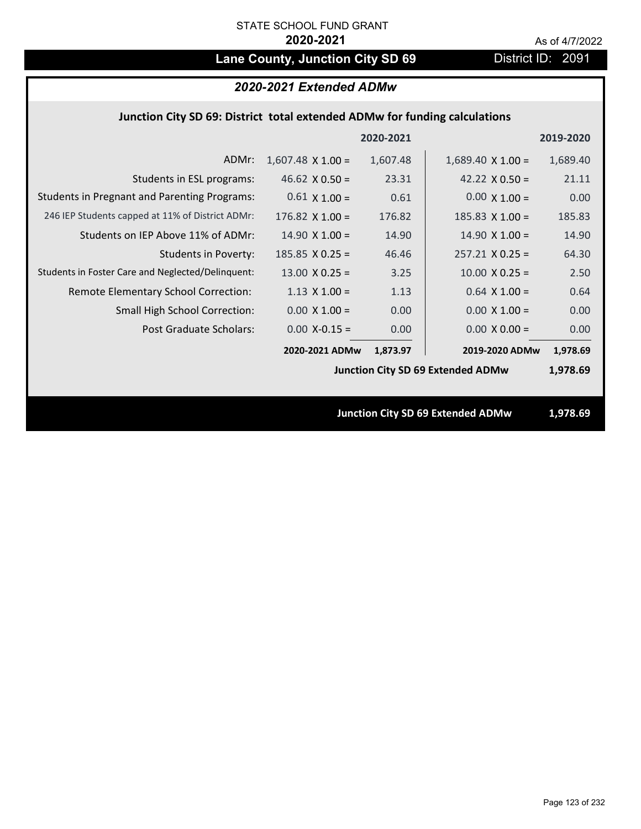# Lane County, Junction City SD 69 District ID: 2091

# *2020-2021 Extended ADMw*

## **Junction City SD 69: District total extended ADMw for funding calculations**

|                                                     |                          | 2020-2021 |                                          | 2019-2020 |
|-----------------------------------------------------|--------------------------|-----------|------------------------------------------|-----------|
| ADMr:                                               | $1,607.48 \times 1.00 =$ | 1,607.48  | $1,689.40 \times 1.00 =$                 | 1,689.40  |
| Students in ESL programs:                           | 46.62 $\times$ 0.50 =    | 23.31     | 42.22 $\times$ 0.50 =                    | 21.11     |
| <b>Students in Pregnant and Parenting Programs:</b> | $0.61 \times 1.00 =$     | 0.61      | $0.00 \times 1.00 =$                     | 0.00      |
| 246 IEP Students capped at 11% of District ADMr:    | $176.82 \times 1.00 =$   | 176.82    | 185.83 $X$ 1.00 =                        | 185.83    |
| Students on IEP Above 11% of ADMr:                  | $14.90 \times 1.00 =$    | 14.90     | $14.90 \times 1.00 =$                    | 14.90     |
| <b>Students in Poverty:</b>                         | $185.85$ X 0.25 =        | 46.46     | $257.21 \times 0.25 =$                   | 64.30     |
| Students in Foster Care and Neglected/Delinquent:   | $13.00 \times 0.25 =$    | 3.25      | $10.00 \times 0.25 =$                    | 2.50      |
| Remote Elementary School Correction:                | $1.13 \times 1.00 =$     | 1.13      | $0.64$ X 1.00 =                          | 0.64      |
| <b>Small High School Correction:</b>                | $0.00 \times 1.00 =$     | 0.00      | $0.00 \times 1.00 =$                     | 0.00      |
| Post Graduate Scholars:                             | $0.00$ X-0.15 =          | 0.00      | $0.00 \times 0.00 =$                     | 0.00      |
|                                                     | 2020-2021 ADMw           | 1,873.97  | 2019-2020 ADMw                           | 1,978.69  |
|                                                     |                          |           | <b>Junction City SD 69 Extended ADMw</b> | 1,978.69  |
|                                                     |                          |           |                                          |           |
|                                                     |                          |           | <b>Junction City SD 69 Extended ADMw</b> | 1,978.69  |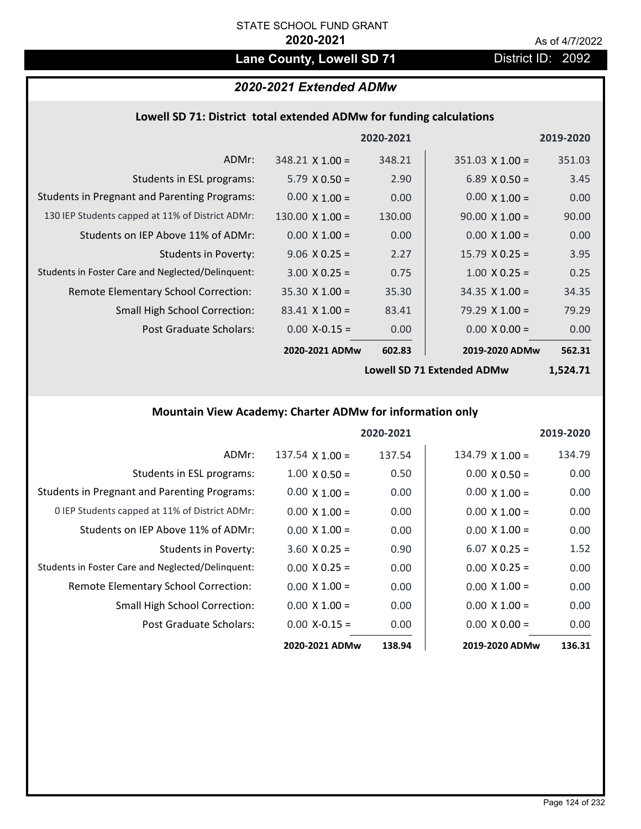# Lane County, Lowell SD 71 District ID: 2092

# *2020-2021 Extended ADMw*

# **Lowell SD 71: District total extended ADMw for funding calculations**

|                                                     |                        | 2020-2021 |                        | 2019-2020 |
|-----------------------------------------------------|------------------------|-----------|------------------------|-----------|
| ADMr:                                               | $348.21 \times 1.00 =$ | 348.21    | $351.03 \times 1.00 =$ | 351.03    |
| Students in ESL programs:                           | $5.79 \times 0.50 =$   | 2.90      | $6.89 \times 0.50 =$   | 3.45      |
| <b>Students in Pregnant and Parenting Programs:</b> | $0.00 \times 1.00 =$   | 0.00      | $0.00 \times 1.00 =$   | 0.00      |
| 130 IEP Students capped at 11% of District ADMr:    | $130.00 \times 1.00 =$ | 130.00    | $90.00 \times 1.00 =$  | 90.00     |
| Students on IEP Above 11% of ADMr:                  | $0.00 \times 1.00 =$   | 0.00      | $0.00 \times 1.00 =$   | 0.00      |
| <b>Students in Poverty:</b>                         | $9.06 \times 0.25 =$   | 2.27      | $15.79 \times 0.25 =$  | 3.95      |
| Students in Foster Care and Neglected/Delinquent:   | $3.00 \times 0.25 =$   | 0.75      | $1.00 \times 0.25 =$   | 0.25      |
| Remote Elementary School Correction:                | $35.30 \times 1.00 =$  | 35.30     | $34.35 \times 1.00 =$  | 34.35     |
| <b>Small High School Correction:</b>                | $83.41 \times 1.00 =$  | 83.41     | $79.29 \times 1.00 =$  | 79.29     |
| Post Graduate Scholars:                             | $0.00 X - 0.15 =$      | 0.00      | $0.00 \times 0.00 =$   | 0.00      |
|                                                     | 2020-2021 ADMw         | 602.83    | 2019-2020 ADMw         | 562.31    |

**Lowell SD 71 Extended ADMw**

**1,524.71**

# **Mountain View Academy: Charter ADMw for information only**

|                                                     |                        | 2020-2021 |                      | 2019-2020 |
|-----------------------------------------------------|------------------------|-----------|----------------------|-----------|
| ADMr:                                               | $137.54 \times 1.00 =$ | 137.54    | $134.79$ X 1.00 =    | 134.79    |
| Students in ESL programs:                           | $1.00 \times 0.50 =$   | 0.50      | $0.00 \times 0.50 =$ | 0.00      |
| <b>Students in Pregnant and Parenting Programs:</b> | $0.00 \times 1.00 =$   | 0.00      | $0.00 \times 1.00 =$ | 0.00      |
| 0 IEP Students capped at 11% of District ADMr:      | $0.00 \times 1.00 =$   | 0.00      | $0.00 \times 1.00 =$ | 0.00      |
| Students on IEP Above 11% of ADMr:                  | $0.00 \times 1.00 =$   | 0.00      | $0.00 \times 1.00 =$ | 0.00      |
| Students in Poverty:                                | $3.60 \times 0.25 =$   | 0.90      | $6.07 \times 0.25 =$ | 1.52      |
| Students in Foster Care and Neglected/Delinquent:   | $0.00 \times 0.25 =$   | 0.00      | $0.00 \times 0.25 =$ | 0.00      |
| Remote Elementary School Correction:                | $0.00 \times 1.00 =$   | 0.00      | $0.00 \times 1.00 =$ | 0.00      |
| <b>Small High School Correction:</b>                | $0.00 \times 1.00 =$   | 0.00      | $0.00 \times 1.00 =$ | 0.00      |
| Post Graduate Scholars:                             | $0.00 X - 0.15 =$      | 0.00      | $0.00 \times 0.00 =$ | 0.00      |
|                                                     | 2020-2021 ADMw         | 138.94    | 2019-2020 ADMw       | 136.31    |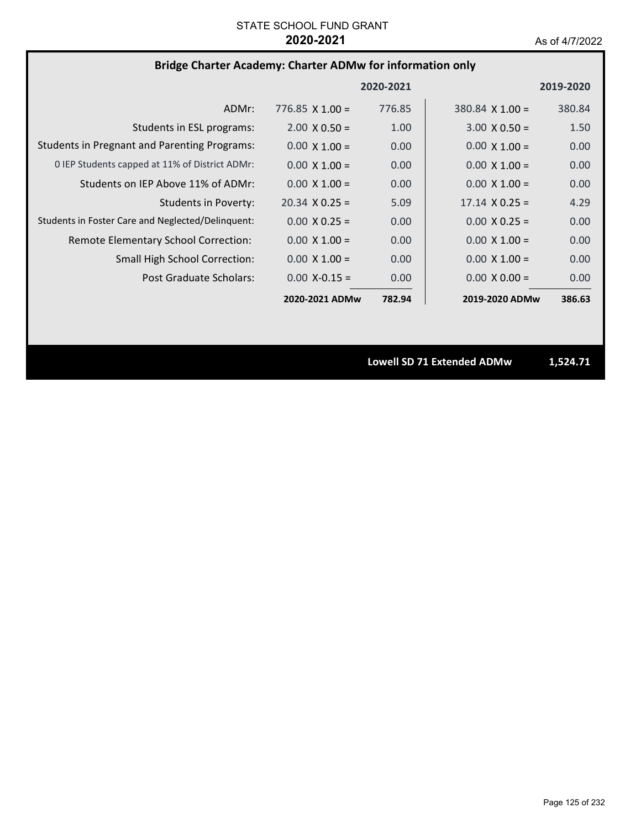# **Bridge Charter Academy: Charter ADMw for information only**

|                                                     |                        | 2020-2021 |                        | 2019-2020 |
|-----------------------------------------------------|------------------------|-----------|------------------------|-----------|
| ADMr:                                               | $776.85 \times 1.00 =$ | 776.85    | $380.84 \times 1.00 =$ | 380.84    |
| Students in ESL programs:                           | $2.00 \times 0.50 =$   | 1.00      | $3.00 \times 0.50 =$   | 1.50      |
| <b>Students in Pregnant and Parenting Programs:</b> | $0.00 \times 1.00 =$   | 0.00      | $0.00 \times 1.00 =$   | 0.00      |
| 0 IEP Students capped at 11% of District ADMr:      | $0.00 \times 1.00 =$   | 0.00      | $0.00 \times 1.00 =$   | 0.00      |
| Students on IEP Above 11% of ADMr:                  | $0.00 \times 1.00 =$   | 0.00      | $0.00 \times 1.00 =$   | 0.00      |
| <b>Students in Poverty:</b>                         | $20.34 \times 0.25 =$  | 5.09      | $17.14 \times 0.25 =$  | 4.29      |
| Students in Foster Care and Neglected/Delinquent:   | $0.00 \times 0.25 =$   | 0.00      | $0.00 \times 0.25 =$   | 0.00      |
| Remote Elementary School Correction:                | $0.00 \times 1.00 =$   | 0.00      | $0.00 \times 1.00 =$   | 0.00      |
| Small High School Correction:                       | $0.00 \times 1.00 =$   | 0.00      | $0.00 \times 1.00 =$   | 0.00      |
| Post Graduate Scholars:                             | $0.00 X - 0.15 =$      | 0.00      | $0.00 \times 0.00 =$   | 0.00      |
|                                                     | 2020-2021 ADMw         | 782.94    | 2019-2020 ADMw         | 386.63    |

**Lowell SD 71 Extended ADMw 1,524.71**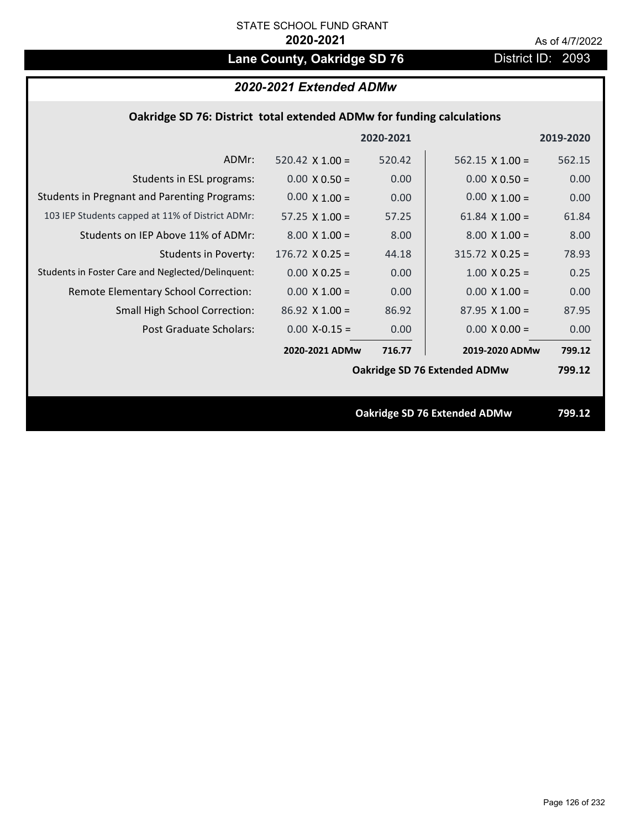# Lane County, Oakridge SD 76 **District ID: 2093**

| 2020-2021 Extended ADMw |  |  |
|-------------------------|--|--|
|-------------------------|--|--|

|  | Oakridge SD 76: District total extended ADMw for funding calculations |
|--|-----------------------------------------------------------------------|
|--|-----------------------------------------------------------------------|

| 520.42<br>ADMr:<br>520.42 $\times$ 1.00 =<br>$562.15 \times 1.00 =$<br>562.15                                        |  |
|----------------------------------------------------------------------------------------------------------------------|--|
|                                                                                                                      |  |
| 0.00<br>$0.00 \times 0.50 =$<br>0.00<br>Students in ESL programs:<br>$0.00 \times 0.50 =$                            |  |
| <b>Students in Pregnant and Parenting Programs:</b><br>$0.00 \times 1.00 =$<br>$0.00 \times 1.00 =$<br>0.00<br>0.00  |  |
| 103 IEP Students capped at 11% of District ADMr:<br>57.25<br>61.84<br>57.25 $\times$ 1.00 =<br>61.84 $\times$ 1.00 = |  |
| Students on IEP Above 11% of ADMr:<br>$8.00 X 1.00 =$<br>$8.00 \times 1.00 =$<br>8.00<br>8.00                        |  |
| <b>Students in Poverty:</b><br>$176.72$ X 0.25 =<br>$315.72$ X 0.25 =<br>44.18<br>78.93                              |  |
| Students in Foster Care and Neglected/Delinquent:<br>$1.00 \times 0.25 =$<br>$0.00 \times 0.25 =$<br>0.25<br>0.00    |  |
| $0.00 \times 1.00 =$<br>0.00<br>Remote Elementary School Correction:<br>$0.00 \times 1.00 =$<br>0.00                 |  |
| <b>Small High School Correction:</b><br>$86.92$ X 1.00 =<br>86.92<br>$87.95 \times 1.00 =$<br>87.95                  |  |
| Post Graduate Scholars:<br>$0.00 X-0.15 =$<br>0.00<br>$0.00 \times 0.00 =$<br>0.00                                   |  |
| 2020-2021 ADMw<br>716.77<br>2019-2020 ADMw<br>799.12                                                                 |  |
| Oakridge SD 76 Extended ADMw<br>799.12                                                                               |  |
|                                                                                                                      |  |
| Oakridge SD 76 Extended ADMw<br>799.12                                                                               |  |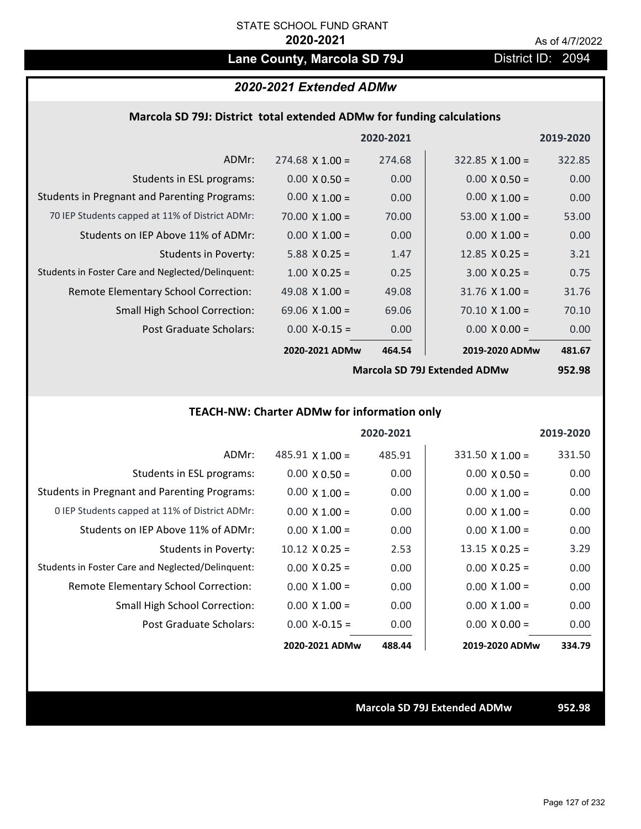# Lane County, Marcola SD 79J District ID: 2094

## *2020-2021 Extended ADMw*

### **Marcola SD 79J: District total extended ADMw for funding calculations**

|                                                     |                       | 2020-2021                                                             |                       | 2019-2020 |
|-----------------------------------------------------|-----------------------|-----------------------------------------------------------------------|-----------------------|-----------|
| ADMr:                                               | $274.68$ X 1.00 =     | 274.68                                                                | $322.85$ X 1.00 =     | 322.85    |
| Students in ESL programs:                           | $0.00 \times 0.50 =$  | 0.00                                                                  | $0.00 \times 0.50 =$  | 0.00      |
| <b>Students in Pregnant and Parenting Programs:</b> | $0.00 \times 1.00 =$  | 0.00                                                                  | $0.00 \times 1.00 =$  | 0.00      |
| 70 IEP Students capped at 11% of District ADMr:     | 70.00 $\times$ 1.00 = | 70.00                                                                 | 53.00 $\times$ 1.00 = | 53.00     |
| Students on IEP Above 11% of ADMr:                  | $0.00 \times 1.00 =$  | 0.00                                                                  | $0.00 \times 1.00 =$  | 0.00      |
| <b>Students in Poverty:</b>                         | $5.88$ X 0.25 =       | 1.47                                                                  | $12.85$ X 0.25 =      | 3.21      |
| Students in Foster Care and Neglected/Delinquent:   | $1.00 \times 0.25 =$  | 0.25                                                                  | $3.00 \times 0.25 =$  | 0.75      |
| Remote Elementary School Correction:                | 49.08 $\times$ 1.00 = | 49.08                                                                 | $31.76$ X $1.00 =$    | 31.76     |
| <b>Small High School Correction:</b>                | 69.06 $\times$ 1.00 = | 69.06                                                                 | $70.10 \times 1.00 =$ | 70.10     |
| Post Graduate Scholars:                             | $0.00$ X-0.15 =       | 0.00                                                                  | $0.00 \times 0.00 =$  | 0.00      |
|                                                     | 2020-2021 ADMw        | 464.54                                                                | 2019-2020 ADMw        | 481.67    |
|                                                     |                       | $\bullet$ $\bullet$ $\bullet$ $\bullet$ $\bullet$ $\bullet$ $\bullet$ |                       | $- - - -$ |

**Marcola SD 79J Extended ADMw**

**952.98**

## **TEACH‐NW: Charter ADMw for information only**

|                                                     |                        | 2020-2021 |                        | 2019-2020 |
|-----------------------------------------------------|------------------------|-----------|------------------------|-----------|
| ADMr:                                               | $485.91 \times 1.00 =$ | 485.91    | $331.50 \times 1.00 =$ | 331.50    |
| Students in ESL programs:                           | $0.00 \times 0.50 =$   | 0.00      | $0.00 \times 0.50 =$   | 0.00      |
| <b>Students in Pregnant and Parenting Programs:</b> | $0.00 \times 1.00 =$   | 0.00      | $0.00 \times 1.00 =$   | 0.00      |
| 0 IEP Students capped at 11% of District ADMr:      | $0.00 \times 1.00 =$   | 0.00      | $0.00 \times 1.00 =$   | 0.00      |
| Students on IFP Above 11% of ADMr:                  | $0.00 \times 1.00 =$   | 0.00      | $0.00 \times 1.00 =$   | 0.00      |
| <b>Students in Poverty:</b>                         | $10.12 \times 0.25 =$  | 2.53      | $13.15 \times 0.25 =$  | 3.29      |
| Students in Foster Care and Neglected/Delinquent:   | $0.00 \times 0.25 =$   | 0.00      | $0.00 \times 0.25 =$   | 0.00      |
| Remote Elementary School Correction:                | $0.00 \times 1.00 =$   | 0.00      | $0.00 \times 1.00 =$   | 0.00      |
| Small High School Correction:                       | $0.00 \times 1.00 =$   | 0.00      | $0.00 \times 1.00 =$   | 0.00      |
| Post Graduate Scholars:                             | $0.00 X - 0.15 =$      | 0.00      | $0.00 \times 0.00 =$   | 0.00      |
|                                                     | 2020-2021 ADMw         | 488.44    | 2019-2020 ADMw         | 334.79    |

**Marcola SD 79J Extended ADMw 952.98**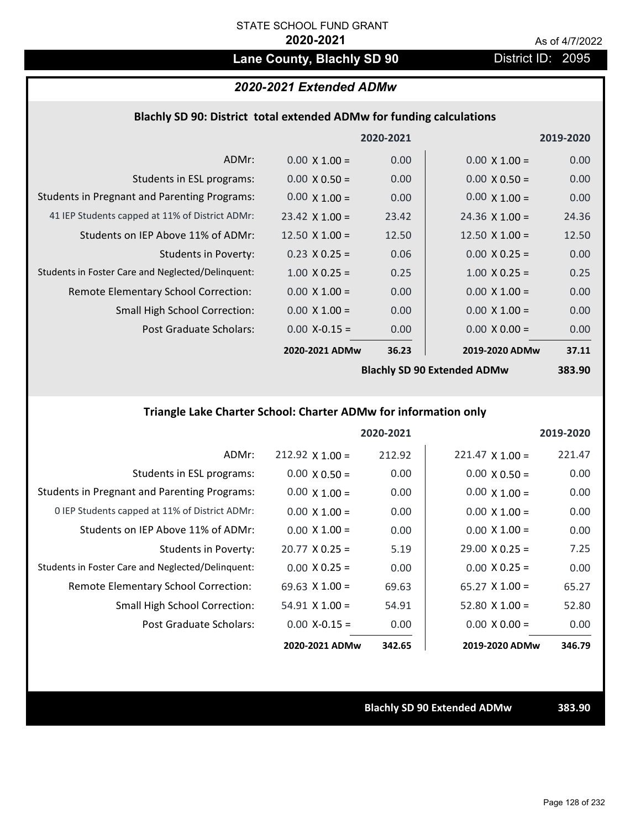# Lane County, Blachly SD 90 **District ID: 2095**

# *2020-2021 Extended ADMw*

### **Blachly SD 90: District total extended ADMw for funding calculations**

|                                                     |                       | 2020-2021 |                                    | 2019-2020 |
|-----------------------------------------------------|-----------------------|-----------|------------------------------------|-----------|
| ADMr:                                               | $0.00 \times 1.00 =$  | 0.00      | $0.00 \times 1.00 =$               | 0.00      |
| Students in ESL programs:                           | $0.00 \times 0.50 =$  | 0.00      | $0.00 \times 0.50 =$               | 0.00      |
| <b>Students in Pregnant and Parenting Programs:</b> | $0.00 \times 1.00 =$  | 0.00      | $0.00 \times 1.00 =$               | 0.00      |
| 41 IEP Students capped at 11% of District ADMr:     | $23.42 \times 1.00 =$ | 23.42     | $24.36 \times 1.00 =$              | 24.36     |
| Students on IEP Above 11% of ADMr:                  | 12.50 $\times$ 1.00 = | 12.50     | $12.50 \times 1.00 =$              | 12.50     |
| <b>Students in Poverty:</b>                         | $0.23 \times 0.25 =$  | 0.06      | $0.00 \times 0.25 =$               | 0.00      |
| Students in Foster Care and Neglected/Delinquent:   | $1.00 \times 0.25 =$  | 0.25      | $1.00 \times 0.25 =$               | 0.25      |
| Remote Elementary School Correction:                | $0.00 \times 1.00 =$  | 0.00      | $0.00 \times 1.00 =$               | 0.00      |
| <b>Small High School Correction:</b>                | $0.00 \times 1.00 =$  | 0.00      | $0.00 \times 1.00 =$               | 0.00      |
| Post Graduate Scholars:                             | $0.00$ X-0.15 =       | 0.00      | $0.00 \times 0.00 =$               | 0.00      |
|                                                     | 2020-2021 ADMw        | 36.23     | 2019-2020 ADMw                     | 37.11     |
|                                                     |                       |           | <b>Rlachly SD 90 Extended ADMW</b> | 383 AV    |

**Blachly SD 90 Extended ADMw**

# **383.90**

# **Triangle Lake Charter School: Charter ADMw for information only**

|                                                     |                       | 2020-2021 |                        | 2019-2020 |
|-----------------------------------------------------|-----------------------|-----------|------------------------|-----------|
| ADMr:                                               | $212.92$ X 1.00 =     | 212.92    | $221.47 \times 1.00 =$ | 221.47    |
| Students in ESL programs:                           | $0.00 \times 0.50 =$  | 0.00      | $0.00 \times 0.50 =$   | 0.00      |
| <b>Students in Pregnant and Parenting Programs:</b> | $0.00 \times 1.00 =$  | 0.00      | $0.00 \times 1.00 =$   | 0.00      |
| 0 IEP Students capped at 11% of District ADMr:      | $0.00 \times 1.00 =$  | 0.00      | $0.00 \times 1.00 =$   | 0.00      |
| Students on IEP Above 11% of ADMr:                  | $0.00 \times 1.00 =$  | 0.00      | $0.00 \times 1.00 =$   | 0.00      |
| Students in Poverty:                                | $20.77 \times 0.25 =$ | 5.19      | $29.00 \times 0.25 =$  | 7.25      |
| Students in Foster Care and Neglected/Delinquent:   | $0.00 \times 0.25 =$  | 0.00      | $0.00 \times 0.25 =$   | 0.00      |
| Remote Elementary School Correction:                | $69.63 \times 1.00 =$ | 69.63     | $65.27 \times 1.00 =$  | 65.27     |
| <b>Small High School Correction:</b>                | $54.91 \times 1.00 =$ | 54.91     | $52.80 \times 1.00 =$  | 52.80     |
| Post Graduate Scholars:                             | $0.00$ X-0.15 =       | 0.00      | $0.00 \times 0.00 =$   | 0.00      |
|                                                     | 2020-2021 ADMw        | 342.65    | 2019-2020 ADMw         | 346.79    |

**Blachly SD 90 Extended ADMw 383.90**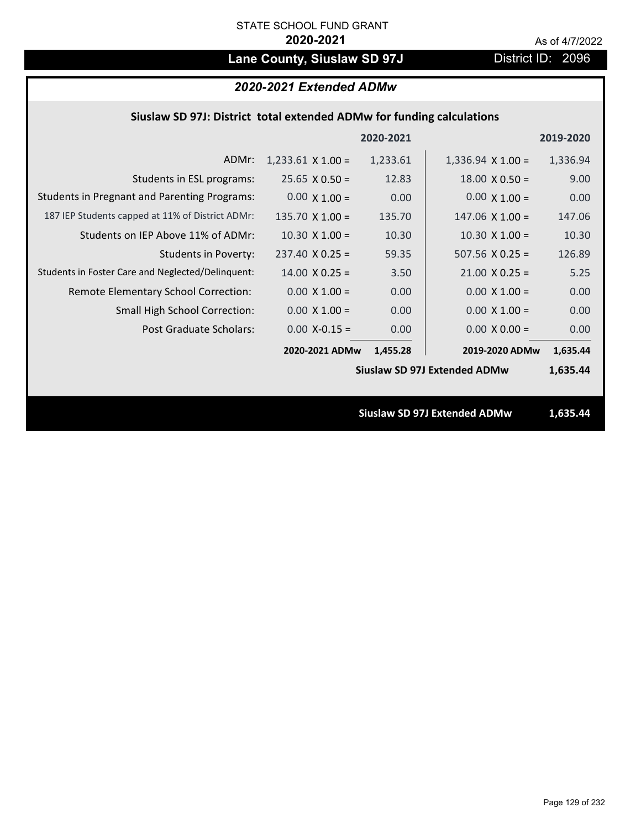# Lane County, Siuslaw SD 97J District ID: 2096

| 2020-2021 Extended ADMw |  |  |
|-------------------------|--|--|
|-------------------------|--|--|

|  | Siuslaw SD 97J: District total extended ADMw for funding calculations |  |
|--|-----------------------------------------------------------------------|--|
|--|-----------------------------------------------------------------------|--|

|                                                     |                        | 2020-2021 |                                     | 2019-2020 |  |
|-----------------------------------------------------|------------------------|-----------|-------------------------------------|-----------|--|
| ADMr:                                               | $1,233.61$ X $1.00 =$  | 1,233.61  | $1,336.94 \times 1.00 =$            | 1,336.94  |  |
| Students in ESL programs:                           | $25.65 \times 0.50 =$  | 12.83     | $18.00 \times 0.50 =$               | 9.00      |  |
| <b>Students in Pregnant and Parenting Programs:</b> | $0.00 \times 1.00 =$   | 0.00      | $0.00 \times 1.00 =$                | 0.00      |  |
| 187 IEP Students capped at 11% of District ADMr:    | $135.70 \times 1.00 =$ | 135.70    | $147.06 \times 1.00 =$              | 147.06    |  |
| Students on IEP Above 11% of ADMr:                  | $10.30 \times 1.00 =$  | 10.30     | $10.30$ X $1.00 =$                  | 10.30     |  |
| <b>Students in Poverty:</b>                         | $237.40 \times 0.25 =$ | 59.35     | $507.56$ X 0.25 =                   | 126.89    |  |
| Students in Foster Care and Neglected/Delinquent:   | $14.00 \times 0.25 =$  | 3.50      | $21.00 \times 0.25 =$               | 5.25      |  |
| Remote Elementary School Correction:                | $0.00 \times 1.00 =$   | 0.00      | $0.00 \times 1.00 =$                | 0.00      |  |
| <b>Small High School Correction:</b>                | $0.00 \times 1.00 =$   | 0.00      | $0.00 \times 1.00 =$                | 0.00      |  |
| Post Graduate Scholars:                             | $0.00$ X-0.15 =        | 0.00      | $0.00 \times 0.00 =$                | 0.00      |  |
|                                                     | 2020-2021 ADMw         | 1,455.28  | 2019-2020 ADMw                      | 1,635.44  |  |
|                                                     |                        |           | <b>Siuslaw SD 97J Extended ADMw</b> | 1,635.44  |  |
|                                                     |                        |           |                                     |           |  |
|                                                     |                        |           | <b>Siuslaw SD 97J Extended ADMw</b> | 1,635.44  |  |
|                                                     |                        |           |                                     |           |  |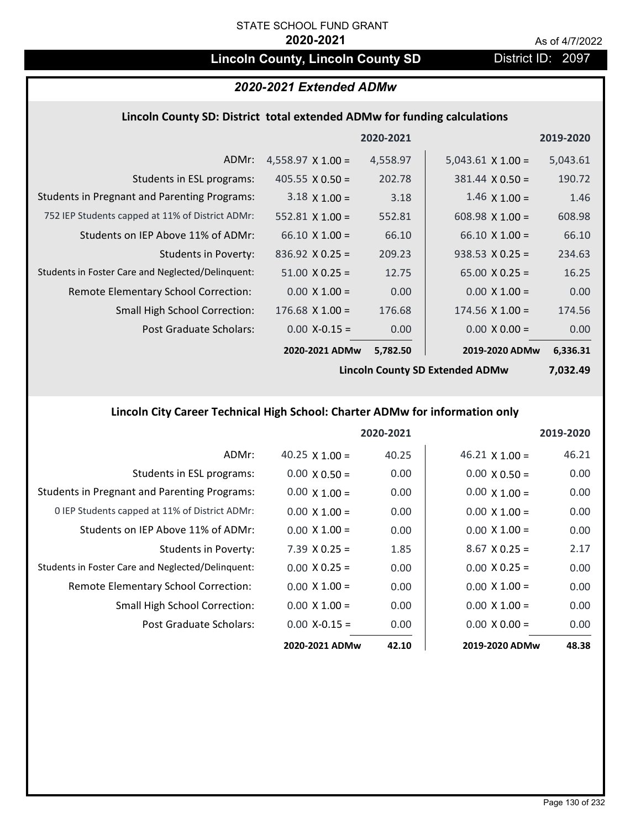# **Lincoln County, Lincoln County SD** District ID: 2097

# *2020-2021 Extended ADMw*

### **Lincoln County SD: District total extended ADMw for funding calculations**

|                                                     |                          | 2020-2021 |                        | 2019-2020 |
|-----------------------------------------------------|--------------------------|-----------|------------------------|-----------|
| ADMr:                                               | $4,558.97 \times 1.00 =$ | 4,558.97  | $5,043.61$ X 1.00 =    | 5,043.61  |
| Students in ESL programs:                           | 405.55 $\times$ 0.50 =   | 202.78    | $381.44 \times 0.50 =$ | 190.72    |
| <b>Students in Pregnant and Parenting Programs:</b> | $3.18 \times 1.00 =$     | 3.18      | $1.46 \times 1.00 =$   | 1.46      |
| 752 IEP Students capped at 11% of District ADMr:    | $552.81$ X 1.00 =        | 552.81    | 608.98 $X$ 1.00 =      | 608.98    |
| Students on IEP Above 11% of ADMr:                  | $66.10 \times 1.00 =$    | 66.10     | $66.10 \times 1.00 =$  | 66.10     |
| <b>Students in Poverty:</b>                         | $836.92 \times 0.25 =$   | 209.23    | $938.53 \times 0.25 =$ | 234.63    |
| Students in Foster Care and Neglected/Delinquent:   | $51.00 \times 0.25 =$    | 12.75     | $65.00 \times 0.25 =$  | 16.25     |
| Remote Elementary School Correction:                | $0.00 \times 1.00 =$     | 0.00      | $0.00 \times 1.00 =$   | 0.00      |
| <b>Small High School Correction:</b>                | $176.68$ X $1.00 =$      | 176.68    | $174.56 \times 1.00 =$ | 174.56    |
| Post Graduate Scholars:                             | $0.00$ X-0.15 =          | 0.00      | $0.00 \times 0.00 =$   | 0.00      |
|                                                     | 2020-2021 ADMw           | 5,782.50  | 2019-2020 ADMw         | 6,336.31  |

**Lincoln County SD Extended ADMw**

**7,032.49**

# **Lincoln City Career Technical High School: Charter ADMw for information only**

|                                                     |                       | 2020-2021 |                       | 2019-2020 |
|-----------------------------------------------------|-----------------------|-----------|-----------------------|-----------|
| ADMr:                                               | 40.25 $\times$ 1.00 = | 40.25     | $46.21 \times 1.00 =$ | 46.21     |
| Students in ESL programs:                           | $0.00 \times 0.50 =$  | 0.00      | $0.00 \times 0.50 =$  | 0.00      |
| <b>Students in Pregnant and Parenting Programs:</b> | $0.00 \times 1.00 =$  | 0.00      | $0.00 \times 1.00 =$  | 0.00      |
| 0 IEP Students capped at 11% of District ADMr:      | $0.00 \times 1.00 =$  | 0.00      | $0.00 \times 1.00 =$  | 0.00      |
| Students on IEP Above 11% of ADMr:                  | $0.00 \times 1.00 =$  | 0.00      | $0.00 \times 1.00 =$  | 0.00      |
| Students in Poverty:                                | $7.39$ X 0.25 =       | 1.85      | $8.67$ X 0.25 =       | 2.17      |
| Students in Foster Care and Neglected/Delinquent:   | $0.00 \times 0.25 =$  | 0.00      | $0.00 \times 0.25 =$  | 0.00      |
| Remote Elementary School Correction:                | $0.00 \times 1.00 =$  | 0.00      | $0.00 \times 1.00 =$  | 0.00      |
| Small High School Correction:                       | $0.00 \times 1.00 =$  | 0.00      | $0.00 \times 1.00 =$  | 0.00      |
| Post Graduate Scholars:                             | $0.00 X - 0.15 =$     | 0.00      | $0.00 \times 0.00 =$  | 0.00      |
|                                                     | 2020-2021 ADMw        | 42.10     | 2019-2020 ADMw        | 48.38     |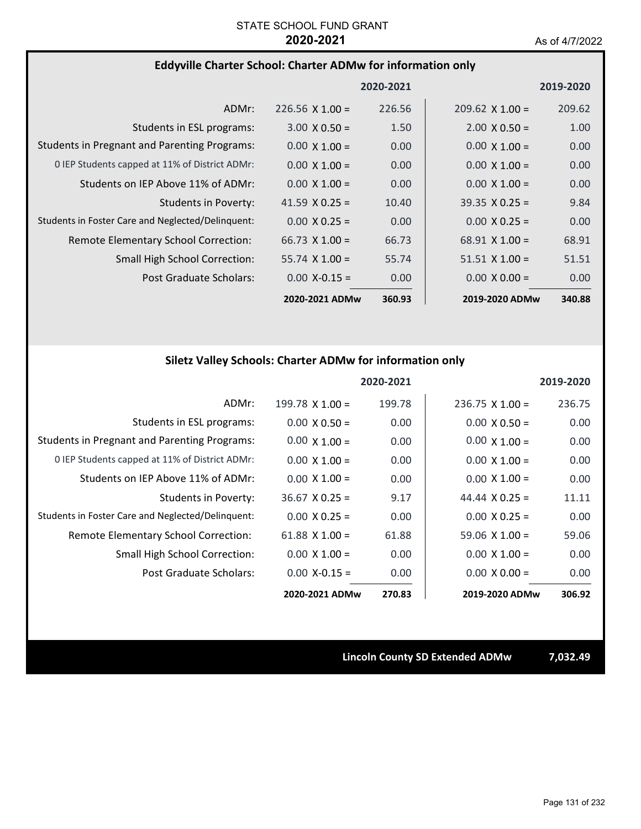## **Eddyville Charter School: Charter ADMw for information only**

|                                                     |                        | 2020-2021 |                       | 2019-2020 |
|-----------------------------------------------------|------------------------|-----------|-----------------------|-----------|
| ADMr:                                               | $226.56 \times 1.00 =$ | 226.56    | $209.62$ X 1.00 =     | 209.62    |
| Students in ESL programs:                           | $3.00 \times 0.50 =$   | 1.50      | $2.00 \times 0.50 =$  | 1.00      |
| <b>Students in Pregnant and Parenting Programs:</b> | $0.00 \times 1.00 =$   | 0.00      | $0.00 \times 1.00 =$  | 0.00      |
| 0 IEP Students capped at 11% of District ADMr:      | $0.00 \times 1.00 =$   | 0.00      | $0.00 \times 1.00 =$  | 0.00      |
| Students on IEP Above 11% of ADMr:                  | $0.00 \times 1.00 =$   | 0.00      | $0.00 \times 1.00 =$  | 0.00      |
| Students in Poverty:                                | 41.59 $\times$ 0.25 =  | 10.40     | $39.35 \times 0.25 =$ | 9.84      |
| Students in Foster Care and Neglected/Delinguent:   | $0.00 \times 0.25 =$   | 0.00      | $0.00 \times 0.25 =$  | 0.00      |
| Remote Elementary School Correction:                | $66.73 \times 1.00 =$  | 66.73     | $68.91 \times 1.00 =$ | 68.91     |
| <b>Small High School Correction:</b>                | $55.74 \times 1.00 =$  | 55.74     | $51.51 \times 1.00 =$ | 51.51     |
| Post Graduate Scholars:                             | $0.00 X - 0.15 =$      | 0.00      | $0.00 \times 0.00 =$  | 0.00      |
|                                                     | 2020-2021 ADMw         | 360.93    | 2019-2020 ADMw        | 340.88    |

# **Siletz Valley Schools: Charter ADMw for information only**

|                                                     |                       | 2020-2021 |                        | 2019-2020 |
|-----------------------------------------------------|-----------------------|-----------|------------------------|-----------|
| ADMr:                                               | 199.78 $X$ 1.00 =     | 199.78    | $236.75 \times 1.00 =$ | 236.75    |
| Students in ESL programs:                           | $0.00 \times 0.50 =$  | 0.00      | $0.00 \times 0.50 =$   | 0.00      |
| <b>Students in Pregnant and Parenting Programs:</b> | $0.00 \times 1.00 =$  | 0.00      | $0.00 \times 1.00 =$   | 0.00      |
| 0 IEP Students capped at 11% of District ADMr:      | $0.00 \times 1.00 =$  | 0.00      | $0.00 \times 1.00 =$   | 0.00      |
| Students on IEP Above 11% of ADMr:                  | $0.00 \times 1.00 =$  | 0.00      | $0.00 \times 1.00 =$   | 0.00      |
| <b>Students in Poverty:</b>                         | $36.67 \times 0.25 =$ | 9.17      | 44.44 $\times$ 0.25 =  | 11.11     |
| Students in Foster Care and Neglected/Delinquent:   | $0.00 \times 0.25 =$  | 0.00      | $0.00 \times 0.25 =$   | 0.00      |
| Remote Elementary School Correction:                | 61.88 $X$ 1.00 =      | 61.88     | $59.06 \times 1.00 =$  | 59.06     |
| Small High School Correction:                       | $0.00 \times 1.00 =$  | 0.00      | $0.00 \times 1.00 =$   | 0.00      |
| Post Graduate Scholars:                             | $0.00$ X-0.15 =       | 0.00      | $0.00 \times 0.00 =$   | 0.00      |
|                                                     | 2020-2021 ADMw        | 270.83    | 2019-2020 ADMw         | 306.92    |

**Lincoln County SD Extended ADMw 7,032.49**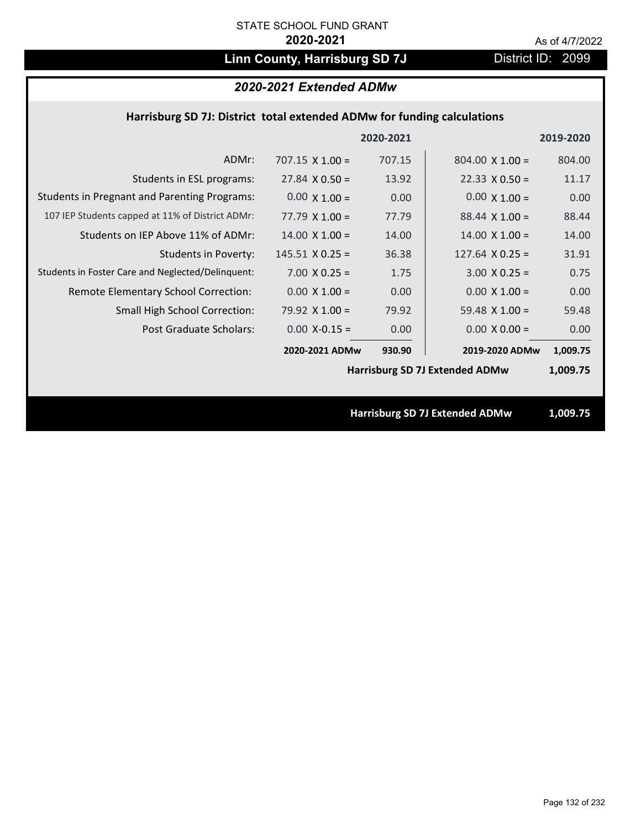# Linn County, Harrisburg SD 7J District ID: 2099

# *2020-2021 Extended ADMw*

## **Harrisburg SD 7J: District total extended ADMw for funding calculations**

|                                                     |                        | 2020-2021 |                                       | 2019-2020 |
|-----------------------------------------------------|------------------------|-----------|---------------------------------------|-----------|
| ADMr:                                               | $707.15 \times 1.00 =$ | 707.15    | $804.00 \times 1.00 =$                | 804.00    |
| Students in ESL programs:                           | $27.84 \times 0.50 =$  | 13.92     | $22.33 \times 0.50 =$                 | 11.17     |
| <b>Students in Pregnant and Parenting Programs:</b> | $0.00 \times 1.00 =$   | 0.00      | $0.00 \times 1.00 =$                  | 0.00      |
| 107 IEP Students capped at 11% of District ADMr:    | $77.79 \times 1.00 =$  | 77.79     | $88.44 \times 1.00 =$                 | 88.44     |
| Students on IEP Above 11% of ADMr:                  | $14.00 \times 1.00 =$  | 14.00     | $14.00 \times 1.00 =$                 | 14.00     |
| <b>Students in Poverty:</b>                         | $145.51 \times 0.25 =$ | 36.38     | $127.64$ X 0.25 =                     | 31.91     |
| Students in Foster Care and Neglected/Delinquent:   | $7.00 \times 0.25 =$   | 1.75      | $3.00 \times 0.25 =$                  | 0.75      |
| Remote Elementary School Correction:                | $0.00 \times 1.00 =$   | 0.00      | $0.00 \times 1.00 =$                  | 0.00      |
| <b>Small High School Correction:</b>                | 79.92 $X$ 1.00 =       | 79.92     | 59.48 $X$ 1.00 =                      | 59.48     |
| Post Graduate Scholars:                             | $0.00$ X-0.15 =        | 0.00      | $0.00 \times 0.00 =$                  | 0.00      |
|                                                     | 2020-2021 ADMw         | 930.90    | 2019-2020 ADMw                        | 1,009.75  |
|                                                     |                        |           | <b>Harrisburg SD 7J Extended ADMw</b> | 1,009.75  |
|                                                     |                        |           |                                       |           |
|                                                     |                        |           | <b>Harrisburg SD 7J Extended ADMw</b> | 1,009.75  |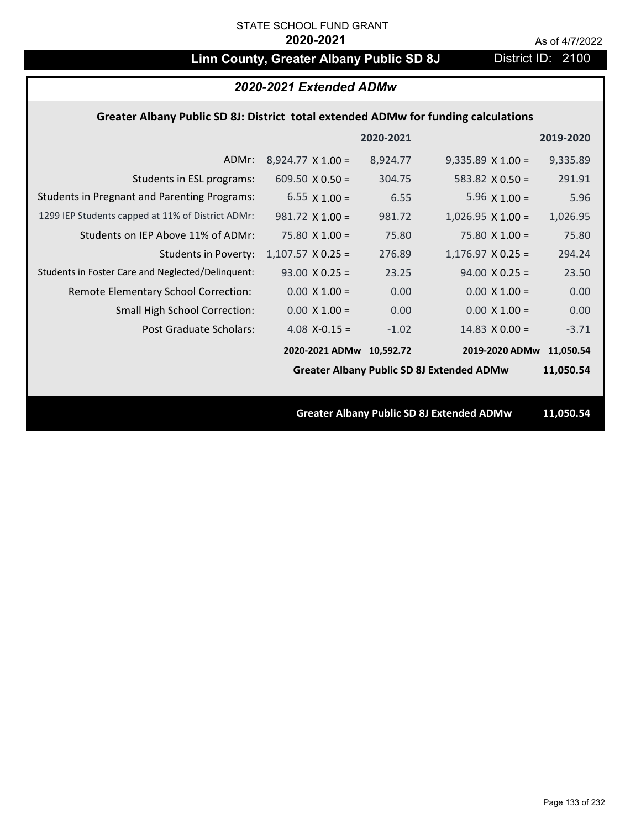# **Linn County, Greater Albany Public SD 8J** District ID: 2100

| 2020-2021 Extended ADMw                                                            |                          |           |                                                  |           |
|------------------------------------------------------------------------------------|--------------------------|-----------|--------------------------------------------------|-----------|
| Greater Albany Public SD 8J: District total extended ADMw for funding calculations |                          |           |                                                  |           |
|                                                                                    |                          | 2020-2021 |                                                  | 2019-2020 |
| ADMr:                                                                              | $8,924.77 \times 1.00 =$ | 8,924.77  | $9,335.89 \times 1.00 =$                         | 9,335.89  |
| Students in ESL programs:                                                          | 609.50 $\times$ 0.50 =   | 304.75    | 583.82 $X$ 0.50 =                                | 291.91    |
| <b>Students in Pregnant and Parenting Programs:</b>                                | 6.55 $\times$ 1.00 =     | 6.55      | 5.96 $\times$ 1.00 =                             | 5.96      |
| 1299 IEP Students capped at 11% of District ADMr:                                  | $981.72 \times 1.00 =$   | 981.72    | $1,026.95 \times 1.00 =$                         | 1,026.95  |
| Students on IEP Above 11% of ADMr:                                                 | $75.80 X 1.00 =$         | 75.80     | $75.80$ X $1.00 =$                               | 75.80     |
| <b>Students in Poverty:</b>                                                        | $1,107.57$ X 0.25 =      | 276.89    | $1,176.97$ X 0.25 =                              | 294.24    |
| Students in Foster Care and Neglected/Delinquent:                                  | $93.00 \times 0.25 =$    | 23.25     | $94.00 \times 0.25 =$                            | 23.50     |
| Remote Elementary School Correction:                                               | $0.00 \times 1.00 =$     | 0.00      | $0.00 \times 1.00 =$                             | 0.00      |
| <b>Small High School Correction:</b>                                               | $0.00 \times 1.00 =$     | 0.00      | $0.00 \times 1.00 =$                             | 0.00      |
| <b>Post Graduate Scholars:</b>                                                     | 4.08 $X-0.15 =$          | $-1.02$   | 14.83 $\times$ 0.00 =                            | $-3.71$   |
|                                                                                    | 2020-2021 ADMw 10,592.72 |           | 2019-2020 ADMw                                   | 11,050.54 |
|                                                                                    |                          |           | <b>Greater Albany Public SD 8J Extended ADMw</b> | 11,050.54 |
|                                                                                    |                          |           |                                                  |           |
|                                                                                    |                          |           | <b>Greater Albany Public SD 8J Extended ADMw</b> | 11,050.54 |
|                                                                                    |                          |           |                                                  |           |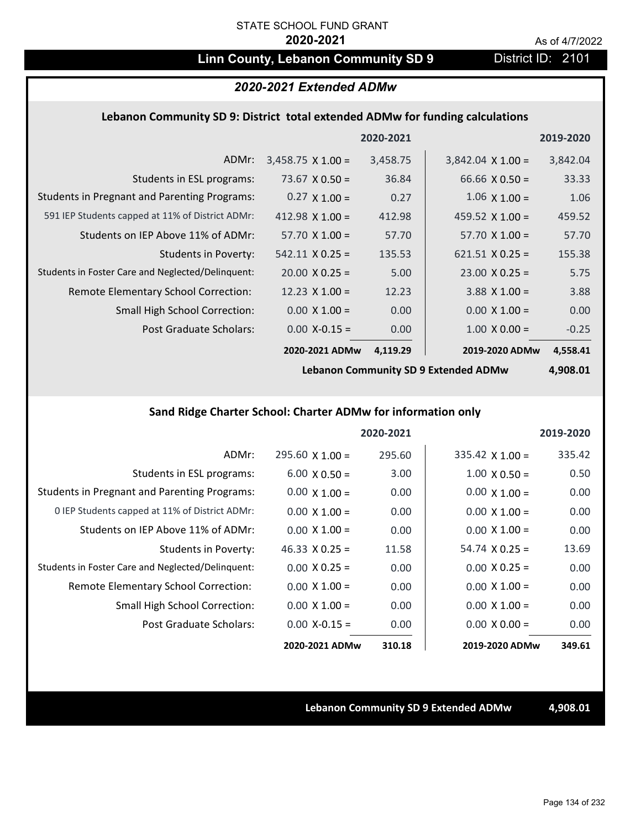# Linn County, Lebanon Community SD 9 District ID: 2101

# *2020-2021 Extended ADMw*

### **Lebanon Community SD 9: District total extended ADMw for funding calculations**

|                                                     |                          | 2020-2021 |                          | 2019-2020 |
|-----------------------------------------------------|--------------------------|-----------|--------------------------|-----------|
| ADMr:                                               | $3,458.75 \times 1.00 =$ | 3,458.75  | $3,842.04 \times 1.00 =$ | 3,842.04  |
| Students in ESL programs:                           | 73.67 $\times$ 0.50 =    | 36.84     | 66.66 $X$ 0.50 =         | 33.33     |
| <b>Students in Pregnant and Parenting Programs:</b> | $0.27 \times 1.00 =$     | 0.27      | $1.06 \times 1.00 =$     | 1.06      |
| 591 IEP Students capped at 11% of District ADMr:    | 412.98 $\times$ 1.00 =   | 412.98    | 459.52 $\times$ 1.00 =   | 459.52    |
| Students on IEP Above 11% of ADMr:                  | $57.70 \times 1.00 =$    | 57.70     | $57.70 \times 1.00 =$    | 57.70     |
| Students in Poverty:                                | $542.11 \times 0.25 =$   | 135.53    | $621.51 \times 0.25 =$   | 155.38    |
| Students in Foster Care and Neglected/Delinquent:   | $20.00 \times 0.25 =$    | 5.00      | $23.00 \times 0.25 =$    | 5.75      |
| Remote Elementary School Correction:                | 12.23 $\times$ 1.00 =    | 12.23     | $3.88$ X 1.00 =          | 3.88      |
| <b>Small High School Correction:</b>                | $0.00 \times 1.00 =$     | 0.00      | $0.00 \times 1.00 =$     | 0.00      |
| Post Graduate Scholars:                             | $0.00 X - 0.15 =$        | 0.00      | $1.00 \times 0.00 =$     | $-0.25$   |
|                                                     | 2020-2021 ADMw           | 4,119.29  | 2019-2020 ADMw           | 4,558.41  |

**Lebanon Community SD 9 Extended ADMw**

**4,908.01**

# **Sand Ridge Charter School: Charter ADMw for information only**

|                                                     |                       | 2020-2021 |                        | 2019-2020 |
|-----------------------------------------------------|-----------------------|-----------|------------------------|-----------|
| ADMr:                                               | $295.60$ X 1.00 =     | 295.60    | $335.42 \times 1.00 =$ | 335.42    |
| Students in ESL programs:                           | $6.00 \times 0.50 =$  | 3.00      | $1.00 \times 0.50 =$   | 0.50      |
| <b>Students in Pregnant and Parenting Programs:</b> | $0.00 \times 1.00 =$  | 0.00      | $0.00 \times 1.00 =$   | 0.00      |
| 0 IEP Students capped at 11% of District ADMr:      | $0.00 \times 1.00 =$  | 0.00      | $0.00 \times 1.00 =$   | 0.00      |
| Students on IEP Above 11% of ADMr:                  | $0.00 \times 1.00 =$  | 0.00      | $0.00 \times 1.00 =$   | 0.00      |
| Students in Poverty:                                | $46.33 \times 0.25 =$ | 11.58     | $54.74 \times 0.25 =$  | 13.69     |
| Students in Foster Care and Neglected/Delinquent:   | $0.00 \times 0.25 =$  | 0.00      | $0.00 \times 0.25 =$   | 0.00      |
| Remote Elementary School Correction:                | $0.00 \times 1.00 =$  | 0.00      | $0.00 \times 1.00 =$   | 0.00      |
| <b>Small High School Correction:</b>                | $0.00 \times 1.00 =$  | 0.00      | $0.00 \times 1.00 =$   | 0.00      |
| Post Graduate Scholars:                             | $0.00 X - 0.15 =$     | 0.00      | $0.00 \times 0.00 =$   | 0.00      |
|                                                     | 2020-2021 ADMw        | 310.18    | 2019-2020 ADMw         | 349.61    |

**Lebanon Community SD 9 Extended ADMw 4,908.01**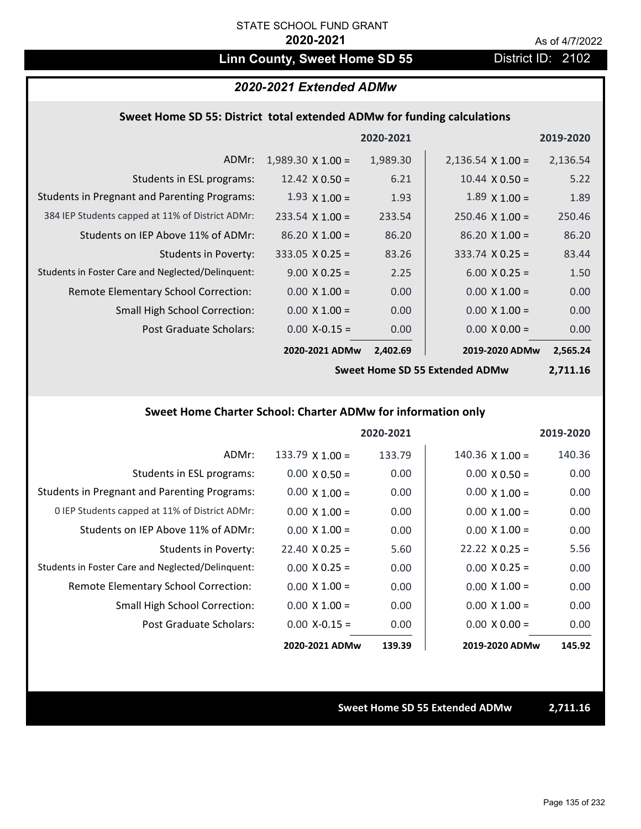# Linn County, Sweet Home SD 55 District ID: 2102

### *2020-2021 Extended ADMw*

### **Sweet Home SD 55: District total extended ADMw for funding calculations**

|                                                     |                          | 2020-2021 |                          | 2019-2020 |
|-----------------------------------------------------|--------------------------|-----------|--------------------------|-----------|
| ADMr:                                               | $1,989.30 \times 1.00 =$ | 1,989.30  | $2,136.54 \times 1.00 =$ | 2,136.54  |
| Students in ESL programs:                           | 12.42 $\times$ 0.50 =    | 6.21      | $10.44 \times 0.50 =$    | 5.22      |
| <b>Students in Pregnant and Parenting Programs:</b> | $1.93 \times 1.00 =$     | 1.93      | $1.89 \times 1.00 =$     | 1.89      |
| 384 IEP Students capped at 11% of District ADMr:    | $233.54 \times 1.00 =$   | 233.54    | $250.46 \times 1.00 =$   | 250.46    |
| Students on IEP Above 11% of ADMr:                  | $86.20 X 1.00 =$         | 86.20     | $86.20 \times 1.00 =$    | 86.20     |
| <b>Students in Poverty:</b>                         | $333.05 \times 0.25 =$   | 83.26     | $333.74 \times 0.25 =$   | 83.44     |
| Students in Foster Care and Neglected/Delinquent:   | $9.00 \times 0.25 =$     | 2.25      | $6.00 \times 0.25 =$     | 1.50      |
| Remote Elementary School Correction:                | $0.00 \times 1.00 =$     | 0.00      | $0.00 \times 1.00 =$     | 0.00      |
| <b>Small High School Correction:</b>                | $0.00 \times 1.00 =$     | 0.00      | $0.00 \times 1.00 =$     | 0.00      |
| Post Graduate Scholars:                             | $0.00 X - 0.15 =$        | 0.00      | $0.00 \times 0.00 =$     | 0.00      |
|                                                     | 2020-2021 ADMw           | 2,402.69  | 2019-2020 ADMw           | 2,565.24  |

**Sweet Home SD 55 Extended ADMw**

**2,711.16**

## **Sweet Home Charter School: Charter ADMw for information only**

|                                                     |                       | 2020-2021 |                       | 2019-2020 |
|-----------------------------------------------------|-----------------------|-----------|-----------------------|-----------|
| ADMr:                                               | $133.79$ X 1.00 =     | 133.79    | $140.36$ X $1.00 =$   | 140.36    |
| Students in ESL programs:                           | $0.00 \times 0.50 =$  | 0.00      | $0.00 \times 0.50 =$  | 0.00      |
| <b>Students in Pregnant and Parenting Programs:</b> | $0.00 \times 1.00 =$  | 0.00      | $0.00 \times 1.00 =$  | 0.00      |
| 0 IEP Students capped at 11% of District ADMr:      | $0.00 \times 1.00 =$  | 0.00      | $0.00 \times 1.00 =$  | 0.00      |
| Students on IEP Above 11% of ADMr:                  | $0.00 \times 1.00 =$  | 0.00      | $0.00 \times 1.00 =$  | 0.00      |
| Students in Poverty:                                | $22.40 \times 0.25 =$ | 5.60      | $22.22 \times 0.25 =$ | 5.56      |
| Students in Foster Care and Neglected/Delinquent:   | $0.00 \times 0.25 =$  | 0.00      | $0.00 \times 0.25 =$  | 0.00      |
| Remote Elementary School Correction:                | $0.00 \times 1.00 =$  | 0.00      | $0.00 \times 1.00 =$  | 0.00      |
| <b>Small High School Correction:</b>                | $0.00 \times 1.00 =$  | 0.00      | $0.00 \times 1.00 =$  | 0.00      |
| Post Graduate Scholars:                             | $0.00 X - 0.15 =$     | 0.00      | $0.00 \times 0.00 =$  | 0.00      |
|                                                     | 2020-2021 ADMw        | 139.39    | 2019-2020 ADMw        | 145.92    |

### **Sweet Home SD 55 Extended ADMw 2,711.16**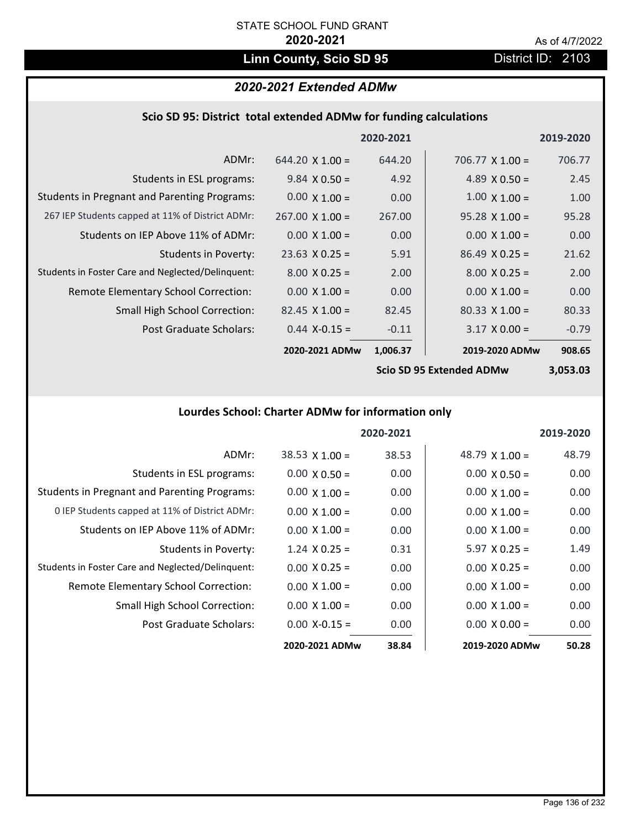# Linn County, Scio SD 95 **District ID: 2103**

# *2020-2021 Extended ADMw*

|  |  | Scio SD 95: District total extended ADMw for funding calculations |
|--|--|-------------------------------------------------------------------|
|--|--|-------------------------------------------------------------------|

|                                                     |                        | 2020-2021 |                                                        | 2019-2020 |
|-----------------------------------------------------|------------------------|-----------|--------------------------------------------------------|-----------|
| ADMr:                                               | $644.20 \times 1.00 =$ | 644.20    | 706.77 $\times$ 1.00 =                                 | 706.77    |
| Students in ESL programs:                           | $9.84 \times 0.50 =$   | 4.92      | 4.89 $\times$ 0.50 =                                   | 2.45      |
| <b>Students in Pregnant and Parenting Programs:</b> | $0.00 \times 1.00 =$   | 0.00      | $1.00 \times 1.00 =$                                   | 1.00      |
| 267 IEP Students capped at 11% of District ADMr:    | $267.00 \times 1.00 =$ | 267.00    | $95.28 \times 1.00 =$                                  | 95.28     |
| Students on IEP Above 11% of ADMr:                  | $0.00 \times 1.00 =$   | 0.00      | $0.00 \times 1.00 =$                                   | 0.00      |
| <b>Students in Poverty:</b>                         | $23.63$ X 0.25 =       | 5.91      | $86.49 \times 0.25 =$                                  | 21.62     |
| Students in Foster Care and Neglected/Delinquent:   | $8.00 \times 0.25 =$   | 2.00      | $8.00 \times 0.25 =$                                   | 2.00      |
| Remote Elementary School Correction:                | $0.00 \times 1.00 =$   | 0.00      | $0.00 \times 1.00 =$                                   | 0.00      |
| <b>Small High School Correction:</b>                | $82.45 \times 1.00 =$  | 82.45     | $80.33 \times 1.00 =$                                  | 80.33     |
| Post Graduate Scholars:                             | $0.44$ X-0.15 =        | $-0.11$   | $3.17 \times 0.00 =$                                   | $-0.79$   |
|                                                     | 2020-2021 ADMw         | 1,006.37  | 2019-2020 ADMw                                         | 908.65    |
|                                                     |                        |           | $C_{\mathcal{L}}$ . CD OF Futural and ADM $\mathbf{A}$ | רה הדה ה  |

**Scio SD 95 Extended ADMw**

**3,053.03**

# **Lourdes School: Charter ADMw for information only**

|                                                     |                       | 2020-2021 |                       | 2019-2020 |
|-----------------------------------------------------|-----------------------|-----------|-----------------------|-----------|
| ADMr:                                               | $38.53 \times 1.00 =$ | 38.53     | 48.79 $\times$ 1.00 = | 48.79     |
| Students in ESL programs:                           | $0.00 \times 0.50 =$  | 0.00      | $0.00 \times 0.50 =$  | 0.00      |
| <b>Students in Pregnant and Parenting Programs:</b> | $0.00 \times 1.00 =$  | 0.00      | $0.00 \times 1.00 =$  | 0.00      |
| 0 IEP Students capped at 11% of District ADMr:      | $0.00 \times 1.00 =$  | 0.00      | $0.00 \times 1.00 =$  | 0.00      |
| Students on IEP Above 11% of ADMr:                  | $0.00 \times 1.00 =$  | 0.00      | $0.00 \times 1.00 =$  | 0.00      |
| Students in Poverty:                                | $1.24 \times 0.25 =$  | 0.31      | $5.97 \times 0.25 =$  | 1.49      |
| Students in Foster Care and Neglected/Delinquent:   | $0.00 \times 0.25 =$  | 0.00      | $0.00 \times 0.25 =$  | 0.00      |
| Remote Elementary School Correction:                | $0.00 \times 1.00 =$  | 0.00      | $0.00 \times 1.00 =$  | 0.00      |
| <b>Small High School Correction:</b>                | $0.00 \times 1.00 =$  | 0.00      | $0.00 \times 1.00 =$  | 0.00      |
| Post Graduate Scholars:                             | $0.00 X - 0.15 =$     | 0.00      | $0.00 \times 0.00 =$  | 0.00      |
|                                                     | 2020-2021 ADMw        | 38.84     | 2019-2020 ADMw        | 50.28     |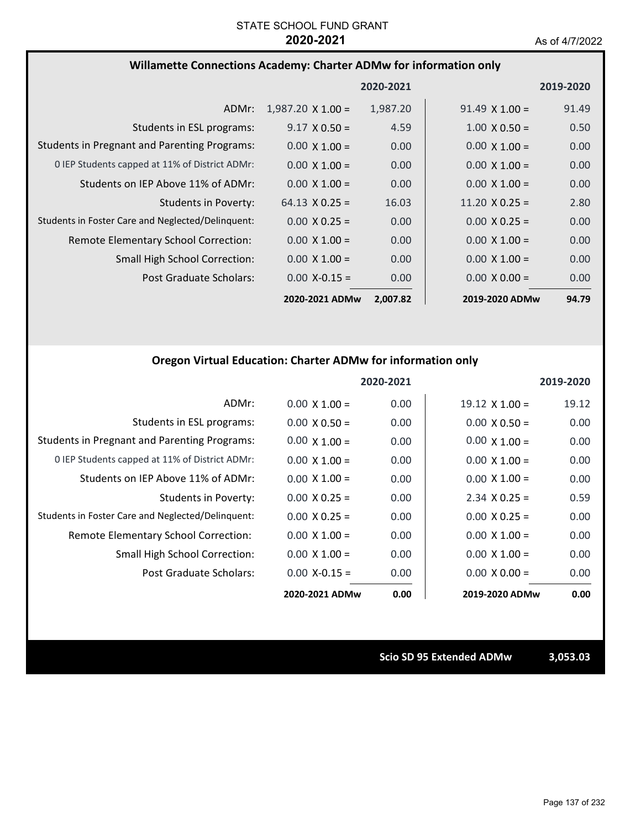### **Willamette Connections Academy: Charter ADMw for information only**

|                                                     |                          | 2020-2021 |                       | 2019-2020         |
|-----------------------------------------------------|--------------------------|-----------|-----------------------|-------------------|
| ADMr:                                               | $1,987.20 \times 1.00 =$ | 1,987.20  | $91.49 \times 1.00 =$ | 91.49             |
| Students in ESL programs:                           | $9.17 \times 0.50 =$     | 4.59      | $1.00 \times 0.50 =$  | 0.50              |
| <b>Students in Pregnant and Parenting Programs:</b> | $0.00 \times 1.00 =$     | 0.00      | $0.00 \times 1.00 =$  | 0.00              |
| 0 IEP Students capped at 11% of District ADMr:      | $0.00 \times 1.00 =$     | 0.00      | $0.00 \times 1.00 =$  | 0.00              |
| Students on IEP Above 11% of ADMr:                  | $0.00 \times 1.00 =$     | 0.00      | $0.00 \times 1.00 =$  | 0.00 <sub>1</sub> |
| Students in Poverty:                                | $64.13 \times 0.25 =$    | 16.03     | $11.20 \times 0.25 =$ | 2.80              |
| Students in Foster Care and Neglected/Delinquent:   | $0.00 \times 0.25 =$     | 0.00      | $0.00 \times 0.25 =$  | 0.00              |
| Remote Elementary School Correction:                | $0.00 \times 1.00 =$     | 0.00      | $0.00 \times 1.00 =$  | 0.00              |
| <b>Small High School Correction:</b>                | $0.00 \times 1.00 =$     | 0.00      | $0.00 \times 1.00 =$  | 0.00              |
| Post Graduate Scholars:                             | $0.00 X - 0.15 =$        | 0.00      | $0.00 \times 0.00 =$  | 0.00              |
|                                                     | 2020-2021 ADMw           | 2,007.82  | 2019-2020 ADMw        | 94.79             |

### **Oregon Virtual Education: Charter ADMw for information only**

|                                                     |                      | 2020-2021 |                       | 2019-2020 |
|-----------------------------------------------------|----------------------|-----------|-----------------------|-----------|
| ADMr:                                               | $0.00 \times 1.00 =$ | 0.00      | $19.12 \times 1.00 =$ | 19.12     |
| Students in ESL programs:                           | $0.00 \times 0.50 =$ | 0.00      | $0.00 \times 0.50 =$  | 0.00      |
| <b>Students in Pregnant and Parenting Programs:</b> | $0.00 \times 1.00 =$ | 0.00      | $0.00 \times 1.00 =$  | 0.00      |
| 0 IEP Students capped at 11% of District ADMr:      | $0.00 \times 1.00 =$ | 0.00      | $0.00 \times 1.00 =$  | 0.00      |
| Students on IEP Above 11% of ADMr:                  | $0.00 \times 1.00 =$ | 0.00      | $0.00 \times 1.00 =$  | 0.00      |
| Students in Poverty:                                | $0.00 \times 0.25 =$ | 0.00      | $2.34 \times 0.25 =$  | 0.59      |
| Students in Foster Care and Neglected/Delinquent:   | $0.00 \times 0.25 =$ | 0.00      | $0.00 \times 0.25 =$  | 0.00      |
| <b>Remote Elementary School Correction:</b>         | $0.00 \times 1.00 =$ | 0.00      | $0.00 \times 1.00 =$  | 0.00      |
| <b>Small High School Correction:</b>                | $0.00 \times 1.00 =$ | 0.00      | $0.00 \times 1.00 =$  | 0.00      |
| Post Graduate Scholars:                             | $0.00$ X-0.15 =      | 0.00      | $0.00 \times 0.00 =$  | 0.00      |
|                                                     | 2020-2021 ADMw       | 0.00      | 2019-2020 ADMw        | 0.00      |

**Scio SD 95 Extended ADMw 3,053.03**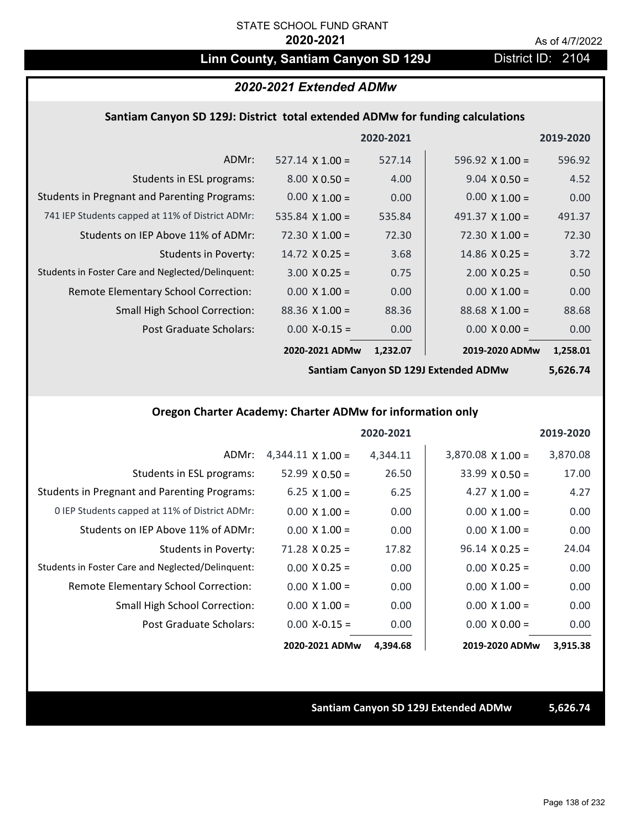# Linn County, Santiam Canyon SD 129J District ID: 2104

## *2020-2021 Extended ADMw*

### **Santiam Canyon SD 129J: District total extended ADMw for funding calculations**

|                                                     |                        | 2020-2021 |                        | 2019-2020 |
|-----------------------------------------------------|------------------------|-----------|------------------------|-----------|
| ADMr:                                               | $527.14 \times 1.00 =$ | 527.14    | 596.92 $\times$ 1.00 = | 596.92    |
| Students in ESL programs:                           | $8.00 \times 0.50 =$   | 4.00      | $9.04 \times 0.50 =$   | 4.52      |
| <b>Students in Pregnant and Parenting Programs:</b> | $0.00 \times 1.00 =$   | 0.00      | $0.00 \times 1.00 =$   | 0.00      |
| 741 IEP Students capped at 11% of District ADMr:    | 535.84 $\times$ 1.00 = | 535.84    | 491.37 $\times$ 1.00 = | 491.37    |
| Students on IEP Above 11% of ADMr:                  | $72.30 \times 1.00 =$  | 72.30     | $72.30 \times 1.00 =$  | 72.30     |
| <b>Students in Poverty:</b>                         | $14.72 \times 0.25 =$  | 3.68      | $14.86 \times 0.25 =$  | 3.72      |
| Students in Foster Care and Neglected/Delinquent:   | $3.00 \times 0.25 =$   | 0.75      | $2.00 \times 0.25 =$   | 0.50      |
| Remote Elementary School Correction:                | $0.00 \times 1.00 =$   | 0.00      | $0.00 \times 1.00 =$   | 0.00      |
| <b>Small High School Correction:</b>                | $88.36 \times 1.00 =$  | 88.36     | $88.68 \times 1.00 =$  | 88.68     |
| Post Graduate Scholars:                             | $0.00$ X-0.15 =        | 0.00      | $0.00 \times 0.00 =$   | 0.00      |
|                                                     | 2020-2021 ADMw         | 1,232.07  | 2019-2020 ADMw         | 1,258.01  |

**Santiam Canyon SD 129J Extended ADMw**

**5,626.74**

### **Oregon Charter Academy: Charter ADMw for information only**

|                                                     |                          | 2020-2021 |                          | 2019-2020 |
|-----------------------------------------------------|--------------------------|-----------|--------------------------|-----------|
| ADMr:                                               | $4,344.11 \times 1.00 =$ | 4,344.11  | $3,870.08 \times 1.00 =$ | 3,870.08  |
| Students in ESL programs:                           | $52.99 \times 0.50 =$    | 26.50     | $33.99 \times 0.50 =$    | 17.00     |
| <b>Students in Pregnant and Parenting Programs:</b> | 6.25 $\times$ 1.00 =     | 6.25      | 4.27 $\times$ 1.00 =     | 4.27      |
| 0 IEP Students capped at 11% of District ADMr:      | $0.00 \times 1.00 =$     | 0.00      | $0.00 \times 1.00 =$     | 0.00      |
| Students on IEP Above 11% of ADMr:                  | $0.00 \times 1.00 =$     | 0.00      | $0.00 \times 1.00 =$     | 0.00      |
| Students in Poverty:                                | $71.28 \times 0.25 =$    | 17.82     | $96.14 \times 0.25 =$    | 24.04     |
| Students in Foster Care and Neglected/Delinquent:   | $0.00 \times 0.25 =$     | 0.00      | $0.00 \times 0.25 =$     | 0.00      |
| Remote Elementary School Correction:                | $0.00 \times 1.00 =$     | 0.00      | $0.00 \times 1.00 =$     | 0.00      |
| <b>Small High School Correction:</b>                | $0.00 \times 1.00 =$     | 0.00      | $0.00 \times 1.00 =$     | 0.00      |
| Post Graduate Scholars:                             | $0.00$ X-0.15 =          | 0.00      | $0.00 \times 0.00 =$     | 0.00      |
|                                                     | 2020-2021 ADMw           | 4,394.68  | 2019-2020 ADMw           | 3,915.38  |

### **Santiam Canyon SD 129J Extended ADMw 5,626.74**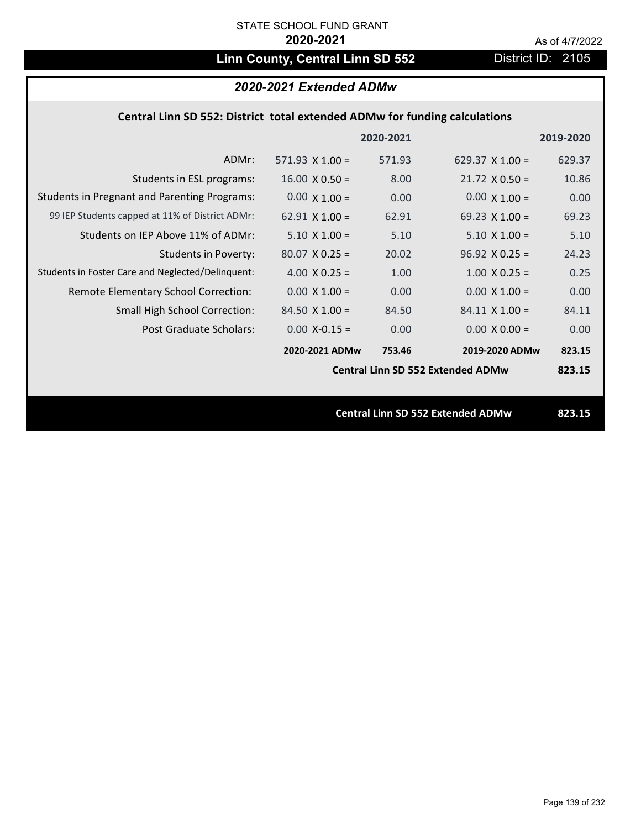# Linn County, Central Linn SD 552 District ID: 2105

# *2020-2021 Extended ADMw*

## **Central Linn SD 552: District total extended ADMw for funding calculations**

|                                                     |                        | 2020-2021 |                                          | 2019-2020 |
|-----------------------------------------------------|------------------------|-----------|------------------------------------------|-----------|
| ADMr:                                               | $571.93 \times 1.00 =$ | 571.93    | 629.37 $\times$ 1.00 =                   | 629.37    |
| Students in ESL programs:                           | $16.00 \times 0.50 =$  | 8.00      | $21.72 \times 0.50 =$                    | 10.86     |
| <b>Students in Pregnant and Parenting Programs:</b> | $0.00 \times 1.00 =$   | 0.00      | $0.00 \times 1.00 =$                     | 0.00      |
| 99 IEP Students capped at 11% of District ADMr:     | $62.91 \times 1.00 =$  | 62.91     | 69.23 $\times$ 1.00 =                    | 69.23     |
| Students on IEP Above 11% of ADMr:                  | $5.10 \times 1.00 =$   | 5.10      | $5.10 \times 1.00 =$                     | 5.10      |
| <b>Students in Poverty:</b>                         | $80.07$ X 0.25 =       | 20.02     | $96.92 \times 0.25 =$                    | 24.23     |
| Students in Foster Care and Neglected/Delinquent:   | 4.00 $X$ 0.25 =        | 1.00      | $1.00 \times 0.25 =$                     | 0.25      |
| Remote Elementary School Correction:                | $0.00 \times 1.00 =$   | 0.00      | $0.00 \times 1.00 =$                     | 0.00      |
| <b>Small High School Correction:</b>                | $84.50 \times 1.00 =$  | 84.50     | $84.11 \times 1.00 =$                    | 84.11     |
| Post Graduate Scholars:                             | $0.00$ X-0.15 =        | 0.00      | $0.00 \times 0.00 =$                     | 0.00      |
|                                                     | 2020-2021 ADMw         | 753.46    | 2019-2020 ADMw                           | 823.15    |
|                                                     |                        |           | <b>Central Linn SD 552 Extended ADMw</b> | 823.15    |
|                                                     |                        |           |                                          |           |
|                                                     |                        |           | <b>Central Linn SD 552 Extended ADMw</b> | 823.15    |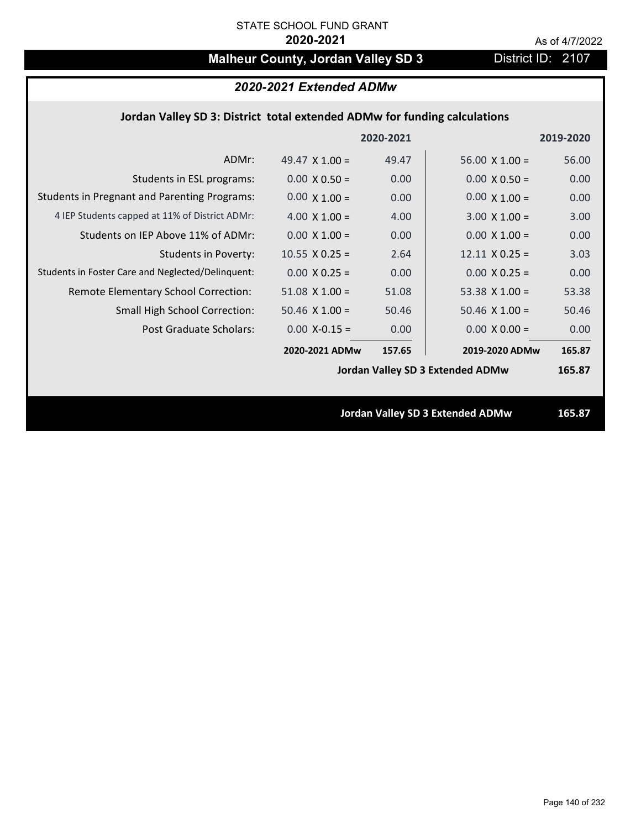# **Malheur County, Jordan Valley SD 3** District ID: 2107

## **Jordan Valley SD 3: District total extended ADMw for funding calculations**

|                                                     |                       | 2020-2021 |                                         | 2019-2020 |
|-----------------------------------------------------|-----------------------|-----------|-----------------------------------------|-----------|
| ADMr:                                               | 49.47 $\times$ 1.00 = | 49.47     | $56.00 \times 1.00 =$                   | 56.00     |
| Students in ESL programs:                           | $0.00 \times 0.50 =$  | 0.00      | $0.00 \times 0.50 =$                    | 0.00      |
| <b>Students in Pregnant and Parenting Programs:</b> | $0.00 \times 1.00 =$  | 0.00      | $0.00 \times 1.00 =$                    | 0.00      |
| 4 IEP Students capped at 11% of District ADMr:      | 4.00 $\times$ 1.00 =  | 4.00      | $3.00 \times 1.00 =$                    | 3.00      |
| Students on IEP Above 11% of ADMr:                  | $0.00 \times 1.00 =$  | 0.00      | $0.00 \times 1.00 =$                    | 0.00      |
| <b>Students in Poverty:</b>                         | $10.55$ X 0.25 =      | 2.64      | $12.11 \times 0.25 =$                   | 3.03      |
| Students in Foster Care and Neglected/Delinquent:   | $0.00 \times 0.25 =$  | 0.00      | $0.00 \times 0.25 =$                    | 0.00      |
| Remote Elementary School Correction:                | $51.08$ X $1.00 =$    | 51.08     | 53.38 $X$ 1.00 =                        | 53.38     |
| <b>Small High School Correction:</b>                | $50.46$ X $1.00 =$    | 50.46     | $50.46$ X $1.00 =$                      | 50.46     |
| <b>Post Graduate Scholars:</b>                      | $0.00$ X-0.15 =       | 0.00      | $0.00 \times 0.00 =$                    | 0.00      |
|                                                     | 2020-2021 ADMw        | 157.65    | 2019-2020 ADMw                          | 165.87    |
|                                                     |                       |           | <b>Jordan Valley SD 3 Extended ADMw</b> | 165.87    |
|                                                     |                       |           |                                         |           |
|                                                     |                       |           | <b>Jordan Valley SD 3 Extended ADMw</b> | 165.87    |
|                                                     |                       |           |                                         |           |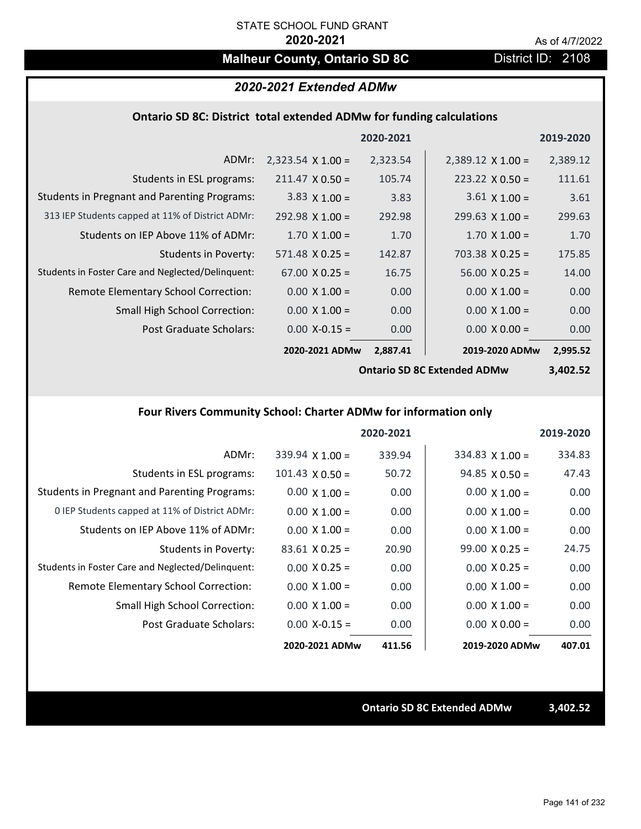# **Malheur County, Ontario SD 8C** District ID: 2108

## *2020-2021 Extended ADMw*

### **Ontario SD 8C: District total extended ADMw for funding calculations**

|                                                     |                          | 2020-2021 |                          | 2019-2020 |
|-----------------------------------------------------|--------------------------|-----------|--------------------------|-----------|
| ADMr:                                               | $2,323.54 \times 1.00 =$ | 2,323.54  | $2,389.12 \times 1.00 =$ | 2,389.12  |
| Students in ESL programs:                           | $211.47 \times 0.50 =$   | 105.74    | $223.22 \times 0.50 =$   | 111.61    |
| <b>Students in Pregnant and Parenting Programs:</b> | $3.83 \times 1.00 =$     | 3.83      | $3.61 \times 1.00 =$     | 3.61      |
| 313 IEP Students capped at 11% of District ADMr:    | $292.98 \times 1.00 =$   | 292.98    | $299.63 \times 1.00 =$   | 299.63    |
| Students on IEP Above 11% of ADMr:                  | $1.70 \times 1.00 =$     | 1.70      | $1.70 \times 1.00 =$     | 1.70      |
| Students in Poverty:                                | $571.48 \times 0.25 =$   | 142.87    | $703.38 \times 0.25 =$   | 175.85    |
| Students in Foster Care and Neglected/Delinquent:   | $67.00 \times 0.25 =$    | 16.75     | $56.00 \times 0.25 =$    | 14.00     |
| Remote Elementary School Correction:                | $0.00 \times 1.00 =$     | 0.00      | $0.00 \times 1.00 =$     | 0.00      |
| <b>Small High School Correction:</b>                | $0.00 \times 1.00 =$     | 0.00      | $0.00 \times 1.00 =$     | 0.00      |
| Post Graduate Scholars:                             | $0.00$ X-0.15 =          | 0.00      | $0.00 \times 0.00 =$     | 0.00      |
|                                                     | 2020-2021 ADMw           | 2,887.41  | 2019-2020 ADMw           | 2,995.52  |

**Ontario SD 8C Extended ADMw**

**3,402.52**

# **Four Rivers Community School: Charter ADMw for information only**

|                                                     |                        | 2020-2021 |                       | 2019-2020 |
|-----------------------------------------------------|------------------------|-----------|-----------------------|-----------|
| ADMr:                                               | $339.94 \times 1.00 =$ | 339.94    | $334.83$ X 1.00 =     | 334.83    |
| Students in ESL programs:                           | $101.43 \times 0.50 =$ | 50.72     | $94.85 \times 0.50 =$ | 47.43     |
| <b>Students in Pregnant and Parenting Programs:</b> | $0.00 \times 1.00 =$   | 0.00      | $0.00 \times 1.00 =$  | 0.00      |
| 0 IEP Students capped at 11% of District ADMr:      | $0.00 \times 1.00 =$   | 0.00      | $0.00 \times 1.00 =$  | 0.00      |
| Students on IEP Above 11% of ADMr:                  | $0.00 \times 1.00 =$   | 0.00      | $0.00 \times 1.00 =$  | 0.00      |
| Students in Poverty:                                | $83.61 \times 0.25 =$  | 20.90     | $99.00 \times 0.25 =$ | 24.75     |
| Students in Foster Care and Neglected/Delinquent:   | $0.00 \times 0.25 =$   | 0.00      | $0.00 \times 0.25 =$  | 0.00      |
| Remote Elementary School Correction:                | $0.00 \times 1.00 =$   | 0.00      | $0.00 \times 1.00 =$  | 0.00      |
| <b>Small High School Correction:</b>                | $0.00 \times 1.00 =$   | 0.00      | $0.00 \times 1.00 =$  | 0.00      |
| Post Graduate Scholars:                             | $0.00$ X-0.15 =        | 0.00      | $0.00 \times 0.00 =$  | 0.00      |
|                                                     | 2020-2021 ADMw         | 411.56    | 2019-2020 ADMw        | 407.01    |

**Ontario SD 8C Extended ADMw 3,402.52**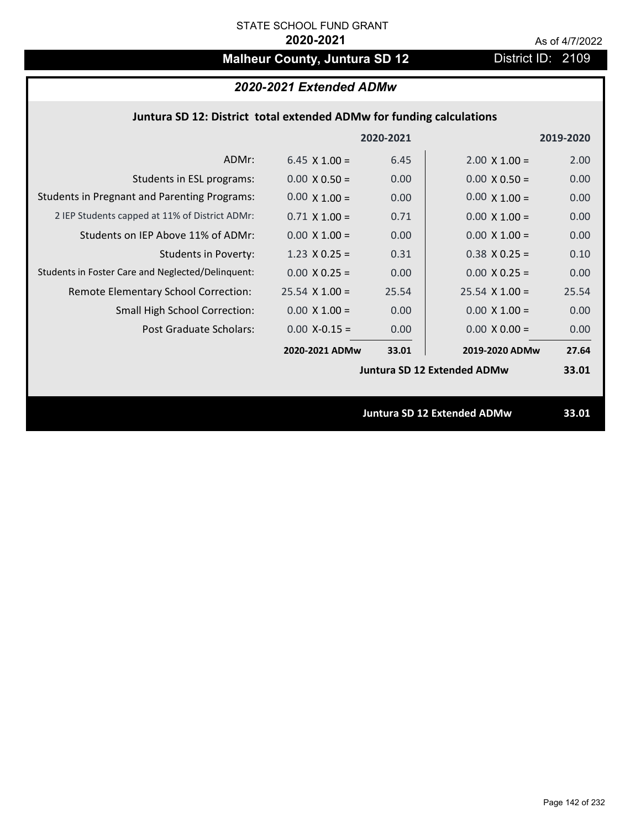# **Malheur County, Juntura SD 12** District ID: 2109

# *2020-2021 Extended ADMw*

## **Juntura SD 12: District total extended ADMw for funding calculations**

|                                                     |                      | 2020-2021 |                                    | 2019-2020 |
|-----------------------------------------------------|----------------------|-----------|------------------------------------|-----------|
| ADMr:                                               | 6.45 $\times$ 1.00 = | 6.45      | $2.00 \times 1.00 =$               | 2.00      |
| Students in ESL programs:                           | $0.00 \times 0.50 =$ | 0.00      | $0.00 \times 0.50 =$               | 0.00      |
| <b>Students in Pregnant and Parenting Programs:</b> | $0.00 \times 1.00 =$ | 0.00      | $0.00 \times 1.00 =$               | 0.00      |
| 2 IEP Students capped at 11% of District ADMr:      | $0.71 \times 1.00 =$ | 0.71      | $0.00 \times 1.00 =$               | 0.00      |
| Students on IEP Above 11% of ADMr:                  | $0.00 \times 1.00 =$ | 0.00      | $0.00 \times 1.00 =$               | 0.00      |
| <b>Students in Poverty:</b>                         | $1.23 \times 0.25 =$ | 0.31      | $0.38$ X 0.25 =                    | 0.10      |
| Students in Foster Care and Neglected/Delinquent:   | $0.00 \times 0.25 =$ | 0.00      | $0.00 \times 0.25 =$               | 0.00      |
| Remote Elementary School Correction:                | $25.54$ X 1.00 =     | 25.54     | $25.54 \times 1.00 =$              | 25.54     |
| <b>Small High School Correction:</b>                | $0.00 \times 1.00 =$ | 0.00      | $0.00 \times 1.00 =$               | 0.00      |
| Post Graduate Scholars:                             | $0.00$ X-0.15 =      | 0.00      | $0.00 \times 0.00 =$               | 0.00      |
|                                                     | 2020-2021 ADMw       | 33.01     | 2019-2020 ADMw                     | 27.64     |
|                                                     |                      |           | <b>Juntura SD 12 Extended ADMw</b> | 33.01     |
|                                                     |                      |           |                                    |           |
|                                                     |                      |           | <b>Juntura SD 12 Extended ADMw</b> | 33.01     |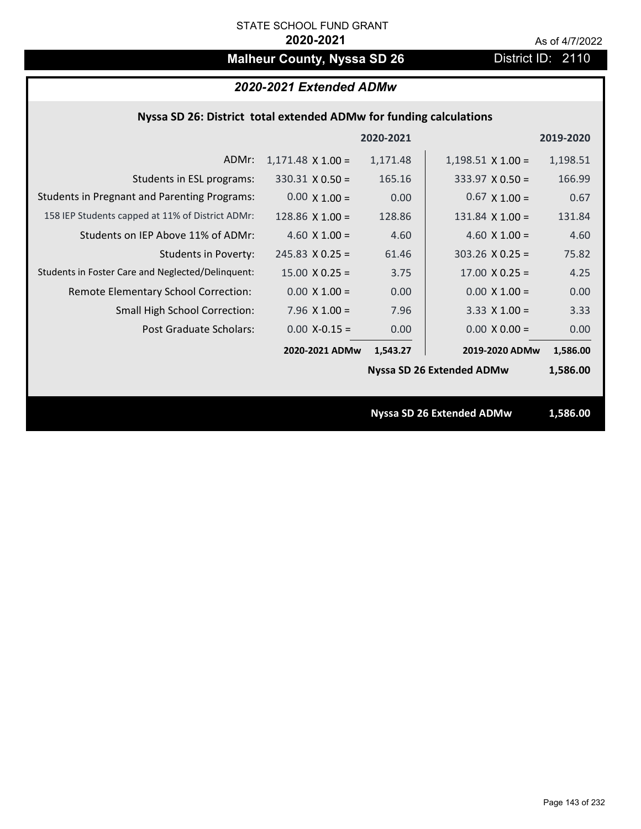# **Malheur County, Nyssa SD 26** District ID: 2110

| Nyssa SD 26: District total extended ADMw for funding calculations |  |  |  |
|--------------------------------------------------------------------|--|--|--|
|--------------------------------------------------------------------|--|--|--|

|                                                     |                          | 2020-2021 |                                  | 2019-2020 |
|-----------------------------------------------------|--------------------------|-----------|----------------------------------|-----------|
| ADMr:                                               | $1,171.48 \times 1.00 =$ | 1,171.48  | $1,198.51$ X $1.00 =$            | 1,198.51  |
| Students in ESL programs:                           | $330.31 \times 0.50 =$   | 165.16    | $333.97 \times 0.50 =$           | 166.99    |
| <b>Students in Pregnant and Parenting Programs:</b> | $0.00 \times 1.00 =$     | 0.00      | $0.67 \times 1.00 =$             | 0.67      |
| 158 IEP Students capped at 11% of District ADMr:    | $128.86 \times 1.00 =$   | 128.86    | $131.84 \times 1.00 =$           | 131.84    |
| Students on IEP Above 11% of ADMr:                  | 4.60 $X$ 1.00 =          | 4.60      | 4.60 $X$ 1.00 =                  | 4.60      |
| <b>Students in Poverty:</b>                         | $245.83 \times 0.25 =$   | 61.46     | $303.26$ X 0.25 =                | 75.82     |
| Students in Foster Care and Neglected/Delinquent:   | $15.00 \times 0.25 =$    | 3.75      | $17.00 \times 0.25 =$            | 4.25      |
| Remote Elementary School Correction:                | $0.00 \times 1.00 =$     | 0.00      | $0.00 \times 1.00 =$             | 0.00      |
| <b>Small High School Correction:</b>                | $7.96 \times 1.00 =$     | 7.96      | $3.33 \times 1.00 =$             | 3.33      |
| Post Graduate Scholars:                             | $0.00$ X-0.15 =          | 0.00      | $0.00 \times 0.00 =$             | 0.00      |
|                                                     | 2020-2021 ADMw           | 1,543.27  | 2019-2020 ADMw                   | 1,586.00  |
|                                                     |                          |           | <b>Nyssa SD 26 Extended ADMw</b> | 1,586.00  |
|                                                     |                          |           |                                  |           |
|                                                     |                          |           | <b>Nyssa SD 26 Extended ADMw</b> | 1,586.00  |
|                                                     |                          |           |                                  |           |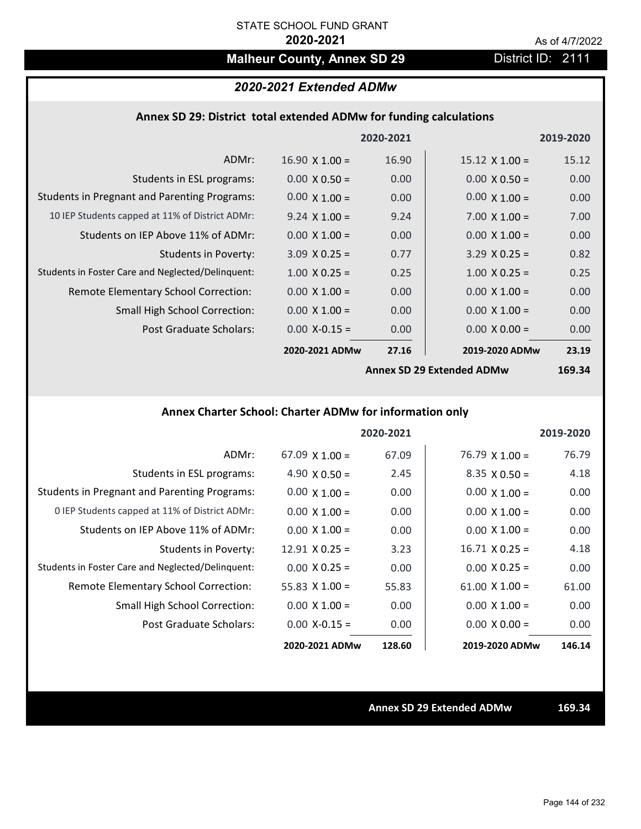# **Malheur County, Annex SD 29 District ID: 2111**

## *2020-2021 Extended ADMw*

### **Annex SD 29: District total extended ADMw for funding calculations**

|                                                     |                           | 2020-2021 |                       | 2019-2020 |
|-----------------------------------------------------|---------------------------|-----------|-----------------------|-----------|
| ADMr:                                               | $16.90 \times 1.00 =$     | 16.90     | $15.12 \times 1.00 =$ | 15.12     |
| Students in ESL programs:                           | $0.00 \times 0.50 =$      | 0.00      | $0.00 \times 0.50 =$  | 0.00      |
| <b>Students in Pregnant and Parenting Programs:</b> | $0.00 \times 1.00 =$      | 0.00      | $0.00 \times 1.00 =$  | 0.00      |
| 10 IEP Students capped at 11% of District ADMr:     | $9.24 \times 1.00 =$      | 9.24      | $7.00 \times 1.00 =$  | 7.00      |
| Students on IEP Above 11% of ADMr:                  | $0.00 \times 1.00 =$      | 0.00      | $0.00 \times 1.00 =$  | 0.00      |
| <b>Students in Poverty:</b>                         | $3.09 \times 0.25 =$      | 0.77      | $3.29 \times 0.25 =$  | 0.82      |
| Students in Foster Care and Neglected/Delinquent:   | $1.00 \times 0.25 =$      | 0.25      | $1.00 \times 0.25 =$  | 0.25      |
| Remote Elementary School Correction:                | $0.00 \times 1.00 =$      | 0.00      | $0.00 \times 1.00 =$  | 0.00      |
| <b>Small High School Correction:</b>                | $0.00 \times 1.00 =$      | 0.00      | $0.00 \times 1.00 =$  | 0.00      |
| Post Graduate Scholars:                             | $0.00$ X-0.15 =           | 0.00      | $0.00 \times 0.00 =$  | 0.00      |
|                                                     | 2020-2021 ADMw            | 27.16     | 2019-2020 ADMw        | 23.19     |
|                                                     | Annov CD 20 Extended ADMW |           | $160.21$              |           |

**Annex SD 29 Extended ADMw**

**169.34**

# **Annex Charter School: Charter ADMw for information only**

|                                                     |                       | 2020-2021 |                       | 2019-2020 |
|-----------------------------------------------------|-----------------------|-----------|-----------------------|-----------|
| ADMr:                                               | $67.09 \times 1.00 =$ | 67.09     | $76.79 \times 1.00 =$ | 76.79     |
| Students in ESL programs:                           | 4.90 $\times$ 0.50 =  | 2.45      | $8.35 \times 0.50 =$  | 4.18      |
| <b>Students in Pregnant and Parenting Programs:</b> | $0.00 \times 1.00 =$  | 0.00      | $0.00 \times 1.00 =$  | 0.00      |
| 0 IEP Students capped at 11% of District ADMr:      | $0.00 \times 1.00 =$  | 0.00      | $0.00 \times 1.00 =$  | 0.00      |
| Students on IEP Above 11% of ADMr:                  | $0.00 \times 1.00 =$  | 0.00      | $0.00 \times 1.00 =$  | 0.00      |
| Students in Poverty:                                | $12.91 \times 0.25 =$ | 3.23      | $16.71 \times 0.25 =$ | 4.18      |
| Students in Foster Care and Neglected/Delinquent:   | $0.00 \times 0.25 =$  | 0.00      | $0.00 \times 0.25 =$  | 0.00      |
| Remote Elementary School Correction:                | 55.83 $\times$ 1.00 = | 55.83     | $61.00 \times 1.00 =$ | 61.00     |
| <b>Small High School Correction:</b>                | $0.00 \times 1.00 =$  | 0.00      | $0.00 \times 1.00 =$  | 0.00      |
| Post Graduate Scholars:                             | $0.00 X - 0.15 =$     | 0.00      | $0.00 \times 0.00 =$  | 0.00      |
|                                                     | 2020-2021 ADMw        | 128.60    | 2019-2020 ADMw        | 146.14    |

**Annex SD 29 Extended ADMw 169.34**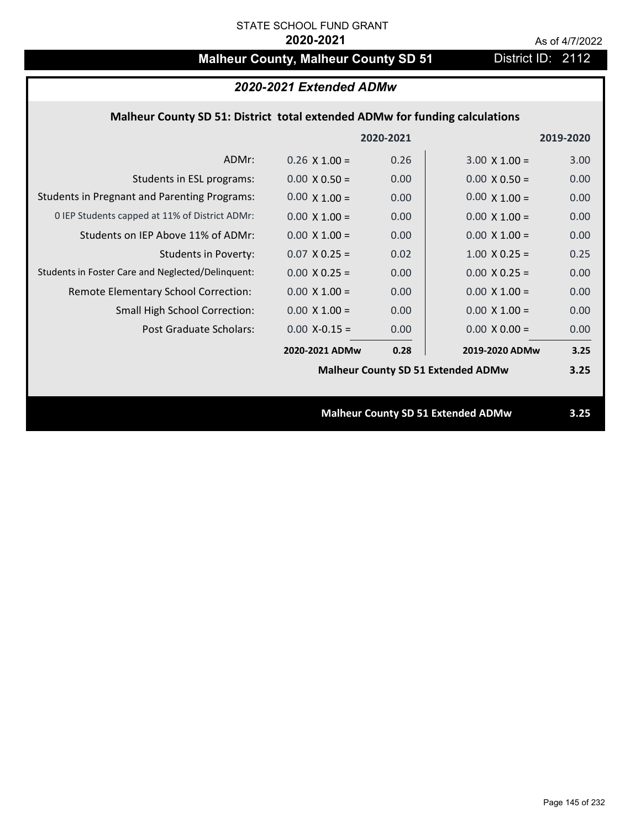# **Malheur County, Malheur County SD 51** District ID: 2112

| 2020-2021 Extended ADMw                                                     |                      |      |                                           |      |  |  |
|-----------------------------------------------------------------------------|----------------------|------|-------------------------------------------|------|--|--|
| Malheur County SD 51: District total extended ADMw for funding calculations |                      |      |                                           |      |  |  |
| 2020-2021<br>2019-2020                                                      |                      |      |                                           |      |  |  |
| ADMr:                                                                       | $0.26 \times 1.00 =$ | 0.26 | $3.00 \times 1.00 =$                      | 3.00 |  |  |
| Students in ESL programs:                                                   | $0.00 \times 0.50 =$ | 0.00 | $0.00 \times 0.50 =$                      | 0.00 |  |  |
| <b>Students in Pregnant and Parenting Programs:</b>                         | $0.00 \times 1.00 =$ | 0.00 | $0.00 \times 1.00 =$                      | 0.00 |  |  |
| 0 IEP Students capped at 11% of District ADMr:                              | $0.00 \times 1.00 =$ | 0.00 | $0.00 \times 1.00 =$                      | 0.00 |  |  |
| Students on IEP Above 11% of ADMr:                                          | $0.00 \times 1.00 =$ | 0.00 | $0.00 \times 1.00 =$                      | 0.00 |  |  |
| <b>Students in Poverty:</b>                                                 | $0.07$ X 0.25 =      | 0.02 | $1.00 \times 0.25 =$                      | 0.25 |  |  |
| Students in Foster Care and Neglected/Delinquent:                           | $0.00 \times 0.25 =$ | 0.00 | $0.00 \times 0.25 =$                      | 0.00 |  |  |
| Remote Elementary School Correction:                                        | $0.00 \times 1.00 =$ | 0.00 | $0.00 \times 1.00 =$                      | 0.00 |  |  |
| <b>Small High School Correction:</b>                                        | $0.00 \times 1.00 =$ | 0.00 | $0.00 \times 1.00 =$                      | 0.00 |  |  |
| Post Graduate Scholars:                                                     | $0.00$ X-0.15 =      | 0.00 | $0.00 \times 0.00 =$                      | 0.00 |  |  |
|                                                                             | 2020-2021 ADMw       | 0.28 | 2019-2020 ADMw                            | 3.25 |  |  |
|                                                                             |                      |      | <b>Malheur County SD 51 Extended ADMw</b> | 3.25 |  |  |
|                                                                             |                      |      |                                           |      |  |  |
| <b>Malheur County SD 51 Extended ADMw</b>                                   |                      |      |                                           | 3.25 |  |  |
|                                                                             |                      |      |                                           |      |  |  |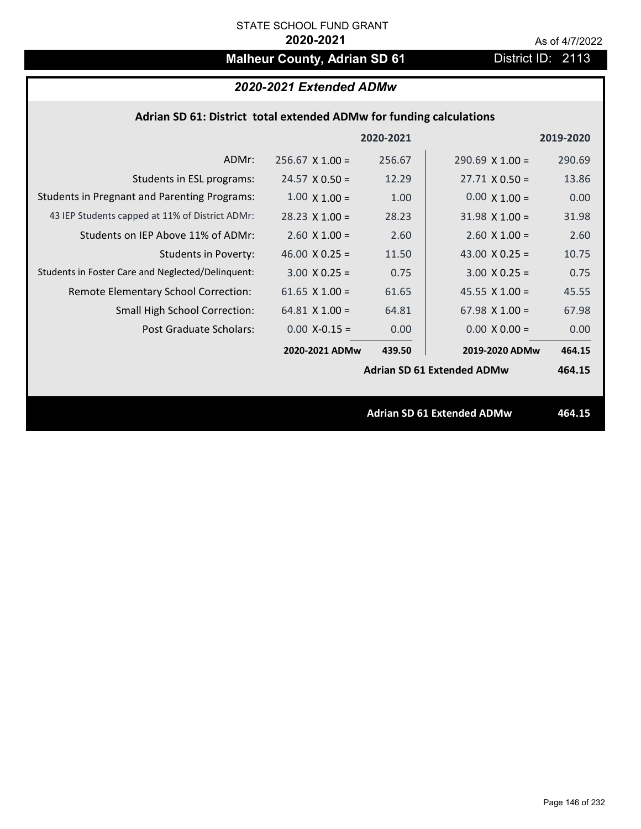# **Malheur County, Adrian SD 61** District ID: 2113

| 2020-2021 Extended ADMw |
|-------------------------|
|-------------------------|

| Adrian SD 61: District total extended ADMw for funding calculations |  |  |  |
|---------------------------------------------------------------------|--|--|--|
|---------------------------------------------------------------------|--|--|--|

|                                                     |                        | 2020-2021 |                                   | 2019-2020 |
|-----------------------------------------------------|------------------------|-----------|-----------------------------------|-----------|
| ADMr:                                               | $256.67 \times 1.00 =$ | 256.67    | $290.69 \times 1.00 =$            | 290.69    |
| Students in ESL programs:                           | $24.57 \times 0.50 =$  | 12.29     | $27.71 \times 0.50 =$             | 13.86     |
| <b>Students in Pregnant and Parenting Programs:</b> | $1.00 \times 1.00 =$   | 1.00      | $0.00 \times 1.00 =$              | 0.00      |
| 43 IEP Students capped at 11% of District ADMr:     | $28.23 \times 1.00 =$  | 28.23     | $31.98 \times 1.00 =$             | 31.98     |
| Students on IEP Above 11% of ADMr:                  | $2.60 \times 1.00 =$   | 2.60      | $2.60$ X $1.00 =$                 | 2.60      |
| <b>Students in Poverty:</b>                         | 46.00 $X$ 0.25 =       | 11.50     | 43.00 $X$ 0.25 =                  | 10.75     |
| Students in Foster Care and Neglected/Delinquent:   | $3.00 \times 0.25 =$   | 0.75      | $3.00 \times 0.25 =$              | 0.75      |
| Remote Elementary School Correction:                | 61.65 $X$ 1.00 =       | 61.65     | 45.55 $X$ 1.00 =                  | 45.55     |
| <b>Small High School Correction:</b>                | $64.81$ X $1.00 =$     | 64.81     | $67.98 \times 1.00 =$             | 67.98     |
| Post Graduate Scholars:                             | $0.00$ X-0.15 =        | 0.00      | $0.00 \times 0.00 =$              | 0.00      |
|                                                     | 2020-2021 ADMw         | 439.50    | 2019-2020 ADMw                    | 464.15    |
|                                                     |                        |           | <b>Adrian SD 61 Extended ADMw</b> | 464.15    |
|                                                     |                        |           |                                   |           |
|                                                     |                        |           | <b>Adrian SD 61 Extended ADMw</b> | 464.15    |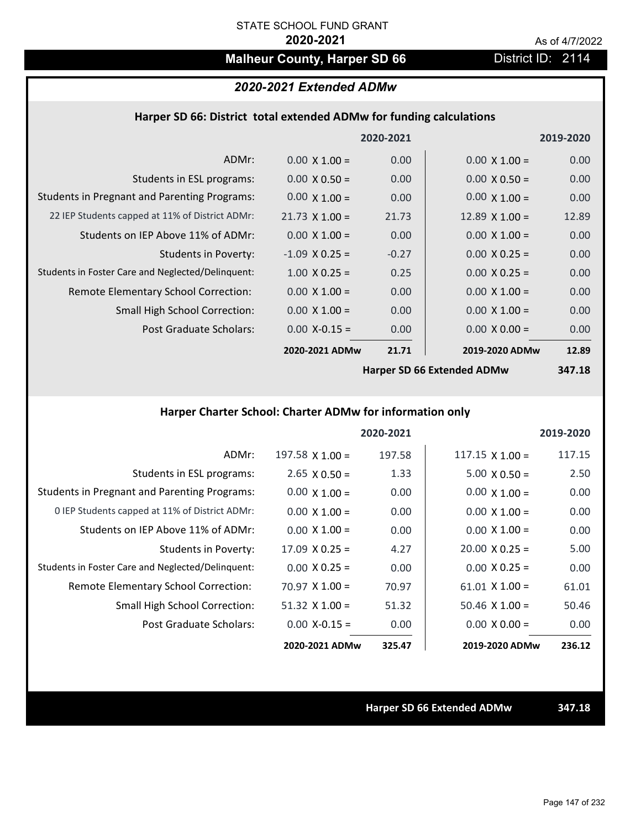# **Malheur County, Harper SD 66** District ID: 2114

# *2020-2021 Extended ADMw*

### **Harper SD 66: District total extended ADMw for funding calculations**

|                                                     |                       | 2020-2021 |                            | 2019-2020 |
|-----------------------------------------------------|-----------------------|-----------|----------------------------|-----------|
| ADMr:                                               | $0.00 \times 1.00 =$  | 0.00      | $0.00 \times 1.00 =$       | 0.00      |
| Students in ESL programs:                           | $0.00 \times 0.50 =$  | 0.00      | $0.00 \times 0.50 =$       | 0.00      |
| <b>Students in Pregnant and Parenting Programs:</b> | $0.00 \times 1.00 =$  | 0.00      | $0.00 \times 1.00 =$       | 0.00      |
| 22 IEP Students capped at 11% of District ADMr:     | $21.73 \times 1.00 =$ | 21.73     | $12.89 \times 1.00 =$      | 12.89     |
| Students on IEP Above 11% of ADMr:                  | $0.00 \times 1.00 =$  | 0.00      | $0.00 \times 1.00 =$       | 0.00      |
| <b>Students in Poverty:</b>                         | $-1.09$ X 0.25 =      | $-0.27$   | $0.00 \times 0.25 =$       | 0.00      |
| Students in Foster Care and Neglected/Delinquent:   | $1.00 \times 0.25 =$  | 0.25      | $0.00 \times 0.25 =$       | 0.00      |
| Remote Elementary School Correction:                | $0.00 \times 1.00 =$  | 0.00      | $0.00 \times 1.00 =$       | 0.00      |
| <b>Small High School Correction:</b>                | $0.00 \times 1.00 =$  | 0.00      | $0.00 \times 1.00 =$       | 0.00      |
| Post Graduate Scholars:                             | $0.00$ X-0.15 =       | 0.00      | $0.00 \times 0.00 =$       | 0.00      |
|                                                     | 2020-2021 ADMw        | 21.71     | 2019-2020 ADMw             | 12.89     |
|                                                     |                       |           | Harner CD CC Evtended ADMu | $217.10$  |

**Harper SD 66 Extended ADMw**

**347.18**

# **Harper Charter School: Charter ADMw for information only**

|                                                     |                       | 2020-2021 |                        | 2019-2020 |
|-----------------------------------------------------|-----------------------|-----------|------------------------|-----------|
| ADMr:                                               | 197.58 $X$ 1.00 =     | 197.58    | $117.15 \times 1.00 =$ | 117.15    |
| Students in ESL programs:                           | $2.65 \times 0.50 =$  | 1.33      | $5.00 \times 0.50 =$   | 2.50      |
| <b>Students in Pregnant and Parenting Programs:</b> | $0.00 \times 1.00 =$  | 0.00      | $0.00 \times 1.00 =$   | 0.00      |
| 0 IEP Students capped at 11% of District ADMr:      | $0.00 \times 1.00 =$  | 0.00      | $0.00 \times 1.00 =$   | 0.00      |
| Students on IEP Above 11% of ADMr:                  | $0.00 \times 1.00 =$  | 0.00      | $0.00 \times 1.00 =$   | 0.00      |
| Students in Poverty:                                | $17.09 \times 0.25 =$ | 4.27      | $20.00 \times 0.25 =$  | 5.00      |
| Students in Foster Care and Neglected/Delinquent:   | $0.00 \times 0.25 =$  | 0.00      | $0.00 \times 0.25 =$   | 0.00      |
| Remote Elementary School Correction:                | $70.97 \times 1.00 =$ | 70.97     | $61.01 \times 1.00 =$  | 61.01     |
| <b>Small High School Correction:</b>                | $51.32$ X $1.00 =$    | 51.32     | $50.46 \times 1.00 =$  | 50.46     |
| Post Graduate Scholars:                             | $0.00 X - 0.15 =$     | 0.00      | $0.00 \times 0.00 =$   | 0.00      |
|                                                     | 2020-2021 ADMw        | 325.47    | 2019-2020 ADMw         | 236.12    |

**Harper SD 66 Extended ADMw 347.18**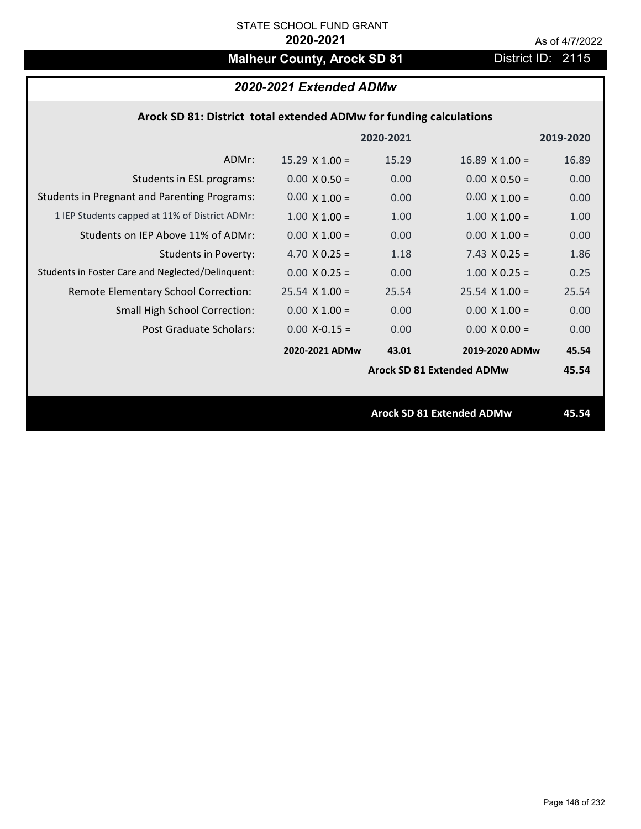# **Malheur County, Arock SD 81** District ID: 2115

# *2020-2021 Extended ADMw*

### **Arock SD 81: District total extended ADMw for funding calculations**

|                                                     |                       | 2020-2021 |                                  | 2019-2020 |
|-----------------------------------------------------|-----------------------|-----------|----------------------------------|-----------|
| ADMr:                                               | $15.29 \times 1.00 =$ | 15.29     | $16.89$ X $1.00 =$               | 16.89     |
| Students in ESL programs:                           | $0.00 \times 0.50 =$  | 0.00      | $0.00 \times 0.50 =$             | 0.00      |
| <b>Students in Pregnant and Parenting Programs:</b> | $0.00 \times 1.00 =$  | 0.00      | $0.00 \times 1.00 =$             | 0.00      |
| 1 IEP Students capped at 11% of District ADMr:      | $1.00 \times 1.00 =$  | 1.00      | $1.00 \times 1.00 =$             | 1.00      |
| Students on IEP Above 11% of ADMr:                  | $0.00 \times 1.00 =$  | 0.00      | $0.00 \times 1.00 =$             | 0.00      |
| <b>Students in Poverty:</b>                         | 4.70 $X$ 0.25 =       | 1.18      | $7.43 \times 0.25 =$             | 1.86      |
| Students in Foster Care and Neglected/Delinquent:   | $0.00 \times 0.25 =$  | 0.00      | $1.00 \times 0.25 =$             | 0.25      |
| Remote Elementary School Correction:                | $25.54$ X 1.00 =      | 25.54     | $25.54 \times 1.00 =$            | 25.54     |
| <b>Small High School Correction:</b>                | $0.00 \times 1.00 =$  | 0.00      | $0.00 \times 1.00 =$             | 0.00      |
| Post Graduate Scholars:                             | $0.00$ X-0.15 =       | 0.00      | $0.00 \times 0.00 =$             | 0.00      |
|                                                     | 2020-2021 ADMw        | 43.01     | 2019-2020 ADMw                   | 45.54     |
|                                                     |                       |           | <b>Arock SD 81 Extended ADMw</b> | 45.54     |
|                                                     |                       |           |                                  |           |
|                                                     |                       |           | <b>Arock SD 81 Extended ADMw</b> | 45.54     |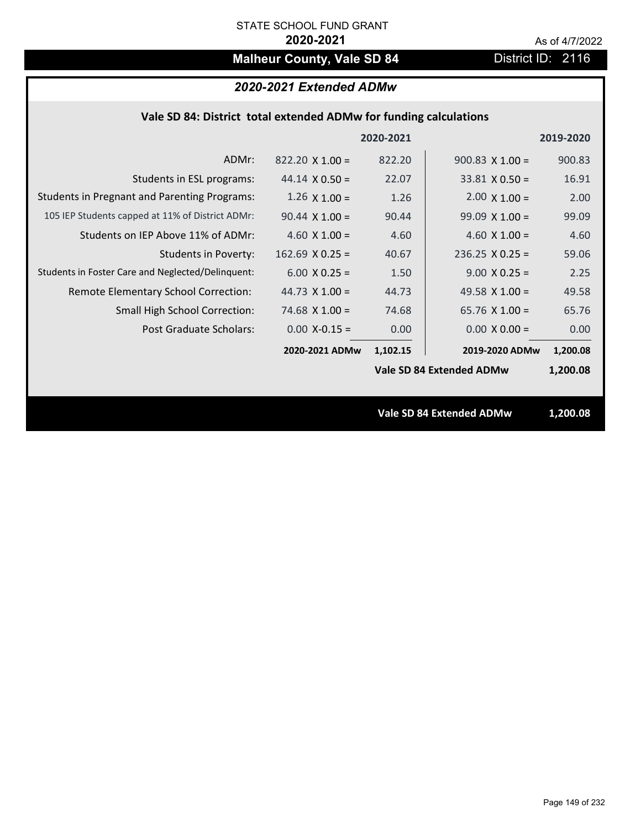# **Malheur County, Vale SD 84** District ID: 2116

## *2020-2021 Extended ADMw*

| 2020-2021                                                                                                   | 2019-2020 |
|-------------------------------------------------------------------------------------------------------------|-----------|
| 822.20<br>ADMr:<br>$822.20 \times 1.00 =$<br>$900.83$ X 1.00 =                                              | 900.83    |
| 22.07<br>Students in ESL programs:<br>$33.81 \times 0.50 =$<br>44.14 $\times$ 0.50 =                        | 16.91     |
| <b>Students in Pregnant and Parenting Programs:</b><br>$2.00 \times 1.00 =$<br>$1.26 \times 1.00 =$<br>1.26 | 2.00      |
| 105 IEP Students capped at 11% of District ADMr:<br>90.44<br>$90.44 \times 1.00 =$<br>$99.09 \times 1.00 =$ | 99.09     |
| Students on IEP Above 11% of ADMr:<br>4.60 $X$ 1.00 =<br>4.60 $X$ 1.00 =<br>4.60                            | 4.60      |
| <b>Students in Poverty:</b><br>$162.69$ X 0.25 =<br>$236.25$ X 0.25 =<br>40.67                              | 59.06     |
| Students in Foster Care and Neglected/Delinquent:<br>$9.00 \times 0.25 =$<br>$6.00 \times 0.25 =$<br>1.50   | 2.25      |
| 49.58 $X$ 1.00 =<br>Remote Elementary School Correction:<br>44.73 $\times$ 1.00 =<br>44.73                  | 49.58     |
| 74.68<br>65.76 $X$ 1.00 =<br><b>Small High School Correction:</b><br>$74.68 \times 1.00 =$                  | 65.76     |
| Post Graduate Scholars:<br>$0.00$ X-0.15 =<br>0.00<br>$0.00 \times 0.00 =$                                  | 0.00      |
| 2020-2021 ADMw<br>1,102.15<br>2019-2020 ADMw                                                                | 1,200.08  |
| Vale SD 84 Extended ADMw                                                                                    | 1,200.08  |
|                                                                                                             |           |
| <b>Vale SD 84 Extended ADMw</b>                                                                             | 1,200.08  |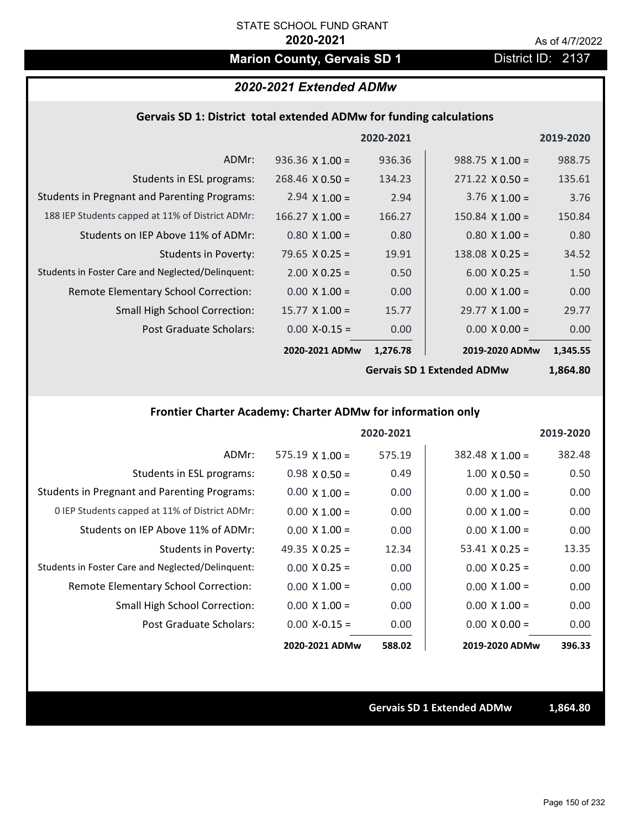# **Marion County, Gervais SD 1** District ID: 2137

### *2020-2021 Extended ADMw*

### **Gervais SD 1: District total extended ADMw for funding calculations**

|                                                     |                        | 2020-2021 |                        | 2019-2020 |
|-----------------------------------------------------|------------------------|-----------|------------------------|-----------|
| ADMr:                                               | $936.36 \times 1.00 =$ | 936.36    | $988.75 \times 1.00 =$ | 988.75    |
| Students in ESL programs:                           | $268.46 \times 0.50 =$ | 134.23    | $271.22 \times 0.50 =$ | 135.61    |
| <b>Students in Pregnant and Parenting Programs:</b> | 2.94 $\times$ 1.00 =   | 2.94      | 3.76 $\times$ 1.00 =   | 3.76      |
| 188 IEP Students capped at 11% of District ADMr:    | $166.27 \times 1.00 =$ | 166.27    | $150.84 \times 1.00 =$ | 150.84    |
| Students on IEP Above 11% of ADMr:                  | $0.80 \times 1.00 =$   | 0.80      | $0.80$ X 1.00 =        | 0.80      |
| <b>Students in Poverty:</b>                         | 79.65 $X$ 0.25 =       | 19.91     | $138.08 \times 0.25 =$ | 34.52     |
| Students in Foster Care and Neglected/Delinquent:   | $2.00 \times 0.25 =$   | 0.50      | $6.00 \times 0.25 =$   | 1.50      |
| Remote Elementary School Correction:                | $0.00 \times 1.00 =$   | 0.00      | $0.00 \times 1.00 =$   | 0.00      |
| <b>Small High School Correction:</b>                | $15.77 \times 1.00 =$  | 15.77     | $29.77 \times 1.00 =$  | 29.77     |
| Post Graduate Scholars:                             | $0.00$ X-0.15 =        | 0.00      | $0.00 X 0.00 =$        | 0.00      |
|                                                     | 2020-2021 ADMw         | 1,276.78  | 2019-2020 ADMw         | 1,345.55  |
|                                                     |                        |           |                        |           |

**Gervais SD 1 Extended ADMw**

**1,864.80**

## **Frontier Charter Academy: Charter ADMw for information only**

|                                                     |                        | 2020-2021 |                        | 2019-2020 |
|-----------------------------------------------------|------------------------|-----------|------------------------|-----------|
| ADMr:                                               | $575.19 \times 1.00 =$ | 575.19    | $382.48 \times 1.00 =$ | 382.48    |
| Students in ESL programs:                           | $0.98 \times 0.50 =$   | 0.49      | $1.00 \times 0.50 =$   | 0.50      |
| <b>Students in Pregnant and Parenting Programs:</b> | $0.00 \times 1.00 =$   | 0.00      | $0.00 \times 1.00 =$   | 0.00      |
| 0 IEP Students capped at 11% of District ADMr:      | $0.00 \times 1.00 =$   | 0.00      | $0.00 \times 1.00 =$   | 0.00      |
| Students on IEP Above 11% of ADMr:                  | $0.00 \times 1.00 =$   | 0.00      | $0.00 \times 1.00 =$   | 0.00      |
| Students in Poverty:                                | 49.35 $X$ 0.25 =       | 12.34     | $53.41 \times 0.25 =$  | 13.35     |
| Students in Foster Care and Neglected/Delinquent:   | $0.00 \times 0.25 =$   | 0.00      | $0.00 \times 0.25 =$   | 0.00      |
| Remote Elementary School Correction:                | $0.00 \times 1.00 =$   | 0.00      | $0.00 \times 1.00 =$   | 0.00      |
| <b>Small High School Correction:</b>                | $0.00 \times 1.00 =$   | 0.00      | $0.00 \times 1.00 =$   | 0.00      |
| Post Graduate Scholars:                             | $0.00$ X-0.15 =        | 0.00      | $0.00 \times 0.00 =$   | 0.00      |
|                                                     | 2020-2021 ADMw         | 588.02    | 2019-2020 ADMw         | 396.33    |

**Gervais SD 1 Extended ADMw 1,864.80**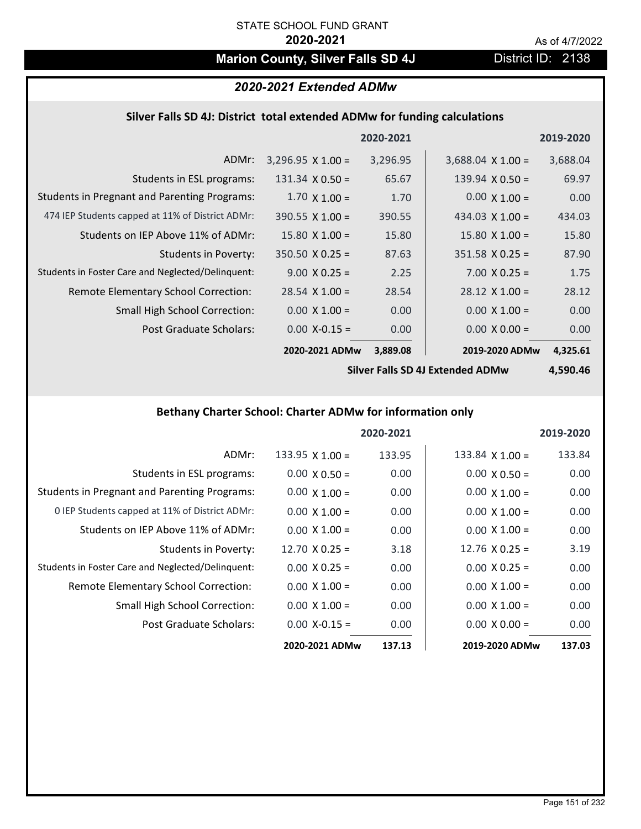# **Marion County, Silver Falls SD 4J** District ID: 2138

# *2020-2021 Extended ADMw*

### **Silver Falls SD 4J: District total extended ADMw for funding calculations**

|                                                     |                          | 2020-2021 |                          | 2019-2020 |
|-----------------------------------------------------|--------------------------|-----------|--------------------------|-----------|
| ADMr:                                               | $3,296.95 \times 1.00 =$ | 3,296.95  | $3,688.04 \times 1.00 =$ | 3,688.04  |
| Students in ESL programs:                           | $131.34 \times 0.50 =$   | 65.67     | 139.94 $\times$ 0.50 =   | 69.97     |
| <b>Students in Pregnant and Parenting Programs:</b> | $1.70 \times 1.00 =$     | 1.70      | $0.00 \times 1.00 =$     | 0.00      |
| 474 IEP Students capped at 11% of District ADMr:    | $390.55 \times 1.00 =$   | 390.55    | 434.03 $\times$ 1.00 =   | 434.03    |
| Students on IEP Above 11% of ADMr:                  | $15.80 \times 1.00 =$    | 15.80     | $15.80 \times 1.00 =$    | 15.80     |
| Students in Poverty:                                | $350.50 \times 0.25 =$   | 87.63     | $351.58 \times 0.25 =$   | 87.90     |
| Students in Foster Care and Neglected/Delinquent:   | $9.00 \times 0.25 =$     | 2.25      | $7.00 \times 0.25 =$     | 1.75      |
| Remote Elementary School Correction:                | $28.54 \times 1.00 =$    | 28.54     | $28.12 \times 1.00 =$    | 28.12     |
| <b>Small High School Correction:</b>                | $0.00 \times 1.00 =$     | 0.00      | $0.00 \times 1.00 =$     | 0.00      |
| Post Graduate Scholars:                             | $0.00 X - 0.15 =$        | 0.00      | $0.00 \times 0.00 =$     | 0.00      |
|                                                     | 2020-2021 ADMw           | 3,889.08  | 2019-2020 ADMw           | 4,325.61  |

**Silver Falls SD 4J Extended ADMw**

**4,590.46**

## **Bethany Charter School: Charter ADMw for information only**

|                                                     |                       | 2020-2021 |                       | 2019-2020 |
|-----------------------------------------------------|-----------------------|-----------|-----------------------|-----------|
| ADMr:                                               | 133.95 $X$ 1.00 =     | 133.95    | 133.84 $X$ 1.00 =     | 133.84    |
| Students in ESL programs:                           | $0.00 \times 0.50 =$  | 0.00      | $0.00 \times 0.50 =$  | 0.00      |
| <b>Students in Pregnant and Parenting Programs:</b> | $0.00 \times 1.00 =$  | 0.00      | $0.00 \times 1.00 =$  | 0.00      |
| 0 IEP Students capped at 11% of District ADMr:      | $0.00 \times 1.00 =$  | 0.00      | $0.00 \times 1.00 =$  | 0.00      |
| Students on IEP Above 11% of ADMr:                  | $0.00 \times 1.00 =$  | 0.00      | $0.00 \times 1.00 =$  | 0.00      |
| Students in Poverty:                                | $12.70 \times 0.25 =$ | 3.18      | 12.76 $\times$ 0.25 = | 3.19      |
| Students in Foster Care and Neglected/Delinquent:   | $0.00 \times 0.25 =$  | 0.00      | $0.00 \times 0.25 =$  | 0.00      |
| Remote Elementary School Correction:                | $0.00 \times 1.00 =$  | 0.00      | $0.00 \times 1.00 =$  | 0.00      |
| <b>Small High School Correction:</b>                | $0.00 \times 1.00 =$  | 0.00      | $0.00 \times 1.00 =$  | 0.00      |
| Post Graduate Scholars:                             | $0.00 X - 0.15 =$     | 0.00      | $0.00 \times 0.00 =$  | 0.00      |
|                                                     | 2020-2021 ADMw        | 137.13    | 2019-2020 ADMw        | 137.03    |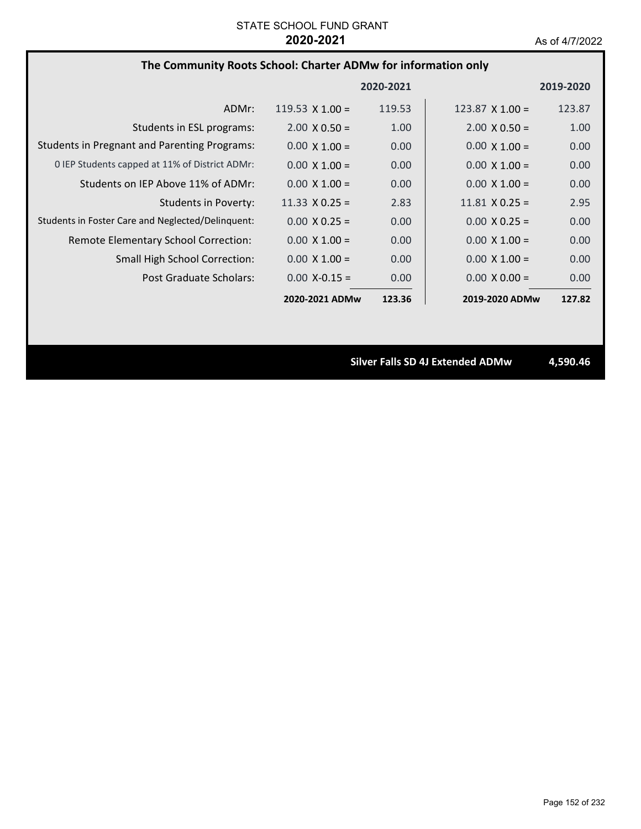# **The Community Roots School: Charter ADMw for information only**

|                                                     |                        | 2020-2021 |                        | 2019-2020 |
|-----------------------------------------------------|------------------------|-----------|------------------------|-----------|
| ADMr:                                               | 119.53 $\times$ 1.00 = | 119.53    | 123.87 $\times$ 1.00 = | 123.87    |
| Students in ESL programs:                           | $2.00 \times 0.50 =$   | 1.00      | $2.00 \times 0.50 =$   | 1.00      |
| <b>Students in Pregnant and Parenting Programs:</b> | $0.00 \times 1.00 =$   | 0.00      | $0.00 \times 1.00 =$   | 0.00      |
| 0 IEP Students capped at 11% of District ADMr:      | $0.00 \times 1.00 =$   | 0.00      | $0.00 \times 1.00 =$   | 0.00      |
| Students on IEP Above 11% of ADMr:                  | $0.00 \times 1.00 =$   | 0.00      | $0.00 \times 1.00 =$   | 0.00      |
| Students in Poverty:                                | 11.33 $\times$ 0.25 =  | 2.83      | $11.81 \times 0.25 =$  | 2.95      |
| Students in Foster Care and Neglected/Delinquent:   | $0.00 \times 0.25 =$   | 0.00      | $0.00 \times 0.25 =$   | 0.00      |
| Remote Elementary School Correction:                | $0.00 \times 1.00 =$   | 0.00      | $0.00 \times 1.00 =$   | 0.00      |
| <b>Small High School Correction:</b>                | $0.00 \times 1.00 =$   | 0.00      | $0.00 \times 1.00 =$   | 0.00      |
| Post Graduate Scholars:                             | $0.00$ X-0.15 =        | 0.00      | $0.00 \times 0.00 =$   | 0.00      |
|                                                     | 2020-2021 ADMw         | 123.36    | 2019-2020 ADMw         | 127.82    |

**Silver Falls SD 4J Extended ADMw 4,590.46**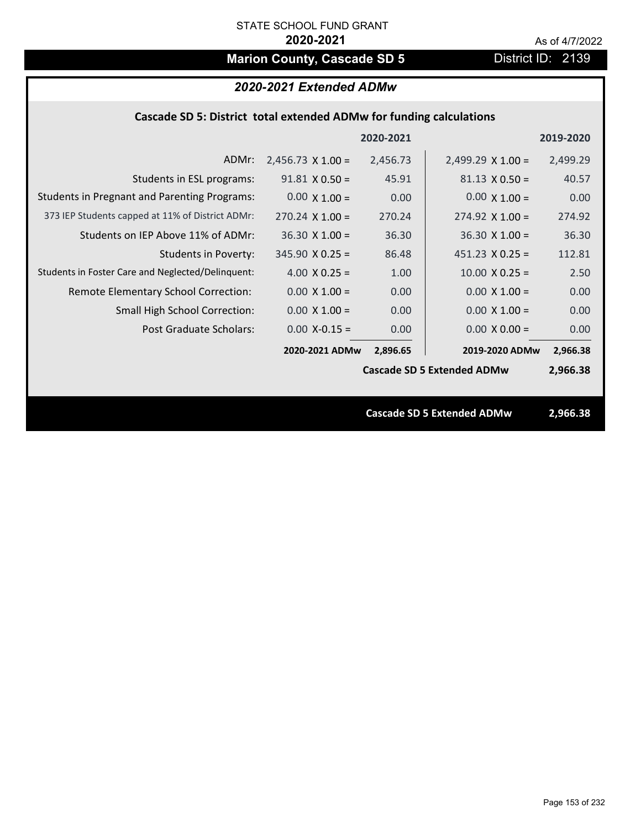# **Marion County, Cascade SD 5** District ID: 2139

| 2020-2021 Extended ADMw                                             |          |                          |                                                                        |  |  |
|---------------------------------------------------------------------|----------|--------------------------|------------------------------------------------------------------------|--|--|
| Cascade SD 5: District total extended ADMw for funding calculations |          |                          |                                                                        |  |  |
| 2020-2021<br>2019-2020                                              |          |                          |                                                                        |  |  |
| $2,456.73 \times 1.00 =$                                            | 2,456.73 | $2,499.29 \times 1.00 =$ | 2,499.29                                                               |  |  |
| $91.81 \times 0.50 =$                                               | 45.91    | $81.13 \times 0.50 =$    | 40.57                                                                  |  |  |
| $0.00 \times 1.00 =$                                                | 0.00     | $0.00 \times 1.00 =$     | 0.00                                                                   |  |  |
| $270.24 \times 1.00 =$                                              | 270.24   | $274.92 \times 1.00 =$   | 274.92                                                                 |  |  |
| $36.30 X 1.00 =$                                                    | 36.30    | $36.30$ X $1.00 =$       | 36.30                                                                  |  |  |
| $345.90 \times 0.25 =$                                              | 86.48    | $451.23 \times 0.25 =$   | 112.81                                                                 |  |  |
| 4.00 $X$ 0.25 =                                                     | 1.00     | $10.00 \times 0.25 =$    | 2.50                                                                   |  |  |
| $0.00 \times 1.00 =$                                                | 0.00     | $0.00 \times 1.00 =$     | 0.00                                                                   |  |  |
| $0.00 \times 1.00 =$                                                | 0.00     | $0.00 X 1.00 =$          | 0.00                                                                   |  |  |
| $0.00$ X-0.15 =                                                     | 0.00     | $0.00 \times 0.00 =$     | 0.00                                                                   |  |  |
| 2020-2021 ADMw                                                      | 2,896.65 | 2019-2020 ADMw           | 2,966.38                                                               |  |  |
|                                                                     |          |                          | 2,966.38                                                               |  |  |
|                                                                     |          |                          |                                                                        |  |  |
|                                                                     |          |                          | 2,966.38                                                               |  |  |
|                                                                     |          |                          |                                                                        |  |  |
|                                                                     |          |                          | <b>Cascade SD 5 Extended ADMw</b><br><b>Cascade SD 5 Extended ADMw</b> |  |  |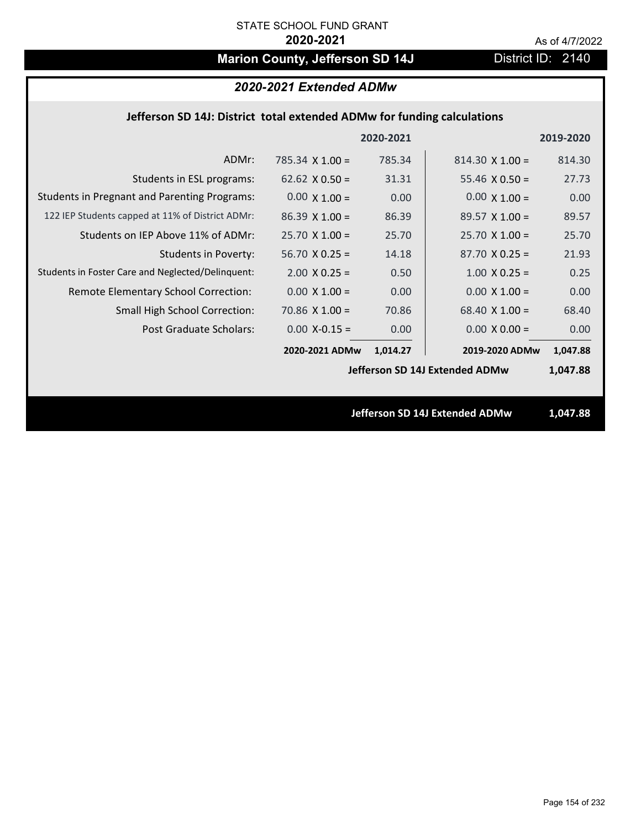# **Marion County, Jefferson SD 14J** District ID: 2140

# *2020-2021 Extended ADMw*

### **Jefferson SD 14J: District total extended ADMw for funding calculations**

|                                                     |                                | 2020-2021 |                        | 2019-2020 |
|-----------------------------------------------------|--------------------------------|-----------|------------------------|-----------|
| ADMr:                                               | 785.34 $X$ 1.00 =              | 785.34    | $814.30 \times 1.00 =$ | 814.30    |
| Students in ESL programs:                           | 62.62 $\times$ 0.50 =          | 31.31     | 55.46 $\times$ 0.50 =  | 27.73     |
| <b>Students in Pregnant and Parenting Programs:</b> | $0.00 \times 1.00 =$           | 0.00      | $0.00 \times 1.00 =$   | 0.00      |
| 122 IEP Students capped at 11% of District ADMr:    | $86.39 \times 1.00 =$          | 86.39     | $89.57 \times 1.00 =$  | 89.57     |
| Students on IEP Above 11% of ADMr:                  | $25.70 \times 1.00 =$          | 25.70     | $25.70$ X 1.00 =       | 25.70     |
| <b>Students in Poverty:</b>                         | $56.70 X 0.25 =$               | 14.18     | $87.70 X 0.25 =$       | 21.93     |
| Students in Foster Care and Neglected/Delinquent:   | $2.00 \times 0.25 =$           | 0.50      | $1.00 \times 0.25 =$   | 0.25      |
| Remote Elementary School Correction:                | $0.00 \times 1.00 =$           | 0.00      | $0.00 \times 1.00 =$   | 0.00      |
| <b>Small High School Correction:</b>                | $70.86$ X $1.00 =$             | 70.86     | 68.40 $X$ 1.00 =       | 68.40     |
| Post Graduate Scholars:                             | $0.00$ X-0.15 =                | 0.00      | $0.00 \times 0.00 =$   | 0.00      |
|                                                     | 2020-2021 ADMw                 | 1,014.27  | 2019-2020 ADMw         | 1,047.88  |
|                                                     | Jefferson SD 14J Extended ADMw |           |                        | 1,047.88  |
|                                                     |                                |           |                        |           |
|                                                     | Jefferson SD 14J Extended ADMw |           |                        | 1,047.88  |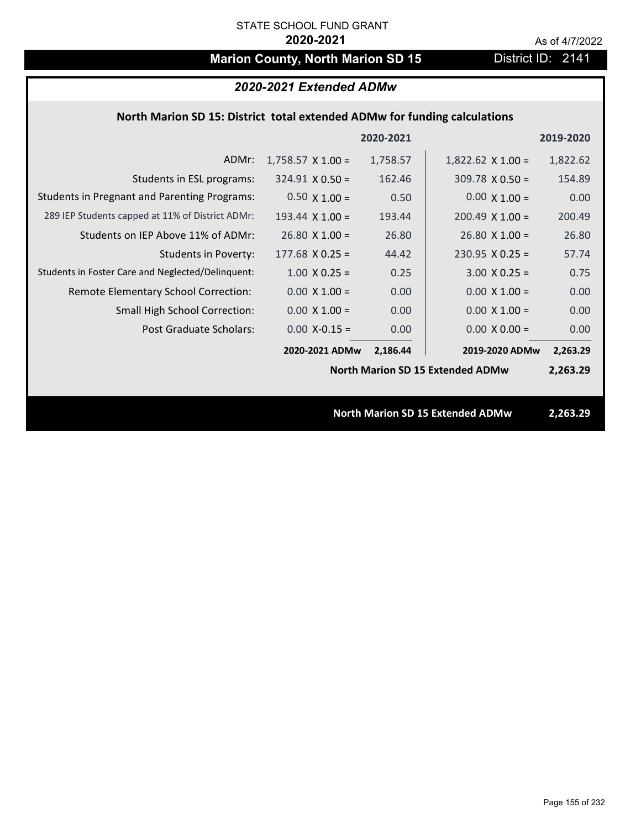# **Marion County, North Marion SD 15** District ID: 2141

| 2020-2021 Extended ADMw                                                   |                          |          |                                         |          |  |  |
|---------------------------------------------------------------------------|--------------------------|----------|-----------------------------------------|----------|--|--|
| North Marion SD 15: District total extended ADMw for funding calculations |                          |          |                                         |          |  |  |
| 2020-2021<br>2019-2020                                                    |                          |          |                                         |          |  |  |
| ADMr:                                                                     | $1,758.57 \times 1.00 =$ | 1,758.57 | $1,822.62 \times 1.00 =$                | 1,822.62 |  |  |
| Students in ESL programs:                                                 | $324.91 \times 0.50 =$   | 162.46   | $309.78 \times 0.50 =$                  | 154.89   |  |  |
| <b>Students in Pregnant and Parenting Programs:</b>                       | $0.50 \times 1.00 =$     | 0.50     | $0.00 \times 1.00 =$                    | 0.00     |  |  |
| 289 IEP Students capped at 11% of District ADMr:                          | 193.44 $\times$ 1.00 =   | 193.44   | $200.49 \times 1.00 =$                  | 200.49   |  |  |
| Students on IEP Above 11% of ADMr:                                        | $26.80 X 1.00 =$         | 26.80    | $26.80 \times 1.00 =$                   | 26.80    |  |  |
| <b>Students in Poverty:</b>                                               | $177.68$ X 0.25 =        | 44.42    | $230.95$ X 0.25 =                       | 57.74    |  |  |
| Students in Foster Care and Neglected/Delinquent:                         | $1.00 \times 0.25 =$     | 0.25     | $3.00 X 0.25 =$                         | 0.75     |  |  |
| Remote Elementary School Correction:                                      | $0.00 \times 1.00 =$     | 0.00     | $0.00 \times 1.00 =$                    | 0.00     |  |  |
| <b>Small High School Correction:</b>                                      | $0.00 \times 1.00 =$     | 0.00     | $0.00 \times 1.00 =$                    | 0.00     |  |  |
| <b>Post Graduate Scholars:</b>                                            | $0.00$ X-0.15 =          | 0.00     | $0.00 \times 0.00 =$                    | 0.00     |  |  |
|                                                                           | 2020-2021 ADMw           | 2,186.44 | 2019-2020 ADMw                          | 2,263.29 |  |  |
|                                                                           |                          |          | <b>North Marion SD 15 Extended ADMw</b> | 2,263.29 |  |  |
|                                                                           |                          |          |                                         |          |  |  |
|                                                                           |                          |          | <b>North Marion SD 15 Extended ADMw</b> | 2,263.29 |  |  |
|                                                                           |                          |          |                                         |          |  |  |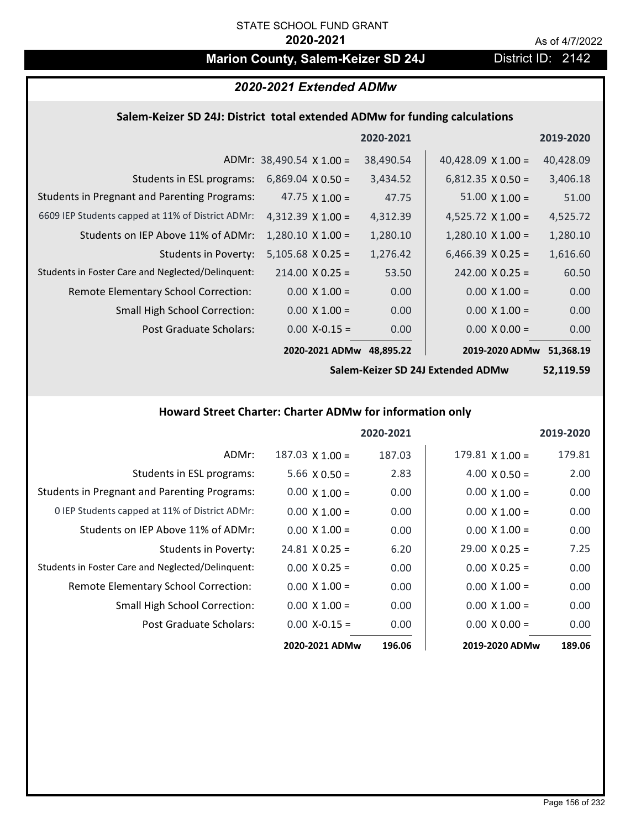# **Marion County, Salem-Keizer SD 24J District ID: 2142**

# *2020-2021 Extended ADMw*

### **Salem‐Keizer SD 24J: District total extended ADMw for funding calculations**

|                                                     |                                 | 2020-2021 |                           | 2019-2020 |
|-----------------------------------------------------|---------------------------------|-----------|---------------------------|-----------|
|                                                     | ADMr: $38,490.54 \times 1.00 =$ | 38,490.54 | 40,428.09 $\times$ 1.00 = | 40,428.09 |
| Students in ESL programs:                           | $6,869.04 \times 0.50 =$        | 3,434.52  | $6,812.35 \times 0.50 =$  | 3,406.18  |
| <b>Students in Pregnant and Parenting Programs:</b> | 47.75 $\times$ 1.00 =           | 47.75     | $51.00 \times 1.00 =$     | 51.00     |
| 6609 IEP Students capped at 11% of District ADMr:   | $4,312.39 \times 1.00 =$        | 4,312.39  | 4,525.72 $\times$ 1.00 =  | 4,525.72  |
| Students on IEP Above 11% of ADMr:                  | $1,280.10 \times 1.00 =$        | 1,280.10  | $1,280.10 \times 1.00 =$  | 1,280.10  |
| <b>Students in Poverty:</b>                         | $5,105.68$ X 0.25 =             | 1,276.42  | $6,466.39 \times 0.25 =$  | 1,616.60  |
| Students in Foster Care and Neglected/Delinquent:   | $214.00 \times 0.25 =$          | 53.50     | $242.00 \times 0.25 =$    | 60.50     |
| Remote Elementary School Correction:                | $0.00 \times 1.00 =$            | 0.00      | $0.00 \times 1.00 =$      | 0.00      |
| <b>Small High School Correction:</b>                | $0.00 \times 1.00 =$            | 0.00      | $0.00 \times 1.00 =$      | 0.00      |
| Post Graduate Scholars:                             | $0.00$ X-0.15 =                 | 0.00      | $0.00 \times 0.00 =$      | 0.00      |
|                                                     | 2020-2021 ADMw                  | 48,895.22 | 2019-2020 ADMw            | 51,368.19 |

**Salem‐Keizer SD 24J Extended ADMw**

**52,119.59**

## **Howard Street Charter: Charter ADMw for information only**

|                                                     |                       | 2020-2021 |                        | 2019-2020 |
|-----------------------------------------------------|-----------------------|-----------|------------------------|-----------|
| ADMr:                                               | $187.03$ X $1.00 =$   | 187.03    | $179.81 \times 1.00 =$ | 179.81    |
| Students in ESL programs:                           | $5.66 \times 0.50 =$  | 2.83      | $4.00 \times 0.50 =$   | 2.00      |
| <b>Students in Pregnant and Parenting Programs:</b> | $0.00 \times 1.00 =$  | 0.00      | $0.00 \times 1.00 =$   | 0.00      |
| 0 IEP Students capped at 11% of District ADMr:      | $0.00 \times 1.00 =$  | 0.00      | $0.00 \times 1.00 =$   | 0.00      |
| Students on IEP Above 11% of ADMr:                  | $0.00 \times 1.00 =$  | 0.00      | $0.00 \times 1.00 =$   | 0.00      |
| Students in Poverty:                                | $24.81 \times 0.25 =$ | 6.20      | $29.00 \times 0.25 =$  | 7.25      |
| Students in Foster Care and Neglected/Delinquent:   | $0.00 \times 0.25 =$  | 0.00      | $0.00 \times 0.25 =$   | 0.00      |
| Remote Elementary School Correction:                | $0.00 \times 1.00 =$  | 0.00      | $0.00 \times 1.00 =$   | 0.00      |
| <b>Small High School Correction:</b>                | $0.00 \times 1.00 =$  | 0.00      | $0.00 \times 1.00 =$   | 0.00      |
| Post Graduate Scholars:                             | $0.00$ X-0.15 =       | 0.00      | $0.00 \times 0.00 =$   | 0.00      |
|                                                     | 2020-2021 ADMw        | 196.06    | 2019-2020 ADMw         | 189.06    |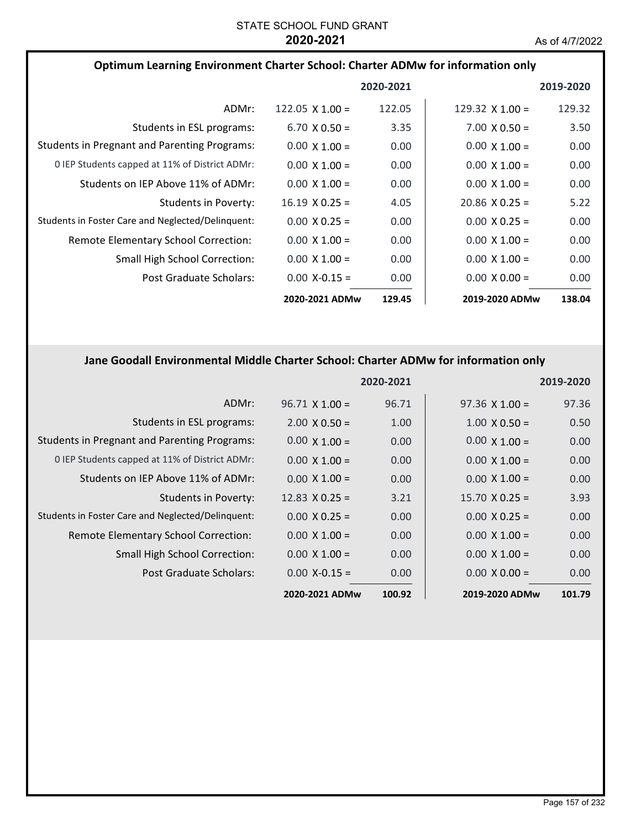| Optimum Learning Environment Charter School: Charter ADMw for information only |                        |           |                        |           |
|--------------------------------------------------------------------------------|------------------------|-----------|------------------------|-----------|
|                                                                                |                        | 2020-2021 |                        | 2019-2020 |
| ADMr:                                                                          | 122.05 $\times$ 1.00 = | 122.05    | 129.32 $\times$ 1.00 = | 129.32    |
| Students in ESL programs:                                                      | $6.70 \times 0.50 =$   | 3.35      | $7.00 \times 0.50 =$   | 3.50      |
| <b>Students in Pregnant and Parenting Programs:</b>                            | $0.00 \times 1.00 =$   | 0.00      | $0.00 \times 1.00 =$   | 0.00      |
| 0 IEP Students capped at 11% of District ADMr:                                 | $0.00 \times 1.00 =$   | 0.00      | $0.00 \times 1.00 =$   | 0.00      |
| Students on IEP Above 11% of ADMr:                                             | $0.00 \times 1.00 =$   | 0.00      | $0.00 \times 1.00 =$   | 0.00      |
| Students in Poverty:                                                           | $16.19 \times 0.25 =$  | 4.05      | $20.86 \times 0.25 =$  | 5.22      |
| Students in Foster Care and Neglected/Delinquent:                              | $0.00 \times 0.25 =$   | 0.00      | $0.00 \times 0.25 =$   | 0.00      |
| Remote Elementary School Correction:                                           | $0.00 \times 1.00 =$   | 0.00      | $0.00 \times 1.00 =$   | 0.00      |
| <b>Small High School Correction:</b>                                           | $0.00 \times 1.00 =$   | 0.00      | $0.00 \times 1.00 =$   | 0.00      |
| Post Graduate Scholars:                                                        | $0.00$ X-0.15 =        | 0.00      | $0.00 \times 0.00 =$   | 0.00      |
|                                                                                | 2020-2021 ADMw         | 129.45    | 2019-2020 ADMw         | 138.04    |

# **Jane Goodall Environmental Middle Charter School: Charter ADMw for information only**

|                                                     |                       | 2020-2021 |                       | 2019-2020 |
|-----------------------------------------------------|-----------------------|-----------|-----------------------|-----------|
| ADMr:                                               | $96.71 \times 1.00 =$ | 96.71     | $97.36 \times 1.00 =$ | 97.36     |
| Students in ESL programs:                           | $2.00 \times 0.50 =$  | 1.00      | $1.00 \times 0.50 =$  | 0.50      |
| <b>Students in Pregnant and Parenting Programs:</b> | $0.00 \times 1.00 =$  | 0.00      | $0.00 \times 1.00 =$  | 0.00      |
| 0 IEP Students capped at 11% of District ADMr:      | $0.00 \times 1.00 =$  | 0.00      | $0.00 \times 1.00 =$  | 0.00      |
| Students on IEP Above 11% of ADMr:                  | $0.00 \times 1.00 =$  | 0.00      | $0.00 \times 1.00 =$  | 0.00      |
| Students in Poverty:                                | 12.83 $\times$ 0.25 = | 3.21      | $15.70 \times 0.25 =$ | 3.93      |
| Students in Foster Care and Neglected/Delinquent:   | $0.00 \times 0.25 =$  | 0.00      | $0.00 \times 0.25 =$  | 0.00      |
| Remote Elementary School Correction:                | $0.00 \times 1.00 =$  | 0.00      | $0.00 \times 1.00 =$  | 0.00      |
| <b>Small High School Correction:</b>                | $0.00 \times 1.00 =$  | 0.00      | $0.00 \times 1.00 =$  | 0.00      |
| Post Graduate Scholars:                             | $0.00$ X-0.15 =       | 0.00      | $0.00 \times 0.00 =$  | 0.00      |
|                                                     | 2020-2021 ADMw        | 100.92    | 2019-2020 ADMw        | 101.79    |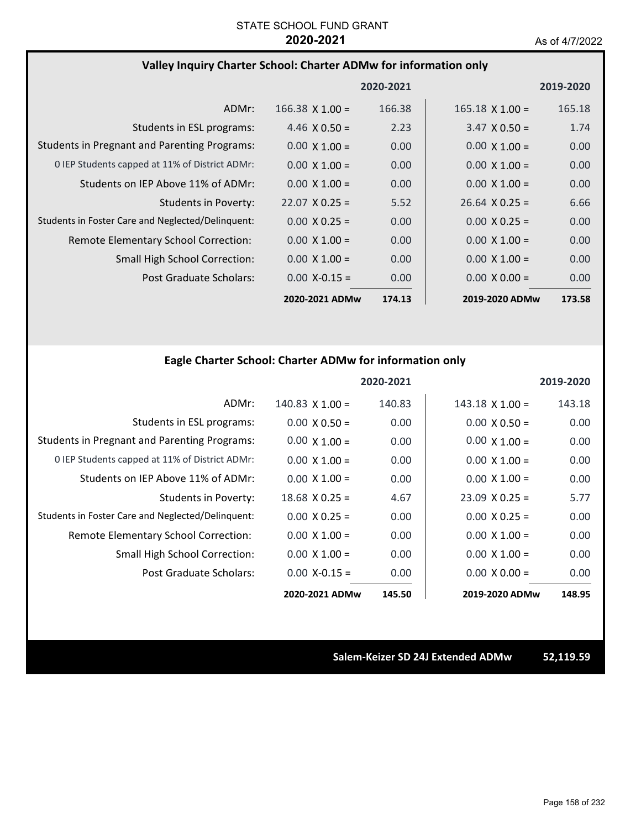## **Valley Inquiry Charter School: Charter ADMw for information only**

|                                                     |                        | 2020-2021 |                        | 2019-2020 |
|-----------------------------------------------------|------------------------|-----------|------------------------|-----------|
| ADMr:                                               | $166.38 \times 1.00 =$ | 166.38    | $165.18 \times 1.00 =$ | 165.18    |
| Students in ESL programs:                           | 4.46 $\times$ 0.50 =   | 2.23      | $3.47 \times 0.50 =$   | 1.74      |
| <b>Students in Pregnant and Parenting Programs:</b> | $0.00 \times 1.00 =$   | 0.00      | $0.00 \times 1.00 =$   | 0.00      |
| 0 IEP Students capped at 11% of District ADMr:      | $0.00 \times 1.00 =$   | 0.00      | $0.00 \times 1.00 =$   | 0.00      |
| Students on IEP Above 11% of ADMr:                  | $0.00 \times 1.00 =$   | 0.00      | $0.00 \times 1.00 =$   | 0.00      |
| Students in Poverty:                                | $22.07 \times 0.25 =$  | 5.52      | $26.64 \times 0.25 =$  | 6.66      |
| Students in Foster Care and Neglected/Delinguent:   | $0.00 \times 0.25 =$   | 0.00      | $0.00 \times 0.25 =$   | 0.00      |
| Remote Elementary School Correction:                | $0.00 \times 1.00 =$   | 0.00      | $0.00 \times 1.00 =$   | 0.00      |
| <b>Small High School Correction:</b>                | $0.00 \times 1.00 =$   | 0.00      | $0.00 \times 1.00 =$   | 0.00      |
| Post Graduate Scholars:                             | $0.00$ X-0.15 =        | 0.00      | $0.00 \times 0.00 =$   | 0.00      |
|                                                     | 2020-2021 ADMw         | 174.13    | 2019-2020 ADMw         | 173.58    |

# **Eagle Charter School: Charter ADMw for information only**

|                                                     |                        | 2020-2021 |                       | 2019-2020 |
|-----------------------------------------------------|------------------------|-----------|-----------------------|-----------|
| ADMr:                                               | $140.83 \times 1.00 =$ | 140.83    | $143.18$ X $1.00 =$   | 143.18    |
| Students in ESL programs:                           | $0.00 \times 0.50 =$   | 0.00      | $0.00 \times 0.50 =$  | 0.00      |
| <b>Students in Pregnant and Parenting Programs:</b> | $0.00 \times 1.00 =$   | 0.00      | $0.00 \times 1.00 =$  | 0.00      |
| 0 IEP Students capped at 11% of District ADMr:      | $0.00 \times 1.00 =$   | 0.00      | $0.00 \times 1.00 =$  | 0.00      |
| Students on IEP Above 11% of ADMr:                  | $0.00 \times 1.00 =$   | 0.00      | $0.00 \times 1.00 =$  | 0.00      |
| Students in Poverty:                                | $18.68 \times 0.25 =$  | 4.67      | $23.09 \times 0.25 =$ | 5.77      |
| Students in Foster Care and Neglected/Delinquent:   | $0.00 \times 0.25 =$   | 0.00      | $0.00 \times 0.25 =$  | 0.00      |
| Remote Elementary School Correction:                | $0.00 \times 1.00 =$   | 0.00      | $0.00 \times 1.00 =$  | 0.00      |
| Small High School Correction:                       | $0.00 \times 1.00 =$   | 0.00      | $0.00 \times 1.00 =$  | 0.00      |
| Post Graduate Scholars:                             | $0.00 X - 0.15 =$      | 0.00      | $0.00 \times 0.00 =$  | 0.00      |
|                                                     | 2020-2021 ADMw         | 145.50    | 2019-2020 ADMw        | 148.95    |

**Salem‐Keizer SD 24J Extended ADMw 52,119.59**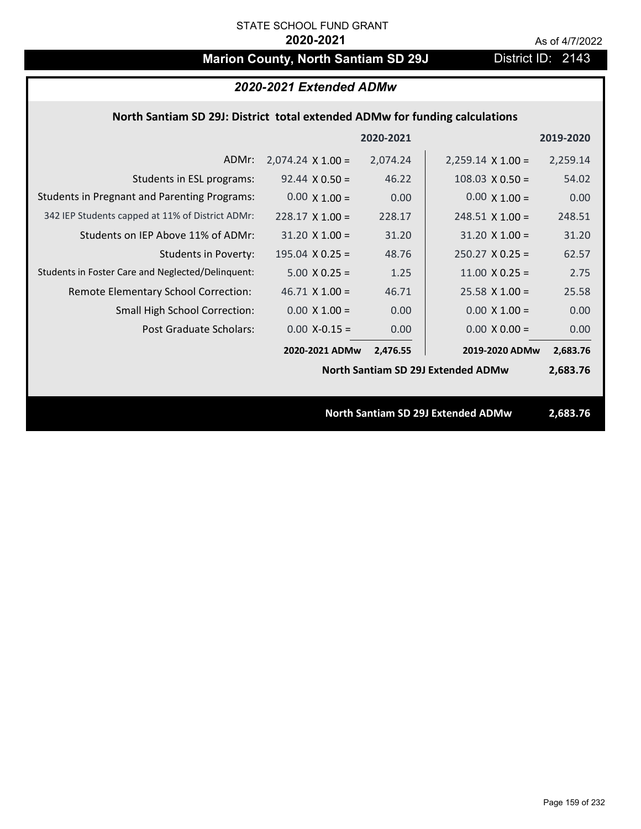# **Marion County, North Santiam SD 29J** District ID: 2143

| 2020-2021 Extended ADMw                                                     |                          |           |                                           |           |  |
|-----------------------------------------------------------------------------|--------------------------|-----------|-------------------------------------------|-----------|--|
| North Santiam SD 29J: District total extended ADMw for funding calculations |                          |           |                                           |           |  |
|                                                                             |                          | 2020-2021 |                                           | 2019-2020 |  |
| ADMr:                                                                       | $2,074.24 \times 1.00 =$ | 2,074.24  | $2,259.14 \times 1.00 =$                  | 2,259.14  |  |
| Students in ESL programs:                                                   | $92.44 \times 0.50 =$    | 46.22     | $108.03 \times 0.50 =$                    | 54.02     |  |
| <b>Students in Pregnant and Parenting Programs:</b>                         | $0.00 \times 1.00 =$     | 0.00      | $0.00 \times 1.00 =$                      | 0.00      |  |
| 342 IEP Students capped at 11% of District ADMr:                            | $228.17 \times 1.00 =$   | 228.17    | $248.51 \times 1.00 =$                    | 248.51    |  |
| Students on IEP Above 11% of ADMr:                                          | $31.20 \times 1.00 =$    | 31.20     | $31.20 \times 1.00 =$                     | 31.20     |  |
| <b>Students in Poverty:</b>                                                 | 195.04 $X$ 0.25 =        | 48.76     | $250.27$ X 0.25 =                         | 62.57     |  |
| Students in Foster Care and Neglected/Delinquent:                           | $5.00 \times 0.25 =$     | 1.25      | 11.00 $X$ 0.25 =                          | 2.75      |  |
| Remote Elementary School Correction:                                        | $46.71$ X $1.00 =$       | 46.71     | $25.58$ X 1.00 =                          | 25.58     |  |
| <b>Small High School Correction:</b>                                        | $0.00 \times 1.00 =$     | 0.00      | $0.00 \times 1.00 =$                      | 0.00      |  |
| Post Graduate Scholars:                                                     | $0.00$ X-0.15 =          | 0.00      | $0.00 X 0.00 =$                           | 0.00      |  |
|                                                                             | 2020-2021 ADMw           | 2,476.55  | 2019-2020 ADMw                            | 2,683.76  |  |
| <b>North Santiam SD 29J Extended ADMw</b>                                   |                          |           |                                           |           |  |
|                                                                             |                          |           |                                           |           |  |
|                                                                             |                          |           | <b>North Santiam SD 29J Extended ADMw</b> | 2,683.76  |  |
|                                                                             |                          |           |                                           |           |  |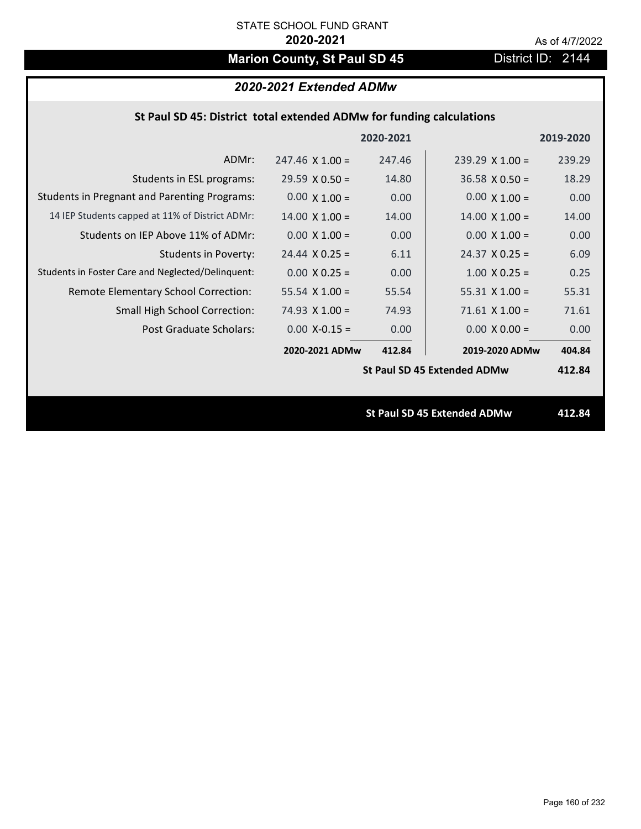# **Marion County, St Paul SD 45** District ID: 2144

|  |  | St Paul SD 45: District total extended ADMw for funding calculations |
|--|--|----------------------------------------------------------------------|
|--|--|----------------------------------------------------------------------|

|                                                     |                        | 2020-2021 |                                    | 2019-2020 |
|-----------------------------------------------------|------------------------|-----------|------------------------------------|-----------|
| ADMr:                                               | $247.46 \times 1.00 =$ | 247.46    | $239.29$ X 1.00 =                  | 239.29    |
| Students in ESL programs:                           | $29.59 \times 0.50 =$  | 14.80     | $36.58 \times 0.50 =$              | 18.29     |
| <b>Students in Pregnant and Parenting Programs:</b> | $0.00 \times 1.00 =$   | 0.00      | $0.00 \times 1.00 =$               | 0.00      |
| 14 IEP Students capped at 11% of District ADMr:     | $14.00 \times 1.00 =$  | 14.00     | $14.00 \times 1.00 =$              | 14.00     |
| Students on IEP Above 11% of ADMr:                  | $0.00 \times 1.00 =$   | 0.00      | $0.00 \times 1.00 =$               | 0.00      |
| <b>Students in Poverty:</b>                         | $24.44 \times 0.25 =$  | 6.11      | $24.37 \times 0.25 =$              | 6.09      |
| Students in Foster Care and Neglected/Delinquent:   | $0.00 \times 0.25 =$   | 0.00      | $1.00 \times 0.25 =$               | 0.25      |
| Remote Elementary School Correction:                | 55.54 $X$ 1.00 =       | 55.54     | $55.31 \times 1.00 =$              | 55.31     |
| <b>Small High School Correction:</b>                | $74.93 \times 1.00 =$  | 74.93     | $71.61$ X $1.00 =$                 | 71.61     |
| Post Graduate Scholars:                             | $0.00$ X-0.15 =        | 0.00      | $0.00 \times 0.00 =$               | 0.00      |
|                                                     | 2020-2021 ADMw         | 412.84    | 2019-2020 ADMw                     | 404.84    |
|                                                     |                        |           | <b>St Paul SD 45 Extended ADMw</b> | 412.84    |
|                                                     |                        |           |                                    |           |
|                                                     |                        |           | <b>St Paul SD 45 Extended ADMw</b> | 412.84    |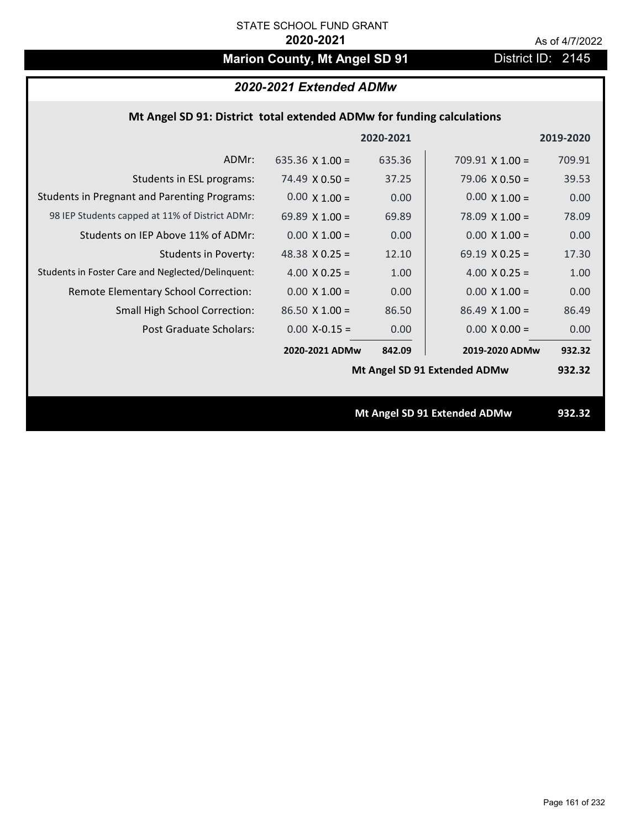# **Marion County, Mt Angel SD 91** District ID: 2145

# *2020-2021 Extended ADMw*

### **Mt Angel SD 91: District total extended ADMw for funding calculations**

|                                                     |                       | 2020-2021 |                              | 2019-2020 |
|-----------------------------------------------------|-----------------------|-----------|------------------------------|-----------|
| ADMr:                                               | 635.36 $X$ 1.00 =     | 635.36    | $709.91$ X 1.00 =            | 709.91    |
| Students in ESL programs:                           | $74.49 \times 0.50 =$ | 37.25     | $79.06 \times 0.50 =$        | 39.53     |
| <b>Students in Pregnant and Parenting Programs:</b> | $0.00 \times 1.00 =$  | 0.00      | $0.00 \times 1.00 =$         | 0.00      |
| 98 IEP Students capped at 11% of District ADMr:     | 69.89 $X$ 1.00 =      | 69.89     | $78.09 \times 1.00 =$        | 78.09     |
| Students on IEP Above 11% of ADMr:                  | $0.00 X 1.00 =$       | 0.00      | $0.00$ X $1.00 =$            | 0.00      |
| <b>Students in Poverty:</b>                         | 48.38 $X$ 0.25 =      | 12.10     | 69.19 $X$ 0.25 =             | 17.30     |
| Students in Foster Care and Neglected/Delinquent:   | 4.00 $X$ 0.25 =       | 1.00      | 4.00 $X$ 0.25 =              | 1.00      |
| Remote Elementary School Correction:                | $0.00 \times 1.00 =$  | 0.00      | $0.00 \times 1.00 =$         | 0.00      |
| <b>Small High School Correction:</b>                | $86.50 X 1.00 =$      | 86.50     | $86.49$ X 1.00 =             | 86.49     |
| Post Graduate Scholars:                             | $0.00$ X-0.15 =       | 0.00      | $0.00 \times 0.00 =$         | 0.00      |
|                                                     | 2020-2021 ADMw        | 842.09    | 2019-2020 ADMw               | 932.32    |
|                                                     |                       |           | Mt Angel SD 91 Extended ADMw | 932.32    |
|                                                     |                       |           |                              |           |
|                                                     |                       |           | Mt Angel SD 91 Extended ADMw | 932.32    |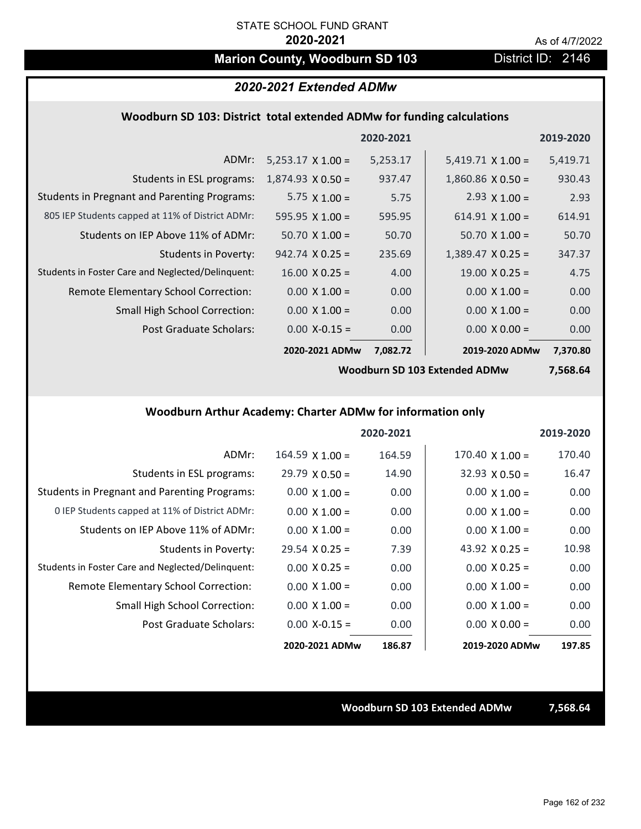# **Marion County, Woodburn SD 103** District ID: 2146

### *2020-2021 Extended ADMw*

### **Woodburn SD 103: District total extended ADMw for funding calculations**

|                                                     |                          | 2020-2021 |                          | 2019-2020 |
|-----------------------------------------------------|--------------------------|-----------|--------------------------|-----------|
| ADMr:                                               | $5,253.17 \times 1.00 =$ | 5,253.17  | $5,419.71 \times 1.00 =$ | 5,419.71  |
| Students in ESL programs:                           | $1,874.93 \times 0.50 =$ | 937.47    | $1,860.86 \times 0.50 =$ | 930.43    |
| <b>Students in Pregnant and Parenting Programs:</b> | 5.75 $\times$ 1.00 =     | 5.75      | 2.93 $\times$ 1.00 =     | 2.93      |
| 805 IEP Students capped at 11% of District ADMr:    | $595.95 \times 1.00 =$   | 595.95    | $614.91 \times 1.00 =$   | 614.91    |
| Students on IEP Above 11% of ADMr:                  | $50.70 \times 1.00 =$    | 50.70     | $50.70 \times 1.00 =$    | 50.70     |
| Students in Poverty:                                | $942.74 \times 0.25 =$   | 235.69    | $1,389.47 \times 0.25 =$ | 347.37    |
| Students in Foster Care and Neglected/Delinquent:   | $16.00 \times 0.25 =$    | 4.00      | $19.00 \times 0.25 =$    | 4.75      |
| Remote Elementary School Correction:                | $0.00 \times 1.00 =$     | 0.00      | $0.00 \times 1.00 =$     | 0.00      |
| <b>Small High School Correction:</b>                | $0.00 \times 1.00 =$     | 0.00      | $0.00 \times 1.00 =$     | 0.00      |
| Post Graduate Scholars:                             | $0.00$ X-0.15 =          | 0.00      | $0.00 \times 0.00 =$     | 0.00      |
|                                                     | 2020-2021 ADMw           | 7,082.72  | 2019-2020 ADMw           | 7,370.80  |

**Woodburn SD 103 Extended ADMw**

**7,568.64**

## **Woodburn Arthur Academy: Charter ADMw for information only**

|                                                     |                       | 2020-2021 |                        | 2019-2020 |
|-----------------------------------------------------|-----------------------|-----------|------------------------|-----------|
| ADMr:                                               | $164.59$ X $1.00 =$   | 164.59    | $170.40 \times 1.00 =$ | 170.40    |
| Students in ESL programs:                           | $29.79 \times 0.50 =$ | 14.90     | $32.93 \times 0.50 =$  | 16.47     |
| <b>Students in Pregnant and Parenting Programs:</b> | $0.00 \times 1.00 =$  | 0.00      | $0.00 \times 1.00 =$   | 0.00      |
| 0 IEP Students capped at 11% of District ADMr:      | $0.00 \times 1.00 =$  | 0.00      | $0.00 \times 1.00 =$   | 0.00      |
| Students on IEP Above 11% of ADMr:                  | $0.00 \times 1.00 =$  | 0.00      | $0.00 \times 1.00 =$   | 0.00      |
| Students in Poverty:                                | $29.54 \times 0.25 =$ | 7.39      | 43.92 $X$ 0.25 =       | 10.98     |
| Students in Foster Care and Neglected/Delinquent:   | $0.00 \times 0.25 =$  | 0.00      | $0.00 \times 0.25 =$   | 0.00      |
| Remote Elementary School Correction:                | $0.00 \times 1.00 =$  | 0.00      | $0.00 \times 1.00 =$   | 0.00      |
| <b>Small High School Correction:</b>                | $0.00 \times 1.00 =$  | 0.00      | $0.00 \times 1.00 =$   | 0.00      |
| Post Graduate Scholars:                             | $0.00 X - 0.15 =$     | 0.00      | $0.00 \times 0.00 =$   | 0.00      |
|                                                     | 2020-2021 ADMw        | 186.87    | 2019-2020 ADMw         | 197.85    |

### **Woodburn SD 103 Extended ADMw 7,568.64**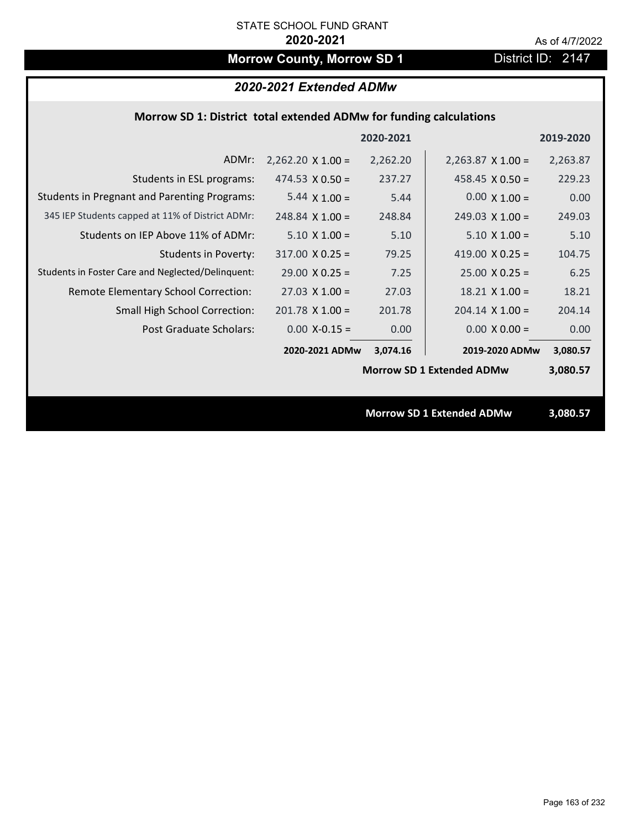# **Morrow County, Morrow SD 1** District ID: 2147

# *2020-2021 Extended ADMw*

## **Morrow SD 1: District total extended ADMw for funding calculations**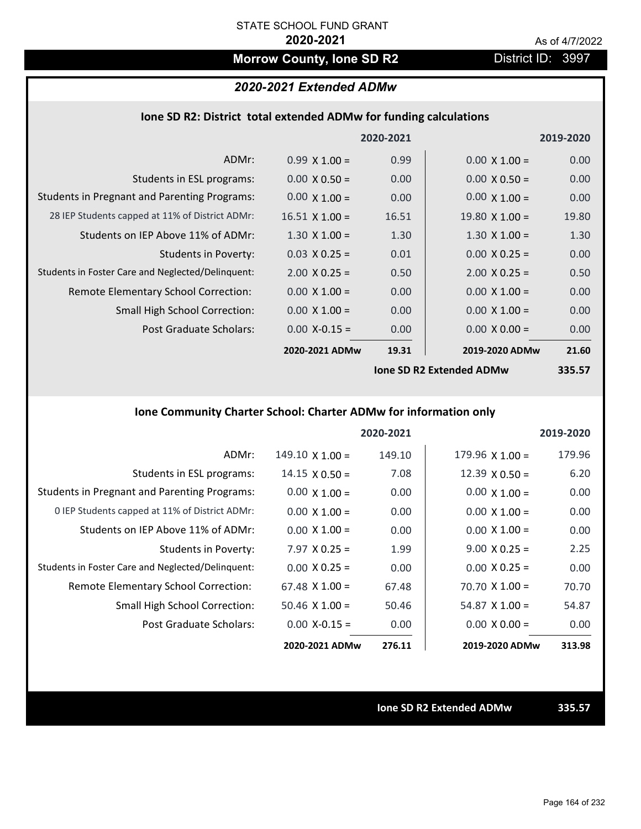# **Morrow County, Ione SD R2** District ID: 3997

### *2020-2021 Extended ADMw*

| Ione SD R2: District total extended ADMw for funding calculations |  |  |  |
|-------------------------------------------------------------------|--|--|--|
|-------------------------------------------------------------------|--|--|--|

|                                                     |                       | 2020-2021 |                                 | 2019-2020 |
|-----------------------------------------------------|-----------------------|-----------|---------------------------------|-----------|
| ADMr:                                               | $0.99 \times 1.00 =$  | 0.99      | $0.00 \times 1.00 =$            | 0.00      |
| Students in ESL programs:                           | $0.00 \times 0.50 =$  | 0.00      | $0.00 \times 0.50 =$            | 0.00      |
| <b>Students in Pregnant and Parenting Programs:</b> | $0.00 \times 1.00 =$  | 0.00      | $0.00 \times 1.00 =$            | 0.00      |
| 28 IEP Students capped at 11% of District ADMr:     | $16.51 \times 1.00 =$ | 16.51     | $19.80 \times 1.00 =$           | 19.80     |
| Students on IEP Above 11% of ADMr:                  | $1.30 \times 1.00 =$  | 1.30      | $1.30 \times 1.00 =$            | 1.30      |
| <b>Students in Poverty:</b>                         | $0.03 \times 0.25 =$  | 0.01      | $0.00 \times 0.25 =$            | 0.00      |
| Students in Foster Care and Neglected/Delinquent:   | $2.00 \times 0.25 =$  | 0.50      | $2.00 \times 0.25 =$            | 0.50      |
| Remote Elementary School Correction:                | $0.00 \times 1.00 =$  | 0.00      | $0.00 \times 1.00 =$            | 0.00      |
| <b>Small High School Correction:</b>                | $0.00 \times 1.00 =$  | 0.00      | $0.00 \times 1.00 =$            | 0.00      |
| Post Graduate Scholars:                             | $0.00$ X-0.15 =       | 0.00      | $0.00 \times 0.00 =$            | 0.00      |
|                                                     | 2020-2021 ADMw        | 19.31     | 2019-2020 ADMw                  | 21.60     |
|                                                     |                       |           | <b>Jone SD R2 Extended ADMw</b> | 335.57    |

**Ione SD R2 Extended ADMw**

**335.57**

# **Ione Community Charter School: Charter ADMw for information only**

|                                                     |                        | 2020-2021 |                        | 2019-2020 |
|-----------------------------------------------------|------------------------|-----------|------------------------|-----------|
| ADMr:                                               | $149.10 \times 1.00 =$ | 149.10    | $179.96 \times 1.00 =$ | 179.96    |
| Students in ESL programs:                           | $14.15 \times 0.50 =$  | 7.08      | $12.39 \times 0.50 =$  | 6.20      |
| <b>Students in Pregnant and Parenting Programs:</b> | $0.00 \times 1.00 =$   | 0.00      | $0.00 \times 1.00 =$   | 0.00      |
| 0 IEP Students capped at 11% of District ADMr:      | $0.00 \times 1.00 =$   | 0.00      | $0.00 \times 1.00 =$   | 0.00      |
| Students on IEP Above 11% of ADMr:                  | $0.00 \times 1.00 =$   | 0.00      | $0.00 \times 1.00 =$   | 0.00      |
| Students in Poverty:                                | $7.97 \times 0.25 =$   | 1.99      | $9.00 \times 0.25 =$   | 2.25      |
| Students in Foster Care and Neglected/Delinquent:   | $0.00 \times 0.25 =$   | 0.00      | $0.00 \times 0.25 =$   | 0.00      |
| <b>Remote Elementary School Correction:</b>         | $67.48 \times 1.00 =$  | 67.48     | $70.70 \times 1.00 =$  | 70.70     |
| <b>Small High School Correction:</b>                | $50.46 \times 1.00 =$  | 50.46     | $54.87 \times 1.00 =$  | 54.87     |
| Post Graduate Scholars:                             | $0.00 X - 0.15 =$      | 0.00      | $0.00 \times 0.00 =$   | 0.00      |
|                                                     | 2020-2021 ADMw         | 276.11    | 2019-2020 ADMw         | 313.98    |

**Ione SD R2 Extended ADMw 335.57**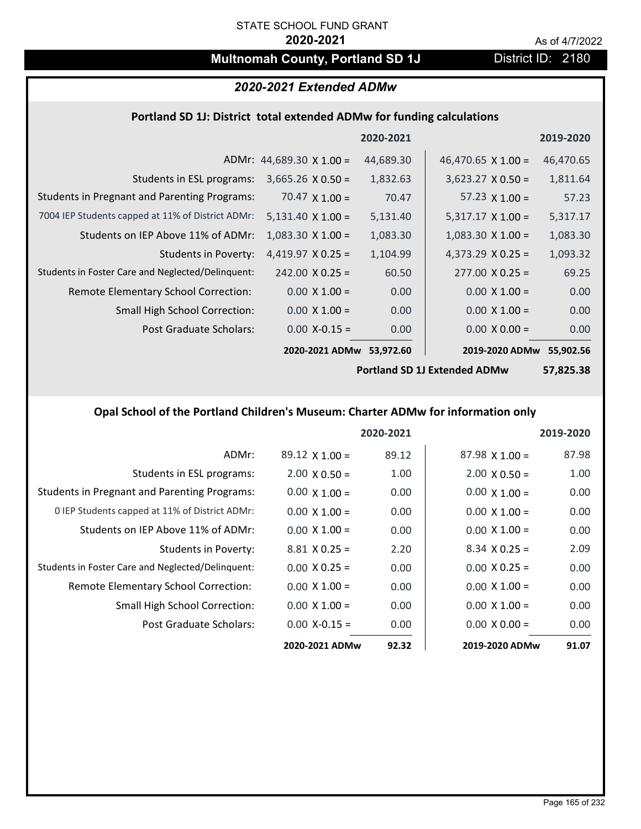# **Multnomah County, Portland SD 1J** District ID: 2180

### *2020-2021 Extended ADMw*

### **Portland SD 1J: District total extended ADMw for funding calculations**

|                                                     |                                 | 2020-2021         |                           | 2019-2020 |
|-----------------------------------------------------|---------------------------------|-------------------|---------------------------|-----------|
|                                                     | ADMr: $44,689.30 \times 1.00 =$ | 44,689.30         | 46,470.65 $\times$ 1.00 = | 46,470.65 |
| Students in ESL programs:                           | $3,665.26 \times 0.50 =$        | 1,832.63          | $3,623.27 \times 0.50 =$  | 1,811.64  |
| <b>Students in Pregnant and Parenting Programs:</b> | 70.47 $\times$ 1.00 =           | 70.47             | 57.23 $\times$ 1.00 =     | 57.23     |
| 7004 IEP Students capped at 11% of District ADMr:   | $5,131.40 \times 1.00 =$        | 5,131.40          | $5,317.17 \times 1.00 =$  | 5,317.17  |
| Students on IEP Above 11% of ADMr:                  | $1,083.30 \times 1.00 =$        | 1,083.30          | $1,083.30 \times 1.00 =$  | 1,083.30  |
| Students in Poverty:                                | $4,419.97$ X 0.25 =             | 1,104.99          | 4,373.29 $X$ 0.25 =       | 1,093.32  |
| Students in Foster Care and Neglected/Delinquent:   | $242.00 \times 0.25 =$          | 60.50             | $277.00 \times 0.25 =$    | 69.25     |
| Remote Elementary School Correction:                | $0.00 \times 1.00 =$            | 0.00              | $0.00 \times 1.00 =$      | 0.00      |
| <b>Small High School Correction:</b>                | $0.00 \times 1.00 =$            | 0.00              | $0.00 \times 1.00 =$      | 0.00      |
| Post Graduate Scholars:                             | $0.00$ X-0.15 =                 | 0.00 <sub>1</sub> | $0.00 \times 0.00 =$      | 0.00      |
|                                                     | 2020-2021 ADMw                  | 53,972.60         | 2019-2020 ADMw            | 55,902.56 |

**Portland SD 1J Extended ADMw**

**57,825.38**

## **Opal School of the Portland Children's Museum: Charter ADMw for information only**

|                                                     |                       | 2020-2021 |                       | 2019-2020 |
|-----------------------------------------------------|-----------------------|-----------|-----------------------|-----------|
| ADMr:                                               | $89.12 \times 1.00 =$ | 89.12     | $87.98 \times 1.00 =$ | 87.98     |
| Students in ESL programs:                           | $2.00 \times 0.50 =$  | 1.00      | $2.00 \times 0.50 =$  | 1.00      |
| <b>Students in Pregnant and Parenting Programs:</b> | $0.00 \times 1.00 =$  | 0.00      | $0.00 \times 1.00 =$  | 0.00      |
| 0 IEP Students capped at 11% of District ADMr:      | $0.00 \times 1.00 =$  | 0.00      | $0.00 \times 1.00 =$  | 0.00      |
| Students on IEP Above 11% of ADMr:                  | $0.00 \times 1.00 =$  | 0.00      | $0.00 \times 1.00 =$  | 0.00      |
| Students in Poverty:                                | $8.81 \times 0.25 =$  | 2.20      | $8.34 \times 0.25 =$  | 2.09      |
| Students in Foster Care and Neglected/Delinquent:   | $0.00 \times 0.25 =$  | 0.00      | $0.00 \times 0.25 =$  | 0.00      |
| Remote Elementary School Correction:                | $0.00 \times 1.00 =$  | 0.00      | $0.00 \times 1.00 =$  | 0.00      |
| <b>Small High School Correction:</b>                | $0.00 \times 1.00 =$  | 0.00      | $0.00 \times 1.00 =$  | 0.00      |
| Post Graduate Scholars:                             | $0.00$ X-0.15 =       | 0.00      | $0.00 \times 0.00 =$  | 0.00      |
|                                                     | 2020-2021 ADMw        | 92.32     | 2019-2020 ADMw        | 91.07     |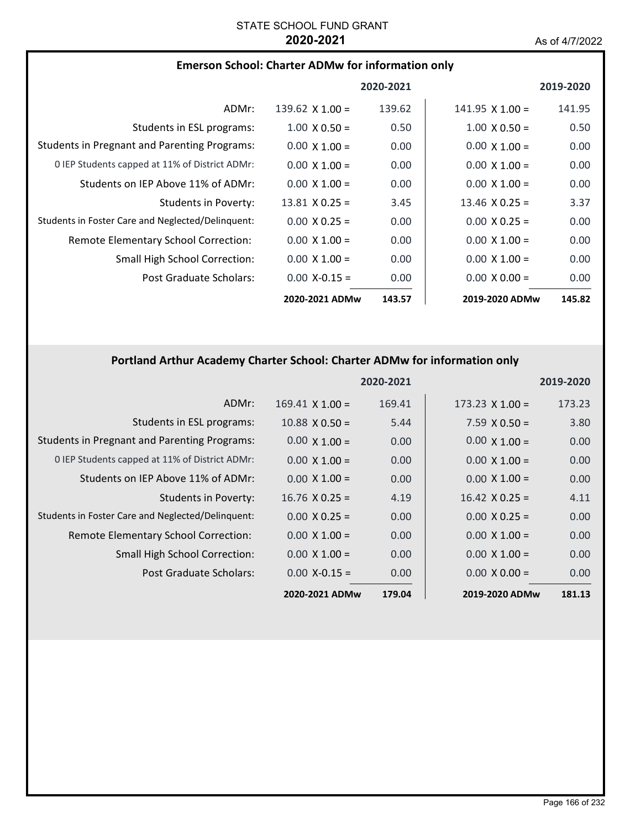| <b>Emerson School: Charter ADMw for information only</b> |  |
|----------------------------------------------------------|--|
|----------------------------------------------------------|--|

|                                                     |                        | 2020-2021 |                        | 2019-2020         |
|-----------------------------------------------------|------------------------|-----------|------------------------|-------------------|
| ADMr:                                               | 139.62 $\times$ 1.00 = | 139.62    | $141.95 \times 1.00 =$ | 141.95            |
| Students in ESL programs:                           | $1.00 \times 0.50 =$   | 0.50      | $1.00 \times 0.50 =$   | 0.50              |
| <b>Students in Pregnant and Parenting Programs:</b> | $0.00 \times 1.00 =$   | 0.00      | $0.00 \times 1.00 =$   | 0.00              |
| 0 IEP Students capped at 11% of District ADMr:      | $0.00 \times 1.00 =$   | 0.00      | $0.00 \times 1.00 =$   | 0.00              |
| Students on IEP Above 11% of ADMr:                  | $0.00 \times 1.00 =$   | 0.00      | $0.00 \times 1.00 =$   | 0.00              |
| Students in Poverty:                                | $13.81 \times 0.25 =$  | 3.45      | $13.46 \times 0.25 =$  | 3.37              |
| Students in Foster Care and Neglected/Delinquent:   | $0.00 \times 0.25 =$   | 0.00      | $0.00 \times 0.25 =$   | 0.00              |
| Remote Elementary School Correction:                | $0.00 \times 1.00 =$   | 0.00      | $0.00 \times 1.00 =$   | 0.00              |
| <b>Small High School Correction:</b>                | $0.00 \times 1.00 =$   | 0.00      | $0.00 \times 1.00 =$   | 0.00              |
| Post Graduate Scholars:                             | $0.00 X - 0.15 =$      | 0.00      | $0.00 \times 0.00 =$   | 0.00 <sub>1</sub> |
|                                                     | 2020-2021 ADMw         | 143.57    | 2019-2020 ADMw         | 145.82            |

# **Portland Arthur Academy Charter School: Charter ADMw for information only**

|                                                     |                        | 2020-2021 |                        | 2019-2020 |
|-----------------------------------------------------|------------------------|-----------|------------------------|-----------|
| ADMr:                                               | $169.41 \times 1.00 =$ | 169.41    | $173.23 \times 1.00 =$ | 173.23    |
| Students in ESL programs:                           | $10.88 \times 0.50 =$  | 5.44      | $7.59 \times 0.50 =$   | 3.80      |
| <b>Students in Pregnant and Parenting Programs:</b> | $0.00 \times 1.00 =$   | 0.00      | $0.00 \times 1.00 =$   | 0.00      |
| 0 IEP Students capped at 11% of District ADMr:      | $0.00 \times 1.00 =$   | 0.00      | $0.00 \times 1.00 =$   | 0.00      |
| Students on IEP Above 11% of ADMr:                  | $0.00 \times 1.00 =$   | 0.00      | $0.00 \times 1.00 =$   | 0.00      |
| <b>Students in Poverty:</b>                         | $16.76 \times 0.25 =$  | 4.19      | $16.42 \times 0.25 =$  | 4.11      |
| Students in Foster Care and Neglected/Delinquent:   | $0.00 \times 0.25 =$   | 0.00      | $0.00 \times 0.25 =$   | 0.00      |
| Remote Elementary School Correction:                | $0.00 \times 1.00 =$   | 0.00      | $0.00 \times 1.00 =$   | 0.00      |
| <b>Small High School Correction:</b>                | $0.00 \times 1.00 =$   | 0.00      | $0.00 \times 1.00 =$   | 0.00      |
| Post Graduate Scholars:                             | $0.00 X - 0.15 =$      | 0.00      | $0.00 \times 0.00 =$   | 0.00      |
|                                                     | 2020-2021 ADMw         | 179.04    | 2019-2020 ADMw         | 181.13    |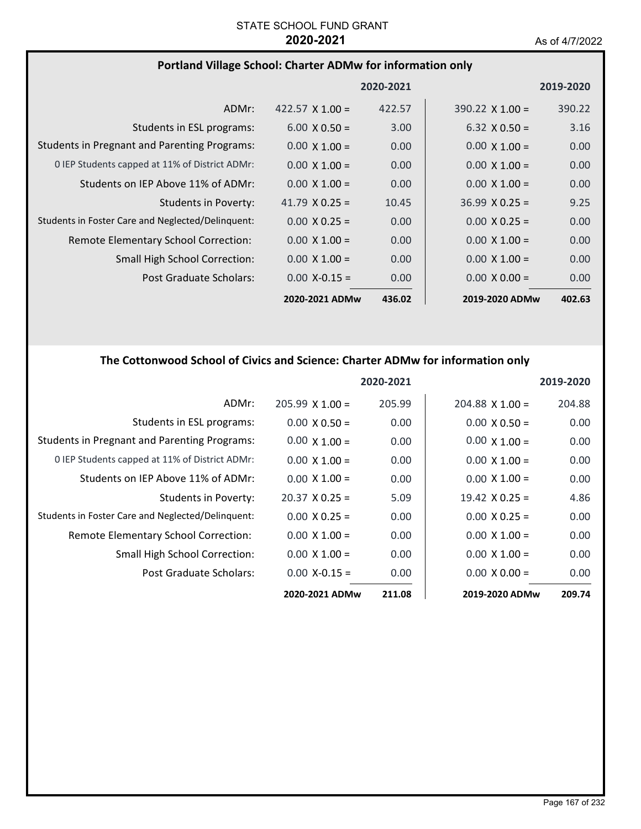# **Portland Village School: Charter ADMw for information only**

|                                                     |                        | 2020-2021 |                        | 2019-2020 |
|-----------------------------------------------------|------------------------|-----------|------------------------|-----------|
| ADMr:                                               | $422.57 \times 1.00 =$ | 422.57    | $390.22 \times 1.00 =$ | 390.22    |
| Students in ESL programs:                           | $6.00 \times 0.50 =$   | 3.00      | $6.32 \times 0.50 =$   | 3.16      |
| <b>Students in Pregnant and Parenting Programs:</b> | $0.00 \times 1.00 =$   | 0.00      | $0.00 \times 1.00 =$   | 0.00      |
| 0 IEP Students capped at 11% of District ADMr:      | $0.00 \times 1.00 =$   | 0.00      | $0.00 \times 1.00 =$   | 0.00      |
| Students on IEP Above 11% of ADMr:                  | $0.00 \times 1.00 =$   | 0.00      | $0.00 \times 1.00 =$   | 0.00      |
| Students in Poverty:                                | 41.79 $\times$ 0.25 =  | 10.45     | $36.99 \times 0.25 =$  | 9.25      |
| Students in Foster Care and Neglected/Delinguent:   | $0.00 \times 0.25 =$   | 0.00      | $0.00 \times 0.25 =$   | 0.00      |
| Remote Elementary School Correction:                | $0.00 \times 1.00 =$   | 0.00      | $0.00 \times 1.00 =$   | 0.00      |
| <b>Small High School Correction:</b>                | $0.00 \times 1.00 =$   | 0.00      | $0.00 \times 1.00 =$   | 0.00      |
| Post Graduate Scholars:                             | $0.00$ X-0.15 =        | 0.00      | $0.00 \times 0.00 =$   | 0.00      |
|                                                     | 2020-2021 ADMw         | 436.02    | 2019-2020 ADMw         | 402.63    |

# **The Cottonwood School of Civics and Science: Charter ADMw for information only**

|                                                     |                       | 2020-2021 |                        | 2019-2020 |
|-----------------------------------------------------|-----------------------|-----------|------------------------|-----------|
| ADMr:                                               | $205.99$ X 1.00 =     | 205.99    | $204.88 \times 1.00 =$ | 204.88    |
| Students in ESL programs:                           | $0.00 \times 0.50 =$  | 0.00      | $0.00 \times 0.50 =$   | 0.00      |
| <b>Students in Pregnant and Parenting Programs:</b> | $0.00 \times 1.00 =$  | 0.00      | $0.00 \times 1.00 =$   | 0.00      |
| 0 IEP Students capped at 11% of District ADMr:      | $0.00 \times 1.00 =$  | 0.00      | $0.00 \times 1.00 =$   | 0.00      |
| Students on IEP Above 11% of ADMr:                  | $0.00 \times 1.00 =$  | 0.00      | $0.00 \times 1.00 =$   | 0.00      |
| Students in Poverty:                                | $20.37 \times 0.25 =$ | 5.09      | $19.42 \times 0.25 =$  | 4.86      |
| Students in Foster Care and Neglected/Delinquent:   | $0.00 \times 0.25 =$  | 0.00      | $0.00 \times 0.25 =$   | 0.00      |
| Remote Elementary School Correction:                | $0.00 \times 1.00 =$  | 0.00      | $0.00 \times 1.00 =$   | 0.00      |
| <b>Small High School Correction:</b>                | $0.00 \times 1.00 =$  | 0.00      | $0.00 \times 1.00 =$   | 0.00      |
| Post Graduate Scholars:                             | $0.00 X-0.15 =$       | 0.00      | $0.00 \times 0.00 =$   | 0.00      |
|                                                     | 2020-2021 ADMw        | 211.08    | 2019-2020 ADMw         | 209.74    |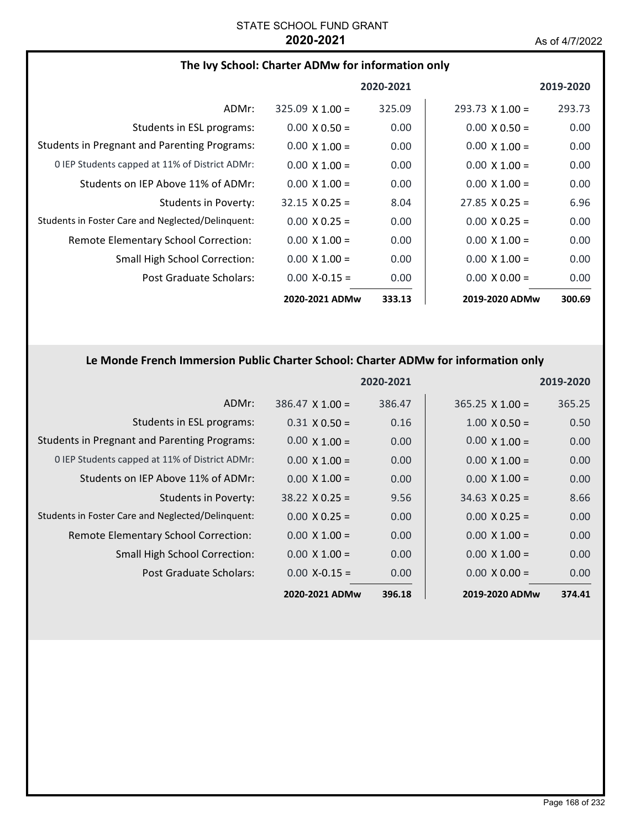### **The Ivy School: Charter ADMw for information only**

|                                                     |                        | 2020-2021 |                        | 2019-2020 |
|-----------------------------------------------------|------------------------|-----------|------------------------|-----------|
| ADMr:                                               | $325.09 \times 1.00 =$ | 325.09    | $293.73 \times 1.00 =$ | 293.73    |
| Students in ESL programs:                           | $0.00 \times 0.50 =$   | 0.00      | $0.00 \times 0.50 =$   | 0.00      |
| <b>Students in Pregnant and Parenting Programs:</b> | $0.00 \times 1.00 =$   | 0.00      | $0.00 \times 1.00 =$   | 0.00      |
| 0 IEP Students capped at 11% of District ADMr:      | $0.00 \times 1.00 =$   | 0.00      | $0.00 \times 1.00 =$   | 0.00      |
| Students on IEP Above 11% of ADMr:                  | $0.00 \times 1.00 =$   | 0.00      | $0.00 \times 1.00 =$   | 0.00      |
| Students in Poverty:                                | $32.15 \times 0.25 =$  | 8.04      | $27.85 \times 0.25 =$  | 6.96      |
| Students in Foster Care and Neglected/Delinquent:   | $0.00 \times 0.25 =$   | 0.00      | $0.00 \times 0.25 =$   | 0.00      |
| Remote Elementary School Correction:                | $0.00 \times 1.00 =$   | 0.00      | $0.00 \times 1.00 =$   | 0.00      |
| Small High School Correction:                       | $0.00 \times 1.00 =$   | 0.00      | $0.00 \times 1.00 =$   | 0.00      |
| Post Graduate Scholars:                             | $0.00 X - 0.15 =$      | 0.00      | $0.00 \times 0.00 =$   | 0.00      |
|                                                     | 2020-2021 ADMw         | 333.13    | 2019-2020 ADMw         | 300.69    |

# **Le Monde French Immersion Public Charter School: Charter ADMw for information only**

|                                                     |                        | 2020-2021 |                        | 2019-2020 |
|-----------------------------------------------------|------------------------|-----------|------------------------|-----------|
| ADMr:                                               | $386.47 \times 1.00 =$ | 386.47    | $365.25 \times 1.00 =$ | 365.25    |
| Students in ESL programs:                           | $0.31 \times 0.50 =$   | 0.16      | $1.00 \times 0.50 =$   | 0.50      |
| <b>Students in Pregnant and Parenting Programs:</b> | $0.00 \times 1.00 =$   | 0.00      | $0.00 \times 1.00 =$   | 0.00      |
| 0 IEP Students capped at 11% of District ADMr:      | $0.00 \times 1.00 =$   | 0.00      | $0.00 \times 1.00 =$   | 0.00      |
| Students on IEP Above 11% of ADMr:                  | $0.00 \times 1.00 =$   | 0.00      | $0.00 \times 1.00 =$   | 0.00      |
| <b>Students in Poverty:</b>                         | $38.22 \times 0.25 =$  | 9.56      | $34.63 \times 0.25 =$  | 8.66      |
| Students in Foster Care and Neglected/Delinquent:   | $0.00 \times 0.25 =$   | 0.00      | $0.00 \times 0.25 =$   | 0.00      |
| Remote Elementary School Correction:                | $0.00 \times 1.00 =$   | 0.00      | $0.00 \times 1.00 =$   | 0.00      |
| <b>Small High School Correction:</b>                | $0.00 \times 1.00 =$   | 0.00      | $0.00 \times 1.00 =$   | 0.00      |
| Post Graduate Scholars:                             | $0.00 X - 0.15 =$      | 0.00      | $0.00 \times 0.00 =$   | 0.00      |
|                                                     | 2020-2021 ADMw         | 396.18    | 2019-2020 ADMw         | 374.41    |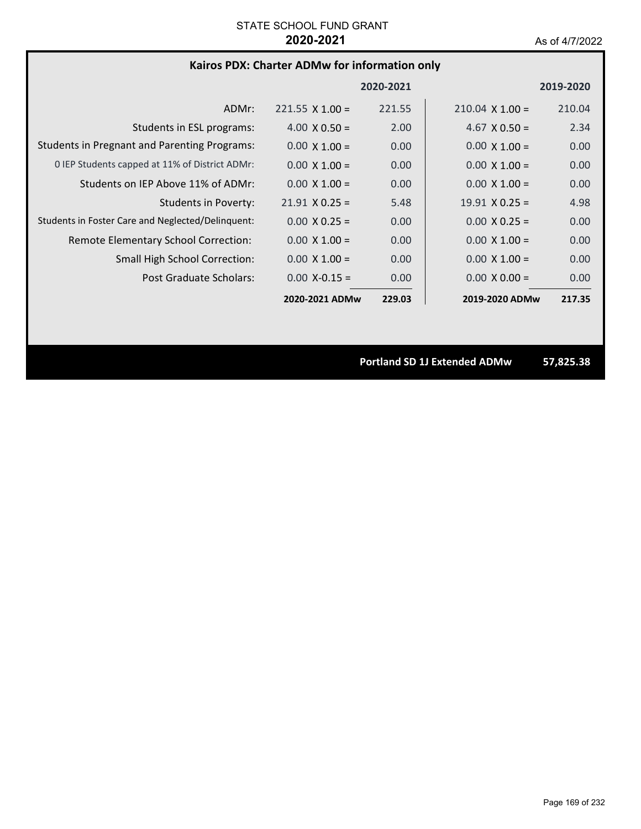# **Kairos PDX: Charter ADMw for information only**

|                                                     |                        | 2020-2021 |                        | 2019-2020 |
|-----------------------------------------------------|------------------------|-----------|------------------------|-----------|
| ADMr:                                               | $221.55 \times 1.00 =$ | 221.55    | $210.04 \times 1.00 =$ | 210.04    |
| Students in ESL programs:                           | $4.00 \times 0.50 =$   | 2.00      | $4.67 \times 0.50 =$   | 2.34      |
| <b>Students in Pregnant and Parenting Programs:</b> | $0.00 \times 1.00 =$   | 0.00      | $0.00 \times 1.00 =$   | 0.00      |
| 0 IEP Students capped at 11% of District ADMr:      | $0.00 \times 1.00 =$   | 0.00      | $0.00 \times 1.00 =$   | 0.00      |
| Students on IEP Above 11% of ADMr:                  | $0.00 \times 1.00 =$   | 0.00      | $0.00 \times 1.00 =$   | 0.00      |
| Students in Poverty:                                | $21.91 \times 0.25 =$  | 5.48      | $19.91 \times 0.25 =$  | 4.98      |
| Students in Foster Care and Neglected/Delinguent:   | $0.00 \times 0.25 =$   | 0.00      | $0.00 \times 0.25 =$   | 0.00      |
| Remote Elementary School Correction:                | $0.00 \times 1.00 =$   | 0.00      | $0.00 \times 1.00 =$   | 0.00      |
| <b>Small High School Correction:</b>                | $0.00 \times 1.00 =$   | 0.00      | $0.00 \times 1.00 =$   | 0.00      |
| <b>Post Graduate Scholars:</b>                      | $0.00 X - 0.15 =$      | 0.00      | $0.00 \times 0.00 =$   | 0.00      |
|                                                     | 2020-2021 ADMw         | 229.03    | 2019-2020 ADMw         | 217.35    |

**Portland SD 1J Extended ADMw 57,825.38**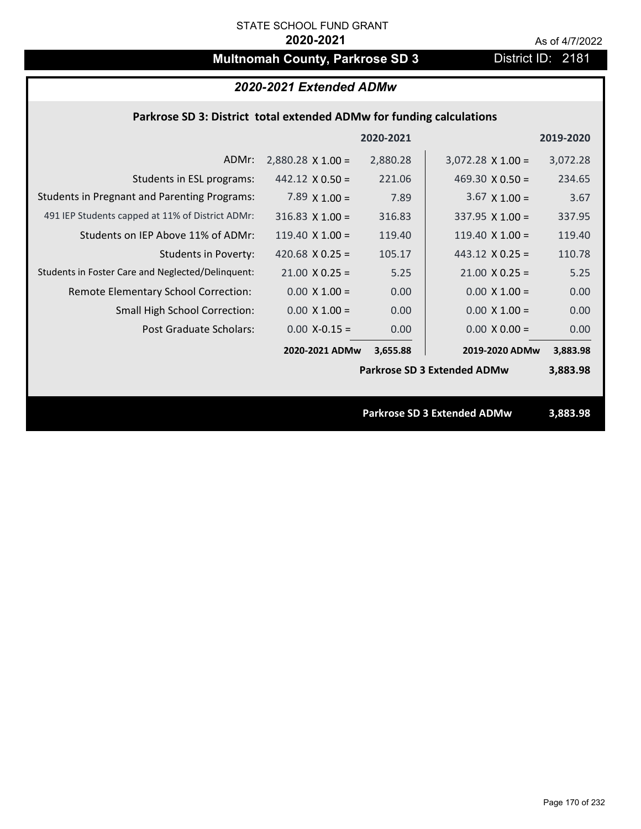# **Multnomah County, Parkrose SD 3** District ID: 2181

# *2020-2021 Extended ADMw*

### **Parkrose SD 3: District total extended ADMw for funding calculations**

| 2020-2021<br>2019-2020                                                                                      |          |
|-------------------------------------------------------------------------------------------------------------|----------|
| $2,880.28 \times 1.00 =$<br>2,880.28<br>$3,072.28 \times 1.00 =$<br>ADMr:<br>3,072.28                       |          |
| 221.06<br>469.30 $\times$ 0.50 =<br>Students in ESL programs:<br>$442.12 \times 0.50 =$                     | 234.65   |
| <b>Students in Pregnant and Parenting Programs:</b><br>7.89 $\times$ 1.00 =<br>7.89<br>$3.67 \times 1.00 =$ | 3.67     |
| 491 IEP Students capped at 11% of District ADMr:<br>316.83<br>$316.83$ X 1.00 =<br>$337.95 \times 1.00 =$   | 337.95   |
| Students on IEP Above 11% of ADMr:<br>$119.40 \times 1.00 =$<br>119.40 $X$ 1.00 =<br>119.40                 | 119.40   |
| <b>Students in Poverty:</b><br>420.68 $X$ 0.25 =<br>443.12 $X$ 0.25 =<br>105.17                             | 110.78   |
| Students in Foster Care and Neglected/Delinquent:<br>$21.00 \times 0.25 =$<br>$21.00 \times 0.25 =$<br>5.25 | 5.25     |
| 0.00<br>$0.00 \times 1.00 =$<br>Remote Elementary School Correction:<br>$0.00 \times 1.00 =$                | 0.00     |
| <b>Small High School Correction:</b><br>$0.00 \times 1.00 =$<br>0.00<br>$0.00 \times 1.00 =$                | 0.00     |
| Post Graduate Scholars:<br>$0.00$ X-0.15 =<br>0.00<br>$0.00 \times 0.00 =$                                  | 0.00     |
| 2020-2021 ADMw<br>2019-2020 ADMw<br>3,655.88                                                                | 3,883.98 |
| <b>Parkrose SD 3 Extended ADMw</b><br>3,883.98                                                              |          |
|                                                                                                             |          |
| <b>Parkrose SD 3 Extended ADMw</b><br>3,883.98                                                              |          |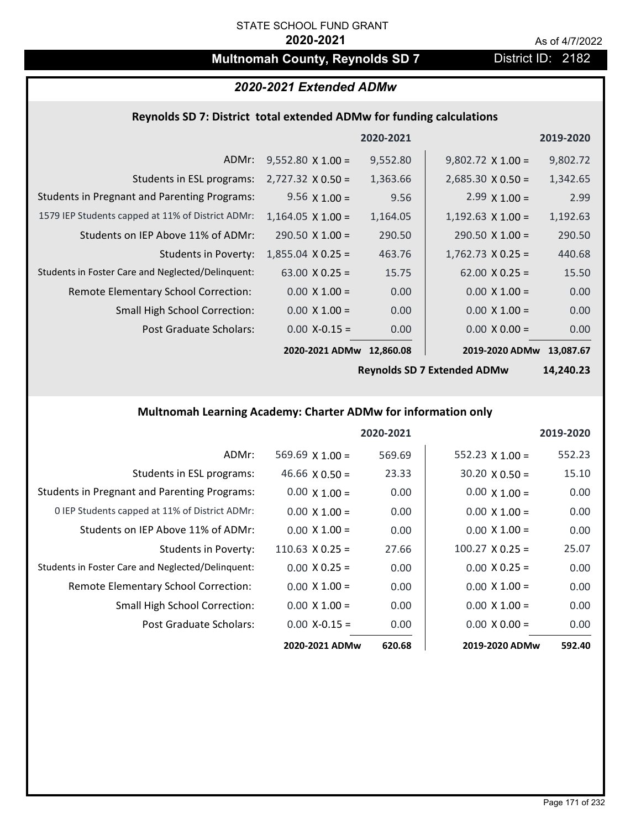# **Multnomah County, Reynolds SD 7** District ID: 2182

# *2020-2021 Extended ADMw*

# **Reynolds SD 7: District total extended ADMw for funding calculations**

|                                                     |                          | 2020-2021 |                          | 2019-2020 |
|-----------------------------------------------------|--------------------------|-----------|--------------------------|-----------|
| ADMr:                                               | $9,552.80 \times 1.00 =$ | 9,552.80  | $9,802.72 \times 1.00 =$ | 9,802.72  |
| Students in ESL programs:                           | $2,727.32 \times 0.50 =$ | 1,363.66  | $2,685.30 \times 0.50 =$ | 1,342.65  |
| <b>Students in Pregnant and Parenting Programs:</b> | 9.56 $\times$ 1.00 =     | 9.56      | $2.99 \times 1.00 =$     | 2.99      |
| 1579 IEP Students capped at 11% of District ADMr:   | $1,164.05 \times 1.00 =$ | 1,164.05  | $1,192.63 \times 1.00 =$ | 1,192.63  |
| Students on IEP Above 11% of ADMr:                  | $290.50 \times 1.00 =$   | 290.50    | $290.50 \times 1.00 =$   | 290.50    |
| <b>Students in Poverty:</b>                         | $1,855.04 \times 0.25 =$ | 463.76    | $1,762.73 \times 0.25 =$ | 440.68    |
| Students in Foster Care and Neglected/Delinquent:   | $63.00 \times 0.25 =$    | 15.75     | $62.00 \times 0.25 =$    | 15.50     |
| Remote Elementary School Correction:                | $0.00 \times 1.00 =$     | 0.00      | $0.00 \times 1.00 =$     | 0.00      |
| <b>Small High School Correction:</b>                | $0.00 \times 1.00 =$     | 0.00      | $0.00 \times 1.00 =$     | 0.00      |
| Post Graduate Scholars:                             | $0.00$ X-0.15 =          | 0.00      | $0.00 \times 0.00 =$     | 0.00      |
|                                                     | 2020-2021 ADMw           | 12,860.08 | 2019-2020 ADMw           | 13,087.67 |

**Reynolds SD 7 Extended ADMw**

**14,240.23**

## **Multnomah Learning Academy: Charter ADMw for information only**

|                                                     |                       | 2020-2021 |                        | 2019-2020 |
|-----------------------------------------------------|-----------------------|-----------|------------------------|-----------|
| ADMr:                                               | 569.69 $X$ 1.00 =     | 569.69    | 552.23 $X$ 1.00 =      | 552.23    |
| Students in ESL programs:                           | 46.66 $\times$ 0.50 = | 23.33     | $30.20 \times 0.50 =$  | 15.10     |
| <b>Students in Pregnant and Parenting Programs:</b> | $0.00 \times 1.00 =$  | 0.00      | $0.00 \times 1.00 =$   | 0.00      |
| 0 IEP Students capped at 11% of District ADMr:      | $0.00 \times 1.00 =$  | 0.00      | $0.00 \times 1.00 =$   | 0.00      |
| Students on IEP Above 11% of ADMr:                  | $0.00 \times 1.00 =$  | 0.00      | $0.00 \times 1.00 =$   | 0.00      |
| Students in Poverty:                                | $110.63$ X 0.25 =     | 27.66     | $100.27 \times 0.25 =$ | 25.07     |
| Students in Foster Care and Neglected/Delinquent:   | $0.00 \times 0.25 =$  | 0.00      | $0.00 \times 0.25 =$   | 0.00      |
| Remote Elementary School Correction:                | $0.00 \times 1.00 =$  | 0.00      | $0.00 \times 1.00 =$   | 0.00      |
| <b>Small High School Correction:</b>                | $0.00 \times 1.00 =$  | 0.00      | $0.00 \times 1.00 =$   | 0.00      |
| Post Graduate Scholars:                             | $0.00$ X-0.15 =       | 0.00      | $0.00 \times 0.00 =$   | 0.00      |
|                                                     | 2020-2021 ADMw        | 620.68    | 2019-2020 ADMw         | 592.40    |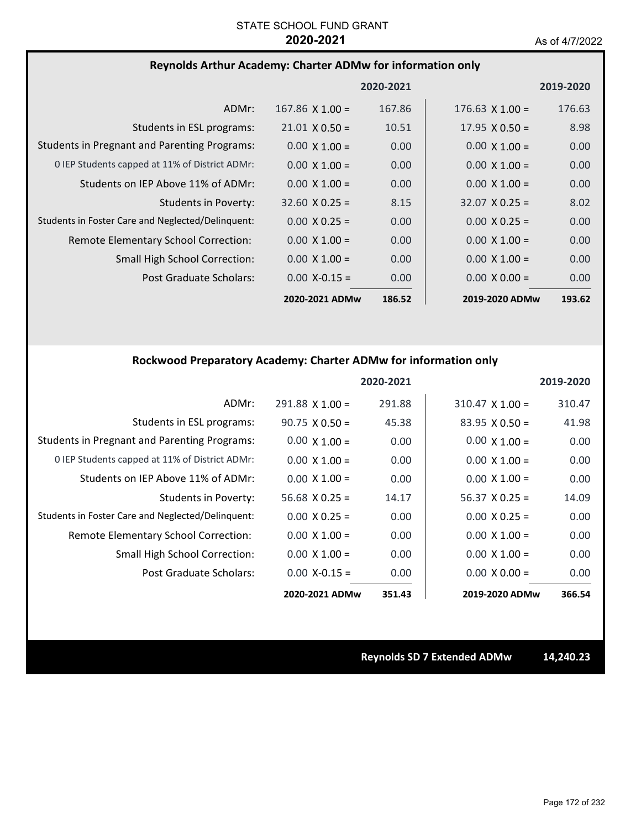## **Reynolds Arthur Academy: Charter ADMw for information only**

|                                                     |                        | 2020-2021 |                        | 2019-2020         |
|-----------------------------------------------------|------------------------|-----------|------------------------|-------------------|
| ADMr:                                               | $167.86 \times 1.00 =$ | 167.86    | $176.63 \times 1.00 =$ | 176.63            |
| Students in ESL programs:                           | $21.01 \times 0.50 =$  | 10.51     | $17.95 \times 0.50 =$  | 8.98              |
| <b>Students in Pregnant and Parenting Programs:</b> | $0.00 \times 1.00 =$   | 0.00      | $0.00 \times 1.00 =$   | 0.00              |
| 0 IEP Students capped at 11% of District ADMr:      | $0.00 \times 1.00 =$   | 0.00      | $0.00 \times 1.00 =$   | 0.00              |
| Students on IEP Above 11% of ADMr:                  | $0.00 \times 1.00 =$   | 0.00      | $0.00 \times 1.00 =$   | 0.00              |
| Students in Poverty:                                | $32.60 \times 0.25 =$  | 8.15      | $32.07 \times 0.25 =$  | 8.02              |
| Students in Foster Care and Neglected/Delinquent:   | $0.00 \times 0.25 =$   | 0.00      | $0.00 \times 0.25 =$   | 0.00 <sub>1</sub> |
| Remote Elementary School Correction:                | $0.00 \times 1.00 =$   | 0.00      | $0.00 \times 1.00 =$   | 0.00              |
| <b>Small High School Correction:</b>                | $0.00 \times 1.00 =$   | 0.00      | $0.00 \times 1.00 =$   | 0.00              |
| Post Graduate Scholars:                             | $0.00$ X-0.15 =        | 0.00      | $0.00 \times 0.00 =$   | 0.00 <sub>1</sub> |
|                                                     | 2020-2021 ADMw         | 186.52    | 2019-2020 ADMw         | 193.62            |

### **Rockwood Preparatory Academy: Charter ADMw for information only**

|                                                     |                        | 2020-2021 |                        | 2019-2020 |
|-----------------------------------------------------|------------------------|-----------|------------------------|-----------|
| ADMr:                                               | $291.88 \times 1.00 =$ | 291.88    | $310.47 \times 1.00 =$ | 310.47    |
| Students in ESL programs:                           | $90.75 \times 0.50 =$  | 45.38     | $83.95 \times 0.50 =$  | 41.98     |
| <b>Students in Pregnant and Parenting Programs:</b> | $0.00 \times 1.00 =$   | 0.00      | $0.00 \times 1.00 =$   | 0.00      |
| 0 IEP Students capped at 11% of District ADMr:      | $0.00 \times 1.00 =$   | 0.00      | $0.00 \times 1.00 =$   | 0.00      |
| Students on IEP Above 11% of ADMr:                  | $0.00 \times 1.00 =$   | 0.00      | $0.00 \times 1.00 =$   | 0.00      |
| Students in Poverty:                                | $56.68 \times 0.25 =$  | 14.17     | $56.37 \times 0.25 =$  | 14.09     |
| Students in Foster Care and Neglected/Delinquent:   | $0.00 \times 0.25 =$   | 0.00      | $0.00 \times 0.25 =$   | 0.00      |
| Remote Elementary School Correction:                | $0.00 \times 1.00 =$   | 0.00      | $0.00 \times 1.00 =$   | 0.00      |
| Small High School Correction:                       | $0.00 \times 1.00 =$   | 0.00      | $0.00 \times 1.00 =$   | 0.00      |
| Post Graduate Scholars:                             | $0.00 X - 0.15 =$      | 0.00      | $0.00 \times 0.00 =$   | 0.00      |
|                                                     | 2020-2021 ADMw         | 351.43    | 2019-2020 ADMw         | 366.54    |

**Reynolds SD 7 Extended ADMw 14,240.23**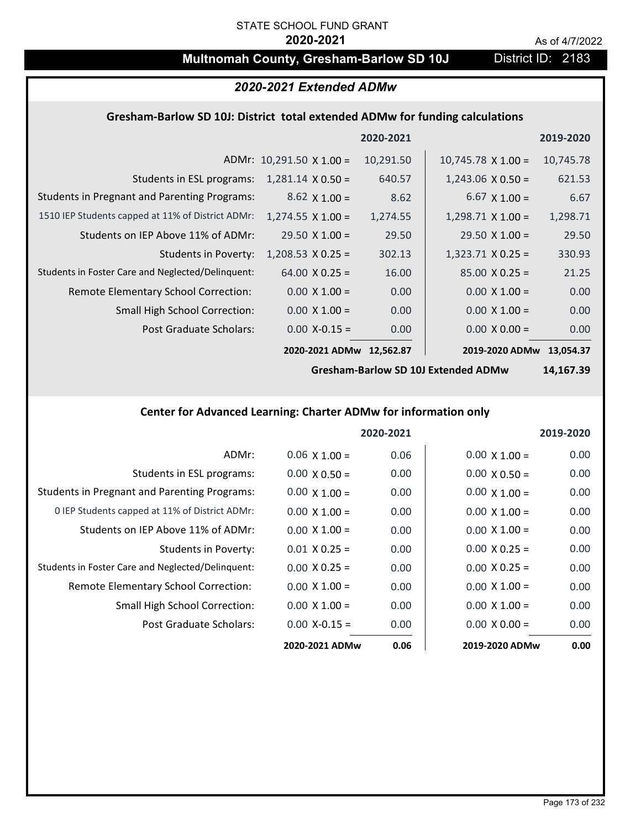# **Multnomah County, Gresham-Barlow SD 10J** District ID: 2183

### *2020-2021 Extended ADMw*

# **Gresham‐Barlow SD 10J: District total extended ADMw for funding calculations**

|                                                     |                                 | 2020-2021 |                           | 2019-2020 |
|-----------------------------------------------------|---------------------------------|-----------|---------------------------|-----------|
|                                                     | ADMr: $10,291.50 \times 1.00 =$ | 10,291.50 | $10,745.78 \times 1.00 =$ | 10,745.78 |
| Students in ESL programs:                           | $1,281.14 \times 0.50 =$        | 640.57    | $1,243.06 \times 0.50 =$  | 621.53    |
| <b>Students in Pregnant and Parenting Programs:</b> | $8.62 \times 1.00 =$            | 8.62      | $6.67 \times 1.00 =$      | 6.67      |
| 1510 IEP Students capped at 11% of District ADMr:   | $1,274.55 \times 1.00 =$        | 1,274.55  | $1,298.71 \times 1.00 =$  | 1,298.71  |
| Students on IEP Above 11% of ADMr:                  | $29.50 \times 1.00 =$           | 29.50     | $29.50 \times 1.00 =$     | 29.50     |
| <b>Students in Poverty:</b>                         | $1,208.53 \times 0.25 =$        | 302.13    | $1,323.71$ X 0.25 =       | 330.93    |
| Students in Foster Care and Neglected/Delinquent:   | $64.00 \times 0.25 =$           | 16.00     | $85.00 \times 0.25 =$     | 21.25     |
| Remote Elementary School Correction:                | $0.00 \times 1.00 =$            | 0.00      | $0.00 \times 1.00 =$      | 0.00      |
| <b>Small High School Correction:</b>                | $0.00 \times 1.00 =$            | 0.00      | $0.00 \times 1.00 =$      | 0.00      |
| Post Graduate Scholars:                             | $0.00$ X-0.15 =                 | 0.00      | $0.00 \times 0.00 =$      | 0.00      |
|                                                     | 2020-2021 ADMw                  | 12,562.87 | 2019-2020 ADMw            | 13.054.37 |

**Gresham‐Barlow SD 10J Extended ADMw**

**14,167.39**

# **Center for Advanced Learning: Charter ADMw for information only**

|                                                     |                      | 2020-2021 |                      | 2019-2020 |
|-----------------------------------------------------|----------------------|-----------|----------------------|-----------|
| ADMr:                                               | $0.06 \times 1.00 =$ | 0.06      | $0.00 \times 1.00 =$ | 0.00      |
| Students in ESL programs:                           | $0.00 \times 0.50 =$ | 0.00      | $0.00 \times 0.50 =$ | 0.00      |
| <b>Students in Pregnant and Parenting Programs:</b> | $0.00 \times 1.00 =$ | 0.00      | $0.00 \times 1.00 =$ | 0.00      |
| 0 IEP Students capped at 11% of District ADMr:      | $0.00 \times 1.00 =$ | 0.00      | $0.00 \times 1.00 =$ | 0.00      |
| Students on IEP Above 11% of ADMr:                  | $0.00 \times 1.00 =$ | 0.00      | $0.00 \times 1.00 =$ | 0.00      |
| Students in Poverty:                                | $0.01 \times 0.25 =$ | 0.00      | $0.00 \times 0.25 =$ | 0.00      |
| Students in Foster Care and Neglected/Delinquent:   | $0.00 \times 0.25 =$ | 0.00      | $0.00 \times 0.25 =$ | 0.00      |
| Remote Elementary School Correction:                | $0.00 \times 1.00 =$ | 0.00      | $0.00 \times 1.00 =$ | 0.00      |
| <b>Small High School Correction:</b>                | $0.00 \times 1.00 =$ | 0.00      | $0.00 \times 1.00 =$ | 0.00      |
| Post Graduate Scholars:                             | $0.00 X - 0.15 =$    | 0.00      | $0.00 \times 0.00 =$ | 0.00      |
|                                                     | 2020-2021 ADMw       | 0.06      | 2019-2020 ADMw       | 0.00      |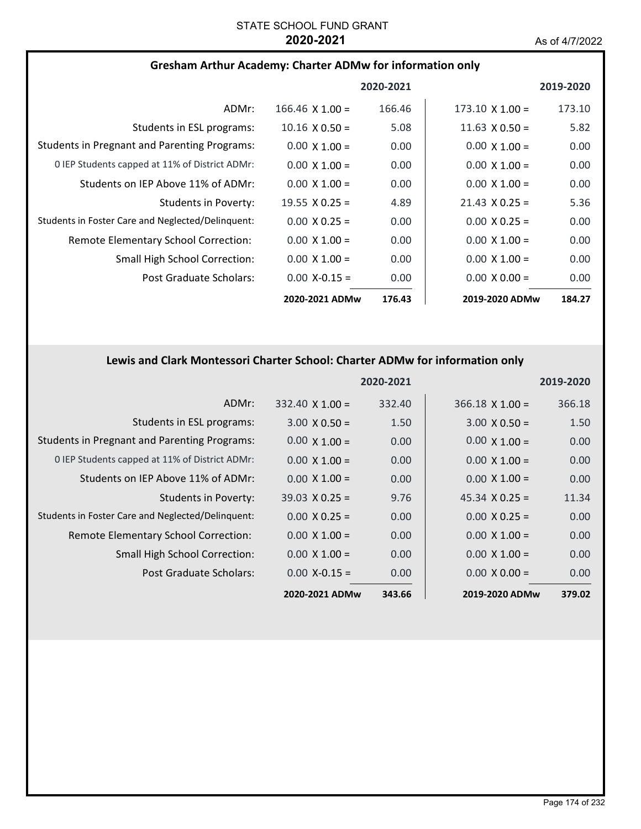| <b>Gresham Arthur Academy: Charter ADMw for information only</b> |  |
|------------------------------------------------------------------|--|
|------------------------------------------------------------------|--|

|                                                     |                        | 2020-2021 |                        | 2019-2020 |
|-----------------------------------------------------|------------------------|-----------|------------------------|-----------|
| ADMr:                                               | $166.46 \times 1.00 =$ | 166.46    | $173.10 \times 1.00 =$ | 173.10    |
| Students in ESL programs:                           | $10.16 \times 0.50 =$  | 5.08      | 11.63 $\times$ 0.50 =  | 5.82      |
| <b>Students in Pregnant and Parenting Programs:</b> | $0.00 \times 1.00 =$   | 0.00      | $0.00 \times 1.00 =$   | 0.00      |
| 0 IEP Students capped at 11% of District ADMr:      | $0.00 \times 1.00 =$   | 0.00      | $0.00 \times 1.00 =$   | 0.00      |
| Students on IEP Above 11% of ADMr:                  | $0.00 \times 1.00 =$   | 0.00      | $0.00 \times 1.00 =$   | 0.00      |
| Students in Poverty:                                | 19.55 $\times$ 0.25 =  | 4.89      | $21.43 \times 0.25 =$  | 5.36      |
| Students in Foster Care and Neglected/Delinquent:   | $0.00 \times 0.25 =$   | 0.00      | $0.00 \times 0.25 =$   | 0.00      |
| Remote Elementary School Correction:                | $0.00 \times 1.00 =$   | 0.00      | $0.00 \times 1.00 =$   | 0.00      |
| Small High School Correction:                       | $0.00 \times 1.00 =$   | 0.00      | $0.00 \times 1.00 =$   | 0.00      |
| Post Graduate Scholars:                             | $0.00 X - 0.15 =$      | 0.00      | $0.00 \times 0.00 =$   | 0.00      |
|                                                     | 2020-2021 ADMw         | 176.43    | 2019-2020 ADMw         | 184.27    |

# **Lewis and Clark Montessori Charter School: Charter ADMw for information only**

|                                                     |                        | 2020-2021 |                        | 2019-2020 |
|-----------------------------------------------------|------------------------|-----------|------------------------|-----------|
| ADMr:                                               | $332.40 \times 1.00 =$ | 332.40    | $366.18 \times 1.00 =$ | 366.18    |
| Students in ESL programs:                           | $3.00 \times 0.50 =$   | 1.50      | $3.00 \times 0.50 =$   | 1.50      |
| <b>Students in Pregnant and Parenting Programs:</b> | $0.00 \times 1.00 =$   | 0.00      | $0.00 \times 1.00 =$   | 0.00      |
| 0 IEP Students capped at 11% of District ADMr:      | $0.00 \times 1.00 =$   | 0.00      | $0.00 \times 1.00 =$   | 0.00      |
| Students on IEP Above 11% of ADMr:                  | $0.00 \times 1.00 =$   | 0.00      | $0.00 \times 1.00 =$   | 0.00      |
| Students in Poverty:                                | $39.03 \times 0.25 =$  | 9.76      | $45.34 \times 0.25 =$  | 11.34     |
| Students in Foster Care and Neglected/Delinquent:   | $0.00 \times 0.25 =$   | 0.00      | $0.00 \times 0.25 =$   | 0.00      |
| Remote Elementary School Correction:                | $0.00 \times 1.00 =$   | 0.00      | $0.00 \times 1.00 =$   | 0.00      |
| <b>Small High School Correction:</b>                | $0.00 \times 1.00 =$   | 0.00      | $0.00 \times 1.00 =$   | 0.00      |
| Post Graduate Scholars:                             | $0.00$ X-0.15 =        | 0.00      | $0.00 \times 0.00 =$   | 0.00      |
|                                                     | 2020-2021 ADMw         | 343.66    | 2019-2020 ADMw         | 379.02    |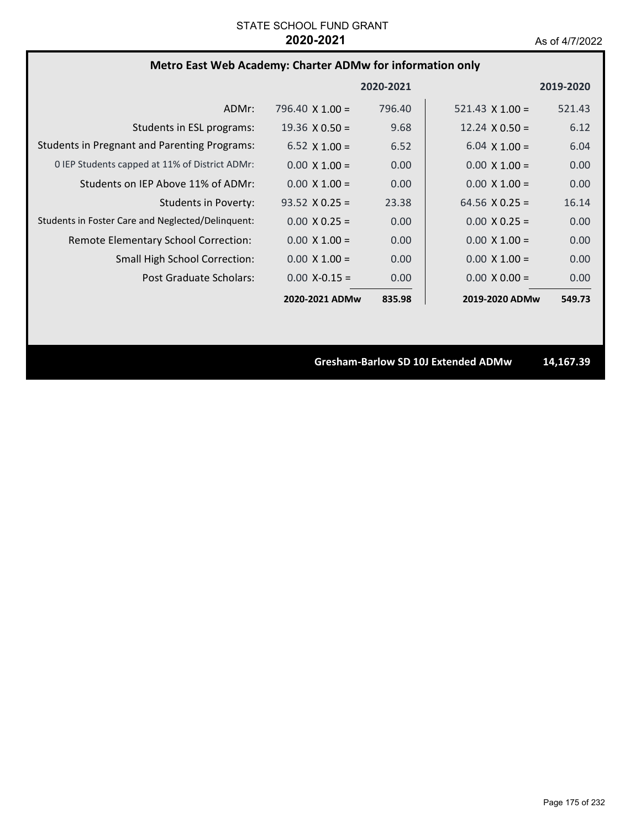# **Metro East Web Academy: Charter ADMw for information only**

|                                                     |                        | 2020-2021         |                        | 2019-2020 |
|-----------------------------------------------------|------------------------|-------------------|------------------------|-----------|
| ADMr:                                               | 796.40 $\times$ 1.00 = | 796.40            | 521.43 $\times$ 1.00 = | 521.43    |
| Students in ESL programs:                           | $19.36 \times 0.50 =$  | 9.68              | 12.24 $\times$ 0.50 =  | 6.12      |
| <b>Students in Pregnant and Parenting Programs:</b> | $6.52 \times 1.00 =$   | 6.52              | $6.04 \times 1.00 =$   | 6.04      |
| 0 IEP Students capped at 11% of District ADMr:      | $0.00 \times 1.00 =$   | 0.00              | $0.00 \times 1.00 =$   | 0.00      |
| Students on IEP Above 11% of ADMr:                  | $0.00 \times 1.00 =$   | 0.00              | $0.00 \times 1.00 =$   | 0.00      |
| Students in Poverty:                                | $93.52 \times 0.25 =$  | 23.38             | 64.56 $\times$ 0.25 =  | 16.14     |
| Students in Foster Care and Neglected/Delinquent:   | $0.00 \times 0.25 =$   | 0.00              | $0.00 \times 0.25 =$   | 0.00      |
| Remote Elementary School Correction:                | $0.00 \times 1.00 =$   | 0.00 <sub>1</sub> | $0.00 \times 1.00 =$   | 0.00      |
| <b>Small High School Correction:</b>                | $0.00 \times 1.00 =$   | 0.00              | $0.00 \times 1.00 =$   | 0.00      |
| Post Graduate Scholars:                             | $0.00 X - 0.15 =$      | 0.00              | $0.00 \times 0.00 =$   | 0.00      |
|                                                     | 2020-2021 ADMw         | 835.98            | 2019-2020 ADMw         | 549.73    |

**Gresham‐Barlow SD 10J Extended ADMw 14,167.39**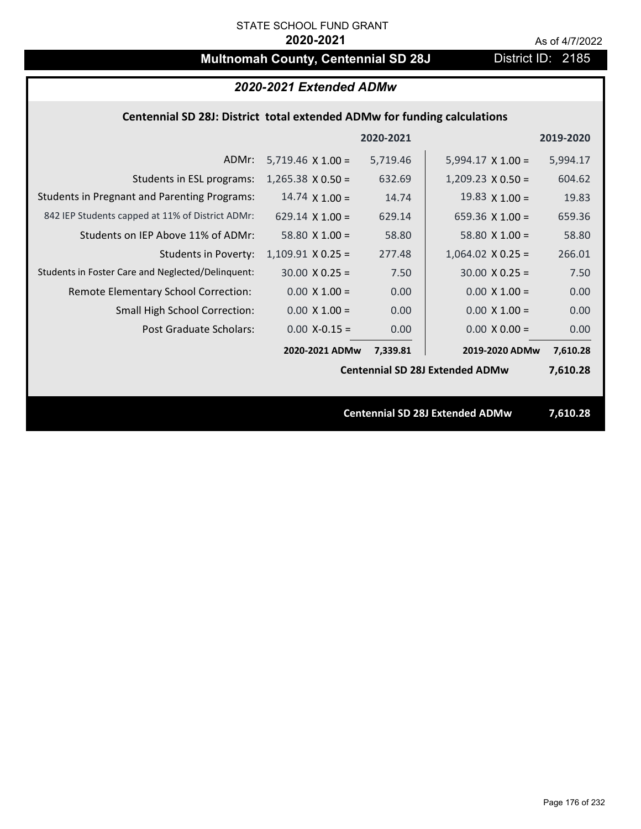# **Multnomah County, Centennial SD 28J** District ID: 2185

# *2020-2021 Extended ADMw*

### **Centennial SD 28J: District total extended ADMw for funding calculations**

|                                                     |                          | 2020-2021 |                                        | 2019-2020 |
|-----------------------------------------------------|--------------------------|-----------|----------------------------------------|-----------|
| ADMr:                                               | $5,719.46 \times 1.00 =$ | 5,719.46  | $5,994.17 \times 1.00 =$               | 5,994.17  |
| Students in ESL programs:                           | $1,265.38 \times 0.50 =$ | 632.69    | $1,209.23 \times 0.50 =$               | 604.62    |
| <b>Students in Pregnant and Parenting Programs:</b> | 14.74 $\times$ 1.00 =    | 14.74     | 19.83 $\times$ 1.00 =                  | 19.83     |
| 842 IEP Students capped at 11% of District ADMr:    | 629.14 $\times$ 1.00 =   | 629.14    | 659.36 $\times$ 1.00 =                 | 659.36    |
| Students on IEP Above 11% of ADMr:                  | 58.80 $X$ 1.00 =         | 58.80     | 58.80 $X$ 1.00 =                       | 58.80     |
| <b>Students in Poverty:</b>                         | $1,109.91$ X 0.25 =      | 277.48    | $1,064.02$ X 0.25 =                    | 266.01    |
| Students in Foster Care and Neglected/Delinquent:   | $30.00 \times 0.25 =$    | 7.50      | $30.00 \times 0.25 =$                  | 7.50      |
| Remote Elementary School Correction:                | $0.00 \times 1.00 =$     | 0.00      | $0.00 \times 1.00 =$                   | 0.00      |
| <b>Small High School Correction:</b>                | $0.00 \times 1.00 =$     | 0.00      | $0.00 \times 1.00 =$                   | 0.00      |
| Post Graduate Scholars:                             | $0.00$ X-0.15 =          | 0.00      | $0.00 \times 0.00 =$                   | 0.00      |
|                                                     | 2020-2021 ADMw           | 7,339.81  | 2019-2020 ADMw                         | 7,610.28  |
|                                                     |                          |           | <b>Centennial SD 28J Extended ADMw</b> | 7,610.28  |
|                                                     |                          |           |                                        |           |
|                                                     |                          |           | <b>Centennial SD 28J Extended ADMw</b> | 7,610.28  |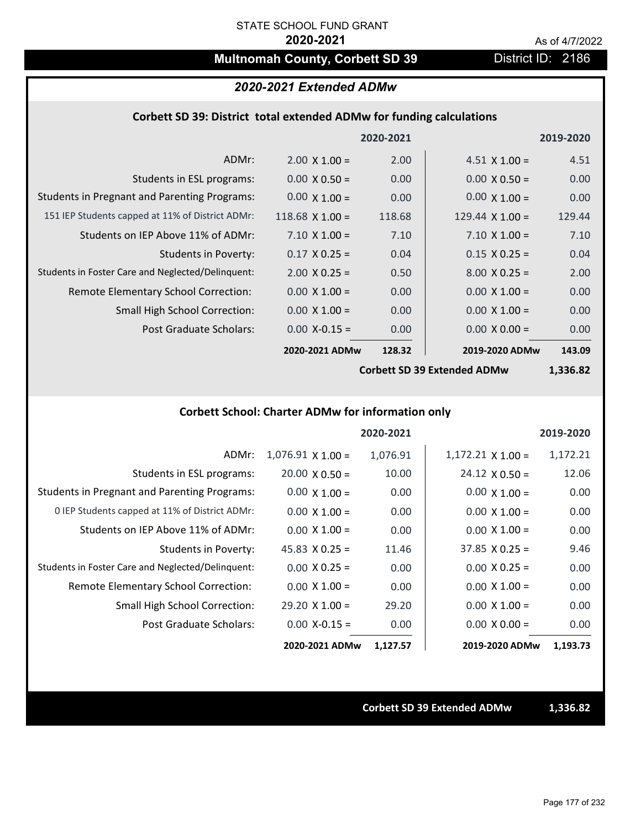# **Multnomah County, Corbett SD 39 District ID: 2186**

### *2020-2021 Extended ADMw*

### **Corbett SD 39: District total extended ADMw for funding calculations**

|                                                     |                      | 2020-2021 |                        | 2019-2020 |
|-----------------------------------------------------|----------------------|-----------|------------------------|-----------|
| ADMr:                                               | $2.00 \times 1.00 =$ | 2.00      | $4.51 \times 1.00 =$   | 4.51      |
| Students in ESL programs:                           | $0.00 \times 0.50 =$ | 0.00      | $0.00 \times 0.50 =$   | 0.00      |
| <b>Students in Pregnant and Parenting Programs:</b> | $0.00 \times 1.00 =$ | 0.00      | $0.00 \times 1.00 =$   | 0.00      |
| 151 IEP Students capped at 11% of District ADMr:    | $118.68$ X 1.00 =    | 118.68    | 129.44 $\times$ 1.00 = | 129.44    |
| Students on IEP Above 11% of ADMr:                  | $7.10 \times 1.00 =$ | 7.10      | $7.10 \times 1.00 =$   | 7.10      |
| <b>Students in Poverty:</b>                         | $0.17 \times 0.25 =$ | 0.04      | $0.15 \times 0.25 =$   | 0.04      |
| Students in Foster Care and Neglected/Delinquent:   | $2.00 \times 0.25 =$ | 0.50      | $8.00 \times 0.25 =$   | 2.00      |
| Remote Elementary School Correction:                | $0.00 \times 1.00 =$ | 0.00      | $0.00 \times 1.00 =$   | 0.00      |
| <b>Small High School Correction:</b>                | $0.00 \times 1.00 =$ | 0.00      | $0.00 \times 1.00 =$   | 0.00      |
| Post Graduate Scholars:                             | $0.00$ X-0.15 =      | 0.00      | $0.00 \times 0.00 =$   | 0.00      |
|                                                     | 2020-2021 ADMw       | 128.32    | 2019-2020 ADMw         | 143.09    |
|                                                     |                      |           |                        |           |

**Corbett SD 39 Extended ADMw**

**1,336.82**

# **Corbett School: Charter ADMw for information only**

|                                                     |                       | 2020-2021 |                          | 2019-2020 |
|-----------------------------------------------------|-----------------------|-----------|--------------------------|-----------|
| ADMr:                                               | $1,076.91$ X $1.00 =$ | 1,076.91  | $1,172.21 \times 1.00 =$ | 1,172.21  |
| Students in ESL programs:                           | $20.00 \times 0.50 =$ | 10.00     | $24.12 \times 0.50 =$    | 12.06     |
| <b>Students in Pregnant and Parenting Programs:</b> | $0.00 \times 1.00 =$  | 0.00      | $0.00 \times 1.00 =$     | 0.00      |
| 0 IEP Students capped at 11% of District ADMr:      | $0.00 \times 1.00 =$  | 0.00      | $0.00 \times 1.00 =$     | 0.00      |
| Students on IEP Above 11% of ADMr:                  | $0.00 \times 1.00 =$  | 0.00      | $0.00 \times 1.00 =$     | 0.00      |
| Students in Poverty:                                | $45.83 \times 0.25 =$ | 11.46     | $37.85 \times 0.25 =$    | 9.46      |
| Students in Foster Care and Neglected/Delinquent:   | $0.00 \times 0.25 =$  | 0.00      | $0.00 \times 0.25 =$     | 0.00      |
| Remote Elementary School Correction:                | $0.00 \times 1.00 =$  | 0.00      | $0.00 \times 1.00 =$     | 0.00      |
| <b>Small High School Correction:</b>                | $29.20 \times 1.00 =$ | 29.20     | $0.00 \times 1.00 =$     | 0.00      |
| Post Graduate Scholars:                             | $0.00$ X-0.15 =       | 0.00      | $0.00 \times 0.00 =$     | 0.00      |
|                                                     | 2020-2021 ADMw        | 1,127.57  | 2019-2020 ADMw           | 1,193.73  |

**Corbett SD 39 Extended ADMw 1,336.82**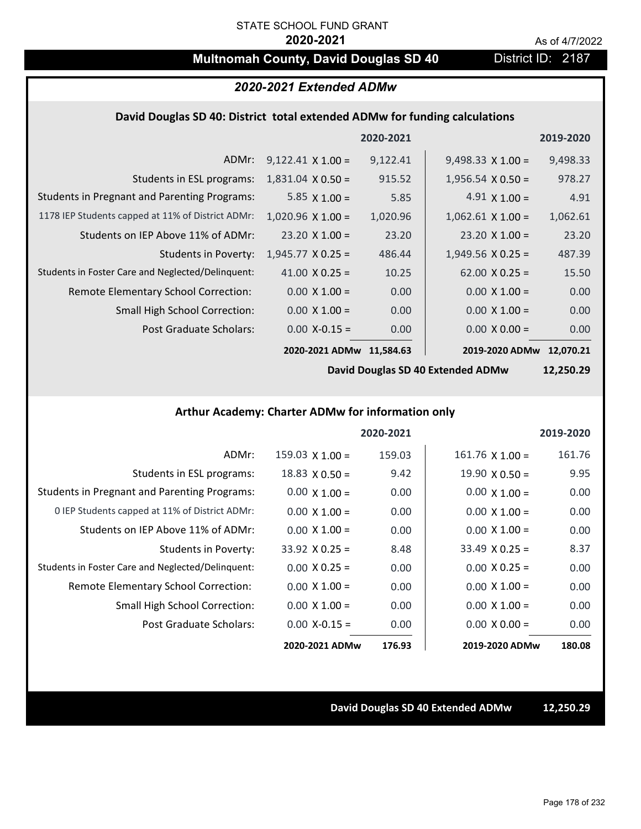# **Multnomah County, David Douglas SD 40** District ID: 2187

# *2020-2021 Extended ADMw*

### **David Douglas SD 40: District total extended ADMw for funding calculations**

|                                                     |                          | 2020-2021 |                          | 2019-2020 |
|-----------------------------------------------------|--------------------------|-----------|--------------------------|-----------|
| ADMr:                                               | $9,122.41 \times 1.00 =$ | 9,122.41  | $9,498.33 \times 1.00 =$ | 9,498.33  |
| Students in ESL programs:                           | $1,831.04 \times 0.50 =$ | 915.52    | $1,956.54 \times 0.50 =$ | 978.27    |
| <b>Students in Pregnant and Parenting Programs:</b> | 5.85 $\times$ 1.00 =     | 5.85      | $4.91 \times 1.00 =$     | 4.91      |
| 1178 IEP Students capped at 11% of District ADMr:   | $1,020.96 \times 1.00 =$ | 1,020.96  | $1,062.61 \times 1.00 =$ | 1,062.61  |
| Students on IEP Above 11% of ADMr:                  | $23.20 \times 1.00 =$    | 23.20     | $23.20 \times 1.00 =$    | 23.20     |
| <b>Students in Poverty:</b>                         | $1,945.77 \times 0.25 =$ | 486.44    | $1,949.56 \times 0.25 =$ | 487.39    |
| Students in Foster Care and Neglected/Delinquent:   | 41.00 $X$ 0.25 =         | 10.25     | $62.00 \times 0.25 =$    | 15.50     |
| Remote Elementary School Correction:                | $0.00 \times 1.00 =$     | 0.00      | $0.00 \times 1.00 =$     | 0.00      |
| <b>Small High School Correction:</b>                | $0.00 \times 1.00 =$     | 0.00      | $0.00 \times 1.00 =$     | 0.00      |
| Post Graduate Scholars:                             | $0.00$ X-0.15 =          | 0.00      | $0.00 \times 0.00 =$     | 0.00      |
|                                                     | 2020-2021 ADMw           | 11.584.63 | 2019-2020 ADMw           | 12,070.21 |

**David Douglas SD 40 Extended ADMw**

**12,250.29**

**Arthur Academy: Charter ADMw for information only**

|                                                     |                        | 2020-2021 |                        | 2019-2020 |
|-----------------------------------------------------|------------------------|-----------|------------------------|-----------|
| ADMr:                                               | $159.03 \times 1.00 =$ | 159.03    | $161.76 \times 1.00 =$ | 161.76    |
| Students in ESL programs:                           | $18.83 \times 0.50 =$  | 9.42      | $19.90 \times 0.50 =$  | 9.95      |
| <b>Students in Pregnant and Parenting Programs:</b> | $0.00 \times 1.00 =$   | 0.00      | $0.00 \times 1.00 =$   | 0.00      |
| 0 IEP Students capped at 11% of District ADMr:      | $0.00 \times 1.00 =$   | 0.00      | $0.00 \times 1.00 =$   | 0.00      |
| Students on IEP Above 11% of ADMr:                  | $0.00 \times 1.00 =$   | 0.00      | $0.00 \times 1.00 =$   | 0.00      |
| Students in Poverty:                                | $33.92 \times 0.25 =$  | 8.48      | $33.49 \times 0.25 =$  | 8.37      |
| Students in Foster Care and Neglected/Delinquent:   | $0.00 \times 0.25 =$   | 0.00      | $0.00 \times 0.25 =$   | 0.00      |
| Remote Elementary School Correction:                | $0.00 \times 1.00 =$   | 0.00      | $0.00 \times 1.00 =$   | 0.00      |
| <b>Small High School Correction:</b>                | $0.00 \times 1.00 =$   | 0.00      | $0.00 \times 1.00 =$   | 0.00      |
| Post Graduate Scholars:                             | $0.00 X - 0.15 =$      | 0.00      | $0.00 \times 0.00 =$   | 0.00      |
|                                                     | 2020-2021 ADMw         | 176.93    | 2019-2020 ADMw         | 180.08    |

**David Douglas SD 40 Extended ADMw 12,250.29**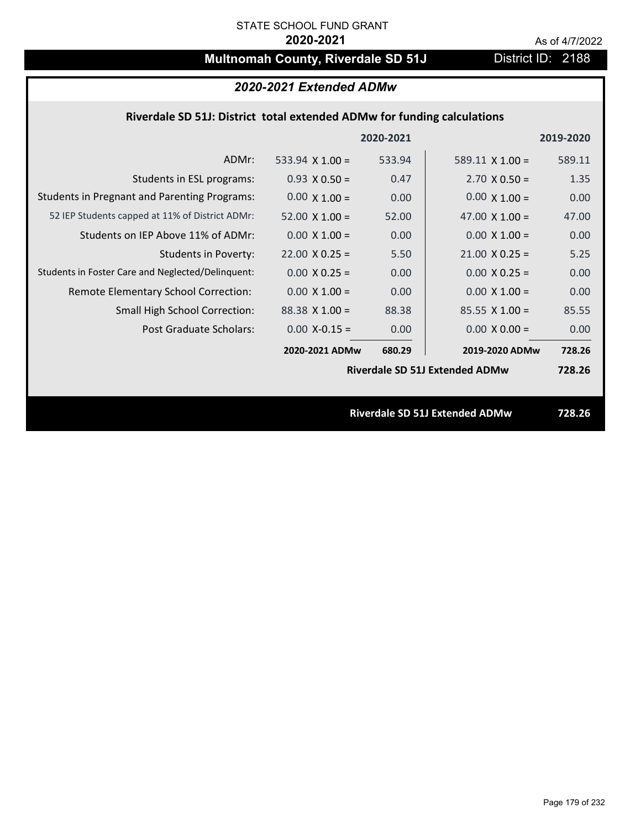# **Multnomah County, Riverdale SD 51J** District ID: 2188

| 2020-2021 Extended ADMw |  |  |
|-------------------------|--|--|
|-------------------------|--|--|

### **Riverdale SD 51J: District total extended ADMw for funding calculations**

|                                                     |                                       | 2020-2021 |                        | 2019-2020 |
|-----------------------------------------------------|---------------------------------------|-----------|------------------------|-----------|
| ADMr:                                               | 533.94 $\times$ 1.00 =                | 533.94    | $589.11 \times 1.00 =$ | 589.11    |
| Students in ESL programs:                           | $0.93 \times 0.50 =$                  | 0.47      | $2.70 \times 0.50 =$   | 1.35      |
| <b>Students in Pregnant and Parenting Programs:</b> | $0.00 \times 1.00 =$                  | 0.00      | $0.00 \times 1.00 =$   | 0.00      |
| 52 IEP Students capped at 11% of District ADMr:     | $52.00 \times 1.00 =$                 | 52.00     | 47.00 $\times$ 1.00 =  | 47.00     |
| Students on IEP Above 11% of ADMr:                  | $0.00$ X $1.00 =$                     | 0.00      | $0.00 X 1.00 =$        | 0.00      |
| <b>Students in Poverty:</b>                         | $22.00 \times 0.25 =$                 | 5.50      | $21.00 \times 0.25 =$  | 5.25      |
| Students in Foster Care and Neglected/Delinquent:   | $0.00 \times 0.25 =$                  | 0.00      | $0.00 \times 0.25 =$   | 0.00      |
| Remote Elementary School Correction:                | $0.00 \times 1.00 =$                  | 0.00      | $0.00 \times 1.00 =$   | 0.00      |
| <b>Small High School Correction:</b>                | $88.38$ X 1.00 =                      | 88.38     | $85.55 \times 1.00 =$  | 85.55     |
| Post Graduate Scholars:                             | $0.00$ X-0.15 =                       | 0.00      | $0.00 \times 0.00 =$   | 0.00      |
|                                                     | 2020-2021 ADMw                        | 680.29    | 2019-2020 ADMw         | 728.26    |
|                                                     | <b>Riverdale SD 51J Extended ADMw</b> |           | 728.26                 |           |
|                                                     |                                       |           |                        |           |
|                                                     | <b>Riverdale SD 51J Extended ADMw</b> |           |                        | 728.26    |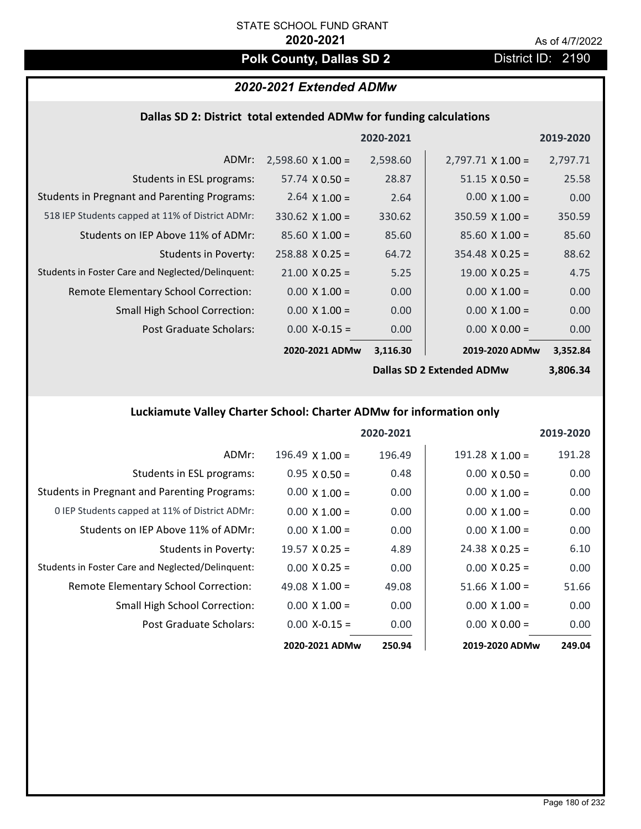# **Polk County, Dallas SD 2** District ID: 2190

## *2020-2021 Extended ADMw*

## **Dallas SD 2: District total extended ADMw for funding calculations**

|                                                     |                           | 2020-2021 |                          | 2019-2020 |
|-----------------------------------------------------|---------------------------|-----------|--------------------------|-----------|
| ADMr:                                               | $2,598.60 \times 1.00 =$  | 2,598.60  | $2,797.71 \times 1.00 =$ | 2,797.71  |
| Students in ESL programs:                           | $57.74 \times 0.50 =$     | 28.87     | $51.15 \times 0.50 =$    | 25.58     |
| <b>Students in Pregnant and Parenting Programs:</b> | 2.64 $\times$ 1.00 =      | 2.64      | $0.00 \times 1.00 =$     | 0.00      |
| 518 IEP Students capped at 11% of District ADMr:    | $330.62 \times 1.00 =$    | 330.62    | $350.59 \times 1.00 =$   | 350.59    |
| Students on IEP Above 11% of ADMr:                  | $85.60 \times 1.00 =$     | 85.60     | $85.60$ X 1.00 =         | 85.60     |
| <b>Students in Poverty:</b>                         | $258.88 \times 0.25 =$    | 64.72     | $354.48$ X 0.25 =        | 88.62     |
| Students in Foster Care and Neglected/Delinquent:   | $21.00 \times 0.25 =$     | 5.25      | $19.00 \times 0.25 =$    | 4.75      |
| Remote Elementary School Correction:                | $0.00 \times 1.00 =$      | 0.00      | $0.00 \times 1.00 =$     | 0.00      |
| <b>Small High School Correction:</b>                | $0.00 \times 1.00 =$      | 0.00      | $0.00 \times 1.00 =$     | 0.00      |
| Post Graduate Scholars:                             | $0.00$ X-0.15 =           | 0.00      | $0.00 \times 0.00 =$     | 0.00      |
|                                                     | 2020-2021 ADMw            | 3,116.30  | 2019-2020 ADMw           | 3,352.84  |
|                                                     | Dallac CD 2 Evtandad ADMw |           |                          | 2.006.21  |

**Dallas SD 2 Extended ADMw**

**3,806.34**

# **Luckiamute Valley Charter School: Charter ADMw for information only**

|                                                     |                       | 2020-2021 |                       | 2019-2020 |
|-----------------------------------------------------|-----------------------|-----------|-----------------------|-----------|
| ADMr:                                               | 196.49 $X$ 1.00 =     | 196.49    | $191.28$ X 1.00 =     | 191.28    |
| Students in ESL programs:                           | $0.95 \times 0.50 =$  | 0.48      | $0.00 \times 0.50 =$  | 0.00      |
| <b>Students in Pregnant and Parenting Programs:</b> | $0.00 \times 1.00 =$  | 0.00      | $0.00 \times 1.00 =$  | 0.00      |
| 0 IEP Students capped at 11% of District ADMr:      | $0.00 \times 1.00 =$  | 0.00      | $0.00 \times 1.00 =$  | 0.00      |
| Students on IEP Above 11% of ADMr:                  | $0.00 \times 1.00 =$  | 0.00      | $0.00 \times 1.00 =$  | 0.00      |
| Students in Poverty:                                | $19.57 \times 0.25 =$ | 4.89      | $24.38 \times 0.25 =$ | 6.10      |
| Students in Foster Care and Neglected/Delinquent:   | $0.00 \times 0.25 =$  | 0.00      | $0.00 \times 0.25 =$  | 0.00      |
| Remote Elementary School Correction:                | 49.08 $\times$ 1.00 = | 49.08     | $51.66 \times 1.00 =$ | 51.66     |
| <b>Small High School Correction:</b>                | $0.00 \times 1.00 =$  | 0.00      | $0.00 \times 1.00 =$  | 0.00      |
| Post Graduate Scholars:                             | $0.00 X - 0.15 =$     | 0.00      | $0.00 \times 0.00 =$  | 0.00      |
|                                                     | 2020-2021 ADMw        | 250.94    | 2019-2020 ADMw        | 249.04    |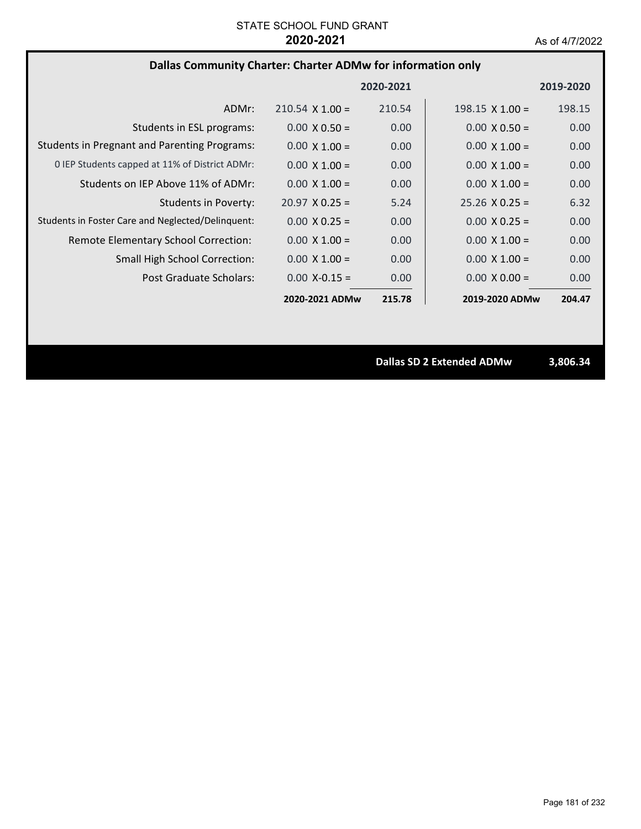## **Dallas Community Charter: Charter ADMw for information only**

|                                                     |                        | 2020-2021 |                        | 2019-2020 |
|-----------------------------------------------------|------------------------|-----------|------------------------|-----------|
| ADMr:                                               | $210.54 \times 1.00 =$ | 210.54    | 198.15 $\times$ 1.00 = | 198.15    |
| Students in ESL programs:                           | $0.00 \times 0.50 =$   | 0.00      | $0.00 \times 0.50 =$   | 0.00      |
| <b>Students in Pregnant and Parenting Programs:</b> | $0.00 \times 1.00 =$   | 0.00      | $0.00 \times 1.00 =$   | 0.00      |
| 0 IEP Students capped at 11% of District ADMr:      | $0.00 \times 1.00 =$   | 0.00      | $0.00 \times 1.00 =$   | 0.00      |
| Students on IEP Above 11% of ADMr:                  | $0.00 \times 1.00 =$   | 0.00      | $0.00 \times 1.00 =$   | 0.00      |
| <b>Students in Poverty:</b>                         | $20.97 \times 0.25 =$  | 5.24      | $25.26 \times 0.25 =$  | 6.32      |
| Students in Foster Care and Neglected/Delinquent:   | $0.00 \times 0.25 =$   | 0.00      | $0.00 \times 0.25 =$   | 0.00      |
| Remote Elementary School Correction:                | $0.00 \times 1.00 =$   | 0.00      | $0.00 \times 1.00 =$   | 0.00      |
| <b>Small High School Correction:</b>                | $0.00 \times 1.00 =$   | 0.00      | $0.00 \times 1.00 =$   | 0.00      |
| Post Graduate Scholars:                             | $0.00 X - 0.15 =$      | 0.00      | $0.00 \times 0.00 =$   | 0.00      |
|                                                     | 2020-2021 ADMw         | 215.78    | 2019-2020 ADMw         | 204.47    |

**Dallas SD 2 Extended ADMw 3,806.34**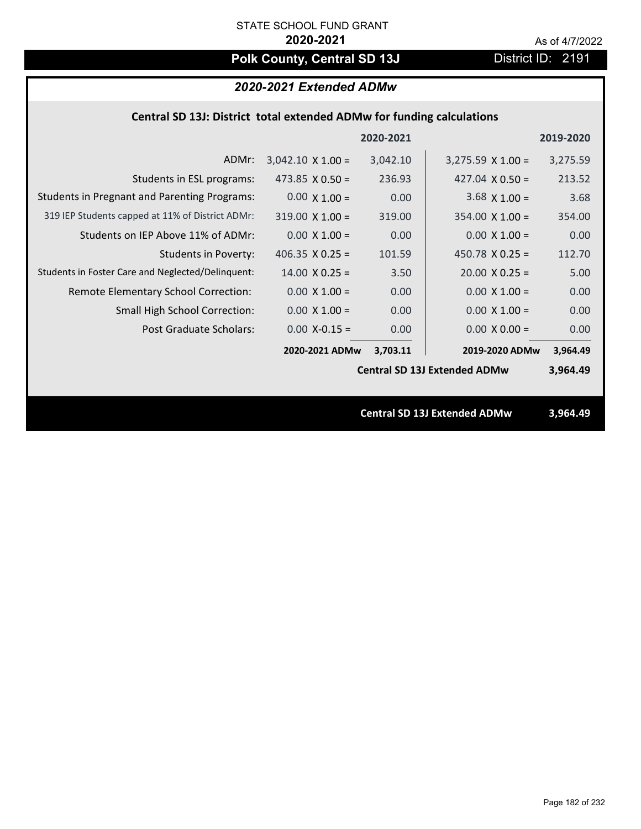# Polk County, Central SD 13J District ID: 2191

## *2020-2021 Extended ADMw*

## **Central SD 13J: District total extended ADMw for funding calculations**

|                                                     |                          | 2020-2021 |                                     | 2019-2020 |
|-----------------------------------------------------|--------------------------|-----------|-------------------------------------|-----------|
| ADMr:                                               | $3,042.10 \times 1.00 =$ | 3,042.10  | $3,275.59 \times 1.00 =$            | 3,275.59  |
| Students in ESL programs:                           | 473.85 $\times$ 0.50 =   | 236.93    | 427.04 $X$ 0.50 =                   | 213.52    |
| <b>Students in Pregnant and Parenting Programs:</b> | $0.00 \times 1.00 =$     | 0.00      | $3.68 \times 1.00 =$                | 3.68      |
| 319 IEP Students capped at 11% of District ADMr:    | $319.00 \times 1.00 =$   | 319.00    | $354.00 \times 1.00 =$              | 354.00    |
| Students on IEP Above 11% of ADMr:                  | $0.00 \times 1.00 =$     | 0.00      | $0.00 \times 1.00 =$                | 0.00      |
| <b>Students in Poverty:</b>                         | 406.35 $X$ 0.25 =        | 101.59    | 450.78 $X$ 0.25 =                   | 112.70    |
| Students in Foster Care and Neglected/Delinquent:   | $14.00 \times 0.25 =$    | 3.50      | $20.00 \times 0.25 =$               | 5.00      |
| Remote Elementary School Correction:                | $0.00 \times 1.00 =$     | 0.00      | $0.00 \times 1.00 =$                | 0.00      |
| <b>Small High School Correction:</b>                | $0.00 \times 1.00 =$     | 0.00      | $0.00 \times 1.00 =$                | 0.00      |
| Post Graduate Scholars:                             | $0.00$ X-0.15 =          | 0.00      | $0.00 \times 0.00 =$                | 0.00      |
|                                                     | 2020-2021 ADMw           | 3,703.11  | 2019-2020 ADMw                      | 3,964.49  |
|                                                     |                          |           | <b>Central SD 13J Extended ADMw</b> | 3,964.49  |
|                                                     |                          |           |                                     |           |
|                                                     |                          |           | <b>Central SD 13J Extended ADMw</b> | 3,964.49  |
|                                                     |                          |           |                                     |           |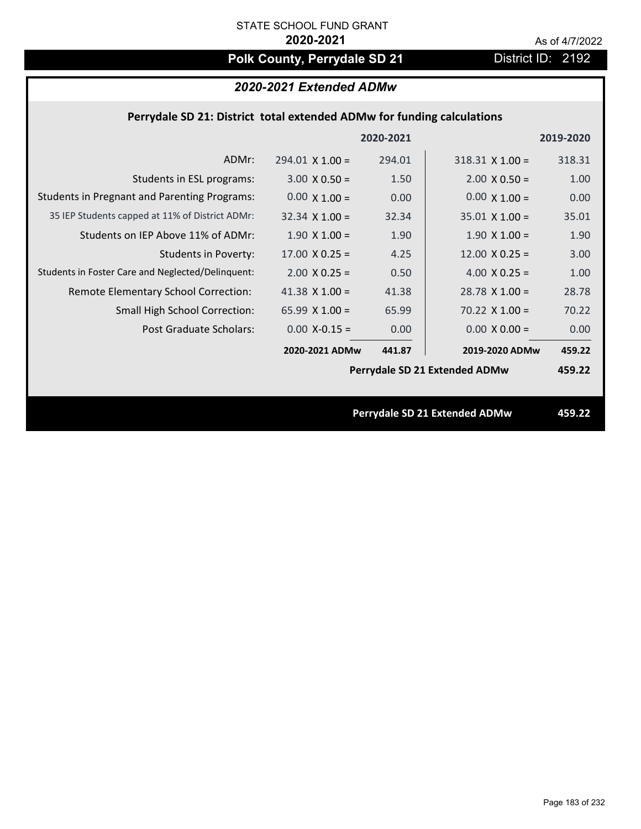# Polk County, Perrydale SD 21 District ID: 2192

## *2020-2021 Extended ADMw*

## **Perrydale SD 21: District total extended ADMw for funding calculations**

|                                                     |                       | 2020-2021 |                               | 2019-2020 |
|-----------------------------------------------------|-----------------------|-----------|-------------------------------|-----------|
| ADMr:                                               | $294.01$ X $1.00 =$   | 294.01    | $318.31$ X $1.00 =$           | 318.31    |
| Students in ESL programs:                           | $3.00 \times 0.50 =$  | 1.50      | $2.00 \times 0.50 =$          | 1.00      |
| <b>Students in Pregnant and Parenting Programs:</b> | $0.00 \times 1.00 =$  | 0.00      | $0.00 \times 1.00 =$          | 0.00      |
| 35 IEP Students capped at 11% of District ADMr:     | $32.34 \times 1.00 =$ | 32.34     | $35.01 \times 1.00 =$         | 35.01     |
| Students on IEP Above 11% of ADMr:                  | $1.90 \times 1.00 =$  | 1.90      | $1.90 \times 1.00 =$          | 1.90      |
| <b>Students in Poverty:</b>                         | $17.00 \times 0.25 =$ | 4.25      | $12.00 \times 0.25 =$         | 3.00      |
| Students in Foster Care and Neglected/Delinquent:   | $2.00 \times 0.25 =$  | 0.50      | 4.00 $X$ 0.25 =               | 1.00      |
| Remote Elementary School Correction:                | 41.38 $X$ 1.00 =      | 41.38     | $28.78$ X 1.00 =              | 28.78     |
| <b>Small High School Correction:</b>                | 65.99 $X$ 1.00 =      | 65.99     | $70.22$ X $1.00 =$            | 70.22     |
| Post Graduate Scholars:                             | $0.00$ X-0.15 =       | 0.00      | $0.00 \times 0.00 =$          | 0.00      |
|                                                     | 2020-2021 ADMw        | 441.87    | 2019-2020 ADMw                | 459.22    |
|                                                     |                       |           | Perrydale SD 21 Extended ADMw | 459.22    |
|                                                     |                       |           |                               |           |
|                                                     |                       |           | Perrydale SD 21 Extended ADMw | 459.22    |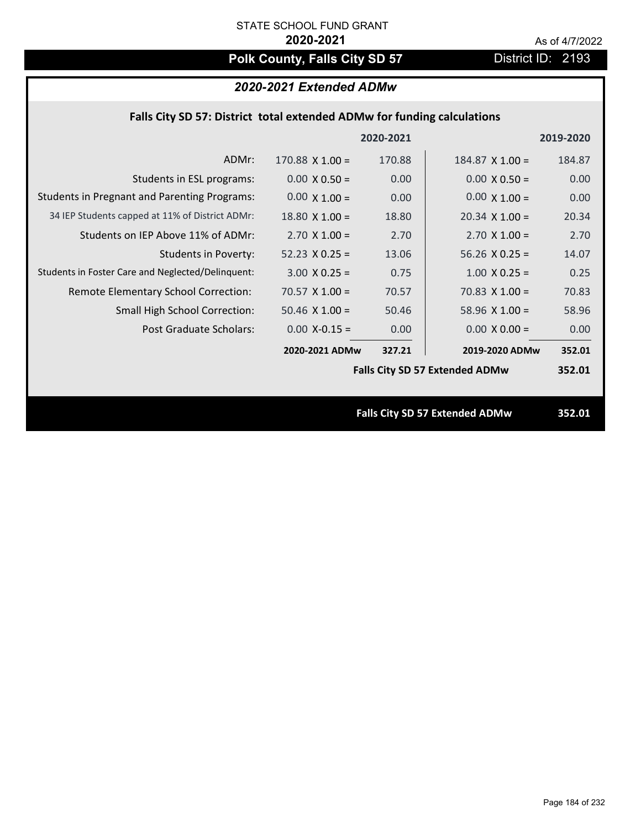# **Polk County, Falls City SD 57** District ID: 2193

## *2020-2021 Extended ADMw*

|  | Falls City SD 57: District total extended ADMw for funding calculations |  |
|--|-------------------------------------------------------------------------|--|
|--|-------------------------------------------------------------------------|--|

|                                                     |                       | 2020-2021 |                                       | 2019-2020 |
|-----------------------------------------------------|-----------------------|-----------|---------------------------------------|-----------|
| ADMr:                                               | $170.88$ X $1.00 =$   | 170.88    | $184.87$ X 1.00 =                     | 184.87    |
| Students in ESL programs:                           | $0.00 \times 0.50 =$  | 0.00      | $0.00 \times 0.50 =$                  | 0.00      |
| <b>Students in Pregnant and Parenting Programs:</b> | $0.00 \times 1.00 =$  | 0.00      | $0.00 \times 1.00 =$                  | 0.00      |
| 34 IEP Students capped at 11% of District ADMr:     | $18.80 \times 1.00 =$ | 18.80     | $20.34 \times 1.00 =$                 | 20.34     |
| Students on IEP Above 11% of ADMr:                  | $2.70 \times 1.00 =$  | 2.70      | $2.70 \times 1.00 =$                  | 2.70      |
| <b>Students in Poverty:</b>                         | $52.23 \times 0.25 =$ | 13.06     | $56.26$ X 0.25 =                      | 14.07     |
| Students in Foster Care and Neglected/Delinquent:   | $3.00 \times 0.25 =$  | 0.75      | $1.00 \times 0.25 =$                  | 0.25      |
| Remote Elementary School Correction:                | $70.57$ X 1.00 =      | 70.57     | $70.83$ X 1.00 =                      | 70.83     |
| <b>Small High School Correction:</b>                | $50.46$ X $1.00 =$    | 50.46     | $58.96$ X 1.00 =                      | 58.96     |
| Post Graduate Scholars:                             | $0.00$ X-0.15 =       | 0.00      | $0.00 \times 0.00 =$                  | 0.00      |
|                                                     | 2020-2021 ADMw        | 327.21    | 2019-2020 ADMw                        | 352.01    |
|                                                     |                       |           | <b>Falls City SD 57 Extended ADMw</b> | 352.01    |
|                                                     |                       |           |                                       |           |
|                                                     |                       |           | <b>Falls City SD 57 Extended ADMw</b> | 352.01    |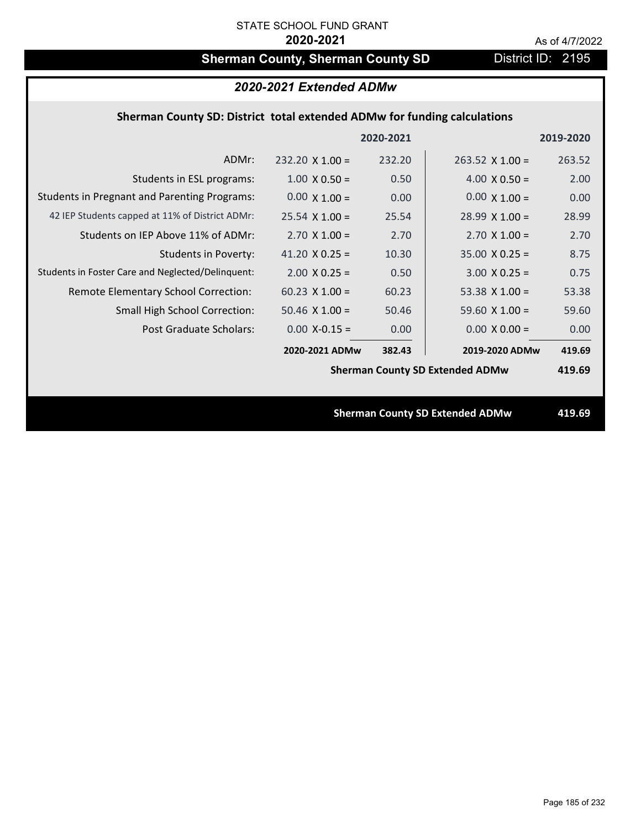# **Sherman County, Sherman County SD** District ID: 2195

|                                                                          | 2020-2021 Extended ADMw |           |                                        |           |
|--------------------------------------------------------------------------|-------------------------|-----------|----------------------------------------|-----------|
| Sherman County SD: District total extended ADMw for funding calculations |                         |           |                                        |           |
|                                                                          |                         | 2020-2021 |                                        | 2019-2020 |
| ADMr:                                                                    | $232.20 \times 1.00 =$  | 232.20    | $263.52 \times 1.00 =$                 | 263.52    |
| Students in ESL programs:                                                | $1.00 \times 0.50 =$    | 0.50      | $4.00 \times 0.50 =$                   | 2.00      |
| <b>Students in Pregnant and Parenting Programs:</b>                      | $0.00 \times 1.00 =$    | 0.00      | $0.00 \times 1.00 =$                   | 0.00      |
| 42 IEP Students capped at 11% of District ADMr:                          | $25.54 \times 1.00 =$   | 25.54     | $28.99 \times 1.00 =$                  | 28.99     |
| Students on IEP Above 11% of ADMr:                                       | $2.70$ X $1.00 =$       | 2.70      | $2.70$ X $1.00 =$                      | 2.70      |
| <b>Students in Poverty:</b>                                              | 41.20 $X$ 0.25 =        | 10.30     | $35.00 \times 0.25 =$                  | 8.75      |
| Students in Foster Care and Neglected/Delinquent:                        | $2.00 \times 0.25 =$    | 0.50      | $3.00 X 0.25 =$                        | 0.75      |
| Remote Elementary School Correction:                                     | $60.23$ X $1.00 =$      | 60.23     | 53.38 $X$ 1.00 =                       | 53.38     |
| <b>Small High School Correction:</b>                                     | $50.46$ X $1.00 =$      | 50.46     | 59.60 $X$ 1.00 =                       | 59.60     |
| Post Graduate Scholars:                                                  | $0.00$ X-0.15 =         | 0.00      | $0.00 \times 0.00 =$                   | 0.00      |
|                                                                          | 2020-2021 ADMw          | 382.43    | 2019-2020 ADMw                         | 419.69    |
|                                                                          |                         |           | <b>Sherman County SD Extended ADMw</b> | 419.69    |
|                                                                          |                         |           |                                        |           |
|                                                                          |                         |           | <b>Sherman County SD Extended ADMw</b> | 419.69    |
|                                                                          |                         |           |                                        |           |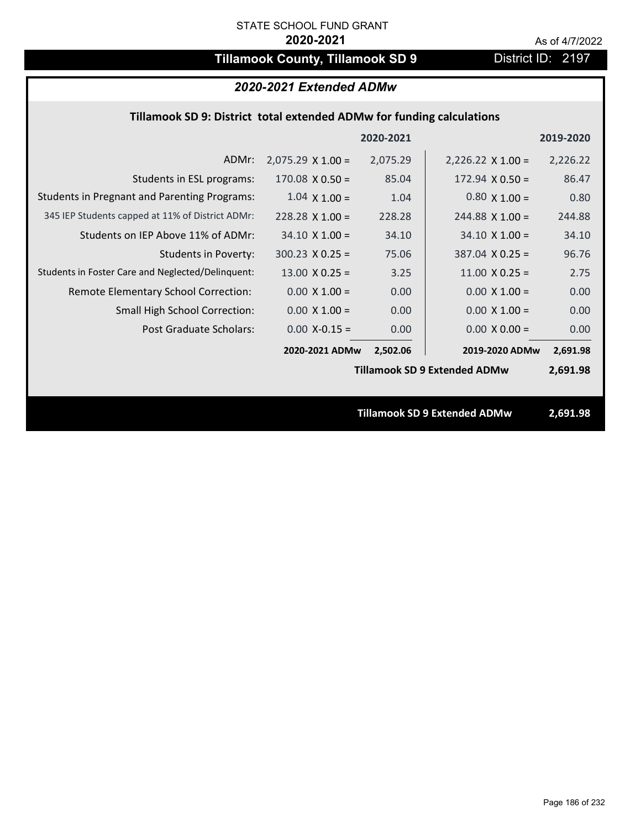# **Tillamook County, Tillamook SD 9** District ID: 2197

## *2020-2021 Extended ADMw*

## **Tillamook SD 9: District total extended ADMw for funding calculations**

|                                                     |                          | 2020-2021 |                                     | 2019-2020 |
|-----------------------------------------------------|--------------------------|-----------|-------------------------------------|-----------|
| ADMr:                                               | $2,075.29 \times 1.00 =$ | 2,075.29  | $2,226.22 \times 1.00 =$            | 2,226.22  |
| Students in ESL programs:                           | $170.08 \times 0.50 =$   | 85.04     | $172.94 \times 0.50 =$              | 86.47     |
| <b>Students in Pregnant and Parenting Programs:</b> | $1.04 \times 1.00 =$     | 1.04      | $0.80 \times 1.00 =$                | 0.80      |
| 345 IEP Students capped at 11% of District ADMr:    | $228.28 \times 1.00 =$   | 228.28    | $244.88 \times 1.00 =$              | 244.88    |
| Students on IEP Above 11% of ADMr:                  | $34.10 \times 1.00 =$    | 34.10     | $34.10 \times 1.00 =$               | 34.10     |
| <b>Students in Poverty:</b>                         | $300.23$ X 0.25 =        | 75.06     | $387.04$ X 0.25 =                   | 96.76     |
| Students in Foster Care and Neglected/Delinquent:   | $13.00 \times 0.25 =$    | 3.25      | $11.00 \times 0.25 =$               | 2.75      |
| Remote Elementary School Correction:                | $0.00 \times 1.00 =$     | 0.00      | $0.00 \times 1.00 =$                | 0.00      |
| <b>Small High School Correction:</b>                | $0.00 \times 1.00 =$     | 0.00      | $0.00 \times 1.00 =$                | 0.00      |
| Post Graduate Scholars:                             | $0.00$ X-0.15 =          | 0.00      | $0.00 \times 0.00 =$                | 0.00      |
|                                                     | 2020-2021 ADMw           | 2,502.06  | 2019-2020 ADMw                      | 2,691.98  |
|                                                     |                          |           | <b>Tillamook SD 9 Extended ADMw</b> | 2,691.98  |
|                                                     |                          |           |                                     |           |
|                                                     |                          |           | <b>Tillamook SD 9 Extended ADMw</b> | 2,691.98  |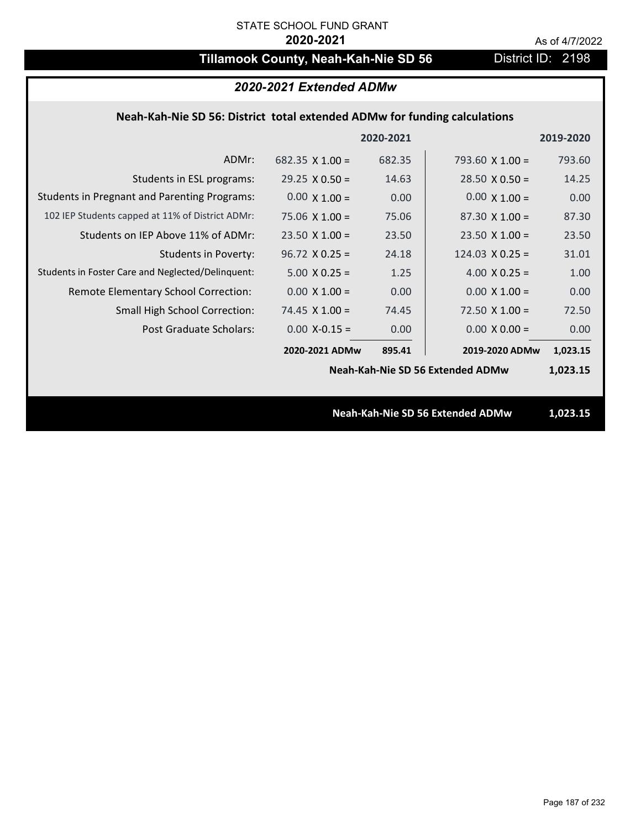# **Tillamook County, Neah-Kah-Nie SD 56** District ID: 2198

|                                                                           | 2020-2021 Extended ADMw |           |                                  |           |
|---------------------------------------------------------------------------|-------------------------|-----------|----------------------------------|-----------|
| Neah-Kah-Nie SD 56: District total extended ADMw for funding calculations |                         |           |                                  |           |
|                                                                           |                         | 2020-2021 |                                  | 2019-2020 |
| ADMr:                                                                     | $682.35 \times 1.00 =$  | 682.35    | 793.60 $\times$ 1.00 =           | 793.60    |
| Students in ESL programs:                                                 | $29.25 \times 0.50 =$   | 14.63     | $28.50 \times 0.50 =$            | 14.25     |
| <b>Students in Pregnant and Parenting Programs:</b>                       | $0.00 \times 1.00 =$    | 0.00      | $0.00 \times 1.00 =$             | 0.00      |
| 102 IEP Students capped at 11% of District ADMr:                          | $75.06 \times 1.00 =$   | 75.06     | $87.30 \times 1.00 =$            | 87.30     |
| Students on IEP Above 11% of ADMr:                                        | $23.50$ X $1.00 =$      | 23.50     | $23.50 \times 1.00 =$            | 23.50     |
| <b>Students in Poverty:</b>                                               | $96.72 \times 0.25 =$   | 24.18     | $124.03 \times 0.25 =$           | 31.01     |
| Students in Foster Care and Neglected/Delinquent:                         | $5.00 \times 0.25 =$    | 1.25      | 4.00 $X$ 0.25 =                  | 1.00      |
| Remote Elementary School Correction:                                      | $0.00 \times 1.00 =$    | 0.00      | $0.00 \times 1.00 =$             | 0.00      |
| <b>Small High School Correction:</b>                                      | $74.45$ X $1.00 =$      | 74.45     | $72.50 \times 1.00 =$            | 72.50     |
| Post Graduate Scholars:                                                   | $0.00$ X-0.15 =         | 0.00      | $0.00 \times 0.00 =$             | 0.00      |
|                                                                           | 2020-2021 ADMw          | 895.41    | 2019-2020 ADMw                   | 1,023.15  |
|                                                                           |                         |           | Neah-Kah-Nie SD 56 Extended ADMw | 1,023.15  |
|                                                                           |                         |           |                                  |           |
|                                                                           |                         |           | Neah-Kah-Nie SD 56 Extended ADMw | 1,023.15  |
|                                                                           |                         |           |                                  |           |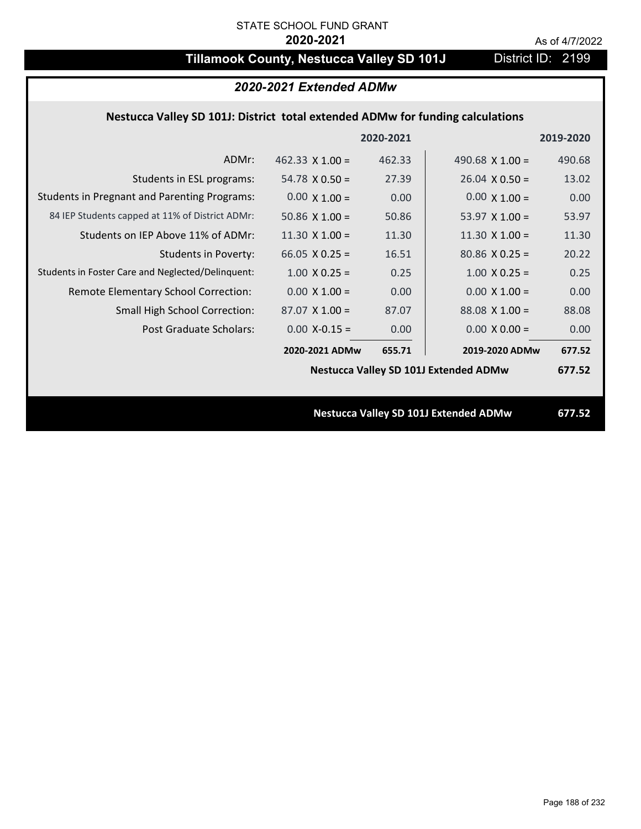# **Tillamook County, Nestucca Valley SD 101J** District ID: 2199

|                                                                                | 2020-2021 Extended ADMw |           |                                              |           |
|--------------------------------------------------------------------------------|-------------------------|-----------|----------------------------------------------|-----------|
| Nestucca Valley SD 101J: District total extended ADMw for funding calculations |                         |           |                                              |           |
|                                                                                |                         | 2020-2021 |                                              | 2019-2020 |
| ADMr:                                                                          | 462.33 $X$ 1.00 =       | 462.33    | 490.68 $X$ 1.00 =                            | 490.68    |
| Students in ESL programs:                                                      | $54.78 \times 0.50 =$   | 27.39     | $26.04 \times 0.50 =$                        | 13.02     |
| <b>Students in Pregnant and Parenting Programs:</b>                            | $0.00 \times 1.00 =$    | 0.00      | $0.00 \times 1.00 =$                         | 0.00      |
| 84 IEP Students capped at 11% of District ADMr:                                | 50.86 $\times$ 1.00 =   | 50.86     | 53.97 $\times$ 1.00 =                        | 53.97     |
| Students on IEP Above 11% of ADMr:                                             | $11.30 \times 1.00 =$   | 11.30     | $11.30$ X $1.00 =$                           | 11.30     |
| <b>Students in Poverty:</b>                                                    | 66.05 $X$ 0.25 =        | 16.51     | $80.86$ X 0.25 =                             | 20.22     |
| Students in Foster Care and Neglected/Delinquent:                              | $1.00 \times 0.25 =$    | 0.25      | $1.00 \times 0.25 =$                         | 0.25      |
| Remote Elementary School Correction:                                           | $0.00 \times 1.00 =$    | 0.00      | $0.00 \times 1.00 =$                         | 0.00      |
| <b>Small High School Correction:</b>                                           | $87.07$ X 1.00 =        | 87.07     | $88.08$ X 1.00 =                             | 88.08     |
| Post Graduate Scholars:                                                        | $0.00$ X-0.15 =         | 0.00      | $0.00 \times 0.00 =$                         | 0.00      |
|                                                                                | 2020-2021 ADMw          | 655.71    | 2019-2020 ADMw                               | 677.52    |
|                                                                                |                         |           | <b>Nestucca Valley SD 101J Extended ADMw</b> | 677.52    |
|                                                                                |                         |           |                                              |           |
|                                                                                |                         |           | <b>Nestucca Valley SD 101J Extended ADMw</b> | 677.52    |
|                                                                                |                         |           |                                              |           |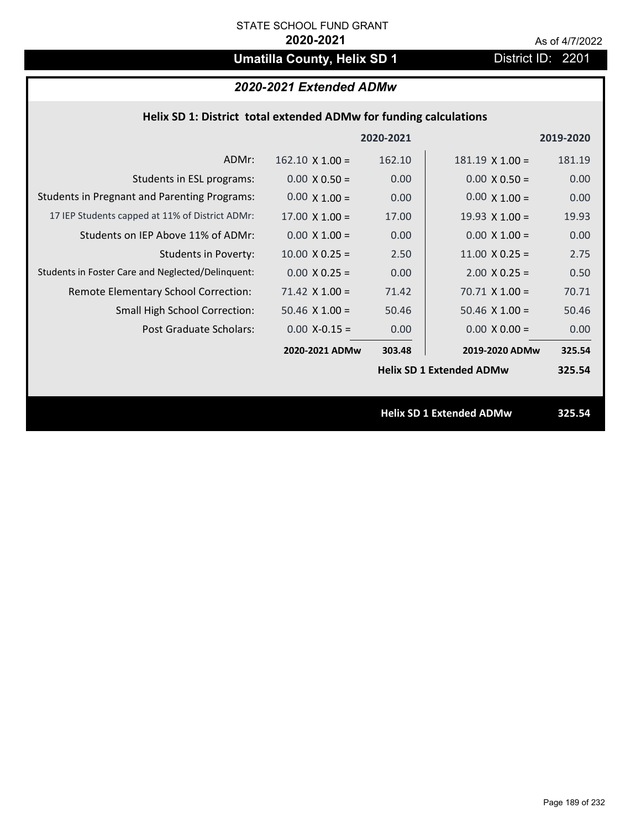# **Umatilla County, Helix SD 1** District ID: 2201

| 2020-2021 Extended ADMw |  |
|-------------------------|--|
|-------------------------|--|

| Helix SD 1: District total extended ADMw for funding calculations |                        |           |                                 |           |  |
|-------------------------------------------------------------------|------------------------|-----------|---------------------------------|-----------|--|
|                                                                   |                        | 2020-2021 |                                 | 2019-2020 |  |
| ADMr:                                                             | $162.10 \times 1.00 =$ | 162.10    | $181.19 \times 1.00 =$          | 181.19    |  |
| Students in ESL programs:                                         | $0.00 \times 0.50 =$   | 0.00      | $0.00 \times 0.50 =$            | 0.00      |  |
| <b>Students in Pregnant and Parenting Programs:</b>               | $0.00 \times 1.00 =$   | 0.00      | $0.00 \times 1.00 =$            | 0.00      |  |
| 17 IEP Students capped at 11% of District ADMr:                   | $17.00 \times 1.00 =$  | 17.00     | 19.93 $\times$ 1.00 =           | 19.93     |  |
| Students on IEP Above 11% of ADMr:                                | $0.00 X 1.00 =$        | 0.00      | $0.00$ X $1.00 =$               | 0.00      |  |
| <b>Students in Poverty:</b>                                       | $10.00 \times 0.25 =$  | 2.50      | $11.00 \times 0.25 =$           | 2.75      |  |
| Students in Foster Care and Neglected/Delinquent:                 | $0.00 X 0.25 =$        | 0.00      | $2.00$ X 0.25 =                 | 0.50      |  |
| Remote Elementary School Correction:                              | $71.42$ X $1.00 =$     | 71.42     | $70.71$ X 1.00 =                | 70.71     |  |
| <b>Small High School Correction:</b>                              | $50.46$ X $1.00 =$     | 50.46     | $50.46$ X $1.00 =$              | 50.46     |  |
| Post Graduate Scholars:                                           | $0.00$ X-0.15 =        | 0.00      | $0.00 \times 0.00 =$            | 0.00      |  |
|                                                                   | 2020-2021 ADMw         | 303.48    | 2019-2020 ADMw                  | 325.54    |  |
|                                                                   |                        |           | <b>Helix SD 1 Extended ADMw</b> | 325.54    |  |
|                                                                   |                        |           |                                 |           |  |
|                                                                   |                        |           | <b>Helix SD 1 Extended ADMw</b> | 325.54    |  |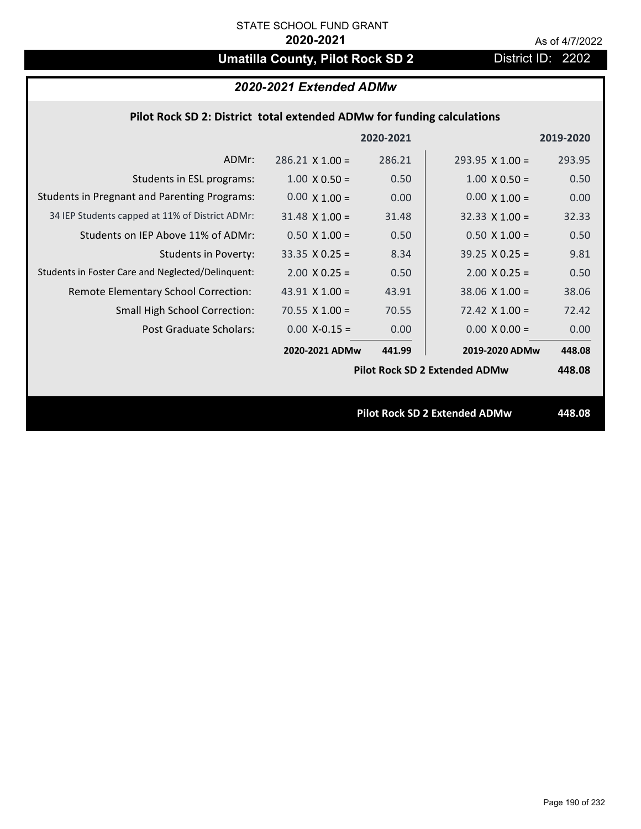# **Umatilla County, Pilot Rock SD 2** District ID: 2202

## *2020-2021 Extended ADMw*

## **Pilot Rock SD 2: District total extended ADMw for funding calculations**

|                                                     |                        | 2020-2021 |                                      | 2019-2020 |
|-----------------------------------------------------|------------------------|-----------|--------------------------------------|-----------|
| ADMr:                                               | $286.21 \times 1.00 =$ | 286.21    | $293.95 \times 1.00 =$               | 293.95    |
| Students in ESL programs:                           | $1.00 \times 0.50 =$   | 0.50      | $1.00 \times 0.50 =$                 | 0.50      |
| <b>Students in Pregnant and Parenting Programs:</b> | $0.00 \times 1.00 =$   | 0.00      | $0.00 \times 1.00 =$                 | 0.00      |
| 34 IEP Students capped at 11% of District ADMr:     | $31.48 \times 1.00 =$  | 31.48     | $32.33 \times 1.00 =$                | 32.33     |
| Students on IEP Above 11% of ADMr:                  | $0.50 \times 1.00 =$   | 0.50      | $0.50$ X $1.00 =$                    | 0.50      |
| <b>Students in Poverty:</b>                         | $33.35 \times 0.25 =$  | 8.34      | $39.25 \times 0.25 =$                | 9.81      |
| Students in Foster Care and Neglected/Delinquent:   | $2.00 \times 0.25 =$   | 0.50      | $2.00 \times 0.25 =$                 | 0.50      |
| Remote Elementary School Correction:                | 43.91 $\times$ 1.00 =  | 43.91     | $38.06$ X $1.00 =$                   | 38.06     |
| <b>Small High School Correction:</b>                | $70.55 \times 1.00 =$  | 70.55     | $72.42 \times 1.00 =$                | 72.42     |
| Post Graduate Scholars:                             | $0.00$ X-0.15 =        | 0.00      | $0.00 \times 0.00 =$                 | 0.00      |
|                                                     | 2020-2021 ADMw         | 441.99    | 2019-2020 ADMw                       | 448.08    |
|                                                     |                        |           | <b>Pilot Rock SD 2 Extended ADMw</b> | 448.08    |
|                                                     |                        |           |                                      |           |
|                                                     |                        |           | <b>Pilot Rock SD 2 Extended ADMw</b> | 448.08    |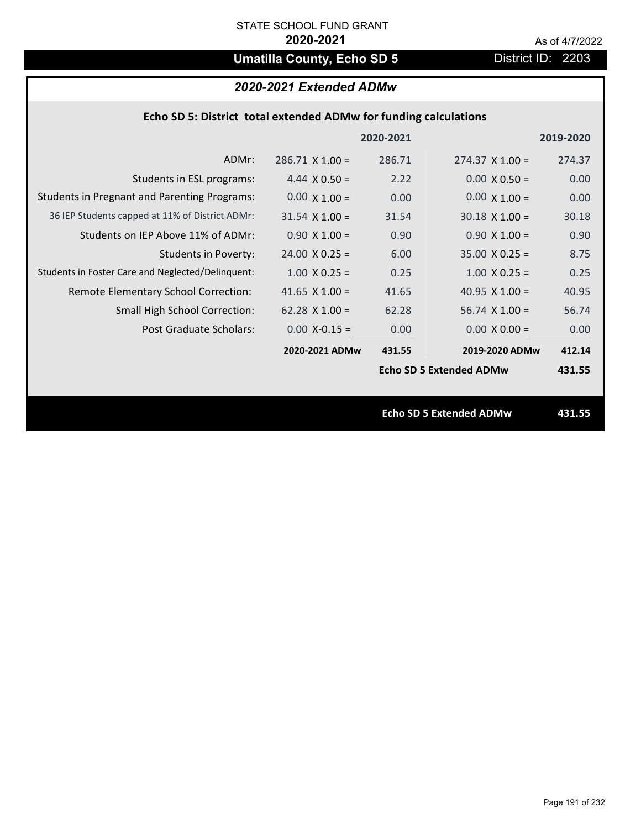# **Umatilla County, Echo SD 5** District ID: 2203

## *2020-2021 Extended ADMw*

| Echo SD 5: District total extended ADMw for funding calculations |                       |           |                                |           |  |
|------------------------------------------------------------------|-----------------------|-----------|--------------------------------|-----------|--|
|                                                                  |                       | 2020-2021 |                                | 2019-2020 |  |
| ADMr:                                                            | $286.71$ X 1.00 =     | 286.71    | $274.37 \times 1.00 =$         | 274.37    |  |
| Students in ESL programs:                                        | 4.44 $\times$ 0.50 =  | 2.22      | $0.00 \times 0.50 =$           | 0.00      |  |
| <b>Students in Pregnant and Parenting Programs:</b>              | $0.00 \times 1.00 =$  | 0.00      | $0.00 \times 1.00 =$           | 0.00      |  |
| 36 IEP Students capped at 11% of District ADMr:                  | $31.54 \times 1.00 =$ | 31.54     | $30.18 \times 1.00 =$          | 30.18     |  |
| Students on IEP Above 11% of ADMr:                               | $0.90 X 1.00 =$       | 0.90      | $0.90 X 1.00 =$                | 0.90      |  |
| <b>Students in Poverty:</b>                                      | $24.00 \times 0.25 =$ | 6.00      | $35.00 \times 0.25 =$          | 8.75      |  |
| Students in Foster Care and Neglected/Delinquent:                | $1.00 \times 0.25 =$  | 0.25      | $1.00 \times 0.25 =$           | 0.25      |  |
| Remote Elementary School Correction:                             | 41.65 $X$ 1.00 =      | 41.65     | 40.95 $X$ 1.00 =               | 40.95     |  |
| <b>Small High School Correction:</b>                             | $62.28$ X 1.00 =      | 62.28     | $56.74$ X $1.00 =$             | 56.74     |  |
| Post Graduate Scholars:                                          | $0.00$ X-0.15 =       | 0.00      | $0.00 \times 0.00 =$           | 0.00      |  |
|                                                                  | 2020-2021 ADMw        | 431.55    | 2019-2020 ADMw                 | 412.14    |  |
|                                                                  |                       |           | <b>Echo SD 5 Extended ADMw</b> | 431.55    |  |
|                                                                  |                       |           |                                |           |  |
|                                                                  |                       |           | <b>Echo SD 5 Extended ADMw</b> | 431.55    |  |
|                                                                  |                       |           |                                |           |  |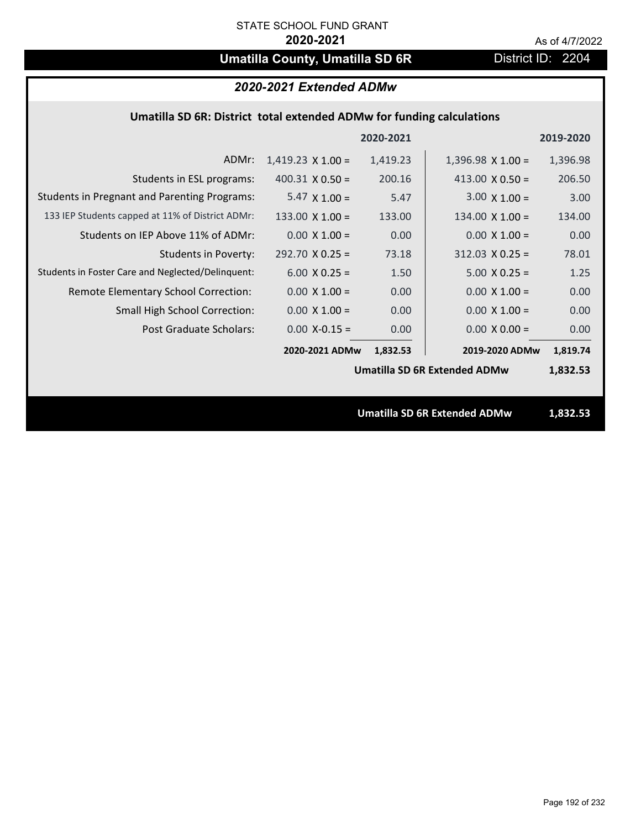# **Umatilla County, Umatilla SD 6R** District ID: 2204

## *2020-2021 Extended ADMw*

## **Umatilla SD 6R: District total extended ADMw for funding calculations**

|                                                     |                          | 2020-2021 |                                     | 2019-2020 |
|-----------------------------------------------------|--------------------------|-----------|-------------------------------------|-----------|
| ADMr:                                               | $1,419.23 \times 1.00 =$ | 1,419.23  | $1,396.98 \times 1.00 =$            | 1,396.98  |
| Students in ESL programs:                           | $400.31 \times 0.50 =$   | 200.16    | 413.00 $\times$ 0.50 =              | 206.50    |
| <b>Students in Pregnant and Parenting Programs:</b> | 5.47 $\times$ 1.00 =     | 5.47      | $3.00 \times 1.00 =$                | 3.00      |
| 133 IEP Students capped at 11% of District ADMr:    | 133.00 $\times$ 1.00 =   | 133.00    | $134.00 \times 1.00 =$              | 134.00    |
| Students on IEP Above 11% of ADMr:                  | $0.00 \times 1.00 =$     | 0.00      | $0.00 \times 1.00 =$                | 0.00      |
| Students in Poverty:                                | $292.70 \times 0.25 =$   | 73.18     | $312.03$ X 0.25 =                   | 78.01     |
| Students in Foster Care and Neglected/Delinquent:   | $6.00 \times 0.25 =$     | 1.50      | $5.00 \times 0.25 =$                | 1.25      |
| Remote Elementary School Correction:                | $0.00 \times 1.00 =$     | 0.00      | $0.00 \times 1.00 =$                | 0.00      |
| <b>Small High School Correction:</b>                | $0.00 \times 1.00 =$     | 0.00      | $0.00 \times 1.00 =$                | 0.00      |
| Post Graduate Scholars:                             | $0.00$ X-0.15 =          | 0.00      | $0.00 \times 0.00 =$                | 0.00      |
|                                                     | 2020-2021 ADMw           | 1,832.53  | 2019-2020 ADMw                      | 1,819.74  |
|                                                     |                          |           | <b>Umatilla SD 6R Extended ADMw</b> | 1,832.53  |
|                                                     |                          |           |                                     |           |
|                                                     |                          |           | <b>Umatilla SD 6R Extended ADMw</b> | 1,832.53  |
|                                                     |                          |           |                                     |           |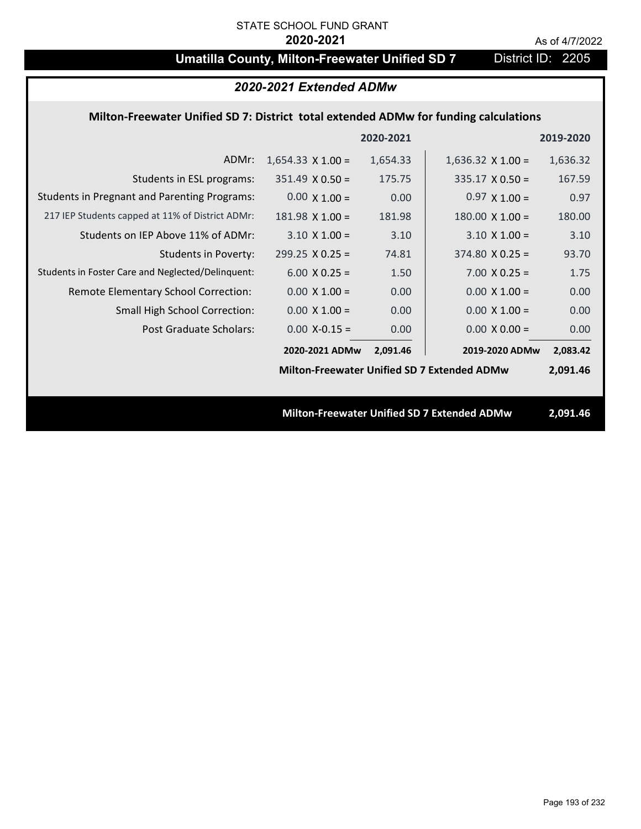# **Umatilla County, Milton-Freewater Unified SD 7** District ID: 2205

## *2020-2021 Extended ADMw*

### **Milton‐Freewater Unified SD 7: District total extended ADMw for funding calculations**

|                                                     |                          | 2020-2021 |                                                    | 2019-2020 |
|-----------------------------------------------------|--------------------------|-----------|----------------------------------------------------|-----------|
| ADMr:                                               | $1,654.33 \times 1.00 =$ | 1,654.33  | $1,636.32 \times 1.00 =$                           | 1,636.32  |
| Students in ESL programs:                           | $351.49 \times 0.50 =$   | 175.75    | $335.17 \times 0.50 =$                             | 167.59    |
| <b>Students in Pregnant and Parenting Programs:</b> | $0.00 \times 1.00 =$     | 0.00      | $0.97 \times 1.00 =$                               | 0.97      |
| 217 IEP Students capped at 11% of District ADMr:    | $181.98 \times 1.00 =$   | 181.98    | $180.00 \times 1.00 =$                             | 180.00    |
| Students on IEP Above 11% of ADMr:                  | $3.10 \times 1.00 =$     | 3.10      | $3.10 \times 1.00 =$                               | 3.10      |
| <b>Students in Poverty:</b>                         | $299.25 \times 0.25 =$   | 74.81     | $374.80 \times 0.25 =$                             | 93.70     |
| Students in Foster Care and Neglected/Delinquent:   | $6.00 \times 0.25 =$     | 1.50      | $7.00 \times 0.25 =$                               | 1.75      |
| Remote Elementary School Correction:                | $0.00 \times 1.00 =$     | 0.00      | $0.00 \times 1.00 =$                               | 0.00      |
| <b>Small High School Correction:</b>                | $0.00 \times 1.00 =$     | 0.00      | $0.00 \times 1.00 =$                               | 0.00      |
| Post Graduate Scholars:                             | $0.00$ X-0.15 =          | 0.00      | $0.00 \times 0.00 =$                               | 0.00      |
|                                                     | 2020-2021 ADMw           | 2,091.46  | 2019-2020 ADMw                                     | 2,083.42  |
|                                                     |                          |           | <b>Milton-Freewater Unified SD 7 Extended ADMw</b> | 2,091.46  |
|                                                     |                          |           |                                                    |           |
|                                                     |                          |           | <b>Milton-Freewater Unified SD 7 Extended ADMw</b> | 2,091.46  |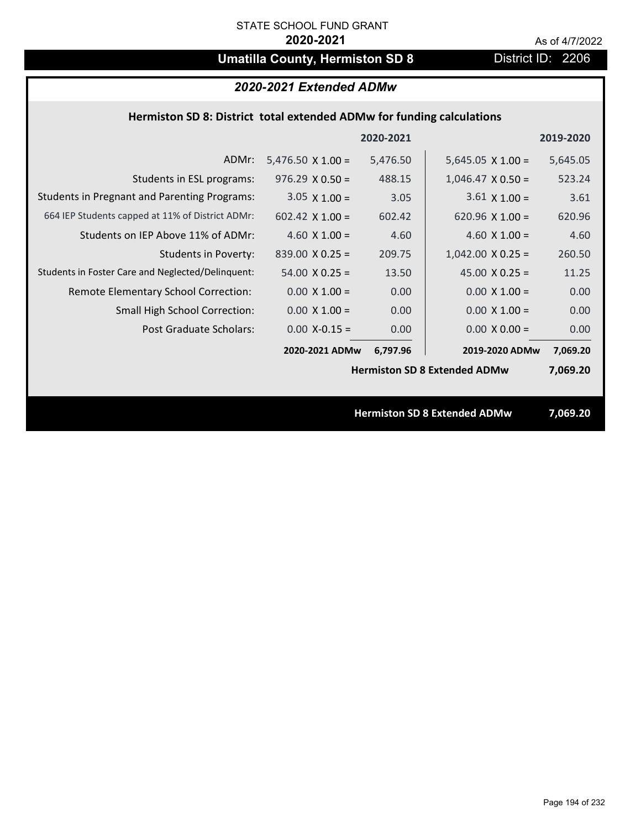# **Umatilla County, Hermiston SD 8** District ID: 2206

## **Hermiston SD 8: District total extended ADMw for funding calculations**

|                                                     |                          | 2020-2021 |                                     | 2019-2020 |
|-----------------------------------------------------|--------------------------|-----------|-------------------------------------|-----------|
| ADMr:                                               | $5,476.50 \times 1.00 =$ | 5,476.50  | $5,645.05 \times 1.00 =$            | 5,645.05  |
| Students in ESL programs:                           | $976.29 \times 0.50 =$   | 488.15    | $1,046.47 \times 0.50 =$            | 523.24    |
| <b>Students in Pregnant and Parenting Programs:</b> | $3.05 \times 1.00 =$     | 3.05      | $3.61 \times 1.00 =$                | 3.61      |
| 664 IEP Students capped at 11% of District ADMr:    | 602.42 $\times$ 1.00 =   | 602.42    | 620.96 $\times$ 1.00 =              | 620.96    |
| Students on IEP Above 11% of ADMr:                  | 4.60 $X$ 1.00 =          | 4.60      | 4.60 $X$ 1.00 =                     | 4.60      |
| <b>Students in Poverty:</b>                         | $839.00 \times 0.25 =$   | 209.75    | $1,042.00 \times 0.25 =$            | 260.50    |
| Students in Foster Care and Neglected/Delinquent:   | $54.00 \times 0.25 =$    | 13.50     | 45.00 $X$ 0.25 =                    | 11.25     |
| Remote Elementary School Correction:                | $0.00 \times 1.00 =$     | 0.00      | $0.00 \times 1.00 =$                | 0.00      |
| <b>Small High School Correction:</b>                | $0.00 \times 1.00 =$     | 0.00      | $0.00 \times 1.00 =$                | 0.00      |
| Post Graduate Scholars:                             | $0.00$ X-0.15 =          | 0.00      | $0.00 \times 0.00 =$                | 0.00      |
|                                                     | 2020-2021 ADMw           | 6,797.96  | 2019-2020 ADMw                      | 7,069.20  |
|                                                     |                          |           | <b>Hermiston SD 8 Extended ADMw</b> | 7,069.20  |
|                                                     |                          |           |                                     |           |
|                                                     |                          |           | <b>Hermiston SD 8 Extended ADMw</b> | 7,069.20  |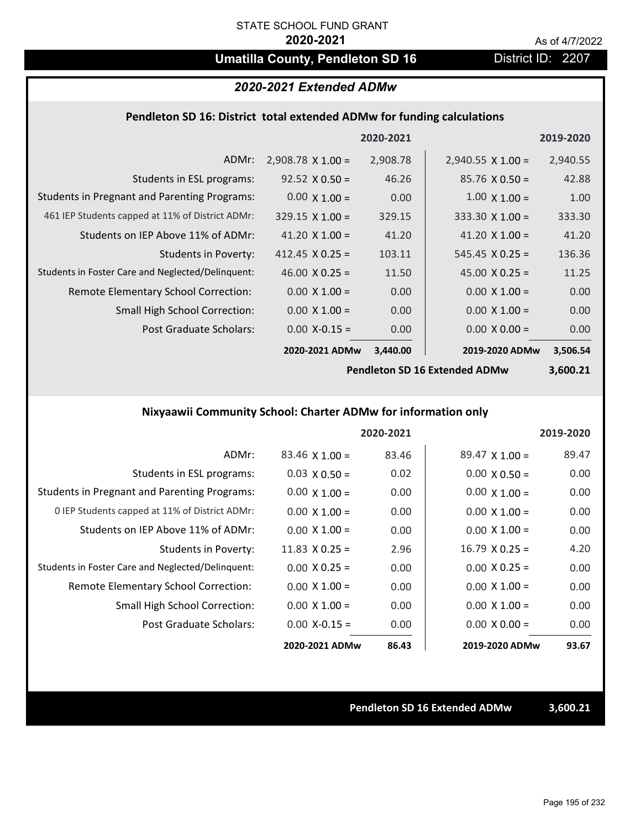## **Umatilla County, Pendleton SD 16** District ID: 2207

# *2020-2021 Extended ADMw*

### **Pendleton SD 16: District total extended ADMw for funding calculations**

|                                                     |                          | 2020-2021 |                          | 2019-2020 |
|-----------------------------------------------------|--------------------------|-----------|--------------------------|-----------|
| ADMr:                                               | $2,908.78 \times 1.00 =$ | 2,908.78  | $2,940.55 \times 1.00 =$ | 2,940.55  |
| Students in ESL programs:                           | $92.52 \times 0.50 =$    | 46.26     | $85.76 \times 0.50 =$    | 42.88     |
| <b>Students in Pregnant and Parenting Programs:</b> | $0.00 \times 1.00 =$     | 0.00      | $1.00 \times 1.00 =$     | 1.00      |
| 461 IEP Students capped at 11% of District ADMr:    | $329.15 \times 1.00 =$   | 329.15    | $333.30 \times 1.00 =$   | 333.30    |
| Students on IEP Above 11% of ADMr:                  | 41.20 $\times$ 1.00 =    | 41.20     | 41.20 $\times$ 1.00 =    | 41.20     |
| <b>Students in Poverty:</b>                         | 412.45 $\times$ 0.25 =   | 103.11    | $545.45 \times 0.25 =$   | 136.36    |
| Students in Foster Care and Neglected/Delinquent:   | $46.00 \times 0.25 =$    | 11.50     | 45.00 $X$ 0.25 =         | 11.25     |
| Remote Elementary School Correction:                | $0.00 \times 1.00 =$     | 0.00      | $0.00 \times 1.00 =$     | 0.00      |
| <b>Small High School Correction:</b>                | $0.00 \times 1.00 =$     | 0.00      | $0.00 \times 1.00 =$     | 0.00      |
| Post Graduate Scholars:                             | $0.00$ X-0.15 =          | 0.00      | $0.00 \times 0.00 =$     | 0.00      |
|                                                     | 2020-2021 ADMw           | 3,440.00  | 2019-2020 ADMw           | 3,506.54  |

**Pendleton SD 16 Extended ADMw**

**3,600.21**

## **Nixyaawii Community School: Charter ADMw for information only**

|                                                     |                       | 2020-2021 |                       | 2019-2020 |
|-----------------------------------------------------|-----------------------|-----------|-----------------------|-----------|
| ADMr:                                               | $83.46 \times 1.00 =$ | 83.46     | $89.47 \times 1.00 =$ | 89.47     |
| Students in ESL programs:                           | $0.03 \times 0.50 =$  | 0.02      | $0.00 \times 0.50 =$  | 0.00      |
| <b>Students in Pregnant and Parenting Programs:</b> | $0.00 \times 1.00 =$  | 0.00      | $0.00 \times 1.00 =$  | 0.00      |
| 0 IEP Students capped at 11% of District ADMr:      | $0.00 \times 1.00 =$  | 0.00      | $0.00 \times 1.00 =$  | 0.00      |
| Students on IEP Above 11% of ADMr:                  | $0.00 \times 1.00 =$  | 0.00      | $0.00 \times 1.00 =$  | 0.00      |
| Students in Poverty:                                | 11.83 $\times$ 0.25 = | 2.96      | $16.79 \times 0.25 =$ | 4.20      |
| Students in Foster Care and Neglected/Delinquent:   | $0.00 \times 0.25 =$  | 0.00      | $0.00 \times 0.25 =$  | 0.00      |
| Remote Elementary School Correction:                | $0.00 \times 1.00 =$  | 0.00      | $0.00 \times 1.00 =$  | 0.00      |
| <b>Small High School Correction:</b>                | $0.00 \times 1.00 =$  | 0.00      | $0.00 \times 1.00 =$  | 0.00      |
| Post Graduate Scholars:                             | $0.00 X - 0.15 =$     | 0.00      | $0.00 \times 0.00 =$  | 0.00      |
|                                                     | 2020-2021 ADMw        | 86.43     | 2019-2020 ADMw        | 93.67     |

**Pendleton SD 16 Extended ADMw 3,600.21**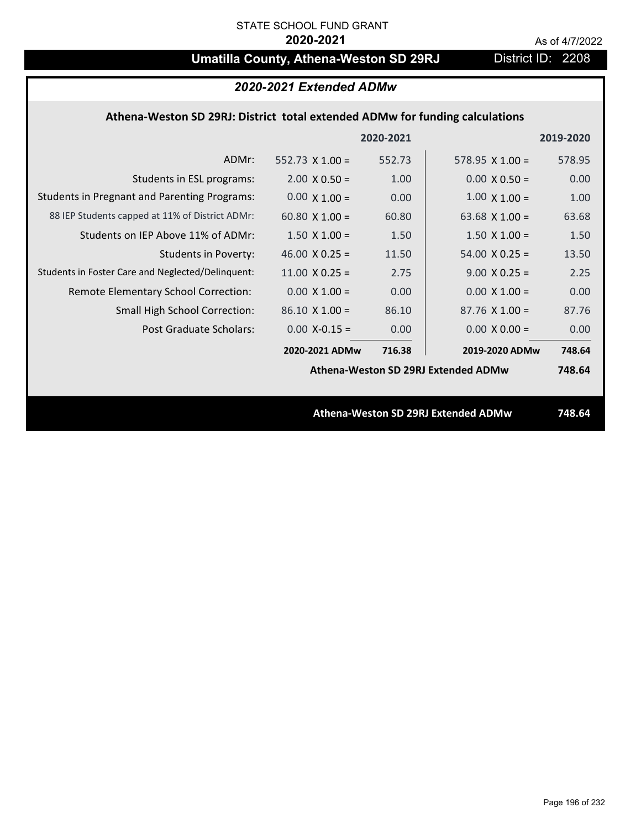# **Umatilla County, Athena-Weston SD 29RJ** District ID: 2208

| 2020-2021 Extended ADMw                                                      |                        |           |                                     |           |  |  |
|------------------------------------------------------------------------------|------------------------|-----------|-------------------------------------|-----------|--|--|
| Athena-Weston SD 29RJ: District total extended ADMw for funding calculations |                        |           |                                     |           |  |  |
|                                                                              |                        | 2020-2021 |                                     | 2019-2020 |  |  |
| ADMr:                                                                        | $552.73 \times 1.00 =$ | 552.73    | 578.95 $X$ 1.00 =                   | 578.95    |  |  |
| Students in ESL programs:                                                    | $2.00 \times 0.50 =$   | 1.00      | $0.00 \times 0.50 =$                | 0.00      |  |  |
| <b>Students in Pregnant and Parenting Programs:</b>                          | $0.00 \times 1.00 =$   | 0.00      | $1.00 \times 1.00 =$                | 1.00      |  |  |
| 88 IEP Students capped at 11% of District ADMr:                              | 60.80 $\times$ 1.00 =  | 60.80     | 63.68 $X$ 1.00 =                    | 63.68     |  |  |
| Students on IEP Above 11% of ADMr:                                           | $1.50 \times 1.00 =$   | 1.50      | $1.50 \times 1.00 =$                | 1.50      |  |  |
| Students in Poverty:                                                         | 46.00 $X$ 0.25 =       | 11.50     | $54.00 \times 0.25 =$               | 13.50     |  |  |
| Students in Foster Care and Neglected/Delinquent:                            | $11.00 \times 0.25 =$  | 2.75      | $9.00 \times 0.25 =$                | 2.25      |  |  |
| Remote Elementary School Correction:                                         | $0.00 \times 1.00 =$   | 0.00      | $0.00 \times 1.00 =$                | 0.00      |  |  |
| <b>Small High School Correction:</b>                                         | $86.10 X 1.00 =$       | 86.10     | $87.76$ X 1.00 =                    | 87.76     |  |  |
| Post Graduate Scholars:                                                      | $0.00$ X-0.15 =        | 0.00      | $0.00 \times 0.00 =$                | 0.00      |  |  |
|                                                                              | 2020-2021 ADMw         | 716.38    | 2019-2020 ADMw                      | 748.64    |  |  |
| Athena-Weston SD 29RJ Extended ADMw                                          |                        |           |                                     | 748.64    |  |  |
|                                                                              |                        |           |                                     |           |  |  |
|                                                                              |                        |           | Athena-Weston SD 29RJ Extended ADMw | 748.64    |  |  |
|                                                                              |                        |           |                                     |           |  |  |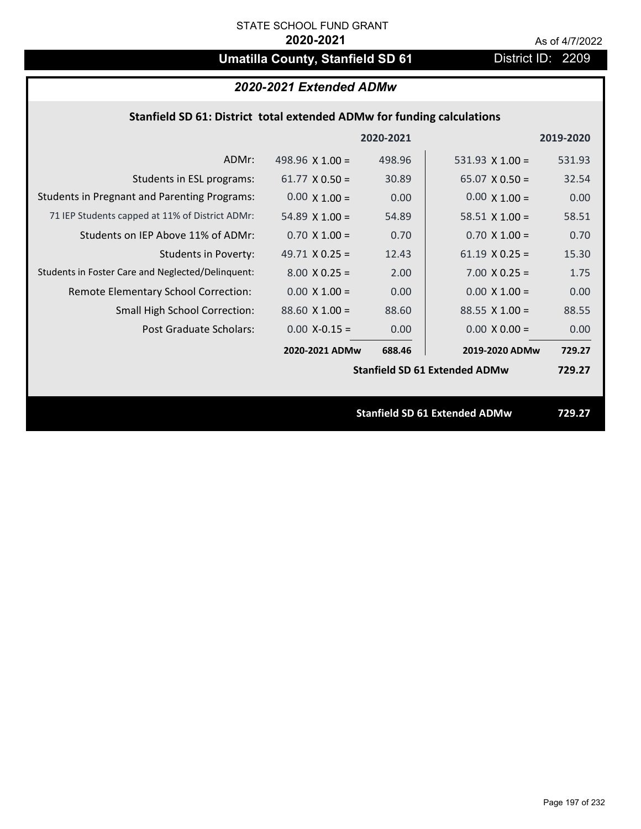# **Umatilla County, Stanfield SD 61** District ID: 2209

## *2020-2021 Extended ADMw*

## **Stanfield SD 61: District total extended ADMw for funding calculations**

|                                                     |                        | 2020-2021 |                                      | 2019-2020 |
|-----------------------------------------------------|------------------------|-----------|--------------------------------------|-----------|
| ADMr:                                               | 498.96 $\times$ 1.00 = | 498.96    | 531.93 $X$ 1.00 =                    | 531.93    |
| Students in ESL programs:                           | $61.77 \times 0.50 =$  | 30.89     | $65.07 \times 0.50 =$                | 32.54     |
| <b>Students in Pregnant and Parenting Programs:</b> | $0.00 \times 1.00 =$   | 0.00      | $0.00 \times 1.00 =$                 | 0.00      |
| 71 IEP Students capped at 11% of District ADMr:     | 54.89 $\times$ 1.00 =  | 54.89     | 58.51 $\times$ 1.00 =                | 58.51     |
| Students on IEP Above 11% of ADMr:                  | $0.70 \times 1.00 =$   | 0.70      | $0.70$ X 1.00 =                      | 0.70      |
| <b>Students in Poverty:</b>                         | 49.71 $X$ 0.25 =       | 12.43     | $61.19 \times 0.25 =$                | 15.30     |
| Students in Foster Care and Neglected/Delinquent:   | $8.00 \times 0.25 =$   | 2.00      | $7.00 \times 0.25 =$                 | 1.75      |
| Remote Elementary School Correction:                | $0.00 \times 1.00 =$   | 0.00      | $0.00 \times 1.00 =$                 | 0.00      |
| <b>Small High School Correction:</b>                | $88.60 \times 1.00 =$  | 88.60     | $88.55 \times 1.00 =$                | 88.55     |
| Post Graduate Scholars:                             | $0.00$ X-0.15 =        | 0.00      | $0.00 \times 0.00 =$                 | 0.00      |
|                                                     | 2020-2021 ADMw         | 688.46    | 2019-2020 ADMw                       | 729.27    |
|                                                     |                        |           | <b>Stanfield SD 61 Extended ADMw</b> | 729.27    |
|                                                     |                        |           |                                      |           |
|                                                     |                        |           | <b>Stanfield SD 61 Extended ADMw</b> | 729.27    |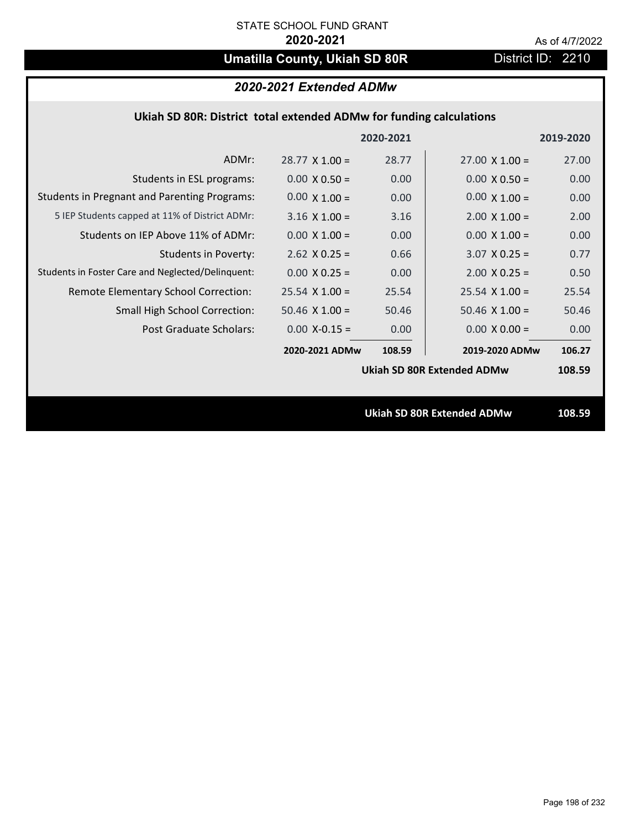# **Umatilla County, Ukiah SD 80R** District ID: 2210

## *2020-2021 Extended ADMw*

| Ukiah SD 80R: District total extended ADMw for funding calculations |  |  |  |
|---------------------------------------------------------------------|--|--|--|
|---------------------------------------------------------------------|--|--|--|

|                                                     |                       | 2020-2021 |                                   | 2019-2020 |
|-----------------------------------------------------|-----------------------|-----------|-----------------------------------|-----------|
| ADMr:                                               | $28.77 \times 1.00 =$ | 28.77     | $27.00 \times 1.00 =$             | 27.00     |
| Students in ESL programs:                           | $0.00 \times 0.50 =$  | 0.00      | $0.00 \times 0.50 =$              | 0.00      |
| <b>Students in Pregnant and Parenting Programs:</b> | $0.00 \times 1.00 =$  | 0.00      | $0.00 \times 1.00 =$              | 0.00      |
| 5 IEP Students capped at 11% of District ADMr:      | $3.16 \times 1.00 =$  | 3.16      | $2.00 \times 1.00 =$              | 2.00      |
| Students on IEP Above 11% of ADMr:                  | $0.00 \times 1.00 =$  | 0.00      | $0.00 \times 1.00 =$              | 0.00      |
| <b>Students in Poverty:</b>                         | $2.62$ X 0.25 =       | 0.66      | $3.07$ X 0.25 =                   | 0.77      |
| Students in Foster Care and Neglected/Delinquent:   | $0.00 \times 0.25 =$  | 0.00      | $2.00 \times 0.25 =$              | 0.50      |
| Remote Elementary School Correction:                | $25.54$ X 1.00 =      | 25.54     | $25.54$ X 1.00 =                  | 25.54     |
| <b>Small High School Correction:</b>                | $50.46 \times 1.00 =$ | 50.46     | $50.46 \times 1.00 =$             | 50.46     |
| Post Graduate Scholars:                             | $0.00$ X-0.15 =       | 0.00      | $0.00 \times 0.00 =$              | 0.00      |
|                                                     | 2020-2021 ADMw        | 108.59    | 2019-2020 ADMw                    | 106.27    |
|                                                     |                       |           | <b>Ukiah SD 80R Extended ADMw</b> | 108.59    |
|                                                     |                       |           |                                   |           |
|                                                     |                       |           | <b>Ukiah SD 80R Extended ADMw</b> | 108.59    |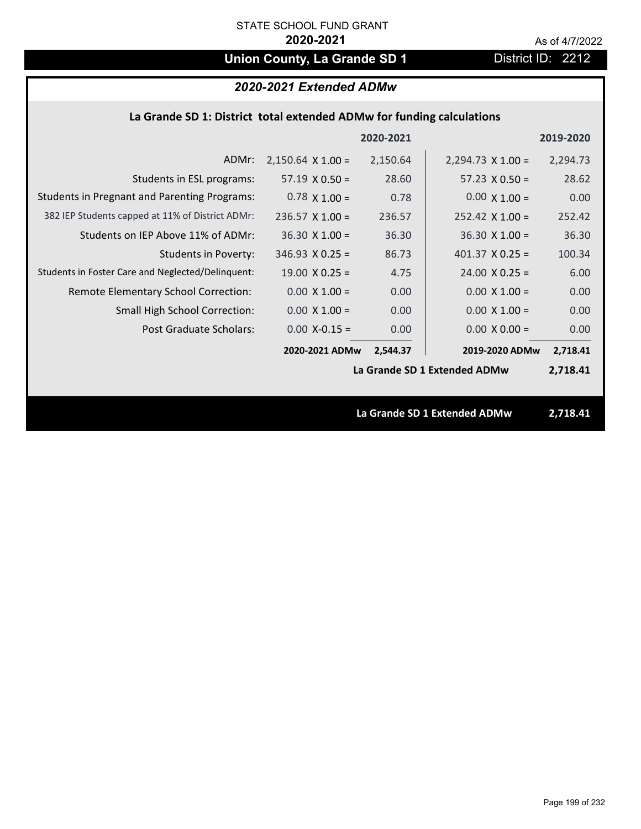# **Union County, La Grande SD 1** District ID: 2212

### **La Grande SD 1: District total extended ADMw for funding calculations**

|                                                     |                          | 2020-2021 |                              | 2019-2020 |
|-----------------------------------------------------|--------------------------|-----------|------------------------------|-----------|
| ADMr:                                               | $2,150.64 \times 1.00 =$ | 2,150.64  | $2,294.73 \times 1.00 =$     | 2,294.73  |
| Students in ESL programs:                           | $57.19 \times 0.50 =$    | 28.60     | $57.23 \times 0.50 =$        | 28.62     |
| <b>Students in Pregnant and Parenting Programs:</b> | $0.78 \times 1.00 =$     | 0.78      | $0.00 \times 1.00 =$         | 0.00      |
| 382 IEP Students capped at 11% of District ADMr:    | $236.57$ X 1.00 =        | 236.57    | $252.42 \times 1.00 =$       | 252.42    |
| Students on IEP Above 11% of ADMr:                  | $36.30$ X $1.00 =$       | 36.30     | $36.30 \times 1.00 =$        | 36.30     |
| <b>Students in Poverty:</b>                         | $346.93 \times 0.25 =$   | 86.73     | 401.37 $X$ 0.25 =            | 100.34    |
| Students in Foster Care and Neglected/Delinquent:   | $19.00 \times 0.25 =$    | 4.75      | $24.00 \times 0.25 =$        | 6.00      |
| Remote Elementary School Correction:                | $0.00 \times 1.00 =$     | 0.00      | $0.00 \times 1.00 =$         | 0.00      |
| <b>Small High School Correction:</b>                | $0.00 \times 1.00 =$     | 0.00      | $0.00 \times 1.00 =$         | 0.00      |
| Post Graduate Scholars:                             | $0.00$ X-0.15 =          | 0.00      | $0.00 \times 0.00 =$         | 0.00      |
|                                                     | 2020-2021 ADMw           | 2,544.37  | 2019-2020 ADMw               | 2,718.41  |
|                                                     |                          |           | La Grande SD 1 Extended ADMw | 2,718.41  |
|                                                     |                          |           |                              |           |
|                                                     |                          |           | La Grande SD 1 Extended ADMw | 2,718.41  |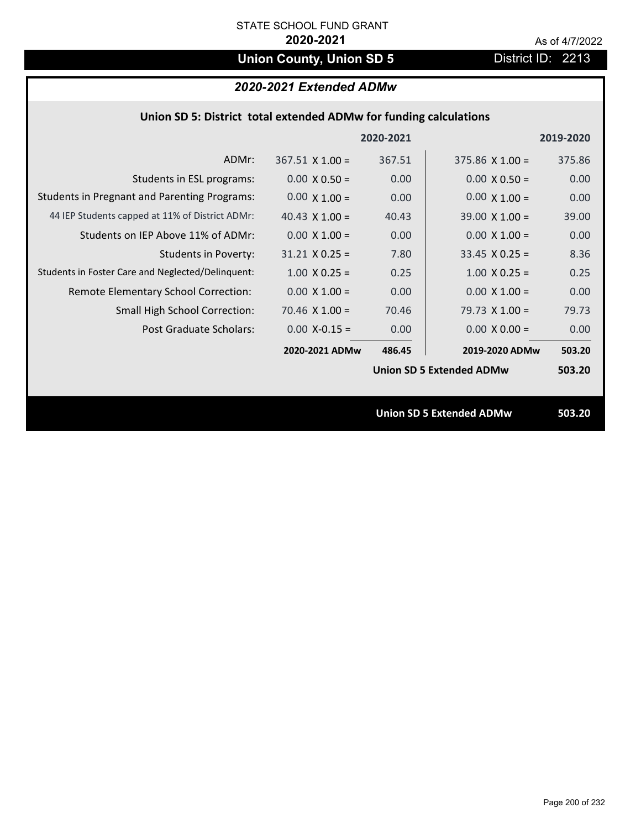# **Union County, Union SD 5** District ID: 2213

## *2020-2021 Extended ADMw*

|                                                     |                        | 2020-2021 |                                 | 2019-2020 |
|-----------------------------------------------------|------------------------|-----------|---------------------------------|-----------|
| ADMr:                                               | $367.51 \times 1.00 =$ | 367.51    | $375.86 \times 1.00 =$          | 375.86    |
| Students in ESL programs:                           | $0.00 \times 0.50 =$   | 0.00      | $0.00 \times 0.50 =$            | 0.00      |
| <b>Students in Pregnant and Parenting Programs:</b> | $0.00 \times 1.00 =$   | 0.00      | $0.00 \times 1.00 =$            | 0.00      |
| 44 IEP Students capped at 11% of District ADMr:     | 40.43 $\times$ 1.00 =  | 40.43     | $39.00 \times 1.00 =$           | 39.00     |
| Students on IEP Above 11% of ADMr:                  | $0.00 \times 1.00 =$   | 0.00      | $0.00 \times 1.00 =$            | 0.00      |
| <b>Students in Poverty:</b>                         | $31.21$ X 0.25 =       | 7.80      | $33.45$ X 0.25 =                | 8.36      |
| Students in Foster Care and Neglected/Delinquent:   | $1.00 \times 0.25 =$   | 0.25      | $1.00 \times 0.25 =$            | 0.25      |
| Remote Elementary School Correction:                | $0.00 \times 1.00 =$   | 0.00      | $0.00 \times 1.00 =$            | 0.00      |
| <b>Small High School Correction:</b>                | $70.46$ X $1.00 =$     | 70.46     | 79.73 $X$ 1.00 =                | 79.73     |
| Post Graduate Scholars:                             | $0.00$ X-0.15 =        | 0.00      | $0.00 \times 0.00 =$            | 0.00      |
|                                                     | 2020-2021 ADMw         | 486.45    | 2019-2020 ADMw                  | 503.20    |
|                                                     |                        |           | <b>Union SD 5 Extended ADMw</b> | 503.20    |
|                                                     |                        |           |                                 |           |
|                                                     |                        |           | <b>Union SD 5 Extended ADMw</b> | 503.20    |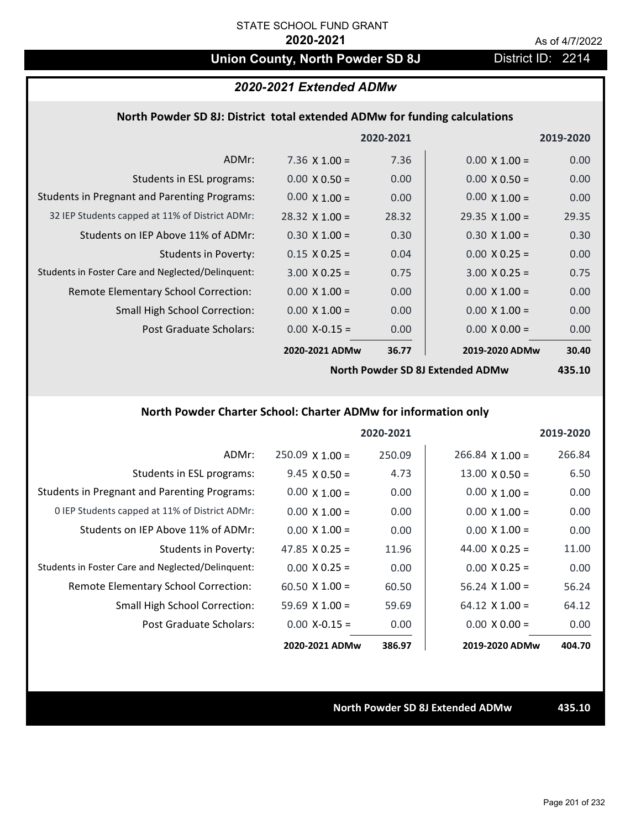## **Union County, North Powder SD 8J** District ID: 2214

### *2020-2021 Extended ADMw*

### **North Powder SD 8J: District total extended ADMw for funding calculations**

|                                                     |                       | 2020-2021 |                       | 2019-2020 |
|-----------------------------------------------------|-----------------------|-----------|-----------------------|-----------|
| ADMr:                                               | 7.36 $\times$ 1.00 =  | 7.36      | $0.00 \times 1.00 =$  | 0.00      |
| Students in ESL programs:                           | $0.00 \times 0.50 =$  | 0.00      | $0.00 \times 0.50 =$  | 0.00      |
| <b>Students in Pregnant and Parenting Programs:</b> | $0.00 \times 1.00 =$  | 0.00      | $0.00 \times 1.00 =$  | 0.00      |
| 32 IEP Students capped at 11% of District ADMr:     | $28.32 \times 1.00 =$ | 28.32     | $29.35 \times 1.00 =$ | 29.35     |
| Students on IEP Above 11% of ADMr:                  | $0.30 \times 1.00 =$  | 0.30      | $0.30 \times 1.00 =$  | 0.30      |
| <b>Students in Poverty:</b>                         | $0.15 \times 0.25 =$  | 0.04      | $0.00 \times 0.25 =$  | 0.00      |
| Students in Foster Care and Neglected/Delinquent:   | $3.00 \times 0.25 =$  | 0.75      | $3.00 \times 0.25 =$  | 0.75      |
| Remote Elementary School Correction:                | $0.00 \times 1.00 =$  | 0.00      | $0.00 \times 1.00 =$  | 0.00      |
| <b>Small High School Correction:</b>                | $0.00 \times 1.00 =$  | 0.00      | $0.00 \times 1.00 =$  | 0.00      |
| Post Graduate Scholars:                             | $0.00$ X-0.15 =       | 0.00      | $0.00 \times 0.00 =$  | 0.00      |
|                                                     | 2020-2021 ADMw        | 36.77     | 2019-2020 ADMw        | 30.40     |
|                                                     |                       |           |                       |           |

**North Powder SD 8J Extended ADMw**

**435.10**

## **North Powder Charter School: Charter ADMw for information only**

|                                                     |                        | 2020-2021 |                       | 2019-2020 |
|-----------------------------------------------------|------------------------|-----------|-----------------------|-----------|
| ADMr:                                               | $250.09 \times 1.00 =$ | 250.09    | $266.84$ X 1.00 =     | 266.84    |
| Students in ESL programs:                           | $9.45 \times 0.50 =$   | 4.73      | $13.00 \times 0.50 =$ | 6.50      |
| <b>Students in Pregnant and Parenting Programs:</b> | $0.00 \times 1.00 =$   | 0.00      | $0.00 \times 1.00 =$  | 0.00      |
| 0 IEP Students capped at 11% of District ADMr:      | $0.00 \times 1.00 =$   | 0.00      | $0.00 \times 1.00 =$  | 0.00      |
| Students on IEP Above 11% of ADMr:                  | $0.00 \times 1.00 =$   | 0.00      | $0.00 \times 1.00 =$  | 0.00      |
| Students in Poverty:                                | 47.85 $\times$ 0.25 =  | 11.96     | 44.00 $\times$ 0.25 = | 11.00     |
| Students in Foster Care and Neglected/Delinquent:   | $0.00 \times 0.25 =$   | 0.00      | $0.00 \times 0.25 =$  | 0.00      |
| Remote Elementary School Correction:                | $60.50 \times 1.00 =$  | 60.50     | $56.24$ X 1.00 =      | 56.24     |
| Small High School Correction:                       | $59.69 \times 1.00 =$  | 59.69     | $64.12 \times 1.00 =$ | 64.12     |
| Post Graduate Scholars:                             | $0.00 X - 0.15 =$      | 0.00      | $0.00 \times 0.00 =$  | 0.00      |
|                                                     | 2020-2021 ADMw         | 386.97    | 2019-2020 ADMw        | 404.70    |

### **North Powder SD 8J Extended ADMw 435.10**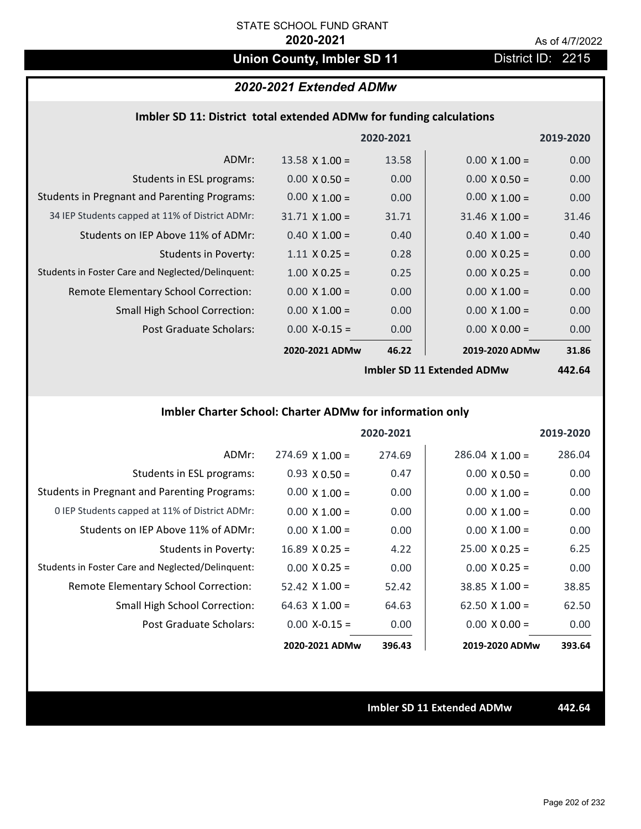## **Union County, Imbler SD 11** District ID: 2215

## *2020-2021 Extended ADMw*

|  |  | Imbler SD 11: District total extended ADMw for funding calculations |
|--|--|---------------------------------------------------------------------|
|--|--|---------------------------------------------------------------------|

|                                                     |                       | 2020-2021 |                                                           | 2019-2020      |
|-----------------------------------------------------|-----------------------|-----------|-----------------------------------------------------------|----------------|
| ADMr:                                               | $13.58 \times 1.00 =$ | 13.58     | $0.00 \times 1.00 =$                                      | 0.00           |
| Students in ESL programs:                           | $0.00 \times 0.50 =$  | 0.00      | $0.00 \times 0.50 =$                                      | 0.00           |
| <b>Students in Pregnant and Parenting Programs:</b> | $0.00 \times 1.00 =$  | 0.00      | $0.00 \times 1.00 =$                                      | 0.00           |
| 34 IEP Students capped at 11% of District ADMr:     | $31.71 \times 1.00 =$ | 31.71     | $31.46 \times 1.00 =$                                     | 31.46          |
| Students on IEP Above 11% of ADMr:                  | $0.40 \times 1.00 =$  | 0.40      | $0.40 \times 1.00 =$                                      | 0.40           |
| <b>Students in Poverty:</b>                         | $1.11 \times 0.25 =$  | 0.28      | $0.00 X 0.25 =$                                           | 0.00           |
| Students in Foster Care and Neglected/Delinquent:   | $1.00 \times 0.25 =$  | 0.25      | $0.00 \times 0.25 =$                                      | 0.00           |
| Remote Elementary School Correction:                | $0.00 \times 1.00 =$  | 0.00      | $0.00 \times 1.00 =$                                      | 0.00           |
| <b>Small High School Correction:</b>                | $0.00 \times 1.00 =$  | 0.00      | $0.00 \times 1.00 =$                                      | 0.00           |
| Post Graduate Scholars:                             | $0.00$ X-0.15 =       | 0.00      | $0.00 \times 0.00 =$                                      | 0.00           |
|                                                     | 2020-2021 ADMw        | 46.22     | 2019-2020 ADMw                                            | 31.86          |
|                                                     |                       |           | $l$ <sub>rac</sub> kley CD 44 $l$ <sub>rate</sub> ded ADM | $\overline{A}$ |

**Imbler SD 11 Extended ADMw**

**442.64**

## **Imbler Charter School: Charter ADMw for information only**

|                                                     |                       | 2020-2021 |                        | 2019-2020 |
|-----------------------------------------------------|-----------------------|-----------|------------------------|-----------|
| ADMr:                                               | $274.69$ X 1.00 =     | 274.69    | $286.04 \times 1.00 =$ | 286.04    |
| Students in ESL programs:                           | $0.93 \times 0.50 =$  | 0.47      | $0.00 \times 0.50 =$   | 0.00      |
| <b>Students in Pregnant and Parenting Programs:</b> | $0.00 \times 1.00 =$  | 0.00      | $0.00 \times 1.00 =$   | 0.00      |
| 0 IEP Students capped at 11% of District ADMr:      | $0.00 \times 1.00 =$  | 0.00      | $0.00 \times 1.00 =$   | 0.00      |
| Students on IEP Above 11% of ADMr:                  | $0.00 \times 1.00 =$  | 0.00      | $0.00 \times 1.00 =$   | 0.00      |
| Students in Poverty:                                | $16.89 \times 0.25 =$ | 4.22      | $25.00 \times 0.25 =$  | 6.25      |
| Students in Foster Care and Neglected/Delinquent:   | $0.00 \times 0.25 =$  | 0.00      | $0.00 \times 0.25 =$   | 0.00      |
| Remote Elementary School Correction:                | $52.42 \times 1.00 =$ | 52.42     | $38.85 \times 1.00 =$  | 38.85     |
| <b>Small High School Correction:</b>                | 64.63 $X$ 1.00 =      | 64.63     | $62.50 \times 1.00 =$  | 62.50     |
| Post Graduate Scholars:                             | $0.00 X - 0.15 =$     | 0.00      | $0.00 \times 0.00 =$   | 0.00      |
|                                                     | 2020-2021 ADMw        | 396.43    | 2019-2020 ADMw         | 393.64    |

**Imbler SD 11 Extended ADMw 442.64**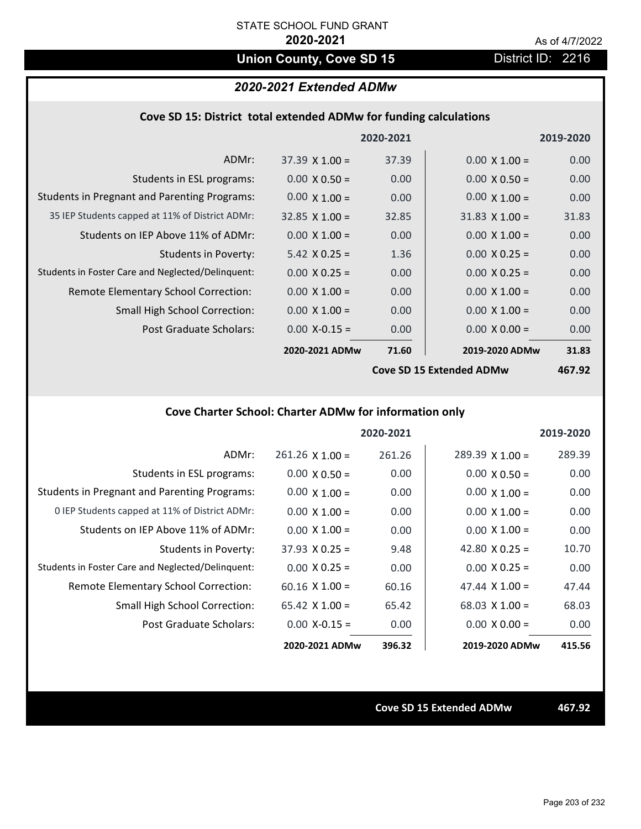## **Union County, Cove SD 15** District ID: 2216

## *2020-2021 Extended ADMw*

| Cove SD 15: District total extended ADMw for funding calculations |  |  |  |  |
|-------------------------------------------------------------------|--|--|--|--|
|-------------------------------------------------------------------|--|--|--|--|

|                                                     |                       | 2020-2021 |                          | 2019-2020 |
|-----------------------------------------------------|-----------------------|-----------|--------------------------|-----------|
| ADMr:                                               | $37.39 \times 1.00 =$ | 37.39     | $0.00 \times 1.00 =$     | 0.00      |
| Students in ESL programs:                           | $0.00 \times 0.50 =$  | 0.00      | $0.00 \times 0.50 =$     | 0.00      |
| <b>Students in Pregnant and Parenting Programs:</b> | $0.00 \times 1.00 =$  | 0.00      | $0.00 \times 1.00 =$     | 0.00      |
| 35 IEP Students capped at 11% of District ADMr:     | $32.85 \times 1.00 =$ | 32.85     | $31.83 \times 1.00 =$    | 31.83     |
| Students on IEP Above 11% of ADMr:                  | $0.00 \times 1.00 =$  | 0.00      | $0.00 \times 1.00 =$     | 0.00      |
| <b>Students in Poverty:</b>                         | $5.42 \times 0.25 =$  | 1.36      | $0.00 \times 0.25 =$     | 0.00      |
| Students in Foster Care and Neglected/Delinquent:   | $0.00 \times 0.25 =$  | 0.00      | $0.00 \times 0.25 =$     | 0.00      |
| Remote Elementary School Correction:                | $0.00 \times 1.00 =$  | 0.00      | $0.00 \times 1.00 =$     | 0.00      |
| <b>Small High School Correction:</b>                | $0.00 \times 1.00 =$  | 0.00      | $0.00 \times 1.00 =$     | 0.00      |
| Post Graduate Scholars:                             | $0.00$ X-0.15 =       | 0.00      | $0.00 \times 0.00 =$     | 0.00      |
|                                                     | 2020-2021 ADMw        | 71.60     | 2019-2020 ADMw           | 31.83     |
|                                                     |                       |           | Cove SD 15 Extended ADMW | 16702     |

**Cove SD 15 Extended ADMw**

**467.92**

## **Cove Charter School: Charter ADMw for information only**

|                                                     |                       | 2020-2021 |                        | 2019-2020 |
|-----------------------------------------------------|-----------------------|-----------|------------------------|-----------|
| ADMr:                                               | $261.26$ X $1.00 =$   | 261.26    | $289.39 \times 1.00 =$ | 289.39    |
| Students in ESL programs:                           | $0.00 \times 0.50 =$  | 0.00      | $0.00 \times 0.50 =$   | 0.00      |
| <b>Students in Pregnant and Parenting Programs:</b> | $0.00 \times 1.00 =$  | 0.00      | $0.00 \times 1.00 =$   | 0.00      |
| 0 IEP Students capped at 11% of District ADMr:      | $0.00 \times 1.00 =$  | 0.00      | $0.00 \times 1.00 =$   | 0.00      |
| Students on IEP Above 11% of ADMr:                  | $0.00 \times 1.00 =$  | 0.00      | $0.00 \times 1.00 =$   | 0.00      |
| Students in Poverty:                                | $37.93 \times 0.25 =$ | 9.48      | 42.80 $\times$ 0.25 =  | 10.70     |
| Students in Foster Care and Neglected/Delinquent:   | $0.00 \times 0.25 =$  | 0.00      | $0.00 \times 0.25 =$   | 0.00      |
| Remote Elementary School Correction:                | $60.16 \times 1.00 =$ | 60.16     | 47.44 $\times$ 1.00 =  | 47.44     |
| <b>Small High School Correction:</b>                | 65.42 $X$ 1.00 =      | 65.42     | $68.03 \times 1.00 =$  | 68.03     |
| Post Graduate Scholars:                             | $0.00 X - 0.15 =$     | 0.00      | $0.00 \times 0.00 =$   | 0.00      |
|                                                     | 2020-2021 ADMw        | 396.32    | 2019-2020 ADMw         | 415.56    |

**Cove SD 15 Extended ADMw 467.92**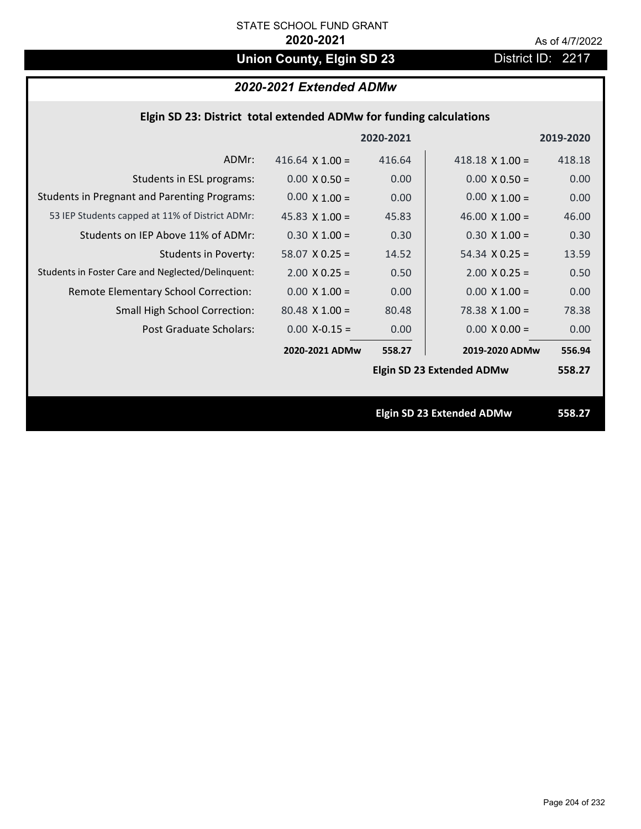# **Union County, Elgin SD 23** District ID: 2217

## *2020-2021 Extended ADMw*

| Elgin SD 23: District total extended ADMw for funding calculations |                        |           |                                  |           |  |
|--------------------------------------------------------------------|------------------------|-----------|----------------------------------|-----------|--|
|                                                                    |                        | 2020-2021 |                                  | 2019-2020 |  |
| ADMr:                                                              | 416.64 $\times$ 1.00 = | 416.64    | 418.18 $\times$ 1.00 =           | 418.18    |  |
| Students in ESL programs:                                          | $0.00 \times 0.50 =$   | 0.00      | $0.00 \times 0.50 =$             | 0.00      |  |
| <b>Students in Pregnant and Parenting Programs:</b>                | $0.00 \times 1.00 =$   | 0.00      | $0.00 \times 1.00 =$             | 0.00      |  |
| 53 IEP Students capped at 11% of District ADMr:                    | 45.83 $\times$ 1.00 =  | 45.83     | 46.00 $\times$ 1.00 =            | 46.00     |  |
| Students on IEP Above 11% of ADMr:                                 | $0.30 X 1.00 =$        | 0.30      | $0.30 X 1.00 =$                  | 0.30      |  |
| <b>Students in Poverty:</b>                                        | $58.07$ X 0.25 =       | 14.52     | $54.34$ X 0.25 =                 | 13.59     |  |
| Students in Foster Care and Neglected/Delinquent:                  | $2.00 \times 0.25 =$   | 0.50      | $2.00 \times 0.25 =$             | 0.50      |  |
| Remote Elementary School Correction:                               | $0.00 \times 1.00 =$   | 0.00      | $0.00 \times 1.00 =$             | 0.00      |  |
| Small High School Correction:                                      | $80.48$ X 1.00 =       | 80.48     | 78.38 $X$ 1.00 =                 | 78.38     |  |
| <b>Post Graduate Scholars:</b>                                     | $0.00$ X-0.15 =        | 0.00      | $0.00 \times 0.00 =$             | 0.00      |  |
|                                                                    | 2020-2021 ADMw         | 558.27    | 2019-2020 ADMw                   | 556.94    |  |
|                                                                    |                        |           | <b>Elgin SD 23 Extended ADMw</b> | 558.27    |  |
|                                                                    |                        |           |                                  |           |  |
|                                                                    |                        |           | <b>Elgin SD 23 Extended ADMw</b> | 558.27    |  |
|                                                                    |                        |           |                                  |           |  |
|                                                                    |                        |           |                                  |           |  |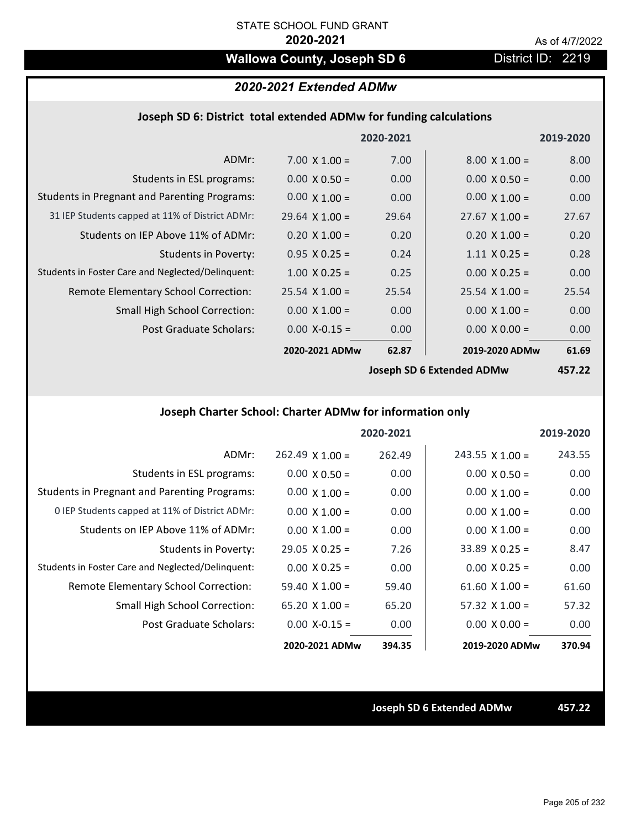## **Wallowa County, Joseph SD 6** District ID: 2219

## *2020-2021 Extended ADMw*

### **Joseph SD 6: District total extended ADMw for funding calculations**

|                                                     |                       | 2020-2021 |                                                                                                                                                                                                                                                                                                                                                                                | 2019-2020 |
|-----------------------------------------------------|-----------------------|-----------|--------------------------------------------------------------------------------------------------------------------------------------------------------------------------------------------------------------------------------------------------------------------------------------------------------------------------------------------------------------------------------|-----------|
| ADMr:                                               | $7.00 \times 1.00 =$  | 7.00      | $8.00 \times 1.00 =$                                                                                                                                                                                                                                                                                                                                                           | 8.00      |
| Students in ESL programs:                           | $0.00 \times 0.50 =$  | 0.00      | $0.00 \times 0.50 =$                                                                                                                                                                                                                                                                                                                                                           | 0.00      |
| <b>Students in Pregnant and Parenting Programs:</b> | $0.00 \times 1.00 =$  | 0.00      | $0.00 \times 1.00 =$                                                                                                                                                                                                                                                                                                                                                           | 0.00      |
| 31 IEP Students capped at 11% of District ADMr:     | $29.64 \times 1.00 =$ | 29.64     | $27.67 \times 1.00 =$                                                                                                                                                                                                                                                                                                                                                          | 27.67     |
| Students on IEP Above 11% of ADMr:                  | $0.20 \times 1.00 =$  | 0.20      | $0.20 \times 1.00 =$                                                                                                                                                                                                                                                                                                                                                           | 0.20      |
| <b>Students in Poverty:</b>                         | $0.95 X 0.25 =$       | 0.24      | $1.11 \times 0.25 =$                                                                                                                                                                                                                                                                                                                                                           | 0.28      |
| Students in Foster Care and Neglected/Delinquent:   | $1.00 \times 0.25 =$  | 0.25      | $0.00 \times 0.25 =$                                                                                                                                                                                                                                                                                                                                                           | 0.00      |
| Remote Elementary School Correction:                | $25.54 \times 1.00 =$ | 25.54     | $25.54 \times 1.00 =$                                                                                                                                                                                                                                                                                                                                                          | 25.54     |
| <b>Small High School Correction:</b>                | $0.00 \times 1.00 =$  | 0.00      | $0.00 \times 1.00 =$                                                                                                                                                                                                                                                                                                                                                           | 0.00      |
| Post Graduate Scholars:                             | $0.00$ X-0.15 =       | 0.00      | $0.00 \times 0.00 =$                                                                                                                                                                                                                                                                                                                                                           | 0.00      |
|                                                     | 2020-2021 ADMw        | 62.87     | 2019-2020 ADMw                                                                                                                                                                                                                                                                                                                                                                 | 61.69     |
|                                                     |                       |           | $l$ and $\overline{c}$ $\overline{c}$ $\overline{c}$ $\overline{c}$ $\overline{c}$ $\overline{c}$ $\overline{c}$ $\overline{c}$ $\overline{c}$ $\overline{c}$ $\overline{c}$ $\overline{c}$ $\overline{c}$ $\overline{c}$ $\overline{c}$ $\overline{c}$ $\overline{c}$ $\overline{c}$ $\overline{c}$ $\overline{c}$ $\overline{c}$ $\overline{c}$ $\overline{c}$ $\overline{c$ | 1.77.2    |

**Joseph SD 6 Extended ADMw**

**457.22**

## **Joseph Charter School: Charter ADMw for information only**

|                                                     |                       | 2020-2021 |                        | 2019-2020 |
|-----------------------------------------------------|-----------------------|-----------|------------------------|-----------|
| ADMr:                                               | $262.49$ X 1.00 =     | 262.49    | $243.55 \times 1.00 =$ | 243.55    |
| Students in ESL programs:                           | $0.00 \times 0.50 =$  | 0.00      | $0.00 \times 0.50 =$   | 0.00      |
| <b>Students in Pregnant and Parenting Programs:</b> | $0.00 \times 1.00 =$  | 0.00      | $0.00 \times 1.00 =$   | 0.00      |
| 0 IEP Students capped at 11% of District ADMr:      | $0.00 \times 1.00 =$  | 0.00      | $0.00 \times 1.00 =$   | 0.00      |
| Students on IEP Above 11% of ADMr:                  | $0.00 \times 1.00 =$  | 0.00      | $0.00 \times 1.00 =$   | 0.00      |
| Students in Poverty:                                | $29.05 \times 0.25 =$ | 7.26      | $33.89 \times 0.25 =$  | 8.47      |
| Students in Foster Care and Neglected/Delinquent:   | $0.00 \times 0.25 =$  | 0.00      | $0.00 \times 0.25 =$   | 0.00      |
| Remote Elementary School Correction:                | $59.40 \times 1.00 =$ | 59.40     | $61.60 \times 1.00 =$  | 61.60     |
| <b>Small High School Correction:</b>                | 65.20 $X$ 1.00 =      | 65.20     | $57.32 \times 1.00 =$  | 57.32     |
| Post Graduate Scholars:                             | $0.00 X - 0.15 =$     | 0.00      | $0.00 \times 0.00 =$   | 0.00      |
|                                                     | 2020-2021 ADMw        | 394.35    | 2019-2020 ADMw         | 370.94    |

**Joseph SD 6 Extended ADMw 457.22**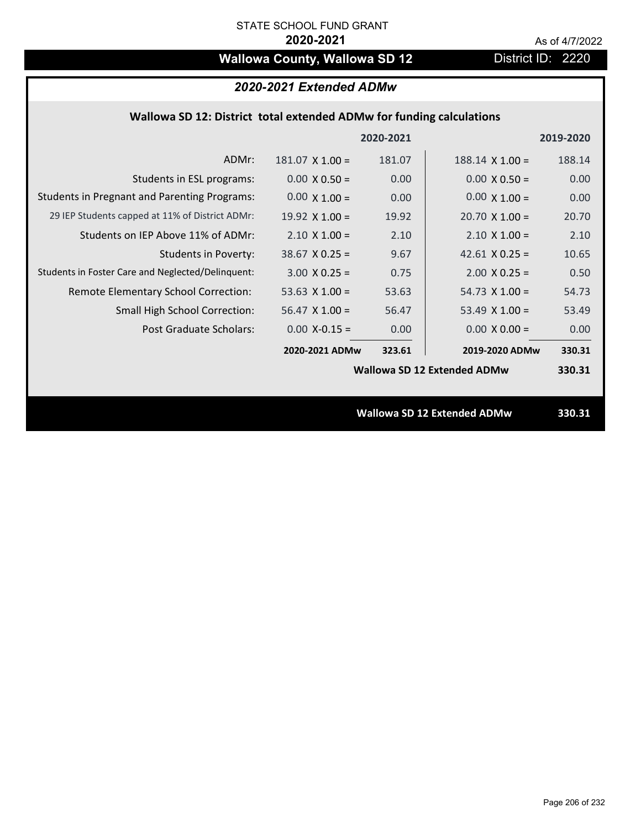# **Wallowa County, Wallowa SD 12** District ID: 2220

|                                                     |                        | 2020-2021 |                                    | 2019-2020 |
|-----------------------------------------------------|------------------------|-----------|------------------------------------|-----------|
| ADMr:                                               | $181.07 \times 1.00 =$ | 181.07    | $188.14$ X $1.00 =$                | 188.14    |
| Students in ESL programs:                           | $0.00 \times 0.50 =$   | 0.00      | $0.00 \times 0.50 =$               | 0.00      |
| <b>Students in Pregnant and Parenting Programs:</b> | $0.00 \times 1.00 =$   | 0.00      | $0.00 \times 1.00 =$               | 0.00      |
| 29 IEP Students capped at 11% of District ADMr:     | 19.92 $\times$ 1.00 =  | 19.92     | $20.70 \times 1.00 =$              | 20.70     |
| Students on IEP Above 11% of ADMr:                  | $2.10 \times 1.00 =$   | 2.10      | $2.10 \times 1.00 =$               | 2.10      |
| <b>Students in Poverty:</b>                         | $38.67$ X 0.25 =       | 9.67      | 42.61 $X$ 0.25 =                   | 10.65     |
| Students in Foster Care and Neglected/Delinquent:   | $3.00 \times 0.25 =$   | 0.75      | $2.00 \times 0.25 =$               | 0.50      |
| Remote Elementary School Correction:                | 53.63 $X$ 1.00 =       | 53.63     | $54.73$ X 1.00 =                   | 54.73     |
| <b>Small High School Correction:</b>                | $56.47$ X 1.00 =       | 56.47     | 53.49 $\times$ 1.00 =              | 53.49     |
| Post Graduate Scholars:                             | $0.00$ X-0.15 =        | 0.00      | $0.00 \times 0.00 =$               | 0.00      |
|                                                     | 2020-2021 ADMw         | 323.61    | 2019-2020 ADMw                     | 330.31    |
|                                                     |                        |           | <b>Wallowa SD 12 Extended ADMw</b> | 330.31    |
|                                                     |                        |           |                                    |           |
|                                                     |                        |           | <b>Wallowa SD 12 Extended ADMw</b> | 330.31    |
|                                                     |                        |           |                                    |           |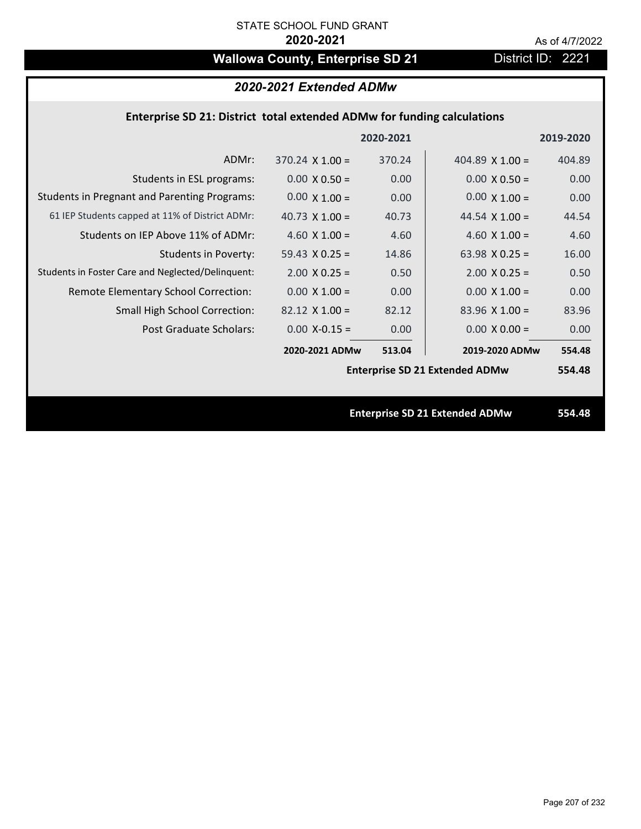# Wallowa County, Enterprise SD 21 District ID: 2221

## **Enterprise SD 21: District total extended ADMw for funding calculations**

|                                                     |                        | 2020-2021 |                                       | 2019-2020 |
|-----------------------------------------------------|------------------------|-----------|---------------------------------------|-----------|
| ADMr:                                               | $370.24 \times 1.00 =$ | 370.24    | 404.89 $X$ 1.00 =                     | 404.89    |
| Students in ESL programs:                           | $0.00 \times 0.50 =$   | 0.00      | $0.00 \times 0.50 =$                  | 0.00      |
| <b>Students in Pregnant and Parenting Programs:</b> | $0.00 \times 1.00 =$   | 0.00      | $0.00 \times 1.00 =$                  | 0.00      |
| 61 IEP Students capped at 11% of District ADMr:     | 40.73 $\times$ 1.00 =  | 40.73     | 44.54 $\times$ 1.00 =                 | 44.54     |
| Students on IEP Above 11% of ADMr:                  | 4.60 $X$ 1.00 =        | 4.60      | 4.60 $X$ 1.00 =                       | 4.60      |
| <b>Students in Poverty:</b>                         | 59.43 $X$ 0.25 =       | 14.86     | 63.98 $X$ 0.25 =                      | 16.00     |
| Students in Foster Care and Neglected/Delinquent:   | $2.00 \times 0.25 =$   | 0.50      | $2.00 \times 0.25 =$                  | 0.50      |
| Remote Elementary School Correction:                | $0.00 \times 1.00 =$   | 0.00      | $0.00 \times 1.00 =$                  | 0.00      |
| <b>Small High School Correction:</b>                | $82.12 \times 1.00 =$  | 82.12     | $83.96$ X 1.00 =                      | 83.96     |
| Post Graduate Scholars:                             | $0.00$ X-0.15 =        | 0.00      | $0.00 \times 0.00 =$                  | 0.00      |
|                                                     | 2020-2021 ADMw         | 513.04    | 2019-2020 ADMw                        | 554.48    |
|                                                     |                        |           | <b>Enterprise SD 21 Extended ADMw</b> | 554.48    |
|                                                     |                        |           |                                       |           |
|                                                     |                        |           | <b>Enterprise SD 21 Extended ADMw</b> | 554.48    |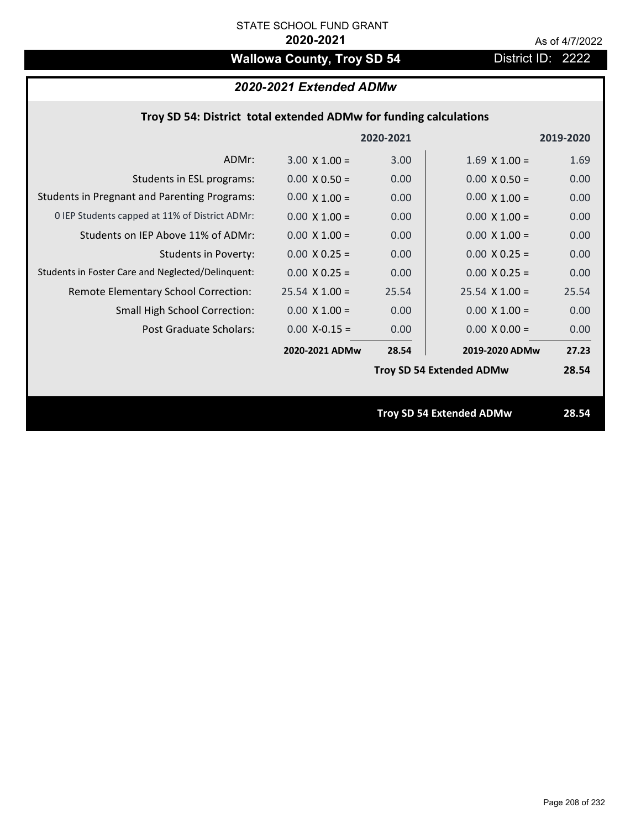# **Wallowa County, Troy SD 54** District ID: 2222

## *2020-2021 Extended ADMw*

|                                                     |                      | 2020-2021         |                                 | 2019-2020 |
|-----------------------------------------------------|----------------------|-------------------|---------------------------------|-----------|
| ADMr:                                               | $3.00 \times 1.00 =$ | 3.00              | $1.69$ X $1.00 =$               | 1.69      |
| Students in ESL programs:                           | $0.00 \times 0.50 =$ | 0.00 <sub>1</sub> | $0.00 \times 0.50 =$            | 0.00      |
| <b>Students in Pregnant and Parenting Programs:</b> | $0.00 \times 1.00 =$ | 0.00              | $0.00 \times 1.00 =$            | 0.00      |
| 0 IEP Students capped at 11% of District ADMr:      | $0.00 \times 1.00 =$ | 0.00              | $0.00 \times 1.00 =$            | 0.00      |
| Students on IEP Above 11% of ADMr:                  | $0.00 \times 1.00 =$ | 0.00              | $0.00 X 1.00 =$                 | 0.00      |
| <b>Students in Poverty:</b>                         | $0.00 \times 0.25 =$ | 0.00              | $0.00 X 0.25 =$                 | 0.00      |
| Students in Foster Care and Neglected/Delinquent:   | $0.00 \times 0.25 =$ | 0.00              | $0.00 \times 0.25 =$            | 0.00      |
| Remote Elementary School Correction:                | $25.54$ X 1.00 =     | 25.54             | $25.54$ X 1.00 =                | 25.54     |
| <b>Small High School Correction:</b>                | $0.00 \times 1.00 =$ | 0.00              | $0.00 \times 1.00 =$            | 0.00      |
| Post Graduate Scholars:                             | $0.00 X-0.15 =$      | 0.00              | $0.00 \times 0.00 =$            | 0.00      |
|                                                     | 2020-2021 ADMw       | 28.54             | 2019-2020 ADMw                  | 27.23     |
|                                                     |                      |                   | <b>Troy SD 54 Extended ADMw</b> | 28.54     |
|                                                     |                      |                   |                                 |           |
|                                                     |                      |                   | <b>Troy SD 54 Extended ADMw</b> | 28.54     |
|                                                     |                      |                   |                                 |           |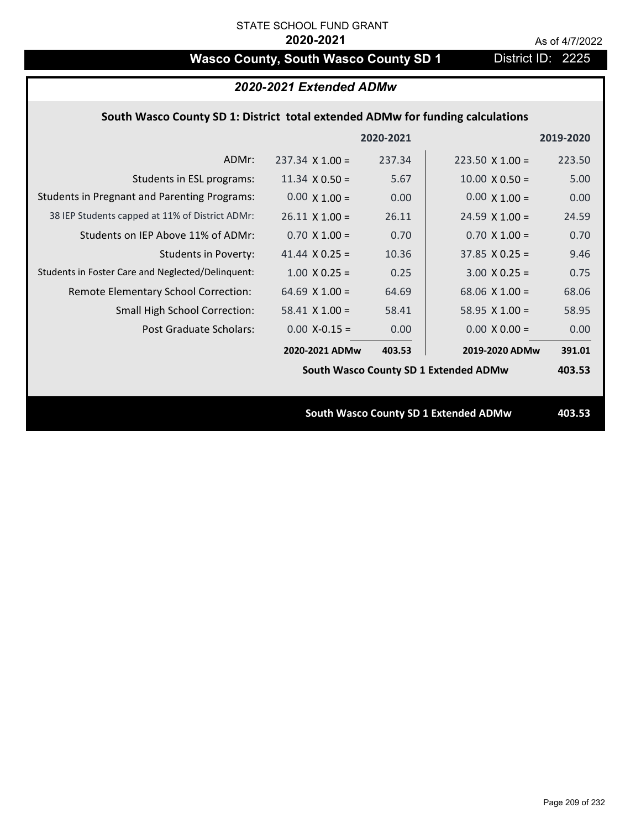# **Wasco County, South Wasco County SD 1** District ID: 2225

| 2020-2021 Extended ADMw                                                        |                        |        |                                       |        |  |
|--------------------------------------------------------------------------------|------------------------|--------|---------------------------------------|--------|--|
| South Wasco County SD 1: District total extended ADMw for funding calculations |                        |        |                                       |        |  |
| 2020-2021<br>2019-2020                                                         |                        |        |                                       |        |  |
| ADMr:                                                                          | $237.34 \times 1.00 =$ | 237.34 | $223.50 \times 1.00 =$                | 223.50 |  |
| Students in ESL programs:                                                      | $11.34 \times 0.50 =$  | 5.67   | $10.00 \times 0.50 =$                 | 5.00   |  |
| <b>Students in Pregnant and Parenting Programs:</b>                            | $0.00 \times 1.00 =$   | 0.00   | $0.00 \times 1.00 =$                  | 0.00   |  |
| 38 IEP Students capped at 11% of District ADMr:                                | $26.11 \times 1.00 =$  | 26.11  | $24.59 \times 1.00 =$                 | 24.59  |  |
| Students on IEP Above 11% of ADMr:                                             | $0.70$ X $1.00 =$      | 0.70   | $0.70 \times 1.00 =$                  | 0.70   |  |
| <b>Students in Poverty:</b>                                                    | 41.44 $X$ 0.25 =       | 10.36  | $37.85 \times 0.25 =$                 | 9.46   |  |
| Students in Foster Care and Neglected/Delinquent:                              | $1.00 \times 0.25 =$   | 0.25   | $3.00 \times 0.25 =$                  | 0.75   |  |
| Remote Elementary School Correction:                                           | 64.69 $X$ 1.00 =       | 64.69  | 68.06 $X$ 1.00 =                      | 68.06  |  |
| Small High School Correction:                                                  | $58.41$ X 1.00 =       | 58.41  | $58.95$ X 1.00 =                      | 58.95  |  |
| Post Graduate Scholars:                                                        | $0.00$ X-0.15 =        | 0.00   | $0.00 \times 0.00 =$                  | 0.00   |  |
|                                                                                | 2020-2021 ADMw         | 403.53 | 2019-2020 ADMw                        | 391.01 |  |
|                                                                                |                        |        | South Wasco County SD 1 Extended ADMw | 403.53 |  |
|                                                                                |                        |        |                                       |        |  |
| South Wasco County SD 1 Extended ADMw                                          |                        |        |                                       | 403.53 |  |
|                                                                                |                        |        |                                       |        |  |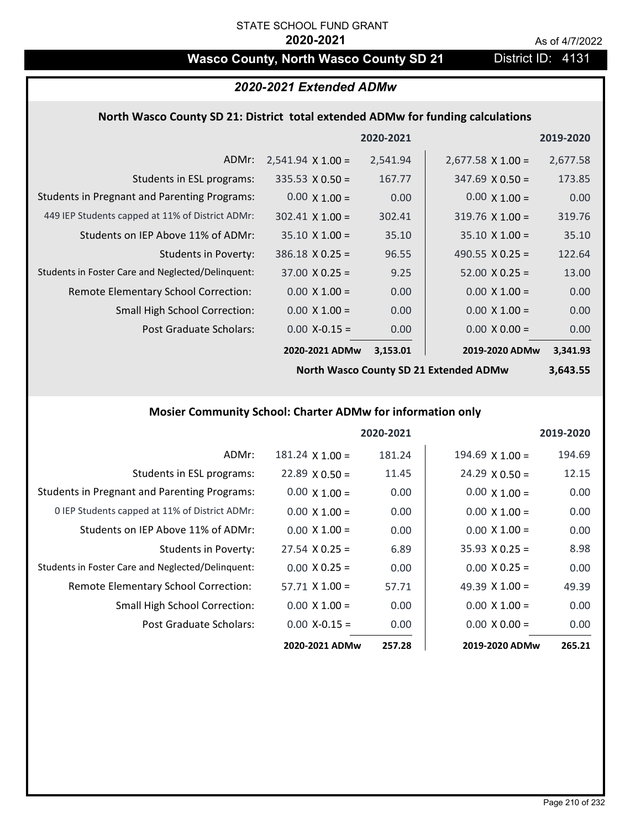## Wasco County, North Wasco County SD 21 District ID: 4131

## *2020-2021 Extended ADMw*

### **North Wasco County SD 21: District total extended ADMw for funding calculations**

|                                                     |                          | 2020-2021 |                          | 2019-2020 |
|-----------------------------------------------------|--------------------------|-----------|--------------------------|-----------|
| ADMr:                                               | $2,541.94 \times 1.00 =$ | 2,541.94  | $2,677.58 \times 1.00 =$ | 2,677.58  |
| Students in ESL programs:                           | $335.53 \times 0.50 =$   | 167.77    | $347.69 \times 0.50 =$   | 173.85    |
| <b>Students in Pregnant and Parenting Programs:</b> | $0.00 \times 1.00 =$     | 0.00      | $0.00 \times 1.00 =$     | 0.00      |
| 449 IEP Students capped at 11% of District ADMr:    | $302.41 \times 1.00 =$   | 302.41    | $319.76 \times 1.00 =$   | 319.76    |
| Students on IEP Above 11% of ADMr:                  | $35.10 \times 1.00 =$    | 35.10     | $35.10 \times 1.00 =$    | 35.10     |
| <b>Students in Poverty:</b>                         | $386.18 \times 0.25 =$   | 96.55     | 490.55 $\lambda$ 0.25 =  | 122.64    |
| Students in Foster Care and Neglected/Delinquent:   | $37.00 \times 0.25 =$    | 9.25      | $52.00 \times 0.25 =$    | 13.00     |
| Remote Elementary School Correction:                | $0.00 \times 1.00 =$     | 0.00      | $0.00 \times 1.00 =$     | 0.00      |
| <b>Small High School Correction:</b>                | $0.00 \times 1.00 =$     | 0.00      | $0.00 \times 1.00 =$     | 0.00      |
| Post Graduate Scholars:                             | $0.00$ X-0.15 =          | 0.00      | $0.00 \times 0.00 =$     | 0.00      |
|                                                     | 2020-2021 ADMw           | 3,153.01  | 2019-2020 ADMw           | 3,341.93  |

**North Wasco County SD 21 Extended ADMw**

**3,643.55**

## **Mosier Community School: Charter ADMw for information only**

|                                                     |                        | 2020-2021 |                       | 2019-2020 |
|-----------------------------------------------------|------------------------|-----------|-----------------------|-----------|
| ADMr:                                               | $181.24 \times 1.00 =$ | 181.24    | $194.69$ X $1.00 =$   | 194.69    |
| Students in ESL programs:                           | $22.89 \times 0.50 =$  | 11.45     | $24.29 \times 0.50 =$ | 12.15     |
| <b>Students in Pregnant and Parenting Programs:</b> | $0.00 \times 1.00 =$   | 0.00      | $0.00 \times 1.00 =$  | 0.00      |
| 0 IEP Students capped at 11% of District ADMr:      | $0.00 \times 1.00 =$   | 0.00      | $0.00 \times 1.00 =$  | 0.00      |
| Students on IEP Above 11% of ADMr:                  | $0.00 \times 1.00 =$   | 0.00      | $0.00 \times 1.00 =$  | 0.00      |
| Students in Poverty:                                | $27.54 \times 0.25 =$  | 6.89      | $35.93 \times 0.25 =$ | 8.98      |
| Students in Foster Care and Neglected/Delinquent:   | $0.00 \times 0.25 =$   | 0.00      | $0.00 \times 0.25 =$  | 0.00      |
| Remote Elementary School Correction:                | $57.71 \times 1.00 =$  | 57.71     | 49.39 $X$ 1.00 =      | 49.39     |
| <b>Small High School Correction:</b>                | $0.00 \times 1.00 =$   | 0.00      | $0.00 \times 1.00 =$  | 0.00      |
| Post Graduate Scholars:                             | $0.00$ X-0.15 =        | 0.00      | $0.00 \times 0.00 =$  | 0.00      |
|                                                     | 2020-2021 ADMw         | 257.28    | 2019-2020 ADMw        | 265.21    |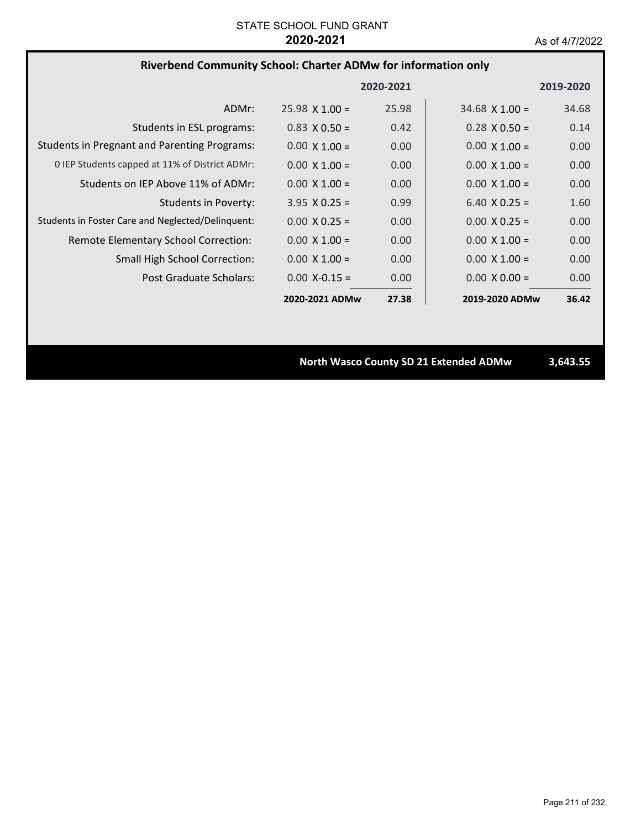## **Riverbend Community School: Charter ADMw for information only**

|                                                     |                       | 2020-2021 |                       | 2019-2020 |
|-----------------------------------------------------|-----------------------|-----------|-----------------------|-----------|
| ADMr:                                               | $25.98 \times 1.00 =$ | 25.98     | $34.68 \times 1.00 =$ | 34.68     |
| Students in ESL programs:                           | $0.83 \times 0.50 =$  | 0.42      | $0.28 \times 0.50 =$  | 0.14      |
| <b>Students in Pregnant and Parenting Programs:</b> | $0.00 \times 1.00 =$  | 0.00      | $0.00 \times 1.00 =$  | 0.00      |
| 0 IEP Students capped at 11% of District ADMr:      | $0.00 \times 1.00 =$  | 0.00      | $0.00 \times 1.00 =$  | 0.00      |
| Students on IEP Above 11% of ADMr:                  | $0.00 \times 1.00 =$  | 0.00      | $0.00 \times 1.00 =$  | 0.00      |
| Students in Poverty:                                | $3.95 \times 0.25 =$  | 0.99      | $6.40 \times 0.25 =$  | 1.60      |
| Students in Foster Care and Neglected/Delinguent:   | $0.00 \times 0.25 =$  | 0.00      | $0.00 \times 0.25 =$  | 0.00      |
| Remote Elementary School Correction:                | $0.00 \times 1.00 =$  | 0.00      | $0.00 \times 1.00 =$  | 0.00      |
| <b>Small High School Correction:</b>                | $0.00 \times 1.00 =$  | 0.00      | $0.00 \times 1.00 =$  | 0.00      |
| Post Graduate Scholars:                             | $0.00 X - 0.15 =$     | 0.00      | $0.00 \times 0.00 =$  | 0.00      |
|                                                     | 2020-2021 ADMw        | 27.38     | 2019-2020 ADMw        | 36.42     |

**North Wasco County SD 21 Extended ADMw 3,643.55**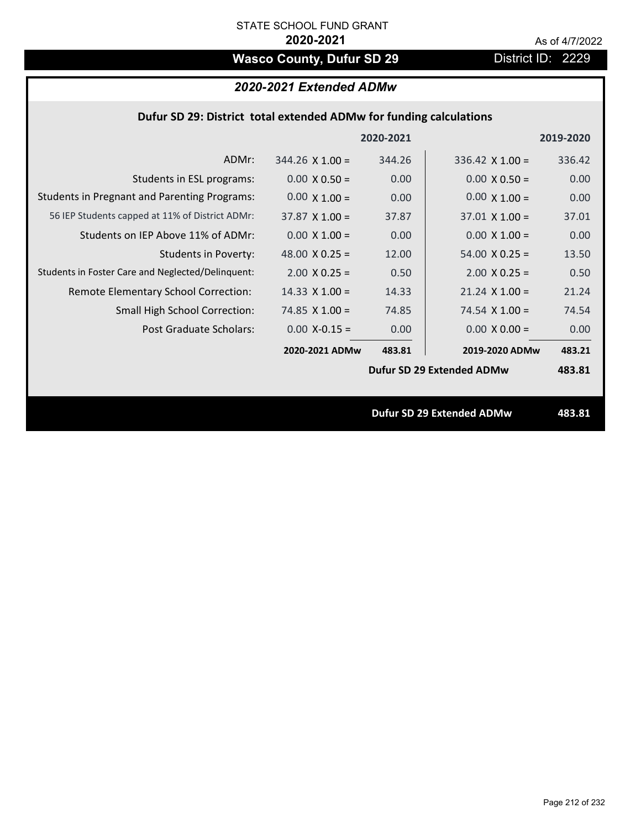# Wasco County, Dufur SD 29 District ID: 2229

## *2020-2021 Extended ADMw*

## **Dufur SD 29: District total extended ADMw for funding calculations**

|                                                     |                       | 2020-2021 |                                  | 2019-2020 |
|-----------------------------------------------------|-----------------------|-----------|----------------------------------|-----------|
| ADMr:                                               | $344.26$ X 1.00 =     | 344.26    | $336.42 \times 1.00 =$           | 336.42    |
| Students in ESL programs:                           | $0.00 \times 0.50 =$  | 0.00      | $0.00 \times 0.50 =$             | 0.00      |
| <b>Students in Pregnant and Parenting Programs:</b> | $0.00 \times 1.00 =$  | 0.00      | $0.00 \times 1.00 =$             | 0.00      |
| 56 IEP Students capped at 11% of District ADMr:     | $37.87 \times 1.00 =$ | 37.87     | $37.01 \times 1.00 =$            | 37.01     |
| Students on IEP Above 11% of ADMr:                  | $0.00 \times 1.00 =$  | 0.00      | $0.00 \times 1.00 =$             | 0.00      |
| <b>Students in Poverty:</b>                         | 48.00 $X$ 0.25 =      | 12.00     | $54.00 \times 0.25 =$            | 13.50     |
| Students in Foster Care and Neglected/Delinquent:   | $2.00 \times 0.25 =$  | 0.50      | $2.00 \times 0.25 =$             | 0.50      |
| Remote Elementary School Correction:                | $14.33 \times 1.00 =$ | 14.33     | $21.24$ X $1.00 =$               | 21.24     |
| <b>Small High School Correction:</b>                | $74.85$ X 1.00 =      | 74.85     | 74.54 $X$ 1.00 =                 | 74.54     |
| Post Graduate Scholars:                             | $0.00$ X-0.15 =       | 0.00      | $0.00 \times 0.00 =$             | 0.00      |
|                                                     | 2020-2021 ADMw        | 483.81    | 2019-2020 ADMw                   | 483.21    |
|                                                     |                       |           | Dufur SD 29 Extended ADMw        | 483.81    |
|                                                     |                       |           |                                  |           |
|                                                     |                       |           | <b>Dufur SD 29 Extended ADMw</b> | 483.81    |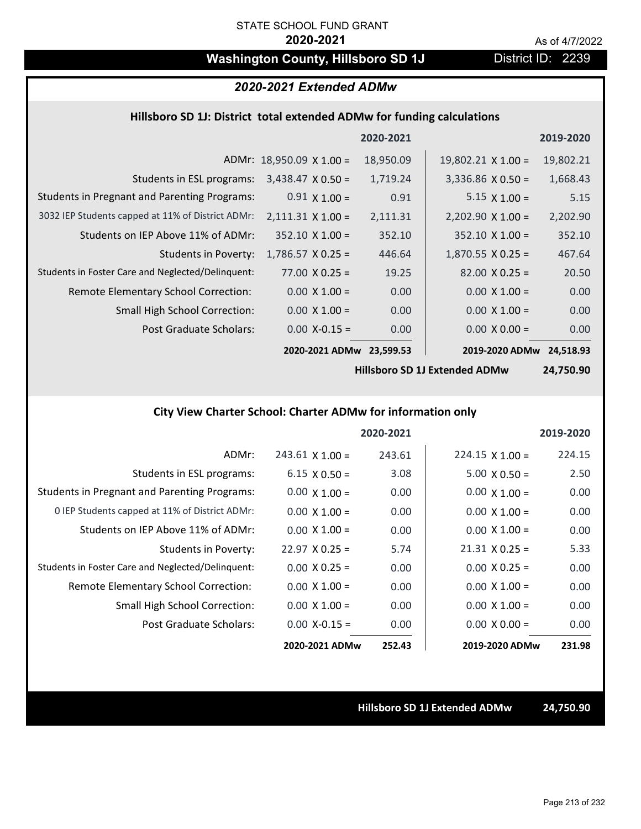## **Washington County, Hillsboro SD 1J** District ID: 2239

## *2020-2021 Extended ADMw*

### **Hillsboro SD 1J: District total extended ADMw for funding calculations**

|                                                     |                                 | 2020-2021 |                           | 2019-2020 |
|-----------------------------------------------------|---------------------------------|-----------|---------------------------|-----------|
|                                                     | ADMr: $18,950.09 \times 1.00 =$ | 18,950.09 | $19,802.21 \times 1.00 =$ | 19,802.21 |
| Students in ESL programs:                           | $3,438.47 \times 0.50 =$        | 1,719.24  | $3,336.86 \times 0.50 =$  | 1,668.43  |
| <b>Students in Pregnant and Parenting Programs:</b> | $0.91 \times 1.00 =$            | 0.91      | $5.15 \times 1.00 =$      | 5.15      |
| 3032 IEP Students capped at 11% of District ADMr:   | $2,111.31 \times 1.00 =$        | 2,111.31  | $2,202.90 \times 1.00 =$  | 2,202.90  |
| Students on IEP Above 11% of ADMr:                  | $352.10 \times 1.00 =$          | 352.10    | $352.10 \times 1.00 =$    | 352.10    |
| <b>Students in Poverty:</b>                         | $1,786.57 \times 0.25 =$        | 446.64    | $1,870.55 \times 0.25 =$  | 467.64    |
| Students in Foster Care and Neglected/Delinquent:   | $77.00 \times 0.25 =$           | 19.25     | $82.00 \times 0.25 =$     | 20.50     |
| Remote Elementary School Correction:                | $0.00 \times 1.00 =$            | 0.00      | $0.00 \times 1.00 =$      | 0.00      |
| <b>Small High School Correction:</b>                | $0.00 \times 1.00 =$            | 0.00      | $0.00 \times 1.00 =$      | 0.00      |
| Post Graduate Scholars:                             | $0.00$ X-0.15 =                 | 0.00      | $0.00 \times 0.00 =$      | 0.00      |
|                                                     | 2020-2021 ADMw                  | 23,599.53 | 2019-2020 ADMw            | 24.518.93 |

**Hillsboro SD 1J Extended ADMw**

**24,750.90**

## **City View Charter School: Charter ADMw for information only**

|                                                     |                        | 2020-2021 |                        | 2019-2020 |
|-----------------------------------------------------|------------------------|-----------|------------------------|-----------|
| ADMr:                                               | $243.61 \times 1.00 =$ | 243.61    | $224.15 \times 1.00 =$ | 224.15    |
| Students in ESL programs:                           | $6.15 \times 0.50 =$   | 3.08      | $5.00 \times 0.50 =$   | 2.50      |
| <b>Students in Pregnant and Parenting Programs:</b> | $0.00 \times 1.00 =$   | 0.00      | $0.00 \times 1.00 =$   | 0.00      |
| 0 IEP Students capped at 11% of District ADMr:      | $0.00 \times 1.00 =$   | 0.00      | $0.00 \times 1.00 =$   | 0.00      |
| Students on IEP Above 11% of ADMr:                  | $0.00 \times 1.00 =$   | 0.00      | $0.00 \times 1.00 =$   | 0.00      |
| Students in Poverty:                                | $22.97$ X 0.25 =       | 5.74      | $21.31 \times 0.25 =$  | 5.33      |
| Students in Foster Care and Neglected/Delinquent:   | $0.00 \times 0.25 =$   | 0.00      | $0.00 \times 0.25 =$   | 0.00      |
| Remote Elementary School Correction:                | $0.00 \times 1.00 =$   | 0.00      | $0.00 \times 1.00 =$   | 0.00      |
| <b>Small High School Correction:</b>                | $0.00 \times 1.00 =$   | 0.00      | $0.00 \times 1.00 =$   | 0.00      |
| Post Graduate Scholars:                             | $0.00 X-0.15 =$        | 0.00      | $0.00 \times 0.00 =$   | 0.00      |
|                                                     | 2020-2021 ADMw         | 252.43    | 2019-2020 ADMw         | 231.98    |

### **Hillsboro SD 1J Extended ADMw 24,750.90**

Page 213 of 232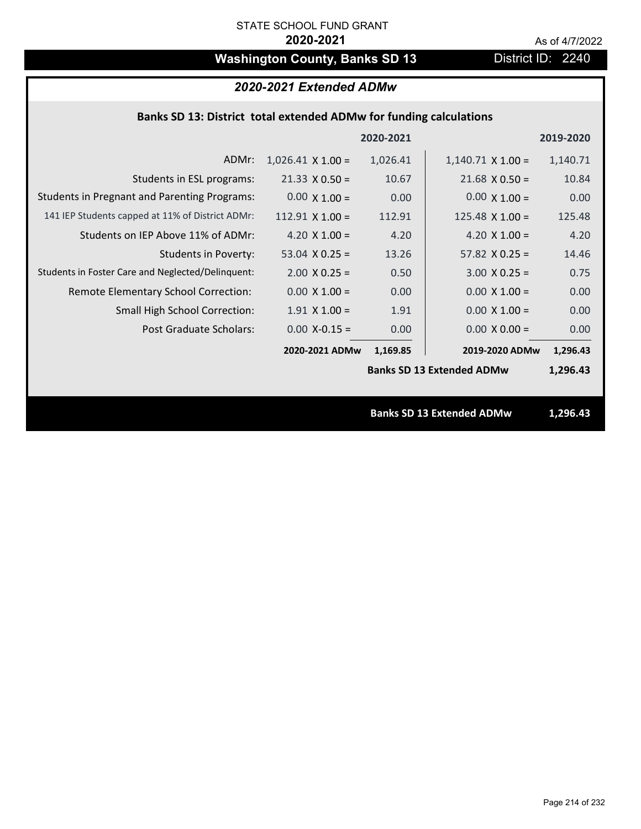# **Washington County, Banks SD 13** District ID: 2240

## *2020-2021 Extended ADMw*

## **Banks SD 13: District total extended ADMw for funding calculations**

|                                                     |                          | 2020-2021 |                                  | 2019-2020 |  |
|-----------------------------------------------------|--------------------------|-----------|----------------------------------|-----------|--|
| ADMr:                                               | $1,026.41 \times 1.00 =$ | 1,026.41  | $1,140.71 \times 1.00 =$         | 1,140.71  |  |
| Students in ESL programs:                           | $21.33 \times 0.50 =$    | 10.67     | $21.68 \times 0.50 =$            | 10.84     |  |
| <b>Students in Pregnant and Parenting Programs:</b> | $0.00 \times 1.00 =$     | 0.00      | $0.00 \times 1.00 =$             | 0.00      |  |
| 141 IEP Students capped at 11% of District ADMr:    | $112.91$ X $1.00 =$      | 112.91    | $125.48 \times 1.00 =$           | 125.48    |  |
| Students on IEP Above 11% of ADMr:                  | 4.20 $X$ 1.00 =          | 4.20      | 4.20 $X$ 1.00 =                  | 4.20      |  |
| <b>Students in Poverty:</b>                         | 53.04 $X$ 0.25 =         | 13.26     | 57.82 $X$ 0.25 =                 | 14.46     |  |
| Students in Foster Care and Neglected/Delinquent:   | $2.00 \times 0.25 =$     | 0.50      | $3.00 X 0.25 =$                  | 0.75      |  |
| Remote Elementary School Correction:                | $0.00 \times 1.00 =$     | 0.00      | $0.00 \times 1.00 =$             | 0.00      |  |
| <b>Small High School Correction:</b>                | $1.91$ X $1.00 =$        | 1.91      | $0.00 \times 1.00 =$             | 0.00      |  |
| Post Graduate Scholars:                             | $0.00$ X-0.15 =          | 0.00      | $0.00 \times 0.00 =$             | 0.00      |  |
|                                                     | 2020-2021 ADMw           | 1,169.85  | 2019-2020 ADMw                   | 1,296.43  |  |
|                                                     |                          |           | <b>Banks SD 13 Extended ADMw</b> | 1,296.43  |  |
|                                                     |                          |           |                                  |           |  |
|                                                     |                          |           | <b>Banks SD 13 Extended ADMw</b> | 1,296.43  |  |
|                                                     |                          |           |                                  |           |  |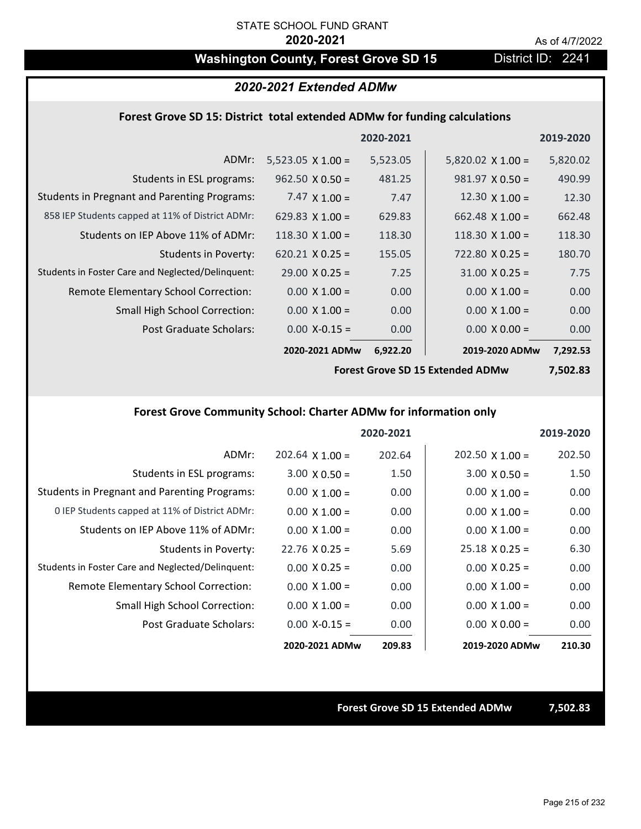## Washington County, Forest Grove SD 15 District ID: 2241

### *2020-2021 Extended ADMw*

### **Forest Grove SD 15: District total extended ADMw for funding calculations**

|                                                     |                          | 2020-2021 |                          | 2019-2020 |
|-----------------------------------------------------|--------------------------|-----------|--------------------------|-----------|
| ADMr:                                               | $5,523.05 \times 1.00 =$ | 5,523.05  | $5,820.02 \times 1.00 =$ | 5,820.02  |
| Students in ESL programs:                           | $962.50 \times 0.50 =$   | 481.25    | $981.97 \times 0.50 =$   | 490.99    |
| <b>Students in Pregnant and Parenting Programs:</b> | 7.47 $\times$ 1.00 =     | 7.47      | 12.30 $\times$ 1.00 =    | 12.30     |
| 858 IEP Students capped at 11% of District ADMr:    | 629.83 $\times$ 1.00 =   | 629.83    | $662.48 \times 1.00 =$   | 662.48    |
| Students on IEP Above 11% of ADMr:                  | $118.30 \times 1.00 =$   | 118.30    | $118.30 \times 1.00 =$   | 118.30    |
| <b>Students in Poverty:</b>                         | $620.21$ X 0.25 =        | 155.05    | $722.80 \times 0.25 =$   | 180.70    |
| Students in Foster Care and Neglected/Delinquent:   | $29.00 \times 0.25 =$    | 7.25      | $31.00 \times 0.25 =$    | 7.75      |
| Remote Elementary School Correction:                | $0.00 \times 1.00 =$     | 0.00      | $0.00 \times 1.00 =$     | 0.00      |
| <b>Small High School Correction:</b>                | $0.00 \times 1.00 =$     | 0.00      | $0.00 \times 1.00 =$     | 0.00      |
| Post Graduate Scholars:                             | $0.00$ X-0.15 =          | 0.00      | $0.00 \times 0.00 =$     | 0.00      |
|                                                     | 2020-2021 ADMw           | 6,922.20  | 2019-2020 ADMw           | 7,292.53  |

**Forest Grove SD 15 Extended ADMw**

**7,502.83**

### **Forest Grove Community School: Charter ADMw for information only**

|                                                     |                        | 2020-2021 |                        | 2019-2020 |
|-----------------------------------------------------|------------------------|-----------|------------------------|-----------|
| ADMr:                                               | $202.64 \times 1.00 =$ | 202.64    | $202.50 \times 1.00 =$ | 202.50    |
| Students in ESL programs:                           | $3.00 \times 0.50 =$   | 1.50      | $3.00 \times 0.50 =$   | 1.50      |
| <b>Students in Pregnant and Parenting Programs:</b> | $0.00 \times 1.00 =$   | 0.00      | $0.00 \times 1.00 =$   | 0.00      |
| 0 IEP Students capped at 11% of District ADMr:      | $0.00 \times 1.00 =$   | 0.00      | $0.00 \times 1.00 =$   | 0.00      |
| Students on IEP Above 11% of ADMr:                  | $0.00 \times 1.00 =$   | 0.00      | $0.00 \times 1.00 =$   | 0.00      |
| Students in Poverty:                                | $22.76 \times 0.25 =$  | 5.69      | $25.18 \times 0.25 =$  | 6.30      |
| Students in Foster Care and Neglected/Delinquent:   | $0.00 \times 0.25 =$   | 0.00      | $0.00 \times 0.25 =$   | 0.00      |
| Remote Elementary School Correction:                | $0.00 \times 1.00 =$   | 0.00      | $0.00 \times 1.00 =$   | 0.00      |
| <b>Small High School Correction:</b>                | $0.00 \times 1.00 =$   | 0.00      | $0.00 \times 1.00 =$   | 0.00      |
| Post Graduate Scholars:                             | $0.00$ X-0.15 =        | 0.00      | $0.00 \times 0.00 =$   | 0.00      |
|                                                     | 2020-2021 ADMw         | 209.83    | 2019-2020 ADMw         | 210.30    |

**Forest Grove SD 15 Extended ADMw 7,502.83**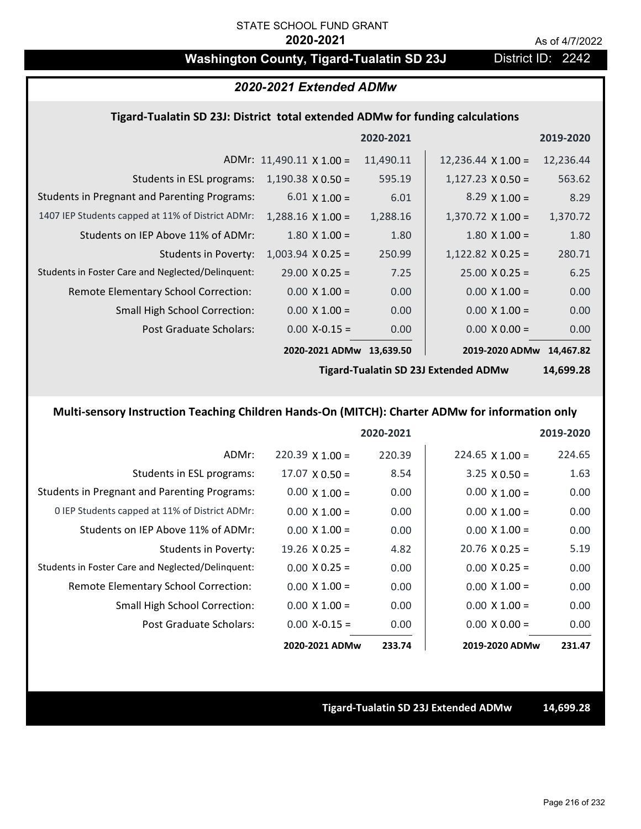## Washington County, Tigard-Tualatin SD 23J District ID: 2242

## *2020-2021 Extended ADMw*

### **Tigard‐Tualatin SD 23J: District total extended ADMw for funding calculations**

|                                 |           |                                          | 2019-2020      |
|---------------------------------|-----------|------------------------------------------|----------------|
| ADMr: $11,490.11 \times 1.00 =$ |           | $12,236.44 \times 1.00 =$                | 12,236.44      |
| $1,190.38 \times 0.50 =$        | 595.19    | $1,127.23 \times 0.50 =$                 | 563.62         |
| $6.01 \times 1.00 =$            | 6.01      | $8.29 \times 1.00 =$                     | 8.29           |
| $1,288.16 \times 1.00 =$        | 1,288.16  | $1,370.72 \times 1.00 =$                 | 1,370.72       |
| $1.80 \times 1.00 =$            | 1.80      | $1.80$ X $1.00 =$                        | 1.80           |
| $1,003.94$ X 0.25 =             | 250.99    | $1,122.82$ X 0.25 =                      | 280.71         |
| $29.00 \times 0.25 =$           | 7.25      | $25.00 \times 0.25 =$                    | 6.25           |
| $0.00 \times 1.00 =$            | 0.00      | $0.00 \times 1.00 =$                     | 0.00           |
| $0.00 \times 1.00 =$            | 0.00      | $0.00 \times 1.00 =$                     | 0.00           |
| $0.00$ X-0.15 =                 | 0.00      | $0.00 \times 0.00 =$                     | 0.00           |
|                                 | 13,639.50 |                                          | 14,467.82      |
|                                 |           | 2020-2021<br>11,490.11<br>2020-2021 ADMw | 2019-2020 ADMw |

**Tigard‐Tualatin SD 23J Extended ADMw**

**14,699.28**

## **Multi‐sensory Instruction Teaching Children Hands‐On (MITCH): Charter ADMw for information only**

|                                                     |                       | 2020-2021 |                       | 2019-2020 |
|-----------------------------------------------------|-----------------------|-----------|-----------------------|-----------|
| ADMr:                                               | $220.39$ X 1.00 =     | 220.39    | $224.65$ X 1.00 =     | 224.65    |
| Students in ESL programs:                           | $17.07 \times 0.50 =$ | 8.54      | $3.25 \times 0.50 =$  | 1.63      |
| <b>Students in Pregnant and Parenting Programs:</b> | $0.00 \times 1.00 =$  | 0.00      | $0.00 \times 1.00 =$  | 0.00      |
| 0 IEP Students capped at 11% of District ADMr:      | $0.00 \times 1.00 =$  | 0.00      | $0.00 \times 1.00 =$  | 0.00      |
| Students on IEP Above 11% of ADMr:                  | $0.00 \times 1.00 =$  | 0.00      | $0.00 \times 1.00 =$  | 0.00      |
| Students in Poverty:                                | $19.26 \times 0.25 =$ | 4.82      | $20.76 \times 0.25 =$ | 5.19      |
| Students in Foster Care and Neglected/Delinquent:   | $0.00 \times 0.25 =$  | 0.00      | $0.00 \times 0.25 =$  | 0.00      |
| <b>Remote Elementary School Correction:</b>         | $0.00 \times 1.00 =$  | 0.00      | $0.00 \times 1.00 =$  | 0.00      |
| <b>Small High School Correction:</b>                | $0.00 \times 1.00 =$  | 0.00      | $0.00 \times 1.00 =$  | 0.00      |
| Post Graduate Scholars:                             | $0.00$ X-0.15 =       | 0.00      | $0.00 \times 0.00 =$  | 0.00      |
|                                                     | 2020-2021 ADMw        | 233.74    | 2019-2020 ADMw        | 231.47    |

### **Tigard‐Tualatin SD 23J Extended ADMw 14,699.28**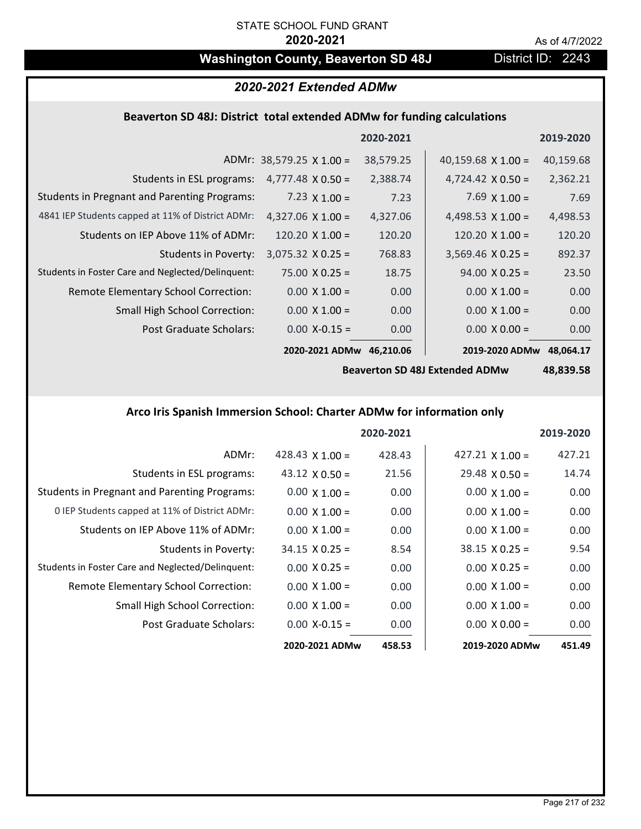# **Washington County, Beaverton SD 48J** District ID: 2243

# *2020-2021 Extended ADMw*

# **Beaverton SD 48J: District total extended ADMw for funding calculations**

|                                                     |                                 | 2020-2021 |                           | 2019-2020 |
|-----------------------------------------------------|---------------------------------|-----------|---------------------------|-----------|
|                                                     | ADMr: $38,579.25 \times 1.00 =$ | 38,579.25 | 40,159.68 $\times$ 1.00 = | 40,159.68 |
| Students in ESL programs:                           | $4,777.48 \times 0.50 =$        | 2,388.74  | 4,724.42 $\times$ 0.50 =  | 2,362.21  |
| <b>Students in Pregnant and Parenting Programs:</b> | 7.23 $\times$ 1.00 =            | 7.23      | 7.69 $\times$ 1.00 =      | 7.69      |
| 4841 IEP Students capped at 11% of District ADMr:   | $4,327.06 \times 1.00 =$        | 4,327.06  | 4,498.53 $\times$ 1.00 =  | 4,498.53  |
| Students on IEP Above 11% of ADMr:                  | $120.20 \times 1.00 =$          | 120.20    | 120.20 $X$ 1.00 =         | 120.20    |
| <b>Students in Poverty:</b>                         | $3,075.32 \times 0.25 =$        | 768.83    | $3,569.46 \times 0.25 =$  | 892.37    |
| Students in Foster Care and Neglected/Delinquent:   | $75.00 \times 0.25 =$           | 18.75     | $94.00 \times 0.25 =$     | 23.50     |
| Remote Elementary School Correction:                | $0.00 \times 1.00 =$            | 0.00      | $0.00 \times 1.00 =$      | 0.00      |
| <b>Small High School Correction:</b>                | $0.00 \times 1.00 =$            | 0.00      | $0.00 \times 1.00 =$      | 0.00      |
| Post Graduate Scholars:                             | $0.00$ X-0.15 =                 | 0.00      | $0.00 \times 0.00 =$      | 0.00      |
|                                                     | 2020-2021 ADMw                  | 46,210.06 | 2019-2020 ADMw            | 48,064.17 |

**Beaverton SD 48J Extended ADMw**

**48,839.58**

# **Arco Iris Spanish Immersion School: Charter ADMw for information only**

|                                                     |                        | 2020-2021 |                        | 2019-2020 |
|-----------------------------------------------------|------------------------|-----------|------------------------|-----------|
| ADMr:                                               | 428.43 $\times$ 1.00 = | 428.43    | $427.21 \times 1.00 =$ | 427.21    |
| Students in ESL programs:                           | 43.12 $\times$ 0.50 =  | 21.56     | $29.48 \times 0.50 =$  | 14.74     |
| <b>Students in Pregnant and Parenting Programs:</b> | $0.00 \times 1.00 =$   | 0.00      | $0.00 \times 1.00 =$   | 0.00      |
| 0 IEP Students capped at 11% of District ADMr:      | $0.00 \times 1.00 =$   | 0.00      | $0.00 \times 1.00 =$   | 0.00      |
| Students on IEP Above 11% of ADMr:                  | $0.00 \times 1.00 =$   | 0.00      | $0.00 \times 1.00 =$   | 0.00      |
| Students in Poverty:                                | $34.15 \times 0.25 =$  | 8.54      | $38.15 \times 0.25 =$  | 9.54      |
| Students in Foster Care and Neglected/Delinquent:   | $0.00 \times 0.25 =$   | 0.00      | $0.00 \times 0.25 =$   | 0.00      |
| Remote Elementary School Correction:                | $0.00 \times 1.00 =$   | 0.00      | $0.00 \times 1.00 =$   | 0.00      |
| <b>Small High School Correction:</b>                | $0.00 \times 1.00 =$   | 0.00      | $0.00 \times 1.00 =$   | 0.00      |
| Post Graduate Scholars:                             | $0.00$ X-0.15 =        | 0.00      | $0.00 \times 0.00 =$   | 0.00      |
|                                                     | 2020-2021 ADMw         | 458.53    | 2019-2020 ADMw         | 451.49    |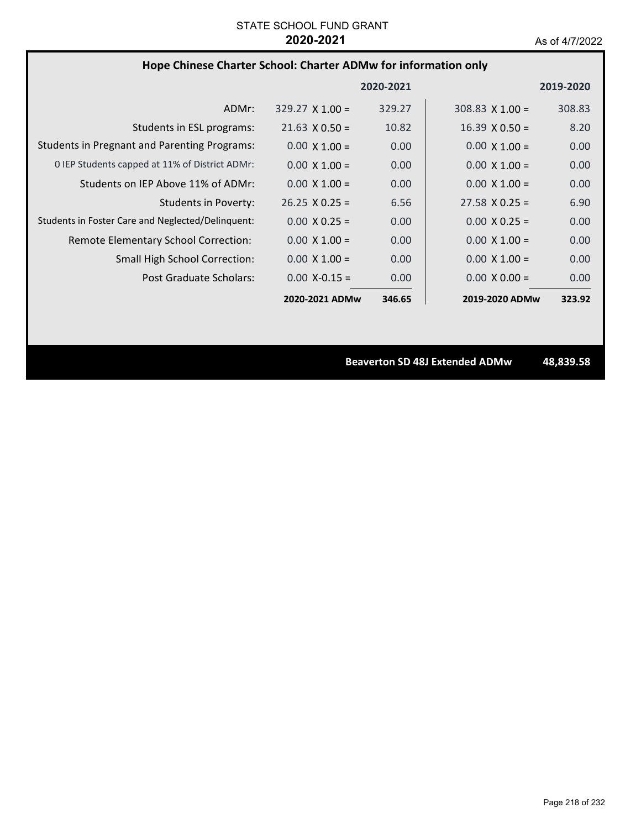# **Hope Chinese Charter School: Charter ADMw for information only**

|                                                     |                        | 2020-2021 |                        | 2019-2020 |
|-----------------------------------------------------|------------------------|-----------|------------------------|-----------|
| ADMr:                                               | $329.27 \times 1.00 =$ | 329.27    | $308.83 \times 1.00 =$ | 308.83    |
| Students in ESL programs:                           | $21.63 \times 0.50 =$  | 10.82     | $16.39 \times 0.50 =$  | 8.20      |
| <b>Students in Pregnant and Parenting Programs:</b> | $0.00 \times 1.00 =$   | 0.00      | $0.00 \times 1.00 =$   | 0.00      |
| 0 IEP Students capped at 11% of District ADMr:      | $0.00 \times 1.00 =$   | 0.00      | $0.00 \times 1.00 =$   | 0.00      |
| Students on IEP Above 11% of ADMr:                  | $0.00 \times 1.00 =$   | 0.00      | $0.00 \times 1.00 =$   | 0.00      |
| Students in Poverty:                                | $26.25 \times 0.25 =$  | 6.56      | $27.58 \times 0.25 =$  | 6.90      |
| Students in Foster Care and Neglected/Delinguent:   | $0.00 \times 0.25 =$   | 0.00      | $0.00 \times 0.25 =$   | 0.00      |
| Remote Elementary School Correction:                | $0.00 \times 1.00 =$   | 0.00      | $0.00 \times 1.00 =$   | 0.00      |
| <b>Small High School Correction:</b>                | $0.00 \times 1.00 =$   | 0.00      | $0.00 \times 1.00 =$   | 0.00      |
| Post Graduate Scholars:                             | $0.00 X - 0.15 =$      | 0.00      | $0.00 \times 0.00 =$   | 0.00      |
|                                                     | 2020-2021 ADMw         | 346.65    | 2019-2020 ADMw         | 323.92    |

**Beaverton SD 48J Extended ADMw 48,839.58**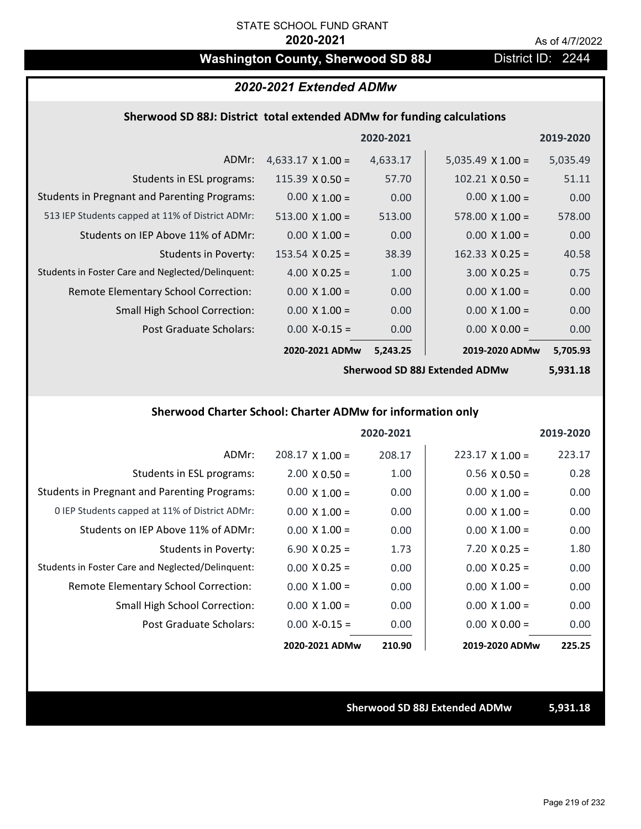# Washington County, Sherwood SD 88J District ID: 2244

## *2020-2021 Extended ADMw*

## **Sherwood SD 88J: District total extended ADMw for funding calculations**

|                                                     |                          | 2020-2021 |                          | 2019-2020 |
|-----------------------------------------------------|--------------------------|-----------|--------------------------|-----------|
| ADMr:                                               | $4,633.17 \times 1.00 =$ | 4,633.17  | $5,035.49 \times 1.00 =$ | 5,035.49  |
| Students in ESL programs:                           | $115.39 \times 0.50 =$   | 57.70     | $102.21 \times 0.50 =$   | 51.11     |
| <b>Students in Pregnant and Parenting Programs:</b> | $0.00 \times 1.00 =$     | 0.00      | $0.00 \times 1.00 =$     | 0.00      |
| 513 IEP Students capped at 11% of District ADMr:    | $513.00 \times 1.00 =$   | 513.00    | $578.00 \times 1.00 =$   | 578.00    |
| Students on IEP Above 11% of ADMr:                  | $0.00 \times 1.00 =$     | 0.00      | $0.00 \times 1.00 =$     | 0.00      |
| Students in Poverty:                                | $153.54 \times 0.25 =$   | 38.39     | $162.33 \times 0.25 =$   | 40.58     |
| Students in Foster Care and Neglected/Delinquent:   | $4.00 \times 0.25 =$     | 1.00      | $3.00 \times 0.25 =$     | 0.75      |
| Remote Elementary School Correction:                | $0.00 \times 1.00 =$     | 0.00      | $0.00 \times 1.00 =$     | 0.00      |
| <b>Small High School Correction:</b>                | $0.00 \times 1.00 =$     | 0.00      | $0.00 \times 1.00 =$     | 0.00      |
| <b>Post Graduate Scholars:</b>                      | $0.00$ X-0.15 =          | 0.00      | $0.00 \times 0.00 =$     | 0.00      |
|                                                     | 2020-2021 ADMw           | 5,243.25  | 2019-2020 ADMw           | 5,705.93  |

**Sherwood SD 88J Extended ADMw**

**5,931.18**

# **Sherwood Charter School: Charter ADMw for information only**

|                                                     |                        | 2020-2021 |                        | 2019-2020 |
|-----------------------------------------------------|------------------------|-----------|------------------------|-----------|
| ADMr:                                               | $208.17 \times 1.00 =$ | 208.17    | $223.17 \times 1.00 =$ | 223.17    |
| Students in ESL programs:                           | $2.00 \times 0.50 =$   | 1.00      | $0.56 \times 0.50 =$   | 0.28      |
| <b>Students in Pregnant and Parenting Programs:</b> | $0.00 \times 1.00 =$   | 0.00      | $0.00 \times 1.00 =$   | 0.00      |
| 0 IEP Students capped at 11% of District ADMr:      | $0.00 \times 1.00 =$   | 0.00      | $0.00 \times 1.00 =$   | 0.00      |
| Students on IEP Above 11% of ADMr:                  | $0.00 \times 1.00 =$   | 0.00      | $0.00 \times 1.00 =$   | 0.00      |
| Students in Poverty:                                | $6.90 X 0.25 =$        | 1.73      | $7.20 \times 0.25 =$   | 1.80      |
| Students in Foster Care and Neglected/Delinquent:   | $0.00 \times 0.25 =$   | 0.00      | $0.00 \times 0.25 =$   | 0.00      |
| Remote Elementary School Correction:                | $0.00 \times 1.00 =$   | 0.00      | $0.00 \times 1.00 =$   | 0.00      |
| <b>Small High School Correction:</b>                | $0.00 \times 1.00 =$   | 0.00      | $0.00 \times 1.00 =$   | 0.00      |
| Post Graduate Scholars:                             | $0.00$ X-0.15 =        | 0.00      | $0.00 \times 0.00 =$   | 0.00      |
|                                                     | 2020-2021 ADMw         | 210.90    | 2019-2020 ADMw         | 225.25    |

### **Sherwood SD 88J Extended ADMw 5,931.18**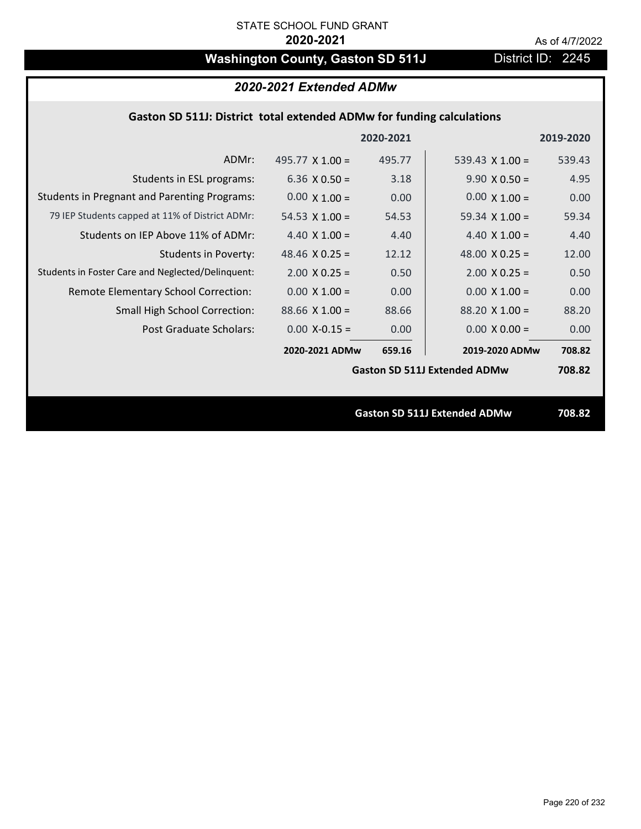# Washington County, Gaston SD 511J District ID: 2245

# *2020-2021 Extended ADMw*

# **Gaston SD 511J: District total extended ADMw for funding calculations**

|                                                     |                       | 2020-2021 |                                     | 2019-2020 |
|-----------------------------------------------------|-----------------------|-----------|-------------------------------------|-----------|
| ADMr:                                               | 495.77 $X$ 1.00 =     | 495.77    | 539.43 $\times$ 1.00 =              | 539.43    |
| Students in ESL programs:                           | 6.36 $\times$ 0.50 =  | 3.18      | $9.90 \times 0.50 =$                | 4.95      |
| <b>Students in Pregnant and Parenting Programs:</b> | $0.00 \times 1.00 =$  | 0.00      | $0.00 \times 1.00 =$                | 0.00      |
| 79 IEP Students capped at 11% of District ADMr:     | 54.53 $X$ 1.00 =      | 54.53     | 59.34 $X$ 1.00 =                    | 59.34     |
| Students on IEP Above 11% of ADMr:                  | 4.40 $X$ 1.00 =       | 4.40      | 4.40 $X$ 1.00 =                     | 4.40      |
| <b>Students in Poverty:</b>                         | 48.46 $X$ 0.25 =      | 12.12     | 48.00 $X$ 0.25 =                    | 12.00     |
| Students in Foster Care and Neglected/Delinquent:   | $2.00 \times 0.25 =$  | 0.50      | $2.00 \times 0.25 =$                | 0.50      |
| Remote Elementary School Correction:                | $0.00 \times 1.00 =$  | 0.00      | $0.00 \times 1.00 =$                | 0.00      |
| <b>Small High School Correction:</b>                | $88.66 \times 1.00 =$ | 88.66     | $88.20 \times 1.00 =$               | 88.20     |
| Post Graduate Scholars:                             | $0.00$ X-0.15 =       | 0.00      | $0.00 \times 0.00 =$                | 0.00      |
|                                                     | 2020-2021 ADMw        | 659.16    | 2019-2020 ADMw                      | 708.82    |
|                                                     |                       |           | <b>Gaston SD 511J Extended ADMw</b> | 708.82    |
|                                                     |                       |           |                                     |           |
|                                                     |                       |           | <b>Gaston SD 511J Extended ADMw</b> | 708.82    |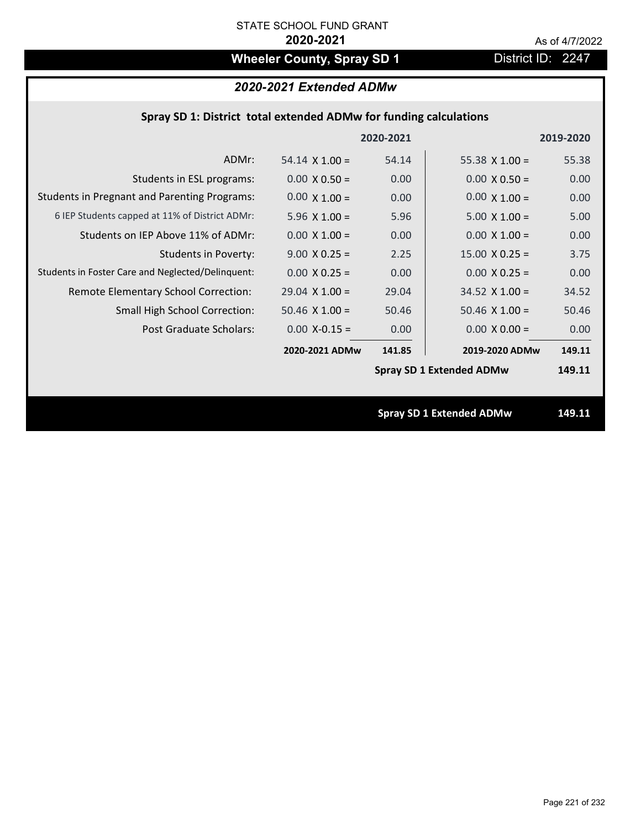# **Wheeler County, Spray SD 1** District ID: 2247

# *2020-2021 Extended ADMw*

|  | Spray SD 1: District total extended ADMw for funding calculations |  |
|--|-------------------------------------------------------------------|--|
|--|-------------------------------------------------------------------|--|

|                                                     |                       | 2020-2021 |                                 | 2019-2020 |
|-----------------------------------------------------|-----------------------|-----------|---------------------------------|-----------|
| ADMr:                                               | $54.14 \times 1.00 =$ | 54.14     | 55.38 $X$ 1.00 =                | 55.38     |
| Students in ESL programs:                           | $0.00 \times 0.50 =$  | 0.00      | $0.00 \times 0.50 =$            | 0.00      |
| <b>Students in Pregnant and Parenting Programs:</b> | $0.00 \times 1.00 =$  | 0.00      | $0.00 \times 1.00 =$            | 0.00      |
| 6 IEP Students capped at 11% of District ADMr:      | $5.96 \times 1.00 =$  | 5.96      | $5.00 \times 1.00 =$            | 5.00      |
| Students on IEP Above 11% of ADMr:                  | $0.00 \times 1.00 =$  | 0.00      | $0.00$ X $1.00 =$               | 0.00      |
| <b>Students in Poverty:</b>                         | $9.00 \times 0.25 =$  | 2.25      | $15.00 \times 0.25 =$           | 3.75      |
| Students in Foster Care and Neglected/Delinquent:   | $0.00 \times 0.25 =$  | 0.00      | $0.00 \times 0.25 =$            | 0.00      |
| Remote Elementary School Correction:                | $29.04$ X $1.00 =$    | 29.04     | $34.52$ X 1.00 =                | 34.52     |
| <b>Small High School Correction:</b>                | $50.46$ X $1.00 =$    | 50.46     | $50.46$ X $1.00 =$              | 50.46     |
| Post Graduate Scholars:                             | $0.00$ X-0.15 =       | 0.00      | $0.00 \times 0.00 =$            | 0.00      |
|                                                     | 2020-2021 ADMw        | 141.85    | 2019-2020 ADMw                  | 149.11    |
|                                                     |                       |           | <b>Spray SD 1 Extended ADMw</b> | 149.11    |
|                                                     |                       |           |                                 |           |
|                                                     |                       |           | <b>Spray SD 1 Extended ADMw</b> | 149.11    |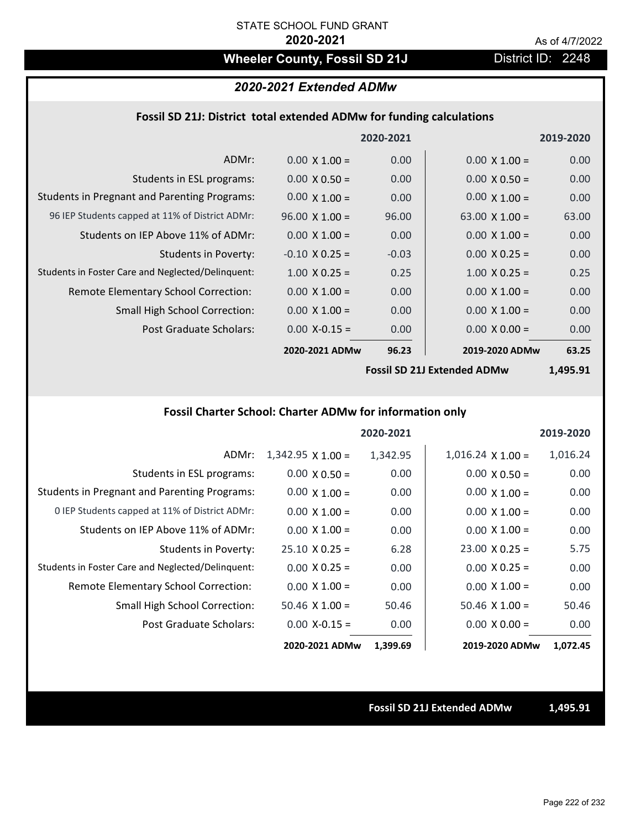# Wheeler County, Fossil SD 21J **District ID: 2248**

## *2020-2021 Extended ADMw*

## **Fossil SD 21J: District total extended ADMw for funding calculations**

|                                                     |                       | 2020-2021 |                       | 2019-2020 |
|-----------------------------------------------------|-----------------------|-----------|-----------------------|-----------|
| ADMr:                                               | $0.00 \times 1.00 =$  | 0.00      | $0.00 \times 1.00 =$  | 0.00      |
| Students in ESL programs:                           | $0.00 \times 0.50 =$  | 0.00      | $0.00 \times 0.50 =$  | 0.00      |
| <b>Students in Pregnant and Parenting Programs:</b> | $0.00 \times 1.00 =$  | 0.00      | $0.00 \times 1.00 =$  | 0.00      |
| 96 IEP Students capped at 11% of District ADMr:     | $96.00 \times 1.00 =$ | 96.00     | 63.00 $\times$ 1.00 = | 63.00     |
| Students on IEP Above 11% of ADMr:                  | $0.00 \times 1.00 =$  | 0.00      | $0.00 \times 1.00 =$  | 0.00      |
| <b>Students in Poverty:</b>                         | $-0.10 \times 0.25 =$ | $-0.03$   | $0.00 \times 0.25 =$  | 0.00      |
| Students in Foster Care and Neglected/Delinquent:   | $1.00 \times 0.25 =$  | 0.25      | $1.00 \times 0.25 =$  | 0.25      |
| Remote Elementary School Correction:                | $0.00 \times 1.00 =$  | 0.00      | $0.00 \times 1.00 =$  | 0.00      |
| <b>Small High School Correction:</b>                | $0.00 \times 1.00 =$  | 0.00      | $0.00 \times 1.00 =$  | 0.00      |
| Post Graduate Scholars:                             | $0.00$ X-0.15 =       | 0.00      | $0.00 \times 0.00 =$  | 0.00      |
|                                                     | 2020-2021 ADMw        | 96.23     | 2019-2020 ADMw        | 63.25     |
|                                                     |                       |           |                       |           |

**Fossil SD 21J Extended ADMw**

**1,495.91**

# **Fossil Charter School: Charter ADMw for information only**

|                                                     |                          | 2020-2021 |                          | 2019-2020 |
|-----------------------------------------------------|--------------------------|-----------|--------------------------|-----------|
| ADMr:                                               | $1,342.95 \times 1.00 =$ | 1,342.95  | $1,016.24 \times 1.00 =$ | 1,016.24  |
| Students in ESL programs:                           | $0.00 \times 0.50 =$     | 0.00      | $0.00 \times 0.50 =$     | 0.00      |
| <b>Students in Pregnant and Parenting Programs:</b> | $0.00 \times 1.00 =$     | 0.00      | $0.00 \times 1.00 =$     | 0.00      |
| 0 IEP Students capped at 11% of District ADMr:      | $0.00 \times 1.00 =$     | 0.00      | $0.00 \times 1.00 =$     | 0.00      |
| Students on IEP Above 11% of ADMr:                  | $0.00 \times 1.00 =$     | 0.00      | $0.00 \times 1.00 =$     | 0.00      |
| Students in Poverty:                                | $25.10 \times 0.25 =$    | 6.28      | $23.00 \times 0.25 =$    | 5.75      |
| Students in Foster Care and Neglected/Delinquent:   | $0.00 \times 0.25 =$     | 0.00      | $0.00 \times 0.25 =$     | 0.00      |
| Remote Elementary School Correction:                | $0.00 \times 1.00 =$     | 0.00      | $0.00 \times 1.00 =$     | 0.00      |
| <b>Small High School Correction:</b>                | $50.46$ X 1.00 =         | 50.46     | $50.46 \times 1.00 =$    | 50.46     |
| Post Graduate Scholars:                             | $0.00$ X-0.15 =          | 0.00      | $0.00 \times 0.00 =$     | 0.00      |
|                                                     | 2020-2021 ADMw           | 1,399.69  | 2019-2020 ADMw           | 1,072.45  |

### **Fossil SD 21J Extended ADMw 1,495.91**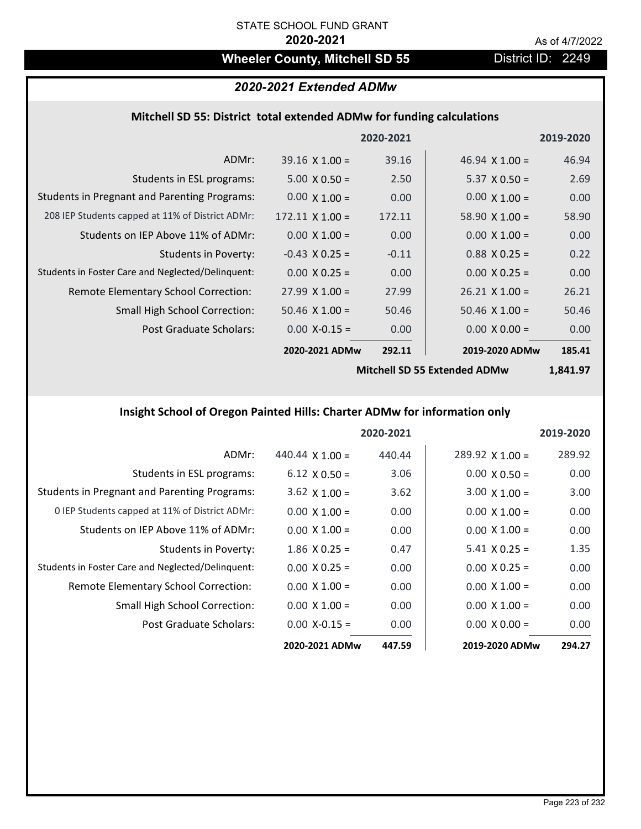# Wheeler County, Mitchell SD 55 **District ID: 2249**

# *2020-2021 Extended ADMw*

# **Mitchell SD 55: District total extended ADMw for funding calculations**

|                                                     |                        | 2020-2021 |                       | 2019-2020 |
|-----------------------------------------------------|------------------------|-----------|-----------------------|-----------|
| ADMr:                                               | $39.16 \times 1.00 =$  | 39.16     | 46.94 $\times$ 1.00 = | 46.94     |
| Students in ESL programs:                           | $5.00 \times 0.50 =$   | 2.50      | $5.37 \times 0.50 =$  | 2.69      |
| <b>Students in Pregnant and Parenting Programs:</b> | $0.00 \times 1.00 =$   | 0.00      | $0.00 \times 1.00 =$  | 0.00      |
| 208 IEP Students capped at 11% of District ADMr:    | $172.11 \times 1.00 =$ | 172.11    | 58.90 $\times$ 1.00 = | 58.90     |
| Students on IEP Above 11% of ADMr:                  | $0.00 \times 1.00 =$   | 0.00      | $0.00 \times 1.00 =$  | 0.00      |
| <b>Students in Poverty:</b>                         | $-0.43$ X 0.25 =       | $-0.11$   | $0.88$ X 0.25 =       | 0.22      |
| Students in Foster Care and Neglected/Delinquent:   | $0.00 \times 0.25 =$   | 0.00      | $0.00 \times 0.25 =$  | 0.00      |
| Remote Elementary School Correction:                | $27.99 \times 1.00 =$  | 27.99     | $26.21 \times 1.00 =$ | 26.21     |
| <b>Small High School Correction:</b>                | $50.46 \times 1.00 =$  | 50.46     | $50.46$ X $1.00 =$    | 50.46     |
| Post Graduate Scholars:                             | $0.00$ X-0.15 =        | 0.00      | $0.00 \times 0.00 =$  | 0.00      |
|                                                     | 2020-2021 ADMw         | 292.11    | 2019-2020 ADMw        | 185.41    |
|                                                     |                        |           |                       |           |

**Mitchell SD 55 Extended ADMw**

**1,841.97**

# **Insight School of Oregon Painted Hills: Charter ADMw for information only**

|                                                     |                        | 2020-2021 |                        | 2019-2020         |
|-----------------------------------------------------|------------------------|-----------|------------------------|-------------------|
| ADMr:                                               | 440.44 $\times$ 1.00 = | 440.44    | $289.92 \times 1.00 =$ | 289.92            |
| Students in ESL programs:                           | $6.12 \times 0.50 =$   | 3.06      | $0.00 \times 0.50 =$   | 0.00              |
| <b>Students in Pregnant and Parenting Programs:</b> | $3.62 \times 1.00 =$   | 3.62      | $3.00 \times 1.00 =$   | 3.00 <sub>1</sub> |
| 0 IEP Students capped at 11% of District ADMr:      | $0.00 \times 1.00 =$   | 0.00      | $0.00 \times 1.00 =$   | 0.00              |
| Students on IEP Above 11% of ADMr:                  | $0.00 \times 1.00 =$   | 0.00      | $0.00 \times 1.00 =$   | 0.00              |
| Students in Poverty:                                | $1.86 \times 0.25 =$   | 0.47      | $5.41 \times 0.25 =$   | 1.35              |
| Students in Foster Care and Neglected/Delinquent:   | $0.00 \times 0.25 =$   | 0.00      | $0.00 \times 0.25 =$   | 0.00              |
| Remote Elementary School Correction:                | $0.00 \times 1.00 =$   | 0.00      | $0.00 \times 1.00 =$   | 0.00              |
| <b>Small High School Correction:</b>                | $0.00 \times 1.00 =$   | 0.00      | $0.00 \times 1.00 =$   | 0.00              |
| Post Graduate Scholars:                             | $0.00$ X-0.15 =        | 0.00      | $0.00 \times 0.00 =$   | 0.00              |
|                                                     | 2020-2021 ADMw         | 447.59    | 2019-2020 ADMw         | 294.27            |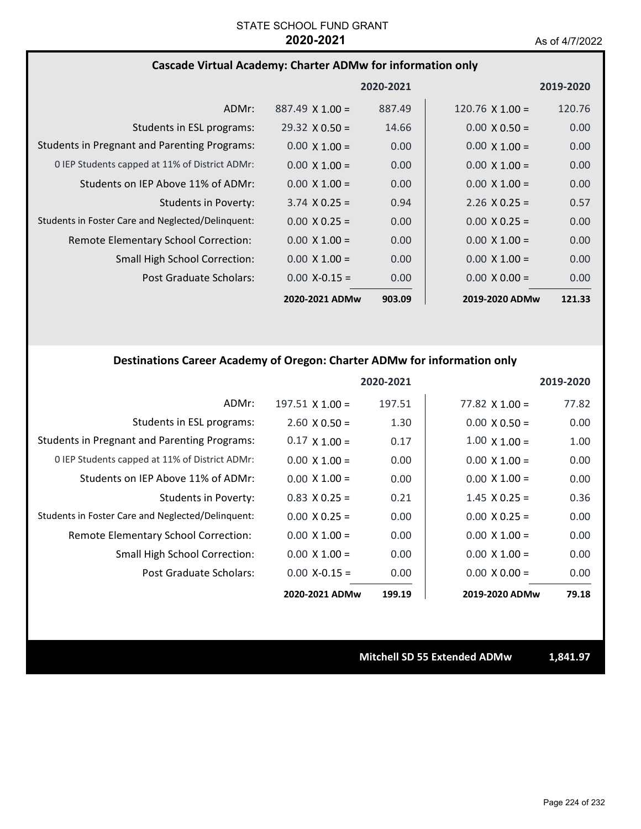## **Cascade Virtual Academy: Charter ADMw for information only**

|                                                     |                        | 2020-2021 |                        | 2019-2020         |
|-----------------------------------------------------|------------------------|-----------|------------------------|-------------------|
| ADMr:                                               | $887.49 \times 1.00 =$ | 887.49    | $120.76 \times 1.00 =$ | 120.76            |
| Students in ESL programs:                           | $29.32 \times 0.50 =$  | 14.66     | $0.00 \times 0.50 =$   | 0.00              |
| <b>Students in Pregnant and Parenting Programs:</b> | $0.00 \times 1.00 =$   | 0.00      | $0.00 \times 1.00 =$   | 0.00              |
| 0 IEP Students capped at 11% of District ADMr:      | $0.00 \times 1.00 =$   | 0.00      | $0.00 \times 1.00 =$   | 0.00              |
| Students on IEP Above 11% of ADMr:                  | $0.00 \times 1.00 =$   | 0.00      | $0.00 \times 1.00 =$   | 0.00 <sub>1</sub> |
| Students in Poverty:                                | $3.74 \times 0.25 =$   | 0.94      | $2.26 \times 0.25 =$   | 0.57              |
| Students in Foster Care and Neglected/Delinquent:   | $0.00 \times 0.25 =$   | 0.00      | $0.00 \times 0.25 =$   | 0.00              |
| Remote Elementary School Correction:                | $0.00 \times 1.00 =$   | 0.00      | $0.00 \times 1.00 =$   | 0.00              |
| <b>Small High School Correction:</b>                | $0.00 \times 1.00 =$   | 0.00      | $0.00 \times 1.00 =$   | 0.00 <sub>1</sub> |
| Post Graduate Scholars:                             | $0.00 X - 0.15 =$      | 0.00      | $0.00 \times 0.00 =$   | 0.00              |
|                                                     | 2020-2021 ADMw         | 903.09    | 2019-2020 ADMw         | 121.33            |

## **Destinations Career Academy of Oregon: Charter ADMw for information only**

|                                                     |                        | 2020-2021 |                       | 2019-2020 |
|-----------------------------------------------------|------------------------|-----------|-----------------------|-----------|
| ADMr:                                               | $197.51 \times 1.00 =$ | 197.51    | $77.82 \times 1.00 =$ | 77.82     |
| Students in ESL programs:                           | $2.60 \times 0.50 =$   | 1.30      | $0.00 \times 0.50 =$  | 0.00      |
| <b>Students in Pregnant and Parenting Programs:</b> | $0.17 \times 1.00 =$   | 0.17      | $1.00 \times 1.00 =$  | 1.00      |
| 0 IEP Students capped at 11% of District ADMr:      | $0.00 \times 1.00 =$   | 0.00      | $0.00 \times 1.00 =$  | 0.00      |
| Students on IEP Above 11% of ADMr:                  | $0.00 \times 1.00 =$   | 0.00      | $0.00 \times 1.00 =$  | 0.00      |
| Students in Poverty:                                | $0.83$ X 0.25 =        | 0.21      | $1.45 \times 0.25 =$  | 0.36      |
| Students in Foster Care and Neglected/Delinquent:   | $0.00 \times 0.25 =$   | 0.00      | $0.00 \times 0.25 =$  | 0.00      |
| Remote Elementary School Correction:                | $0.00 \times 1.00 =$   | 0.00      | $0.00 \times 1.00 =$  | 0.00      |
| Small High School Correction:                       | $0.00 \times 1.00 =$   | 0.00      | $0.00 \times 1.00 =$  | 0.00      |
| Post Graduate Scholars:                             | $0.00 X - 0.15 =$      | 0.00      | $0.00 \times 0.00 =$  | 0.00      |
|                                                     | 2020-2021 ADMw         | 199.19    | 2019-2020 ADMw        | 79.18     |

**Mitchell SD 55 Extended ADMw 1,841.97**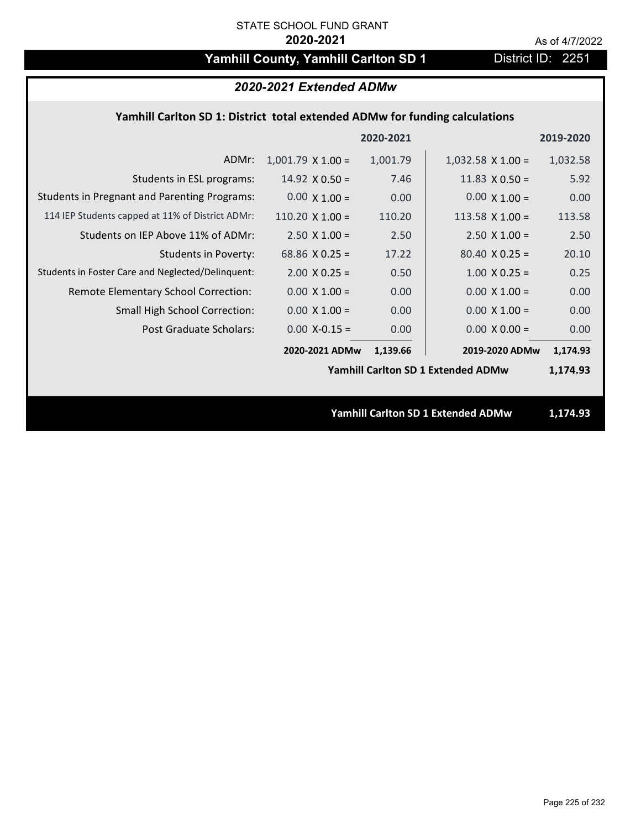# Yamhill County, Yamhill Carlton SD 1 District ID: 2251

| 2020-2021 Extended ADMw                                                     |                        |           |                                           |           |  |
|-----------------------------------------------------------------------------|------------------------|-----------|-------------------------------------------|-----------|--|
| Yamhill Carlton SD 1: District total extended ADMw for funding calculations |                        |           |                                           |           |  |
|                                                                             |                        | 2020-2021 |                                           | 2019-2020 |  |
| ADMr:                                                                       | $1,001.79$ X $1.00 =$  | 1,001.79  | $1,032.58 \times 1.00 =$                  | 1,032.58  |  |
| Students in ESL programs:                                                   | $14.92 \times 0.50 =$  | 7.46      | $11.83 \times 0.50 =$                     | 5.92      |  |
| <b>Students in Pregnant and Parenting Programs:</b>                         | $0.00 \times 1.00 =$   | 0.00      | $0.00 \times 1.00 =$                      | 0.00      |  |
| 114 IEP Students capped at 11% of District ADMr:                            | 110.20 $\times$ 1.00 = | 110.20    | 113.58 $X$ 1.00 =                         | 113.58    |  |
| Students on IEP Above 11% of ADMr:                                          | $2.50 X 1.00 =$        | 2.50      | $2.50 \times 1.00 =$                      | 2.50      |  |
| <b>Students in Poverty:</b>                                                 | 68.86 $X$ 0.25 =       | 17.22     | $80.40 \times 0.25 =$                     | 20.10     |  |
| Students in Foster Care and Neglected/Delinquent:                           | $2.00 \times 0.25 =$   | 0.50      | $1.00 \times 0.25 =$                      | 0.25      |  |
| Remote Elementary School Correction:                                        | $0.00 \times 1.00 =$   | 0.00      | $0.00 \times 1.00 =$                      | 0.00      |  |
| Small High School Correction:                                               | $0.00 \times 1.00 =$   | 0.00      | $0.00 \times 1.00 =$                      | 0.00      |  |
| <b>Post Graduate Scholars:</b>                                              | $0.00$ X-0.15 =        | 0.00      | $0.00 X 0.00 =$                           | 0.00      |  |
|                                                                             | 2020-2021 ADMw         | 1,139.66  | 2019-2020 ADMw                            | 1,174.93  |  |
|                                                                             |                        |           | <b>Yamhill Carlton SD 1 Extended ADMw</b> | 1,174.93  |  |
|                                                                             |                        |           |                                           |           |  |
|                                                                             |                        |           | Yamhill Carlton SD 1 Extended ADMw        | 1,174.93  |  |
|                                                                             |                        |           |                                           |           |  |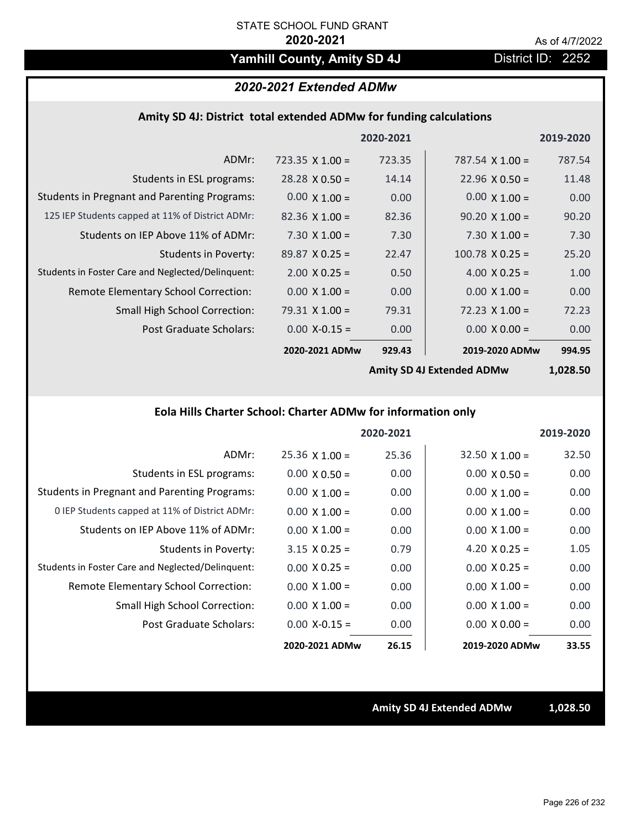# Yamhill County, Amity SD 4J District ID: 2252

# *2020-2021 Extended ADMw*

## **Amity SD 4J: District total extended ADMw for funding calculations**

|                                                     |                       | 2020-2021 |                        | 2019-2020 |
|-----------------------------------------------------|-----------------------|-----------|------------------------|-----------|
| ADMr:                                               | 723.35 $X$ 1.00 =     | 723.35    | 787.54 $\times$ 1.00 = | 787.54    |
| Students in ESL programs:                           | $28.28 \times 0.50 =$ | 14.14     | $22.96 \times 0.50 =$  | 11.48     |
| <b>Students in Pregnant and Parenting Programs:</b> | $0.00 \times 1.00 =$  | 0.00      | $0.00 \times 1.00 =$   | 0.00      |
| 125 IEP Students capped at 11% of District ADMr:    | $82.36 \times 1.00 =$ | 82.36     | $90.20 \times 1.00 =$  | 90.20     |
| Students on IEP Above 11% of ADMr:                  | $7.30 \times 1.00 =$  | 7.30      | $7.30 \times 1.00 =$   | 7.30      |
| <b>Students in Poverty:</b>                         | $89.87 \times 0.25 =$ | 22.47     | $100.78 \times 0.25 =$ | 25.20     |
| Students in Foster Care and Neglected/Delinquent:   | $2.00 \times 0.25 =$  | 0.50      | 4.00 $X$ 0.25 =        | 1.00      |
| Remote Elementary School Correction:                | $0.00 \times 1.00 =$  | 0.00      | $0.00 \times 1.00 =$   | 0.00      |
| <b>Small High School Correction:</b>                | $79.31 \times 1.00 =$ | 79.31     | $72.23 \times 1.00 =$  | 72.23     |
| Post Graduate Scholars:                             | $0.00$ X-0.15 =       | 0.00      | $0.00 \times 0.00 =$   | 0.00      |
|                                                     | 2020-2021 ADMw        | 929.43    | 2019-2020 ADMw         | 994.95    |
|                                                     |                       |           |                        |           |

**Amity SD 4J Extended ADMw**

**1,028.50**

# **Eola Hills Charter School: Charter ADMw for information only**

|                                                     |                       | 2020-2021 |                       | 2019-2020 |
|-----------------------------------------------------|-----------------------|-----------|-----------------------|-----------|
| ADMr:                                               | $25.36 \times 1.00 =$ | 25.36     | $32.50 \times 1.00 =$ | 32.50     |
| Students in ESL programs:                           | $0.00 \times 0.50 =$  | 0.00      | $0.00 \times 0.50 =$  | 0.00      |
| <b>Students in Pregnant and Parenting Programs:</b> | $0.00 \times 1.00 =$  | 0.00      | $0.00 \times 1.00 =$  | 0.00      |
| 0 IEP Students capped at 11% of District ADMr:      | $0.00 \times 1.00 =$  | 0.00      | $0.00 \times 1.00 =$  | 0.00      |
| Students on IEP Above 11% of ADMr:                  | $0.00 \times 1.00 =$  | 0.00      | $0.00 \times 1.00 =$  | 0.00      |
| Students in Poverty:                                | $3.15 \times 0.25 =$  | 0.79      | 4.20 $X$ 0.25 =       | 1.05      |
| Students in Foster Care and Neglected/Delinquent:   | $0.00 \times 0.25 =$  | 0.00      | $0.00 \times 0.25 =$  | 0.00      |
| Remote Elementary School Correction:                | $0.00 \times 1.00 =$  | 0.00      | $0.00 \times 1.00 =$  | 0.00      |
| <b>Small High School Correction:</b>                | $0.00 \times 1.00 =$  | 0.00      | $0.00 \times 1.00 =$  | 0.00      |
| Post Graduate Scholars:                             | $0.00$ X-0.15 =       | 0.00      | $0.00 \times 0.00 =$  | 0.00      |
|                                                     | 2020-2021 ADMw        | 26.15     | 2019-2020 ADMw        | 33.55     |

**Amity SD 4J Extended ADMw 1,028.50**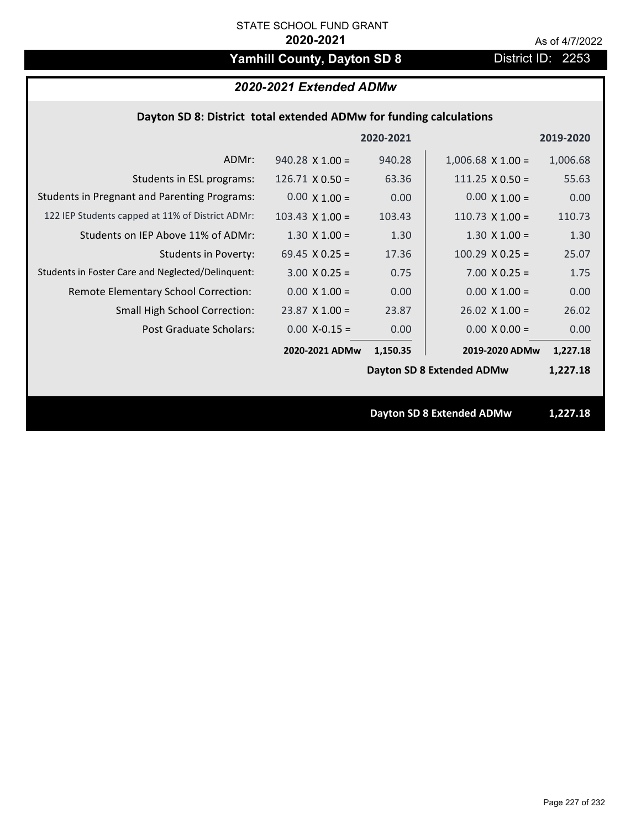# Yamhill County, Dayton SD 8 **District ID: 2253**

# *2020-2021 Extended ADMw*

# **Dayton SD 8: District total extended ADMw for funding calculations**

|                                                     |                        | 2020-2021 |                                  | 2019-2020 |
|-----------------------------------------------------|------------------------|-----------|----------------------------------|-----------|
| ADMr:                                               | $940.28 \times 1.00 =$ | 940.28    | $1,006.68$ X $1.00 =$            | 1,006.68  |
| Students in ESL programs:                           | $126.71 \times 0.50 =$ | 63.36     | $111.25 \times 0.50 =$           | 55.63     |
| <b>Students in Pregnant and Parenting Programs:</b> | $0.00 \times 1.00 =$   | 0.00      | $0.00 \times 1.00 =$             | 0.00      |
| 122 IEP Students capped at 11% of District ADMr:    | $103.43 \times 1.00 =$ | 103.43    | $110.73$ X $1.00 =$              | 110.73    |
| Students on IEP Above 11% of ADMr:                  | $1.30 \times 1.00 =$   | 1.30      | $1.30 \times 1.00 =$             | 1.30      |
| <b>Students in Poverty:</b>                         | 69.45 $X$ 0.25 =       | 17.36     | $100.29$ X 0.25 =                | 25.07     |
| Students in Foster Care and Neglected/Delinquent:   | $3.00 \times 0.25 =$   | 0.75      | $7.00 \times 0.25 =$             | 1.75      |
| Remote Elementary School Correction:                | $0.00 \times 1.00 =$   | 0.00      | $0.00 \times 1.00 =$             | 0.00      |
| <b>Small High School Correction:</b>                | $23.87$ X 1.00 =       | 23.87     | $26.02$ X 1.00 =                 | 26.02     |
| Post Graduate Scholars:                             | $0.00$ X-0.15 =        | 0.00      | $0.00 \times 0.00 =$             | 0.00      |
|                                                     | 2020-2021 ADMw         | 1,150.35  | 2019-2020 ADMw                   | 1,227.18  |
|                                                     |                        |           | <b>Dayton SD 8 Extended ADMw</b> | 1,227.18  |
|                                                     |                        |           |                                  |           |
|                                                     |                        |           | <b>Dayton SD 8 Extended ADMw</b> | 1,227.18  |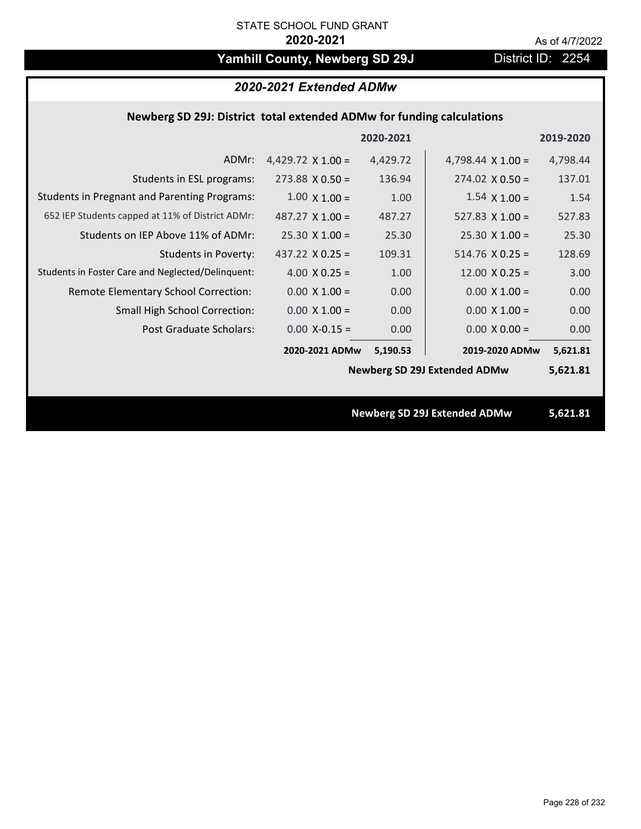# Yamhill County, Newberg SD 29J District ID: 2254

## *2020-2021 Extended ADMw*

# **Newberg SD 29J: District total extended ADMw for funding calculations**

|                                                     |                          | 2020-2021 |                                     | 2019-2020 |
|-----------------------------------------------------|--------------------------|-----------|-------------------------------------|-----------|
| ADMr:                                               | 4,429.72 $\times$ 1.00 = | 4,429.72  | 4,798.44 $\times$ 1.00 =            | 4,798.44  |
| Students in ESL programs:                           | $273.88 \times 0.50 =$   | 136.94    | $274.02 \times 0.50 =$              | 137.01    |
| <b>Students in Pregnant and Parenting Programs:</b> | $1.00 \times 1.00 =$     | 1.00      | $1.54 \times 1.00 =$                | 1.54      |
| 652 IEP Students capped at 11% of District ADMr:    | 487.27 $\times$ 1.00 =   | 487.27    | 527.83 $\times$ 1.00 =              | 527.83    |
| Students on IEP Above 11% of ADMr:                  | $25.30 \times 1.00 =$    | 25.30     | $25.30 \times 1.00 =$               | 25.30     |
| <b>Students in Poverty:</b>                         | 437.22 $X$ 0.25 =        | 109.31    | $514.76 \times 0.25 =$              | 128.69    |
| Students in Foster Care and Neglected/Delinquent:   | 4.00 $X$ 0.25 =          | 1.00      | $12.00 \times 0.25 =$               | 3.00      |
| Remote Elementary School Correction:                | $0.00 \times 1.00 =$     | 0.00      | $0.00 \times 1.00 =$                | 0.00      |
| <b>Small High School Correction:</b>                | $0.00 \times 1.00 =$     | 0.00      | $0.00 \times 1.00 =$                | 0.00      |
| Post Graduate Scholars:                             | $0.00$ X-0.15 =          | 0.00      | $0.00 \times 0.00 =$                | 0.00      |
|                                                     | 2020-2021 ADMw           | 5,190.53  | 2019-2020 ADMw                      | 5,621.81  |
|                                                     |                          |           | <b>Newberg SD 29J Extended ADMw</b> | 5,621.81  |
|                                                     |                          |           |                                     |           |
|                                                     |                          |           | <b>Newberg SD 29J Extended ADMw</b> | 5,621.81  |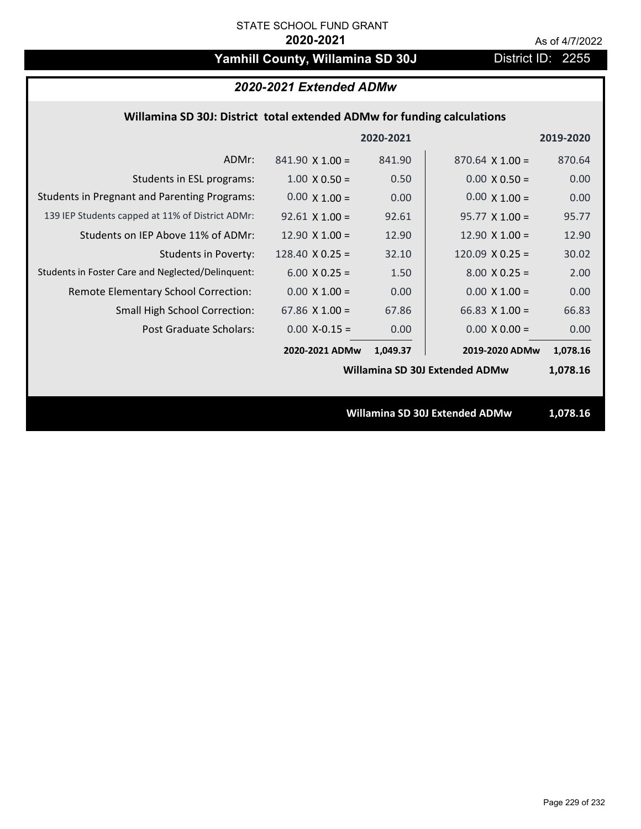# Yamhill County, Willamina SD 30J District ID: 2255

# *2020-2021 Extended ADMw*

## **Willamina SD 30J: District total extended ADMw for funding calculations**

|                                                     |                        | 2020-2021 |                                | 2019-2020 |
|-----------------------------------------------------|------------------------|-----------|--------------------------------|-----------|
| ADMr:                                               | $841.90 \times 1.00 =$ | 841.90    | $870.64 \times 1.00 =$         | 870.64    |
| Students in ESL programs:                           | $1.00 \times 0.50 =$   | 0.50      | $0.00 \times 0.50 =$           | 0.00      |
| <b>Students in Pregnant and Parenting Programs:</b> | $0.00 \times 1.00 =$   | 0.00      | $0.00 \times 1.00 =$           | 0.00      |
| 139 IEP Students capped at 11% of District ADMr:    | $92.61$ X 1.00 =       | 92.61     | $95.77 \times 1.00 =$          | 95.77     |
| Students on IEP Above 11% of ADMr:                  | 12.90 $\times$ 1.00 =  | 12.90     | $12.90 \times 1.00 =$          | 12.90     |
| <b>Students in Poverty:</b>                         | 128.40 $\times$ 0.25 = | 32.10     | 120.09 $X$ 0.25 =              | 30.02     |
| Students in Foster Care and Neglected/Delinquent:   | $6.00 \times 0.25 =$   | 1.50      | $8.00 \times 0.25 =$           | 2.00      |
| Remote Elementary School Correction:                | $0.00 \times 1.00 =$   | 0.00      | $0.00 \times 1.00 =$           | 0.00      |
| <b>Small High School Correction:</b>                | 67.86 $X$ 1.00 =       | 67.86     | $66.83 \times 1.00 =$          | 66.83     |
| Post Graduate Scholars:                             | $0.00$ X-0.15 =        | 0.00      | $0.00 \times 0.00 =$           | 0.00      |
|                                                     | 2020-2021 ADMw         | 1,049.37  | 2019-2020 ADMw                 | 1,078.16  |
|                                                     |                        |           | Willamina SD 30J Extended ADMw | 1,078.16  |
|                                                     |                        |           |                                |           |
|                                                     |                        |           | Willamina SD 30J Extended ADMw | 1,078.16  |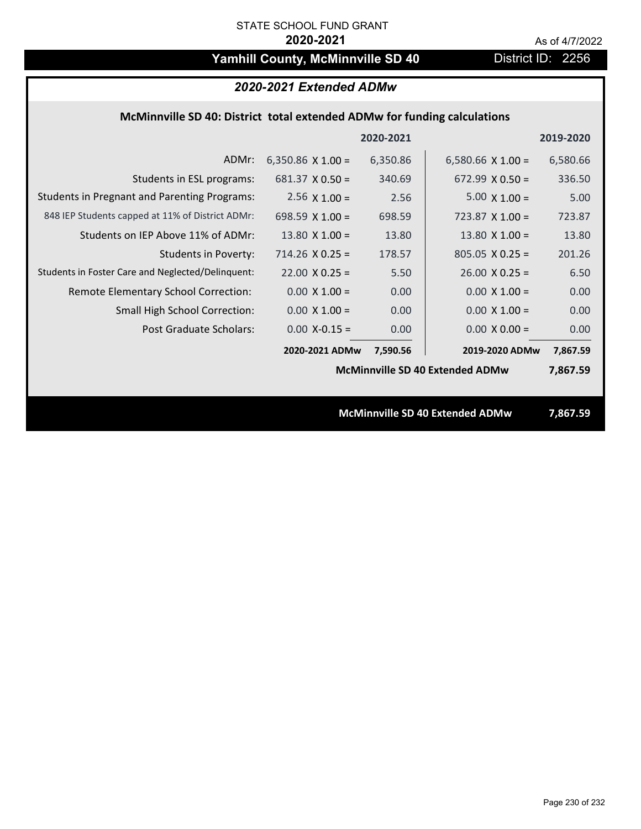# Yamhill County, McMinnville SD 40 District ID: 2256

# *2020-2021 Extended ADMw*

## **McMinnville SD 40: District total extended ADMw for funding calculations**

|                                                     |                                        | 2020-2021 |                                 | 2019-2020 |
|-----------------------------------------------------|----------------------------------------|-----------|---------------------------------|-----------|
| ADMr:                                               | 6,350.86 $\times$ 1.00 =               | 6,350.86  | 6,580.66 $\times$ 1.00 =        | 6,580.66  |
| Students in ESL programs:                           | $681.37 \times 0.50 =$                 | 340.69    | $672.99 \times 0.50 =$          | 336.50    |
| <b>Students in Pregnant and Parenting Programs:</b> | $2.56 \times 1.00 =$                   | 2.56      | $5.00 \times 1.00 =$            | 5.00      |
| 848 IEP Students capped at 11% of District ADMr:    | 698.59 $X$ 1.00 =                      | 698.59    | $723.87$ X 1.00 =               | 723.87    |
| Students on IEP Above 11% of ADMr:                  | $13.80 \times 1.00 =$                  | 13.80     | 13.80 $X$ 1.00 =                | 13.80     |
| <b>Students in Poverty:</b>                         | $714.26$ X 0.25 =                      | 178.57    | $805.05 \times 0.25 =$          | 201.26    |
| Students in Foster Care and Neglected/Delinquent:   | $22.00 \times 0.25 =$                  | 5.50      | $26.00 \times 0.25 =$           | 6.50      |
| Remote Elementary School Correction:                | $0.00 \times 1.00 =$                   | 0.00      | $0.00 \times 1.00 =$            | 0.00      |
| <b>Small High School Correction:</b>                | $0.00 \times 1.00 =$                   | 0.00      | $0.00 \times 1.00 =$            | 0.00      |
| Post Graduate Scholars:                             | $0.00$ X-0.15 =                        | 0.00      | $0.00 \times 0.00 =$            | 0.00      |
|                                                     | 2020-2021 ADMw                         | 7,590.56  | 2019-2020 ADMw                  | 7,867.59  |
|                                                     | <b>McMinnville SD 40 Extended ADMw</b> |           |                                 | 7,867.59  |
|                                                     |                                        |           |                                 |           |
|                                                     |                                        |           | McMinnville SD 40 Extended ADMw | 7,867.59  |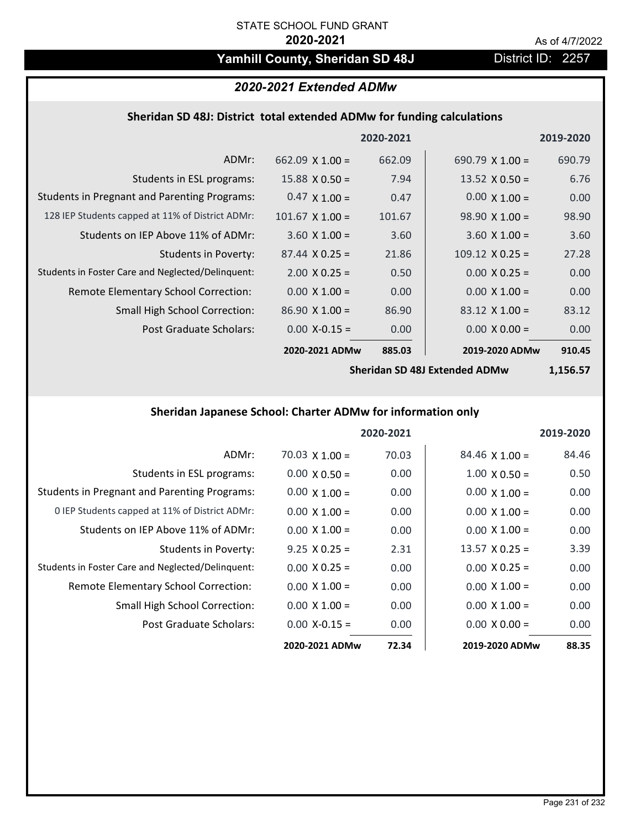# Yamhill County, Sheridan SD 48J District ID: 2257

# *2020-2021 Extended ADMw*

# **Sheridan SD 48J: District total extended ADMw for funding calculations**

|                                                     |                        | 2020-2021 |                        | 2019-2020 |
|-----------------------------------------------------|------------------------|-----------|------------------------|-----------|
| ADMr:                                               | 662.09 $\times$ 1.00 = | 662.09    | 690.79 $\times$ 1.00 = | 690.79    |
| Students in ESL programs:                           | $15.88 \times 0.50 =$  | 7.94      | 13.52 $X$ 0.50 =       | 6.76      |
| <b>Students in Pregnant and Parenting Programs:</b> | $0.47 \times 1.00 =$   | 0.47      | $0.00 \times 1.00 =$   | 0.00      |
| 128 IEP Students capped at 11% of District ADMr:    | $101.67$ X $1.00 =$    | 101.67    | $98.90 \times 1.00 =$  | 98.90     |
| Students on IEP Above 11% of ADMr:                  | $3.60 \times 1.00 =$   | 3.60      | $3.60 \times 1.00 =$   | 3.60      |
| Students in Poverty:                                | $87.44 \times 0.25 =$  | 21.86     | $109.12 \times 0.25 =$ | 27.28     |
| Students in Foster Care and Neglected/Delinquent:   | $2.00 \times 0.25 =$   | 0.50      | $0.00 \times 0.25 =$   | 0.00      |
| Remote Elementary School Correction:                | $0.00 \times 1.00 =$   | 0.00      | $0.00 \times 1.00 =$   | 0.00      |
| <b>Small High School Correction:</b>                | $86.90 \times 1.00 =$  | 86.90     | $83.12 \times 1.00 =$  | 83.12     |
| Post Graduate Scholars:                             | $0.00$ X-0.15 =        | 0.00      | $0.00 \times 0.00 =$   | 0.00      |
|                                                     | 2020-2021 ADMw         | 885.03    | 2019-2020 ADMw         | 910.45    |

**Sheridan SD 48J Extended ADMw**

**1,156.57**

# **Sheridan Japanese School: Charter ADMw for information only**

|                                                     |                       | 2020-2021 |                       | 2019-2020 |
|-----------------------------------------------------|-----------------------|-----------|-----------------------|-----------|
| ADMr:                                               | $70.03 \times 1.00 =$ | 70.03     | $84.46 \times 1.00 =$ | 84.46     |
| Students in ESL programs:                           | $0.00 \times 0.50 =$  | 0.00      | $1.00 \times 0.50 =$  | 0.50      |
| <b>Students in Pregnant and Parenting Programs:</b> | $0.00 \times 1.00 =$  | 0.00      | $0.00 \times 1.00 =$  | 0.00      |
| 0 IEP Students capped at 11% of District ADMr:      | $0.00 \times 1.00 =$  | 0.00      | $0.00 \times 1.00 =$  | 0.00      |
| Students on IEP Above 11% of ADMr:                  | $0.00 \times 1.00 =$  | 0.00      | $0.00 \times 1.00 =$  | 0.00      |
| Students in Poverty:                                | $9.25 \times 0.25 =$  | 2.31      | $13.57 \times 0.25 =$ | 3.39      |
| Students in Foster Care and Neglected/Delinquent:   | $0.00 \times 0.25 =$  | 0.00      | $0.00 \times 0.25 =$  | 0.00      |
| Remote Elementary School Correction:                | $0.00 \times 1.00 =$  | 0.00      | $0.00 \times 1.00 =$  | 0.00      |
| <b>Small High School Correction:</b>                | $0.00 \times 1.00 =$  | 0.00      | $0.00 \times 1.00 =$  | 0.00      |
| Post Graduate Scholars:                             | $0.00 X - 0.15 =$     | 0.00      | $0.00 \times 0.00 =$  | 0.00      |
|                                                     | 2020-2021 ADMw        | 72.34     | 2019-2020 ADMw        | 88.35     |